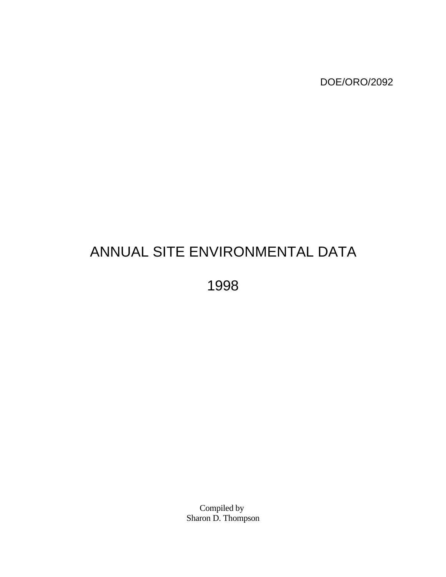DOE/ORO/2092

# ANNUAL SITE ENVIRONMENTAL DATA

1998

Compiled by Sharon D. Thompson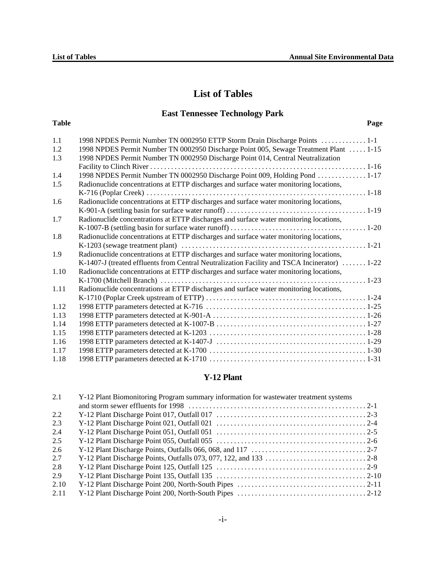# **List of Tables**

# **East Tennessee Technology Park**

#### **Table Page**

| 1.1  | 1998 NPDES Permit Number TN 0002950 ETTP Storm Drain Discharge Points 1-1                    |
|------|----------------------------------------------------------------------------------------------|
| 1.2  | 1998 NPDES Permit Number TN 0002950 Discharge Point 005, Sewage Treatment Plant  1-15        |
| 1.3  | 1998 NPDES Permit Number TN 0002950 Discharge Point 014, Central Neutralization              |
|      |                                                                                              |
| 1.4  | 1998 NPDES Permit Number TN 0002950 Discharge Point 009, Holding Pond 1-17                   |
| 1.5  | Radionuclide concentrations at ETTP discharges and surface water monitoring locations,       |
|      |                                                                                              |
| 1.6  | Radionuclide concentrations at ETTP discharges and surface water monitoring locations,       |
|      |                                                                                              |
| 1.7  | Radionuclide concentrations at ETTP discharges and surface water monitoring locations,       |
|      |                                                                                              |
| 1.8  | Radionuclide concentrations at ETTP discharges and surface water monitoring locations,       |
|      |                                                                                              |
| 1.9  | Radionuclide concentrations at ETTP discharges and surface water monitoring locations,       |
|      | K-1407-J (treated effluents from Central Neutralization Facility and TSCA Incinerator)  1-22 |
| 1.10 | Radionuclide concentrations at ETTP discharges and surface water monitoring locations,       |
|      |                                                                                              |
| 1.11 | Radionuclide concentrations at ETTP discharges and surface water monitoring locations,       |
|      |                                                                                              |
| 1.12 |                                                                                              |
| 1.13 |                                                                                              |
| 1.14 |                                                                                              |
| 1.15 |                                                                                              |
| 1.16 |                                                                                              |
| 1.17 |                                                                                              |
| 1.18 |                                                                                              |

# **Y-12 Plant**

| 2.1  | Y-12 Plant Biomonitoring Program summary information for wastewater treatment systems |  |
|------|---------------------------------------------------------------------------------------|--|
|      |                                                                                       |  |
| 2.2  |                                                                                       |  |
| 2.3  |                                                                                       |  |
| 2.4  |                                                                                       |  |
| 2.5  |                                                                                       |  |
| 2.6  |                                                                                       |  |
| 2.7  |                                                                                       |  |
| 2.8  |                                                                                       |  |
| 2.9  |                                                                                       |  |
| 2.10 |                                                                                       |  |
| 2.11 |                                                                                       |  |
|      |                                                                                       |  |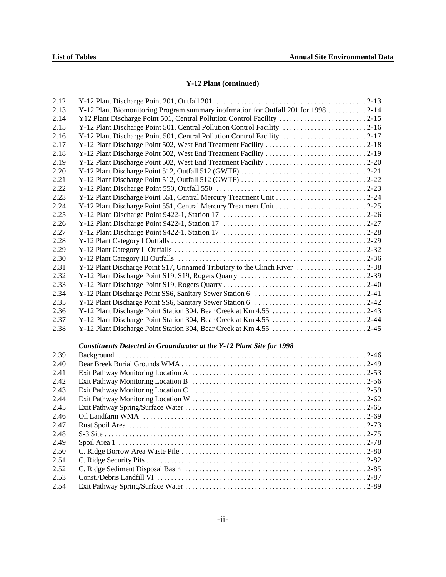## **Y-12 Plant (continued)**

| 2.12 |                                                                                    |  |
|------|------------------------------------------------------------------------------------|--|
| 2.13 | Y-12 Plant Biomonitoring Program summary inofrmation for Outfall 201 for 1998 2-14 |  |
| 2.14 | Y12 Plant Discharge Point 501, Central Pollution Control Facility 2-15             |  |
| 2.15 | Y-12 Plant Discharge Point 501, Central Pollution Control Facility 2-16            |  |
| 2.16 | Y-12 Plant Discharge Point 501, Central Pollution Control Facility 2-17            |  |
| 2.17 |                                                                                    |  |
| 2.18 |                                                                                    |  |
| 2.19 | Y-12 Plant Discharge Point 502, West End Treatment Facility 2-20                   |  |
| 2.20 |                                                                                    |  |
| 2.21 |                                                                                    |  |
| 2.22 |                                                                                    |  |
| 2.23 |                                                                                    |  |
| 2.24 |                                                                                    |  |
| 2.25 |                                                                                    |  |
| 2.26 |                                                                                    |  |
| 2.27 |                                                                                    |  |
| 2.28 |                                                                                    |  |
| 2.29 |                                                                                    |  |
| 2.30 |                                                                                    |  |
| 2.31 | Y-12 Plant Discharge Point S17, Unnamed Tributary to the Clinch River 2-38         |  |
| 2.32 |                                                                                    |  |
| 2.33 |                                                                                    |  |
| 2.34 |                                                                                    |  |
| 2.35 |                                                                                    |  |
| 2.36 |                                                                                    |  |
| 2.37 | Y-12 Plant Discharge Point Station 304, Bear Creek at Km 4.55 2-44                 |  |
| 2.38 |                                                                                    |  |
|      |                                                                                    |  |

# *Constituents Detected in Groundwater at the Y-12 Plant Site for 1998*

| 2.39 |  |
|------|--|
| 2.40 |  |
| 2.41 |  |
| 2.42 |  |
| 2.43 |  |
| 2.44 |  |
| 2.45 |  |
| 2.46 |  |
| 2.47 |  |
| 2.48 |  |
| 2.49 |  |
| 2.50 |  |
| 2.51 |  |
| 2.52 |  |
| 2.53 |  |
| 2.54 |  |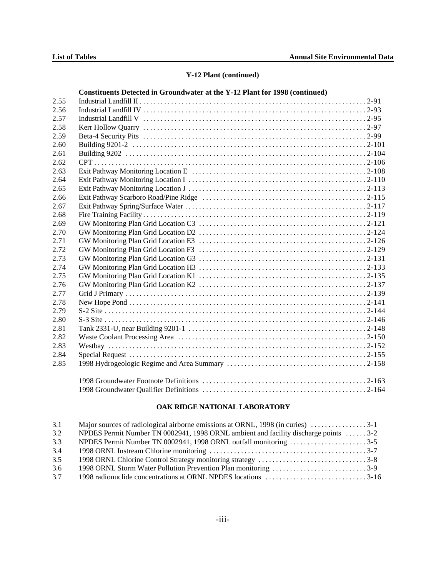### **Y-12 Plant (continued)**

## **Constituents Detected in Groundwater at the Y-12 Plant for 1998 (continued)**

| 2.55 |  |
|------|--|
| 2.56 |  |
| 2.57 |  |
| 2.58 |  |
| 2.59 |  |
| 2.60 |  |
| 2.61 |  |
| 2.62 |  |
| 2.63 |  |
| 2.64 |  |
| 2.65 |  |
| 2.66 |  |
| 2.67 |  |
| 2.68 |  |
| 2.69 |  |
| 2.70 |  |
| 2.71 |  |
| 2.72 |  |
| 2.73 |  |
| 2.74 |  |
| 2.75 |  |
| 2.76 |  |
| 2.77 |  |
| 2.78 |  |
| 2.79 |  |
| 2.80 |  |
| 2.81 |  |
| 2.82 |  |
| 2.83 |  |
| 2.84 |  |
| 2.85 |  |
|      |  |
|      |  |

#### **OAK RIDGE NATIONAL LABORATORY**

| 3.1 | Major sources of radiological airborne emissions at ORNL, 1998 (in curies) 3-1       |  |
|-----|--------------------------------------------------------------------------------------|--|
| 3.2 | NPDES Permit Number TN 0002941, 1998 ORNL ambient and facility discharge points  3-2 |  |
| 3.3 |                                                                                      |  |
| 3.4 |                                                                                      |  |
| 3.5 |                                                                                      |  |
| 3.6 | 1998 ORNL Storm Water Pollution Prevention Plan monitoring 3-9                       |  |
| 3.7 |                                                                                      |  |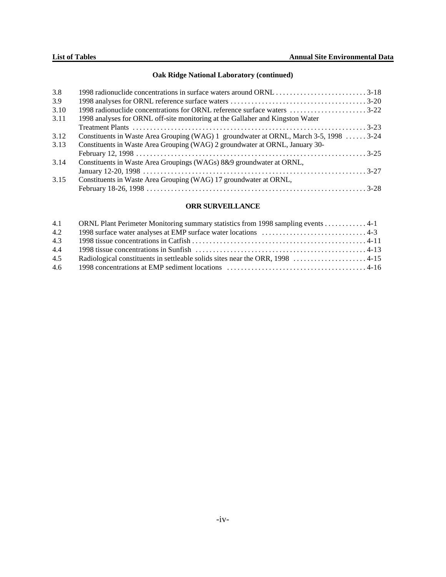## **Oak Ridge National Laboratory (continued)**

| 3.8  |                                                                                        |  |
|------|----------------------------------------------------------------------------------------|--|
| 3.9  |                                                                                        |  |
| 3.10 | 1998 radionuclide concentrations for ORNL reference surface waters 3-22                |  |
| 3.11 | 1998 analyses for ORNL off-site monitoring at the Gallaher and Kingston Water          |  |
|      |                                                                                        |  |
| 3.12 | Constituents in Waste Area Grouping (WAG) 1 groundwater at ORNL, March 3-5, 1998  3-24 |  |
| 3.13 | Constituents in Waste Area Grouping (WAG) 2 groundwater at ORNL, January 30-           |  |
|      |                                                                                        |  |
| 3.14 | Constituents in Waste Area Groupings (WAGs) 8&9 groundwater at ORNL,                   |  |
|      |                                                                                        |  |
| 3.15 | Constituents in Waste Area Grouping (WAG) 17 groundwater at ORNL,                      |  |
|      |                                                                                        |  |

#### **ORR SURVEILLANCE**

| 4.1 | ORNL Plant Perimeter Monitoring summary statistics from 1998 sampling events 4-1                                                                             |  |
|-----|--------------------------------------------------------------------------------------------------------------------------------------------------------------|--|
| 4.2 |                                                                                                                                                              |  |
| 4.3 |                                                                                                                                                              |  |
| 4.4 | 1998 tissue concentrations in Sunfish $\ldots$ , $\ldots$ , $\ldots$ , $\ldots$ , $\ldots$ , $\ldots$ , $\ldots$ , $\ldots$ , $\ldots$ , $\ldots$ , $\ddots$ |  |
| 4.5 | Radiological constituents in settleable solids sites near the ORR, 1998 4-15                                                                                 |  |
| 4.6 |                                                                                                                                                              |  |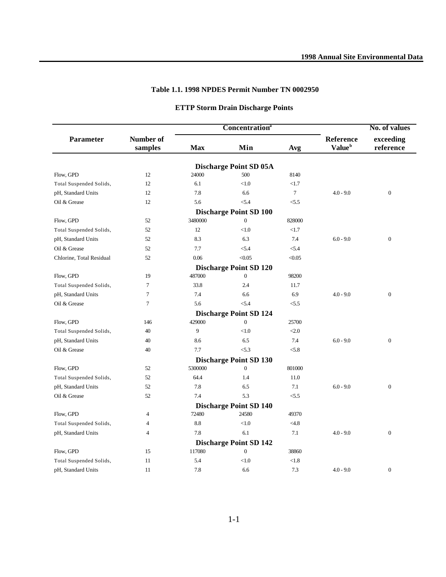## **Table 1.1. 1998 NPDES Permit Number TN 0002950**

# **ETTP Storm Drain Discharge Points**

|                          |                      | <b>Concentration</b> <sup>a</sup> |                                      |                 | No. of values                   |                        |
|--------------------------|----------------------|-----------------------------------|--------------------------------------|-----------------|---------------------------------|------------------------|
| Parameter                | Number of<br>samples | <b>Max</b>                        | Min                                  | Avg             | Reference<br>Value <sup>b</sup> | exceeding<br>reference |
|                          |                      |                                   |                                      |                 |                                 |                        |
| Flow, GPD                | 12                   | 24000                             | <b>Discharge Point SD 05A</b><br>500 | 8140            |                                 |                        |
|                          | 12                   | 6.1                               | <1.0                                 | <1.7            |                                 |                        |
| Total Suspended Solids,  | 12                   |                                   |                                      | $7\phantom{.0}$ |                                 |                        |
| pH, Standard Units       |                      | 7.8                               | 6.6                                  |                 | $4.0 - 9.0$                     | $\boldsymbol{0}$       |
| Oil & Grease             | 12                   | 5.6                               | < 5.4                                | < 5.5           |                                 |                        |
|                          |                      |                                   | <b>Discharge Point SD 100</b>        |                 |                                 |                        |
| Flow, GPD                | 52                   | 3480000                           | $\mathbf{0}$                         | 828000          |                                 |                        |
| Total Suspended Solids,  | 52                   | 12                                | < 1.0                                | <1.7            |                                 |                        |
| pH, Standard Units       | 52                   | 8.3                               | 6.3                                  | 7.4             | $6.0 - 9.0$                     | $\boldsymbol{0}$       |
| Oil & Grease             | 52                   | 7.7                               | < 5.4                                | < 5.4           |                                 |                        |
| Chlorine, Total Residual | 52                   | 0.06                              | < 0.05                               | < 0.05          |                                 |                        |
|                          |                      |                                   | <b>Discharge Point SD 120</b>        |                 |                                 |                        |
| Flow, GPD                | 19                   | 487000                            | $\mathbf{0}$                         | 98200           |                                 |                        |
| Total Suspended Solids,  | $\overline{7}$       | 33.8                              | 2.4                                  | 11.7            |                                 |                        |
| pH, Standard Units       | 7                    | 7.4                               | 6.6                                  | 6.9             | $4.0 - 9.0$                     | $\boldsymbol{0}$       |
| Oil & Grease             | $\tau$               | 5.6                               | < 5.4                                | < 5.5           |                                 |                        |
|                          |                      |                                   | <b>Discharge Point SD 124</b>        |                 |                                 |                        |
| Flow, GPD                | 146                  | 429000                            | $\Omega$                             | 25700           |                                 |                        |
| Total Suspended Solids,  | 40                   | 9                                 | < 1.0                                | $\leq 2.0$      |                                 |                        |
| pH, Standard Units       | 40                   | 8.6                               | 6.5                                  | 7.4             | $6.0 - 9.0$                     | $\boldsymbol{0}$       |
| Oil & Grease             | 40                   | 7.7                               | < 5.3                                | < 5.8           |                                 |                        |
|                          |                      |                                   | <b>Discharge Point SD 130</b>        |                 |                                 |                        |
| Flow, GPD                | 52                   | 5300000                           | $\overline{0}$                       | 801000          |                                 |                        |
| Total Suspended Solids,  | 52                   | 64.4                              | 1.4                                  | 11.0            |                                 |                        |
| pH, Standard Units       | 52                   | 7.8                               | 6.5                                  | 7.1             | $6.0 - 9.0$                     | $\boldsymbol{0}$       |
| Oil & Grease             | 52                   | 7.4                               | 5.3                                  | < 5.5           |                                 |                        |
|                          |                      |                                   | <b>Discharge Point SD 140</b>        |                 |                                 |                        |
| Flow, GPD                | $\overline{4}$       | 72480                             | 24580                                | 49370           |                                 |                        |
| Total Suspended Solids,  | 4                    | 8.8                               | < 1.0                                | < 4.8           |                                 |                        |
| pH, Standard Units       | 4                    | 7.8                               | 6.1                                  | 7.1             | $4.0 - 9.0$                     | $\boldsymbol{0}$       |
|                          |                      |                                   | <b>Discharge Point SD 142</b>        |                 |                                 |                        |
| Flow, GPD                | 15                   | 117080                            | $\mathbf{0}$                         | 38860           |                                 |                        |
| Total Suspended Solids,  | 11                   | 5.4                               | < 1.0                                | < 1.8           |                                 |                        |
| pH, Standard Units       | 11                   | 7.8                               | 6.6                                  | 7.3             | $4.0 - 9.0$                     | $\boldsymbol{0}$       |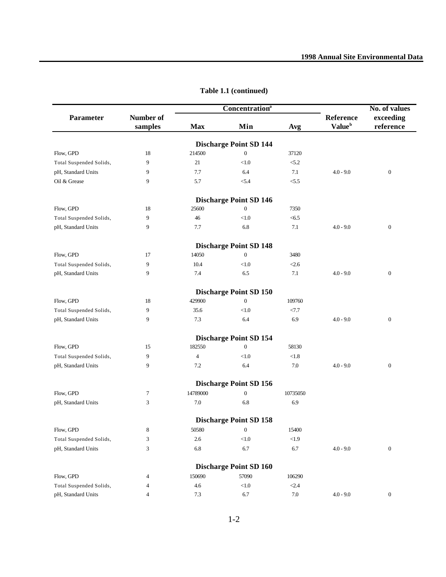|                         |                      | <b>Concentration</b> <sup>a</sup> |                               |                 |                                 | No. of values          |  |
|-------------------------|----------------------|-----------------------------------|-------------------------------|-----------------|---------------------------------|------------------------|--|
| Parameter               | Number of<br>samples | <b>Max</b>                        | Min                           | Avg             | Reference<br>Value <sup>b</sup> | exceeding<br>reference |  |
|                         |                      |                                   | <b>Discharge Point SD 144</b> |                 |                                 |                        |  |
| Flow, GPD               | 18                   | 214500                            | $\boldsymbol{0}$              | 37120           |                                 |                        |  |
| Total Suspended Solids, | 9                    | 21                                | < 1.0                         | < 5.2           |                                 |                        |  |
| pH, Standard Units      | 9                    | 7.7                               | 6.4                           | 7.1             | $4.0 - 9.0$                     | $\boldsymbol{0}$       |  |
| Oil & Grease            | 9                    | 5.7                               | < 5.4                         | $< 5.5$         |                                 |                        |  |
|                         |                      |                                   | <b>Discharge Point SD 146</b> |                 |                                 |                        |  |
| Flow, GPD               | 18                   | 25600                             | $\mathbf{0}$                  | 7350            |                                 |                        |  |
| Total Suspended Solids, | 9                    | 46                                | < 1.0                         | < 6.5           |                                 |                        |  |
| pH, Standard Units      | 9                    | 7.7                               | 6.8                           | 7.1             | $4.0 - 9.0$                     | $\boldsymbol{0}$       |  |
|                         |                      |                                   | <b>Discharge Point SD 148</b> |                 |                                 |                        |  |
| Flow, GPD               | 17                   | 14050                             | $\mathbf{0}$                  | 3480            |                                 |                        |  |
| Total Suspended Solids, | 9                    | 10.4                              | < 1.0                         | $\triangle$ .6  |                                 |                        |  |
| pH, Standard Units      | 9                    | 7.4                               | 6.5                           | 7.1             | $4.0 - 9.0$                     | $\boldsymbol{0}$       |  |
|                         |                      |                                   | <b>Discharge Point SD 150</b> |                 |                                 |                        |  |
| Flow, GPD               | 18                   | 429900                            | $\boldsymbol{0}$              | 109760          |                                 |                        |  |
| Total Suspended Solids, | 9                    | 35.6                              | < 1.0                         | 27.7            |                                 |                        |  |
| pH, Standard Units      | 9                    | 7.3                               | 6.4                           | 6.9             | $4.0 - 9.0$                     | $\boldsymbol{0}$       |  |
|                         |                      |                                   | <b>Discharge Point SD 154</b> |                 |                                 |                        |  |
| Flow, GPD               | 15                   | 182550                            | $\boldsymbol{0}$              | 58130           |                                 |                        |  |
| Total Suspended Solids, | 9                    | 4                                 | $<1.0$                        | $<1.8$          |                                 |                        |  |
| pH, Standard Units      | 9                    | 7.2                               | 6.4                           | 7.0             | $4.0 - 9.0$                     | $\boldsymbol{0}$       |  |
|                         |                      |                                   | <b>Discharge Point SD 156</b> |                 |                                 |                        |  |
| Flow, GPD               | 7                    | 14789000                          | $\mathbf{0}$                  | 10735050        |                                 |                        |  |
| pH, Standard Units      | 3                    | 7.0                               | 6.8                           | 6.9             |                                 |                        |  |
|                         |                      |                                   | <b>Discharge Point SD 158</b> |                 |                                 |                        |  |
| Flow, GPD               | $\,$ 8 $\,$          | 50580                             | $\boldsymbol{0}$              | 15400           |                                 |                        |  |
| Total Suspended Solids, | 3                    | 2.6                               | < 1.0                         | <1.9            |                                 |                        |  |
| pH, Standard Units      | 3                    | 6.8                               | 6.7                           | 6.7             | $4.0 - 9.0$                     | $\boldsymbol{0}$       |  |
|                         |                      |                                   | <b>Discharge Point SD 160</b> |                 |                                 |                        |  |
| Flow, GPD               | 4                    | 150690                            | 57090                         | 106290          |                                 |                        |  |
| Total Suspended Solids, | 4                    | 4.6                               | $<1.0$                        | $\triangle 2.4$ |                                 |                        |  |
| pH, Standard Units      | 4                    | 7.3                               | 6.7                           | 7.0             | $4.0 - 9.0$                     | $\boldsymbol{0}$       |  |

**Table 1.1 (continued)**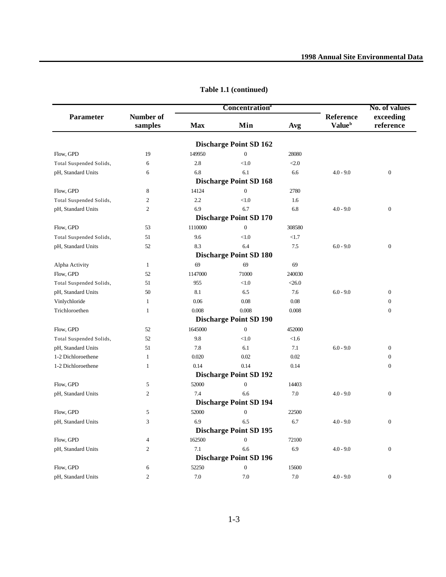|                         |                      | Concentration <sup>a</sup> |                               |         |                                 | No. of values          |  |
|-------------------------|----------------------|----------------------------|-------------------------------|---------|---------------------------------|------------------------|--|
| Parameter               | Number of<br>samples | <b>Max</b>                 | Min                           | Avg     | Reference<br>Value <sup>b</sup> | exceeding<br>reference |  |
|                         |                      |                            | <b>Discharge Point SD 162</b> |         |                                 |                        |  |
| Flow, GPD               | 19                   | 149950                     | $\overline{0}$                | 28080   |                                 |                        |  |
| Total Suspended Solids, | 6                    | 2.8                        | < 1.0                         | < 2.0   |                                 |                        |  |
| pH, Standard Units      | 6                    | 6.8                        | 6.1                           | 6.6     | $4.0 - 9.0$                     | $\boldsymbol{0}$       |  |
|                         |                      |                            | <b>Discharge Point SD 168</b> |         |                                 |                        |  |
| Flow, GPD               | 8                    | 14124                      | $\overline{0}$                | 2780    |                                 |                        |  |
| Total Suspended Solids, | 2                    | 2.2                        | < 1.0                         | 1.6     |                                 |                        |  |
| pH, Standard Units      | $\overline{2}$       | 6.9                        | 6.7                           | 6.8     | $4.0 - 9.0$                     | $\boldsymbol{0}$       |  |
|                         |                      |                            | <b>Discharge Point SD 170</b> |         |                                 |                        |  |
| Flow, GPD               | 53                   | 1110000                    | $\mathbf{0}$                  | 308580  |                                 |                        |  |
| Total Suspended Solids, | 51                   | 9.6                        | <1.0                          | <1.7    |                                 |                        |  |
| pH, Standard Units      | 52                   | 8.3                        | 6.4                           | 7.5     | $6.0 - 9.0$                     | $\mathbf{0}$           |  |
|                         |                      |                            | <b>Discharge Point SD 180</b> |         |                                 |                        |  |
| Alpha Activity          | $\mathbf{1}$         | 69                         | 69                            | 69      |                                 |                        |  |
| Flow, GPD               | 52                   | 1147000                    | 71000                         | 240030  |                                 |                        |  |
| Total Suspended Solids, | 51                   | 955                        | < 1.0                         | < 26.0  |                                 |                        |  |
| pH, Standard Units      | 50                   | 8.1                        | 6.5                           | 7.6     | $6.0 - 9.0$                     | $\boldsymbol{0}$       |  |
| Vinlychloride           | 1                    | 0.06                       | 0.08                          | 0.08    |                                 | $\boldsymbol{0}$       |  |
| Trichloroethen          | $\mathbf{1}$         | 0.008                      | 0.008                         | 0.008   |                                 | $\boldsymbol{0}$       |  |
|                         |                      |                            | <b>Discharge Point SD 190</b> |         |                                 |                        |  |
| Flow, GPD               | 52                   | 1645000                    | $\overline{0}$                | 452000  |                                 |                        |  |
| Total Suspended Solids, | 52                   | 9.8                        | <1.0                          | <1.6    |                                 |                        |  |
| pH, Standard Units      | 51                   | 7.8                        | 6.1                           | 7.1     | $6.0 - 9.0$                     | $\boldsymbol{0}$       |  |
| 1-2 Dichloroethene      | $\mathbf{1}$         | 0.020                      | 0.02                          | 0.02    |                                 | $\boldsymbol{0}$       |  |
| 1-2 Dichloroethene      | 1                    | 0.14                       | 0.14                          | 0.14    |                                 | $\boldsymbol{0}$       |  |
|                         |                      |                            | <b>Discharge Point SD 192</b> |         |                                 |                        |  |
| Flow, GPD               | 5                    | 52000                      | $\mathbf{0}$                  | 14403   |                                 |                        |  |
| pH, Standard Units      | $\overline{2}$       | 7.4                        | 6.6                           | 7.0     | $4.0 - 9.0$                     | $\boldsymbol{0}$       |  |
|                         |                      |                            | <b>Discharge Point SD 194</b> |         |                                 |                        |  |
| Flow, GPD               | 5                    | 52000                      | $\overline{0}$                | 22500   |                                 |                        |  |
| pH, Standard Units      | 3                    | 6.9                        | 6.5                           | 6.7     | $4.0 - 9.0$                     | $\boldsymbol{0}$       |  |
|                         |                      |                            | <b>Discharge Point SD 195</b> |         |                                 |                        |  |
| Flow, GPD               | $\overline{4}$       | 162500                     | $\boldsymbol{0}$              | 72100   |                                 |                        |  |
| pH, Standard Units      | $\mathbf{2}$         | $7.1\,$                    | 6.6                           | 6.9     | $4.0 - 9.0$                     | $\boldsymbol{0}$       |  |
|                         |                      |                            | <b>Discharge Point SD 196</b> |         |                                 |                        |  |
| Flow, GPD               | 6                    | 52250                      | $\boldsymbol{0}$              | 15600   |                                 |                        |  |
| pH, Standard Units      | $\boldsymbol{2}$     | $7.0\,$                    | 7.0                           | $7.0\,$ | $4.0 - 9.0$                     | $\boldsymbol{0}$       |  |

**Table 1.1 (continued)**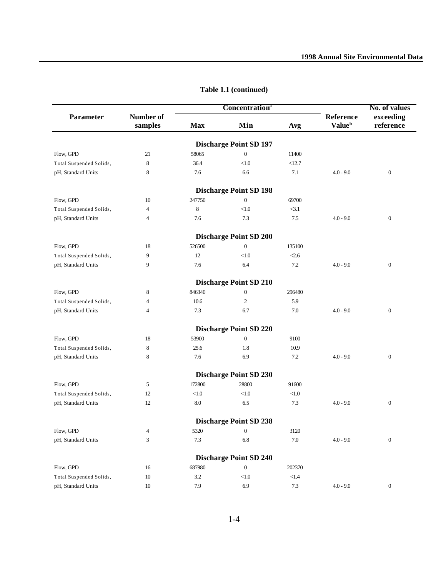|                         | Concentration <sup>a</sup> |            |                               |                    |                                 | No. of values          |  |
|-------------------------|----------------------------|------------|-------------------------------|--------------------|---------------------------------|------------------------|--|
| Parameter               | Number of<br>samples       | <b>Max</b> | Min                           | Avg                | Reference<br>Value <sup>b</sup> | exceeding<br>reference |  |
|                         |                            |            | <b>Discharge Point SD 197</b> |                    |                                 |                        |  |
| Flow, GPD               | 21                         | 58065      | $\boldsymbol{0}$              | 11400              |                                 |                        |  |
| Total Suspended Solids, | 8                          | 36.4       | < 1.0                         | <12.7              |                                 |                        |  |
| pH, Standard Units      | 8                          | 7.6        | 6.6                           | 7.1                | $4.0 - 9.0$                     | $\boldsymbol{0}$       |  |
|                         |                            |            | <b>Discharge Point SD 198</b> |                    |                                 |                        |  |
| Flow, GPD               | 10                         | 247750     | $\boldsymbol{0}$              | 69700              |                                 |                        |  |
| Total Suspended Solids, | 4                          | 8          | < 1.0                         | $\triangleleft$ .1 |                                 |                        |  |
| pH, Standard Units      | $\overline{4}$             | 7.6        | 7.3                           | 7.5                | $4.0 - 9.0$                     | $\boldsymbol{0}$       |  |
|                         |                            |            | <b>Discharge Point SD 200</b> |                    |                                 |                        |  |
| Flow, GPD               | 18                         | 526500     | $\mathbf{0}$                  | 135100             |                                 |                        |  |
| Total Suspended Solids, | 9                          | 12         | < 1.0                         | $\triangle 2.6$    |                                 |                        |  |
| pH, Standard Units      | 9                          | 7.6        | 6.4                           | 7.2                | $4.0 - 9.0$                     | $\mathbf{0}$           |  |
|                         |                            |            | <b>Discharge Point SD 210</b> |                    |                                 |                        |  |
| Flow, GPD               | 8                          | 846340     | $\boldsymbol{0}$              | 296480             |                                 |                        |  |
| Total Suspended Solids, | 4                          | 10.6       | $\overline{c}$                | 5.9                |                                 |                        |  |
| pH, Standard Units      | 4                          | 7.3        | 6.7                           | 7.0                | $4.0 - 9.0$                     | $\mathbf{0}$           |  |
|                         |                            |            | <b>Discharge Point SD 220</b> |                    |                                 |                        |  |
| Flow, GPD               | 18                         | 53900      | $\boldsymbol{0}$              | 9100               |                                 |                        |  |
| Total Suspended Solids, | 8                          | 25.6       | 1.8                           | 10.9               |                                 |                        |  |
| pH, Standard Units      | 8                          | 7.6        | 6.9                           | 7.2                | $4.0 - 9.0$                     | $\boldsymbol{0}$       |  |
|                         |                            |            | <b>Discharge Point SD 230</b> |                    |                                 |                        |  |
| Flow, GPD               | 5                          | 172800     | 28800                         | 91600              |                                 |                        |  |
| Total Suspended Solids, | 12                         | < 1.0      | < 1.0                         | <1.0               |                                 |                        |  |
| pH, Standard Units      | 12                         | $8.0\,$    | 6.5                           | 7.3                | $4.0 - 9.0$                     | $\boldsymbol{0}$       |  |
|                         |                            |            | <b>Discharge Point SD 238</b> |                    |                                 |                        |  |
| Flow, GPD               | $\overline{\mathcal{A}}$   | 5320       | $\boldsymbol{0}$              | 3120               |                                 |                        |  |
| pH, Standard Units      | 3                          | $7.3\,$    | 6.8                           | $7.0\,$            | $4.0 - 9.0$                     | $\boldsymbol{0}$       |  |
|                         |                            |            | <b>Discharge Point SD 240</b> |                    |                                 |                        |  |
| Flow, GPD               | 16                         | 687980     | $\boldsymbol{0}$              | 202370             |                                 |                        |  |
| Total Suspended Solids, | 10                         | $3.2\,$    | $<\!\!1.0$                    | <1.4               |                                 |                        |  |
| pH, Standard Units      | $10\,$                     | 7.9        | 6.9                           | $7.3\,$            | $4.0 - 9.0$                     | $\boldsymbol{0}$       |  |

**Table 1.1 (continued)**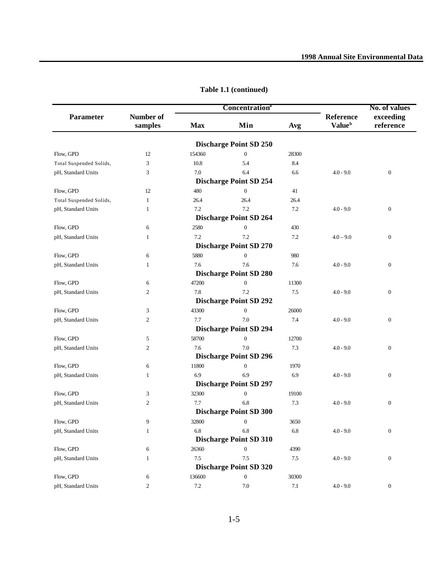|                         |                      |            | Concentration <sup>a</sup>    |         | No. of values                   |                        |
|-------------------------|----------------------|------------|-------------------------------|---------|---------------------------------|------------------------|
| Parameter               | Number of<br>samples | <b>Max</b> | Min                           | Avg     | Reference<br>Value <sup>b</sup> | exceeding<br>reference |
|                         |                      |            | <b>Discharge Point SD 250</b> |         |                                 |                        |
| Flow, GPD               | 12                   | 154360     | $\boldsymbol{0}$              | 28300   |                                 |                        |
| Total Suspended Solids, | 3                    | 10.8       | 5.4                           | 8.4     |                                 |                        |
| pH, Standard Units      | 3                    | 7.0        | 6.4                           | 6.6     | $4.0 - 9.0$                     | $\mathbf{0}$           |
|                         |                      |            | <b>Discharge Point SD 254</b> |         |                                 |                        |
| Flow, GPD               | 12                   | 480        | $\boldsymbol{0}$              | 41      |                                 |                        |
| Total Suspended Solids, | $\mathbf{1}$         | 26.4       | 26.4                          | 26.4    |                                 |                        |
| pH, Standard Units      | 1                    | 7.2        | 7.2                           | 7.2     | $4.0 - 9.0$                     | $\boldsymbol{0}$       |
|                         |                      |            | <b>Discharge Point SD 264</b> |         |                                 |                        |
| Flow, GPD               | 6                    | 2580       | $\boldsymbol{0}$              | 430     |                                 |                        |
| pH, Standard Units      | $\mathbf{1}$         | 7.2        | 7.2                           | 7.2     | $4.0 - 9.0$                     | $\boldsymbol{0}$       |
|                         |                      |            | <b>Discharge Point SD 270</b> |         |                                 |                        |
| Flow, GPD               | 6                    | 5880       | $\mathbf{0}$                  | 980     |                                 |                        |
| pH, Standard Units      | $\mathbf{1}$         | 7.6        | 7.6                           | 7.6     | $4.0 - 9.0$                     | $\mathbf{0}$           |
|                         |                      |            | <b>Discharge Point SD 280</b> |         |                                 |                        |
| Flow, GPD               | 6                    | 47200      | $\boldsymbol{0}$              | 11300   |                                 |                        |
| pH, Standard Units      | $\overline{2}$       | 7.8        | 7.2                           | 7.5     | $4.0 - 9.0$                     | $\boldsymbol{0}$       |
|                         |                      |            | <b>Discharge Point SD 292</b> |         |                                 |                        |
| Flow, GPD               | 3                    | 43300      | $\boldsymbol{0}$              | 26000   |                                 |                        |
| pH, Standard Units      | $\overline{2}$       | 7.7        | 7.0                           | 7.4     | $4.0 - 9.0$                     | $\boldsymbol{0}$       |
|                         |                      |            | <b>Discharge Point SD 294</b> |         |                                 |                        |
| Flow, GPD               | 5                    | 58700      | $\mathbf{0}$                  | 12700   |                                 |                        |
| pH, Standard Units      | 2                    | 7.6        | 7.0                           | 7.3     | $4.0 - 9.0$                     | 0                      |
|                         |                      |            | <b>Discharge Point SD 296</b> |         |                                 |                        |
| Flow, GPD               | 6                    | 11800      | $\mathbf{0}$                  | 1970    |                                 |                        |
| pH, Standard Units      | 1                    | 6.9        | 6.9                           | 6.9     | $4.0 - 9.0$                     | $\boldsymbol{0}$       |
|                         |                      |            | <b>Discharge Point SD 297</b> |         |                                 |                        |
| Flow, GPD               | 3                    | 32300      | $\boldsymbol{0}$              | 19100   |                                 |                        |
| pH, Standard Units      | $\overline{c}$       | 7.7        | 6.8                           | 7.3     | $4.0 - 9.0$                     | $\boldsymbol{0}$       |
|                         |                      |            | <b>Discharge Point SD 300</b> |         |                                 |                        |
| Flow, GPD               | 9                    | 32800      | $\boldsymbol{0}$              | 3650    |                                 |                        |
| pH, Standard Units      | $\mathbf{1}$         | 6.8        | 6.8                           | 6.8     | $4.0 - 9.0$                     | $\boldsymbol{0}$       |
|                         |                      |            | <b>Discharge Point SD 310</b> |         |                                 |                        |
| Flow, GPD               | 6                    | 26360      | $\boldsymbol{0}$              | 4390    |                                 |                        |
| pH, Standard Units      | $\mathbf{1}$         | $7.5\,$    | 7.5                           | 7.5     | $4.0 - 9.0$                     | $\boldsymbol{0}$       |
|                         |                      |            | <b>Discharge Point SD 320</b> |         |                                 |                        |
| Flow, GPD               | 6                    | 136600     | $\boldsymbol{0}$              | 30300   |                                 |                        |
| pH, Standard Units      | $\boldsymbol{2}$     | $7.2\,$    | $7.0\,$                       | $7.1\,$ | $4.0 - 9.0$                     | $\boldsymbol{0}$       |

**Table 1.1 (continued)**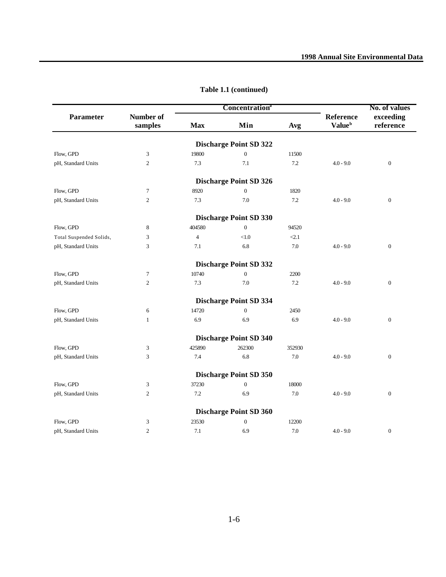|                         |                      |                | Concentration <sup>a</sup>    |          | No. of values                   |                        |
|-------------------------|----------------------|----------------|-------------------------------|----------|---------------------------------|------------------------|
| Parameter               | Number of<br>samples | <b>Max</b>     | Min                           | Avg      | Reference<br>Value <sup>b</sup> | exceeding<br>reference |
|                         |                      |                | <b>Discharge Point SD 322</b> |          |                                 |                        |
| Flow, GPD               | 3                    | 19800          | $\boldsymbol{0}$              | 11500    |                                 |                        |
| pH, Standard Units      | $\overline{c}$       | $7.3\,$        | 7.1                           | 7.2      | $4.0 - 9.0$                     | $\boldsymbol{0}$       |
|                         |                      |                | <b>Discharge Point SD 326</b> |          |                                 |                        |
| Flow, GPD               | $\tau$               | 8920           | $\boldsymbol{0}$              | 1820     |                                 |                        |
| pH, Standard Units      | $\overline{c}$       | 7.3            | 7.0                           | 7.2      | $4.0 - 9.0$                     | $\boldsymbol{0}$       |
|                         |                      |                | <b>Discharge Point SD 330</b> |          |                                 |                        |
| Flow, GPD               | 8                    | 404580         | $\boldsymbol{0}$              | 94520    |                                 |                        |
| Total Suspended Solids, | 3                    | $\overline{4}$ | < 1.0                         | $\leq 1$ |                                 |                        |
| pH, Standard Units      | 3                    | 7.1            | 6.8                           | 7.0      | $4.0 - 9.0$                     | $\boldsymbol{0}$       |
|                         |                      |                | <b>Discharge Point SD 332</b> |          |                                 |                        |
| Flow, GPD               | $\tau$               | 10740          | $\boldsymbol{0}$              | 2200     |                                 |                        |
| pH, Standard Units      | $\overline{c}$       | 7.3            | 7.0                           | 7.2      | $4.0 - 9.0$                     | $\boldsymbol{0}$       |
|                         |                      |                | <b>Discharge Point SD 334</b> |          |                                 |                        |
| Flow, GPD               | 6                    | 14720          | $\mathbf{0}$                  | 2450     |                                 |                        |
| pH, Standard Units      | $\mathbf{1}$         | 6.9            | 6.9                           | 6.9      | $4.0 - 9.0$                     | $\boldsymbol{0}$       |
|                         |                      |                | <b>Discharge Point SD 340</b> |          |                                 |                        |
| Flow, GPD               | 3                    | 425890         | 262300                        | 352930   |                                 |                        |
| pH, Standard Units      | 3                    | 7.4            | 6.8                           | 7.0      | $4.0 - 9.0$                     | $\boldsymbol{0}$       |
|                         |                      |                | <b>Discharge Point SD 350</b> |          |                                 |                        |
| Flow, GPD               | 3                    | 37230          | $\boldsymbol{0}$              | 18000    |                                 |                        |
| pH, Standard Units      | $\overline{c}$       | 7.2            | 6.9                           | 7.0      | $4.0 - 9.0$                     | $\boldsymbol{0}$       |
|                         |                      |                | <b>Discharge Point SD 360</b> |          |                                 |                        |
| Flow, GPD               | 3                    | 23530          | $\boldsymbol{0}$              | 12200    |                                 |                        |
| pH, Standard Units      | $\overline{c}$       | 7.1            | 6.9                           | 7.0      | $4.0 - 9.0$                     | $\boldsymbol{0}$       |

**Table 1.1 (continued)**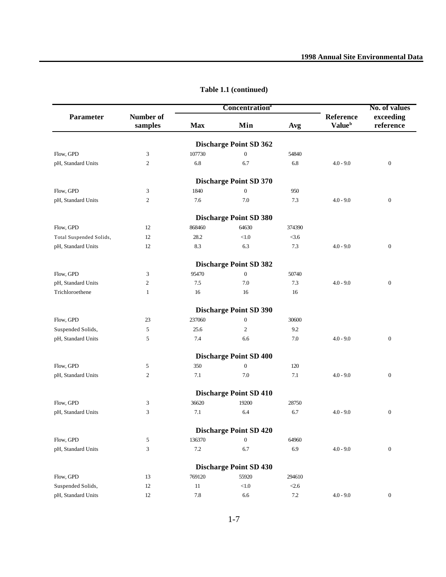|                         |                      | Concentration <sup>a</sup> |                               |            |                                 | No. of values          |
|-------------------------|----------------------|----------------------------|-------------------------------|------------|---------------------------------|------------------------|
| Parameter               | Number of<br>samples | <b>Max</b>                 | Min                           | Avg        | Reference<br>Value <sup>b</sup> | exceeding<br>reference |
|                         |                      |                            | <b>Discharge Point SD 362</b> |            |                                 |                        |
| Flow, GPD               | 3                    | 107730                     | $\boldsymbol{0}$              | 54840      |                                 |                        |
| pH, Standard Units      | $\mathfrak{2}$       | 6.8                        | 6.7                           | 6.8        | $4.0 - 9.0$                     | $\boldsymbol{0}$       |
|                         |                      |                            | <b>Discharge Point SD 370</b> |            |                                 |                        |
| Flow, GPD               | 3                    | 1840                       | $\mathbf{0}$                  | 950        |                                 |                        |
| pH, Standard Units      | $\overline{c}$       | 7.6                        | 7.0                           | 7.3        | $4.0 - 9.0$                     | $\boldsymbol{0}$       |
|                         |                      |                            | <b>Discharge Point SD 380</b> |            |                                 |                        |
| Flow, GPD               | 12                   | 868460                     | 64630                         | 374390     |                                 |                        |
| Total Suspended Solids, | 12                   | 28.2                       | < 1.0                         | $\leq$ 3.6 |                                 |                        |
| pH, Standard Units      | 12                   | 8.3                        | 6.3                           | 7.3        | $4.0 - 9.0$                     | $\mathbf{0}$           |
|                         |                      |                            | <b>Discharge Point SD 382</b> |            |                                 |                        |
| Flow, GPD               | 3                    | 95470                      | $\boldsymbol{0}$              | 50740      |                                 |                        |
| pH, Standard Units      | 2                    | 7.5                        | 7.0                           | 7.3        | $4.0 - 9.0$                     | $\mathbf{0}$           |
| Trichloroethene         | $\mathbf{1}$         | 16                         | 16                            | 16         |                                 |                        |
|                         |                      |                            | <b>Discharge Point SD 390</b> |            |                                 |                        |
| Flow, GPD               | 23                   | 237060                     | $\mathbf{0}$                  | 30600      |                                 |                        |
| Suspended Solids,       | 5                    | 25.6                       | $\overline{c}$                | 9.2        |                                 |                        |
| pH, Standard Units      | 5                    | 7.4                        | 6.6                           | 7.0        | $4.0 - 9.0$                     | $\boldsymbol{0}$       |
|                         |                      |                            | <b>Discharge Point SD 400</b> |            |                                 |                        |
| Flow, GPD               | 5                    | 350                        | $\mathbf{0}$                  | 120        |                                 |                        |
| pH, Standard Units      | $\mathfrak{2}$       | 7.1                        | 7.0                           | 7.1        | $4.0 - 9.0$                     | $\boldsymbol{0}$       |
|                         |                      |                            | <b>Discharge Point SD 410</b> |            |                                 |                        |
| Flow, GPD               | 3                    | 36620                      | 19200                         | 28750      |                                 |                        |
| pH, Standard Units      | 3                    | 7.1                        | 6.4                           | 6.7        | $4.0 - 9.0$                     | $\boldsymbol{0}$       |
|                         |                      |                            | <b>Discharge Point SD 420</b> |            |                                 |                        |
| Flow, GPD               | 5                    | 136370                     | $\boldsymbol{0}$              | 64960      |                                 |                        |
| pH, Standard Units      | 3                    | $7.2\,$                    | 6.7                           | 6.9        | $4.0 - 9.0$                     | $\boldsymbol{0}$       |
|                         |                      |                            | <b>Discharge Point SD 430</b> |            |                                 |                        |
| Flow, GPD               | 13                   | 769120                     | 55920                         | 294610     |                                 |                        |
| Suspended Solids,       | $12\,$               | 11                         | $<1.0$                        | $<2.6$     |                                 |                        |
| pH, Standard Units      | 12                   | $7.8\,$                    | 6.6                           | 7.2        | $4.0 - 9.0$                     | $\boldsymbol{0}$       |

**Table 1.1 (continued)**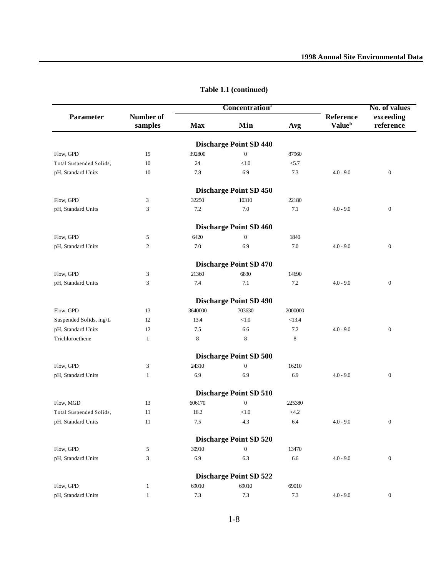|                         |                             |            | Concentration <sup>a</sup>    |         | No. of values                   |                        |
|-------------------------|-----------------------------|------------|-------------------------------|---------|---------------------------------|------------------------|
| Parameter               | <b>Number of</b><br>samples | <b>Max</b> | Min                           | Avg     | Reference<br>Value <sup>b</sup> | exceeding<br>reference |
|                         |                             |            | <b>Discharge Point SD 440</b> |         |                                 |                        |
| Flow, GPD               | 15                          | 392800     | $\mathbf{0}$                  | 87960   |                                 |                        |
| Total Suspended Solids, | 10                          | 24         | < 1.0                         | < 5.7   |                                 |                        |
| pH, Standard Units      | 10                          | 7.8        | 6.9                           | 7.3     | $4.0 - 9.0$                     | $\boldsymbol{0}$       |
|                         |                             |            | <b>Discharge Point SD 450</b> |         |                                 |                        |
| Flow, GPD               | 3                           | 32250      | 10310                         | 22180   |                                 |                        |
| pH, Standard Units      | 3                           | 7.2        | 7.0                           | 7.1     | $4.0 - 9.0$                     | $\boldsymbol{0}$       |
|                         |                             |            | <b>Discharge Point SD 460</b> |         |                                 |                        |
| Flow, GPD               | 5                           | 6420       | $\boldsymbol{0}$              | 1840    |                                 |                        |
| pH, Standard Units      | $\overline{2}$              | 7.0        | 6.9                           | 7.0     | $4.0 - 9.0$                     | $\boldsymbol{0}$       |
|                         |                             |            | <b>Discharge Point SD 470</b> |         |                                 |                        |
| Flow, GPD               | 3                           | 21360      | 6830                          | 14690   |                                 |                        |
| pH, Standard Units      | 3                           | 7.4        | 7.1                           | 7.2     | $4.0 - 9.0$                     | $\boldsymbol{0}$       |
|                         |                             |            | <b>Discharge Point SD 490</b> |         |                                 |                        |
| Flow, GPD               | 13                          | 3640000    | 703630                        | 2000000 |                                 |                        |
| Suspended Solids, mg/L  | 12                          | 13.4       | < 1.0                         | <13.4   |                                 |                        |
| pH, Standard Units      | 12                          | 7.5        | 6.6                           | 7.2     | $4.0 - 9.0$                     | $\boldsymbol{0}$       |
| Trichloroethene         | $\mathbf{1}$                | 8          | 8                             | 8       |                                 |                        |
|                         |                             |            | <b>Discharge Point SD 500</b> |         |                                 |                        |
| Flow, GPD               | 3                           | 24310      | $\boldsymbol{0}$              | 16210   |                                 |                        |
| pH, Standard Units      | $\mathbf{1}$                | 6.9        | 6.9                           | 6.9     | $4.0 - 9.0$                     | $\boldsymbol{0}$       |
|                         |                             |            | <b>Discharge Point SD 510</b> |         |                                 |                        |
| Flow, MGD               | 13                          | 606170     | $\mathbf{0}$                  | 225380  |                                 |                        |
| Total Suspended Solids, | 11                          | 16.2       | <1.0                          | <4.2    |                                 |                        |
| pH, Standard Units      | 11                          | 7.5        | 4.3                           | 6.4     | $4.0 - 9.0$                     | $\mathbf{0}$           |
|                         |                             |            | <b>Discharge Point SD 520</b> |         |                                 |                        |
| Flow, GPD               | 5                           | 30910      | $\mathbf{0}$                  | 13470   |                                 |                        |
| pH, Standard Units      | 3                           | 6.9        | 6.3                           | 6.6     | $4.0 - 9.0$                     | $\boldsymbol{0}$       |
|                         |                             |            | <b>Discharge Point SD 522</b> |         |                                 |                        |
| Flow, GPD               | $\mathbf{1}$                | 69010      | 69010                         | 69010   |                                 |                        |
| pH, Standard Units      | $\mathbf{1}$                | 7.3        | 7.3                           | 7.3     | $4.0 - 9.0$                     | $\boldsymbol{0}$       |

**Table 1.1 (continued)**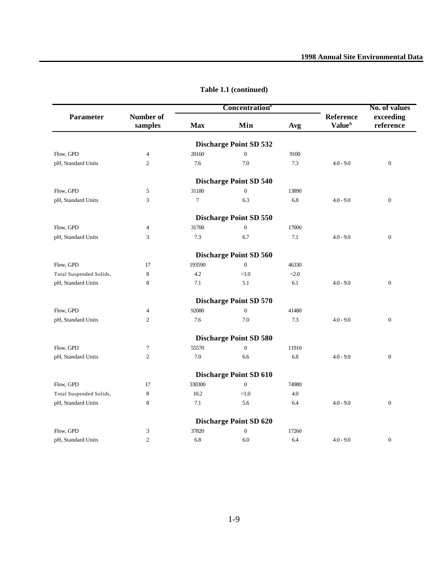|                         |                      | Concentration <sup>a</sup> |                               |            |                                 | No. of values          |
|-------------------------|----------------------|----------------------------|-------------------------------|------------|---------------------------------|------------------------|
| Parameter               | Number of<br>samples | <b>Max</b>                 | Min                           | Avg        | Reference<br>Value <sup>b</sup> | exceeding<br>reference |
|                         |                      |                            | <b>Discharge Point SD 532</b> |            |                                 |                        |
| Flow, GPD               | $\overline{4}$       | 20160                      | $\boldsymbol{0}$              | 9100       |                                 |                        |
| pH, Standard Units      | $\overline{c}$       | 7.6                        | 7.0                           | 7.3        | $4.0 - 9.0$                     | $\boldsymbol{0}$       |
|                         |                      |                            | <b>Discharge Point SD 540</b> |            |                                 |                        |
| Flow, GPD               | 5                    | 31180                      | $\mathbf{0}$                  | 13890      |                                 |                        |
| pH, Standard Units      | 3                    | $\overline{7}$             | 6.3                           | 6.8        | $4.0 - 9.0$                     | $\boldsymbol{0}$       |
|                         |                      |                            | <b>Discharge Point SD 550</b> |            |                                 |                        |
| Flow, GPD               | $\overline{4}$       | 31700                      | $\boldsymbol{0}$              | 17000      |                                 |                        |
| pH, Standard Units      | 3                    | 7.3                        | 6.7                           | 7.1        | $4.0 - 9.0$                     | $\boldsymbol{0}$       |
|                         |                      |                            | <b>Discharge Point SD 560</b> |            |                                 |                        |
| Flow, GPD               | 17                   | 193590                     | $\mathbf{0}$                  | 46330      |                                 |                        |
| Total Suspended Solids, | 8                    | 4.2                        | < 1.0                         | $\leq 2.0$ |                                 |                        |
| pH, Standard Units      | 8                    | 7.1                        | 5.1                           | 6.1        | $4.0 - 9.0$                     | $\boldsymbol{0}$       |
|                         |                      |                            | <b>Discharge Point SD 570</b> |            |                                 |                        |
| Flow, GPD               | 4                    | 92080                      | $\mathbf{0}$                  | 41480      |                                 |                        |
| pH, Standard Units      | $\overline{2}$       | 7.6                        | 7.0                           | 7.3        | $4.0 - 9.0$                     | $\boldsymbol{0}$       |
|                         |                      |                            | <b>Discharge Point SD 580</b> |            |                                 |                        |
| Flow, GPD               | $\tau$               | 55570                      | $\mathbf{0}$                  | 11910      |                                 |                        |
| pH, Standard Units      | $\overline{c}$       | 7.0                        | 6.6                           | 6.8        | $4.0 - 9.0$                     | $\boldsymbol{0}$       |
|                         |                      |                            | <b>Discharge Point SD 610</b> |            |                                 |                        |
| Flow, GPD               | 17                   | 330300                     | $\theta$                      | 74980      |                                 |                        |
| Total Suspended Solids, | 8                    | 10.2                       | $<1.0$                        | 4.0        |                                 |                        |
| pH, Standard Units      | 8                    | 7.1                        | 5.6                           | 6.4        | $4.0 - 9.0$                     | $\boldsymbol{0}$       |
|                         |                      |                            | <b>Discharge Point SD 620</b> |            |                                 |                        |
| Flow, GPD               | 3                    | 37820                      | $\boldsymbol{0}$              | 17260      |                                 |                        |
| pH, Standard Units      | $\overline{c}$       | 6.8                        | 6.0                           | 6.4        | $4.0 - 9.0$                     | $\boldsymbol{0}$       |

**Table 1.1 (continued)**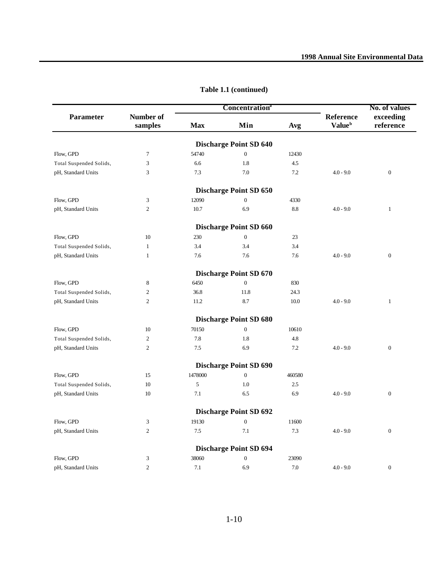|                         |                      | Concentration <sup>a</sup> |                               |        |                                 | No. of values          |
|-------------------------|----------------------|----------------------------|-------------------------------|--------|---------------------------------|------------------------|
| Parameter               | Number of<br>samples | <b>Max</b>                 | Min                           | Avg    | Reference<br>Value <sup>b</sup> | exceeding<br>reference |
|                         |                      |                            | <b>Discharge Point SD 640</b> |        |                                 |                        |
| Flow, GPD               | $\overline{7}$       | 54740                      | $\overline{0}$                | 12430  |                                 |                        |
| Total Suspended Solids, | 3                    | 6.6                        | 1.8                           | 4.5    |                                 |                        |
| pH, Standard Units      | 3                    | 7.3                        | 7.0                           | 7.2    | $4.0 - 9.0$                     | $\boldsymbol{0}$       |
|                         |                      |                            | <b>Discharge Point SD 650</b> |        |                                 |                        |
| Flow, GPD               | 3                    | 12090                      | $\boldsymbol{0}$              | 4330   |                                 |                        |
| pH, Standard Units      | $\overline{c}$       | 10.7                       | 6.9                           | 8.8    | $4.0 - 9.0$                     | $\mathbf{1}$           |
|                         |                      |                            | <b>Discharge Point SD 660</b> |        |                                 |                        |
| Flow, GPD               | 10                   | 230                        | $\mathbf{0}$                  | 23     |                                 |                        |
| Total Suspended Solids, | $\mathbf{1}$         | 3.4                        | 3.4                           | 3.4    |                                 |                        |
| pH, Standard Units      | $\mathbf{1}$         | 7.6                        | 7.6                           | 7.6    | $4.0 - 9.0$                     | $\boldsymbol{0}$       |
|                         |                      |                            | <b>Discharge Point SD 670</b> |        |                                 |                        |
| Flow, GPD               | 8                    | 6450                       | $\overline{0}$                | 830    |                                 |                        |
| Total Suspended Solids, | $\overline{c}$       | 36.8                       | 11.8                          | 24.3   |                                 |                        |
| pH, Standard Units      | $\overline{c}$       | 11.2                       | 8.7                           | 10.0   | $4.0 - 9.0$                     | $\mathbf{1}$           |
|                         |                      |                            | <b>Discharge Point SD 680</b> |        |                                 |                        |
| Flow, GPD               | 10                   | 70150                      | $\boldsymbol{0}$              | 10610  |                                 |                        |
| Total Suspended Solids, | $\overline{c}$       | 7.8                        | 1.8                           | 4.8    |                                 |                        |
| pH, Standard Units      | $\mathfrak{2}$       | 7.5                        | 6.9                           | 7.2    | $4.0 - 9.0$                     | $\boldsymbol{0}$       |
|                         |                      |                            | <b>Discharge Point SD 690</b> |        |                                 |                        |
| Flow, GPD               | 15                   | 1478000                    | $\boldsymbol{0}$              | 460580 |                                 |                        |
| Total Suspended Solids, | 10                   | 5                          | 1.0                           | 2.5    |                                 |                        |
| pH, Standard Units      | 10                   | 7.1                        | 6.5                           | 6.9    | $4.0 - 9.0$                     | $\boldsymbol{0}$       |
|                         |                      |                            | <b>Discharge Point SD 692</b> |        |                                 |                        |
| Flow, GPD               | 3                    | 19130                      | $\overline{0}$                | 11600  |                                 |                        |
| pH, Standard Units      | 2                    | 7.5                        | 7.1                           | 7.3    | $4.0 - 9.0$                     | $\boldsymbol{0}$       |
|                         |                      |                            | <b>Discharge Point SD 694</b> |        |                                 |                        |
| Flow, GPD               | 3                    | 38060                      | $\mathbf{0}$                  | 23090  |                                 |                        |
| pH, Standard Units      | $\overline{c}$       | 7.1                        | 6.9                           | 7.0    | $4.0 - 9.0$                     | $\boldsymbol{0}$       |

**Table 1.1 (continued)**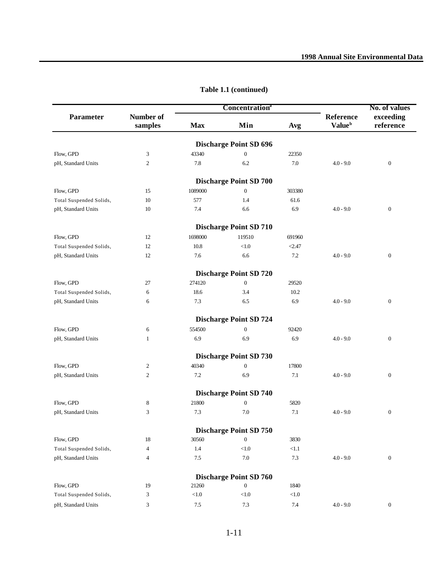|                         |                      | Concentration <sup>a</sup> |                               |            |                                 | No. of values          |
|-------------------------|----------------------|----------------------------|-------------------------------|------------|---------------------------------|------------------------|
| Parameter               | Number of<br>samples | <b>Max</b>                 | Min                           | Avg        | Reference<br>Value <sup>b</sup> | exceeding<br>reference |
|                         |                      |                            | <b>Discharge Point SD 696</b> |            |                                 |                        |
| Flow, GPD               | 3                    | 43340                      | $\mathbf{0}$                  | 22350      |                                 |                        |
| pH, Standard Units      | $\overline{c}$       | 7.8                        | 6.2                           | 7.0        | $4.0 - 9.0$                     | $\mathbf{0}$           |
|                         |                      |                            | <b>Discharge Point SD 700</b> |            |                                 |                        |
| Flow, GPD               | 15                   | 1089000                    | $\mathbf{0}$                  | 303380     |                                 |                        |
| Total Suspended Solids, | 10                   | 577                        | 1.4                           | 61.6       |                                 |                        |
| pH, Standard Units      | 10                   | 7.4                        | 6.6                           | 6.9        | $4.0 - 9.0$                     | $\boldsymbol{0}$       |
|                         |                      |                            | <b>Discharge Point SD 710</b> |            |                                 |                        |
| Flow, GPD               | 12                   | 1698000                    | 119510                        | 691960     |                                 |                        |
| Total Suspended Solids, | 12                   | 10.8                       | < 1.0                         | < 2.47     |                                 |                        |
| pH, Standard Units      | 12                   | 7.6                        | 6.6                           | 7.2        | $4.0 - 9.0$                     | $\boldsymbol{0}$       |
|                         |                      |                            | <b>Discharge Point SD 720</b> |            |                                 |                        |
| Flow, GPD               | 27                   | 274120                     | $\boldsymbol{0}$              | 29520      |                                 |                        |
| Total Suspended Solids, | 6                    | 18.6                       | 3.4                           | 10.2       |                                 |                        |
| pH, Standard Units      | 6                    | 7.3                        | 6.5                           | 6.9        | $4.0 - 9.0$                     | $\boldsymbol{0}$       |
|                         |                      |                            | <b>Discharge Point SD 724</b> |            |                                 |                        |
| Flow, GPD               | 6                    | 554500                     | $\boldsymbol{0}$              | 92420      |                                 |                        |
| pH, Standard Units      | $\mathbf{1}$         | 6.9                        | 6.9                           | 6.9        | $4.0 - 9.0$                     | $\boldsymbol{0}$       |
|                         |                      |                            | <b>Discharge Point SD 730</b> |            |                                 |                        |
| Flow, GPD               | 2                    | 40340                      | $\boldsymbol{0}$              | 17800      |                                 |                        |
| pH, Standard Units      | $\overline{c}$       | 7.2                        | 6.9                           | 7.1        | $4.0 - 9.0$                     | $\boldsymbol{0}$       |
|                         |                      |                            | <b>Discharge Point SD 740</b> |            |                                 |                        |
| Flow, GPD               | 8                    | 21800                      | $\boldsymbol{0}$              | 5820       |                                 |                        |
| pH, Standard Units      | 3                    | 7.3                        | 7.0                           | 7.1        | $4.0 - 9.0$                     | $\mathbf{0}$           |
|                         |                      |                            | <b>Discharge Point SD 750</b> |            |                                 |                        |
| Flow, GPD               | 18                   | 30560                      | $\overline{0}$                | 3830       |                                 |                        |
| Total Suspended Solids, | $\overline{4}$       | $1.4\,$                    | $<\!\!1.0$                    | <1.1       |                                 |                        |
| pH, Standard Units      | $\overline{4}$       | 7.5                        | 7.0                           | 7.3        | $4.0 - 9.0$                     | $\boldsymbol{0}$       |
|                         |                      |                            | <b>Discharge Point SD 760</b> |            |                                 |                        |
| Flow, GPD               | 19                   | 21260                      | $\mathbf{0}$                  | 1840       |                                 |                        |
| Total Suspended Solids, | 3                    | $<\!\!1.0$                 | $<\!\!1.0$                    | $<\!\!1.0$ |                                 |                        |
| pH, Standard Units      | 3                    | $7.5\,$                    | $7.3\,$                       | $7.4\,$    | $4.0 - 9.0$                     | $\boldsymbol{0}$       |

**Table 1.1 (continued)**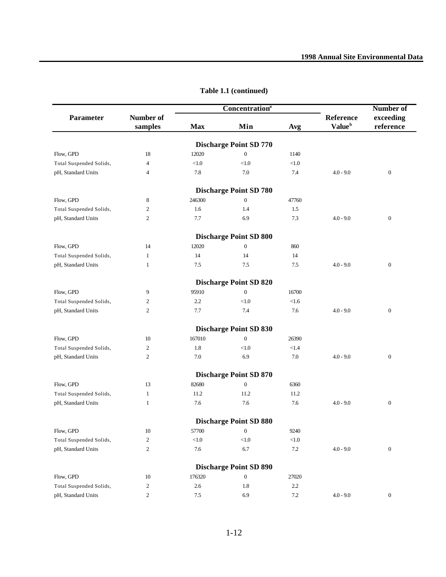|                         |                             | Concentration <sup>a</sup> |                               |            |                                 | Number of              |
|-------------------------|-----------------------------|----------------------------|-------------------------------|------------|---------------------------------|------------------------|
| Parameter               | <b>Number of</b><br>samples | <b>Max</b>                 | Min                           | Avg        | Reference<br>Value <sup>b</sup> | exceeding<br>reference |
|                         |                             |                            | <b>Discharge Point SD 770</b> |            |                                 |                        |
| Flow, GPD               | 18                          | 12020                      | $\boldsymbol{0}$              | 1140       |                                 |                        |
| Total Suspended Solids, | $\overline{4}$              | < 1.0                      | < 1.0                         | <1.0       |                                 |                        |
| pH, Standard Units      | 4                           | 7.8                        | 7.0                           | 7.4        | $4.0 - 9.0$                     | $\boldsymbol{0}$       |
|                         |                             |                            | <b>Discharge Point SD 780</b> |            |                                 |                        |
| Flow, GPD               | 8                           | 246300                     | $\mathbf{0}$                  | 47760      |                                 |                        |
| Total Suspended Solids, | $\overline{c}$              | 1.6                        | 1.4                           | 1.5        |                                 |                        |
| pH, Standard Units      | $\overline{c}$              | 7.7                        | 6.9                           | 7.3        | $4.0 - 9.0$                     | $\boldsymbol{0}$       |
|                         |                             |                            | <b>Discharge Point SD 800</b> |            |                                 |                        |
| Flow, GPD               | 14                          | 12020                      | $\boldsymbol{0}$              | 860        |                                 |                        |
| Total Suspended Solids, | $\mathbf{1}$                | 14                         | 14                            | 14         |                                 |                        |
| pH, Standard Units      | $\mathbf{1}$                | 7.5                        | 7.5                           | 7.5        | $4.0 - 9.0$                     | $\boldsymbol{0}$       |
|                         |                             |                            | <b>Discharge Point SD 820</b> |            |                                 |                        |
| Flow, GPD               | 9                           | 95910                      | $\boldsymbol{0}$              | 16700      |                                 |                        |
| Total Suspended Solids, | $\mathbf{2}$                | 2.2                        | < 1.0                         | <1.6       |                                 |                        |
| pH, Standard Units      | $\mathfrak{2}$              | 7.7                        | 7.4                           | 7.6        | $4.0 - 9.0$                     | $\boldsymbol{0}$       |
|                         |                             |                            | <b>Discharge Point SD 830</b> |            |                                 |                        |
| Flow, GPD               | 10                          | 167010                     | $\mathbf{0}$                  | 26390      |                                 |                        |
| Total Suspended Solids, | 2                           | 1.8                        | < 1.0                         | <1.4       |                                 |                        |
| pH, Standard Units      | $\overline{c}$              | 7.0                        | 6.9                           | 7.0        | $4.0 - 9.0$                     | $\boldsymbol{0}$       |
|                         |                             |                            | <b>Discharge Point SD 870</b> |            |                                 |                        |
| Flow, GPD               | 13                          | 82680                      | $\boldsymbol{0}$              | 6360       |                                 |                        |
| Total Suspended Solids, | $\mathbf{1}$                | 11.2                       | 11.2                          | 11.2       |                                 |                        |
| pH, Standard Units      | $\mathbf{1}$                | 7.6                        | 7.6                           | 7.6        | $4.0 - 9.0$                     | $\boldsymbol{0}$       |
|                         |                             |                            | <b>Discharge Point SD 880</b> |            |                                 |                        |
| Flow, GPD               | 10                          | 57700                      | $\boldsymbol{0}$              | 9240       |                                 |                        |
| Total Suspended Solids, | $\boldsymbol{2}$            | $<1.0$                     | $<\!\!1.0$                    | $<\!\!1.0$ |                                 |                        |
| pH, Standard Units      | $\mathfrak{2}$              | 7.6                        | 6.7                           | 7.2        | $4.0 - 9.0$                     | $\boldsymbol{0}$       |
|                         |                             |                            | <b>Discharge Point SD 890</b> |            |                                 |                        |
| Flow, GPD               | 10                          | 176320                     | $\boldsymbol{0}$              | 27020      |                                 |                        |
| Total Suspended Solids, | 2                           | $2.6\,$                    | 1.8                           | $2.2\,$    |                                 |                        |
| pH, Standard Units      | 2                           | $7.5\,$                    | 6.9                           | $7.2\,$    | $4.0 - 9.0$                     | $\boldsymbol{0}$       |

**Table 1.1 (continued)**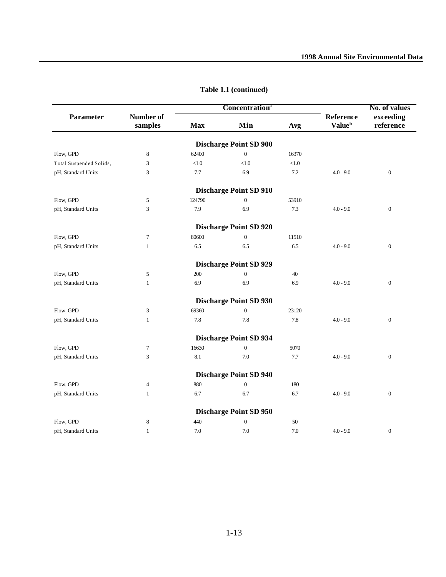|                         |                      |            | Concentration <sup>a</sup>    |       | No. of values                   |                        |
|-------------------------|----------------------|------------|-------------------------------|-------|---------------------------------|------------------------|
| Parameter               | Number of<br>samples | <b>Max</b> | Min                           | Avg   | Reference<br>Value <sup>b</sup> | exceeding<br>reference |
|                         |                      |            | <b>Discharge Point SD 900</b> |       |                                 |                        |
| Flow, GPD               | 8                    | 62400      | $\overline{0}$                | 16370 |                                 |                        |
| Total Suspended Solids, | 3                    | < 1.0      | < 1.0                         | <1.0  |                                 |                        |
| pH, Standard Units      | 3                    | 7.7        | 6.9                           | 7.2   | $4.0 - 9.0$                     | $\boldsymbol{0}$       |
|                         |                      |            | <b>Discharge Point SD 910</b> |       |                                 |                        |
| Flow, GPD               | 5                    | 124790     | $\boldsymbol{0}$              | 53910 |                                 |                        |
| pH, Standard Units      | 3                    | 7.9        | 6.9                           | 7.3   | $4.0 - 9.0$                     | $\mathbf{0}$           |
|                         |                      |            | <b>Discharge Point SD 920</b> |       |                                 |                        |
| Flow, GPD               | 7                    | 80600      | $\mathbf{0}$                  | 11510 |                                 |                        |
| pH, Standard Units      | $\mathbf{1}$         | 6.5        | 6.5                           | 6.5   | $4.0 - 9.0$                     | $\boldsymbol{0}$       |
|                         |                      |            | <b>Discharge Point SD 929</b> |       |                                 |                        |
| Flow, GPD               | 5                    | 200        | $\mathbf{0}$                  | 40    |                                 |                        |
| pH, Standard Units      | 1                    | 6.9        | 6.9                           | 6.9   | $4.0 - 9.0$                     | $\boldsymbol{0}$       |
|                         |                      |            | <b>Discharge Point SD 930</b> |       |                                 |                        |
| Flow, GPD               | 3                    | 69360      | $\theta$                      | 23120 |                                 |                        |
| pH, Standard Units      | 1                    | 7.8        | 7.8                           | 7.8   | $4.0 - 9.0$                     | $\boldsymbol{0}$       |
|                         |                      |            | <b>Discharge Point SD 934</b> |       |                                 |                        |
| Flow, GPD               | 7                    | 16630      | $\overline{0}$                | 5070  |                                 |                        |
| pH, Standard Units      | 3                    | 8.1        | 7.0                           | 7.7   | $4.0 - 9.0$                     | $\boldsymbol{0}$       |
|                         |                      |            | <b>Discharge Point SD 940</b> |       |                                 |                        |
| Flow, GPD               | $\overline{4}$       | 880        | $\mathbf{0}$                  | 180   |                                 |                        |
| pH, Standard Units      | $\mathbf{1}$         | 6.7        | 6.7                           | 6.7   | $4.0 - 9.0$                     | $\boldsymbol{0}$       |
|                         |                      |            | <b>Discharge Point SD 950</b> |       |                                 |                        |
| Flow, GPD               | 8                    | 440        | $\boldsymbol{0}$              | 50    |                                 |                        |
| pH, Standard Units      | $\mathbf{1}$         | 7.0        | 7.0                           | 7.0   | $4.0 - 9.0$                     | $\boldsymbol{0}$       |

**Table 1.1 (continued)**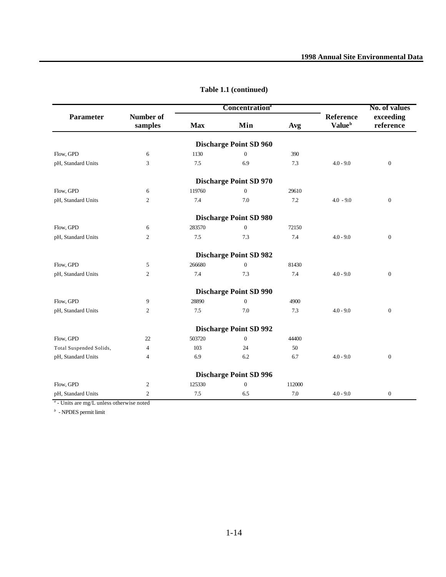|                         |                      | Concentration <sup>a</sup> |                               |        |                                 | No. of values          |
|-------------------------|----------------------|----------------------------|-------------------------------|--------|---------------------------------|------------------------|
| Parameter               | Number of<br>samples | <b>Max</b>                 | Min                           | Avg    | Reference<br>Value <sup>b</sup> | exceeding<br>reference |
|                         |                      |                            | <b>Discharge Point SD 960</b> |        |                                 |                        |
| Flow, GPD               | 6                    | 1130                       | $\Omega$                      | 390    |                                 |                        |
| pH, Standard Units      | 3                    | 7.5                        | 6.9                           | 7.3    | $4.0 - 9.0$                     | $\boldsymbol{0}$       |
|                         |                      |                            | <b>Discharge Point SD 970</b> |        |                                 |                        |
| Flow, GPD               | 6                    | 119760                     | $\mathbf{0}$                  | 29610  |                                 |                        |
| pH, Standard Units      | $\overline{c}$       | 7.4                        | 7.0                           | 7.2    | $4.0 - 9.0$                     | $\boldsymbol{0}$       |
|                         |                      |                            | <b>Discharge Point SD 980</b> |        |                                 |                        |
| Flow, GPD               | 6                    | 283570                     | $\Omega$                      | 72150  |                                 |                        |
| pH, Standard Units      | $\overline{c}$       | 7.5                        | 7.3                           | 7.4    | $4.0 - 9.0$                     | $\mathbf{0}$           |
|                         |                      |                            | <b>Discharge Point SD 982</b> |        |                                 |                        |
| Flow, GPD               | 5                    | 266680                     | $\boldsymbol{0}$              | 81430  |                                 |                        |
| pH, Standard Units      | $\overline{c}$       | 7.4                        | 7.3                           | 7.4    | $4.0 - 9.0$                     | $\boldsymbol{0}$       |
|                         |                      |                            | <b>Discharge Point SD 990</b> |        |                                 |                        |
| Flow, GPD               | $\overline{9}$       | 28890                      | $\mathbf{0}$                  | 4900   |                                 |                        |
| pH, Standard Units      | $\overline{c}$       | 7.5                        | 7.0                           | 7.3    | $4.0 - 9.0$                     | $\mathbf{0}$           |
|                         |                      |                            | <b>Discharge Point SD 992</b> |        |                                 |                        |
| Flow, GPD               | 22                   | 503720                     | $\boldsymbol{0}$              | 44400  |                                 |                        |
| Total Suspended Solids, | $\overline{4}$       | 103                        | 24                            | 50     |                                 |                        |
| pH, Standard Units      | 4                    | 6.9                        | 6.2                           | 6.7    | $4.0 - 9.0$                     | $\boldsymbol{0}$       |
|                         |                      |                            | <b>Discharge Point SD 996</b> |        |                                 |                        |
| Flow, GPD               | 2                    | 125330                     | $\mathbf{0}$                  | 112000 |                                 |                        |
| pH, Standard Units      | $\overline{c}$       | 7.5                        | 6.5                           | 7.0    | $4.0 - 9.0$                     | $\boldsymbol{0}$       |

**Table 1.1 (continued)**

*b* - NPDES permit limit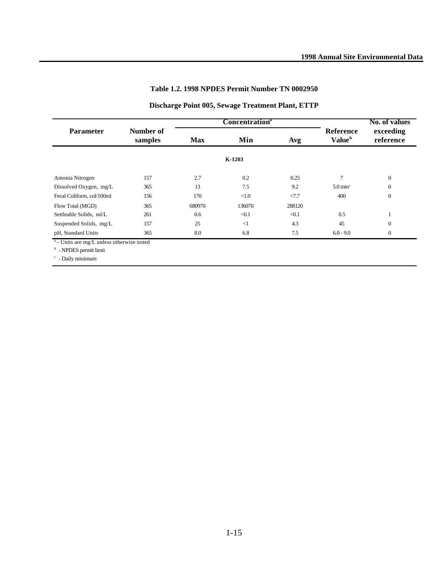### **Table 1.2. 1998 NPDES Permit Number TN 0002950**

# **Discharge Point 005, Sewage Treatment Plant, ETTP**

|                                             |                      |            | Concentration <sup>a</sup> |        |                                        | No. of values          |  |
|---------------------------------------------|----------------------|------------|----------------------------|--------|----------------------------------------|------------------------|--|
| <b>Parameter</b>                            | Number of<br>samples | <b>Max</b> | Min                        | Avg    | <b>Reference</b><br>Value <sup>b</sup> | exceeding<br>reference |  |
|                                             |                      |            | $K-1203$                   |        |                                        |                        |  |
| Amonia Nitrogen                             | 157                  | 2.7        | 0.2                        | 0.25   | 7                                      | $\mathbf{0}$           |  |
| Dissolved Oxygen, mg/L                      | 365                  | 13         | 7.5                        | 9.2    | $5.0 \text{ min}^{\circ}$              | $\overline{0}$         |  |
| Fecal Coliform, col/100ml                   | 156                  | 170        | <1.0                       | 27.7   | 400                                    | $\mathbf{0}$           |  |
| Flow Total (MGD)                            | 365                  | 680970     | 136070                     | 288120 |                                        |                        |  |
| Settleable Solids, ml/L                     | 261                  | 0.6        | < 0.1                      | < 0.1  | 0.5                                    |                        |  |
| Suspended Solids, mg/L                      | 157                  | 25         | $\leq$ 1                   | 4.3    | 45                                     | $\overline{0}$         |  |
| pH, Standard Units                          | 365                  | 8.0        | 6.8                        | 7.5    | $6.0 - 9.0$                            | $\overline{0}$         |  |
| $a$ - Units are mg/L unless otherwise noted |                      |            |                            |        |                                        |                        |  |

*b* - NPDES permit limit

*c* - Daily minimum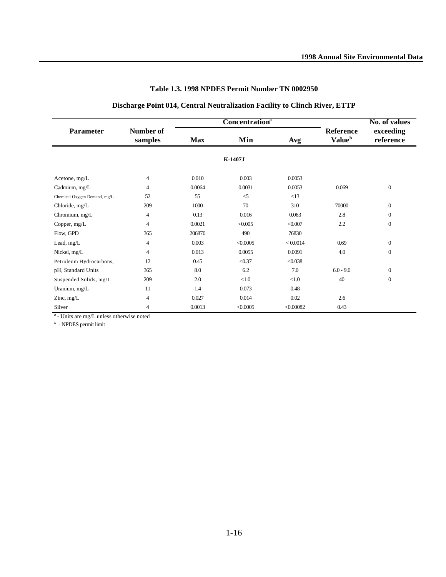|                              |                      |            | <b>Concentration</b> <sup>a</sup> |           |                                 | No. of values          |  |
|------------------------------|----------------------|------------|-----------------------------------|-----------|---------------------------------|------------------------|--|
| <b>Parameter</b>             | Number of<br>samples | <b>Max</b> | Min                               | Avg       | Reference<br>Value <sup>b</sup> | exceeding<br>reference |  |
|                              |                      |            | K-1407J                           |           |                                 |                        |  |
| Acetone, mg/L                | 4                    | 0.010      | 0.003                             | 0.0053    |                                 |                        |  |
| Cadmium, mg/L                | 4                    | 0.0064     | 0.0031                            | 0.0053    | 0.069                           | $\boldsymbol{0}$       |  |
| Chemical Oxygen Demand, mg/L | 52                   | 55         | $\leq$                            | <13       |                                 |                        |  |
| Chloride, mg/L               | 209                  | 1000       | 70                                | 310       | 70000                           | $\mathbf{0}$           |  |
| Chromium, mg/L               | $\overline{4}$       | 0.13       | 0.016                             | 0.063     | 2.8                             | $\overline{0}$         |  |
| Copper, mg/L                 | $\overline{4}$       | 0.0021     | < 0.005                           | < 0.007   | 2.2                             | $\overline{0}$         |  |
| Flow, GPD                    | 365                  | 206870     | 490                               | 76830     |                                 |                        |  |
| Lead, mg/L                   | $\overline{4}$       | 0.003      | < 0.0005                          | < 0.0014  | 0.69                            | $\mathbf{0}$           |  |
| Nickel, mg/L                 | 4                    | 0.013      | 0.0055                            | 0.0091    | 4.0                             | $\mathbf{0}$           |  |
| Petroleum Hydrocarbons,      | 12                   | 0.45       | < 0.37                            | < 0.038   |                                 |                        |  |
| pH, Standard Units           | 365                  | 8.0        | 6.2                               | 7.0       | $6.0 - 9.0$                     | $\mathbf{0}$           |  |
| Suspended Solids, mg/L       | 209                  | 2.0        | < 1.0                             | < 1.0     | 40                              | $\boldsymbol{0}$       |  |
| Uranium, mg/L                | 11                   | 1.4        | 0.073                             | 0.48      |                                 |                        |  |
| $\rm Zinc$ , mg/L            | $\overline{4}$       | 0.027      | 0.014                             | 0.02      | 2.6                             |                        |  |
| Silver                       | $\overline{4}$       | 0.0013     | < 0.0005                          | < 0.00082 | 0.43                            |                        |  |

## **Table 1.3. 1998 NPDES Permit Number TN 0002950**

### **Discharge Point 014, Central Neutralization Facility to Clinch River, ETTP**

*a* - Units are mg/L unless otherwise noted

*b* - NPDES permit limit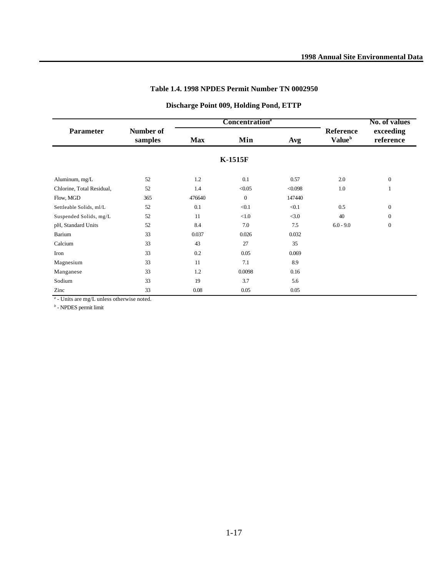|                           |                      |            | <b>Concentration</b> <sup>a</sup> |         |                                        | No. of values          |
|---------------------------|----------------------|------------|-----------------------------------|---------|----------------------------------------|------------------------|
| <b>Parameter</b>          | Number of<br>samples | <b>Max</b> | Min                               | Avg     | <b>Reference</b><br>Value <sup>b</sup> | exceeding<br>reference |
|                           |                      |            | <b>K-1515F</b>                    |         |                                        |                        |
| Aluminum, mg/L            | 52                   | 1.2        | 0.1                               | 0.57    | 2.0                                    | $\mathbf{0}$           |
| Chlorine, Total Residual, | 52                   | 1.4        | < 0.05                            | < 0.098 | 1.0                                    | 1                      |
| Flow, MGD                 | 365                  | 476640     | $\mathbf{0}$                      | 147440  |                                        |                        |
| Settleable Solids, ml/L   | 52                   | 0.1        | < 0.1                             | < 0.1   | 0.5                                    | $\mathbf{0}$           |
| Suspended Solids, mg/L    | 52                   | 11         | < 1.0                             | <3.0    | 40                                     | $\boldsymbol{0}$       |
| pH, Standard Units        | 52                   | 8.4        | 7.0                               | 7.5     | $6.0 - 9.0$                            | $\mathbf{0}$           |
| Barium                    | 33                   | 0.037      | 0.026                             | 0.032   |                                        |                        |
| Calcium                   | 33                   | 43         | 27                                | 35      |                                        |                        |
| Iron                      | 33                   | 0.2        | 0.05                              | 0.069   |                                        |                        |
| Magnesium                 | 33                   | 11         | 7.1                               | 8.9     |                                        |                        |
| Manganese                 | 33                   | 1.2        | 0.0098                            | 0.16    |                                        |                        |
| Sodium                    | 33                   | 19         | 3.7                               | 5.6     |                                        |                        |
| Zinc                      | 33                   | 0.08       | 0.05                              | 0.05    |                                        |                        |

# **Discharge Point 009, Holding Pond, ETTP**

*a* - Units are mg/L unless otherwise noted.

*b* - NPDES permit limit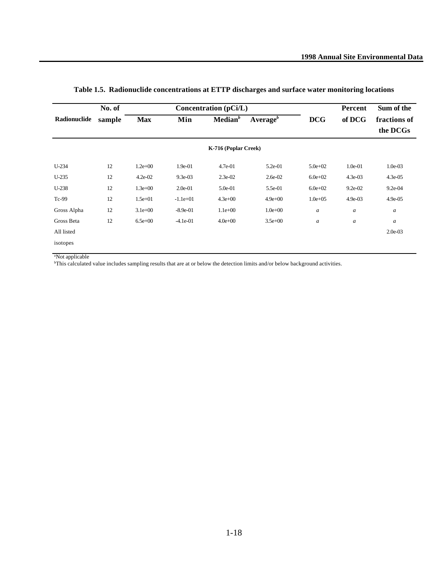|              | No. of |             |            | Concentration (pCi/L) |              |                  | Percent   | Sum of the               |
|--------------|--------|-------------|------------|-----------------------|--------------|------------------|-----------|--------------------------|
| Radionuclide | sample | <b>Max</b>  | Min        | Median <sup>b</sup>   | Average $^b$ | <b>DCG</b>       | of DCG    | fractions of<br>the DCGs |
|              |        |             |            | K-716 (Poplar Creek)  |              |                  |           |                          |
| $U-234$      | 12     | $1.2e + 00$ | 1.9e-01    | 4.7e-01               | 5.2e-01      | $5.0e + 02$      | $1.0e-01$ | $1.0e-03$                |
| $U-235$      | 12     | $4.2e-02$   | $9.3e-03$  | $2.3e-02$             | $2.6e-02$    | $6.0e + 02$      | 4.3e-03   | $4.3e-05$                |
| $U-238$      | 12     | $1.3e + 00$ | $2.0e-01$  | 5.0e-01               | 5.5e-01      | $6.0e+02$        | $9.2e-02$ | 9.2e-04                  |
| Tc-99        | 12     | $1.5e + 01$ | $-1.1e+01$ | $4.3e + 00$           | $4.9e + 00$  | $1.0e + 0.5$     | 4.9e-03   | 4.9e-05                  |
| Gross Alpha  | 12     | $3.1e+00$   | $-8.9e-01$ | $1.1e+00$             | $1.0e + 00$  | $\boldsymbol{a}$ | a         | $\boldsymbol{a}$         |
| Gross Beta   | 12     | $6.5e + 00$ | $-4.1e-01$ | $4.0e+00$             | $3.5e+00$    | $\boldsymbol{a}$ | a         | a                        |
| All listed   |        |             |            |                       |              |                  |           | $2.0e-03$                |
| isotopes     |        |             |            |                       |              |                  |           |                          |

### **Table 1.5. Radionuclide concentrations at ETTP discharges and surface water monitoring locations**

<sup>a</sup>Not applicable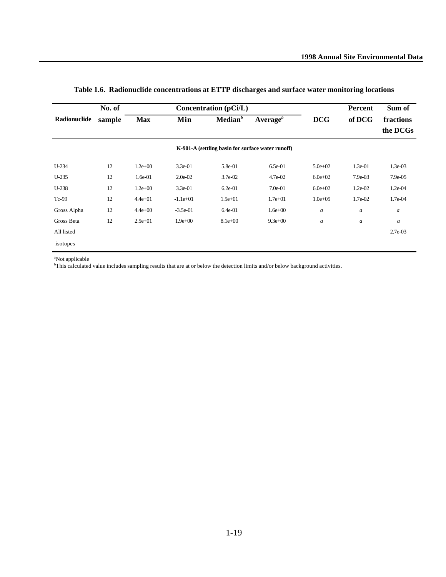|              | No. of |             |             | Concentration (pCi/L) |                                                   |                  | Percent          | Sum of<br>fractions<br>the DCGs |
|--------------|--------|-------------|-------------|-----------------------|---------------------------------------------------|------------------|------------------|---------------------------------|
| Radionuclide | sample | <b>Max</b>  | Min         | Median <sup>b</sup>   | Average <sup>b</sup>                              | <b>DCG</b>       | of DCG           |                                 |
|              |        |             |             |                       | K-901-A (settling basin for surface water runoff) |                  |                  |                                 |
| $U-234$      | 12     | $1.2e+00$   | 3.3e-01     | 5.8e-01               | 6.5e-01                                           | $5.0e + 02$      | 1.3e-01          | $1.3e-03$                       |
| $U-235$      | 12     | $1.6e-01$   | $2.0e-02$   | 3.7e-02               | 4.7e-02                                           | $6.0e + 02$      | 7.9e-03          | 7.9e-05                         |
| $U-238$      | 12     | $1.2e+00$   | 3.3e-01     | $6.2e-01$             | $7.0e-01$                                         | $6.0e + 02$      | $1.2e-02$        | 1.2e-04                         |
| $Tc-99$      | 12     | $4.4e + 01$ | $-1.1e+01$  | $1.5e + 01$           | $1.7e + 01$                                       | $1.0e + 0.5$     | 1.7e-02          | 1.7e-04                         |
| Gross Alpha  | 12     | $4.4e + 00$ | $-3.5e-01$  | 6.4e-01               | $1.6e + 00$                                       | a                | $\boldsymbol{a}$ | a                               |
| Gross Beta   | 12     | $2.5e+01$   | $1.9e + 00$ | $8.1e+00$             | $9.3e + 00$                                       | $\boldsymbol{a}$ | a                | a                               |
| All listed   |        |             |             |                       |                                                   |                  |                  | $2.7e-03$                       |
| isotopes     |        |             |             |                       |                                                   |                  |                  |                                 |

|  | Table 1.6. Radionuclide concentrations at ETTP discharges and surface water monitoring locations |  |  |  |
|--|--------------------------------------------------------------------------------------------------|--|--|--|
|  |                                                                                                  |  |  |  |

<sup>a</sup>Not applicable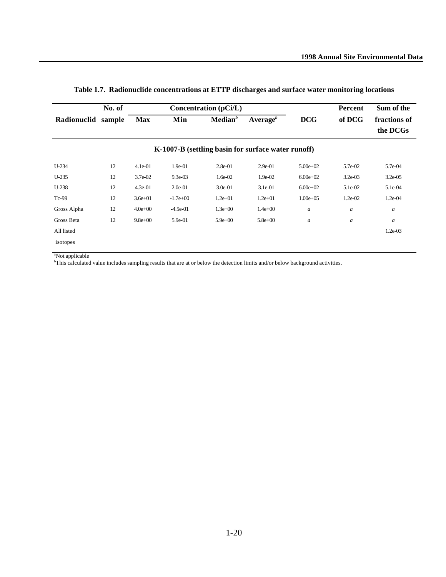|             | No. of |             |            | Concentration (pCi/L)                              |                      |                  | Percent          | Sum of the       |
|-------------|--------|-------------|------------|----------------------------------------------------|----------------------|------------------|------------------|------------------|
| Radionuclid | sample | <b>Max</b>  | Min        | Median <sup>b</sup>                                | Average <sup>b</sup> | <b>DCG</b>       | of DCG           | fractions of     |
|             |        |             |            |                                                    |                      |                  |                  | the DCGs         |
|             |        |             |            | K-1007-B (settling basin for surface water runoff) |                      |                  |                  |                  |
| $U-234$     | 12     | 4.1e-01     | 1.9e-01    | $2.8e-01$                                          | $2.9e-01$            | $5.00e + 02$     | 5.7e-02          | 5.7e-04          |
| $U-235$     | 12     | 3.7e-02     | 9.3e-03    | $1.6e-02$                                          | 1.9e-02              | $6.00e + 02$     | $3.2e-03$        | $3.2e-05$        |
| $U-238$     | 12     | $4.3e-01$   | $2.0e-01$  | $3.0e-01$                                          | 3.1e-01              | $6.00e + 02$     | 5.1e-02          | 5.1e-04          |
| $Tc-99$     | 12     | $3.6e + 01$ | $-1.7e+00$ | $1.2e+01$                                          | $1.2e+01$            | $1.00e + 0.5$    | 1.2e-02          | $1.2e-04$        |
| Gross Alpha | 12     | $4.0e + 00$ | $-4.5e-01$ | $1.3e+00$                                          | $1.4e+00$            | $\boldsymbol{a}$ | $\boldsymbol{a}$ | $\boldsymbol{a}$ |
| Gross Beta  | 12     | $9.8e + 00$ | 5.9e-01    | $5.9e+00$                                          | $5.8e + 00$          | a                | $\boldsymbol{a}$ | $\boldsymbol{a}$ |
| All listed  |        |             |            |                                                    |                      |                  |                  | $1.2e-03$        |
| isotopes    |        |             |            |                                                    |                      |                  |                  |                  |

### **Table 1.7. Radionuclide concentrations at ETTP discharges and surface water monitoring locations**

<sup>a</sup>Not applicable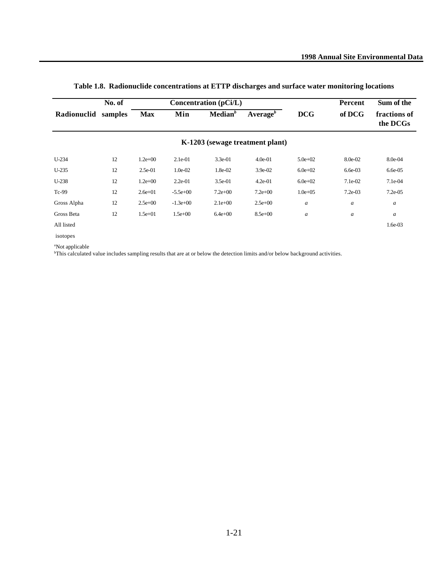|             | No. of  |             |            | Concentration (pCi/L) |                                 |                  | Percent          | Sum of the               |
|-------------|---------|-------------|------------|-----------------------|---------------------------------|------------------|------------------|--------------------------|
| Radionuclid | samples | <b>Max</b>  | Min        | Median <sup>b</sup>   | Average <sup>b</sup>            | <b>DCG</b>       | of DCG           | fractions of<br>the DCGs |
|             |         |             |            |                       | K-1203 (sewage treatment plant) |                  |                  |                          |
| $U-234$     | 12      | $1.2e+00$   | $2.1e-01$  | 3.3e-01               | $4.0e-01$                       | $5.0e + 02$      | 8.0e-02          | 8.0e-04                  |
| $U-235$     | 12      | $2.5e-01$   | $1.0e-02$  | 1.8e-02               | 3.9e-02                         | $6.0e + 02$      | 6.6e-03          | 6.6e-05                  |
| $U-238$     | 12      | $1.2e+00$   | $2.2e-01$  | $3.5e-01$             | $4.2e-01$                       | $6.0e + 02$      | $7.1e-02$        | 7.1e-04                  |
| $Tc-99$     | 12      | $2.6e + 01$ | $-5.5e+00$ | $7.2e+00$             | $7.2e+00$                       | $1.0e + 0.5$     | $7.2e-03$        | $7.2e-0.5$               |
| Gross Alpha | 12      | $2.5e+00$   | $-1.3e+00$ | $2.1e+00$             | $2.5e+00$                       | $\boldsymbol{a}$ | $\boldsymbol{a}$ | a                        |
| Gross Beta  | 12      | $1.5e + 01$ | $1.5e+00$  | $6.4e + 00$           | $8.5e+00$                       | a                | a                | a                        |
| All listed  |         |             |            |                       |                                 |                  |                  | 1.6e-03                  |

**Table 1.8. Radionuclide concentrations at ETTP discharges and surface water monitoring locations**

isotopes

<sup>a</sup>Not applicable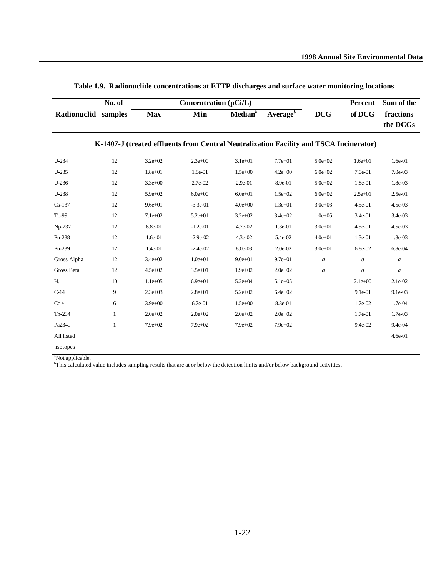|                    | No. of       |             | Concentration (pCi/L)                                                                  |                     |                      |                  | Percent          | Sum of the            |
|--------------------|--------------|-------------|----------------------------------------------------------------------------------------|---------------------|----------------------|------------------|------------------|-----------------------|
| Radionuclid        | samples      | <b>Max</b>  | Min                                                                                    | Median <sup>b</sup> | Average <sup>b</sup> | <b>DCG</b>       | of DCG           | fractions<br>the DCGs |
|                    |              |             | K-1407-J (treated effluents from Central Neutralization Facility and TSCA Incinerator) |                     |                      |                  |                  |                       |
| U-234              | 12           | $3.2e + 02$ | $2.3e+00$                                                                              | $3.1e + 01$         | $7.7e + 01$          | $5.0e + 02$      | $1.6e + 01$      | 1.6e-01               |
| $U-235$            | 12           | $1.8e + 01$ | 1.8e-01                                                                                | $1.5e+00$           | $4.2e + 00$          | $6.0e + 02$      | 7.0e-01          | 7.0e-03               |
| $U-236$            | 12           | $3.3e + 00$ | 2.7e-02                                                                                | 2.9e-01             | 8.9e-01              | $5.0e + 02$      | 1.8e-01          | 1.8e-03               |
| U-238              | 12           | $5.9e + 02$ | $6.0e + 00$                                                                            | $6.0e + 01$         | $1.5e+02$            | $6.0e + 02$      | $2.5e + 01$      | 2.5e-01               |
| $Cs-137$           | 12           | $9.6e + 01$ | $-3.3e-01$                                                                             | $4.0e+00$           | $1.3e + 01$          | $3.0e + 03$      | 4.5e-01          | 4.5e-03               |
| Tc-99              | 12           | $7.1e+02$   | $5.2e + 01$                                                                            | $3.2e + 02$         | $3.4e + 02$          | $1.0e + 0.5$     | 3.4e-01          | 3.4e-03               |
| Np-237             | 12           | 6.8e-01     | $-1.2e-01$                                                                             | 4.7e-02             | 1.3e-01              | $3.0e + 01$      | $4.5e-01$        | 4.5e-03               |
| Pu-238             | 12           | 1.6e-01     | $-2.9e-02$                                                                             | 4.3e-02             | 5.4e-02              | $4.0e + 01$      | 1.3e-01          | 1.3e-03               |
| Pu-239             | 12           | 1.4e-01     | $-2.4e-02$                                                                             | 8.0e-03             | 2.0e-02              | $3.0e + 01$      | 6.8e-02          | 6.8e-04               |
| Gross Alpha        | 12           | $3.4e + 02$ | $1.0e + 01$                                                                            | $9.0e + 01$         | $9.7e + 01$          | $\boldsymbol{a}$ | $\boldsymbol{a}$ | $\boldsymbol{a}$      |
| Gross Beta         | 12           | $4.5e+02$   | $3.5e + 01$                                                                            | $1.9e + 02$         | $2.0e+02$            | a                | $\boldsymbol{a}$ | $\boldsymbol{a}$      |
| $H_3$              | 10           | $1.1e+05$   | $6.9e + 01$                                                                            | $5.2e + 04$         | $5.1e + 0.5$         |                  | $2.1e+00$        | 2.1e-02               |
| $C-14$             | 9            | $2.3e+03$   | $2.8e + 01$                                                                            | $5.2e + 02$         | $6.4e + 02$          |                  | 9.1e-01          | 9.1e-03               |
| $Co-60$            | 6            | $3.9e + 00$ | 6.7e-01                                                                                | $1.5e+00$           | 8.3e-01              |                  | 1.7e-02          | 1.7e-04               |
| Th-234             | $\mathbf{1}$ | $2.0e+02$   | $2.0e+02$                                                                              | $2.0e+02$           | $2.0e+02$            |                  | 1.7e-01          | 1.7e-03               |
| Pa234 <sub>m</sub> | $\mathbf{1}$ | $7.9e + 02$ | $7.9e + 02$                                                                            | $7.9e + 02$         | $7.9e + 02$          |                  | 9.4e-02          | 9.4e-04               |
| All listed         |              |             |                                                                                        |                     |                      |                  |                  | 4.6e-01               |
| isotopes           |              |             |                                                                                        |                     |                      |                  |                  |                       |

**Table 1.9. Radionuclide concentrations at ETTP discharges and surface water monitoring locations**

<sup>a</sup>Not applicable.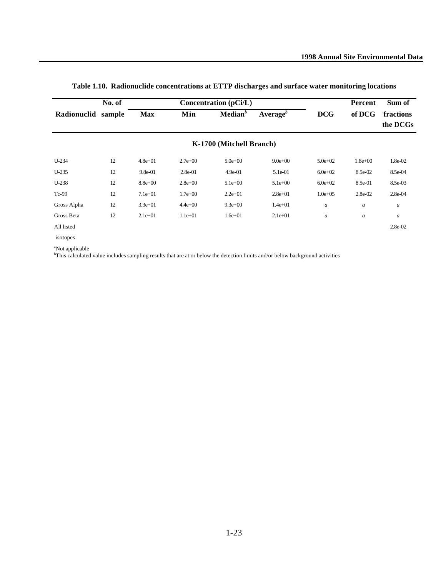|             | No. of |             |             | Concentration (pCi/L)    |                      |                  | Percent     | Sum of                |
|-------------|--------|-------------|-------------|--------------------------|----------------------|------------------|-------------|-----------------------|
| Radionuclid | sample | <b>Max</b>  | Min         | Median $^b$              | Average <sup>b</sup> | <b>DCG</b>       | of DCG      | fractions<br>the DCGs |
|             |        |             |             | K-1700 (Mitchell Branch) |                      |                  |             |                       |
| $U-234$     | 12     | $4.8e + 01$ | $2.7e+00$   | $5.0e + 00$              | $9.0e + 00$          | $5.0e + 02$      | $1.8e + 00$ | 1.8e-02               |
| $U-235$     | 12     | 9.8e-01     | $2.8e-01$   | $4.9e-01$                | 5.1e-01              | $6.0e + 02$      | 8.5e-02     | 8.5e-04               |
| $U-238$     | 12     | $8.8e + 00$ | $2.8e+00$   | $5.1e+00$                | $5.1e+00$            | $6.0e + 02$      | 8.5e-01     | 8.5e-03               |
| $Tc-99$     | 12     | $7.1e+01$   | $1.7e+00$   | $2.2e+01$                | $2.8e+01$            | $1.0e + 0.5$     | $2.8e-02$   | $2.8e-04$             |
| Gross Alpha | 12     | $3.3e + 01$ | $4.4e + 00$ | $9.3e + 00$              | $1.4e + 01$          | $\boldsymbol{a}$ | a           | a                     |
| Gross Beta  | 12     | $2.1e+01$   | $1.1e+01$   | $1.6e + 01$              | $2.1e+01$            | $\boldsymbol{a}$ | a           | a                     |
| All listed  |        |             |             |                          |                      |                  |             | $2.8e-02$             |

**Table 1.10. Radionuclide concentrations at ETTP discharges and surface water monitoring locations**

isotopes

<sup>a</sup>Not applicable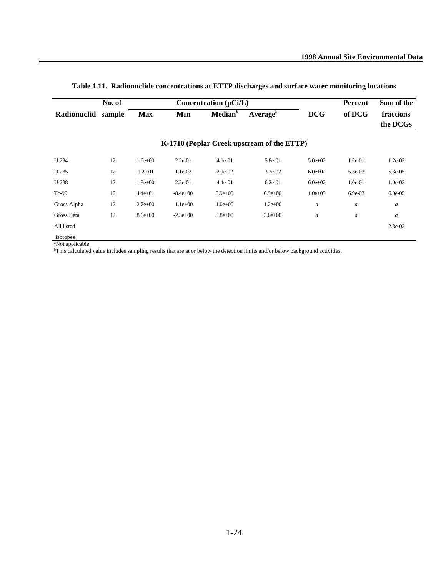|             | No. of |             |            | Concentration (pCi/L) |                                            |                  | Percent          | Sum of the            |  |
|-------------|--------|-------------|------------|-----------------------|--------------------------------------------|------------------|------------------|-----------------------|--|
| Radionuclid | sample | <b>Max</b>  | Min        | Median <sup>b</sup>   | $A$ verage $^b$                            | <b>DCG</b>       | of DCG           | fractions<br>the DCGs |  |
|             |        |             |            |                       | K-1710 (Poplar Creek upstream of the ETTP) |                  |                  |                       |  |
| $U-234$     | 12     | $1.6e + 00$ | $2.2e-01$  | 4.1e-01               | 5.8e-01                                    | $5.0e + 02$      | $1.2e-01$        | $1.2e-03$             |  |
| $U-235$     | 12     | $1.2e-01$   | 1.1e-02    | $2.1e-02$             | $3.2e-02$                                  | $6.0e + 02$      | 5.3e-03          | 5.3e-05               |  |
| $U-238$     | 12     | $1.8e + 00$ | $2.2e-01$  | 4.4e-01               | $6.2e-01$                                  | $6.0e + 02$      | $1.0e-01$        | $1.0e-03$             |  |
| $Tc-99$     | 12     | $4.4e + 01$ | $-8.4e+00$ | $5.9e + 00$           | $6.9e + 00$                                | $1.0e + 0.5$     | $6.9e-03$        | 6.9e-05               |  |
| Gross Alpha | 12     | $2.7e+00$   | $-1.1e+00$ | $1.0e+00$             | $1.2e+00$                                  | a                | a                | a                     |  |
| Gross Beta  | 12     | $8.6e + 00$ | $-2.3e+00$ | $3.8e + 00$           | $3.6e + 00$                                | $\boldsymbol{a}$ | $\boldsymbol{a}$ | a                     |  |
| All listed  |        |             |            |                       |                                            |                  |                  | $2.3e-03$             |  |
| isotopes    |        |             |            |                       |                                            |                  |                  |                       |  |

**Table 1.11. Radionuclide concentrations at ETTP discharges and surface water monitoring locations**

<sup>a</sup>Not applicable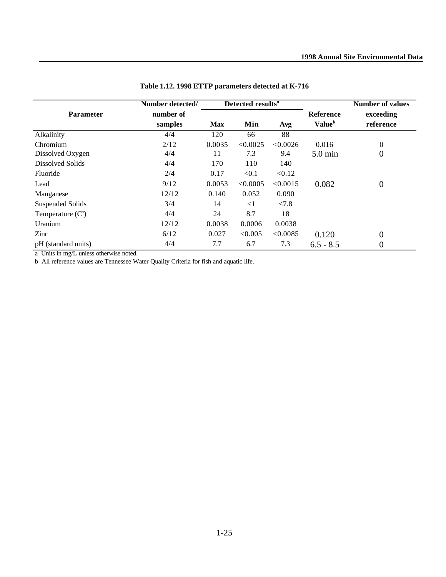|                         | Number detected/     |            | Detected results <sup>a</sup> |          |                                        | <b>Number of values</b> |
|-------------------------|----------------------|------------|-------------------------------|----------|----------------------------------------|-------------------------|
| <b>Parameter</b>        | number of<br>samples | <b>Max</b> | Min                           | Avg      | <b>Reference</b><br>Value <sup>b</sup> | exceeding<br>reference  |
| Alkalinity              | 4/4                  | 120        | 66                            | 88       |                                        |                         |
| Chromium                | 2/12                 | 0.0035     | < 0.0025                      | < 0.0026 | 0.016                                  | $\boldsymbol{0}$        |
| Dissolved Oxygen        | 4/4                  | 11         | 7.3                           | 9.4      | $5.0 \text{ min}$                      | $\boldsymbol{0}$        |
| Dissolved Solids        | 4/4                  | 170        | 110                           | 140      |                                        |                         |
| Fluoride                | 2/4                  | 0.17       | < 0.1                         | < 0.12   |                                        |                         |
| Lead                    | 9/12                 | 0.0053     | < 0.0005                      | < 0.0015 | 0.082                                  | $\boldsymbol{0}$        |
| Manganese               | 12/12                | 0.140      | 0.052                         | 0.090    |                                        |                         |
| <b>Suspended Solids</b> | 3/4                  | 14         | $\leq$ 1                      | < 7.8    |                                        |                         |
| Temperature $(C)$       | 4/4                  | 24         | 8.7                           | 18       |                                        |                         |
| Uranium                 | 12/12                | 0.0038     | 0.0006                        | 0.0038   |                                        |                         |
| Zinc                    | 6/12                 | 0.027      | < 0.005                       | < 0.0085 | 0.120                                  | $\overline{0}$          |
| pH (standard units)     | 4/4                  | 7.7        | 6.7                           | 7.3      | $6.5 - 8.5$                            | $\overline{0}$          |

**Table 1.12. 1998 ETTP parameters detected at K-716**

b All reference values are Tennessee Water Quality Criteria for fish and aquatic life.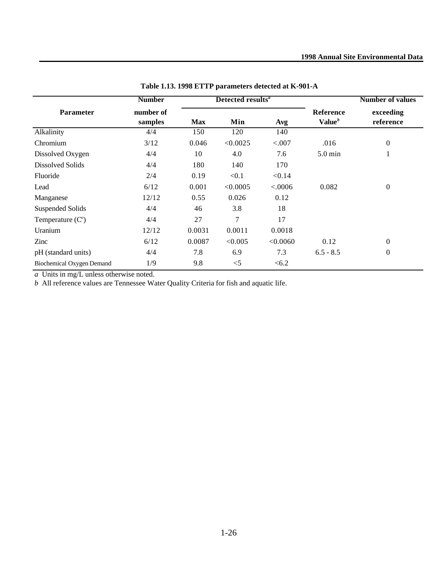|                                  | <b>Number</b>        |            | Detected results <sup>a</sup> |          |                                 | <b>Number of values</b> |
|----------------------------------|----------------------|------------|-------------------------------|----------|---------------------------------|-------------------------|
| <b>Parameter</b>                 | number of<br>samples | <b>Max</b> | Min                           | Avg      | Reference<br>Value <sup>b</sup> | exceeding<br>reference  |
| Alkalinity                       | 4/4                  | 150        | 120                           | 140      |                                 |                         |
| Chromium                         | 3/12                 | 0.046      | < 0.0025                      | < 0.007  | .016                            | $\boldsymbol{0}$        |
| Dissolved Oxygen                 | 4/4                  | 10         | 4.0                           | 7.6      | $5.0 \text{ min}$               | 1                       |
| Dissolved Solids                 | 4/4                  | 180        | 140                           | 170      |                                 |                         |
| Fluoride                         | 2/4                  | 0.19       | < 0.1                         | < 0.14   |                                 |                         |
| Lead                             | 6/12                 | 0.001      | < 0.0005                      | < 0.0006 | 0.082                           | $\boldsymbol{0}$        |
| Manganese                        | 12/12                | 0.55       | 0.026                         | 0.12     |                                 |                         |
| Suspended Solids                 | 4/4                  | 46         | 3.8                           | 18       |                                 |                         |
| Temperature $(C)$                | 4/4                  | 27         | 7                             | 17       |                                 |                         |
| Uranium                          | 12/12                | 0.0031     | 0.0011                        | 0.0018   |                                 |                         |
| Zinc                             | 6/12                 | 0.0087     | < 0.005                       | < 0.0060 | 0.12                            | $\boldsymbol{0}$        |
| pH (standard units)              | 4/4                  | 7.8        | 6.9                           | 7.3      | $6.5 - 8.5$                     | $\boldsymbol{0}$        |
| <b>Biochemical Oxygen Demand</b> | 1/9                  | 9.8        | $<$ 5                         | < 6.2    |                                 |                         |

**Table 1.13. 1998 ETTP parameters detected at K-901-A**

*b* All reference values are Tennessee Water Quality Criteria for fish and aquatic life.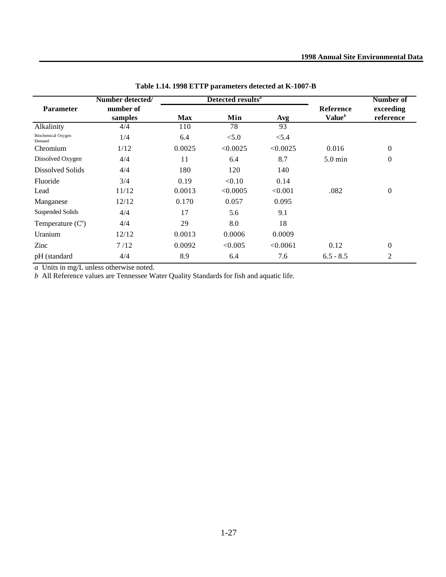|                              | Number detected/     |            | Detected results <sup>a</sup> |          | Number of                              |                        |
|------------------------------|----------------------|------------|-------------------------------|----------|----------------------------------------|------------------------|
| <b>Parameter</b>             | number of<br>samples | <b>Max</b> | Min                           | Avg      | <b>Reference</b><br>Value <sup>b</sup> | exceeding<br>reference |
| Alkalinity                   | 4/4                  | 110        | 78                            | 93       |                                        |                        |
| Biochemical Oxygen<br>Demand | 1/4                  | 6.4        | < 5.0                         | < 5.4    |                                        |                        |
| Chromium                     | 1/12                 | 0.0025     | < 0.0025                      | < 0.0025 | 0.016                                  | $\boldsymbol{0}$       |
| Dissolved Oxygen             | 4/4                  | 11         | 6.4                           | 8.7      | $5.0 \text{ min}$                      | $\boldsymbol{0}$       |
| Dissolved Solids             | 4/4                  | 180        | 120                           | 140      |                                        |                        |
| Fluoride                     | 3/4                  | 0.19       | < 0.10                        | 0.14     |                                        |                        |
| Lead                         | 11/12                | 0.0013     | < 0.0005                      | < 0.001  | .082                                   | $\boldsymbol{0}$       |
| Manganese                    | 12/12                | 0.170      | 0.057                         | 0.095    |                                        |                        |
| Suspended Solids             | 4/4                  | 17         | 5.6                           | 9.1      |                                        |                        |
| Temperature $(C)$            | 4/4                  | 29         | 8.0                           | 18       |                                        |                        |
| Uranium                      | 12/12                | 0.0013     | 0.0006                        | 0.0009   |                                        |                        |
| Zinc                         | 7/12                 | 0.0092     | < 0.005                       | < 0.0061 | 0.12                                   | $\mathbf{0}$           |
| pH (standard                 | 4/4                  | 8.9        | 6.4                           | 7.6      | $6.5 - 8.5$                            | $\overline{2}$         |

**Table 1.14. 1998 ETTP parameters detected at K-1007-B**

*b* All Reference values are Tennessee Water Quality Standards for fish and aquatic life.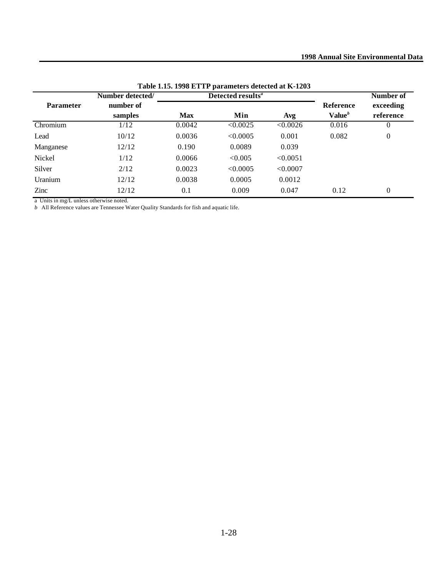| Table 1.15. 1998 ET IT parameters detected at K-1203 |                  |            |                               |          |                    |              |  |  |
|------------------------------------------------------|------------------|------------|-------------------------------|----------|--------------------|--------------|--|--|
|                                                      | Number detected/ |            | Detected results <sup>a</sup> |          | Number of          |              |  |  |
| <b>Parameter</b>                                     | number of        |            |                               |          | <b>Reference</b>   | exceeding    |  |  |
|                                                      | samples          | <b>Max</b> | Min                           | Avg      | Value <sup>b</sup> | reference    |  |  |
| Chromium                                             | 1/12             | 0.0042     | < 0.0025                      | < 0.0026 | 0.016              | $\theta$     |  |  |
| Lead                                                 | 10/12            | 0.0036     | < 0.0005                      | 0.001    | 0.082              | $\mathbf{0}$ |  |  |
| Manganese                                            | 12/12            | 0.190      | 0.0089                        | 0.039    |                    |              |  |  |
| Nickel                                               | 1/12             | 0.0066     | < 0.005                       | < 0.0051 |                    |              |  |  |
| Silver                                               | 2/12             | 0.0023     | < 0.0005                      | < 0.0007 |                    |              |  |  |
| Uranium                                              | 12/12            | 0.0038     | 0.0005                        | 0.0012   |                    |              |  |  |
| Zinc                                                 | 12/12            | 0.1        | 0.009                         | 0.047    | 0.12               | $\mathbf{0}$ |  |  |

**Table 1.15. 1998 ETTP parameters detected at K-1203**

*b* All Reference values are Tennessee Water Quality Standards for fish and aquatic life.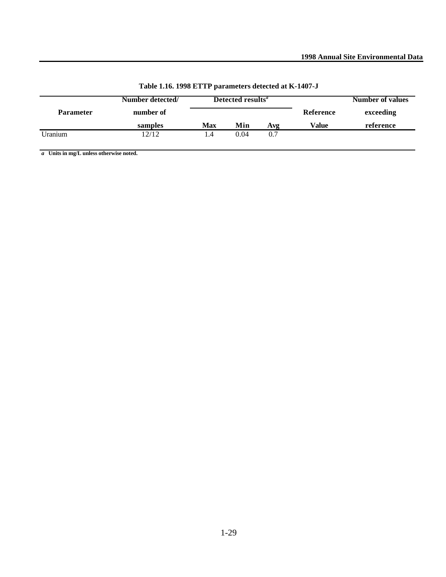|                  | Number detected/ | Detected results <sup>a</sup> |      |     |           | Number of values |  |
|------------------|------------------|-------------------------------|------|-----|-----------|------------------|--|
| <b>Parameter</b> | number of        |                               |      |     | Reference | exceeding        |  |
|                  | samples          | <b>Max</b>                    | Min  | Avg | Value     | reference        |  |
| Uranium          | 12/12            | 1.4                           | 0.04 | 0.7 |           |                  |  |

**Table 1.16. 1998 ETTP parameters detected at K-1407-J**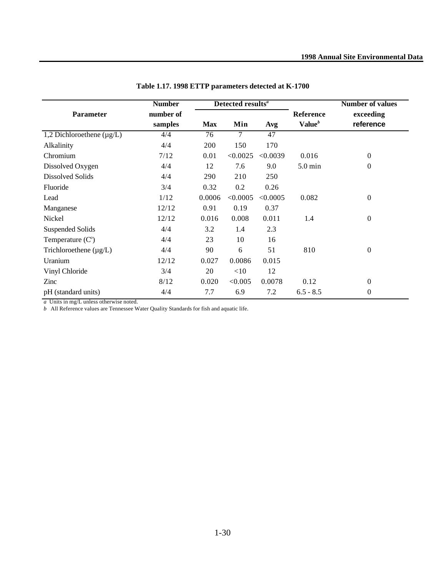|                                | <b>Number</b> | Detected results <sup>a</sup> |          |          |                    | <b>Number of values</b> |
|--------------------------------|---------------|-------------------------------|----------|----------|--------------------|-------------------------|
| <b>Parameter</b>               | number of     |                               |          |          | Reference          | exceeding               |
|                                | samples       | <b>Max</b>                    | Min      | Avg      | Value <sup>b</sup> | reference               |
| 1,2 Dichloroethene $(\mu g/L)$ | 4/4           | 76                            | 7        | 47       |                    |                         |
| Alkalinity                     | 4/4           | 200                           | 150      | 170      |                    |                         |
| Chromium                       | 7/12          | 0.01                          | < 0.0025 | < 0.0039 | 0.016              | $\boldsymbol{0}$        |
| Dissolved Oxygen               | 4/4           | 12                            | 7.6      | 9.0      | $5.0 \text{ min}$  | $\boldsymbol{0}$        |
| Dissolved Solids               | 4/4           | 290                           | 210      | 250      |                    |                         |
| Fluoride                       | 3/4           | 0.32                          | 0.2      | 0.26     |                    |                         |
| Lead                           | 1/12          | 0.0006                        | < 0.0005 | < 0.0005 | 0.082              | $\boldsymbol{0}$        |
| Manganese                      | 12/12         | 0.91                          | 0.19     | 0.37     |                    |                         |
| Nickel                         | 12/12         | 0.016                         | 0.008    | 0.011    | 1.4                | $\boldsymbol{0}$        |
| Suspended Solids               | 4/4           | 3.2                           | 1.4      | 2.3      |                    |                         |
| Temperature $(C)$              | 4/4           | 23                            | 10       | 16       |                    |                         |
| Trichloroethene $(\mu g/L)$    | 4/4           | 90                            | 6        | 51       | 810                | $\boldsymbol{0}$        |
| Uranium                        | 12/12         | 0.027                         | 0.0086   | 0.015    |                    |                         |
| Vinyl Chloride                 | 3/4           | 20                            | <10      | 12       |                    |                         |
| Zinc                           | 8/12          | 0.020                         | < 0.005  | 0.0078   | 0.12               | $\boldsymbol{0}$        |
| pH (standard units)            | 4/4           | 7.7                           | 6.9      | 7.2      | $6.5 - 8.5$        | $\mathbf{0}$            |

**Table 1.17. 1998 ETTP parameters detected at K-1700**

*b* All Reference values are Tennessee Water Quality Standards for fish and aquatic life.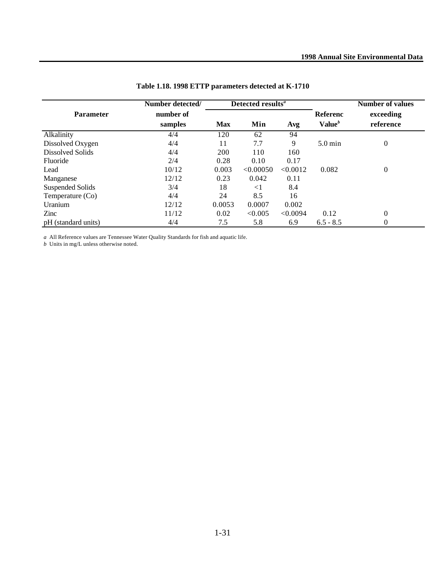|                         | Number detected/     |            | Detected results <sup>a</sup> |          |                                       | <b>Number of values</b> |
|-------------------------|----------------------|------------|-------------------------------|----------|---------------------------------------|-------------------------|
| <b>Parameter</b>        | number of<br>samples | <b>Max</b> | Min                           | Avg      | <b>Referenc</b><br>Value <sup>b</sup> | exceeding<br>reference  |
| Alkalinity              | 4/4                  | 120        | 62                            | 94       |                                       |                         |
| Dissolved Oxygen        | 4/4                  | 11         | 7.7                           | 9        | $5.0 \text{ min}$                     | $\overline{0}$          |
| Dissolved Solids        | 4/4                  | 200        | 110                           | 160      |                                       |                         |
| Fluoride                | 2/4                  | 0.28       | 0.10                          | 0.17     |                                       |                         |
| Lead                    | 10/12                | 0.003      | < 0.00050                     | < 0.0012 | 0.082                                 | $\overline{0}$          |
| Manganese               | 12/12                | 0.23       | 0.042                         | 0.11     |                                       |                         |
| <b>Suspended Solids</b> | 3/4                  | 18         | $<$ 1                         | 8.4      |                                       |                         |
| Temperature $(Co)$      | 4/4                  | 24         | 8.5                           | 16       |                                       |                         |
| Uranium                 | 12/12                | 0.0053     | 0.0007                        | 0.002    |                                       |                         |
| Zinc                    | 11/12                | 0.02       | < 0.005                       | < 0.0094 | 0.12                                  | $\Omega$                |
| pH (standard units)     | 4/4                  | 7.5        | 5.8                           | 6.9      | $6.5 - 8.5$                           | $\Omega$                |

# **Table 1.18. 1998 ETTP parameters detected at K-1710**

*a* All Reference values are Tennessee Water Quality Standards for fish and aquatic life.

*b* Units in mg/L unless otherwise noted.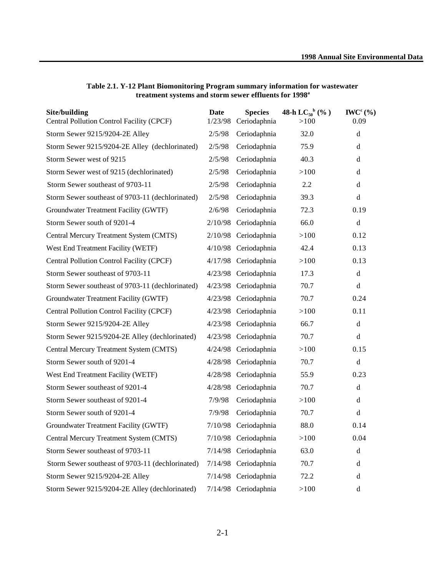| Site/building<br>Central Pollution Control Facility (CPCF) | <b>Date</b><br>1/23/98 | <b>Species</b><br>Ceriodaphnia | 48-h LC <sub>50</sub> <sup>b</sup> (%)<br>>100 | $\textbf{INC}^{\text{c}}(\%)$<br>0.09                                                                                                                                                                                                                                                                                                                                                                                                        |
|------------------------------------------------------------|------------------------|--------------------------------|------------------------------------------------|----------------------------------------------------------------------------------------------------------------------------------------------------------------------------------------------------------------------------------------------------------------------------------------------------------------------------------------------------------------------------------------------------------------------------------------------|
| Storm Sewer 9215/9204-2E Alley                             | 2/5/98                 | Ceriodaphnia                   | 32.0                                           | d                                                                                                                                                                                                                                                                                                                                                                                                                                            |
| Storm Sewer 9215/9204-2E Alley (dechlorinated)             | 2/5/98                 | Ceriodaphnia                   | 75.9                                           | $\mathbf d$                                                                                                                                                                                                                                                                                                                                                                                                                                  |
| Storm Sewer west of 9215                                   | 2/5/98                 | Ceriodaphnia                   | 40.3                                           | d                                                                                                                                                                                                                                                                                                                                                                                                                                            |
| Storm Sewer west of 9215 (dechlorinated)                   | 2/5/98                 | Ceriodaphnia                   | >100                                           | $\mathbf d$                                                                                                                                                                                                                                                                                                                                                                                                                                  |
| Storm Sewer southeast of 9703-11                           | 2/5/98                 | Ceriodaphnia                   | 2.2                                            | $\mathbf d$                                                                                                                                                                                                                                                                                                                                                                                                                                  |
| Storm Sewer southeast of 9703-11 (dechlorinated)           | 2/5/98                 | Ceriodaphnia                   | 39.3                                           | $\mathbf d$                                                                                                                                                                                                                                                                                                                                                                                                                                  |
| Groundwater Treatment Facility (GWTF)                      | 2/6/98                 | Ceriodaphnia                   | 72.3                                           | 0.19                                                                                                                                                                                                                                                                                                                                                                                                                                         |
| Storm Sewer south of 9201-4                                | 2/10/98                | Ceriodaphnia                   | 66.0                                           | $\mathbf d$                                                                                                                                                                                                                                                                                                                                                                                                                                  |
| Central Mercury Treatment System (CMTS)                    |                        | 2/10/98 Ceriodaphnia           | >100                                           | 0.12                                                                                                                                                                                                                                                                                                                                                                                                                                         |
| West End Treatment Facility (WETF)                         |                        | 4/10/98 Ceriodaphnia           | 42.4                                           | 0.13                                                                                                                                                                                                                                                                                                                                                                                                                                         |
| Central Pollution Control Facility (CPCF)                  |                        | 4/17/98 Ceriodaphnia           | >100                                           | 0.13                                                                                                                                                                                                                                                                                                                                                                                                                                         |
| Storm Sewer southeast of 9703-11                           |                        | 4/23/98 Ceriodaphnia           | 17.3                                           | $\mathbf d$                                                                                                                                                                                                                                                                                                                                                                                                                                  |
| Storm Sewer southeast of 9703-11 (dechlorinated)           |                        | 4/23/98 Ceriodaphnia           | 70.7                                           | $\mathbf d$                                                                                                                                                                                                                                                                                                                                                                                                                                  |
| Groundwater Treatment Facility (GWTF)                      |                        | 4/23/98 Ceriodaphnia           | 70.7                                           | 0.24                                                                                                                                                                                                                                                                                                                                                                                                                                         |
| Central Pollution Control Facility (CPCF)                  |                        | 4/23/98 Ceriodaphnia           | >100                                           | 0.11                                                                                                                                                                                                                                                                                                                                                                                                                                         |
| Storm Sewer 9215/9204-2E Alley                             |                        | 4/23/98 Ceriodaphnia           | 66.7                                           | $\mathbf d$                                                                                                                                                                                                                                                                                                                                                                                                                                  |
| Storm Sewer 9215/9204-2E Alley (dechlorinated)             |                        | 4/23/98 Ceriodaphnia           | 70.7                                           | $\mathbf d$                                                                                                                                                                                                                                                                                                                                                                                                                                  |
| Central Mercury Treatment System (CMTS)                    |                        | 4/24/98 Ceriodaphnia           | >100                                           | 0.15                                                                                                                                                                                                                                                                                                                                                                                                                                         |
| Storm Sewer south of 9201-4                                |                        | 4/28/98 Ceriodaphnia           | 70.7                                           | $\rm d$                                                                                                                                                                                                                                                                                                                                                                                                                                      |
| West End Treatment Facility (WETF)                         |                        | 4/28/98 Ceriodaphnia           | 55.9                                           | 0.23                                                                                                                                                                                                                                                                                                                                                                                                                                         |
| Storm Sewer southeast of 9201-4                            |                        | 4/28/98 Ceriodaphnia           | 70.7                                           | $\mathrm{d}% \left\  \mathbf{r}_{i}^{*}\right\  _{A_{i}}=\mathrm{d}\left\  \mathbf{r}_{i}^{*}\right\  _{A_{i}}=\mathrm{d}\left\  \mathbf{r}_{i}^{*}\right\  _{A_{i}}=\mathrm{d}\left\  \mathbf{r}_{i}^{*}\right\  _{A_{i}}=\mathrm{d}\left\  \mathbf{r}_{i}^{*}\right\  _{A_{i}}=\mathrm{d}\left\  \mathbf{r}_{i}^{*}\right\  _{A_{i}}=\mathrm{d}\left\  \mathbf{r}_{i}^{*}\right\  _{A_{i}}=\mathrm{d}\left\  \mathbf{r}_{i}^{*}\right\  _$ |
| Storm Sewer southeast of 9201-4                            | 7/9/98                 | Ceriodaphnia                   | >100                                           | $\mathbf d$                                                                                                                                                                                                                                                                                                                                                                                                                                  |
| Storm Sewer south of 9201-4                                | 7/9/98                 | Ceriodaphnia                   | 70.7                                           | $\mathbf d$                                                                                                                                                                                                                                                                                                                                                                                                                                  |
| Groundwater Treatment Facility (GWTF)                      |                        | 7/10/98 Ceriodaphnia           | 88.0                                           | 0.14                                                                                                                                                                                                                                                                                                                                                                                                                                         |
| Central Mercury Treatment System (CMTS)                    |                        | 7/10/98 Ceriodaphnia           | >100                                           | 0.04                                                                                                                                                                                                                                                                                                                                                                                                                                         |
| Storm Sewer southeast of 9703-11                           |                        | 7/14/98 Ceriodaphnia           | 63.0                                           | $\mathbf d$                                                                                                                                                                                                                                                                                                                                                                                                                                  |
| Storm Sewer southeast of 9703-11 (dechlorinated)           |                        | 7/14/98 Ceriodaphnia           | 70.7                                           | d                                                                                                                                                                                                                                                                                                                                                                                                                                            |
| Storm Sewer 9215/9204-2E Alley                             |                        | 7/14/98 Ceriodaphnia           | 72.2                                           | d                                                                                                                                                                                                                                                                                                                                                                                                                                            |
| Storm Sewer 9215/9204-2E Alley (dechlorinated)             |                        | 7/14/98 Ceriodaphnia           | >100                                           | $\mathbf d$                                                                                                                                                                                                                                                                                                                                                                                                                                  |

#### **Table 2.1. Y-12 Plant Biomonitoring Program summary information for wastewater treatment systems and storm sewer effluents for 1998<sup>a</sup>**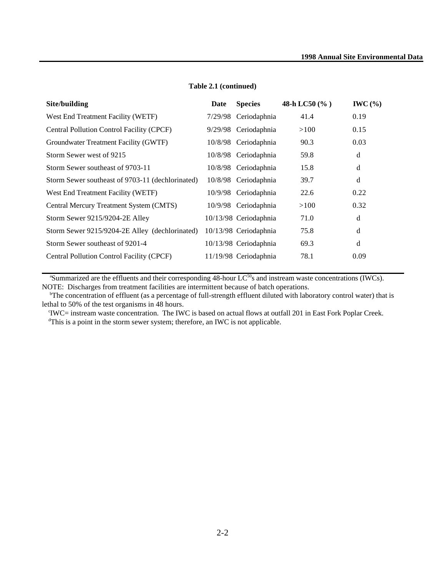| Site/building                                    | Date    | <b>Species</b>          | 48-h LC50 (%) | IWC $(\% )$ |
|--------------------------------------------------|---------|-------------------------|---------------|-------------|
| West End Treatment Facility (WETF)               | 7/29/98 | Ceriodaphnia            | 41.4          | 0.19        |
| Central Pollution Control Facility (CPCF)        |         | 9/29/98 Ceriodaphnia    | >100          | 0.15        |
| Groundwater Treatment Facility (GWTF)            | 10/8/98 | Ceriodaphnia            | 90.3          | 0.03        |
| Storm Sewer west of 9215                         |         | 10/8/98 Ceriodaphnia    | 59.8          | d           |
| Storm Sewer southeast of 9703-11                 |         | 10/8/98 Ceriodaphnia    | 15.8          | d           |
| Storm Sewer southeast of 9703-11 (dechlorinated) |         | 10/8/98 Ceriodaphnia    | 39.7          | d           |
| West End Treatment Facility (WETF)               |         | 10/9/98 Ceriodaphnia    | 22.6          | 0.22        |
| Central Mercury Treatment System (CMTS)          |         | 10/9/98 Ceriodaphnia    | >100          | 0.32        |
| Storm Sewer 9215/9204-2E Alley                   |         | 10/13/98 Ceriodaphnia   | 71.0          | d           |
| Storm Sewer 9215/9204-2E Alley (dechlorinated)   |         | $10/13/98$ Ceriodaphnia | 75.8          | d           |
| Storm Sewer southeast of 9201-4                  |         | 10/13/98 Ceriodaphnia   | 69.3          | d           |
| Central Pollution Control Facility (CPCF)        |         | 11/19/98 Ceriodaphnia   | 78.1          | 0.09        |

# **Table 2.1 (continued)**

<sup>a</sup>Summarized are the effluents and their corresponding 48-hour LC<sup>50</sup>s and instream waste concentrations (IWCs). NOTE: Discharges from treatment facilities are intermittent because of batch operations.

<sup>b</sup>The concentration of effluent (as a percentage of full-strength effluent diluted with laboratory control water) that is lethal to 50% of the test organisms in 48 hours.

<sup>c</sup>IWC= instream waste concentration. The IWC is based on actual flows at outfall 201 in East Fork Poplar Creek.

<sup>d</sup>This is a point in the storm sewer system; therefore, an IWC is not applicable.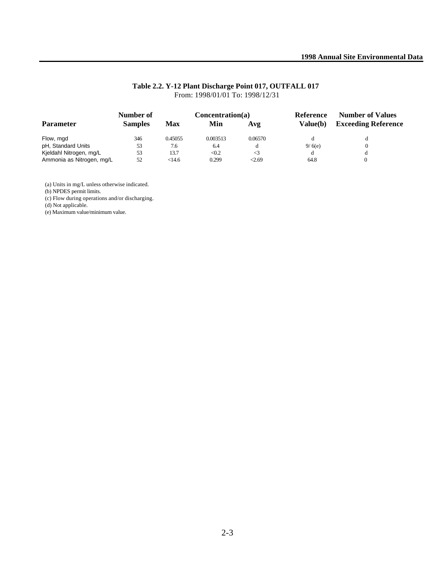| Number of      |          |          |                 | Reference        | <b>Number of Values</b>    |  |
|----------------|----------|----------|-----------------|------------------|----------------------------|--|
| <b>Samples</b> | Max      | Min      | Avg             | <b>Value(b)</b>  | <b>Exceeding Reference</b> |  |
| 346            | 0.45055  | 0.003513 | 0.06570         |                  |                            |  |
| 53             | 7.6      | 6.4      | d               | 9/6(e)           |                            |  |
| 53             | 13.7     | < 0.2    | $\triangleleft$ |                  |                            |  |
| 52             | $<$ 14.6 | 0.299    | $\leq 2.69$     | 64.8             |                            |  |
|                |          |          |                 | Concentration(a) |                            |  |

### **Table 2.2. Y-12 Plant Discharge Point 017, OUTFALL 017** From: 1998/01/01 To: 1998/12/31

(a) Units in mg/L unless otherwise indicated.

(b) NPDES permit limits.

(c) Flow during operations and/or discharging.

(d) Not applicable.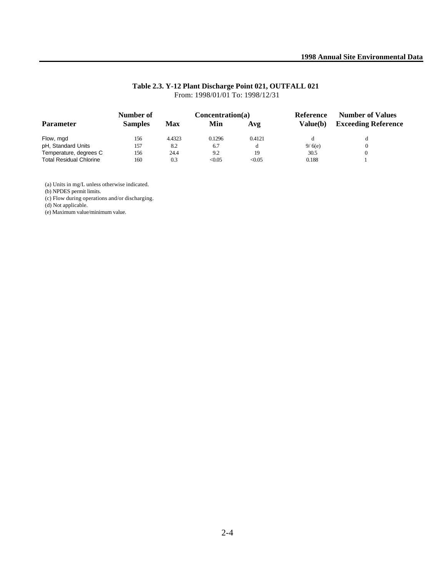|                                | Number of      |        | Concentration(a) |        | Reference | <b>Number of Values</b>    |  |
|--------------------------------|----------------|--------|------------------|--------|-----------|----------------------------|--|
| Parameter                      | <b>Samples</b> | Max    | Min              | Avg    | Value(b)  | <b>Exceeding Reference</b> |  |
| Flow, mgd                      | 156            | 4.4323 | 0.1296           | 0.4121 |           | đ                          |  |
| pH, Standard Units             | 157            | 8.2    | 6.7              | d      | 9/6(e)    |                            |  |
| Temperature, degrees C         | 156            | 24.4   | 9.2              | 19     | 30.5      |                            |  |
| <b>Total Residual Chlorine</b> | 160            | 0.3    | < 0.05           | < 0.05 | 0.188     |                            |  |

#### **Table 2.3. Y-12 Plant Discharge Point 021, OUTFALL 021** From: 1998/01/01 To: 1998/12/31

(a) Units in mg/L unless otherwise indicated.

(b) NPDES permit limits.

(c) Flow during operations and/or discharging.

(d) Not applicable.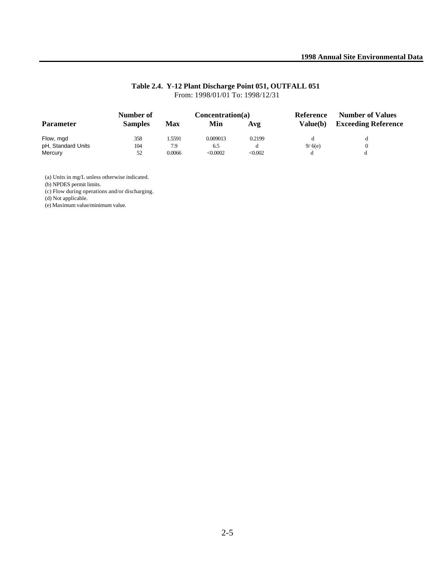|                    | Number of      |        | Concentration(a) |         | Reference | <b>Number of Values</b>    |  |
|--------------------|----------------|--------|------------------|---------|-----------|----------------------------|--|
| Parameter          | <b>Samples</b> | Max    | Min              | Avg     | Value(b)  | <b>Exceeding Reference</b> |  |
| Flow, mgd          | 358            | 1.5591 | 0.009013         | 0.2199  |           |                            |  |
| pH, Standard Units | 104            | 7.9    | 6.5              |         | 9/6(e)    |                            |  |
| Mercury            | 52             | 0.0066 | $<\!\!0.0002$    | < 0.002 |           |                            |  |

## **Table 2.4. Y-12 Plant Discharge Point 051, OUTFALL 051** From: 1998/01/01 To: 1998/12/31

(a) Units in mg/L unless otherwise indicated.

(b) NPDES permit limits.

(c) Flow during operations and/or discharging.

(d) Not applicable.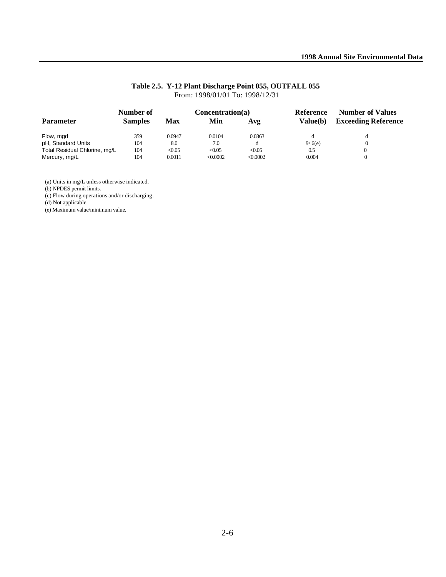#### **Table 2.5. Y-12 Plant Discharge Point 055, OUTFALL 055** From: 1998/01/01 To: 1998/12/31

|                               | Number of      |        | Concentration(a) |          | Reference        | <b>Number of Values</b>    |  |
|-------------------------------|----------------|--------|------------------|----------|------------------|----------------------------|--|
| <b>Parameter</b>              | <b>Samples</b> | Max    | Min              | Avg      | <b>Value</b> (b) | <b>Exceeding Reference</b> |  |
| Flow, mgd                     | 359            | 0.0947 | 0.0104           | 0.0363   |                  | đ                          |  |
| pH, Standard Units            | 104            | 8.0    | 7.0              |          | 9/6(e)           |                            |  |
| Total Residual Chlorine, mg/L | 104            | < 0.05 | < 0.05           | < 0.05   | 0.5              |                            |  |
| Mercury, mg/L                 | 104            | 0.0011 | $<\!\!0.0002$    | < 0.0002 | 0.004            |                            |  |

(a) Units in mg/L unless otherwise indicated.

(b) NPDES permit limits.

(c) Flow during operations and/or discharging.

(d) Not applicable.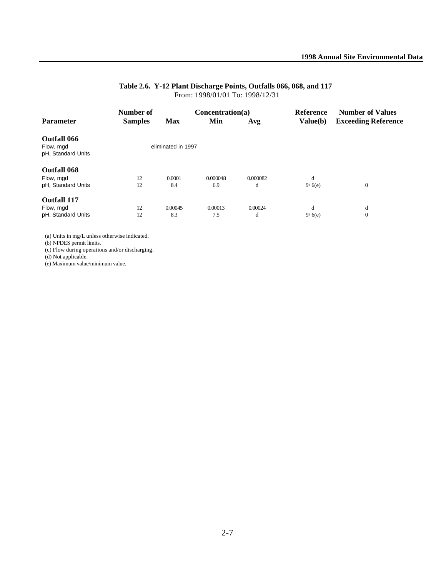|                                                       | Number of      |                    | Concentration(a) |          | <b>Reference</b> | <b>Number of Values</b>    |  |
|-------------------------------------------------------|----------------|--------------------|------------------|----------|------------------|----------------------------|--|
| Parameter                                             | <b>Samples</b> | <b>Max</b>         | Min              | Avg      | Value(b)         | <b>Exceeding Reference</b> |  |
| <b>Outfall 066</b><br>Flow, mgd<br>pH, Standard Units |                | eliminated in 1997 |                  |          |                  |                            |  |
| <b>Outfall 068</b>                                    |                |                    |                  |          |                  |                            |  |
| Flow, mgd                                             | 12             | 0.0001             | 0.000048         | 0.000082 | d                |                            |  |
| pH, Standard Units                                    | 12             | 8.4                | 6.9              | d        | 9/6(e)           | $\mathbf{0}$               |  |
| Outfall 117                                           |                |                    |                  |          |                  |                            |  |
| Flow, mgd                                             | 12             | 0.00045            | 0.00013          | 0.00024  | d                | d                          |  |
| pH, Standard Units                                    | 12             | 8.3                | 7.5              | d        | 9/6(e)           | $\mathbf{0}$               |  |
|                                                       |                |                    |                  |          |                  |                            |  |

# **Table 2.6. Y-12 Plant Discharge Points, Outfalls 066, 068, and 117** From: 1998/01/01 To: 1998/12/31

(a) Units in mg/L unless otherwise indicated.

(b) NPDES permit limits.

(c) Flow during operations and/or discharging.

(d) Not applicable.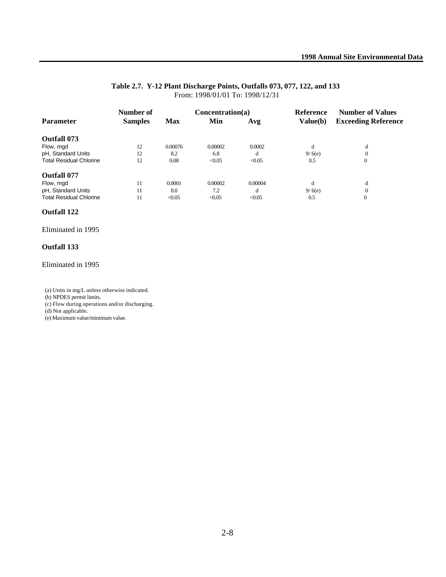|                                | Number of      |            | Concentration(a) |         | Reference | <b>Number of Values</b><br><b>Exceeding Reference</b> |  |
|--------------------------------|----------------|------------|------------------|---------|-----------|-------------------------------------------------------|--|
| <b>Parameter</b>               | <b>Samples</b> | <b>Max</b> | Min              | Avg     | Value(b)  |                                                       |  |
| Outfall 073                    |                |            |                  |         |           |                                                       |  |
| Flow, mgd                      | 12             | 0.00076    | 0.00002          | 0.0002  | d         | d                                                     |  |
| pH, Standard Units             | 12             | 8.2        | 6.8              | d       | 9/6(e)    | 0                                                     |  |
| <b>Total Residual Chlorine</b> | 12             | 0.08       | < 0.05           | < 0.05  | 0.5       | 0                                                     |  |
| <b>Outfall 077</b>             |                |            |                  |         |           |                                                       |  |
| Flow, mgd                      | 11             | 0.0001     | 0.00002          | 0.00004 | d         | d                                                     |  |
| pH, Standard Units             | 11             | 8.0        | 7.2              | d       | 9/6(e)    | $\Omega$                                              |  |
| <b>Total Residual Chlorine</b> | 11             | < 0.05     | < 0.05           | < 0.05  | 0.5       | $\Omega$                                              |  |

# **Table 2.7. Y-12 Plant Discharge Points, Outfalls 073, 077, 122, and 133** From: 1998/01/01 To: 1998/12/31

#### **Outfall 122**

Eliminated in 1995

### **Outfall 133**

# Eliminated in 1995

(a) Units in mg/L unless otherwise indicated.

(b) NPDES permit limits.

(c) Flow during operations and/or discharging.

(d) Not applicable.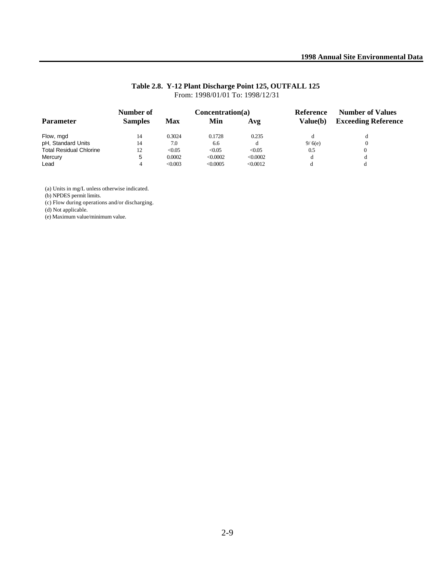|                         | Number of      |        | Concentration(a) |          | Reference       | <b>Number of Values</b>    |  |
|-------------------------|----------------|--------|------------------|----------|-----------------|----------------------------|--|
| Parameter               | <b>Samples</b> | Max    | Min              | Avg      | <b>Value(b)</b> | <b>Exceeding Reference</b> |  |
| Flow, mgd               | 14             | 0.3024 | 0.1728           | 0.235    |                 |                            |  |
| pH, Standard Units      | 14             | 7.0    | 6.6              | đ        | 9/6(e)          |                            |  |
| Total Residual Chlorine | 12             | < 0.05 | < 0.05           | < 0.05   | 0.5             |                            |  |
| Mercury                 | 5              | 0.0002 | < 0.0002         | < 0.0002 |                 |                            |  |
| Lead                    |                | &0.003 | < 0.0005         | < 0.0012 |                 |                            |  |

## **Table 2.8. Y-12 Plant Discharge Point 125, OUTFALL 125** From: 1998/01/01 To: 1998/12/31

(a) Units in mg/L unless otherwise indicated.

(b) NPDES permit limits.

(c) Flow during operations and/or discharging.

(d) Not applicable.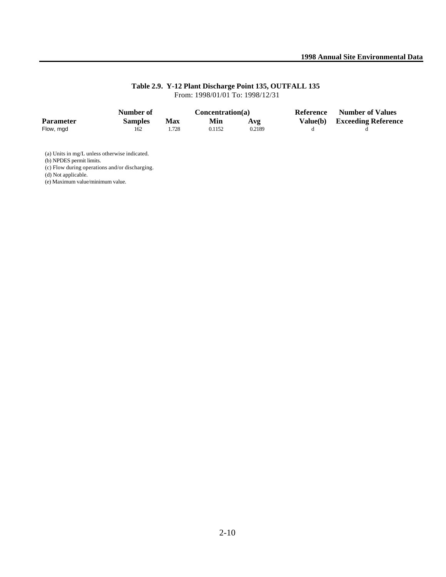## **Table 2.9. Y-12 Plant Discharge Point 135, OUTFALL 135** From: 1998/01/01 To: 1998/12/31

|           | Number of      |       | Concentration(a) |        | Reference       | <b>Number of Values</b>    |  |
|-----------|----------------|-------|------------------|--------|-----------------|----------------------------|--|
| Parameter | <b>Samples</b> | Max   | Min              | Avg    | <b>Value(b)</b> | <b>Exceeding Reference</b> |  |
| Flow, mgd | 162            | . 728 | 0.1152           | 0.2189 |                 |                            |  |

(a) Units in mg/L unless otherwise indicated. (b) NPDES permit limits. (c) Flow during operations and/or discharging. (d) Not applicable. (e) Maximum value/minimum value.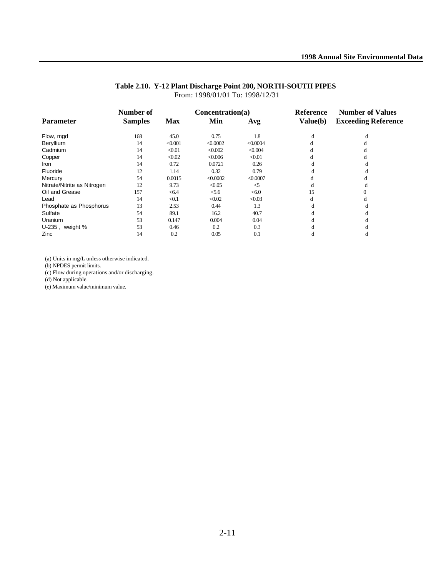|                             | Number of      |            | Concentration(a) |          | <b>Reference</b> | <b>Number of Values</b>    |  |
|-----------------------------|----------------|------------|------------------|----------|------------------|----------------------------|--|
| Parameter                   | <b>Samples</b> | <b>Max</b> | Min              | Avg      | Value(b)         | <b>Exceeding Reference</b> |  |
| Flow, mgd                   | 168            | 45.0       | 0.75             | 1.8      |                  |                            |  |
| Beryllium                   | 14             | < 0.001    | < 0.0002         | < 0.0004 |                  |                            |  |
| Cadmium                     | 14             | < 0.01     | < 0.002          | < 0.004  |                  |                            |  |
| Copper                      | 14             | < 0.02     | < 0.006          | < 0.01   |                  |                            |  |
| Iron                        | 14             | 0.72       | 0.0721           | 0.26     |                  |                            |  |
| Fluoride                    | 12             | 1.14       | 0.32             | 0.79     |                  |                            |  |
| Mercury                     | 54             | 0.0015     | < 0.0002         | < 0.0007 |                  |                            |  |
| Nitrate/Nitrite as Nitrogen | 12             | 9.73       | < 0.05           | $<$ 5    |                  |                            |  |
| Oil and Grease              | 157            | < 6.4      | < 5.6            | < 6.0    |                  |                            |  |
| Lead                        | 14             | < 0.1      | < 0.02           | < 0.03   |                  |                            |  |
| Phosphate as Phosphorus     | 13             | 2.53       | 0.44             | 1.3      |                  |                            |  |
| Sulfate                     | 54             | 89.1       | 16.2             | 40.7     |                  |                            |  |
| Uranium                     | 53             | 0.147      | 0.004            | 0.04     |                  |                            |  |
| U-235, weight %             | 53             | 0.46       | 0.2              | 0.3      |                  |                            |  |
| Zinc                        | 14             | 0.2        | 0.05             | 0.1      |                  |                            |  |

### **Table 2.10. Y-12 Plant Discharge Point 200, NORTH-SOUTH PIPES** From: 1998/01/01 To: 1998/12/31

(a) Units in mg/L unless otherwise indicated.

(b) NPDES permit limits.

(c) Flow during operations and/or discharging.

(d) Not applicable.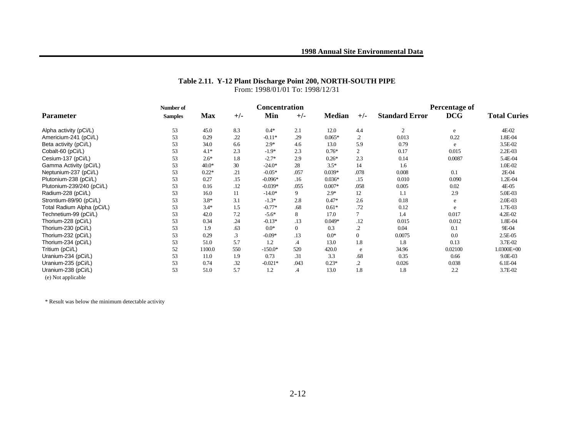|                            | Number of      | <b>Concentration</b> |       |           |               |               | Percentage of  |                       |            |                     |
|----------------------------|----------------|----------------------|-------|-----------|---------------|---------------|----------------|-----------------------|------------|---------------------|
| Parameter                  | <b>Samples</b> | <b>Max</b>           | $+/-$ | Min       | $+/-$         | <b>Median</b> | $+/-$          | <b>Standard Error</b> | <b>DCG</b> | <b>Total Curies</b> |
| Alpha activity (pCi/L)     | 53             | 45.0                 | 8.3   | $0.4*$    | 2.1           | 12.0          | 4.4            | $\overline{c}$        | e          | 4E-02               |
| Americium-241 (pCi/L)      | 53             | 0.29                 | .22   | $-0.11*$  | .29           | $0.065*$      | .2             | 0.013                 | 0.22       | 1.8E-04             |
| Beta activity (pCi/L)      | 53             | 34.0                 | 6.6   | $2.9*$    | 4.6           | 13.0          | 5.9            | 0.79                  | e          | 3.5E-02             |
| Cobalt-60 (pCi/L)          | 53             | $4.1*$               | 2.3   | $-1.9*$   | 2.3           | $0.76*$       | $\overline{c}$ | 0.17                  | 0.015      | $2.2E-03$           |
| Cesium-137 (pCi/L)         | 53             | $2.6*$               | 1.8   | $-2.7*$   | 2.9           | $0.26*$       | 2.3            | 0.14                  | 0.0087     | 5.4E-04             |
| Gamma Activity (pCi/L)     | 53             | $40.0*$              | 30    | $-24.0*$  | 28            | $3.5*$        | 14             | 1.6                   |            | 1.0E-02             |
| Neptunium-237 (pCi/L)      | 53             | $0.22*$              | .21   | $-0.05*$  | .057          | $0.039*$      | .078           | 0.008                 | 0.1        | 2E-04               |
| Plutonium-238 (pCi/L)      | 53             | 0.27                 | .15   | $-0.096*$ | .16           | $0.036*$      | .15            | 0.010                 | 0.090      | 1.2E-04             |
| Plutonium-239/240 (pCi/L)  | 53             | 0.16                 | .12   | $-0.039*$ | .055          | $0.007*$      | .058           | 0.005                 | 0.02       | 4E-05               |
| Radium-228 (pCi/L)         | 53             | 16.0                 | 11    | $-14.0*$  | 9             | $2.9*$        | 12             | 1.1                   | 2.9        | 5.0E-03             |
| Strontium-89/90 (pCi/L)    | 53             | $3.8*$               | 3.1   | $-1.3*$   | 2.8           | $0.47*$       | 2.6            | 0.18                  | e          | 2.0E-03             |
| Total Radium Alpha (pCi/L) | 53             | $3.4*$               | 1.5   | $-0.77*$  | .68           | $0.61*$       | .72            | 0.12                  | e          | 1.7E-03             |
| Technetium-99 (pCi/L)      | 53             | 42.0                 | 7.2   | $-5.6*$   | 8             | 17.0          |                | 1.4                   | 0.017      | 4.2E-02             |
| Thorium-228 (pCi/L)        | 53             | 0.34                 | .24   | $-0.13*$  | .13           | $0.049*$      | .12            | 0.015                 | 0.012      | 1.8E-04             |
| Thorium-230 (pCi/L)        | 53             | 1.9                  | .63   | $0.0*$    | 0             | 0.3           | $\cdot$        | 0.04                  | 0.1        | 9E-04               |
| Thorium-232 (pCi/L)        | 53             | 0.29                 | .3    | $-0.09*$  | .13           | $0.0*$        | $\overline{0}$ | 0.0075                | 0.0        | 2.5E-05             |
| Thorium-234 (pCi/L)        | 53             | 51.0                 | 5.7   | 1.2       | $\mathcal{A}$ | 13.0          | 1.8            | 1.8                   | 0.13       | 3.7E-02             |
| Tritium (pCi/L)            | 52             | 1100.0               | 550   | $-150.0*$ | 520           | 420.0         | e              | 34.96                 | 0.02100    | 1.0300E+00          |
| Uranium-234 (pCi/L)        | 53             | 11.0                 | 1.9   | 0.73      | .31           | 3.3           | .68            | 0.35                  | 0.66       | 9.0E-03             |
| Uranium-235 (pCi/L)        | 53             | 0.74                 | .32   | $-0.021*$ | .043          | $0.23*$       | $\cdot$        | 0.026                 | 0.038      | 6.1E-04             |
| Uranium-238 (pCi/L)        | 53             | 51.0                 | 5.7   | 1.2       | $\mathcal{A}$ | 13.0          | 1.8            | 1.8                   | 2.2        | 3.7E-02             |
| (e) Not applicable         |                |                      |       |           |               |               |                |                       |            |                     |

### **Table 2.11. Y-12 Plant Discharge Point 200, NORTH-SOUTH PIPE** From: 1998/01/01 To: 1998/12/31

\* Result was below the minimum detectable activity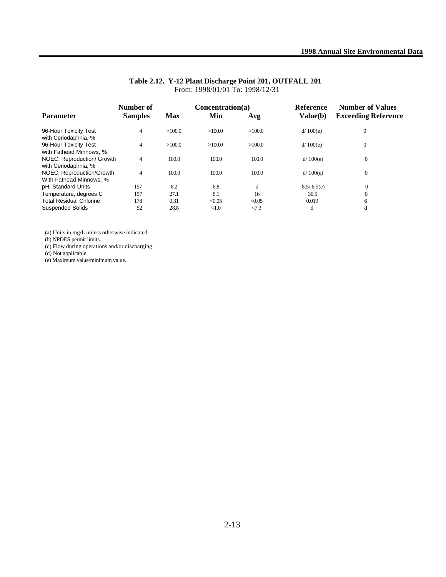|                            | Number of      |            | Concentration(a) |        | <b>Reference</b> | <b>Number of Values</b>    |  |
|----------------------------|----------------|------------|------------------|--------|------------------|----------------------------|--|
| Parameter                  | <b>Samples</b> | <b>Max</b> | Min              | Avg    | Value(b)         | <b>Exceeding Reference</b> |  |
| 96-Hour Toxicity Test      | 4              | >100.0     | >100.0           | >100.0 | d/100(e)         | $\mathbf{0}$               |  |
| with Ceriodaphnia, %       |                |            |                  |        |                  |                            |  |
| 96-Hour Toxicity Test      | 4              | >100.0     | >100.0           | >100.0 | d/100(e)         | $\mathbf{0}$               |  |
| with Fathead Minnows. %    |                |            |                  |        |                  |                            |  |
| NOEC, Reproduction/ Growth | $\overline{4}$ | 100.0      | 100.0            | 100.0  | d/100(e)         | $\Omega$                   |  |
| with Ceriodaphnia, %       |                |            |                  |        |                  |                            |  |
| NOEC, Reproduction/Growth  | $\overline{4}$ | 100.0      | 100.0            | 100.0  | d/100(e)         | $\Omega$                   |  |
| With Fathead Minnows. %    |                |            |                  |        |                  |                            |  |
| pH. Standard Units         | 157            | 8.2        | 6.8              | d      | 8.5/6.5(e)       | $\mathbf{0}$               |  |
| Temperature, degrees C     | 157            | 27.1       | 8.1              | 16     | 30.5             | 0                          |  |
| Total Residual Chlorine    | 178            | 0.31       | < 0.05           | < 0.05 | 0.019            | 6                          |  |
| Suspended Solids           | 52             | 28.8       | < 1.0            | 27.3   | d                | d                          |  |
|                            |                |            |                  |        |                  |                            |  |

# **Table 2.12. Y-12 Plant Discharge Point 201, OUTFALL 201** From: 1998/01/01 To: 1998/12/31

(a) Units in mg/L unless otherwise indicated.

(b) NPDES permit limits.

(c) Flow during operations and/or discharging.

(d) Not applicable.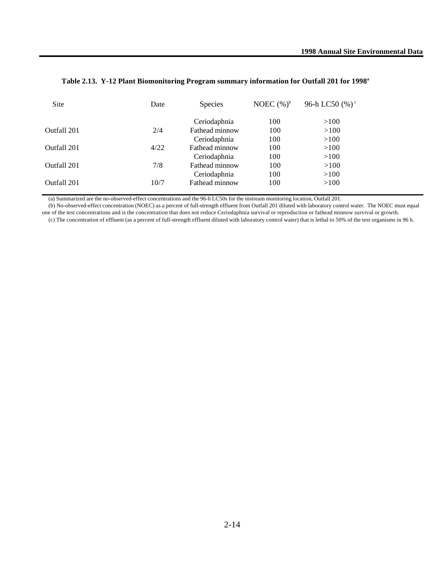| Site        | Date | <b>Species</b>        | NOEC $(\%)^b$ | 96-h LC50 (%) <sup>c</sup> |
|-------------|------|-----------------------|---------------|----------------------------|
|             |      | Ceriodaphnia          | 100           | >100                       |
| Outfall 201 | 2/4  | Fathead minnow        | 100           | >100                       |
|             |      | Ceriodaphnia          | 100           | >100                       |
| Outfall 201 | 4/22 | Fathead minnow        | 100           | >100                       |
|             |      | Ceriodaphnia          | 100           | >100                       |
| Outfall 201 | 7/8  | <b>Fathead minnow</b> | 100           | >100                       |
|             |      | Ceriodaphnia          | 100           | >100                       |
| Outfall 201 | 10/7 | Fathead minnow        | 100           | >100                       |

#### **Table 2.13. Y-12 Plant Biomonitoring Program summary information for Outfall 201 for 1998<sup>a</sup>**

(a) Summarized are the no-observed-effect concentrations and the 96-h LC50s for the instream monitoring location, Outfall 201.

 (b) No-observed-effect concentration (NOEC) as a percent of full-strength effluent from Outfall 201 diluted with laboratory control water. The NOEC must equal one of the test concentrations and is the concentration that does not reduce Ceriodaphnia survival or reproduction or fathead minnow survival or growth.

(c) The concentration of effluent (as a percent of full-strength effluent diluted with laboratory control water) that is lethal to 50% of the test organisms in 96 h.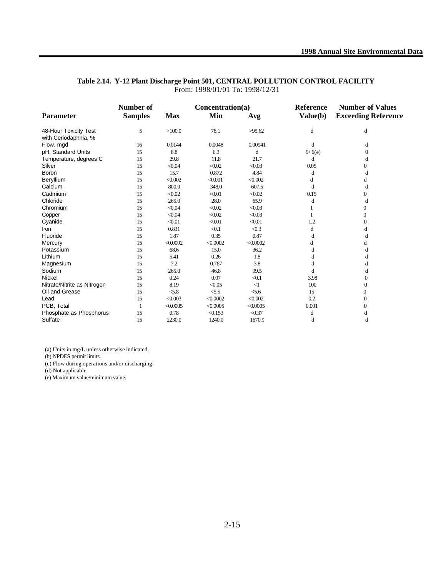|                                               | Number of      |            | Concentration(a) |          | Reference | <b>Number of Values</b>    |  |
|-----------------------------------------------|----------------|------------|------------------|----------|-----------|----------------------------|--|
| Parameter                                     | <b>Samples</b> | <b>Max</b> | Min              | Avg      | Value(b)  | <b>Exceeding Reference</b> |  |
| 48-Hour Toxicity Test<br>with Ceriodaphnia, % | 5              | >100.0     | 78.1             | >95.62   | d         | d                          |  |
| Flow, mgd                                     | 16             | 0.0144     | 0.0048           | 0.00941  | d         | d                          |  |
| pH, Standard Units                            | 15             | 8.8        | 6.3              | d        | 9/6(e)    | $\Omega$                   |  |
| Temperature, degrees C                        | 15             | 29.8       | 11.8             | 21.7     | d         | d                          |  |
| Silver                                        | 15             | < 0.04     | < 0.02           | < 0.03   | 0.05      | 0                          |  |
| Boron                                         | 15             | 15.7       | 0.872            | 4.84     | d         | d                          |  |
| Beryllium                                     | 15             | < 0.002    | < 0.001          | < 0.002  | d         | d                          |  |
| Calcium                                       | 15             | 800.0      | 348.0            | 607.5    | d         | d                          |  |
| Cadmium                                       | 15             | < 0.02     | < 0.01           | < 0.02   | 0.15      | 0                          |  |
| Chloride                                      | 15             | 265.0      | 28.0             | 65.9     | d         | d                          |  |
| Chromium                                      | 15             | < 0.04     | < 0.02           | < 0.03   |           | 0                          |  |
| Copper                                        | 15             | < 0.04     | < 0.02           | < 0.03   |           | 0                          |  |
| Cyanide                                       | 15             | < 0.01     | < 0.01           | < 0.01   | 1.2       | 0                          |  |
| Iron                                          | 15             | 0.831      | < 0.1            | < 0.3    | d         | d                          |  |
| Fluoride                                      | 15             | 1.87       | 0.35             | 0.87     | d         | d                          |  |
| Mercury                                       | 15             | < 0.0002   | < 0.0002         | < 0.0002 | d         | đ                          |  |
| Potassium                                     | 15             | 68.6       | 15.0             | 36.2     | d         | d                          |  |
| Lithium                                       | 15             | 5.41       | 0.26             | 1.8      | d         | d                          |  |
| Magnesium                                     | 15             | 7.2        | 0.767            | 3.8      | d         | d                          |  |
| Sodium                                        | 15             | 265.0      | 46.8             | 99.5     | d         | d                          |  |
| Nickel                                        | 15             | 0.24       | 0.07             | < 0.1    | 3.98      | 0                          |  |
| Nitrate/Nitrite as Nitrogen                   | 15             | 8.19       | < 0.05           | $\leq$ 1 | 100       | 0                          |  |
| Oil and Grease                                | 15             | < 5.8      | < 5.5            | < 5.6    | 15        | 0                          |  |
| Lead                                          | 15             | < 0.003    | < 0.0002         | < 0.002  | 0.2       | 0                          |  |
| PCB, Total                                    | 1              | < 0.0005   | < 0.0005         | < 0.0005 | 0.001     | 0                          |  |
| Phosphate as Phosphorus                       | 15             | 0.78       | < 0.153          | < 0.37   | d         | d                          |  |
| Sulfate                                       | 15             | 2230.0     | 1240.0           | 1670.9   | d         | d                          |  |
|                                               |                |            |                  |          |           |                            |  |

# **Table 2.14. Y-12 Plant Discharge Point 501, CENTRAL POLLUTION CONTROL FACILITY** From: 1998/01/01 To: 1998/12/31

(a) Units in mg/L unless otherwise indicated.

(b) NPDES permit limits.

(c) Flow during operations and/or discharging.

(d) Not applicable.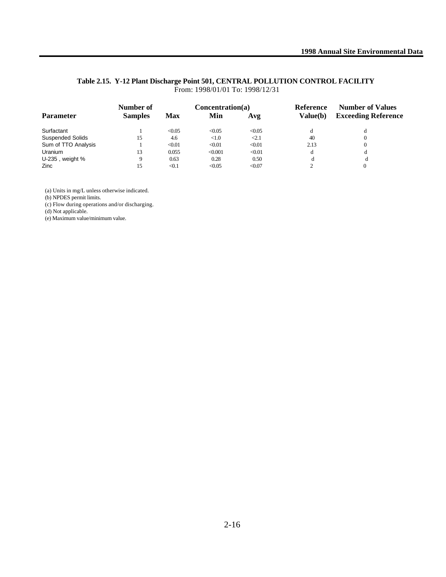| Number of      |        |         |            | Reference        | <b>Number of Values</b>    |  |
|----------------|--------|---------|------------|------------------|----------------------------|--|
| <b>Samples</b> | Max    | Min     | Avg        | Value(b)         | <b>Exceeding Reference</b> |  |
|                | < 0.05 | < 0.05  | < 0.05     | đ                |                            |  |
| 15             | 4.6    | < 1.0   | $\leq 2.1$ | 40               |                            |  |
|                | < 0.01 | < 0.01  | < 0.01     | 2.13             |                            |  |
| 13             | 0.055  | < 0.001 | < 0.01     | d                | đ                          |  |
| 9              | 0.63   | 0.28    | 0.50       | đ                | đ                          |  |
| 15             | < 0.1  | < 0.05  | < 0.07     |                  |                            |  |
|                |        |         |            | Concentration(a) |                            |  |

### **Table 2.15. Y-12 Plant Discharge Point 501, CENTRAL POLLUTION CONTROL FACILITY** From: 1998/01/01 To: 1998/12/31

(a) Units in mg/L unless otherwise indicated.

(b) NPDES permit limits.

(c) Flow during operations and/or discharging.

(d) Not applicable.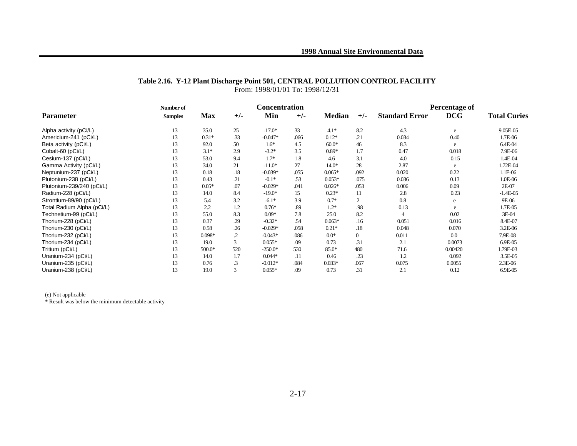|                            | Number of      |            | <b>Concentration</b> |           |       |               |              | <b>Percentage of</b>  |            |                     |  |  |
|----------------------------|----------------|------------|----------------------|-----------|-------|---------------|--------------|-----------------------|------------|---------------------|--|--|
| Parameter                  | <b>Samples</b> | <b>Max</b> | $+/-$                | Min       | $+/-$ | <b>Median</b> | $+/-$        | <b>Standard Error</b> | <b>DCG</b> | <b>Total Curies</b> |  |  |
| Alpha activity (pCi/L)     | 13             | 35.0       | 25                   | $-17.0*$  | 33    | $4.1*$        | 8.2          | 4.3                   | e          | 9.05E-05            |  |  |
| Americium-241 (pCi/L)      | 13             | $0.31*$    | .33                  | $-0.047*$ | .066  | $0.12*$       | .21          | 0.034                 | 0.40       | 1.7E-06             |  |  |
| Beta activity (pCi/L)      | 13             | 92.0       | 50                   | $1.6*$    | 4.5   | $60.0*$       | 46           | 8.3                   | e          | 6.4E-04             |  |  |
| Cobalt-60 (pCi/L)          | 13             | $3.1*$     | 2.9                  | $-3.2*$   | 3.5   | $0.89*$       | 1.7          | 0.47                  | 0.018      | 7.9E-06             |  |  |
| Cesium-137 (pCi/L)         | 13             | 53.0       | 9.4                  | $1.7*$    | 1.8   | 4.6           | 3.1          | 4.0                   | 0.15       | 1.4E-04             |  |  |
| Gamma Activity (pCi/L)     | 13             | 34.0       | 21                   | $-11.0*$  | 27    | $14.0*$       | 28           | 2.87                  | e          | 1.72E-04            |  |  |
| Neptunium-237 (pCi/L)      | 13             | 0.18       | .18                  | $-0.039*$ | .055  | $0.065*$      | .092         | 0.020                 | 0.22       | 1.1E-06             |  |  |
| Plutonium-238 (pCi/L)      | 13             | 0.43       | .21                  | $-0.1*$   | .53   | $0.053*$      | .075         | 0.036                 | 0.13       | 1.0E-06             |  |  |
| Plutonium-239/240 (pCi/L)  | 13             | $0.05*$    | .07                  | $-0.029*$ | .041  | $0.026*$      | .053         | 0.006                 | 0.09       | 2E-07               |  |  |
| Radium-228 (pCi/L)         | 13             | 14.0       | 8.4                  | $-19.0*$  | 15    | $0.23*$       | 11           | 2.8                   | 0.23       | $-1.4E-05$          |  |  |
| Strontium-89/90 (pCi/L)    | 13             | 5.4        | 3.2                  | $-6.1*$   | 3.9   | $0.7*$        | 2            | 0.8                   | e          | 9E-06               |  |  |
| Total Radium Alpha (pCi/L) | 13             | 2.2        | 1.2                  | $0.76*$   | .89   | $1.2*$        | .98          | 0.13                  | e          | 1.7E-05             |  |  |
| Technetium-99 (pCi/L)      | 13             | 55.0       | 8.3                  | $0.09*$   | 7.8   | 25.0          | 8.2          |                       | 0.02       | 3E-04               |  |  |
| Thorium-228 (pCi/L)        | 13             | 0.37       | .29                  | $-0.32*$  | .54   | $0.063*$      | .16          | 0.051                 | 0.016      | 8.4E-07             |  |  |
| Thorium-230 (pCi/L)        | 13             | 0.58       | .26                  | $-0.029*$ | .058  | $0.21*$       | .18          | 0.048                 | 0.070      | 3.2E-06             |  |  |
| Thorium-232 (pCi/L)        | 13             | $0.098*$   | .2                   | $-0.043*$ | .086  | $0.0*$        | $\mathbf{0}$ | 0.011                 | 0.0        | 7.9E-08             |  |  |
| Thorium-234 (pCi/L)        | 13             | 19.0       |                      | $0.055*$  | .09   | 0.73          | .31          | 2.1                   | 0.0073     | 6.9E-05             |  |  |
| Tritium (pCi/L)            | 13             | 500.0*     | 520                  | $-250.0*$ | 530   | 85.0*         | 480          | 71.6                  | 0.00420    | 1.79E-03            |  |  |
| Uranium-234 (pCi/L)        | 13             | 14.0       | 1.7                  | $0.044*$  | .11   | 0.46          | .23          | 1.2                   | 0.092      | 3.5E-05             |  |  |
| Uranium-235 (pCi/L)        | 13             | 0.76       | .3                   | $-0.012*$ | .084  | $0.033*$      | .067         | 0.075                 | 0.0055     | 2.3E-06             |  |  |
| Uranium-238 (pCi/L)        | 13             | 19.0       | 3                    | $0.055*$  | .09   | 0.73          | .31          | 2.1                   | 0.12       | 6.9E-05             |  |  |

# **Table 2.16. Y-12 Plant Discharge Point 501, CENTRAL POLLUTION CONTROL FACILITY** From: 1998/01/01 To: 1998/12/31

(e) Not applicable

\* Result was below the minimum detectable activity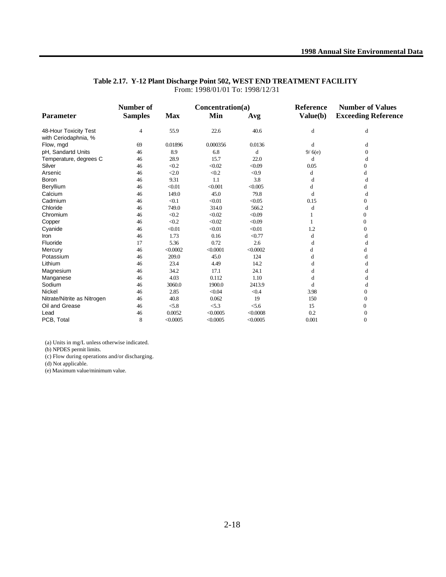|                             | Number of      |            | Concentration(a) |          | <b>Reference</b> | <b>Number of Values</b>    |  |
|-----------------------------|----------------|------------|------------------|----------|------------------|----------------------------|--|
| Parameter                   | <b>Samples</b> | <b>Max</b> | Min              | Avg      | Value(b)         | <b>Exceeding Reference</b> |  |
| 48-Hour Toxicity Test       | 4              | 55.9       | 22.6             | 40.6     | d                | d                          |  |
| with Ceriodaphnia, %        |                |            |                  |          |                  |                            |  |
| Flow, mgd                   | 69             | 0.01896    | 0.000356         | 0.0136   | d                | d                          |  |
| pH, Sandartd Units          | 46             | 8.9        | 6.8              | d        | 9/6(e)           | $\mathbf{0}$               |  |
| Temperature, degrees C      | 46             | 28.9       | 15.7             | 22.0     | d                | d                          |  |
| Silver                      | 46             | < 0.2      | < 0.02           | < 0.09   | 0.05             | 0                          |  |
| Arsenic                     | 46             | < 2.0      | < 0.2            | < 0.9    | d                | d                          |  |
| Boron                       | 46             | 9.31       | 1.1              | 3.8      | d                | d                          |  |
| Beryllium                   | 46             | < 0.01     | < 0.001          | < 0.005  | d                | d                          |  |
| Calcium                     | 46             | 149.0      | 45.0             | 79.8     | d                | d                          |  |
| Cadmium                     | 46             | < 0.1      | < 0.01           | < 0.05   | 0.15             | 0                          |  |
| Chloride                    | 46             | 749.0      | 314.0            | 566.2    | d                | d                          |  |
| Chromium                    | 46             | < 0.2      | < 0.02           | < 0.09   |                  | 0                          |  |
| Copper                      | 46             | < 0.2      | < 0.02           | < 0.09   |                  | 0                          |  |
| Cyanide                     | 46             | < 0.01     | < 0.01           | < 0.01   | 1.2              | 0                          |  |
| Iron                        | 46             | 1.73       | 0.16             | < 0.77   | d                | d                          |  |
| Fluoride                    | 17             | 5.36       | 0.72             | 2.6      | d                | d                          |  |
| Mercury                     | 46             | < 0.0002   | < 0.0001         | < 0.0002 | d                | d                          |  |
| Potassium                   | 46             | 209.0      | 45.0             | 124      | d                | d                          |  |
| Lithium                     | 46             | 23.4       | 4.49             | 14.2     | d                | d                          |  |
| Magnesium                   | 46             | 34.2       | 17.1             | 24.1     | d                | d                          |  |
| Manganese                   | 46             | 4.03       | 0.112            | 1.10     | d                | d                          |  |
| Sodium                      | 46             | 3060.0     | 1900.0           | 2413.9   | d                | d                          |  |
| Nickel                      | 46             | 2.85       | < 0.04           | < 0.4    | 3.98             | 0                          |  |
| Nitrate/Nitrite as Nitrogen | 46             | 40.8       | 0.062            | 19       | 150              | $\mathbf{0}$               |  |
| Oil and Grease              | 46             | < 5.8      | < 5.3            | < 5.6    | 15               | 0                          |  |
| Lead                        | 46             | 0.0052     | < 0.0005         | < 0.0008 | 0.2              | $\mathbf{0}$               |  |
| PCB, Total                  | 8              | < 0.0005   | < 0.0005         | < 0.0005 | 0.001            | $\mathbf{0}$               |  |
|                             |                |            |                  |          |                  |                            |  |

# **Table 2.17. Y-12 Plant Discharge Point 502, WEST END TREATMENT FACILITY** From: 1998/01/01 To: 1998/12/31

(a) Units in mg/L unless otherwise indicated.

(b) NPDES permit limits.

(c) Flow during operations and/or discharging.

(d) Not applicable.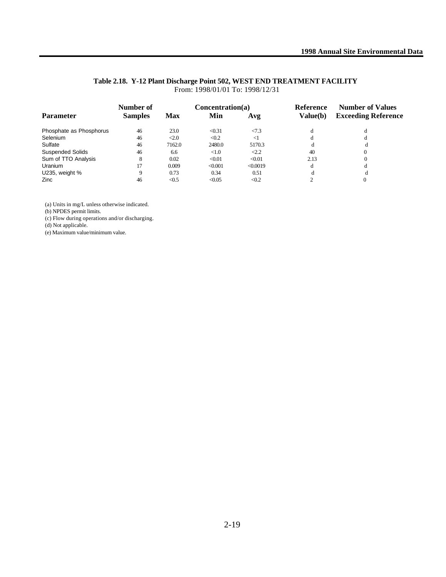|                         | Number of      |            | Concentration(a) |            | Reference | <b>Number of Values</b>    |  |
|-------------------------|----------------|------------|------------------|------------|-----------|----------------------------|--|
| Parameter               | <b>Samples</b> | Max        | Min              | Avg        | Value(b)  | <b>Exceeding Reference</b> |  |
| Phosphate as Phosphorus | 46             | 23.0       | < 0.31           | 27.3       |           |                            |  |
| Selenium                | 46             | $\leq 2.0$ | < 0.2            | $\leq$ 1   |           |                            |  |
| Sulfate                 | 46             | 7162.0     | 2480.0           | 5170.3     | d         |                            |  |
| Suspended Solids        | 46             | 6.6        | < 1.0            | $\leq$ 2.2 | 40        |                            |  |
| Sum of TTO Analysis     | 8              | 0.02       | < 0.01           | < 0.01     | 2.13      |                            |  |
| Uranium                 | 17             | 0.009      | < 0.001          | < 0.0019   | d         |                            |  |
| U235, weight %          | 9              | 0.73       | 0.34             | 0.51       | d         |                            |  |
| Zinc                    | 46             | < 0.5      | < 0.05           | < 0.2      |           |                            |  |

# **Table 2.18. Y-12 Plant Discharge Point 502, WEST END TREATMENT FACILITY** From: 1998/01/01 To: 1998/12/31

(a) Units in mg/L unless otherwise indicated.

(b) NPDES permit limits.

(c) Flow during operations and/or discharging.

(d) Not applicable.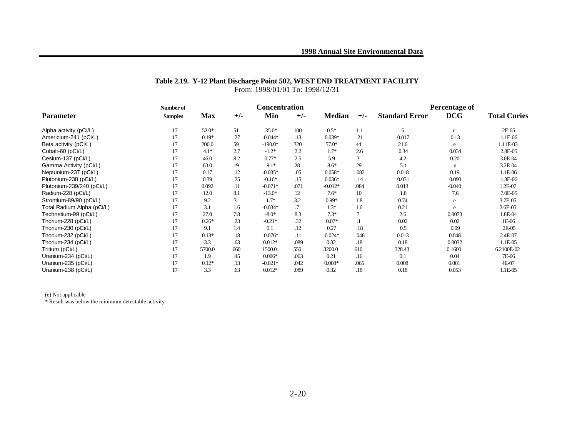|                            | Number of      |            |       | <b>Concentration</b> |       |               | <b>Percentage of</b> |                       |            |                     |  |
|----------------------------|----------------|------------|-------|----------------------|-------|---------------|----------------------|-----------------------|------------|---------------------|--|
| Parameter                  | <b>Samples</b> | <b>Max</b> | $+/-$ | Min                  | $+/-$ | <b>Median</b> | $+/-$                | <b>Standard Error</b> | <b>DCG</b> | <b>Total Curies</b> |  |
| Alpha activity (pCi/L)     | 17             | $52.0*$    | 51    | $-35.0*$             | 100   | $0.5*$        | 1.1                  | 5                     | e          | $-2E-05$            |  |
| Americium-241 (pCi/L)      | 17             | $0.19*$    | .27   | $-0.044*$            | .13   | $0.039*$      | .21                  | 0.017                 | 0.13       | 1.1E-06             |  |
| Beta activity (pCi/L)      | 17             | 200.0      | 59    | $-190.0*$            | 320   | 57.0*         | 44                   | 21.6                  | e          | 1.11E-03            |  |
| Cobalt-60 (pCi/L)          | 17             | $4.1*$     | 2.7   | $-1.2*$              | 2.2   | $1.7*$        | 2.6                  | 0.34                  | 0.034      | 2.8E-05             |  |
| Cesium-137 (pCi/L)         | 17             | 46.0       | 8.2   | $0.77*$              | 2.5   | 5.9           | 3                    | 4.2                   | 0.20       | 3.0E-04             |  |
| Gamma Activity (pCi/L)     | 17             | 63.0       | 19    | $-9.1*$              | 28    | $8.6*$        | 29                   | 5.1                   | e          | 3.2E-04             |  |
| Neptunium-237 (pCi/L)      | 17             | 0.17       | .12   | $-0.035*$            | .05   | $0.058*$      | .082                 | 0.018                 | 0.19       | 1.1E-06             |  |
| Plutonium-238 (pCi/L)      | 17             | 0.39       | .25   | $-0.16*$             | .15   | $0.036*$      | .14                  | 0.031                 | 0.090      | 1.3E-06             |  |
| Plutonium-239/240 (pCi/L)  | 17             | 0.092      | .11   | $-0.071*$            | .071  | $-0.012*$     | .084                 | 0.013                 | $-0.040$   | 1.2E-07             |  |
| Radium-228 (pCi/L)         | 17             | 12.0       | 8.1   | $-13.0*$             | 12    | $7.6*$        | 10                   | 1.8                   | 7.6        | 7.0E-05             |  |
| Strontium-89/90 (pCi/L)    | 17             | 9.2        | 3     | $-1.7*$              | 3.2   | $0.99*$       | 1.8                  | 0.74                  | e          | 3.7E-05             |  |
| Total Radium Alpha (pCi/L) | 17             | 3.1        | 1.6   | $-0.034*$            | .7    | $1.3*$        | 1.6                  | 0.21                  | e          | 2.6E-05             |  |
| Technetium-99 (pCi/L)      | 17             | 27.0       | 7.8   | $-8.0*$              | 8.3   | $7.3*$        | 7                    | 2.6                   | 0.0073     | 1.8E-04             |  |
| Thorium-228 (pCi/L)        | 17             | $0.26*$    | .23   | $-0.21*$             | .32   | $0.07*$       | $\cdot$              | 0.02                  | 0.02       | 1E-06               |  |
| Thorium-230 (pCi/L)        | 17             | 9.1        | 1.4   | 0.1                  | .12   | 0.27          | .18                  | 0.5                   | 0.09       | 2E-05               |  |
| Thorium-232 (pCi/L)        | 17             | $0.13*$    | .18   | $-0.076*$            | .11   | $0.024*$      | .048                 | 0.013                 | 0.048      | 2.4E-07             |  |
| Thorium-234 (pCi/L)        | 17             | 3.3        | .63   | $0.012*$             | .089  | 0.32          | .18                  | 0.18                  | 0.0032     | 1.1E-05             |  |
| Tritium (pCi/L)            | 17             | 5700.0     | 660   | 1500.0               | 550   | 3200.0        | 610                  | 328.43                | 0.1600     | 6.2100E-02          |  |
| Uranium-234 (pCi/L)        | 17             | 1.9        | .45   | $0.006*$             | .063  | 0.21          | .16                  | 0.1                   | 0.04       | 7E-06               |  |
| Uranium-235 (pCi/L)        | 17             | $0.12*$    | .13   | $-0.021*$            | .042  | $0.008*$      | .065                 | 0.008                 | 0.001      | 4E-07               |  |
| Uranium-238 (pCi/L)        | 17             | 3.3        | .63   | $0.012*$             | .089  | 0.32          | .18                  | 0.18                  | 0.053      | 1.1E-05             |  |

### **Table 2.19. Y-12 Plant Discharge Point 502, WEST END TREATMENT FACILITY** From: 1998/01/01 To: 1998/12/31

(e) Not applicable

\* Result was below the minimum detectable activity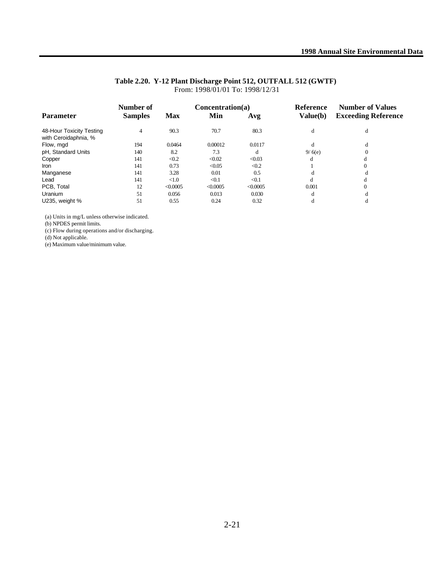|                                                  | Number of      |            | Concentration(a) |          | Reference | <b>Number of Values</b>    |  |
|--------------------------------------------------|----------------|------------|------------------|----------|-----------|----------------------------|--|
| Parameter                                        | <b>Samples</b> | <b>Max</b> | Min              | Avg      | Value(b)  | <b>Exceeding Reference</b> |  |
| 48-Hour Toxicity Testing<br>with Ceroidaphnia, % | 4              | 90.3       | 70.7             | 80.3     | d         | d                          |  |
| Flow, mgd                                        | 194            | 0.0464     | 0.00012          | 0.0117   | đ         | d                          |  |
| pH, Standard Units                               | 140            | 8.2        | 7.3              | d        | 9/6(e)    | 0                          |  |
| Copper                                           | 141            | < 0.2      | < 0.02           | < 0.03   | d         |                            |  |
| Iron                                             | 141            | 0.73       | < 0.05           | < 0.2    |           |                            |  |
| Manganese                                        | 141            | 3.28       | 0.01             | 0.5      | đ         |                            |  |
| Lead                                             | 141            | <1.0       | < 0.1            | < 0.1    | d         |                            |  |
| PCB, Total                                       | 12             | < 0.0005   | < 0.0005         | < 0.0005 | 0.001     |                            |  |
| Uranium                                          | 51             | 0.056      | 0.013            | 0.030    | d         | ₫                          |  |
| U235, weight %                                   | 51             | 0.55       | 0.24             | 0.32     | d         | d                          |  |

### **Table 2.20. Y-12 Plant Discharge Point 512, OUTFALL 512 (GWTF)** From: 1998/01/01 To: 1998/12/31

(a) Units in mg/L unless otherwise indicated.

(b) NPDES permit limits.

(c) Flow during operations and/or discharging.

(d) Not applicable.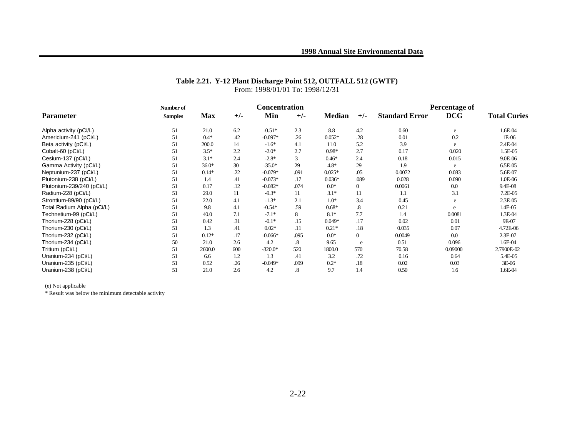|                            | Number of      |            | <b>Concentration</b> |           |       |               |                   | Percentage of         |            |                     |  |  |
|----------------------------|----------------|------------|----------------------|-----------|-------|---------------|-------------------|-----------------------|------------|---------------------|--|--|
| Parameter                  | <b>Samples</b> | <b>Max</b> | $+/-$                | Min       | $+/-$ | <b>Median</b> | $+/-$             | <b>Standard Error</b> | <b>DCG</b> | <b>Total Curies</b> |  |  |
| Alpha activity (pCi/L)     | 51             | 21.0       | 6.2                  | $-0.51*$  | 2.3   | 8.8           | 4.2               | 0.60                  | e          | 1.6E-04             |  |  |
| Americium-241 (pCi/L)      | 51             | $0.4*$     | .42                  | $-0.097*$ | .26   | $0.052*$      | .28               | 0.01                  | 0.2        | 1E-06               |  |  |
| Beta activity (pCi/L)      | 51             | 200.0      | 14                   | $-1.6*$   | 4.1   | 11.0          | 5.2               | 3.9                   | e          | 2.4E-04             |  |  |
| Cobalt-60 (pCi/L)          | 51             | $3.5*$     | 2.2                  | $-2.0*$   | 2.7   | $0.98*$       | 2.7               | 0.17                  | 0.020      | 1.5E-05             |  |  |
| Cesium-137 (pCi/L)         | 51             | $3.1*$     | 2.4                  | $-2.8*$   | 3     | $0.46*$       | 2.4               | 0.18                  | 0.015      | 9.0E-06             |  |  |
| Gamma Activity (pCi/L)     | 51             | $36.0*$    | 30                   | $-35.0*$  | 29    | $4.8*$        | 29                | 1.9                   | e          | 6.5E-05             |  |  |
| Neptunium-237 (pCi/L)      | 51             | $0.14*$    | .22                  | $-0.079*$ | .091  | $0.025*$      | .05               | 0.0072                | 0.083      | 5.6E-07             |  |  |
| Plutonium-238 (pCi/L)      | 51             | 1.4        | .41                  | $-0.073*$ | .17   | $0.036*$      | .089              | 0.028                 | 0.090      | 1.0E-06             |  |  |
| Plutonium-239/240 (pCi/L)  | 51             | 0.17       | .12                  | $-0.082*$ | .074  | $0.0*$        | 0                 | 0.0061                | 0.0        | 9.4E-08             |  |  |
| Radium-228 (pCi/L)         | 51             | 29.0       | 11                   | $-9.3*$   | 11    | $3.1*$        | 11                | 1.1                   | 3.1        | 7.2E-05             |  |  |
| Strontium-89/90 (pCi/L)    | 51             | 22.0       | 4.1                  | $-1.3*$   | 2.1   | $1.0*$        | 3.4               | 0.45                  | e          | 2.3E-05             |  |  |
| Total Radium Alpha (pCi/L) | 51             | 9.8        | 4.1                  | $-0.54*$  | .59   | $0.68*$       | $\boldsymbol{.8}$ | 0.21                  | $\epsilon$ | 1.4E-05             |  |  |
| Technetium-99 (pCi/L)      | 51             | 40.0       | 7.1                  | $-7.1*$   | 8.    | $8.1*$        | 7.7               | 1.4                   | 0.0081     | 1.3E-04             |  |  |
| Thorium-228 (pCi/L)        | 51             | 0.42       | .31                  | $-0.1*$   | .15   | $0.049*$      | .17               | 0.02                  | 0.01       | 9E-07               |  |  |
| Thorium-230 (pCi/L)        | 51             | 1.3        | .41                  | $0.02*$   | .11   | $0.21*$       | .18               | 0.035                 | 0.07       | 4.72E-06            |  |  |
| Thorium-232 (pCi/L)        | 51             | $0.12*$    | .17                  | $-0.066*$ | .095  | $0.0*$        | $\overline{0}$    | 0.0049                | 0.0        | 2.3E-07             |  |  |
| Thorium-234 (pCi/L)        | 50             | 21.0       | 2.6                  | 4.2       | .8    | 9.65          | e                 | 0.51                  | 0.096      | 1.6E-04             |  |  |
| Tritium (pCi/L)            | 51             | 2600.0     | 600                  | $-320.0*$ | 520   | 1800.0        | 570               | 70.58                 | 0.09000    | 2.7900E-02          |  |  |
| Uranium-234 (pCi/L)        | 51             | 6.6        | 1.2                  | 1.3       | .41   | 3.2           | .72               | 0.16                  | 0.64       | 5.4E-05             |  |  |
| Uranium-235 (pCi/L)        | 51             | 0.52       | .26                  | $-0.049*$ | .099  | $0.2*$        | .18               | 0.02                  | 0.03       | 3E-06               |  |  |
| Uranium-238 (pCi/L)        | 51             | 21.0       | 2.6                  | 4.2       | .8    | 9.7           | 1.4               | 0.50                  | 1.6        | 1.6E-04             |  |  |

#### **Table 2.21. Y-12 Plant Discharge Point 512, OUTFALL 512 (GWTF)** From: 1998/01/01 To: 1998/12/31

(e) Not applicable

\* Result was below the minimum detectable activity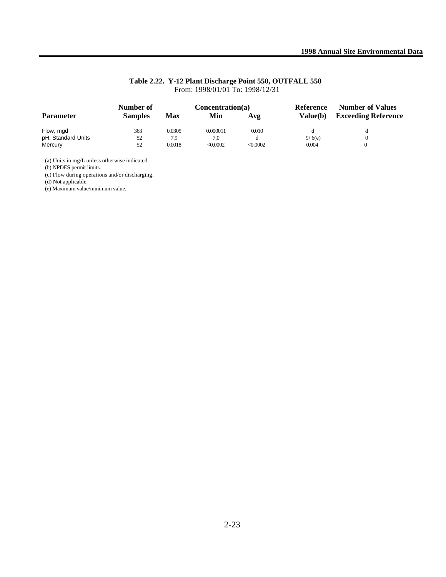|                    | Number of      |        | Concentration(a) |               | Reference<br><b>Value(b)</b> | <b>Number of Values</b>    |  |
|--------------------|----------------|--------|------------------|---------------|------------------------------|----------------------------|--|
| Parameter          | <b>Samples</b> | Max    | Min              | Avg           |                              | <b>Exceeding Reference</b> |  |
| Flow, mgd          | 363            | 0.0305 | 0.000011         | 0.010         |                              |                            |  |
| pH, Standard Units | 52             | 7.9    | 7.0              |               | 9/6(e)                       |                            |  |
| Mercury            | 52             | 0.0018 | $<\!\!0.0002$    | $<\!\!0.0002$ | 0.004                        |                            |  |

# **Table 2.22. Y-12 Plant Discharge Point 550, OUTFALL 550** From: 1998/01/01 To: 1998/12/31

(a) Units in mg/L unless otherwise indicated.

(b) NPDES permit limits.

(c) Flow during operations and/or discharging.

(d) Not applicable.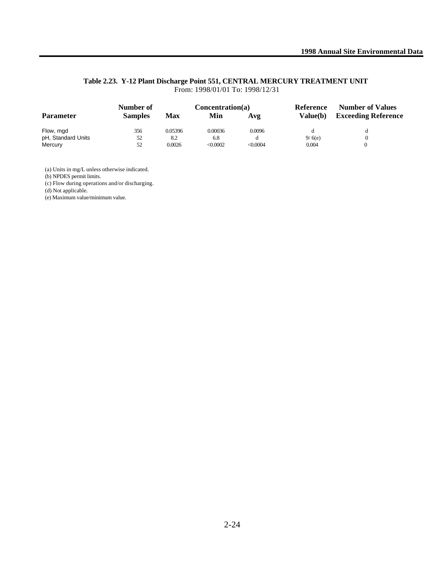#### **Table 2.23. Y-12 Plant Discharge Point 551, CENTRAL MERCURY TREATMENT UNIT** From: 1998/01/01 To: 1998/12/31

| <b>Parameter</b>   | Number of      |         | Concentration(a) |         | Reference<br><b>Value(b)</b> | <b>Number of Values</b>    |  |
|--------------------|----------------|---------|------------------|---------|------------------------------|----------------------------|--|
|                    | <b>Samples</b> | Max     | Min              | Avg     |                              | <b>Exceeding Reference</b> |  |
| Flow, mgd          | 356            | 0.05396 | 0.00036          | 0.0096  |                              |                            |  |
| pH, Standard Units | 52             | 8.2     | 6.8              |         | 9/6(e)                       |                            |  |
| Mercury            | 52             | 0.0026  | $<\!\!0.0002$    | <0.0004 | 0.004                        |                            |  |

(a) Units in mg/L unless otherwise indicated.

(b) NPDES permit limits.

(c) Flow during operations and/or discharging.

(d) Not applicable.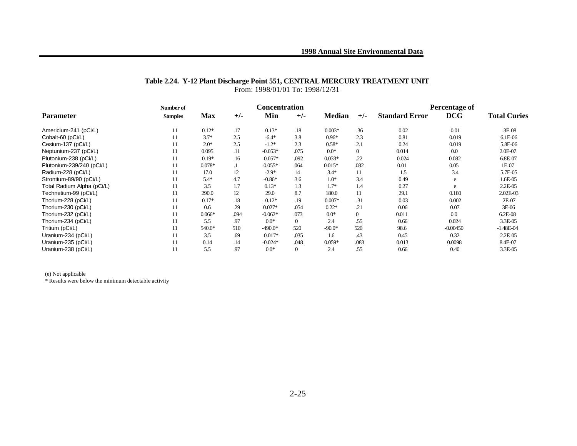| Table 2.24. Y-12 Plant Discharge Point 551, CENTRAL MERCURY TREATMENT UNIT |  |
|----------------------------------------------------------------------------|--|
| From: $1998/01/01$ To: $1998/12/31$                                        |  |

|                            | Number of      | <b>Concentration</b> |       |           |          |               |                | Percentage of         |            |                     |  |
|----------------------------|----------------|----------------------|-------|-----------|----------|---------------|----------------|-----------------------|------------|---------------------|--|
| Parameter                  | <b>Samples</b> | Max                  | $+/-$ | Min       | $+/-$    | <b>Median</b> | $+/-$          | <b>Standard Error</b> | <b>DCG</b> | <b>Total Curies</b> |  |
| Americium-241 (pCi/L)      | 11             | $0.12*$              | .17   | $-0.13*$  | .18      | $0.003*$      | .36            | 0.02                  | 0.01       | $-3E-08$            |  |
| Cobalt-60 (pCi/L)          | 11             | $3.7*$               | 2.5   | $-6.4*$   | 3.8      | $0.96*$       | 2.3            | 0.81                  | 0.019      | 6.1E-06             |  |
| Cesium-137 (pCi/L)         | 11             | $2.0*$               | 2.5   | $-1.2*$   | 2.3      | $0.58*$       | 2.1            | 0.24                  | 0.019      | 5.8E-06             |  |
| Neptunium-237 (pCi/L)      | 11             | 0.095                | .11   | $-0.053*$ | .075     | $0.0*$        | 0              | 0.014                 | 0.0        | 2.0E-07             |  |
| Plutonium-238 (pCi/L)      | 11             | $0.19*$              | .16   | $-0.057*$ | .092     | $0.033*$      | .22            | 0.024                 | 0.082      | 6.8E-07             |  |
| Plutonium-239/240 (pCi/L)  | 11             | $0.078*$             | . 1   | $-0.055*$ | .064     | $0.015*$      | .082           | 0.01                  | 0.05       | 1E-07               |  |
| Radium-228 (pCi/L)         | 11             | 17.0                 | 12    | $-2.9*$   | 14       | $3.4*$        | 11             | 1.5                   | 3.4        | 5.7E-05             |  |
| Strontium-89/90 (pCi/L)    | 11             | $5.4*$               | 4.7   | $-0.86*$  | 3.6      | $1.0*$        | 3.4            | 0.49                  | e          | 1.6E-05             |  |
| Total Radium Alpha (pCi/L) | 11             | 3.5                  | 1.7   | $0.13*$   | 1.3      | $1.7*$        | 1.4            | 0.27                  | e          | 2.2E-05             |  |
| Technetium-99 (pCi/L)      | 11             | 290.0                | 12    | 29.0      | 8.7      | 180.0         | 11             | 29.1                  | 0.180      | 2.02E-03            |  |
| Thorium-228 (pCi/L)        | 11             | $0.17*$              | .18   | $-0.12*$  | .19      | $0.007*$      | .31            | 0.03                  | 0.002      | 2E-07               |  |
| Thorium-230 (pCi/L)        | 11             | 0.6                  | .29   | $0.027*$  | .054     | $0.22*$       | .21            | 0.06                  | 0.07       | 3E-06               |  |
| Thorium-232 (pCi/L)        | 11             | $0.066*$             | .094  | $-0.062*$ | .073     | $0.0*$        | $\overline{0}$ | 0.011                 | 0.0        | $6.2E-08$           |  |
| Thorium-234 (pCi/L)        | 11             | 5.5                  | .97   | $0.0*$    | $\Omega$ | 2.4           | .55            | 0.66                  | 0.024      | 3.3E-05             |  |
| Tritium (pCi/L)            | 11             | 540.0*               | 510   | $-490.0*$ | 520      | $-90.0*$      | 520            | 98.6                  | $-0.00450$ | $-1.48E - 04$       |  |
| Uranium-234 (pCi/L)        | 11             | 3.5                  | .69   | $-0.017*$ | .035     | 1.6           | .43            | 0.45                  | 0.32       | 2.2E-05             |  |
| Uranium-235 (pCi/L)        | 11             | 0.14                 | .14   | $-0.024*$ | .048     | $0.059*$      | .083           | 0.013                 | 0.0098     | 8.4E-07             |  |
| Uranium-238 (pCi/L)        | 11             | 5.5                  | .97   | $0.0*$    | $\Omega$ | 2.4           | .55            | 0.66                  | 0.40       | 3.3E-05             |  |

(e) Not applicable

\* Results were below the minimum detectable activity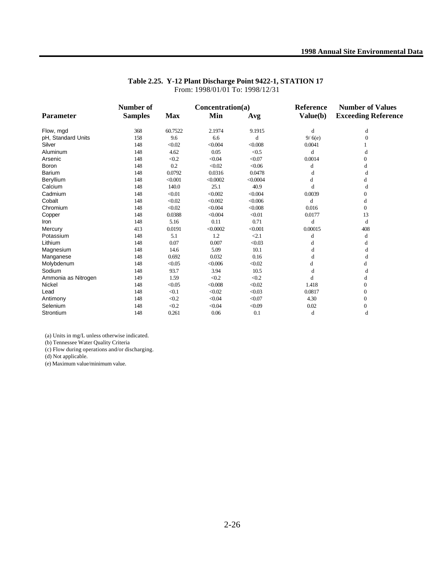| <b>Number of</b> |            |          |          | Reference        | <b>Number of Values</b>    |  |
|------------------|------------|----------|----------|------------------|----------------------------|--|
| <b>Samples</b>   | <b>Max</b> | Min      | Avg      | Value(b)         | <b>Exceeding Reference</b> |  |
| 368              | 60.7522    | 2.1974   | 9.1915   | d                | d                          |  |
| 158              | 9.6        | 6.6      | d        | 9/6(e)           | $\Omega$                   |  |
| 148              | < 0.02     | < 0.004  | < 0.008  | 0.0041           |                            |  |
| 148              | 4.62       | 0.05     | < 0.5    | d                | d                          |  |
| 148              | < 0.2      | < 0.04   | < 0.07   | 0.0014           | 0                          |  |
| 148              | 0.2        | < 0.02   | < 0.06   | d                | d                          |  |
| 148              | 0.0792     | 0.0316   | 0.0478   | d                | d                          |  |
| 148              | < 0.001    | < 0.0002 | < 0.0004 | d                | d                          |  |
| 148              | 140.0      | 25.1     | 40.9     | d                | d                          |  |
| 148              | < 0.01     | < 0.002  | < 0.004  | 0.0039           | 0                          |  |
| 148              | < 0.02     | < 0.002  | < 0.006  | d                | d                          |  |
| 148              | < 0.02     | < 0.004  | < 0.008  | 0.016            | $\Omega$                   |  |
| 148              | 0.0388     | < 0.004  | < 0.01   | 0.0177           | 13                         |  |
| 148              | 5.16       | 0.11     | 0.71     | d                | d                          |  |
| 413              | 0.0191     | < 0.0002 | < 0.001  | 0.00015          | 408                        |  |
| 148              | 5.1        | 1.2      | $\leq$ 1 | d                | d                          |  |
| 148              | 0.07       | 0.007    | < 0.03   | d                | d                          |  |
| 148              | 14.6       | 5.09     | 10.1     | d                | d                          |  |
| 148              | 0.692      | 0.032    | 0.16     | d                | d                          |  |
| 148              | < 0.05     | < 0.006  | < 0.02   | d                | d                          |  |
| 148              | 93.7       | 3.94     | 10.5     | d                | d                          |  |
| 149              | 1.59       | < 0.2    | < 0.2    | d                | d                          |  |
| 148              | < 0.05     | < 0.008  | < 0.02   | 1.418            | 0                          |  |
| 148              | < 0.1      | < 0.02   | < 0.03   | 0.0817           | 0                          |  |
| 148              | < 0.2      | < 0.04   | < 0.07   | 4.30             | 0                          |  |
| 148              | < 0.2      | < 0.04   | < 0.09   | 0.02             | 0                          |  |
| 148              | 0.261      | 0.06     | 0.1      | d                | d                          |  |
|                  |            |          |          | Concentration(a) |                            |  |

### **Table 2.25. Y-12 Plant Discharge Point 9422-1, STATION 17** From: 1998/01/01 To: 1998/12/31

(a) Units in mg/L unless otherwise indicated.

(b) Tennessee Water Quality Criteria

(c) Flow during operations and/or discharging.

(d) Not applicable.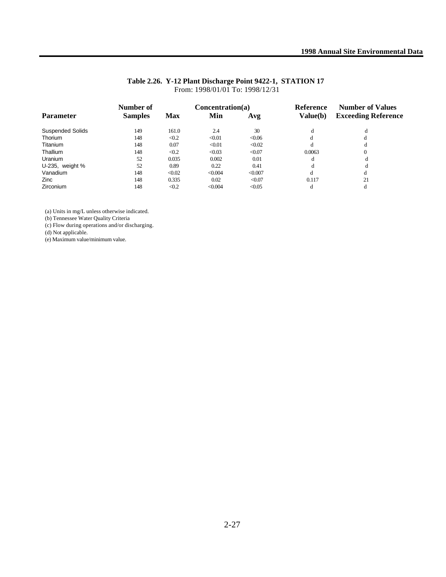|                  | Number of      |            | Concentration(a) |         | <b>Reference</b> | <b>Number of Values</b>    |  |
|------------------|----------------|------------|------------------|---------|------------------|----------------------------|--|
| Parameter        | <b>Samples</b> | <b>Max</b> | Min              | Avg     | Value(b)         | <b>Exceeding Reference</b> |  |
| Suspended Solids | 149            | 161.0      | 2.4              | 30      | đ                |                            |  |
| Thorium          | 148            | < 0.2      | < 0.01           | < 0.06  | đ                |                            |  |
| Titanium         | 148            | 0.07       | < 0.01           | < 0.02  | d                |                            |  |
| Thallium         | 148            | < 0.2      | < 0.03           | < 0.07  | 0.0063           |                            |  |
| Uranium          | 52             | 0.035      | 0.002            | 0.01    | d                | đ                          |  |
| U-235, weight %  | 52             | 0.89       | 0.22             | 0.41    | d                | đ                          |  |
| Vanadium         | 148            | < 0.02     | < 0.004          | < 0.007 | d                |                            |  |
| Zinc             | 148            | 0.335      | 0.02             | < 0.07  | 0.117            | 21                         |  |
| Zirconium        | 148            | < 0.2      | < 0.004          | < 0.05  | d                |                            |  |

#### **Table 2.26. Y-12 Plant Discharge Point 9422-1, STATION 17** From: 1998/01/01 To: 1998/12/31

(a) Units in mg/L unless otherwise indicated.

(b) Tennessee Water Quality Criteria

(c) Flow during operations and/or discharging.

(d) Not applicable.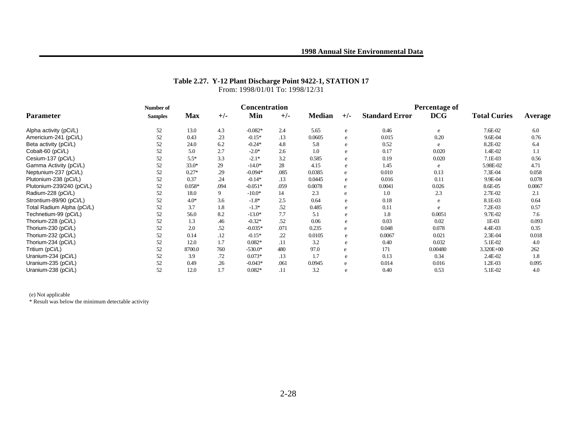|                            | Number of      | <b>Concentration</b> |       |           |       |               | Percentage of |                       |            |                     |         |
|----------------------------|----------------|----------------------|-------|-----------|-------|---------------|---------------|-----------------------|------------|---------------------|---------|
| Parameter                  | <b>Samples</b> | <b>Max</b>           | $+/-$ | Min       | $+/-$ | <b>Median</b> | $+/-$         | <b>Standard Error</b> | <b>DCG</b> | <b>Total Curies</b> | Average |
| Alpha activity (pCi/L)     | 52             | 13.0                 | 4.3   | $-0.082*$ | 2.4   | 5.65          | e             | 0.46                  | e          | 7.6E-02             | 6.0     |
| Americium-241 (pCi/L)      | 52             | 0.43                 | .23   | $-0.15*$  | .13   | 0.0605        | e             | 0.015                 | 0.20       | 9.6E-04             | 0.76    |
| Beta activity (pCi/L)      | 52             | 24.0                 | 6.2   | $-0.24*$  | 4.8   | 5.8           |               | 0.52                  | e          | 8.2E-02             | 6.4     |
| Cobalt-60 (pCi/L)          | 52             | 5.0                  | 2.7   | $-2.0*$   | 2.6   | 1.0           |               | 0.17                  | 0.020      | 1.4E-02             | 1.1     |
| Cesium-137 (pCi/L)         | 52             | $5.5*$               | 3.3   | $-2.1*$   | 3.2   | 0.585         |               | 0.19                  | 0.020      | 7.1E-03             | 0.56    |
| Gamma Activity (pCi/L)     | 52             | 33.0*                | 29    | $-14.0*$  | 28    | 4.15          | e             | 1.45                  | e          | 5.98E-02            | 4.71    |
| Neptunium-237 (pCi/L)      | 52             | $0.27*$              | .29   | $-0.094*$ | .085  | 0.0385        |               | 0.010                 | 0.13       | 7.3E-04             | 0.058   |
| Plutonium-238 (pCi/L)      | 52             | 0.37                 | .24   | $-0.14*$  | .13   | 0.0445        | e             | 0.016                 | 0.11       | 9.9E-04             | 0.078   |
| Plutonium-239/240 (pCi/L)  | 52             | $0.058*$             | .094  | $-0.051*$ | .059  | 0.0078        | e             | 0.0041                | 0.026      | 8.6E-05             | 0.0067  |
| Radium-228 (pCi/L)         | 52             | 18.0                 | 9     | $-10.0*$  | 14    | 2.3           |               | 1.0                   | 2.3        | 2.7E-02             | 2.1     |
| Strontium-89/90 (pCi/L)    | 52             | $4.0*$               | 3.6   | $-1.8*$   | 2.5   | 0.64          | e             | 0.18                  |            | 8.1E-03             | 0.64    |
| Total Radium Alpha (pCi/L) | 52             | 3.7                  | 1.8   | $-1.3*$   | .52   | 0.485         | e             | 0.11                  |            | 7.2E-03             | 0.57    |
| Technetium-99 (pCi/L)      | 52             | 56.0                 | 8.2   | $-13.0*$  | 7.7   | 5.1           | e             | 1.8                   | 0.0051     | 9.7E-02             | 7.6     |
| Thorium-228 (pCi/L)        | 52             | 1.3                  | .46   | $-0.32*$  | .52   | 0.06          | e             | 0.03                  | 0.02       | 1E-03               | 0.093   |
| Thorium-230 (pCi/L)        | 52             | 2.0                  | .52   | $-0.035*$ | .071  | 0.235         |               | 0.048                 | 0.078      | 4.4E-03             | 0.35    |
| Thorium-232 (pCi/L)        | 52             | 0.14                 | .12   | $-0.15*$  | .22   | 0.0105        | e             | 0.0067                | 0.021      | 2.3E-04             | 0.018   |
| Thorium-234 (pCi/L)        | 52             | 12.0                 | 1.7   | $0.082*$  | .11   | 3.2           | e             | 0.40                  | 0.032      | 5.1E-02             | 4.0     |
| Tritium (pCi/L)            | 52             | 8700.0               | 760   | $-530.0*$ | 480   | 97.0          | e             | 171                   | 0.00480    | 3.320E+00           | 262     |
| Uranium-234 (pCi/L)        | 52             | 3.9                  | .72   | $0.073*$  | .13   | 1.7           | e             | 0.13                  | 0.34       | 2.4E-02             | 1.8     |
| Uranium-235 (pCi/L)        | 52             | 0.49                 | .26   | $-0.043*$ | .061  | 0.0945        |               | 0.014                 | 0.016      | 1.2E-03             | 0.095   |
| Uranium-238 (pCi/L)        | 52             | 12.0                 | 1.7   | $0.082*$  | .11   | 3.2           | e             | 0.40                  | 0.53       | 5.1E-02             | 4.0     |

### **Table 2.27. Y-12 Plant Discharge Point 9422-1, STATION 17** From: 1998/01/01 To: 1998/12/31

(e) Not applicable

\* Result was below the minimum detectable activity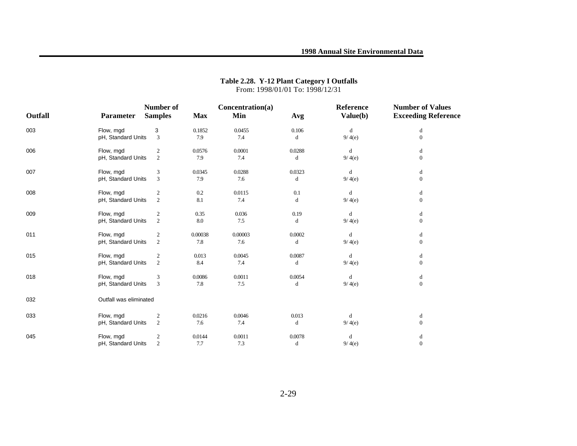|         |                        | Number of               |            | Concentration(a) |        | Reference | <b>Number of Values</b>    |
|---------|------------------------|-------------------------|------------|------------------|--------|-----------|----------------------------|
| Outfall | <b>Parameter</b>       | <b>Samples</b>          | <b>Max</b> | Min              | Avg    | Value(b)  | <b>Exceeding Reference</b> |
| 003     | Flow, mgd              | 3                       | 0.1852     | 0.0455           | 0.106  | d         | d                          |
|         | pH, Standard Units     | 3                       | 7.9        | 7.4              | d      | 9/4(e)    | $\mathbf{0}$               |
| 006     | Flow, mgd              | 2                       | 0.0576     | 0.0001           | 0.0288 | d         | d                          |
|         | pH, Standard Units     | 2                       | 7.9        | 7.4              | d      | 9/4(e)    | $\mathbf{0}$               |
| 007     | Flow, mgd              | 3                       | 0.0345     | 0.0288           | 0.0323 | d         | d                          |
|         | pH, Standard Units     | $\overline{3}$          | 7.9        | 7.6              | d      | 9/4(e)    | $\mathbf{0}$               |
| 008     | Flow, mgd              | $\overline{c}$          | 0.2        | 0.0115           | 0.1    | d         | d                          |
|         | pH, Standard Units     | $\overline{2}$          | 8.1        | 7.4              | d      | 9/4(e)    | $\boldsymbol{0}$           |
| 009     | Flow, mgd              | 2                       | 0.35       | 0.036            | 0.19   | d         | d                          |
|         | pH, Standard Units     | $\boldsymbol{2}$        | 8.0        | 7.5              | d      | 9/4(e)    | $\boldsymbol{0}$           |
| 011     | Flow, mgd              | 2                       | 0.00038    | 0.00003          | 0.0002 | d         | d                          |
|         | pH, Standard Units     | 2                       | 7.8        | 7.6              | d      | 9/4(e)    | $\bf{0}$                   |
| 015     | Flow, mgd              | $\boldsymbol{2}$        | 0.013      | 0.0045           | 0.0087 | d         | d                          |
|         | pH, Standard Units     | $\overline{c}$          | 8.4        | 7.4              | d      | 9/4(e)    | $\boldsymbol{0}$           |
| 018     | Flow, mgd              | 3                       | 0.0086     | 0.0011           | 0.0054 | d         | d                          |
|         | pH, Standard Units     | 3                       | 7.8        | 7.5              | d      | 9/4(e)    | $\boldsymbol{0}$           |
| 032     | Outfall was eliminated |                         |            |                  |        |           |                            |
| 033     | Flow, mgd              | $\overline{c}$          | 0.0216     | 0.0046           | 0.013  | d         | d                          |
|         | pH, Standard Units     | $\overline{c}$          | 7.6        | 7.4              | d      | 9/4(e)    | $\boldsymbol{0}$           |
| 045     | Flow, mgd              | $\overline{\mathbf{c}}$ | 0.0144     | 0.0011           | 0.0078 | d         | d                          |
|         | pH, Standard Units     | $\overline{2}$          | 7.7        | 7.3              | d      | 9/4(e)    | $\mathbf{0}$               |

#### **Table 2.28. Y-12 Plant Category I Outfalls** From: 1998/01/01 To: 1998/12/31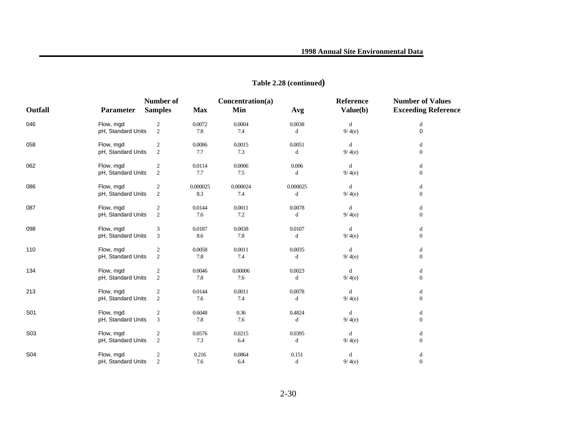|         |                    | Number of               |            | Concentration(a) |             | Reference   | <b>Number of Values</b>    |
|---------|--------------------|-------------------------|------------|------------------|-------------|-------------|----------------------------|
| Outfall | Parameter          | <b>Samples</b>          | <b>Max</b> | Min              | Avg         | Value(b)    | <b>Exceeding Reference</b> |
| 046     | Flow, mgd          | 2                       | 0.0072     | 0.0004           | 0.0038      | $\mathbf d$ | d                          |
|         | pH, Standard Units | $\overline{2}$          | 7.8        | 7.4              | d           | 9/4(e)      | $\mathbf 0$                |
| 058     | Flow, mgd          | $\overline{c}$          | 0.0086     | 0.0015           | 0.0051      | d           | d                          |
|         | pH, Standard Units | $\overline{2}$          | 7.7        | 7.3              | d           | 9/4(e)      | $\mathbf{0}$               |
| 062     | Flow, mgd          | $\overline{c}$          | 0.0114     | 0.0006           | 0.006       | d           | d                          |
|         | pH, Standard Units | $\overline{2}$          | 7.7        | 7.5              | d           | 9/4(e)      | $\boldsymbol{0}$           |
| 086     | Flow, mgd          | 2                       | 0.000025   | 0.000024         | 0.000025    | d           | d                          |
|         | pH, Standard Units | $\overline{c}$          | 8.3        | 7.4              | d           | 9/4(e)      | $\boldsymbol{0}$           |
| 087     | Flow, mgd          | $\boldsymbol{2}$        | 0.0144     | 0.0011           | 0.0078      | $\mathbf d$ | d                          |
|         | pH, Standard Units | $\overline{c}$          | 7.6        | 7.2              | d           | 9/4(e)      | $\boldsymbol{0}$           |
| 098     | Flow, mgd          | 3                       | 0.0187     | 0.0038           | 0.0107      | $\mathbf d$ | d                          |
|         | pH, Standard Units | 3                       | 8.6        | 7.8              | d           | 9/4(e)      | $\mathbf{0}$               |
| 110     | Flow, mgd          | $\overline{\mathbf{c}}$ | 0.0058     | 0.0011           | 0.0035      | d           | d                          |
|         | pH, Standard Units | 2                       | 7.8        | 7.4              | d           | 9/4(e)      | 0                          |
| 134     | Flow, mgd          | 2                       | 0.0046     | 0.00006          | 0.0023      | d           | d                          |
|         | pH, Standard Units | $\overline{c}$          | 7.8        | 7.6              | d           | 9/4(e)      | $\mathbf{0}$               |
| 213     | Flow, mgd          | 2                       | 0.0144     | 0.0011           | 0.0078      | d           | d                          |
|         | pH, Standard Units | $\overline{c}$          | 7.6        | 7.4              | d           | 9/4(e)      | $\mathbf{0}$               |
| S01     | Flow, mgd          | 2                       | 0.6048     | 0.36             | 0.4824      | d           | d                          |
|         | pH, Standard Units | 3                       | 7.8        | 7.6              | d           | 9/4(e)      | $\mathbf{0}$               |
| S03     | Flow, mgd          | 2                       | 0.0576     | 0.0215           | 0.0395      | d           | d                          |
|         | pH, Standard Units | $\overline{2}$          | 7.3        | 6.4              | d           | 9/4(e)      | $\mathbf{0}$               |
| S04     | Flow, mgd          | $\overline{\mathbf{c}}$ | 0.216      | 0.0864           | 0.151       | d           | d                          |
|         | pH, Standard Units | $\overline{2}$          | 7.6        | 6.4              | $\mathbf d$ | 9/4(e)      | $\mathbf{0}$               |

# **Table 2.28 (continued)**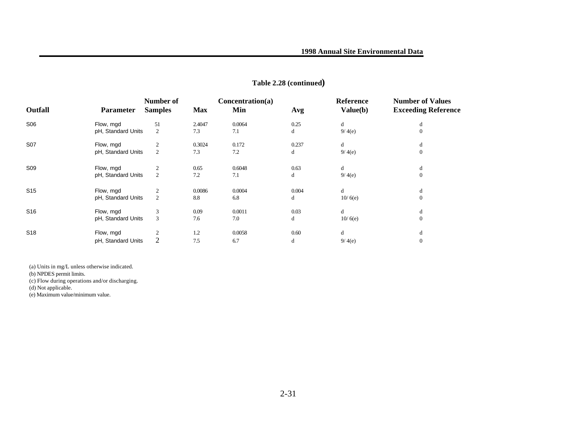| Outfall | Parameter          | Number of<br><b>Samples</b> | <b>Max</b> | Concentration(a)<br>Min | Avg   | Reference<br>Value(b) | <b>Number of Values</b><br><b>Exceeding Reference</b> |
|---------|--------------------|-----------------------------|------------|-------------------------|-------|-----------------------|-------------------------------------------------------|
| S06     | Flow, mgd          | 51                          | 2.4047     | 0.0064                  | 0.25  | d                     | d                                                     |
|         | pH, Standard Units | $\mathbf{2}$                | 7.3        | 7.1                     | d     | 9/4(e)                | $\overline{0}$                                        |
| S07     | Flow, mgd          | $\overline{2}$              | 0.3024     | 0.172                   | 0.237 | d                     | d                                                     |
|         | pH, Standard Units | 2                           | 7.3        | 7.2                     | d     | 9/4(e)                | $\boldsymbol{0}$                                      |
| S09     | Flow, mgd          | 2                           | 0.65       | 0.6048                  | 0.63  | d                     | d                                                     |
|         | pH, Standard Units | $\overline{2}$              | 7.2        | 7.1                     | d     | 9/4(e)                | $\boldsymbol{0}$                                      |
| S15     | Flow, mgd          | 2                           | 0.0086     | 0.0004                  | 0.004 | d                     | d                                                     |
|         | pH, Standard Units | $\overline{c}$              | 8.8        | 6.8                     | d     | 10/6(e)               | $\overline{0}$                                        |
| S16     | Flow, mgd          | 3                           | 0.09       | 0.0011                  | 0.03  | d                     | d                                                     |
|         | pH, Standard Units | 3                           | 7.6        | 7.0                     | d     | 10/6(e)               | $\boldsymbol{0}$                                      |
| S18     | Flow, mgd          |                             | 1.2        | 0.0058                  | 0.60  | d                     | d                                                     |
|         | pH, Standard Units | $\overline{c}$              | 7.5        | 6.7                     | d     | 9/4(e)                | $\boldsymbol{0}$                                      |

# **Table 2.28 (continued)**

(a) Units in mg/L unless otherwise indicated.

(b) NPDES permit limits.

(c) Flow during operations and/or discharging.

(d) Not applicable.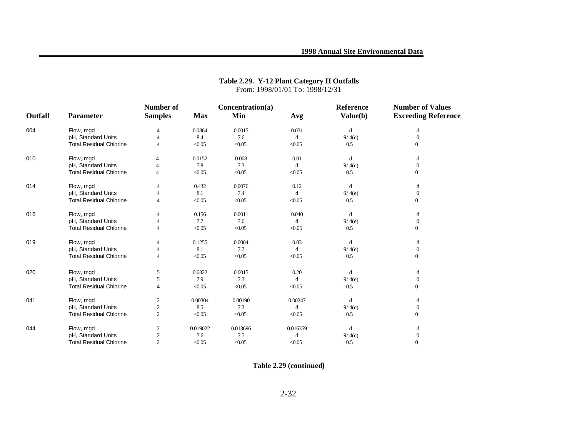|         |                                | Number of                |            | Concentration(a) |          | Reference   | <b>Number of Values</b>    |
|---------|--------------------------------|--------------------------|------------|------------------|----------|-------------|----------------------------|
| Outfall | Parameter                      | <b>Samples</b>           | <b>Max</b> | Min              | Avg      | Value(b)    | <b>Exceeding Reference</b> |
| 004     | Flow, mgd                      | 4                        | 0.0864     | 0.0015           | 0.031    | d           | d                          |
|         | pH, Standard Units             | $\overline{A}$           | 8.4        | 7.6              | d        | 9/4(e)      | $\Omega$                   |
|         | <b>Total Residual Chlorine</b> | $\overline{A}$           | < 0.05     | < 0.05           | < 0.05   | 0.5         | $\Omega$                   |
| 010     | Flow, mgd                      |                          | 0.0152     | 0.008            | 0.01     | $\mathbf d$ | d                          |
|         | pH, Standard Units             |                          | 7.8        | 7.3              | d        | 9/4(e)      | $\bf{0}$                   |
|         | <b>Total Residual Chlorine</b> | 4                        | < 0.05     | < 0.05           | < 0.05   | 0.5         | $\Omega$                   |
| 014     | Flow, mgd                      |                          | 0.432      | 0.0076           | 0.12     | d           | d                          |
|         | pH, Standard Units             |                          | 8.1        | 7.4              | d        | 9/4(e)      | $\mathbf{0}$               |
|         | <b>Total Residual Chlorine</b> |                          | < 0.05     | < 0.05           | < 0.05   | 0.5         | $\mathbf{0}$               |
| 016     | Flow, mgd                      |                          | 0.156      | 0.0011           | 0.040    | d           | d                          |
|         | pH, Standard Units             |                          | 7.7        | 7.6              | d        | 9/4(e)      | $\mathbf{0}$               |
|         | <b>Total Residual Chlorine</b> | Δ                        | < 0.05     | < 0.05           | < 0.05   | 0.5         | $\Omega$                   |
| 019     | Flow, mgd                      |                          | 0.1255     | 0.0004           | 0.03     | d           | d                          |
|         | pH, Standard Units             |                          | 8.1        | 7.7              | d        | 9/4(e)      | $\boldsymbol{0}$           |
|         | <b>Total Residual Chlorine</b> | $\boldsymbol{\varDelta}$ | < 0.05     | < 0.05           | < 0.05   | 0.5         | $\Omega$                   |
| 020     | Flow, mgd                      | 5                        | 0.6322     | 0.0015           | 0.20     | d           | d                          |
|         | pH, Standard Units             | 5                        | 7.9        | 7.3              | d        | 9/4(e)      | $\mathbf{0}$               |
|         | <b>Total Residual Chlorine</b> | $\Delta$                 | < 0.05     | < 0.05           | < 0.05   | 0.5         | $\Omega$                   |
| 041     | Flow, mgd                      | $\overline{2}$           | 0.00304    | 0.00190          | 0.00247  | $\mathbf d$ | d                          |
|         | pH, Standard Units             | 2                        | 8.5        | 7.3              | d        | 9/4(e)      | $\boldsymbol{0}$           |
|         | <b>Total Residual Chlorine</b> | $\overline{c}$           | < 0.05     | < 0.05           | < 0.05   | 0.5         | $\mathbf{0}$               |
| 044     | Flow, mgd                      |                          | 0.019022   | 0.013696         | 0.016359 | d           | d                          |
|         | pH, Standard Units             | $\overline{2}$           | 7.6        | 7.5              | d        | 9/4(e)      | $\Omega$                   |
|         | <b>Total Residual Chlorine</b> | $\overline{2}$           | < 0.05     | < 0.05           | < 0.05   | 0.5         | $\mathbf{0}$               |

#### **Table 2.29. Y-12 Plant Category II Outfalls** From: 1998/01/01 To: 1998/12/31

**Table 2.29 (continued)**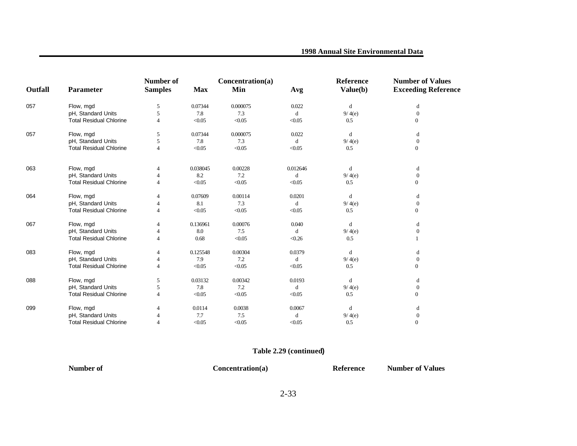|         |                                | <b>Number of</b> |            | Concentration(a) |          | Reference | <b>Number of Values</b>    |
|---------|--------------------------------|------------------|------------|------------------|----------|-----------|----------------------------|
| Outfall | Parameter                      | <b>Samples</b>   | <b>Max</b> | Min              | Avg      | Value(b)  | <b>Exceeding Reference</b> |
| 057     | Flow, mgd                      | 5                | 0.07344    | 0.000075         | 0.022    | d         | d                          |
|         | pH, Standard Units             | 5                | 7.8        | 7.3              | d        | 9/4(e)    | $\Omega$                   |
|         | <b>Total Residual Chlorine</b> | 4                | < 0.05     | < 0.05           | < 0.05   | 0.5       | $\Omega$                   |
| 057     | Flow, mgd                      | 5                | 0.07344    | 0.000075         | 0.022    | d         | d                          |
|         | pH, Standard Units             | 5                | 7.8        | 7.3              | d        | 9/4(e)    | $\boldsymbol{0}$           |
|         | <b>Total Residual Chlorine</b> | $\overline{4}$   | < 0.05     | < 0.05           | < 0.05   | 0.5       | $\mathbf{0}$               |
| 063     | Flow, mgd                      | 4                | 0.038045   | 0.00228          | 0.012646 | d         | d                          |
|         | pH, Standard Units             | 4                | 8.2        | 7.2              | d        | 9/4(e)    | $\mathbf{0}$               |
|         | <b>Total Residual Chlorine</b> | 4                | < 0.05     | < 0.05           | < 0.05   | 0.5       | $\overline{0}$             |
| 064     | Flow, mgd                      | $\overline{4}$   | 0.07609    | 0.00114          | 0.0201   | d         | d                          |
|         | pH, Standard Units             | 4                | 8.1        | 7.3              | d        | 9/4(e)    | $\mathbf{0}$               |
|         | <b>Total Residual Chlorine</b> | 4                | < 0.05     | < 0.05           | < 0.05   | 0.5       | $\overline{0}$             |
| 067     | Flow, mgd                      | 4                | 0.136961   | 0.00076          | 0.040    | d         | d                          |
|         | pH, Standard Units             | 4                | 8.0        | 7.5              | d        | 9/4(e)    | $\boldsymbol{0}$           |
|         | <b>Total Residual Chlorine</b> | $\overline{4}$   | 0.68       | < 0.05           | < 0.26   | 0.5       |                            |
| 083     | Flow, mgd                      | 4                | 0.125548   | 0.00304          | 0.0379   | d         | d                          |
|         | pH, Standard Units             | 4                | 7.9        | 7.2              | d        | 9/4(e)    | $\Omega$                   |
|         | <b>Total Residual Chlorine</b> | 4                | < 0.05     | < 0.05           | < 0.05   | 0.5       | $\Omega$                   |
| 088     | Flow, mgd                      | 5                | 0.03132    | 0.00342          | 0.0193   | d         | d                          |
|         | pH, Standard Units             | 5                | 7.8        | 7.2              | d        | 9/4(e)    | $\mathbf{0}$               |
|         | <b>Total Residual Chlorine</b> | $\overline{4}$   | < 0.05     | < 0.05           | < 0.05   | 0.5       | $\overline{0}$             |
| 099     | Flow, mgd                      | 4                | 0.0114     | 0.0038           | 0.0067   | d         | d                          |
|         | pH, Standard Units             | 4                | 7.7        | 7.5              | d        | 9/4(e)    | $\mathbf{0}$               |
|         | <b>Total Residual Chlorine</b> | 4                | < 0.05     | < 0.05           | < 0.05   | 0.5       | $\overline{0}$             |

# **1998 Annual Site Environmental Data**

# **Table 2.29 (continued)**

| Number of |  |
|-----------|--|
|           |  |

**Concentration(a) Reference Number of Values**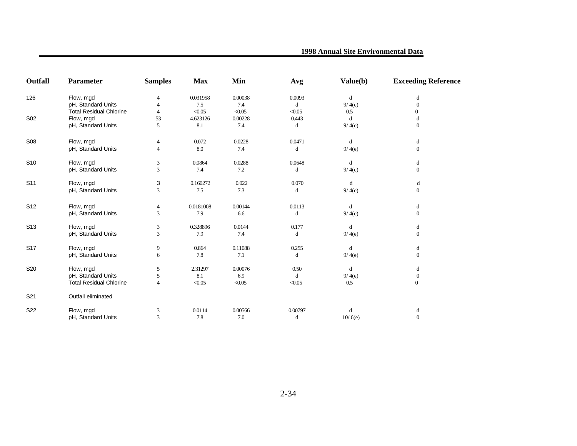| Outfall         | <b>Parameter</b>               | <b>Samples</b> | <b>Max</b> | Min     | Avg     | Value(b) | <b>Exceeding Reference</b> |
|-----------------|--------------------------------|----------------|------------|---------|---------|----------|----------------------------|
| 126             | Flow, mgd                      | 4              | 0.031958   | 0.00038 | 0.0093  | d        | d                          |
|                 | pH, Standard Units             | 4              | 7.5        | 7.4     | d       | 9/4(e)   | $\Omega$                   |
|                 | <b>Total Residual Chlorine</b> | 4              | < 0.05     | < 0.05  | < 0.05  | 0.5      | 0                          |
| <b>S02</b>      | Flow, mgd                      | 53             | 4.623126   | 0.00228 | 0.443   | d        | d                          |
|                 | pH, Standard Units             | 5              | 8.1        | 7.4     | d       | 9/4(e)   | $\mathbf{0}$               |
| <b>S08</b>      | Flow, mgd                      | 4              | 0.072      | 0.0228  | 0.0471  | d        | d                          |
|                 | pH, Standard Units             | $\overline{4}$ | 8.0        | 7.4     | d       | 9/4(e)   | $\mathbf{0}$               |
| S10             | Flow, mgd                      | 3              | 0.0864     | 0.0288  | 0.0648  | d        | d                          |
|                 | pH, Standard Units             | 3              | 7.4        | 7.2     | d       | 9/4(e)   | $\mathbf{0}$               |
| S <sub>11</sub> | Flow, mgd                      | 3              | 0.160272   | 0.022   | 0.070   | d        | d                          |
|                 | pH, Standard Units             | 3              | 7.5        | 7.3     | d       | 9/4(e)   | $\mathbf{0}$               |
| S <sub>12</sub> | Flow, mgd                      | 4              | 0.0181008  | 0.00144 | 0.0113  | d        | d                          |
|                 | pH, Standard Units             | 3              | 7.9        | 6.6     | d       | 9/4(e)   | $\mathbf{0}$               |
| S <sub>13</sub> | Flow, mgd                      | 3              | 0.328896   | 0.0144  | 0.177   | d        | d                          |
|                 | pH, Standard Units             | 3              | 7.9        | 7.4     | d       | 9/4(e)   | $\mathbf{0}$               |
| S <sub>17</sub> | Flow, mgd                      | 9              | 0.864      | 0.11088 | 0.255   | d        | d                          |
|                 | pH, Standard Units             | 6              | 7.8        | 7.1     | d       | 9/4(e)   | $\theta$                   |
| <b>S20</b>      | Flow, mgd                      | 5              | 2.31297    | 0.00076 | 0.50    | d        | d                          |
|                 | pH, Standard Units             | 5              | 8.1        | 6.9     | d       | 9/4(e)   | $\mathbf{0}$               |
|                 | <b>Total Residual Chlorine</b> | $\overline{4}$ | < 0.05     | < 0.05  | < 0.05  | 0.5      | $\overline{0}$             |
| S21             | Outfall eliminated             |                |            |         |         |          |                            |
| <b>S22</b>      | Flow, mgd                      | 3              | 0.0114     | 0.00566 | 0.00797 | d        | d                          |
|                 | pH, Standard Units             | 3              | 7.8        | 7.0     | d       | 10/6(e)  | $\mathbf{0}$               |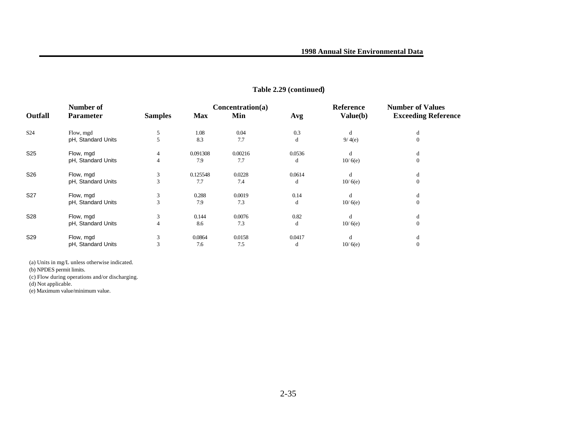|                 | Number of<br>Parameter |                | Concentration(a) |         |        | Reference | <b>Number of Values</b>    |
|-----------------|------------------------|----------------|------------------|---------|--------|-----------|----------------------------|
| Outfall         |                        | <b>Samples</b> | <b>Max</b>       | Min     | Avg    | Value(b)  | <b>Exceeding Reference</b> |
| S24             | Flow, mgd              | 5              | 1.08             | 0.04    | 0.3    | d         | d                          |
|                 | pH, Standard Units     | 5              | 8.3              | 7.7     | d      | 9/4(e)    | $\theta$                   |
| S25             | Flow, mgd              | $\overline{4}$ | 0.091308         | 0.00216 | 0.0536 | d         | d                          |
|                 | pH, Standard Units     | 4              | 7.9              | 7.7     | d      | 10/6(e)   | $\mathbf{0}$               |
| S <sub>26</sub> | Flow, mgd              | 3              | 0.125548         | 0.0228  | 0.0614 | d         | d                          |
|                 | pH, Standard Units     | 3              | 7.7              | 7.4     | d      | 10/6(e)   | $\theta$                   |
| S27             | Flow, mgd              | 3              | 0.288            | 0.0019  | 0.14   | d         | d                          |
|                 | pH, Standard Units     | 3              | 7.9              | 7.3     | d      | 10/6(e)   | $\mathbf{0}$               |
| S28             | Flow, mgd              | 3              | 0.144            | 0.0076  | 0.82   | d         | d                          |
|                 | pH, Standard Units     | 4              | 8.6              | 7.3     | d      | 10/6(e)   | $\overline{0}$             |
| S29             | Flow, mgd              | 3              | 0.0864           | 0.0158  | 0.0417 | d         | d                          |
|                 | pH, Standard Units     | 3              | 7.6              | 7.5     | d      | 10/6(e)   | $\Omega$                   |

# **Table 2.29 (continued)**

(a) Units in mg/L unless otherwise indicated.

(b) NPDES permit limits.

(c) Flow during operations and/or discharging.

(d) Not applicable.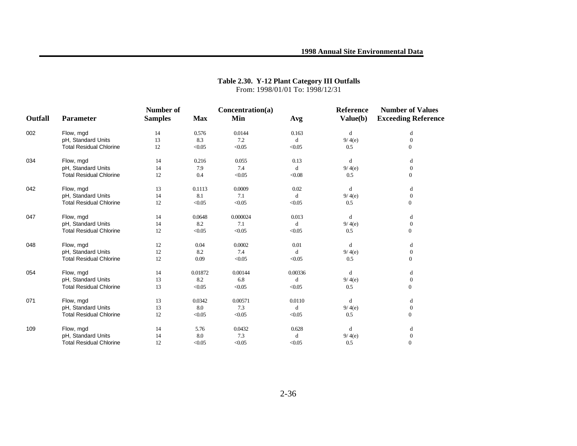| Outfall | <b>Parameter</b>               | Number of      |            | Concentration(a) |         | Reference | <b>Number of Values</b>    |
|---------|--------------------------------|----------------|------------|------------------|---------|-----------|----------------------------|
|         |                                | <b>Samples</b> | <b>Max</b> | Min              | Avg     | Value(b)  | <b>Exceeding Reference</b> |
| 002     | Flow, mgd                      | 14             | 0.576      | 0.0144           | 0.163   | d         | d                          |
|         | pH, Standard Units             | 13             | 8.3        | 7.2              | d       | 9/4(e)    | $\Omega$                   |
|         | <b>Total Residual Chlorine</b> | 12             | < 0.05     | < 0.05           | < 0.05  | 0.5       | $\overline{0}$             |
| 034     | Flow, mgd                      | 14             | 0.216      | 0.055            | 0.13    | d         | d                          |
|         | pH, Standard Units             | 14             | 7.9        | 7.4              | d       | 9/4(e)    | $\mathbf{0}$               |
|         | <b>Total Residual Chlorine</b> | 12             | 0.4        | < 0.05           | < 0.08  | 0.5       | $\overline{0}$             |
| 042     | Flow, mgd                      | 13             | 0.1113     | 0.0009           | 0.02    | d         | d                          |
|         | pH, Standard Units             | 14             | 8.1        | 7.1              | d       | 9/4(e)    | $\mathbf{0}$               |
|         | <b>Total Residual Chlorine</b> | 12             | < 0.05     | < 0.05           | < 0.05  | 0.5       | $\Omega$                   |
| 047     | Flow, mgd                      | 14             | 0.0648     | 0.000024         | 0.013   | d         | d                          |
|         | pH, Standard Units             | 14             | 8.2        | 7.1              | d       | 9/4(e)    | $\mathbf{0}$               |
|         | <b>Total Residual Chlorine</b> | 12             | < 0.05     | < 0.05           | < 0.05  | 0.5       | $\boldsymbol{0}$           |
| 048     | Flow, mgd                      | 12             | 0.04       | 0.0002           | 0.01    | d         | d                          |
|         | pH, Standard Units             | 12             | 8.2        | 7.4              | d       | 9/4(e)    | $\mathbf{0}$               |
|         | <b>Total Residual Chlorine</b> | 12             | 0.09       | < 0.05           | < 0.05  | 0.5       | $\overline{0}$             |
| 054     | Flow, mgd                      | 14             | 0.01872    | 0.00144          | 0.00336 | d         | d                          |
|         | pH, Standard Units             | 13             | 8.2        | 6.8              | d       | 9/4(e)    | $\boldsymbol{0}$           |
|         | <b>Total Residual Chlorine</b> | 13             | < 0.05     | < 0.05           | < 0.05  | 0.5       | $\Omega$                   |
| 071     | Flow, mgd                      | 13             | 0.0342     | 0.00571          | 0.0110  | d         | d                          |
|         | pH, Standard Units             | 13             | 8.0        | 7.3              | d       | 9/4(e)    | $\mathbf{0}$               |
|         | <b>Total Residual Chlorine</b> | 12             | < 0.05     | < 0.05           | < 0.05  | 0.5       | $\overline{0}$             |
| 109     | Flow, mgd                      | 14             | 5.76       | 0.0432           | 0.628   | d         | d                          |
|         | pH, Standard Units             | 14             | 8.0        | 7.3              | d       | 9/4(e)    | $\boldsymbol{0}$           |
|         | <b>Total Residual Chlorine</b> | 12             | < 0.05     | < 0.05           | < 0.05  | 0.5       | $\mathbf{0}$               |

#### **Table 2.30. Y-12 Plant Category III Outfalls** From: 1998/01/01 To: 1998/12/31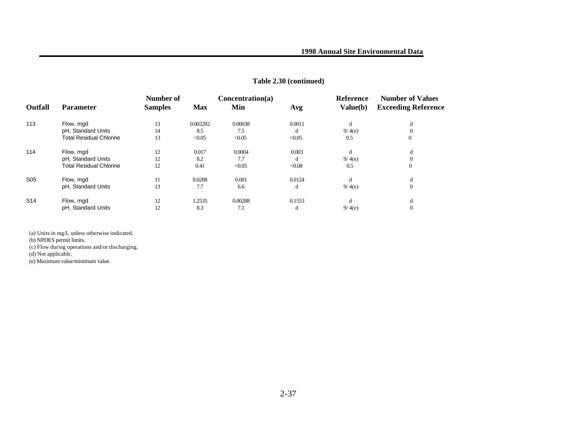|         |                                | Number of      |            | Concentration(a) |        | <b>Reference</b> | <b>Number of Values</b>    |  |
|---------|--------------------------------|----------------|------------|------------------|--------|------------------|----------------------------|--|
| Outfall | <b>Parameter</b>               | <b>Samples</b> | <b>Max</b> | Min              | Avg    | Value(b)         | <b>Exceeding Reference</b> |  |
| 113     | Flow, mgd                      | 13             | 0.002282   | 0.00038          | 0.0011 | d                |                            |  |
|         | pH, Standard Units             | 14             | 8.5        | 7.5              | d      | 9/4(e)           | $\Omega$                   |  |
|         | Total Residual Chlorine        | 13             | < 0.05     | < 0.05           | < 0.05 | 0.5              | $\theta$                   |  |
| 114     | Flow, mgd                      | 12             | 0.017      | 0.0004           | 0.003  | d                |                            |  |
|         | pH, Standard Units             | 12             | 8.2        | 7.7              | d      | 9/4(e)           | $\mathbf{0}$               |  |
|         | <b>Total Residual Chlorine</b> | 12             | 0.41       | < 0.05           | < 0.08 | 0.5              | $\Omega$                   |  |
| S05     | Flow, mgd                      | 11             | 0.0288     | 0.001            | 0.0124 | d                | đ                          |  |
|         | pH, Standard Units             | 13             | 7.7        | 6.6              | d      | 9/4(e)           | $\mathbf{0}$               |  |
| S14     | Flow, mgd                      | 12             | 1.2535     | 0.00288          | 0.1553 | d                | d                          |  |
|         | pH, Standard Units             | 12             | 8.3        | 7.1              | d      | 9/4(e)           | 0                          |  |

#### **Table 2.30 (continued)**

(a) Units in mg/L unless otherwise indicated.

(b) NPDES permit limits.

(c) Flow during operations and/or discharging.

 $(d)$  Not applicable.

(e) Maximum value/minimum value.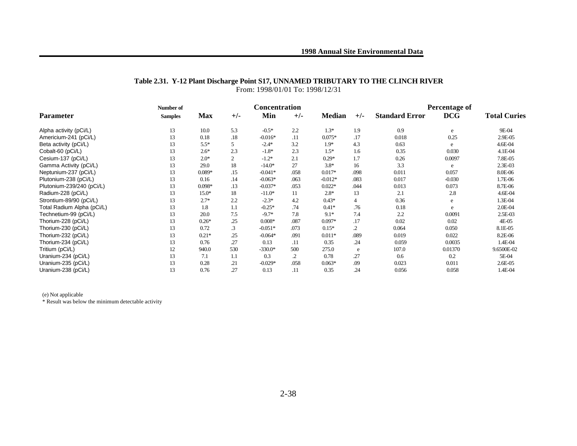|                            | Number of      | <b>Concentration</b> |                |           |       |               |       |                       | Percentage of |                     |
|----------------------------|----------------|----------------------|----------------|-----------|-------|---------------|-------|-----------------------|---------------|---------------------|
| Parameter                  | <b>Samples</b> | <b>Max</b>           | $+/-$          | Min       | $+/-$ | <b>Median</b> | $+/-$ | <b>Standard Error</b> | <b>DCG</b>    | <b>Total Curies</b> |
| Alpha activity (pCi/L)     | 13             | 10.0                 | 5.3            | $-0.5*$   | 2.2   | $1.3*$        | 1.9   | 0.9                   | e             | 9E-04               |
| Americium-241 (pCi/L)      | 13             | 0.18                 | .18            | $-0.016*$ | .11   | $0.075*$      | .17   | 0.018                 | 0.25          | 2.9E-05             |
| Beta activity (pCi/L)      | 13             | $5.5*$               |                | $-2.4*$   | 3.2   | $1.9*$        | 4.3   | 0.63                  | e             | 4.6E-04             |
| Cobalt-60 (pCi/L)          | 13             | $2.6*$               | 2.3            | $-1.8*$   | 2.3   | $1.5*$        | 1.6   | 0.35                  | 0.030         | 4.1E-04             |
| Cesium-137 (pCi/L)         | 13             | $2.0*$               | $\overline{c}$ | $-1.2*$   | 2.1   | $0.29*$       | 1.7   | 0.26                  | 0.0097        | 7.8E-05             |
| Gamma Activity (pCi/L)     | 13             | 29.0                 | 18             | $-14.0*$  | 27    | $3.8*$        | 16    | 3.3                   | e             | 2.3E-03             |
| Neptunium-237 (pCi/L)      | 13             | 0.089*               | .15            | $-0.041*$ | .058  | $0.017*$      | .098  | 0.011                 | 0.057         | 8.0E-06             |
| Plutonium-238 (pCi/L)      | 13             | 0.16                 | .14            | $-0.063*$ | .063  | $-0.012*$     | .083  | 0.017                 | $-0.030$      | 1.7E-06             |
| Plutonium-239/240 (pCi/L)  | 13             | $0.098*$             | .13            | $-0.037*$ | .053  | $0.022*$      | .044  | 0.013                 | 0.073         | 8.7E-06             |
| Radium-228 (pCi/L)         | 13             | $15.0*$              | 18             | $-11.0*$  | 11    | $2.8*$        | 13    | 2.1                   | 2.8           | 4.6E-04             |
| Strontium-89/90 (pCi/L)    | 13             | $2.7*$               | 2.2            | $-2.3*$   | 4.2   | $0.43*$       | 4     | 0.36                  | e             | 1.3E-04             |
| Total Radium Alpha (pCi/L) | 13             | 1.8                  | 1.1            | $-0.25*$  | .74   | $0.41*$       | .76   | 0.18                  | e             | 2.0E-04             |
| Technetium-99 (pCi/L)      | 13             | 20.0                 | 7.5            | $-9.7*$   | 7.8   | $9.1*$        | 7.4   | 2.2                   | 0.0091        | 2.5E-03             |
| Thorium-228 (pCi/L)        | 13             | $0.26*$              | .25            | $0.008*$  | .087  | $0.097*$      | .17   | 0.02                  | 0.02          | 4E-05               |
| Thorium-230 (pCi/L)        | 13             | 0.72                 | $\cdot$ 3      | $-0.051*$ | .073  | $0.15*$       | .2    | 0.064                 | 0.050         | 8.1E-05             |
| Thorium-232 (pCi/L)        | 13             | $0.21*$              | .25            | $-0.064*$ | .091  | $0.011*$      | .089  | 0.019                 | 0.022         | 8.2E-06             |
| Thorium-234 (pCi/L)        | 13             | 0.76                 | .27            | 0.13      | .11   | 0.35          | .24   | 0.059                 | 0.0035        | 1.4E-04             |
| Tritium (pCi/L)            | 12             | 940.0                | 530            | $-330.0*$ | 500   | 275.0         | e     | 107.0                 | 0.01370       | 9.6500E-02          |
| Uranium-234 (pCi/L)        | 13             | 7.1                  | 1.1            | 0.3       | .2    | 0.78          | .27   | 0.6                   | 0.2           | 5E-04               |
| Uranium-235 (pCi/L)        | 13             | 0.28                 | .21            | $-0.029*$ | .058  | $0.063*$      | .09   | 0.023                 | 0.011         | 2.6E-05             |
| Uranium-238 (pCi/L)        | 13             | 0.76                 | .27            | 0.13      | .11   | 0.35          | .24   | 0.056                 | 0.058         | 1.4E-04             |

#### **Table 2.31. Y-12 Plant Discharge Point S17, UNNAMED TRIBUTARY TO THE CLINCH RIVER** From: 1998/01/01 To: 1998/12/31

(e) Not applicable

\* Result was below the minimum detectable activity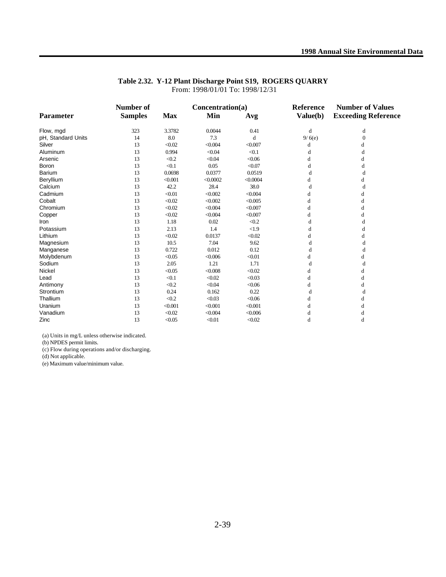|                    | Number of      |            | Concentration(a) |          | Reference | <b>Number of Values</b>    |  |  |  |
|--------------------|----------------|------------|------------------|----------|-----------|----------------------------|--|--|--|
| Parameter          | <b>Samples</b> | <b>Max</b> | Min              | Avg      | Value(b)  | <b>Exceeding Reference</b> |  |  |  |
| Flow, mgd          | 323            | 3.3782     | 0.0044           | 0.41     | d         | d                          |  |  |  |
| pH, Standard Units | 14             | 8.0        | 7.3              | d        | 9/6(e)    | $\mathbf{0}$               |  |  |  |
| Silver             | 13             | < 0.02     | < 0.004          | < 0.007  | d         | d                          |  |  |  |
| Aluminum           | 13             | 0.994      | < 0.04           | < 0.1    | d         | d                          |  |  |  |
| Arsenic            | 13             | < 0.2      | < 0.04           | < 0.06   | d         | d                          |  |  |  |
| Boron              | 13             | < 0.1      | 0.05             | < 0.07   | d         | d                          |  |  |  |
| Barium             | 13             | 0.0698     | 0.0377           | 0.0519   | d         | d                          |  |  |  |
| Beryllium          | 13             | < 0.001    | < 0.0002         | < 0.0004 | d         | d                          |  |  |  |
| Calcium            | 13             | 42.2       | 28.4             | 38.0     | d         | d                          |  |  |  |
| Cadmium            | 13             | < 0.01     | < 0.002          | < 0.004  | d         | d                          |  |  |  |
| Cobalt             | 13             | < 0.02     | < 0.002          | < 0.005  | d         | d                          |  |  |  |
| Chromium           | 13             | < 0.02     | < 0.004          | < 0.007  | d         | d                          |  |  |  |
| Copper             | 13             | < 0.02     | < 0.004          | < 0.007  | d         | d                          |  |  |  |
| Iron               | 13             | 1.18       | 0.02             | < 0.2    | d         | d                          |  |  |  |
| Potassium          | 13             | 2.13       | 1.4              | < 1.9    | d         | d                          |  |  |  |
| Lithium            | 13             | < 0.02     | 0.0137           | < 0.02   | d         | d                          |  |  |  |
| Magnesium          | 13             | 10.5       | 7.04             | 9.62     | d         | d                          |  |  |  |
| Manganese          | 13             | 0.722      | 0.012            | 0.12     | d         | d                          |  |  |  |
| Molybdenum         | 13             | < 0.05     | < 0.006          | < 0.01   | d         | d                          |  |  |  |
| Sodium             | 13             | 2.05       | 1.21             | 1.71     | d         | d                          |  |  |  |
| Nickel             | 13             | < 0.05     | < 0.008          | < 0.02   | d         | d                          |  |  |  |
| Lead               | 13             | < 0.1      | < 0.02           | < 0.03   | d         | d                          |  |  |  |
| Antimony           | 13             | < 0.2      | < 0.04           | < 0.06   | d         | d                          |  |  |  |
| Strontium          | 13             | 0.24       | 0.162            | 0.22     | d         | d                          |  |  |  |
| Thallium           | 13             | < 0.2      | < 0.03           | < 0.06   | d         | d                          |  |  |  |
| Uranium            | 13             | < 0.001    | < 0.001          | < 0.001  | d         | d                          |  |  |  |
| Vanadium           | 13             | < 0.02     | < 0.004          | < 0.006  | d         | d                          |  |  |  |
| Zinc               | 13             | < 0.05     | < 0.01           | < 0.02   | d         | d                          |  |  |  |

### **Table 2.32. Y-12 Plant Discharge Point S19, ROGERS QUARRY** From: 1998/01/01 To: 1998/12/31

(a) Units in mg/L unless otherwise indicated.

(b) NPDES permit limits.

(c) Flow during operations and/or discharging.

(d) Not applicable.

(e) Maximum value/minimum value.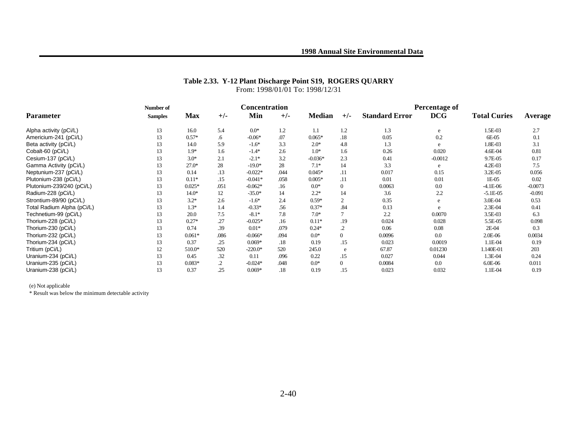|                            | Number of      |            |       | Concentration |       |               |                |                       | Percentage of |                     |           |
|----------------------------|----------------|------------|-------|---------------|-------|---------------|----------------|-----------------------|---------------|---------------------|-----------|
| Parameter                  | <b>Samples</b> | <b>Max</b> | $+/-$ | Min           | $+/-$ | <b>Median</b> | $+/-$          | <b>Standard Error</b> | <b>DCG</b>    | <b>Total Curies</b> | Average   |
| Alpha activity (pCi/L)     | 13             | 16.0       | 5.4   | $0.0*$        | 1.2   | 1.1           | 1.2            | 1.3                   | e             | 1.5E-03             | 2.7       |
| Americium-241 (pCi/L)      | 13             | $0.57*$    | .6    | $-0.06*$      | .07   | $0.065*$      | .18            | 0.05                  | 0.2           | 6E-05               | 0.1       |
| Beta activity (pCi/L)      | 13             | 14.0       | 5.9   | $-1.6*$       | 3.3   | $2.0*$        | 4.8            | 1.3                   | e             | 1.8E-03             | 3.1       |
| Cobalt-60 (pCi/L)          | 13             | $1.9*$     | 1.6   | $-1.4*$       | 2.6   | $1.0*$        | 1.6            | 0.26                  | 0.020         | 4.6E-04             | 0.81      |
| Cesium-137 (pCi/L)         | 13             | $3.0*$     | 2.1   | $-2.1*$       | 3.2   | $-0.036*$     | 2.3            | 0.41                  | $-0.0012$     | 9.7E-05             | 0.17      |
| Gamma Activity (pCi/L)     | 13             | $27.0*$    | 28    | $-19.0*$      | 28    | $7.1*$        | 14             | 3.3                   | e             | 4.2E-03             | 7.5       |
| Neptunium-237 (pCi/L)      | 13             | 0.14       | .13   | $-0.022*$     | .044  | $0.045*$      | .11            | 0.017                 | 0.15          | 3.2E-05             | 0.056     |
| Plutonium-238 (pCi/L)      | 13             | $0.11*$    | .15   | $-0.041*$     | .058  | $0.005*$      | .11            | 0.01                  | 0.01          | 1E-05               | 0.02      |
| Plutonium-239/240 (pCi/L)  | 13             | $0.025*$   | .051  | $-0.062*$     | .16   | $0.0*$        |                | 0.0063                | 0.0           | $-4.1E-06$          | $-0.0073$ |
| Radium-228 (pCi/L)         | 13             | $14.0*$    | 12    | $-35.0*$      | 14    | $2.2*$        | 14             | 3.6                   | 2.2           | $-5.1E-05$          | $-0.091$  |
| Strontium-89/90 (pCi/L)    | 13             | $3.2*$     | 2.6   | $-1.6*$       | 2.4   | $0.59*$       |                | 0.35                  | $\epsilon$    | 3.0E-04             | 0.53      |
| Total Radium Alpha (pCi/L) | 13             | $1.3*$     | 1.4   | $-0.33*$      | .56   | $0.37*$       | .84            | 0.13                  |               | 2.3E-04             | 0.41      |
| Technetium-99 (pCi/L)      | 13             | 20.0       | 7.5   | $-8.1*$       | 7.8   | $7.0*$        |                | 2.2                   | 0.0070        | 3.5E-03             | 6.3       |
| Thorium-228 (pCi/L)        | 13             | $0.27*$    | .27   | $-0.025*$     | .16   | $0.11*$       | .19            | 0.024                 | 0.028         | 5.5E-05             | 0.098     |
| Thorium-230 (pCi/L)        | 13             | 0.74       | .39   | $0.01*$       | .079  | $0.24*$       | $\overline{c}$ | 0.06                  | 0.08          | 2E-04               | 0.3       |
| Thorium-232 (pCi/L)        | 13             | $0.061*$   | .086  | $-0.066*$     | .094  | $0.0*$        | $\Omega$       | 0.0096                | 0.0           | 2.0E-06             | 0.0034    |
| Thorium-234 (pCi/L)        | 13             | 0.37       | .25   | $0.069*$      | .18   | 0.19          | .15            | 0.023                 | 0.0019        | 1.1E-04             | 0.19      |
| Tritium (pCi/L)            | 12             | 510.0*     | 520   | $-220.0*$     | 520   | 245.0         | e              | 67.87                 | 0.01230       | 1.140E-01           | 203       |
| Uranium-234 (pCi/L)        | 13             | 0.45       | .32   | 0.11          | .096  | 0.22          | .15            | 0.027                 | 0.044         | 1.3E-04             | 0.24      |
| Uranium-235 (pCi/L)        | 13             | $0.083*$   |       | $-0.024*$     | .048  | $0.0*$        | $\Omega$       | 0.0084                | 0.0           | 6.0E-06             | 0.011     |
| Uranium-238 (pCi/L)        | 13             | 0.37       | 25    | $0.069*$      | .18   | 0.19          | .15            | 0.023                 | 0.032         | 1.1E-04             | 0.19      |

#### **Table 2.33. Y-12 Plant Discharge Point S19, ROGERS QUARRY** From: 1998/01/01 To: 1998/12/31

(e) Not applicable

\* Result was below the minimum detectable activity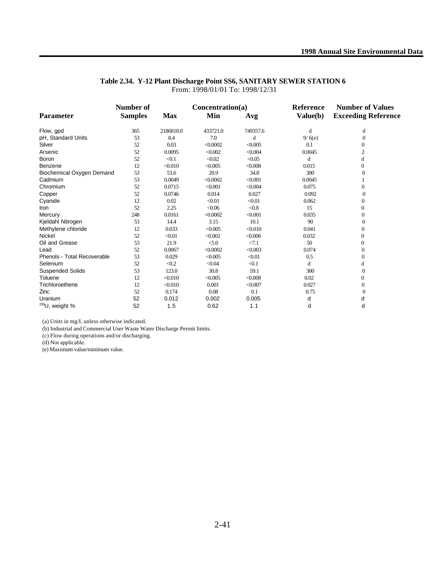|                             | Number of      |            | Concentration(a) |          | <b>Reference</b> | <b>Number of Values</b>    |
|-----------------------------|----------------|------------|------------------|----------|------------------|----------------------------|
| Parameter                   | <b>Samples</b> | <b>Max</b> | Min              | Avg      | Value(b)         | <b>Exceeding Reference</b> |
| Flow, gpd                   | 365            | 2186818.0  | 433721.0         | 749357.6 | d                | d                          |
| pH, Standard Units          | 53             | 8.4        | 7.0              | d        | 9/6(e)           | $\Omega$                   |
| Silver                      | 52             | 0.03       | < 0.0002         | < 0.005  | 0.1              | 0                          |
| Arsenic                     | 52             | 0.0095     | < 0.002          | < 0.004  | 0.0045           | 2                          |
| Boron                       | 52             | < 0.1      | < 0.02           | < 0.05   | d                | d                          |
| Benzene                     | 12             | < 0.010    | < 0.005          | < 0.008  | 0.015            | $\Omega$                   |
| Biochemical Oxygen Demand   | 53             | 53.6       | 20.9             | 34.8     | 300              | 0                          |
| Cadmium                     | 53             | 0.0049     | < 0.0002         | < 0.001  | 0.0045           |                            |
| Chromium                    | 52             | 0.0715     | < 0.001          | < 0.004  | 0.075            | 0                          |
| Copper                      | 52             | 0.0746     | 0.014            | 0.027    | 0.092            | $\Omega$                   |
| Cyanide                     | 12             | 0.02       | < 0.01           | < 0.01   | 0.062            | 0                          |
| Iron                        | 52             | 2.25       | < 0.06           | < 0.8    | 15               | 0                          |
| Mercury                     | 248            | 0.0161     | < 0.0002         | < 0.001  | 0.035            | 0                          |
| Kjeldahl Nitrogen           | 53             | 14.4       | 3.15             | 10.1     | 90               | 0                          |
| Methylene chloride          | 12             | 0.033      | < 0.005          | < 0.010  | 0.041            | 0                          |
| Nickel                      | 52             | < 0.01     | < 0.002          | < 0.006  | 0.032            | 0                          |
| Oil and Grease              | 53             | 21.9       | < 5.0            | < 7.1    | 50               | $\Omega$                   |
| Lead                        | 52             | 0.0067     | < 0.0002         | < 0.003  | 0.074            | 0                          |
| Phenols - Total Recoverable | 53             | 0.029      | < 0.005          | < 0.01   | 0.5              | 0                          |
| Selenium                    | 52             | < 0.2      | < 0.04           | < 0.1    | d                | d                          |
| <b>Suspended Solids</b>     | 53             | 123.0      | 30.8             | 59.1     | 300              | $\Omega$                   |
| Toluene                     | 12             | < 0.010    | < 0.005          | < 0.008  | 0.02             | 0                          |
| Trichloroethene             | 12             | < 0.010    | 0.001            | < 0.007  | 0.027            | 0                          |
| Zinc                        | 52             | 0.174      | 0.08             | 0.1      | 0.75             | $\mathbf{0}$               |
| Uranium                     | 52             | 0.012      | 0.002            | 0.005    | d                | d                          |
| <sup>235</sup> U, weight %  | 52             | 1.5        | 0.62             | 1.1      | d                | d                          |
|                             |                |            |                  |          |                  |                            |

#### **Table 2.34. Y-12 Plant Discharge Point SS6, SANITARY SEWER STATION 6** From: 1998/01/01 To: 1998/12/31

(a) Units in mg/L unless otherwise indicated.

(b) Industrial and Commercial User Waste Water Discharge Permit limits.

(c) Flow during operations and/or discharging.

(d) Not applicable.

(e) Maximum value/minimum value.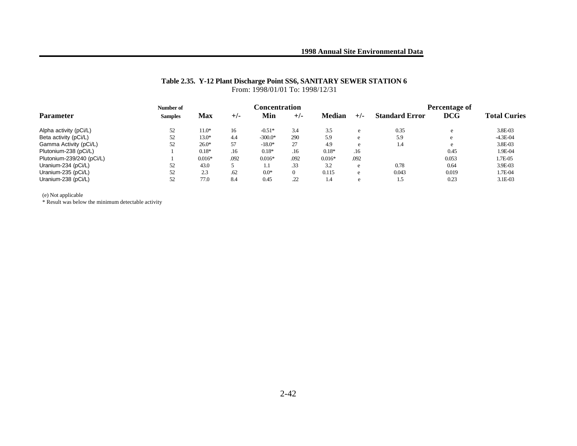| Table 2.35. Y-12 Plant Discharge Point SS6, SANITARY SEWER STATION 6 |
|----------------------------------------------------------------------|
| From: $1998/01/01$ To: $1998/12/31$                                  |

|                           | Number of      |          |       | Concentration_ |          |               |          |                       | Percentage of |                     |
|---------------------------|----------------|----------|-------|----------------|----------|---------------|----------|-----------------------|---------------|---------------------|
| <b>Parameter</b>          | <b>Samples</b> | Max      | $+/-$ | Min            | $+/-$    | <b>Median</b> | $+/-$    | <b>Standard Error</b> | <b>DCG</b>    | <b>Total Curies</b> |
| Alpha activity (pCi/L)    | 52             | $11.0*$  | 16    | $-0.51*$       | 3.4      | 3.5           |          | 0.35                  | e             | 3.8E-03             |
| Beta activity (pCi/L)     | 52             | $13.0*$  | 4.4   | $-300.0*$      | 290      | 5.9           | e        | 5.9                   | e             | $-4.3E-04$          |
| Gamma Activity (pCi/L)    | 52             | $26.0*$  | 57    | $-18.0*$       | 27       | 4.9           |          | 1.4                   | e             | 3.8E-03             |
| Plutonium-238 (pCi/L)     |                | $0.18*$  | .16   | $0.18*$        | .16      | $0.18*$       | .16      |                       | 0.45          | 1.9E-04             |
| Plutonium-239/240 (pCi/L) |                | $0.016*$ | .092  | $0.016*$       | .092     | $0.016*$      | .092     |                       | 0.053         | 1.7E-05             |
| Uranium-234 (pCi/L)       | 52             | 43.0     |       | 1.1            | .33      | 3.2           | e        | 0.78                  | 0.64          | 3.9E-03             |
| Uranium-235 (pCi/L)       | 52             | 2.3      | .62   | $0.0*$         | $\Omega$ | 0.115         | e        | 0.043                 | 0.019         | 1.7E-04             |
| Uranium-238 (pCi/L)       | 52             | 77.0     | 8.4   | 0.45           | .22      | 1.4           | $\Delta$ | 1.5                   | 0.23          | 3.1E-03             |

(e) Not applicable

\* Result was below the minimum detectable activity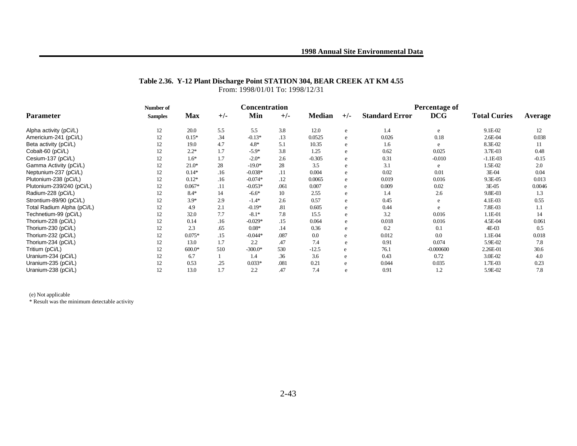|                            | Number of      |          |       |           | <b>Concentration</b> |          |       | Percentage of         |             |                     |                |
|----------------------------|----------------|----------|-------|-----------|----------------------|----------|-------|-----------------------|-------------|---------------------|----------------|
| Parameter                  | <b>Samples</b> | Max      | $+/-$ | Min       | $+/-$                | Median   | $+/-$ | <b>Standard Error</b> | <b>DCG</b>  | <b>Total Curies</b> | <b>Average</b> |
| Alpha activity (pCi/L)     | 12             | 20.0     | 5.5   | 5.5       | 3.8                  | 12.0     | e     | 1.4                   | e           | 9.1E-02             | 12             |
| Americium-241 (pCi/L)      | 12             | $0.15*$  | .34   | $-0.13*$  | .13                  | 0.0525   | e     | 0.026                 | 0.18        | 2.6E-04             | 0.038          |
| Beta activity (pCi/L)      | 12             | 19.0     | 4.7   | $4.8*$    | 5.1                  | 10.35    | e     | 1.6                   |             | 8.3E-02             |                |
| Cobalt-60 (pCi/L)          | 12             | $2.2*$   | 1.7   | $-5.9*$   | 3.8                  | 1.25     | e     | 0.62                  | 0.025       | 3.7E-03             | 0.48           |
| Cesium-137 (pCi/L)         | 12             | $1.6*$   | 1.7   | $-2.0*$   | 2.6                  | $-0.305$ | e     | 0.31                  | $-0.010$    | $-1.1E-03$          | $-0.15$        |
| Gamma Activity (pCi/L)     | 12             | $21.0*$  | 28    | $-19.0*$  | 28                   | 3.5      | e     | 3.1                   | e           | 1.5E-02             | 2.0            |
| Neptunium-237 (pCi/L)      | 12             | $0.14*$  | .16   | $-0.038*$ | .11                  | 0.004    | e     | 0.02                  | 0.01        | 3E-04               | 0.04           |
| Plutonium-238 (pCi/L)      | 12             | $0.12*$  | .16   | $-0.074*$ | .12                  | 0.0065   | e     | 0.019                 | 0.016       | 9.3E-05             | 0.013          |
| Plutonium-239/240 (pCi/L)  | 12             | $0.067*$ | .11   | $-0.053*$ | .061                 | 0.007    | e     | 0.009                 | 0.02        | 3E-05               | 0.0046         |
| Radium-228 (pCi/L)         | 12             | $8.4*$   | 14    | $-6.6*$   | 10                   | 2.55     | e     | 1.4                   | 2.6         | 9.8E-03             | 1.3            |
| Strontium-89/90 (pCi/L)    | 12             | $3.9*$   | 2.9   | $-1.4*$   | 2.6                  | 0.57     | e     | 0.45                  |             | 4.1E-03             | 0.55           |
| Total Radium Alpha (pCi/L) | 12             | 4.9      | 2.1   | $-0.19*$  | .81                  | 0.605    |       | 0.44                  |             | 7.8E-03             | 1.1            |
| Technetium-99 (pCi/L)      | 12             | 32.0     | 7.7   | $-8.1*$   | 7.8                  | 15.5     | e     | 3.2                   | 0.016       | 1.1E-01             | 14             |
| Thorium-228 (pCi/L)        | 12             | 0.14     | .16   | $-0.029*$ | .15                  | 0.064    |       | 0.018                 | 0.016       | 4.5E-04             | 0.061          |
| Thorium-230 (pCi/L)        | 12             | 2.3      | .65   | $0.08*$   | .14                  | 0.36     |       | 0.2                   | 0.1         | 4E-03               | 0.5            |
| Thorium-232 (pCi/L)        | 12             | $0.075*$ | .15   | $-0.044*$ | .087                 | 0.0      | e     | 0.012                 | 0.0         | 1.1E-04             | 0.018          |
| Thorium-234 (pCi/L)        | 12             | 13.0     | 1.7   | 2.2       | .47                  | 7.4      |       | 0.91                  | 0.074       | 5.9E-02             | 7.8            |
| Tritium (pCi/L)            | 12             | $600.0*$ | 510   | $-300.0*$ | 530                  | $-12.5$  | e     | 76.1                  | $-0.000600$ | 2.26E-01            | 30.6           |
| Uranium-234 (pCi/L)        | 12             | 6.7      |       | 1.4       | .36                  | 3.6      | e     | 0.43                  | 0.72        | 3.0E-02             | 4.0            |
| Uranium-235 (pCi/L)        | 12             | 0.53     | .25   | $0.033*$  | .081                 | 0.21     | e     | 0.044                 | 0.035       | 1.7E-03             | 0.23           |
| Uranium-238 (pCi/L)        | 12             | 13.0     | 1.7   | 2.2       | .47                  | 7.4      | e     | 0.91                  | 1.2         | 5.9E-02             | 7.8            |

#### **Table 2.36. Y-12 Plant Discharge Point STATION 304, BEAR CREEK AT KM 4.55** From: 1998/01/01 To: 1998/12/31

(e) Not applicable

\* Result was the minimum detectable activity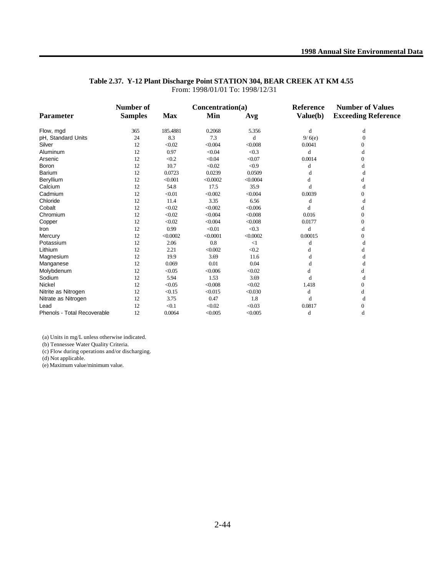|                             | Number of      |            | Concentration(a) |          | <b>Reference</b> | <b>Number of Values</b>    |
|-----------------------------|----------------|------------|------------------|----------|------------------|----------------------------|
| Parameter                   | <b>Samples</b> | <b>Max</b> | Min              | Avg      | Value(b)         | <b>Exceeding Reference</b> |
| Flow, mgd                   | 365            | 185.4881   | 0.2068           | 5.356    | d                | d                          |
| pH, Standard Units          | 24             | 8.3        | 7.3              | d        | 9/6(e)           | $\overline{0}$             |
| Silver                      | 12             | < 0.02     | < 0.004          | < 0.008  | 0.0041           | 0                          |
| Aluminum                    | 12             | 0.97       | < 0.04           | < 0.3    | d                |                            |
| Arsenic                     | 12             | < 0.2      | < 0.04           | < 0.07   | 0.0014           | 0                          |
| Boron                       | 12             | 10.7       | < 0.02           | < 0.9    | d                | d                          |
| <b>Barium</b>               | 12             | 0.0723     | 0.0239           | 0.0509   | d                | d                          |
| Beryllium                   | 12             | < 0.001    | < 0.0002         | < 0.0004 |                  |                            |
| Calcium                     | 12             | 54.8       | 17.5             | 35.9     | d                | d                          |
| Cadmium                     | 12             | < 0.01     | < 0.002          | < 0.004  | 0.0039           | 0                          |
| Chloride                    | 12             | 11.4       | 3.35             | 6.56     | d                | d                          |
| Cobalt                      | 12             | < 0.02     | < 0.002          | < 0.006  | d                | d                          |
| Chromium                    | 12             | < 0.02     | < 0.004          | < 0.008  | 0.016            | 0                          |
| Copper                      | 12             | < 0.02     | < 0.004          | < 0.008  | 0.0177           | 0                          |
| Iron                        | 12             | 0.99       | < 0.01           | < 0.3    | d                | d                          |
| Mercury                     | 12             | < 0.0002   | < 0.0001         | < 0.0002 | 0.00015          | $\Omega$                   |
| Potassium                   | 12             | 2.06       | 0.8              | $\leq$ 1 | d                | d                          |
| Lithium                     | 12             | 2.21       | < 0.002          | < 0.2    |                  | đ                          |
| Magnesium                   | 12             | 19.9       | 3.69             | 11.6     | d                | d                          |
| Manganese                   | 12             | 0.069      | 0.01             | 0.04     | d                | d                          |
| Molybdenum                  | 12             | < 0.05     | < 0.006          | < 0.02   | d                | d                          |
| Sodium                      | 12             | 5.94       | 1.53             | 3.69     | d                | d                          |
| Nickel                      | 12             | < 0.05     | < 0.008          | < 0.02   | 1.418            | 0                          |
| Nitrite as Nitrogen         | 12             | < 0.15     | < 0.015          | < 0.030  | d                | d                          |
| Nitrate as Nitrogen         | 12             | 3.75       | 0.47             | 1.8      | d                | d                          |
| Lead                        | 12             | < 0.1      | < 0.02           | < 0.03   | 0.0817           | 0                          |
| Phenols - Total Recoverable | 12             | 0.0064     | < 0.005          | < 0.005  | d                | d                          |

### **Table 2.37. Y-12 Plant Discharge Point STATION 304, BEAR CREEK AT KM 4.55**  From: 1998/01/01 To: 1998/12/31

(a) Units in mg/L unless otherwise indicated.

(b) Tennessee Water Quality Criteria. (c) Flow during operations and/or discharging.

(d) Not applicable.

(e) Maximum value/minimum value.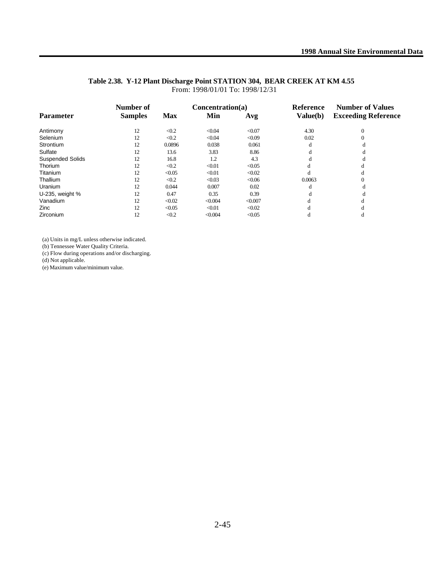|                  | Number of      |            | Concentration(a) |         | <b>Reference</b> | <b>Number of Values</b>    |
|------------------|----------------|------------|------------------|---------|------------------|----------------------------|
| Parameter        | <b>Samples</b> | <b>Max</b> | Min              | Avg     | Value(b)         | <b>Exceeding Reference</b> |
| Antimony         | 12             | < 0.2      | < 0.04           | < 0.07  | 4.30             |                            |
| Selenium         | 12             | < 0.2      | < 0.04           | < 0.09  | 0.02             |                            |
| Strontium        | 12             | 0.0896     | 0.038            | 0.061   |                  |                            |
| Sulfate          | 12             | 13.6       | 3.83             | 8.86    | đ                |                            |
| Suspended Solids | 12             | 16.8       | 1.2              | 4.3     |                  |                            |
| Thorium          | 12             | < 0.2      | < 0.01           | < 0.05  |                  |                            |
| Titanium         | 12             | < 0.05     | < 0.01           | < 0.02  | d                |                            |
| Thallium         | 12             | < 0.2      | < 0.03           | < 0.06  | 0.0063           |                            |
| Uranium          | 12             | 0.044      | 0.007            | 0.02    | đ                |                            |
| U-235, weight %  | 12             | 0.47       | 0.35             | 0.39    |                  |                            |
| Vanadium         | 12             | < 0.02     | < 0.004          | < 0.007 |                  |                            |
| Zinc             | 12             | < 0.05     | < 0.01           | < 0.02  |                  |                            |
| Zirconium        | 12             | < 0.2      | < 0.004          | < 0.05  | đ                |                            |
|                  |                |            |                  |         |                  |                            |

### **Table 2.38. Y-12 Plant Discharge Point STATION 304, BEAR CREEK AT KM 4.55**  From: 1998/01/01 To: 1998/12/31

(a) Units in mg/L unless otherwise indicated.

(b) Tennessee Water Quality Criteria.

(c) Flow during operations and/or discharging.

(d) Not applicable.

(e) Maximum value/minimum value.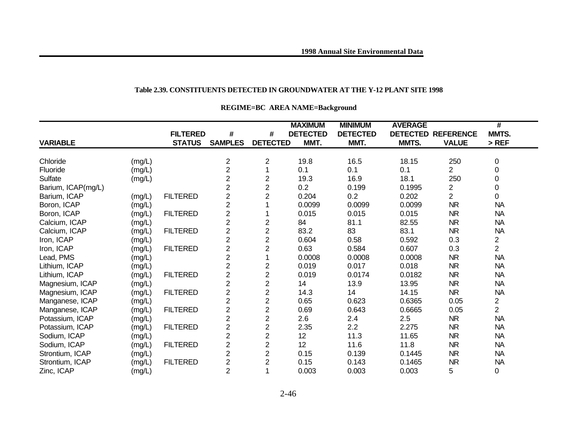### **Table 2.39. CONSTITUENTS DETECTED IN GROUNDWATER AT THE Y-12 PLANT SITE 1998**

|                    |        | <b>FILTERED</b> | #                       | #                       | <b>MAXIMUM</b><br><b>DETECTED</b> | <b>MINIMUM</b><br><b>DETECTED</b> | <b>AVERAGE</b> | DETECTED REFERENCE | $\overline{\boldsymbol{r}}$<br>MMTS. |
|--------------------|--------|-----------------|-------------------------|-------------------------|-----------------------------------|-----------------------------------|----------------|--------------------|--------------------------------------|
| <b>VARIABLE</b>    |        | <b>STATUS</b>   | <b>SAMPLES</b>          | <b>DETECTED</b>         | MMT.                              | MMT.                              | MMTS.          | <b>VALUE</b>       | $>$ REF                              |
| Chloride           |        |                 | $\overline{\mathbf{c}}$ | 2                       | 19.8                              | 16.5                              | 18.15          | 250                |                                      |
| Fluoride           | (mg/L) |                 | $\overline{2}$          |                         | 0.1                               | 0.1                               | 0.1            | 2                  | 0<br>$\mathbf 0$                     |
| Sulfate            | (mg/L) |                 | $\overline{2}$          | $\overline{2}$          | 19.3                              | 16.9                              | 18.1           |                    |                                      |
|                    | (mg/L) |                 |                         |                         |                                   |                                   |                | 250                | $\pmb{0}$                            |
| Barium, ICAP(mg/L) |        |                 | $\overline{2}$          | $\overline{2}$          | 0.2                               | 0.199                             | 0.1995         | 2                  | $\pmb{0}$                            |
| Barium, ICAP       | (mg/L) | <b>FILTERED</b> | $\overline{c}$          | $\overline{c}$          | 0.204                             | 0.2                               | 0.202          | $\overline{2}$     | $\mathbf 0$                          |
| Boron, ICAP        | (mg/L) |                 | 2                       |                         | 0.0099                            | 0.0099                            | 0.0099         | <b>NR</b>          | <b>NA</b>                            |
| Boron, ICAP        | (mg/L) | <b>FILTERED</b> | $\overline{c}$          |                         | 0.015                             | 0.015                             | 0.015          | <b>NR</b>          | <b>NA</b>                            |
| Calcium, ICAP      | (mg/L) |                 | $\overline{c}$          | $\overline{\mathbf{c}}$ | 84                                | 81.1                              | 82.55          | <b>NR</b>          | <b>NA</b>                            |
| Calcium, ICAP      | (mg/L) | <b>FILTERED</b> | $\overline{c}$          | $\overline{c}$          | 83.2                              | 83                                | 83.1           | NR                 | <b>NA</b>                            |
| Iron, ICAP         | (mg/L) |                 | $\overline{c}$          | $\overline{c}$          | 0.604                             | 0.58                              | 0.592          | 0.3                | $\overline{2}$                       |
| Iron, ICAP         | (mg/L) | <b>FILTERED</b> | $\overline{c}$          | 2                       | 0.63                              | 0.584                             | 0.607          | 0.3                | $\overline{2}$                       |
| Lead, PMS          | (mg/L) |                 | $\overline{c}$          |                         | 0.0008                            | 0.0008                            | 0.0008         | <b>NR</b>          | <b>NA</b>                            |
| Lithium, ICAP      | (mg/L) |                 | $\overline{2}$          | $\overline{c}$          | 0.019                             | 0.017                             | 0.018          | <b>NR</b>          | <b>NA</b>                            |
| Lithium, ICAP      | (mg/L) | <b>FILTERED</b> | $\overline{2}$          | $\overline{c}$          | 0.019                             | 0.0174                            | 0.0182         | <b>NR</b>          | <b>NA</b>                            |
| Magnesium, ICAP    | (mg/L) |                 | $\overline{2}$          | $\overline{2}$          | 14                                | 13.9                              | 13.95          | <b>NR</b>          | <b>NA</b>                            |
| Magnesium, ICAP    | (mg/L) | <b>FILTERED</b> | $\overline{c}$          | $\overline{c}$          | 14.3                              | 14                                | 14.15          | NR                 | <b>NA</b>                            |
| Manganese, ICAP    | (mg/L) |                 | $\overline{2}$          | $\overline{c}$          | 0.65                              | 0.623                             | 0.6365         | 0.05               | $\overline{2}$                       |
| Manganese, ICAP    | (mg/L) | <b>FILTERED</b> | $\overline{2}$          | $\overline{c}$          | 0.69                              | 0.643                             | 0.6665         | 0.05               | $\overline{2}$                       |
| Potassium, ICAP    | (mg/L) |                 | $\overline{2}$          | $\overline{c}$          | 2.6                               | 2.4                               | 2.5            | <b>NR</b>          | <b>NA</b>                            |
| Potassium, ICAP    | (mg/L) | <b>FILTERED</b> | $\overline{2}$          | $\overline{c}$          | 2.35                              | 2.2                               | 2.275          | <b>NR</b>          | <b>NA</b>                            |
| Sodium, ICAP       | (mg/L) |                 | $\overline{c}$          | $\overline{\mathbf{c}}$ | 12                                | 11.3                              | 11.65          | <b>NR</b>          | <b>NA</b>                            |
| Sodium, ICAP       | (mg/L) | <b>FILTERED</b> | $\overline{2}$          | $\overline{c}$          | 12                                | 11.6                              | 11.8           | <b>NR</b>          | <b>NA</b>                            |
| Strontium, ICAP    |        |                 | $\overline{c}$          | $\overline{c}$          | 0.15                              | 0.139                             | 0.1445         | <b>NR</b>          | <b>NA</b>                            |
|                    | (mg/L) |                 |                         |                         |                                   |                                   |                |                    |                                      |
| Strontium, ICAP    | (mg/L) | <b>FILTERED</b> | $\overline{\mathbf{c}}$ | $\overline{2}$          | 0.15                              | 0.143                             | 0.1465         | <b>NR</b>          | <b>NA</b>                            |
| Zinc, ICAP         | (mg/L) |                 | $\overline{2}$          |                         | 0.003                             | 0.003                             | 0.003          | 5                  | 0                                    |

### **REGIME=BC AREA NAME=Background**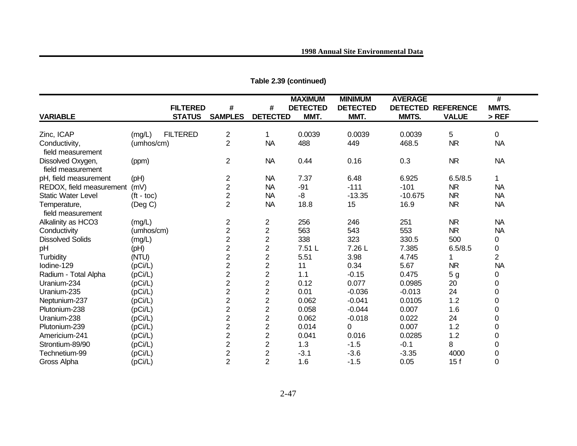| <b>VARIABLE</b>                        |              | <b>FILTERED</b><br><b>STATUS</b> | #<br><b>SAMPLES</b>     | #<br><b>DETECTED</b>    | <b>MAXIMUM</b><br><b>DETECTED</b><br>MMT. | <b>MINIMUM</b><br><b>DETECTED</b><br>MMT. | <b>AVERAGE</b><br>MMTS. | <b>DETECTED REFERENCE</b><br><b>VALUE</b> | #<br>MMTS.<br>$>$ REF |  |
|----------------------------------------|--------------|----------------------------------|-------------------------|-------------------------|-------------------------------------------|-------------------------------------------|-------------------------|-------------------------------------------|-----------------------|--|
|                                        |              |                                  |                         |                         |                                           |                                           |                         |                                           |                       |  |
| Zinc, ICAP                             | (mg/L)       | <b>FILTERED</b>                  | $\overline{2}$          | 1                       | 0.0039                                    | 0.0039                                    | 0.0039                  | 5                                         | 0                     |  |
| Conductivity,<br>field measurement     | (umhos/cm)   |                                  | $\overline{2}$          | <b>NA</b>               | 488                                       | 449                                       | 468.5                   | <b>NR</b>                                 | <b>NA</b>             |  |
| Dissolved Oxygen,<br>field measurement | (ppm)        |                                  | $\overline{2}$          | <b>NA</b>               | 0.44                                      | 0.16                                      | 0.3                     | NR                                        | <b>NA</b>             |  |
| pH, field measurement                  | (PH)         |                                  | $\overline{2}$          | <b>NA</b>               | 7.37                                      | 6.48                                      | 6.925                   | 6.5/8.5                                   | $\mathbf 1$           |  |
| REDOX, field measurement               | (mV)         |                                  | $\overline{2}$          | <b>NA</b>               | $-91$                                     | $-111$                                    | $-101$                  | <b>NR</b>                                 | <b>NA</b>             |  |
| <b>Static Water Level</b>              | $(tt - toc)$ |                                  | $\overline{2}$          | <b>NA</b>               | -8                                        | $-13.35$                                  | $-10.675$               | <b>NR</b>                                 | <b>NA</b>             |  |
| Temperature,<br>field measurement      | (Deg C)      |                                  | $\overline{2}$          | <b>NA</b>               | 18.8                                      | 15                                        | 16.9                    | NR                                        | <b>NA</b>             |  |
| Alkalinity as HCO3                     | (mg/L)       |                                  | 2                       | $\overline{2}$          | 256                                       | 246                                       | 251                     | <b>NR</b>                                 | <b>NA</b>             |  |
| Conductivity                           | (umhos/cm)   |                                  | $\overline{\mathbf{c}}$ | $\overline{2}$          | 563                                       | 543                                       | 553                     | <b>NR</b>                                 | <b>NA</b>             |  |
| <b>Dissolved Solids</b>                | (mg/L)       |                                  | $\overline{c}$          | $\overline{2}$          | 338                                       | 323                                       | 330.5                   | 500                                       | 0                     |  |
| pH                                     | (Hq)         |                                  | $\overline{\mathbf{c}}$ | $\overline{2}$          | 7.51 L                                    | 7.26L                                     | 7.385                   | 6.5/8.5                                   | 0                     |  |
| Turbidity                              | (NTU)        |                                  | $\overline{\mathbf{c}}$ | $\overline{\mathbf{c}}$ | 5.51                                      | 3.98                                      | 4.745                   |                                           | $\overline{2}$        |  |
| lodine-129                             | (pCi/L)      |                                  | $\overline{\mathbf{c}}$ | $\overline{c}$          | 11                                        | 0.34                                      | 5.67                    | <b>NR</b>                                 | <b>NA</b>             |  |
| Radium - Total Alpha                   | (pCi/L)      |                                  | $\overline{\mathbf{c}}$ | $\overline{c}$          | 1.1                                       | $-0.15$                                   | 0.475                   | 5 <sub>g</sub>                            | 0                     |  |
| Uranium-234                            | (pCi/L)      |                                  | $\overline{\mathbf{c}}$ | $\overline{\mathbf{c}}$ | 0.12                                      | 0.077                                     | 0.0985                  | 20                                        | 0                     |  |
| Uranium-235                            | (pCi/L)      |                                  | $\overline{\mathbf{c}}$ | $\overline{c}$          | 0.01                                      | $-0.036$                                  | $-0.013$                | 24                                        | 0                     |  |
| Neptunium-237                          | (pCi/L)      |                                  | $\overline{c}$          | $\overline{2}$          | 0.062                                     | $-0.041$                                  | 0.0105                  | 1.2                                       | 0                     |  |
| Plutonium-238                          | (pCi/L)      |                                  | $\overline{\mathbf{c}}$ | $\overline{2}$          | 0.058                                     | $-0.044$                                  | 0.007                   | 1.6                                       | 0                     |  |
| Uranium-238                            | (pCi/L)      |                                  | $\overline{\mathbf{c}}$ | $\overline{\mathbf{c}}$ | 0.062                                     | $-0.018$                                  | 0.022                   | 24                                        | 0                     |  |
| Plutonium-239                          | (pCi/L)      |                                  | $\overline{c}$          | $\overline{2}$          | 0.014                                     | 0                                         | 0.007                   | 1.2                                       | 0                     |  |
| Americium-241                          | (pCi/L)      |                                  | $\overline{2}$          | $\overline{2}$          | 0.041                                     | 0.016                                     | 0.0285                  | 1.2                                       | 0                     |  |
| Strontium-89/90                        | (pCi/L)      |                                  | $\overline{2}$          | $\overline{2}$          | 1.3                                       | $-1.5$                                    | $-0.1$                  | 8                                         | 0                     |  |
| Technetium-99                          | (pCi/L)      |                                  | $\overline{\mathbf{c}}$ | $\overline{2}$          | $-3.1$                                    | $-3.6$                                    | $-3.35$                 | 4000                                      | 0                     |  |
| Gross Alpha                            | (pCi/L)      |                                  | $\overline{2}$          | $\overline{2}$          | 1.6                                       | $-1.5$                                    | 0.05                    | 15f                                       | $\mathbf 0$           |  |

# **Table 2.39 (continued)**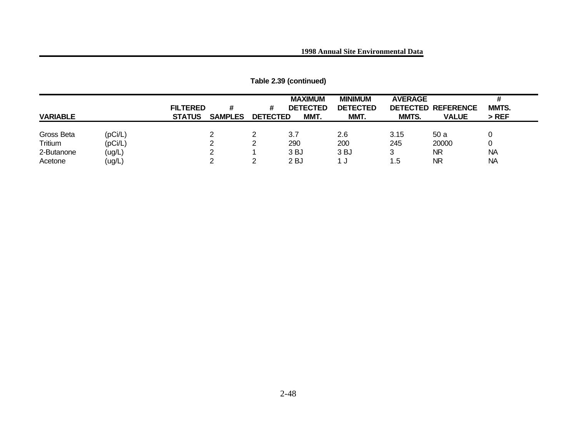### **1998 Annual Site Environmental Data**

## **Table 2.39 (continued)**

|                 |         |                 |                |                 | <b>MAXIMUM</b>  | <b>MINIMUM</b>  | <b>AVERAGE</b> |                           |           |
|-----------------|---------|-----------------|----------------|-----------------|-----------------|-----------------|----------------|---------------------------|-----------|
|                 |         | <b>FILTERED</b> | #              | #               | <b>DETECTED</b> | <b>DETECTED</b> |                | <b>DETECTED REFERENCE</b> | MMTS.     |
| <b>VARIABLE</b> |         | <b>STATUS</b>   | <b>SAMPLES</b> | <b>DETECTED</b> | MMT.            | MMT.            | MMTS.          | <b>VALUE</b>              | > REF     |
| Gross Beta      | (pCi/L) |                 |                |                 | 3.7             | 2.6             | 3.15           | 50a                       |           |
| Tritium         | (pCi/L) |                 |                |                 | 290             | 200             | 245            | 20000                     |           |
| 2-Butanone      | (ug/L,  |                 |                |                 | 3 BJ            | 3 BJ            | ີ              | <b>NR</b>                 | <b>NA</b> |
| Acetone         | (ug/L)  |                 |                |                 | 2 BJ            | ل ا             | .5             | <b>NR</b>                 | <b>NA</b> |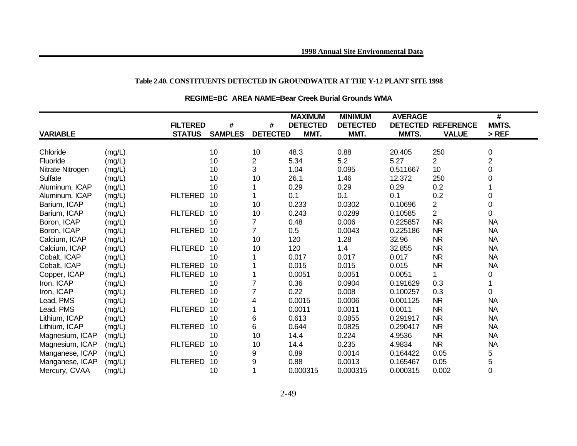## **Table 2.40. CONSTITUENTS DETECTED IN GROUNDWATER AT THE Y-12 PLANT SITE 1998**

| <b>VARIABLE</b>  |        | <b>FILTERED</b><br><b>STATUS</b> | #<br><b>SAMPLES</b> | #<br><b>DETECTED</b> | <b>MAXIMUM</b><br><b>DETECTED</b><br>MMT. | <b>MINIMUM</b><br><b>DETECTED</b><br>MMT. | <b>AVERAGE</b><br>MMTS. | <b>DETECTED REFERENCE</b><br><b>VALUE</b> | #<br>MMTS.<br>$>$ REF |
|------------------|--------|----------------------------------|---------------------|----------------------|-------------------------------------------|-------------------------------------------|-------------------------|-------------------------------------------|-----------------------|
|                  |        |                                  |                     |                      |                                           |                                           |                         |                                           |                       |
| Chloride         | (mg/L) |                                  | 10                  | 10                   | 48.3                                      | 0.88                                      | 20.405                  | 250                                       | 0                     |
| Fluoride         | (mg/L) |                                  | 10                  | 2                    | 5.34                                      | 5.2                                       | 5.27                    | $\overline{2}$                            | $\overline{2}$        |
| Nitrate Nitrogen | (mg/L) |                                  | 10                  | 3                    | 1.04                                      | 0.095                                     | 0.511667                | 10                                        | $\mathbf 0$           |
| Sulfate          | (mg/L) |                                  | 10                  | 10                   | 26.1                                      | 1.46                                      | 12.372                  | 250                                       | $\Omega$              |
| Aluminum, ICAP   | (mg/L) |                                  | 10                  |                      | 0.29                                      | 0.29                                      | 0.29                    | 0.2                                       |                       |
| Aluminum, ICAP   | (mg/L) | <b>FILTERED</b>                  | 10                  |                      | 0.1                                       | 0.1                                       | 0.1                     | 0.2                                       | 0                     |
| Barium, ICAP     | (mg/L) |                                  | 10                  | 10                   | 0.233                                     | 0.0302                                    | 0.10696                 | $\overline{2}$                            | 0                     |
| Barium, ICAP     | (mg/L) | <b>FILTERED</b>                  | 10                  | 10                   | 0.243                                     | 0.0289                                    | 0.10585                 | $\overline{2}$                            | 0                     |
| Boron, ICAP      | (mg/L) |                                  | 10                  | 7                    | 0.48                                      | 0.006                                     | 0.225857                | <b>NR</b>                                 | <b>NA</b>             |
| Boron, ICAP      | (mg/L) | <b>FILTERED</b>                  | 10                  | $\overline{7}$       | 0.5                                       | 0.0043                                    | 0.225186                | <b>NR</b>                                 | <b>NA</b>             |
| Calcium, ICAP    | (mg/L) |                                  | 10                  | 10                   | 120                                       | 1.28                                      | 32.96                   | <b>NR</b>                                 | <b>NA</b>             |
| Calcium, ICAP    | (mg/L) | <b>FILTERED</b>                  | 10                  | 10                   | 120                                       | 1.4                                       | 32.855                  | <b>NR</b>                                 | <b>NA</b>             |
| Cobalt, ICAP     | (mg/L) |                                  | 10                  |                      | 0.017                                     | 0.017                                     | 0.017                   | <b>NR</b>                                 | <b>NA</b>             |
| Cobalt, ICAP     | (mg/L) | <b>FILTERED</b>                  | 10                  |                      | 0.015                                     | 0.015                                     | 0.015                   | <b>NR</b>                                 | <b>NA</b>             |
| Copper, ICAP     | (mg/L) | <b>FILTERED</b>                  | 10                  |                      | 0.0051                                    | 0.0051                                    | 0.0051                  |                                           | 0                     |
| Iron, ICAP       | (mg/L) |                                  | 10                  | 7                    | 0.36                                      | 0.0904                                    | 0.191629                | 0.3                                       |                       |
| Iron, ICAP       | (mg/L) | <b>FILTERED</b>                  | 10                  |                      | 0.22                                      | 0.008                                     | 0.100257                | 0.3                                       | $\Omega$              |
| Lead, PMS        | (mg/L) |                                  | 10                  | 4                    | 0.0015                                    | 0.0006                                    | 0.001125                | <b>NR</b>                                 | <b>NA</b>             |
| Lead, PMS        | (mg/L) | <b>FILTERED</b>                  | 10                  |                      | 0.0011                                    | 0.0011                                    | 0.0011                  | <b>NR</b>                                 | <b>NA</b>             |
| Lithium, ICAP    | (mg/L) |                                  | 10                  | 6                    | 0.613                                     | 0.0855                                    | 0.291917                | NR                                        | <b>NA</b>             |
| Lithium, ICAP    | (mg/L) | <b>FILTERED</b>                  | 10                  | 6                    | 0.644                                     | 0.0825                                    | 0.290417                | <b>NR</b>                                 | <b>NA</b>             |
| Magnesium, ICAP  | (mg/L) |                                  | 10                  | 10                   | 14.4                                      | 0.224                                     | 4.9536                  | <b>NR</b>                                 | <b>NA</b>             |
| Magnesium, ICAP  | (mg/L) | <b>FILTERED</b>                  | 10                  | 10                   | 14.4                                      | 0.235                                     | 4.9834                  | <b>NR</b>                                 | <b>NA</b>             |
| Manganese, ICAP  | (mg/L) |                                  | 10                  | 9                    | 0.89                                      | 0.0014                                    | 0.164422                | 0.05                                      | 5                     |
| Manganese, ICAP  | (mg/L) | <b>FILTERED</b>                  | 10                  | 9                    | 0.88                                      | 0.0013                                    | 0.165467                | 0.05                                      | 5                     |
| Mercury, CVAA    | (mg/L) |                                  | 10                  |                      | 0.000315                                  | 0.000315                                  | 0.000315                | 0.002                                     | $\mathbf 0$           |

#### **REGIME=BC AREA NAME=Bear Creek Burial Grounds WMA**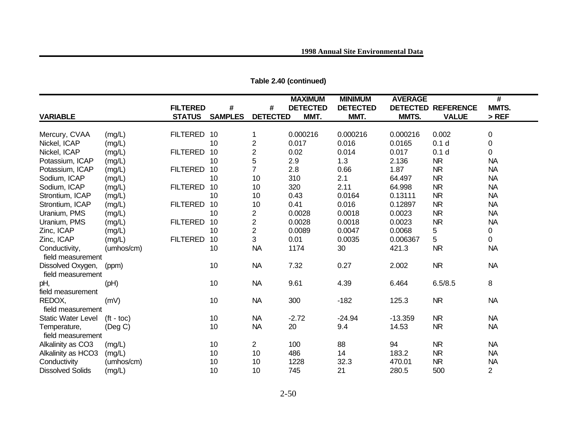|                           |                    |                 |                |                  | <b>MAXIMUM</b>  | <b>MINIMUM</b>  | <b>AVERAGE</b> |                           | #              |
|---------------------------|--------------------|-----------------|----------------|------------------|-----------------|-----------------|----------------|---------------------------|----------------|
|                           |                    | <b>FILTERED</b> | #              | #                | <b>DETECTED</b> | <b>DETECTED</b> |                | <b>DETECTED REFERENCE</b> | MMTS.          |
| <b>VARIABLE</b>           |                    | <b>STATUS</b>   | <b>SAMPLES</b> | <b>DETECTED</b>  | MMT.            | MMT.            | MMTS.          | <b>VALUE</b>              | $>$ REF        |
| Mercury, CVAA             | (mg/L)             | <b>FILTERED</b> | 10             | 1                | 0.000216        | 0.000216        | 0.000216       | 0.002                     | $\pmb{0}$      |
| Nickel, ICAP              | (mg/L)             |                 | 10             | $\boldsymbol{2}$ | 0.017           | 0.016           | 0.0165         | 0.1 <sub>d</sub>          | 0              |
| Nickel, ICAP              | (mg/L)             | <b>FILTERED</b> | 10             | $\boldsymbol{2}$ | 0.02            | 0.014           | 0.017          | 0.1 <sub>d</sub>          | 0              |
| Potassium, ICAP           | (mg/L)             |                 | 10             | 5                | 2.9             | 1.3             | 2.136          | <b>NR</b>                 | <b>NA</b>      |
| Potassium, ICAP           | (mg/L)             | <b>FILTERED</b> | 10             | $\overline{7}$   | 2.8             | 0.66            | 1.87           | <b>NR</b>                 | <b>NA</b>      |
| Sodium, ICAP              | (mg/L)             |                 | 10             | 10               | 310             | 2.1             | 64.497         | <b>NR</b>                 | <b>NA</b>      |
| Sodium, ICAP              | (mg/L)             | <b>FILTERED</b> | 10             | 10               | 320             | 2.11            | 64.998         | <b>NR</b>                 | <b>NA</b>      |
| Strontium, ICAP           | (mg/L)             |                 | 10             | 10               | 0.43            | 0.0164          | 0.13111        | <b>NR</b>                 | <b>NA</b>      |
| Strontium, ICAP           | (mg/L)             | <b>FILTERED</b> | 10             | 10               | 0.41            | 0.016           | 0.12897        | <b>NR</b>                 | <b>NA</b>      |
| Uranium, PMS              | (mg/L)             |                 | 10             | $\overline{c}$   | 0.0028          | 0.0018          | 0.0023         | <b>NR</b>                 | <b>NA</b>      |
| Uranium, PMS              | (mg/L)             | <b>FILTERED</b> | 10             | $\overline{2}$   | 0.0028          | 0.0018          | 0.0023         | <b>NR</b>                 | <b>NA</b>      |
| Zinc, ICAP                | (mg/L)             |                 | 10             | $\overline{2}$   | 0.0089          | 0.0047          | 0.0068         | 5                         | 0              |
| Zinc, ICAP                | (mg/L)             | <b>FILTERED</b> | 10             | 3                | 0.01            | 0.0035          | 0.006367       | 5                         | 0              |
| Conductivity,             | (umhos/cm)         |                 | 10             | <b>NA</b>        | 1174            | 30              | 421.3          | <b>NR</b>                 | <b>NA</b>      |
| field measurement         |                    |                 |                |                  |                 |                 |                |                           |                |
| Dissolved Oxygen,         | (ppm)              |                 | 10             | <b>NA</b>        | 7.32            | 0.27            | 2.002          | <b>NR</b>                 | <b>NA</b>      |
| field measurement         |                    |                 |                |                  |                 |                 |                |                           |                |
| pH,                       | (Hq)               |                 | 10             | <b>NA</b>        | 9.61            | 4.39            | 6.464          | 6.5/8.5                   | 8              |
| field measurement         |                    |                 |                |                  |                 |                 |                |                           |                |
| REDOX,                    | (mV)               |                 | 10             | <b>NA</b>        | 300             | $-182$          | 125.3          | <b>NR</b>                 | <b>NA</b>      |
| field measurement         |                    |                 |                |                  |                 |                 |                |                           |                |
| <b>Static Water Level</b> | $(t - \text{toc})$ |                 | 10             | <b>NA</b>        | $-2.72$         | $-24.94$        | $-13.359$      | <b>NR</b>                 | <b>NA</b>      |
| Temperature,              | $($ Deg C $)$      |                 | 10             | <b>NA</b>        | 20              | 9.4             | 14.53          | <b>NR</b>                 | <b>NA</b>      |
| field measurement         |                    |                 |                |                  |                 |                 |                |                           |                |
| Alkalinity as CO3         | (mg/L)             |                 | 10             | $\overline{2}$   | 100             | 88              | 94             | <b>NR</b>                 | <b>NA</b>      |
| Alkalinity as HCO3        | (mg/L)             |                 | 10             | 10               | 486             | 14              | 183.2          | <b>NR</b>                 | <b>NA</b>      |
| Conductivity              | (umhos/cm)         |                 | 10             | 10               | 1228            | 32.3            | 470.01         | <b>NR</b>                 | <b>NA</b>      |
| <b>Dissolved Solids</b>   | (mg/L)             |                 | 10             | 10               | 745             | 21              | 280.5          | 500                       | $\overline{2}$ |

# **Table 2.40 (continued)**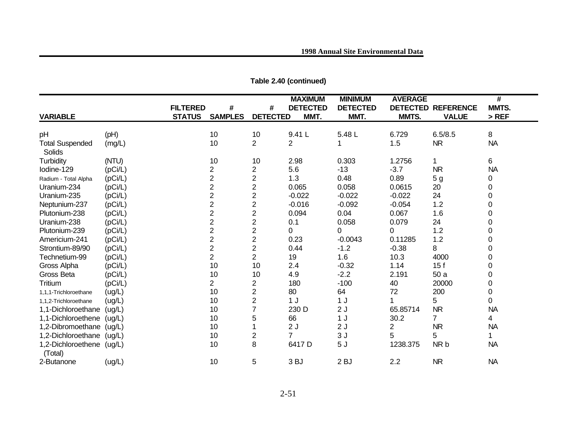| <b>VARIABLE</b>                      |         | <b>FILTERED</b><br><b>STATUS</b> | #<br><b>SAMPLES</b>     | #<br><b>DETECTED</b>    | <b>MAXIMUM</b><br><b>DETECTED</b><br>MMT. | <b>MINIMUM</b><br><b>DETECTED</b><br>MMT. | <b>AVERAGE</b><br>MMTS. | <b>DETECTED REFERENCE</b><br><b>VALUE</b> | #<br>MMTS.<br>$>$ REF |
|--------------------------------------|---------|----------------------------------|-------------------------|-------------------------|-------------------------------------------|-------------------------------------------|-------------------------|-------------------------------------------|-----------------------|
|                                      |         |                                  |                         |                         |                                           |                                           |                         |                                           |                       |
| pH                                   | (PH)    |                                  | 10                      | 10                      | 9.41 L                                    | 5.48 L                                    | 6.729                   | 6.5/8.5                                   | 8                     |
| <b>Total Suspended</b><br>Solids     | (mg/L)  |                                  | 10                      | $\overline{2}$          | $\overline{2}$                            |                                           | 1.5                     | <b>NR</b>                                 | <b>NA</b>             |
| Turbidity                            | (NTU)   |                                  | 10                      | 10                      | 2.98                                      | 0.303                                     | 1.2756                  | 1                                         | 6                     |
| lodine-129                           | (pCi/L) |                                  | $\overline{c}$          | $\overline{\mathbf{c}}$ | 5.6                                       | $-13$                                     | $-3.7$                  | <b>NR</b>                                 | <b>NA</b>             |
| Radium - Total Alpha                 | (pCi/L) |                                  | $\overline{\mathbf{c}}$ | $\overline{\mathbf{c}}$ | 1.3                                       | 0.48                                      | 0.89                    | 5 <sub>g</sub>                            | 0                     |
| Uranium-234                          | (pCi/L) |                                  | $\overline{2}$          | $\overline{c}$          | 0.065                                     | 0.058                                     | 0.0615                  | 20                                        | 0                     |
| Uranium-235                          | (pCi/L) |                                  | $\overline{2}$          | $\overline{c}$          | $-0.022$                                  | $-0.022$                                  | $-0.022$                | 24                                        | 0                     |
| Neptunium-237                        | (pCi/L) |                                  | $\overline{c}$          | $\overline{2}$          | $-0.016$                                  | $-0.092$                                  | $-0.054$                | 1.2                                       | 0                     |
| Plutonium-238                        | (pCi/L) |                                  | $\overline{c}$          | $\overline{2}$          | 0.094                                     | 0.04                                      | 0.067                   | 1.6                                       | 0                     |
| Uranium-238                          | (pCi/L) |                                  | $\overline{\mathbf{c}}$ | $\overline{c}$          | 0.1                                       | 0.058                                     | 0.079                   | 24                                        | $\mathbf 0$           |
| Plutonium-239                        | (pCi/L) |                                  | $\overline{2}$          | $\overline{\mathbf{c}}$ | 0                                         | 0                                         | 0                       | 1.2                                       | 0                     |
| Americium-241                        | (pCi/L) |                                  | $\overline{\mathbf{c}}$ | $\overline{c}$          | 0.23                                      | $-0.0043$                                 | 0.11285                 | 1.2                                       | 0                     |
| Strontium-89/90                      | (pCi/L) |                                  | $\overline{c}$          | $\overline{c}$          | 0.44                                      | $-1.2$                                    | $-0.38$                 | 8                                         | 0                     |
| Technetium-99                        | (pCi/L) |                                  | $\overline{2}$          | $\overline{2}$          | 19                                        | 1.6                                       | 10.3                    | 4000                                      | 0                     |
| Gross Alpha                          | (pCi/L) |                                  | 10                      | 10                      | 2.4                                       | $-0.32$                                   | 1.14                    | 15f                                       | 0                     |
| Gross Beta                           | (pCi/L) |                                  | 10                      | 10                      | 4.9                                       | $-2.2$                                    | 2.191                   | 50a                                       | 0                     |
| Tritium                              | (pCi/L) |                                  | $\overline{2}$          | 2                       | 180                                       | $-100$                                    | 40                      | 20000                                     | $\mathbf 0$           |
| 1,1,1-Trichloroethane                | (ug/L)  |                                  | 10                      | $\overline{\mathbf{c}}$ | 80                                        | 64                                        | 72                      | 200                                       | 0                     |
| 1,1,2-Trichloroethane                | (ug/L)  |                                  | 10                      | $\overline{2}$          | 1 <sub>J</sub>                            | 1 J                                       |                         | 5                                         | 0                     |
| 1,1-Dichloroethane                   | (ug/L)  |                                  | 10                      | $\overline{7}$          | 230 D                                     | 2J                                        | 65.85714                | <b>NR</b>                                 | <b>NA</b>             |
| 1,1-Dichloroethene                   | (ug/L)  |                                  | 10                      | 5                       | 66                                        | 1 <sub>J</sub>                            | 30.2                    | $\overline{7}$                            | 4                     |
| 1,2-Dibromoethane (ug/L)             |         |                                  | 10                      | 1                       | 2J                                        | 2J                                        | 2                       | NR                                        | <b>NA</b>             |
| 1,2-Dichloroethane (ug/L)            |         |                                  | 10                      | $\overline{\mathbf{c}}$ | 7                                         | 3J                                        | 5                       | 5                                         | 1                     |
| 1,2-Dichloroethene (ug/L)<br>(Total) |         |                                  | 10                      | 8                       | 6417 D                                    | 5J                                        | 1238.375                | NR b                                      | <b>NA</b>             |
| 2-Butanone                           | (ug/L)  |                                  | 10                      | 5                       | 3BJ                                       | 2BJ                                       | 2.2                     | <b>NR</b>                                 | <b>NA</b>             |

**Table 2.40 (continued)**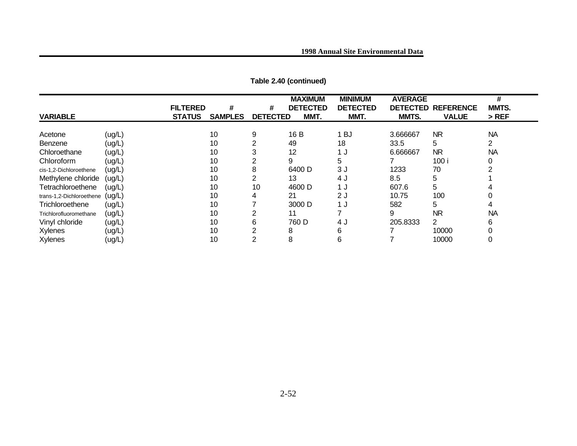| <b>VARIABLE</b>          |        | <b>FILTERED</b><br><b>STATUS</b> | #<br><b>SAMPLES</b> | #<br><b>DETECTED</b> | <b>MAXIMUM</b><br><b>DETECTED</b><br>MMT. | <b>MINIMUM</b><br><b>DETECTED</b><br>MMT. | <b>AVERAGE</b><br><b>DETECTED</b><br>MMTS. | <b>REFERENCE</b><br><b>VALUE</b> | #<br>MMTS.<br>$>$ REF |
|--------------------------|--------|----------------------------------|---------------------|----------------------|-------------------------------------------|-------------------------------------------|--------------------------------------------|----------------------------------|-----------------------|
|                          |        |                                  |                     |                      | 16 B                                      |                                           | 3.666667                                   | <b>NR</b>                        | <b>NA</b>             |
| Acetone                  | (ug/L) |                                  | 10                  | 9                    |                                           | 1BJ                                       |                                            |                                  |                       |
| Benzene                  | (ug/L) |                                  | 10                  | 2                    | 49                                        | 18                                        | 33.5                                       | 5.                               | 2                     |
| Chloroethane             | (ug/L) |                                  | 10                  | 3                    | 12                                        | 1 J                                       | 6.666667                                   | <b>NR</b>                        | <b>NA</b>             |
| Chloroform               | (ug/L) |                                  | 10                  | 2                    | 9                                         | 5                                         |                                            | 100 i                            |                       |
| cis-1,2-Dichloroethene   | (ug/L) |                                  | 10                  | 8                    | 6400 D                                    | 3J                                        | 1233                                       | 70                               |                       |
| Methylene chloride       | (ug/L) |                                  | 10                  | 2                    | 13                                        | 4 J                                       | 8.5                                        | 5                                |                       |
| Tetrachloroethene        | (ug/L) |                                  | 10                  | 10                   | 4600 D                                    | 1 J                                       | 607.6                                      | 5                                |                       |
| trans-1,2-Dichloroethene | (ug/L) |                                  | 10                  | 4                    | 21                                        | 2 J                                       | 10.75                                      | 100                              |                       |
| Trichloroethene          | (ug/L) |                                  | 10                  |                      | 3000 D                                    | 1 J                                       | 582                                        | 5                                | 4                     |
| Trichlorofluoromethane   | (ug/L) |                                  | 10                  | 2                    | 11                                        |                                           | 9                                          | <b>NR</b>                        | <b>NA</b>             |
| Vinyl chloride           | (ug/L) |                                  | 10                  | 6                    | 760 D                                     | 4 J                                       | 205.8333                                   | $\overline{2}$                   | 6                     |
| <b>Xylenes</b>           | (ug/L) |                                  | 10                  | ◠                    | 8                                         | 6                                         |                                            | 10000                            |                       |
| Xylenes                  | (ug/L) |                                  | 10                  |                      | 8                                         | 6                                         |                                            | 10000                            | 0                     |

**Table 2.40 (continued)**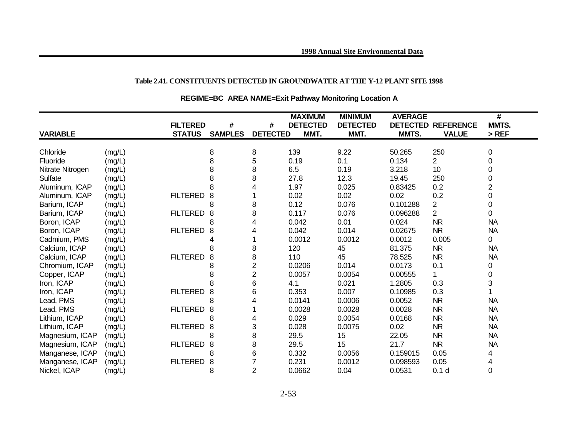### **Table 2.41. CONSTITUENTS DETECTED IN GROUNDWATER AT THE Y-12 PLANT SITE 1998**

|                  |        |                 |                |                 | <b>MAXIMUM</b>  | <b>MINIMUM</b>  | <b>AVERAGE</b> |                           | $\overline{\mathbf{r}}$ |
|------------------|--------|-----------------|----------------|-----------------|-----------------|-----------------|----------------|---------------------------|-------------------------|
|                  |        | <b>FILTERED</b> | #              | #               | <b>DETECTED</b> | <b>DETECTED</b> |                | <b>DETECTED REFERENCE</b> | MMTS.                   |
| <b>VARIABLE</b>  |        | <b>STATUS</b>   | <b>SAMPLES</b> | <b>DETECTED</b> | MMT.            | MMT.            | MMTS.          | <b>VALUE</b>              | $>$ REF                 |
| Chloride         | (mg/L) |                 | 8              | 8               | 139             | 9.22            | 50.265         | 250                       | $\mathbf 0$             |
| Fluoride         | (mg/L) |                 | 8              | 5               | 0.19            | 0.1             | 0.134          | $\overline{2}$            | 0                       |
| Nitrate Nitrogen | (mg/L) |                 | 8              | 8               | 6.5             | 0.19            | 3.218          | 10                        | 0                       |
| Sulfate          | (mg/L) |                 | 8              | 8               | 27.8            | 12.3            | 19.45          | 250                       | 0                       |
| Aluminum, ICAP   | (mg/L) |                 | 8              | 4               | 1.97            | 0.025           | 0.83425        | 0.2                       | 2                       |
| Aluminum, ICAP   | (mg/L) | <b>FILTERED</b> | 8              |                 | 0.02            | 0.02            | 0.02           | 0.2                       | 0                       |
| Barium, ICAP     | (mg/L) |                 | 8              | 8               | 0.12            | 0.076           | 0.101288       | $\overline{2}$            | 0                       |
| Barium, ICAP     | (mg/L) | <b>FILTERED</b> | 8              | 8               | 0.117           | 0.076           | 0.096288       | $\overline{2}$            | 0                       |
| Boron, ICAP      | (mg/L) |                 | 8              | 4               | 0.042           | 0.01            | 0.024          | <b>NR</b>                 | <b>NA</b>               |
| Boron, ICAP      | (mg/L) | <b>FILTERED</b> | 8              | 4               | 0.042           | 0.014           | 0.02675        | <b>NR</b>                 | <b>NA</b>               |
| Cadmium, PMS     | (mg/L) |                 |                |                 | 0.0012          | 0.0012          | 0.0012         | 0.005                     | 0                       |
| Calcium, ICAP    | (mg/L) |                 | 8              | 8               | 120             | 45              | 81.375         | <b>NR</b>                 | <b>NA</b>               |
| Calcium, ICAP    | (mg/L) | <b>FILTERED</b> | 8              | 8               | 110             | 45              | 78.525         | <b>NR</b>                 | <b>NA</b>               |
| Chromium, ICAP   | (mg/L) |                 | 8              | $\overline{2}$  | 0.0206          | 0.014           | 0.0173         | 0.1                       | 0                       |
| Copper, ICAP     | (mg/L) |                 |                | $\overline{2}$  | 0.0057          | 0.0054          | 0.00555        | 1                         | 0                       |
| Iron, ICAP       | (mg/L) |                 | 8              | 6               | 4.1             | 0.021           | 1.2805         | 0.3                       | 3                       |
| Iron, ICAP       | (mg/L) | <b>FILTERED</b> | 8              | 6               | 0.353           | 0.007           | 0.10985        | 0.3                       |                         |
| Lead, PMS        | (mg/L) |                 | 8              |                 | 0.0141          | 0.0006          | 0.0052         | <b>NR</b>                 | <b>NA</b>               |
| Lead, PMS        | (mg/L) | <b>FILTERED</b> | 8              |                 | 0.0028          | 0.0028          | 0.0028         | <b>NR</b>                 | <b>NA</b>               |
| Lithium, ICAP    | (mg/L) |                 | 8              | 4               | 0.029           | 0.0054          | 0.0168         | <b>NR</b>                 | <b>NA</b>               |
| Lithium, ICAP    | (mg/L) | <b>FILTERED</b> | 8              | 3               | 0.028           | 0.0075          | 0.02           | <b>NR</b>                 | <b>NA</b>               |
| Magnesium, ICAP  | (mg/L) |                 | 8              | 8               | 29.5            | 15              | 22.05          | <b>NR</b>                 | <b>NA</b>               |
| Magnesium, ICAP  | (mg/L) | <b>FILTERED</b> | 8              | 8               | 29.5            | 15              | 21.7           | <b>NR</b>                 | <b>NA</b>               |
| Manganese, ICAP  | (mg/L) |                 | 8              | 6               | 0.332           | 0.0056          | 0.159015       | 0.05                      |                         |
| Manganese, ICAP  | (mg/L) | <b>FILTERED</b> | 8              | 7               | 0.231           | 0.0012          | 0.098593       | 0.05                      | 4                       |
| Nickel, ICAP     | (mg/L) |                 | 8              | $\overline{2}$  | 0.0662          | 0.04            | 0.0531         | 0.1 <sub>d</sub>          | 0                       |

### **REGIME=BC AREA NAME=Exit Pathway Monitoring Location A**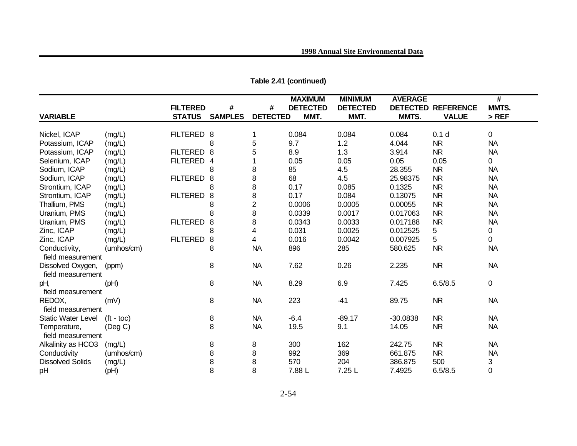|                           |               |                 |                |                 | <b>MAXIMUM</b>  | <b>MINIMUM</b>  | <b>AVERAGE</b> |                           | #         |
|---------------------------|---------------|-----------------|----------------|-----------------|-----------------|-----------------|----------------|---------------------------|-----------|
|                           |               | <b>FILTERED</b> | #              | #               | <b>DETECTED</b> | <b>DETECTED</b> |                | <b>DETECTED REFERENCE</b> | MMTS.     |
| <b>VARIABLE</b>           |               | <b>STATUS</b>   | <b>SAMPLES</b> | <b>DETECTED</b> | MMT.            | MMT.            | MMTS.          | <b>VALUE</b>              | $>$ REF   |
| Nickel, ICAP              | (mg/L)        | FILTERED 8      |                |                 | 0.084           | 0.084           | 0.084          | 0.1 <sub>d</sub>          | 0         |
| Potassium, ICAP           | (mg/L)        |                 | 8              | 5               | 9.7             | 1.2             | 4.044          | <b>NR</b>                 | <b>NA</b> |
| Potassium, ICAP           | (mg/L)        | FILTERED 8      |                | 5               | 8.9             | 1.3             | 3.914          | <b>NR</b>                 | <b>NA</b> |
| Selenium, ICAP            | (mg/L)        | FILTERED 4      |                |                 | 0.05            | 0.05            | 0.05           | 0.05                      | 0         |
| Sodium, ICAP              | (mg/L)        |                 | 8              | 8               | 85              | 4.5             | 28.355         | NR                        | <b>NA</b> |
| Sodium, ICAP              | (mg/L)        | <b>FILTERED</b> | 8              | 8               | 68              | 4.5             | 25.98375       | <b>NR</b>                 | <b>NA</b> |
| Strontium, ICAP           | (mg/L)        |                 | 8              | 8               | 0.17            | 0.085           | 0.1325         | <b>NR</b>                 | <b>NA</b> |
| Strontium, ICAP           | (mg/L)        | <b>FILTERED</b> | 8              | 8               | 0.17            | 0.084           | 0.13075        | NR                        | <b>NA</b> |
| Thallium, PMS             | (mg/L)        |                 | 8              | $\overline{2}$  | 0.0006          | 0.0005          | 0.00055        | <b>NR</b>                 | <b>NA</b> |
| Uranium, PMS              | (mg/L)        |                 | 8              | 8               | 0.0339          | 0.0017          | 0.017063       | NR                        | <b>NA</b> |
| Uranium, PMS              | (mg/L)        | <b>FILTERED</b> | 8              | 8               | 0.0343          | 0.0033          | 0.017188       | ${\sf NR}$                | <b>NA</b> |
| Zinc, ICAP                | (mg/L)        |                 | 8              | 4               | 0.031           | 0.0025          | 0.012525       | 5                         | 0         |
| Zinc, ICAP                | (mg/L)        | <b>FILTERED</b> | 8              | 4               | 0.016           | 0.0042          | 0.007925       | 5                         | 0         |
| Conductivity,             | (umhos/cm)    |                 | 8              | <b>NA</b>       | 896             | 285             | 580.625        | <b>NR</b>                 | <b>NA</b> |
| field measurement         |               |                 |                |                 |                 |                 |                |                           |           |
| Dissolved Oxygen,         | (ppm)         |                 | 8              | <b>NA</b>       | 7.62            | 0.26            | 2.235          | NR                        | <b>NA</b> |
| field measurement         |               |                 |                |                 |                 |                 |                |                           |           |
| pH,                       | (Hq)          |                 | 8              | <b>NA</b>       | 8.29            | 6.9             | 7.425          | 6.5/8.5                   | $\pmb{0}$ |
| field measurement         |               |                 |                |                 |                 |                 |                |                           |           |
| REDOX,                    | (mV)          |                 | 8              | <b>NA</b>       | 223             | $-41$           | 89.75          | NR                        | <b>NA</b> |
| field measurement         |               |                 |                |                 |                 |                 |                |                           |           |
| <b>Static Water Level</b> | $(tt - toc)$  |                 | 8              | <b>NA</b>       | $-6.4$          | $-89.17$        | $-30.0838$     | <b>NR</b>                 | <b>NA</b> |
| Temperature,              | $($ Deg C $)$ |                 | 8              | <b>NA</b>       | 19.5            | 9.1             | 14.05          | <b>NR</b>                 | <b>NA</b> |
| field measurement         |               |                 |                |                 |                 |                 |                |                           |           |
| Alkalinity as HCO3        | (mg/L)        |                 | 8              | 8               | 300             | 162             | 242.75         | NR                        | <b>NA</b> |
| Conductivity              | (umhos/cm)    |                 | 8              | 8               | 992             | 369             | 661.875        | NR                        | <b>NA</b> |
| <b>Dissolved Solids</b>   | (mg/L)        |                 | 8              | 8               | 570             | 204             | 386.875        | 500                       | 3         |
| pH                        | (Hq)          |                 | 8              | 8               | 7.88 L          | 7.25L           | 7.4925         | 6.5/8.5                   | 0         |

**Table 2.41 (continued)**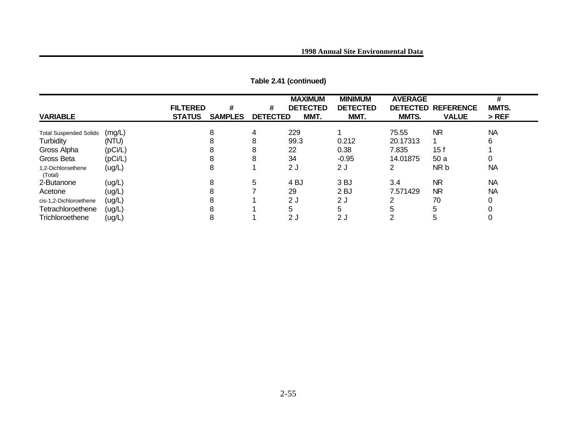|                               |         | <b>FILTERED</b> | #              | #               | <b>MAXIMUM</b><br><b>DETECTED</b> | <b>MINIMUM</b><br><b>DETECTED</b> | <b>AVERAGE</b> | <b>DETECTED REFERENCE</b> | #<br>MMTS. |
|-------------------------------|---------|-----------------|----------------|-----------------|-----------------------------------|-----------------------------------|----------------|---------------------------|------------|
| <b>VARIABLE</b>               |         | <b>STATUS</b>   | <b>SAMPLES</b> | <b>DETECTED</b> | MMT.                              | MMT.                              | MMTS.          | <b>VALUE</b>              | > REF      |
| <b>Total Suspended Solids</b> | (mg/L)  |                 | 8              | 4               | 229                               |                                   | 75.55          | <b>NR</b>                 | <b>NA</b>  |
| <b>Turbidity</b>              | (NTU)   |                 | 8              | 8               | 99.3                              | 0.212                             | 20.17313       |                           | 6          |
| Gross Alpha                   | (pCi/L) |                 | 8              | 8               | 22                                | 0.38                              | 7.835          | 15f                       |            |
| Gross Beta                    | (pCi/L) |                 | 8              | 8               | 34                                | $-0.95$                           | 14.01875       | 50a                       | 0          |
| 1,2-Dichloroethene<br>(Total) | (ug/L)  |                 | 8              |                 | 2J                                | 2 J                               |                | NR b                      | <b>NA</b>  |
| 2-Butanone                    | (ug/L)  |                 | 8              | 5               | 4 BJ                              | 3 BJ                              | 3.4            | <b>NR</b>                 | <b>NA</b>  |
| Acetone                       | (ug/L)  |                 | 8              |                 | 29                                | 2BJ                               | 7.571429       | <b>NR</b>                 | <b>NA</b>  |
| cis-1,2-Dichloroethene        | (ug/L)  |                 | 8              |                 | 2J                                | 2 J                               | っ              | 70                        | 0          |
| Tetrachloroethene             | (ug/L)  |                 | 8              |                 | 5                                 | 5                                 | 5              | 5                         |            |
| Trichloroethene               | (ug/L)  |                 | 8              |                 | 2J                                | 2J                                |                | 5                         | 0          |

**Table 2.41 (continued)**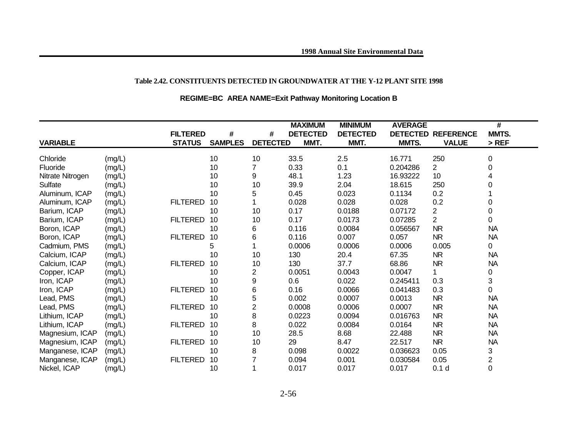### **Table 2.42. CONSTITUENTS DETECTED IN GROUNDWATER AT THE Y-12 PLANT SITE 1998**

|                  |        |                                  |                     |                      | <b>MAXIMUM</b>          | <b>MINIMUM</b>          | <b>AVERAGE</b> |                                           | #                |
|------------------|--------|----------------------------------|---------------------|----------------------|-------------------------|-------------------------|----------------|-------------------------------------------|------------------|
| <b>VARIABLE</b>  |        | <b>FILTERED</b><br><b>STATUS</b> | #<br><b>SAMPLES</b> | #<br><b>DETECTED</b> | <b>DETECTED</b><br>MMT. | <b>DETECTED</b><br>MMT. | MMTS.          | <b>DETECTED REFERENCE</b><br><b>VALUE</b> | MMTS.<br>$>$ REF |
| Chloride         | (mg/L) |                                  | 10                  | 10                   | 33.5                    | 2.5                     | 16.771         | 250                                       | 0                |
| Fluoride         | (mg/L) |                                  | 10                  | $\overline{7}$       | 0.33                    | 0.1                     | 0.204286       | $\overline{2}$                            | 0                |
| Nitrate Nitrogen | (mg/L) |                                  | 10                  | 9                    | 48.1                    | 1.23                    | 16.93222       | 10                                        | 4                |
| Sulfate          | (mg/L) |                                  | 10                  | 10                   | 39.9                    | 2.04                    | 18.615         | 250                                       | 0                |
| Aluminum, ICAP   | (mg/L) |                                  | 10                  | 5                    | 0.45                    | 0.023                   | 0.1134         | 0.2                                       |                  |
| Aluminum, ICAP   | (mg/L) | <b>FILTERED</b>                  | 10                  | 1                    | 0.028                   | 0.028                   | 0.028          | 0.2                                       | 0                |
| Barium, ICAP     | (mg/L) |                                  | 10                  | 10                   | 0.17                    | 0.0188                  | 0.07172        | $\overline{c}$                            | 0                |
| Barium, ICAP     | (mg/L) | <b>FILTERED</b>                  | 10                  | 10                   | 0.17                    | 0.0173                  | 0.07285        | $\overline{2}$                            | 0                |
| Boron, ICAP      | (mg/L) |                                  | 10                  | 6                    | 0.116                   | 0.0084                  | 0.056567       | <b>NR</b>                                 | <b>NA</b>        |
| Boron, ICAP      | (mg/L) | <b>FILTERED</b>                  | 10                  | 6                    | 0.116                   | 0.007                   | 0.057          | <b>NR</b>                                 | <b>NA</b>        |
| Cadmium, PMS     | (mg/L) |                                  | 5                   |                      | 0.0006                  | 0.0006                  | 0.0006         | 0.005                                     | 0                |
| Calcium, ICAP    | (mg/L) |                                  | 10                  | 10                   | 130                     | 20.4                    | 67.35          | <b>NR</b>                                 | <b>NA</b>        |
| Calcium, ICAP    | (mg/L) | <b>FILTERED</b>                  | 10                  | 10                   | 130                     | 37.7                    | 68.86          | <b>NR</b>                                 | <b>NA</b>        |
| Copper, ICAP     | (mg/L) |                                  | 10                  | 2                    | 0.0051                  | 0.0043                  | 0.0047         | 1                                         | 0                |
| Iron, ICAP       | (mg/L) |                                  | 10                  | 9                    | 0.6                     | 0.022                   | 0.245411       | 0.3                                       | 3                |
| Iron, ICAP       | (mg/L) | <b>FILTERED</b>                  | 10                  | 6                    | 0.16                    | 0.0066                  | 0.041483       | 0.3                                       | 0                |
| Lead, PMS        | (mg/L) |                                  | 10                  | 5                    | 0.002                   | 0.0007                  | 0.0013         | <b>NR</b>                                 | <b>NA</b>        |
| Lead, PMS        | (mg/L) | <b>FILTERED</b>                  | 10                  | 2                    | 0.0008                  | 0.0006                  | 0.0007         | <b>NR</b>                                 | <b>NA</b>        |
| Lithium, ICAP    | (mg/L) |                                  | 10                  | 8                    | 0.0223                  | 0.0094                  | 0.016763       | <b>NR</b>                                 | <b>NA</b>        |
| Lithium, ICAP    | (mg/L) | <b>FILTERED</b>                  | 10                  | 8                    | 0.022                   | 0.0084                  | 0.0164         | <b>NR</b>                                 | <b>NA</b>        |
| Magnesium, ICAP  | (mg/L) |                                  | 10                  | 10                   | 28.5                    | 8.68                    | 22.488         | <b>NR</b>                                 | <b>NA</b>        |
| Magnesium, ICAP  | (mg/L) | <b>FILTERED</b>                  | 10                  | 10                   | 29                      | 8.47                    | 22.517         | <b>NR</b>                                 | <b>NA</b>        |
| Manganese, ICAP  | (mg/L) |                                  | 10                  | 8                    | 0.098                   | 0.0022                  | 0.036623       | 0.05                                      | 3                |
| Manganese, ICAP  | (mg/L) | <b>FILTERED</b>                  | 10                  | 7                    | 0.094                   | 0.001                   | 0.030584       | 0.05                                      | $\overline{2}$   |
| Nickel, ICAP     | (mg/L) |                                  | 10                  | 1                    | 0.017                   | 0.017                   | 0.017          | 0.1 <sub>d</sub>                          | 0                |

### **REGIME=BC AREA NAME=Exit Pathway Monitoring Location B**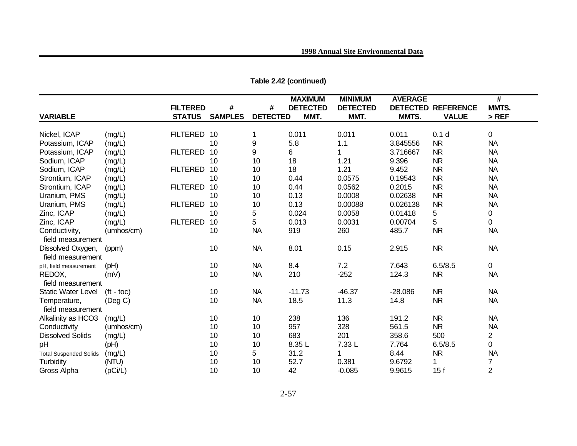|                               |              | <b>FILTERED</b> | #              | #               | <b>MAXIMUM</b><br><b>DETECTED</b> | <b>MINIMUM</b><br><b>DETECTED</b> | <b>AVERAGE</b> | <b>DETECTED REFERENCE</b> | #<br>MMTS.     |
|-------------------------------|--------------|-----------------|----------------|-----------------|-----------------------------------|-----------------------------------|----------------|---------------------------|----------------|
| <b>VARIABLE</b>               |              | <b>STATUS</b>   | <b>SAMPLES</b> | <b>DETECTED</b> | MMT.                              | MMT.                              | MMTS.          | <b>VALUE</b>              | $>$ REF        |
| Nickel, ICAP                  | (mg/L)       | <b>FILTERED</b> | 10             | 1               | 0.011                             | 0.011                             | 0.011          | 0.1 <sub>d</sub>          | 0              |
| Potassium, ICAP               | (mg/L)       |                 | 10             | 9               | 5.8                               | 1.1                               | 3.845556       | NR                        | <b>NA</b>      |
| Potassium, ICAP               | (mg/L)       | <b>FILTERED</b> | 10             | 9               | 6                                 |                                   | 3.716667       | NR                        | <b>NA</b>      |
| Sodium, ICAP                  | (mg/L)       |                 | 10             | 10              | 18                                | 1.21                              | 9.396          | <b>NR</b>                 | <b>NA</b>      |
| Sodium, ICAP                  | (mg/L)       | <b>FILTERED</b> | 10             | 10              | 18                                | 1.21                              | 9.452          | <b>NR</b>                 | <b>NA</b>      |
| Strontium, ICAP               | (mg/L)       |                 | 10             | 10              | 0.44                              | 0.0575                            | 0.19543        | <b>NR</b>                 | <b>NA</b>      |
| Strontium, ICAP               | (mg/L)       | <b>FILTERED</b> | 10             | 10              | 0.44                              | 0.0562                            | 0.2015         | <b>NR</b>                 | <b>NA</b>      |
| Uranium, PMS                  | (mg/L)       |                 | 10             | 10              | 0.13                              | 0.0008                            | 0.02638        | <b>NR</b>                 | <b>NA</b>      |
| Uranium, PMS                  | (mg/L)       | <b>FILTERED</b> | 10             | 10              | 0.13                              | 0.00088                           | 0.026138       | <b>NR</b>                 | <b>NA</b>      |
| Zinc, ICAP                    | (mg/L)       |                 | 10             | 5               | 0.024                             | 0.0058                            | 0.01418        | 5                         | 0              |
| Zinc, ICAP                    | (mg/L)       | <b>FILTERED</b> | 10             | 5               | 0.013                             | 0.0031                            | 0.00704        | 5                         | 0              |
| Conductivity,                 | (umhos/cm)   |                 | 10             | <b>NA</b>       | 919                               | 260                               | 485.7          | <b>NR</b>                 | <b>NA</b>      |
| field measurement             |              |                 |                |                 |                                   |                                   |                |                           |                |
| Dissolved Oxygen,             | (ppm)        |                 | 10             | <b>NA</b>       | 8.01                              | 0.15                              | 2.915          | NR                        | <b>NA</b>      |
| field measurement             |              |                 |                |                 |                                   |                                   |                |                           |                |
| pH, field measurement         | (Hq)         |                 | 10             | <b>NA</b>       | 8.4                               | 7.2                               | 7.643          | 6.5/8.5                   | 0              |
| REDOX,                        | (mV)         |                 | 10             | <b>NA</b>       | 210                               | $-252$                            | 124.3          | <b>NR</b>                 | <b>NA</b>      |
| field measurement             |              |                 |                |                 |                                   |                                   |                |                           |                |
| <b>Static Water Level</b>     | $(tt - toc)$ |                 | 10             | <b>NA</b>       | $-11.73$                          | $-46.37$                          | $-28.086$      | <b>NR</b>                 | <b>NA</b>      |
| Temperature,                  | (Deg C)      |                 | 10             | <b>NA</b>       | 18.5                              | 11.3                              | 14.8           | NR                        | <b>NA</b>      |
| field measurement             |              |                 |                |                 |                                   |                                   |                |                           |                |
| Alkalinity as HCO3            | (mg/L)       |                 | 10             | 10              | 238                               | 136                               | 191.2          | NR                        | <b>NA</b>      |
| Conductivity                  | (umhos/cm)   |                 | 10             | 10              | 957                               | 328                               | 561.5          | <b>NR</b>                 | <b>NA</b>      |
| <b>Dissolved Solids</b>       | (mg/L)       |                 | 10             | 10              | 683                               | 201                               | 358.6          | 500                       | 2              |
| pH                            | (Hq)         |                 | 10             | 10              | 8.35 L                            | 7.33L                             | 7.764          | 6.5/8.5                   | 0              |
| <b>Total Suspended Solids</b> | (mg/L)       |                 | 10             | 5               | 31.2                              |                                   | 8.44           | <b>NR</b>                 | <b>NA</b>      |
| Turbidity                     | (NTU)        |                 | 10             | 10              | 52.7                              | 0.381                             | 9.6792         | $\mathbf 1$               | 7              |
| Gross Alpha                   | (pCi/L)      |                 | 10             | 10              | 42                                | $-0.085$                          | 9.9615         | 15f                       | $\overline{2}$ |

# **Table 2.42 (continued)**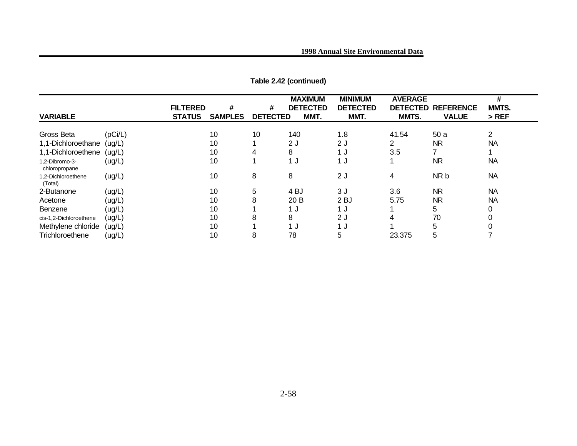| <b>VARIABLE</b>                 |         | <b>FILTERED</b><br><b>STATUS</b> | #<br><b>SAMPLES</b> | #<br><b>DETECTED</b> | <b>MAXIMUM</b><br><b>DETECTED</b><br>MMT. | <b>MINIMUM</b><br><b>DETECTED</b><br>MMT. | <b>AVERAGE</b><br><b>DETECTED</b><br>MMTS. | <b>REFERENCE</b><br><b>VALUE</b> | #<br>MMTS.<br>$>$ REF |
|---------------------------------|---------|----------------------------------|---------------------|----------------------|-------------------------------------------|-------------------------------------------|--------------------------------------------|----------------------------------|-----------------------|
|                                 |         |                                  |                     |                      |                                           |                                           |                                            |                                  |                       |
| Gross Beta                      | (pCi/L) |                                  | 10                  | 10                   | 140                                       | 1.8                                       | 41.54                                      | 50a                              | $\overline{2}$        |
| 1,1-Dichloroethane              | (ug/L)  |                                  | 10                  |                      | 2J                                        | 2 J                                       | 2                                          | <b>NR</b>                        | <b>NA</b>             |
| 1,1-Dichloroethene              | (ug/L)  |                                  | 10                  | 4                    | 8                                         | 1 <sub>J</sub>                            | 3.5                                        |                                  |                       |
| 1,2-Dibromo-3-<br>chloropropane | (ug/L)  |                                  | 10                  |                      | 1J                                        | 1 <sub>J</sub>                            |                                            | <b>NR</b>                        | <b>NA</b>             |
| 1,2-Dichloroethene<br>(Total)   | (ug/L)  |                                  | 10                  | 8                    | 8                                         | 2J                                        | 4                                          | NR b                             | <b>NA</b>             |
| 2-Butanone                      | (ug/L)  |                                  | 10                  | 5                    | 4 BJ                                      | 3 J                                       | 3.6                                        | <b>NR</b>                        | <b>NA</b>             |
| Acetone                         | (ug/L)  |                                  | 10                  | 8                    | 20B                                       | 2BJ                                       | 5.75                                       | <b>NR</b>                        | <b>NA</b>             |
| Benzene                         | (ug/L)  |                                  | 10                  |                      | 1 J                                       | 1 <sub>J</sub>                            |                                            | 5                                | 0                     |
| cis-1,2-Dichloroethene          | (ug/L)  |                                  | 10                  | 8                    | 8                                         | 2J                                        | 4                                          | 70                               | 0                     |
| Methylene chloride              | (ug/L)  |                                  | 10                  |                      | 1 J                                       | 1 J                                       |                                            | 5                                | 0                     |
| Trichloroethene                 | (ug/L)  |                                  | 10                  | 8                    | 78                                        | 5                                         | 23.375                                     | 5                                |                       |

**Table 2.42 (continued)**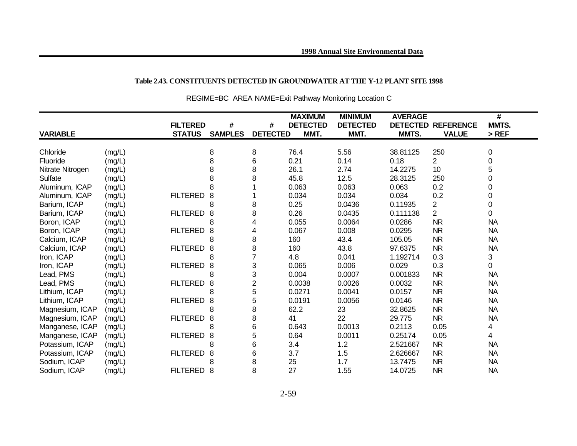### **Table 2.43. CONSTITUENTS DETECTED IN GROUNDWATER AT THE Y-12 PLANT SITE 1998**

|                  |        | <b>FILTERED</b> | #              | #               | <b>MAXIMUM</b><br><b>DETECTED</b> | <b>MINIMUM</b><br><b>DETECTED</b> | <b>AVERAGE</b> | <b>DETECTED REFERENCE</b> | #<br>MMTS. |
|------------------|--------|-----------------|----------------|-----------------|-----------------------------------|-----------------------------------|----------------|---------------------------|------------|
| <b>VARIABLE</b>  |        | <b>STATUS</b>   | <b>SAMPLES</b> | <b>DETECTED</b> | MMT.                              | MMT.                              | MMTS.          | <b>VALUE</b>              | $>$ REF    |
| Chloride         | (mg/L) |                 | 8              | 8               | 76.4                              | 5.56                              | 38.81125       | 250                       | 0          |
| Fluoride         | (mg/L) |                 | 8              | 6               | 0.21                              | 0.14                              | 0.18           | $\overline{2}$            | 0          |
| Nitrate Nitrogen | (mg/L) |                 | 8              | 8               | 26.1                              | 2.74                              | 14.2275        | 10                        | 5          |
| Sulfate          | (mg/L) |                 | 8              | 8               | 45.8                              | 12.5                              | 28.3125        | 250                       | 0          |
| Aluminum, ICAP   | (mg/L) |                 | 8              |                 | 0.063                             | 0.063                             | 0.063          | 0.2                       | 0          |
| Aluminum, ICAP   | (mg/L) | <b>FILTERED</b> | 8              |                 | 0.034                             | 0.034                             | 0.034          | 0.2                       | 0          |
| Barium, ICAP     | (mg/L) |                 | 8              | 8               | 0.25                              | 0.0436                            | 0.11935        | $\overline{c}$            | 0          |
| Barium, ICAP     | (mg/L) | <b>FILTERED</b> | 8              | 8               | 0.26                              | 0.0435                            | 0.111138       | $\overline{2}$            | 0          |
| Boron, ICAP      | (mg/L) |                 | 8              | 4               | 0.055                             | 0.0064                            | 0.0286         | <b>NR</b>                 | <b>NA</b>  |
| Boron, ICAP      | (mg/L) | <b>FILTERED</b> | 8              | 4               | 0.067                             | 0.008                             | 0.0295         | <b>NR</b>                 | <b>NA</b>  |
| Calcium, ICAP    | (mg/L) |                 | 8              | 8               | 160                               | 43.4                              | 105.05         | <b>NR</b>                 | <b>NA</b>  |
| Calcium, ICAP    | (mg/L) | <b>FILTERED</b> | 8              | 8               | 160                               | 43.8                              | 97.6375        | <b>NR</b>                 | <b>NA</b>  |
| Iron, ICAP       | (mg/L) |                 | 8              | 7               | 4.8                               | 0.041                             | 1.192714       | 0.3                       | 3          |
| Iron, ICAP       | (mg/L) | <b>FILTERED</b> | 8              | 3               | 0.065                             | 0.006                             | 0.029          | 0.3                       | 0          |
| Lead, PMS        | (mg/L) |                 | 8              | 3               | 0.004                             | 0.0007                            | 0.001833       | <b>NR</b>                 | <b>NA</b>  |
| Lead, PMS        | (mg/L) | <b>FILTERED</b> | 8              | 2               | 0.0038                            | 0.0026                            | 0.0032         | <b>NR</b>                 | <b>NA</b>  |
| Lithium, ICAP    | (mg/L) |                 | 8              | 5               | 0.0271                            | 0.0041                            | 0.0157         | NR                        | <b>NA</b>  |
| Lithium, ICAP    | (mg/L) | <b>FILTERED</b> | 8              | 5               | 0.0191                            | 0.0056                            | 0.0146         | <b>NR</b>                 | <b>NA</b>  |
| Magnesium, ICAP  | (mg/L) |                 | 8              | 8               | 62.2                              | 23                                | 32.8625        | <b>NR</b>                 | <b>NA</b>  |
| Magnesium, ICAP  | (mg/L) | <b>FILTERED</b> | 8              | 8               | 41                                | 22                                | 29.775         | <b>NR</b>                 | <b>NA</b>  |
| Manganese, ICAP  | (mg/L) |                 | 8              | 6               | 0.643                             | 0.0013                            | 0.2113         | 0.05                      | 4          |
| Manganese, ICAP  | (mg/L) | <b>FILTERED</b> | 8              | 5               | 0.64                              | 0.0011                            | 0.25174        | 0.05                      | 4          |
| Potassium, ICAP  | (mg/L) |                 | 8              | 6               | 3.4                               | 1.2                               | 2.521667       | <b>NR</b>                 | <b>NA</b>  |
| Potassium, ICAP  | (mg/L) | <b>FILTERED</b> | 8              | 6               | 3.7                               | 1.5                               | 2.626667       | <b>NR</b>                 | <b>NA</b>  |
| Sodium, ICAP     | (mg/L) |                 | 8              | 8               | 25                                | 1.7                               | 13.7475        | <b>NR</b>                 | <b>NA</b>  |
| Sodium, ICAP     | (mg/L) | <b>FILTERED</b> | 8              | 8               | 27                                | 1.55                              | 14.0725        | <b>NR</b>                 | <b>NA</b>  |

REGIME=BC AREA NAME=Exit Pathway Monitoring Location C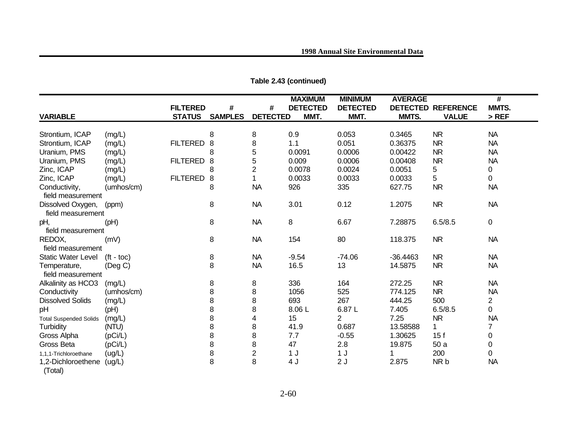|                                        |               |                 |                |                 | <b>MAXIMUM</b>  | <b>MINIMUM</b>  | <b>AVERAGE</b> |                           | #              |
|----------------------------------------|---------------|-----------------|----------------|-----------------|-----------------|-----------------|----------------|---------------------------|----------------|
|                                        |               | <b>FILTERED</b> | #              | #               | <b>DETECTED</b> | <b>DETECTED</b> |                | <b>DETECTED REFERENCE</b> | MMTS.          |
| <b>VARIABLE</b>                        |               | <b>STATUS</b>   | <b>SAMPLES</b> | <b>DETECTED</b> | MMT.            | MMT.            | MMTS.          | <b>VALUE</b>              | $>$ REF        |
|                                        |               |                 |                |                 |                 |                 |                |                           |                |
| Strontium, ICAP                        | (mg/L)        |                 | 8              | 8               | 0.9             | 0.053           | 0.3465         | <b>NR</b>                 | <b>NA</b>      |
| Strontium, ICAP                        | (mg/L)        | <b>FILTERED</b> | 8              | 8               | 1.1             | 0.051           | 0.36375        | <b>NR</b>                 | <b>NA</b>      |
| Uranium, PMS                           | (mg/L)        |                 | 8              | 5               | 0.0091          | 0.0006          | 0.00422        | <b>NR</b>                 | <b>NA</b>      |
| Uranium, PMS                           | (mg/L)        | <b>FILTERED</b> | 8              | 5               | 0.009           | 0.0006          | 0.00408        | <b>NR</b>                 | <b>NA</b>      |
| Zinc, ICAP                             | (mg/L)        |                 | 8              | $\overline{2}$  | 0.0078          | 0.0024          | 0.0051         | 5                         | 0              |
| Zinc, ICAP                             | (mg/L)        | <b>FILTERED</b> | 8              | 1               | 0.0033          | 0.0033          | 0.0033         | 5                         | $\mathbf 0$    |
| Conductivity,                          | (umhos/cm)    |                 | 8              | <b>NA</b>       | 926             | 335             | 627.75         | <b>NR</b>                 | <b>NA</b>      |
| field measurement                      |               |                 |                |                 |                 |                 |                |                           |                |
| Dissolved Oxygen,<br>field measurement | (ppm)         |                 | 8              | <b>NA</b>       | 3.01            | 0.12            | 1.2075         | NR                        | <b>NA</b>      |
| pH,                                    | (Hq)          |                 | 8              | <b>NA</b>       | 8               | 6.67            | 7.28875        | 6.5/8.5                   | $\mathbf 0$    |
| field measurement                      |               |                 |                |                 |                 |                 |                |                           |                |
| REDOX.                                 | (mV)          |                 | 8              | <b>NA</b>       | 154             | 80              | 118.375        | <b>NR</b>                 | <b>NA</b>      |
| field measurement                      |               |                 |                |                 |                 |                 |                |                           |                |
| <b>Static Water Level</b>              | $(tt - toc)$  |                 | 8              | <b>NA</b>       | $-9.54$         | $-74.06$        | $-36.4463$     | <b>NR</b>                 | <b>NA</b>      |
| Temperature,                           | $($ Deg C $)$ |                 | 8              | <b>NA</b>       | 16.5            | 13              | 14.5875        | <b>NR</b>                 | <b>NA</b>      |
| field measurement                      |               |                 |                |                 |                 |                 |                |                           |                |
| Alkalinity as HCO3                     | (mg/L)        |                 | 8              | 8               | 336             | 164             | 272.25         | <b>NR</b>                 | <b>NA</b>      |
| Conductivity                           | (umhos/cm)    |                 | 8              | 8               | 1056            | 525             | 774.125        | <b>NR</b>                 | <b>NA</b>      |
| <b>Dissolved Solids</b>                | (mg/L)        |                 | 8              | 8               | 693             | 267             | 444.25         | 500                       | $\overline{2}$ |
| pH                                     | (Hq)          |                 | 8              | 8               | 8.06L           | 6.87L           | 7.405          | 6.5/8.5                   | $\mathbf 0$    |
| <b>Total Suspended Solids</b>          | (mg/L)        |                 | 8              | 4               | 15              | $\overline{2}$  | 7.25           | <b>NR</b>                 | <b>NA</b>      |
| Turbidity                              | (NTU)         |                 | 8              | 8               | 41.9            | 0.687           | 13.58588       | $\mathbf 1$               | 7              |
| Gross Alpha                            | (pCi/L)       |                 | 8              | 8               | 7.7             | $-0.55$         | 1.30625        | 15f                       | 0              |
| Gross Beta                             | (pCi/L)       |                 | 8              | 8               | 47              | 2.8             | 19.875         | 50a                       | 0              |
| 1,1,1-Trichloroethane                  | (ug/L)        |                 | 8              | 2               | 1 <sub>J</sub>  | 1J              |                | 200                       | $\mathbf 0$    |
| 1,2-Dichloroethene                     | (ug/L)        |                 | 8              | 8               | 4 J             | 2J              | 2.875          | NR b                      | <b>NA</b>      |
| (Total)                                |               |                 |                |                 |                 |                 |                |                           |                |

# **Table 2.43 (continued)**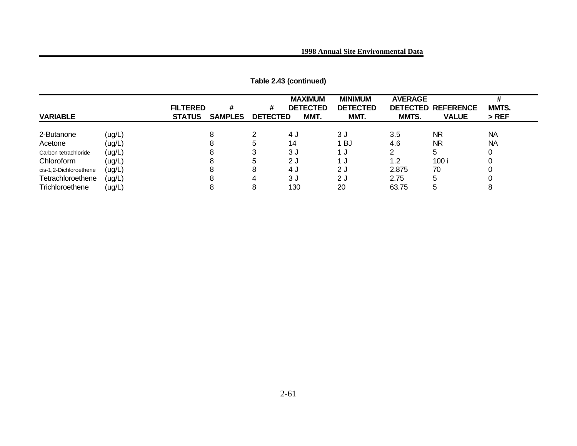# **1998 Annual Site Environmental Data**

| Table 2.43 (continued) |  |
|------------------------|--|
|------------------------|--|

|                        |        |                 |                |                 | <b>MAXIMUM</b>  | <b>MINIMUM</b>  | <b>AVERAGE</b>  |                  |           |
|------------------------|--------|-----------------|----------------|-----------------|-----------------|-----------------|-----------------|------------------|-----------|
|                        |        | <b>FILTERED</b> | #              | #               | <b>DETECTED</b> | <b>DETECTED</b> | <b>DETECTED</b> | <b>REFERENCE</b> | MMTS.     |
| <b>VARIABLE</b>        |        | <b>STATUS</b>   | <b>SAMPLES</b> | <b>DETECTED</b> | MMT.            | MMT.            | MMTS.           | <b>VALUE</b>     | $>$ REF   |
| 2-Butanone             | (ug/L) |                 |                |                 | 4 J             | 3 J             | 3.5             | <b>NR</b>        | <b>NA</b> |
| Acetone                | (ug/L) |                 |                | <sub>5</sub>    | 14              | 1 BJ            | 4.6             | <b>NR</b>        | <b>NA</b> |
| Carbon tetrachloride   | (ug/L) |                 |                | 3               | 3 J             | 1 J             |                 |                  |           |
| Chloroform             | (ug/L) |                 |                | 5               | 2 J             | 1 J             | 1.2             | 100 i            |           |
| cis-1,2-Dichloroethene | (ug/L) |                 |                | 8               | 4 J             | 2 J             | 2.875           | 70               |           |
| Tetrachloroethene      | (ug/L) |                 |                | 4               | 3 J             | 2 J             | 2.75            | h                |           |
| Trichloroethene        | (ug/L) |                 |                | 8               | 130             | 20              | 63.75           | 5                |           |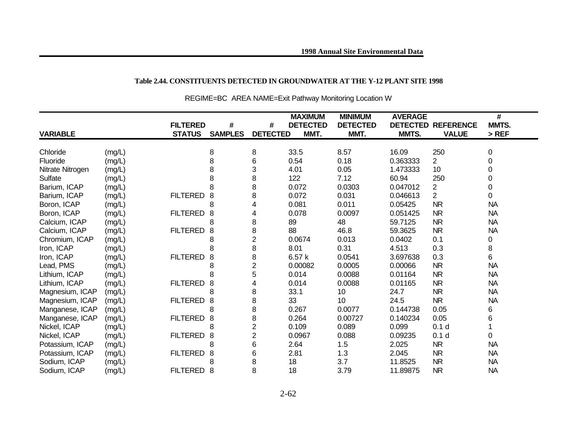### **Table 2.44. CONSTITUENTS DETECTED IN GROUNDWATER AT THE Y-12 PLANT SITE 1998**

|                  |        | <b>FILTERED</b> | #              | #                       | <b>MAXIMUM</b><br><b>DETECTED</b> | <b>MINIMUM</b><br><b>DETECTED</b> | <b>AVERAGE</b> | <b>DETECTED REFERENCE</b> | #<br>MMTS. |
|------------------|--------|-----------------|----------------|-------------------------|-----------------------------------|-----------------------------------|----------------|---------------------------|------------|
| <b>VARIABLE</b>  |        | <b>STATUS</b>   | <b>SAMPLES</b> | <b>DETECTED</b>         | MMT.                              | MMT.                              | MMTS.          | <b>VALUE</b>              | $>$ REF    |
| Chloride         | (mg/L) |                 | 8              | 8                       | 33.5                              | 8.57                              | 16.09          | 250                       | 0          |
| Fluoride         | (mg/L) |                 | 8              | 6                       | 0.54                              | 0.18                              | 0.363333       | $\overline{2}$            | 0          |
| Nitrate Nitrogen | (mg/L) |                 | 8              | 3                       | 4.01                              | 0.05                              | 1.473333       | 10                        | 0          |
| Sulfate          | (mg/L) |                 | 8              | 8                       | 122                               | 7.12                              | 60.94          | 250                       | 0          |
| Barium, ICAP     | (mg/L) |                 | 8              | 8                       | 0.072                             | 0.0303                            | 0.047012       | $\overline{2}$            | 0          |
| Barium, ICAP     | (mg/L) | <b>FILTERED</b> | 8              | 8                       | 0.072                             | 0.031                             | 0.046613       | $\overline{2}$            | 0          |
| Boron, ICAP      | (mg/L) |                 | 8              | 4                       | 0.081                             | 0.011                             | 0.05425        | <b>NR</b>                 | <b>NA</b>  |
| Boron, ICAP      | (mg/L) | <b>FILTERED</b> | 8              | 4                       | 0.078                             | 0.0097                            | 0.051425       | <b>NR</b>                 | <b>NA</b>  |
| Calcium, ICAP    | (mg/L) |                 | 8              | 8                       | 89                                | 48                                | 59.7125        | <b>NR</b>                 | <b>NA</b>  |
| Calcium, ICAP    | (mg/L) | <b>FILTERED</b> | 8              | 8                       | 88                                | 46.8                              | 59.3625        | <b>NR</b>                 | <b>NA</b>  |
| Chromium, ICAP   | (mg/L) |                 | 8              | $\overline{\mathbf{c}}$ | 0.0674                            | 0.013                             | 0.0402         | 0.1                       | 0          |
| Iron, ICAP       | (mg/L) |                 | 8              | $\bf 8$                 | 8.01                              | 0.31                              | 4.513          | 0.3                       | 8          |
| Iron, ICAP       | (mg/L) | <b>FILTERED</b> | 8              | 8                       | 6.57 k                            | 0.0541                            | 3.697638       | 0.3                       | 6          |
| Lead, PMS        | (mg/L) |                 | 8              | $\overline{2}$          | 0.00082                           | 0.0005                            | 0.00066        | <b>NR</b>                 | <b>NA</b>  |
| Lithium, ICAP    | (mg/L) |                 | 8              | 5                       | 0.014                             | 0.0088                            | 0.01164        | NR                        | <b>NA</b>  |
| Lithium, ICAP    | (mg/L) | <b>FILTERED</b> | 8              | 4                       | 0.014                             | 0.0088                            | 0.01165        | <b>NR</b>                 | <b>NA</b>  |
| Magnesium, ICAP  | (mg/L) |                 | 8              | 8                       | 33.1                              | 10                                | 24.7           | <b>NR</b>                 | <b>NA</b>  |
| Magnesium, ICAP  | (mg/L) | <b>FILTERED</b> | 8              | 8                       | 33                                | 10                                | 24.5           | NR                        | <b>NA</b>  |
| Manganese, ICAP  | (mg/L) |                 | 8              | 8                       | 0.267                             | 0.0077                            | 0.144738       | 0.05                      | 6          |
| Manganese, ICAP  | (mg/L) | <b>FILTERED</b> | 8              | 8                       | 0.264                             | 0.00727                           | 0.140234       | 0.05                      | 6          |
| Nickel, ICAP     | (mg/L) |                 | 8              | $\overline{\mathbf{c}}$ | 0.109                             | 0.089                             | 0.099          | 0.1 <sub>d</sub>          |            |
| Nickel, ICAP     | (mg/L) | <b>FILTERED</b> | 8              | $\overline{c}$          | 0.0967                            | 0.088                             | 0.09235        | 0.1 <sub>d</sub>          | 0          |
| Potassium, ICAP  | (mg/L) |                 | 8              | 6                       | 2.64                              | 1.5                               | 2.025          | <b>NR</b>                 | <b>NA</b>  |
| Potassium, ICAP  | (mg/L) | <b>FILTERED</b> | 8              | 6                       | 2.81                              | 1.3                               | 2.045          | <b>NR</b>                 | <b>NA</b>  |
| Sodium, ICAP     | (mg/L) |                 | 8              | 8                       | 18                                | 3.7                               | 11.8525        | <b>NR</b>                 | <b>NA</b>  |
| Sodium, ICAP     | (mg/L) | <b>FILTERED</b> | -8             | 8                       | 18                                | 3.79                              | 11.89875       | <b>NR</b>                 | <b>NA</b>  |

REGIME=BC AREA NAME=Exit Pathway Monitoring Location W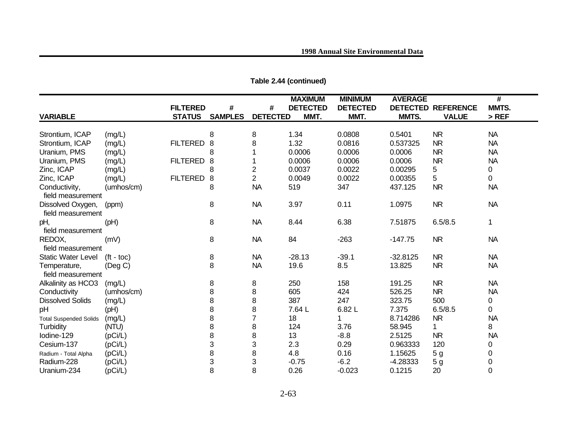|                                        |               |                 |                |                 | <b>MAXIMUM</b>  | <b>MINIMUM</b>  | <b>AVERAGE</b> |                           | #         |
|----------------------------------------|---------------|-----------------|----------------|-----------------|-----------------|-----------------|----------------|---------------------------|-----------|
|                                        |               | <b>FILTERED</b> | #              | #               | <b>DETECTED</b> | <b>DETECTED</b> |                | <b>DETECTED REFERENCE</b> | MMTS.     |
| <b>VARIABLE</b>                        |               | <b>STATUS</b>   | <b>SAMPLES</b> | <b>DETECTED</b> | MMT.            | MMT.            | MMTS.          | <b>VALUE</b>              | $>$ REF   |
| Strontium, ICAP                        | (mg/L)        |                 | 8              | 8               | 1.34            | 0.0808          | 0.5401         | NR                        | <b>NA</b> |
| Strontium, ICAP                        | (mg/L)        | <b>FILTERED</b> | 8              | 8               | 1.32            | 0.0816          | 0.537325       | <b>NR</b>                 | <b>NA</b> |
| Uranium, PMS                           | (mg/L)        |                 | 8              |                 | 0.0006          | 0.0006          | 0.0006         | <b>NR</b>                 | <b>NA</b> |
| Uranium, PMS                           | (mg/L)        | <b>FILTERED</b> | 8              |                 | 0.0006          | 0.0006          | 0.0006         | NR                        | <b>NA</b> |
| Zinc, ICAP                             | (mg/L)        |                 | 8              | $\overline{2}$  | 0.0037          | 0.0022          | 0.00295        | 5                         | 0         |
| Zinc, ICAP                             | (mg/L)        | <b>FILTERED</b> | 8              | $\overline{2}$  | 0.0049          | 0.0022          | 0.00355        | 5                         | 0         |
| Conductivity,<br>field measurement     | (umhos/cm)    |                 | 8              | <b>NA</b>       | 519             | 347             | 437.125        | <b>NR</b>                 | <b>NA</b> |
| Dissolved Oxygen,<br>field measurement | (ppm)         |                 | 8              | <b>NA</b>       | 3.97            | 0.11            | 1.0975         | NR                        | <b>NA</b> |
| pH,<br>field measurement               | (Hq)          |                 | 8              | <b>NA</b>       | 8.44            | 6.38            | 7.51875        | 6.5/8.5                   | 1         |
| REDOX,<br>field measurement            | (mV)          |                 | 8              | <b>NA</b>       | 84              | $-263$          | $-147.75$      | <b>NR</b>                 | <b>NA</b> |
| <b>Static Water Level</b>              | $(tt - toc)$  |                 | 8              | <b>NA</b>       | $-28.13$        | $-39.1$         | $-32.8125$     | <b>NR</b>                 | <b>NA</b> |
| Temperature,<br>field measurement      | $($ Deg C $)$ |                 | 8              | <b>NA</b>       | 19.6            | 8.5             | 13.825         | <b>NR</b>                 | <b>NA</b> |
| Alkalinity as HCO3                     | (mg/L)        |                 | 8              | 8               | 250             | 158             | 191.25         | NR                        | <b>NA</b> |
| Conductivity                           | (umhos/cm)    |                 | 8              | 8               | 605             | 424             | 526.25         | <b>NR</b>                 | <b>NA</b> |
| <b>Dissolved Solids</b>                | (mg/L)        |                 | 8              | 8               | 387             | 247             | 323.75         | 500                       | 0         |
| pH                                     | (Hq)          |                 | 8              | 8               | 7.64 L          | 6.82L           | 7.375          | 6.5/8.5                   | 0         |
| <b>Total Suspended Solids</b>          | (mg/L)        |                 | 8              | $\overline{7}$  | 18              | 1               | 8.714286       | <b>NR</b>                 | <b>NA</b> |
| Turbidity                              | (NTU)         |                 | 8              | 8               | 124             | 3.76            | 58.945         | 1                         | 8         |
| lodine-129                             | (pCi/L)       |                 | 8              | 8               | 13              | $-8.8$          | 2.5125         | <b>NR</b>                 | <b>NA</b> |
| Cesium-137                             | (pCi/L)       |                 | 3              | 3               | 2.3             | 0.29            | 0.963333       | 120                       | 0         |
| Radium - Total Alpha                   | (pCi/L)       |                 | 8              | 8               | 4.8             | 0.16            | 1.15625        | 5 <sub>g</sub>            | 0         |
| Radium-228                             | (pCi/L)       |                 | 3              | 3               | $-0.75$         | $-6.2$          | $-4.28333$     | 5 <sub>g</sub>            | 0         |
| Uranium-234                            | (pCi/L)       |                 | 8              | 8               | 0.26            | $-0.023$        | 0.1215         | 20                        | 0         |

# **Table 2.44 (continued)**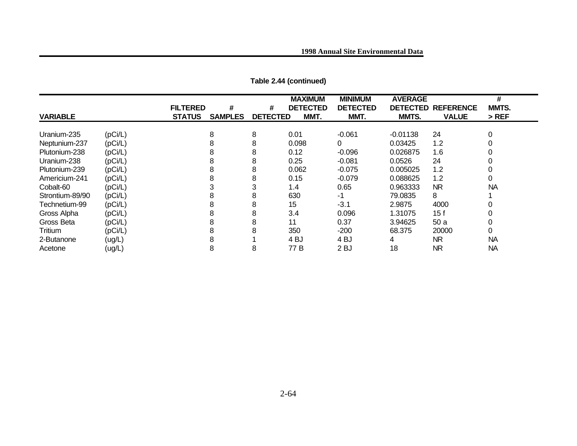# **1998 Annual Site Environmental Data**

|                 |         |                                  |                     |                      | <b>MAXIMUM</b>          | <b>MINIMUM</b>          | <b>AVERAGE</b> |                                           | #                |
|-----------------|---------|----------------------------------|---------------------|----------------------|-------------------------|-------------------------|----------------|-------------------------------------------|------------------|
| <b>VARIABLE</b> |         | <b>FILTERED</b><br><b>STATUS</b> | #<br><b>SAMPLES</b> | #<br><b>DETECTED</b> | <b>DETECTED</b><br>MMT. | <b>DETECTED</b><br>MMT. | MMTS.          | <b>DETECTED REFERENCE</b><br><b>VALUE</b> | MMTS.<br>$>$ REF |
| Uranium-235     | (pCi/L) |                                  | 8                   | 8                    | 0.01                    | $-0.061$                | $-0.01138$     | 24                                        | 0                |
| Neptunium-237   | (pCi/L) |                                  | 8                   | 8                    | 0.098                   | 0                       | 0.03425        | 1.2                                       |                  |
| Plutonium-238   | (pCi/L) |                                  | 8                   | 8                    | 0.12                    | $-0.096$                | 0.026875       | 1.6                                       |                  |
| Uranium-238     | (pCi/L) |                                  | 8                   | 8                    | 0.25                    | $-0.081$                | 0.0526         | 24                                        |                  |
| Plutonium-239   | (pCi/L) |                                  | 8                   | 8                    | 0.062                   | $-0.075$                | 0.005025       | 1.2                                       | 0                |
| Americium-241   | (pCi/L) |                                  | 8                   | 8                    | 0.15                    | $-0.079$                | 0.088625       | 1.2                                       | 0                |
| Cobalt-60       | (pCi/L) |                                  | 3                   | 3                    | 1.4                     | 0.65                    | 0.963333       | <b>NR</b>                                 | <b>NA</b>        |
| Strontium-89/90 | (pCi/L) |                                  | 8                   | 8                    | 630                     | -1                      | 79.0835        | 8                                         |                  |
| Technetium-99   | (pCi/L) |                                  | 8                   | 8                    | 15                      | $-3.1$                  | 2.9875         | 4000                                      | 0                |
| Gross Alpha     | (pCi/L) |                                  | 8                   | 8                    | 3.4                     | 0.096                   | 1.31075        | 15f                                       | 0                |
| Gross Beta      | (pCi/L) |                                  | 8                   | 8                    | 11                      | 0.37                    | 3.94625        | 50 a                                      | 0                |
| Tritium         | (pCi/L) |                                  | 8                   | 8                    | 350                     | $-200$                  | 68.375         | 20000                                     | 0                |
| 2-Butanone      | (ug/L)  |                                  | 8                   |                      | 4 <sub>BJ</sub>         | 4 <sub>BJ</sub>         | 4              | <b>NR</b>                                 | <b>NA</b>        |
| Acetone         | (ug/L)  |                                  | 8                   | 8                    | 77 B                    | 2BJ                     | 18             | <b>NR</b>                                 | <b>NA</b>        |

# **Table 2.44 (continued)**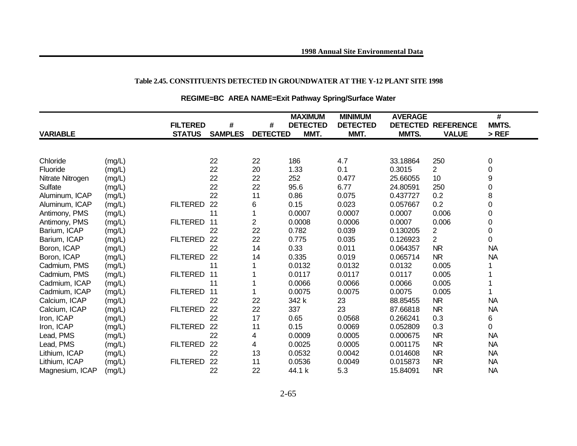#### **Table 2.45. CONSTITUENTS DETECTED IN GROUNDWATER AT THE Y-12 PLANT SITE 1998**

|                  |        | <b>FILTERED</b> |                     |                      | <b>MAXIMUM</b><br><b>DETECTED</b> | <b>MINIMUM</b><br><b>DETECTED</b> | <b>AVERAGE</b> | <b>DETECTED REFERENCE</b> | #                   |
|------------------|--------|-----------------|---------------------|----------------------|-----------------------------------|-----------------------------------|----------------|---------------------------|---------------------|
| <b>VARIABLE</b>  |        | <b>STATUS</b>   | #<br><b>SAMPLES</b> | #<br><b>DETECTED</b> | MMT.                              | MMT.                              | MMTS.          | <b>VALUE</b>              | MMTS.<br>$>$ REF    |
|                  |        |                 |                     |                      |                                   |                                   |                |                           |                     |
| Chloride         | (mg/L) |                 | 22                  | 22                   | 186                               | 4.7                               | 33.18864       | 250                       | 0                   |
| Fluoride         | (mg/L) |                 | 22                  | 20                   | 1.33                              | 0.1                               | 0.3015         | $\overline{2}$            | 0                   |
| Nitrate Nitrogen | (mg/L) |                 | 22                  | 22                   | 252                               | 0.477                             | 25.66055       | 10                        | 9                   |
| Sulfate          | (mg/L) |                 | 22                  | 22                   | 95.6                              | 6.77                              | 24.80591       | 250                       | $\mathsf{O}\xspace$ |
| Aluminum, ICAP   | (mg/L) |                 | 22                  | 11                   | 0.86                              | 0.075                             | 0.437727       | 0.2                       | 8                   |
| Aluminum, ICAP   | (mg/L) | <b>FILTERED</b> | 22                  | 6                    | 0.15                              | 0.023                             | 0.057667       | 0.2                       | 0                   |
| Antimony, PMS    | (mg/L) |                 | 11                  |                      | 0.0007                            | 0.0007                            | 0.0007         | 0.006                     | 0                   |
| Antimony, PMS    | (mg/L) | <b>FILTERED</b> | 11                  | $\overline{2}$       | 0.0008                            | 0.0006                            | 0.0007         | 0.006                     | 0                   |
| Barium, ICAP     | (mg/L) |                 | 22                  | 22                   | 0.782                             | 0.039                             | 0.130205       | $\overline{2}$            | 0                   |
| Barium, ICAP     | (mg/L) | <b>FILTERED</b> | 22                  | 22                   | 0.775                             | 0.035                             | 0.126923       | $\overline{2}$            | 0                   |
| Boron, ICAP      | (mg/L) |                 | 22                  | 14                   | 0.33                              | 0.011                             | 0.064357       | NR                        | <b>NA</b>           |
| Boron, ICAP      | (mg/L) | <b>FILTERED</b> | 22                  | 14                   | 0.335                             | 0.019                             | 0.065714       | <b>NR</b>                 | <b>NA</b>           |
| Cadmium, PMS     | (mg/L) |                 | 11                  |                      | 0.0132                            | 0.0132                            | 0.0132         | 0.005                     |                     |
| Cadmium, PMS     | (mg/L) | <b>FILTERED</b> | 11                  |                      | 0.0117                            | 0.0117                            | 0.0117         | 0.005                     |                     |
| Cadmium, ICAP    | (mg/L) |                 | 11                  |                      | 0.0066                            | 0.0066                            | 0.0066         | 0.005                     |                     |
| Cadmium, ICAP    | (mg/L) | <b>FILTERED</b> | 11                  |                      | 0.0075                            | 0.0075                            | 0.0075         | 0.005                     |                     |
| Calcium, ICAP    | (mg/L) |                 | 22                  | 22                   | 342 k                             | 23                                | 88.85455       | NR                        | <b>NA</b>           |
| Calcium, ICAP    | (mg/L) | <b>FILTERED</b> | 22                  | 22                   | 337                               | 23                                | 87.66818       | <b>NR</b>                 | <b>NA</b>           |
| Iron, ICAP       | (mg/L) |                 | 22                  | 17                   | 0.65                              | 0.0568                            | 0.266241       | 0.3                       | 6                   |
| Iron, ICAP       | (mg/L) | <b>FILTERED</b> | 22                  | 11                   | 0.15                              | 0.0069                            | 0.052809       | 0.3                       | 0                   |
| Lead, PMS        | (mg/L) |                 | 22                  | 4                    | 0.0009                            | 0.0005                            | 0.000675       | NR                        | <b>NA</b>           |
| Lead, PMS        | (mg/L) | <b>FILTERED</b> | 22                  | 4                    | 0.0025                            | 0.0005                            | 0.001175       | <b>NR</b>                 | <b>NA</b>           |
| Lithium, ICAP    | (mg/L) |                 | 22                  | 13                   | 0.0532                            | 0.0042                            | 0.014608       | NR                        | <b>NA</b>           |
| Lithium, ICAP    | (mg/L) | <b>FILTERED</b> | 22                  | 11                   | 0.0536                            | 0.0049                            | 0.015873       | <b>NR</b>                 | <b>NA</b>           |
| Magnesium, ICAP  | (mg/L) |                 | 22                  | 22                   | 44.1 k                            | 5.3                               | 15.84091       | <b>NR</b>                 | <b>NA</b>           |

### **REGIME=BC AREA NAME=Exit Pathway Spring/Surface Water**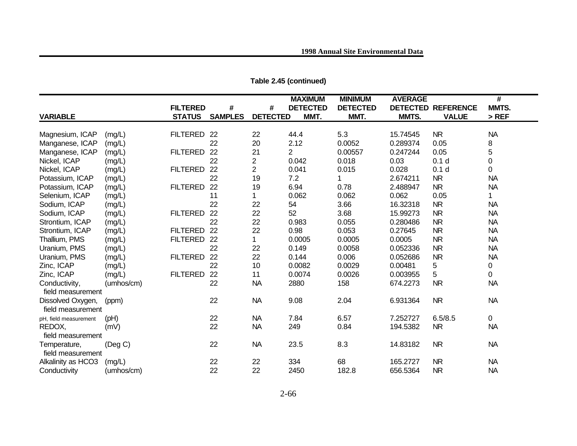|                                        |               |                 |                |                 | <b>MAXIMUM</b>  | <b>MINIMUM</b>  | <b>AVERAGE</b> |                           | #           |
|----------------------------------------|---------------|-----------------|----------------|-----------------|-----------------|-----------------|----------------|---------------------------|-------------|
|                                        |               | <b>FILTERED</b> | #              | #               | <b>DETECTED</b> | <b>DETECTED</b> |                | <b>DETECTED REFERENCE</b> | MMTS.       |
| <b>VARIABLE</b>                        |               | <b>STATUS</b>   | <b>SAMPLES</b> | <b>DETECTED</b> | MMT.            | MMT.            | MMTS.          | <b>VALUE</b>              | $>$ REF     |
| Magnesium, ICAP                        | (mg/L)        | <b>FILTERED</b> | 22             | 22              | 44.4            | 5.3             | 15.74545       | <b>NR</b>                 | <b>NA</b>   |
| Manganese, ICAP                        | (mg/L)        |                 | 22             | 20              | 2.12            | 0.0052          | 0.289374       | 0.05                      | 8           |
| Manganese, ICAP                        | (mg/L)        | <b>FILTERED</b> | 22             | 21              | $\overline{2}$  | 0.00557         | 0.247244       | 0.05                      | 5           |
| Nickel, ICAP                           | (mg/L)        |                 | 22             | $\overline{2}$  | 0.042           | 0.018           | 0.03           | 0.1 <sub>d</sub>          | 0           |
| Nickel, ICAP                           | (mg/L)        | <b>FILTERED</b> | 22             | $\overline{2}$  | 0.041           | 0.015           | 0.028          | 0.1 <sub>d</sub>          | 0           |
| Potassium, ICAP                        | (mg/L)        |                 | 22             | 19              | 7.2             |                 | 2.674211       | <b>NR</b>                 | <b>NA</b>   |
| Potassium, ICAP                        | (mg/L)        | <b>FILTERED</b> | 22             | 19              | 6.94            | 0.78            | 2.488947       | <b>NR</b>                 | <b>NA</b>   |
| Selenium, ICAP                         | (mg/L)        |                 | 11             | 1               | 0.062           | 0.062           | 0.062          | 0.05                      |             |
| Sodium, ICAP                           | (mg/L)        |                 | 22             | 22              | 54              | 3.66            | 16.32318       | <b>NR</b>                 | <b>NA</b>   |
| Sodium, ICAP                           | (mg/L)        | <b>FILTERED</b> | 22             | 22              | 52              | 3.68            | 15.99273       | <b>NR</b>                 | <b>NA</b>   |
| Strontium, ICAP                        | (mg/L)        |                 | 22             | 22              | 0.983           | 0.055           | 0.280486       | NR                        | <b>NA</b>   |
| Strontium, ICAP                        | (mg/L)        | <b>FILTERED</b> | 22             | 22              | 0.98            | 0.053           | 0.27645        | <b>NR</b>                 | <b>NA</b>   |
| Thallium, PMS                          | (mg/L)        | <b>FILTERED</b> | 22             | 1               | 0.0005          | 0.0005          | 0.0005         | <b>NR</b>                 | <b>NA</b>   |
| Uranium, PMS                           | (mg/L)        |                 | 22             | 22              | 0.149           | 0.0058          | 0.052336       | NR                        | <b>NA</b>   |
| Uranium, PMS                           | (mg/L)        | <b>FILTERED</b> | 22             | 22              | 0.144           | 0.006           | 0.052686       | <b>NR</b>                 | <b>NA</b>   |
| Zinc, ICAP                             | (mg/L)        |                 | 22             | 10              | 0.0082          | 0.0029          | 0.00481        | 5                         | 0           |
| Zinc, ICAP                             | (mg/L)        | <b>FILTERED</b> | 22             | 11              | 0.0074          | 0.0026          | 0.003955       | 5                         | 0           |
| Conductivity,                          | (umhos/cm)    |                 | 22             | <b>NA</b>       | 2880            | 158             | 674.2273       | <b>NR</b>                 | <b>NA</b>   |
| field measurement                      |               |                 |                |                 |                 |                 |                |                           |             |
| Dissolved Oxygen,<br>field measurement | (ppm)         |                 | 22             | <b>NA</b>       | 9.08            | 2.04            | 6.931364       | <b>NR</b>                 | <b>NA</b>   |
| pH, field measurement                  | (pH)          |                 | 22             | <b>NA</b>       | 7.84            | 6.57            | 7.252727       | 6.5/8.5                   | $\mathbf 0$ |
| REDOX,<br>field measurement            | (mV)          |                 | 22             | <b>NA</b>       | 249             | 0.84            | 194.5382       | <b>NR</b>                 | <b>NA</b>   |
| Temperature,<br>field measurement      | $($ Deg C $)$ |                 | 22             | <b>NA</b>       | 23.5            | 8.3             | 14.83182       | <b>NR</b>                 | <b>NA</b>   |
| Alkalinity as HCO3                     | (mg/L)        |                 | 22             | 22              | 334             | 68              | 165.2727       | <b>NR</b>                 | <b>NA</b>   |
| Conductivity                           | (umhos/cm)    |                 | 22             | 22              | 2450            | 182.8           | 656.5364       | <b>NR</b>                 | <b>NA</b>   |

# **Table 2.45 (continued)**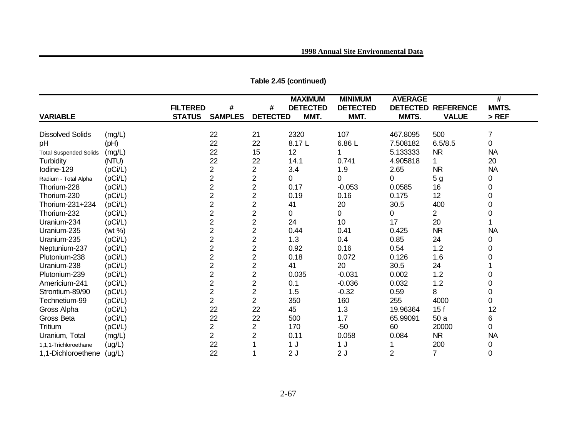|                               |         |                 |                         |                         | <b>MAXIMUM</b>  | <b>MINIMUM</b>  | <b>AVERAGE</b> |                           | #           |
|-------------------------------|---------|-----------------|-------------------------|-------------------------|-----------------|-----------------|----------------|---------------------------|-------------|
|                               |         | <b>FILTERED</b> | #                       | #                       | <b>DETECTED</b> | <b>DETECTED</b> |                | <b>DETECTED REFERENCE</b> | MMTS.       |
| <b>VARIABLE</b>               |         | <b>STATUS</b>   | <b>SAMPLES</b>          | <b>DETECTED</b>         | MMT.            | MMT.            | MMTS.          | <b>VALUE</b>              | $>$ REF     |
| <b>Dissolved Solids</b>       | (mg/L)  |                 | 22                      | 21                      | 2320            | 107             | 467.8095       | 500                       | 7           |
| pH                            | (PH)    |                 | 22                      | 22                      | 8.17L           | 6.86L           | 7.508182       | 6.5/8.5                   | $\Omega$    |
| <b>Total Suspended Solids</b> | (mg/L)  |                 | 22                      | 15                      | 12              |                 | 5.133333       | <b>NR</b>                 | <b>NA</b>   |
| Turbidity                     | (NTU)   |                 | 22                      | 22                      | 14.1            | 0.741           | 4.905818       |                           | 20          |
| lodine-129                    | (pCi/L) |                 | $\overline{2}$          | 2                       | 3.4             | 1.9             | 2.65           | <b>NR</b>                 | <b>NA</b>   |
| Radium - Total Alpha          | (pCi/L) |                 | 2                       | $\overline{c}$          | 0               | 0               | 0              | 5 <sub>g</sub>            | 0           |
| Thorium-228                   | (pCi/L) |                 | $\overline{2}$          | 2                       | 0.17            | $-0.053$        | 0.0585         | 16                        | $\Omega$    |
| Thorium-230                   | (pCi/L) |                 | 2                       | $\overline{c}$          | 0.19            | 0.16            | 0.175          | 12                        | 0           |
| Thorium-231+234               | (pCi/L) |                 | $\overline{2}$          | 2                       | 41              | 20              | 30.5           | 400                       | 0           |
| Thorium-232                   | (pCi/L) |                 | $\overline{\mathbf{c}}$ | $\overline{c}$          | 0               | 0               | 0              | $\overline{2}$            | 0           |
| Uranium-234                   | (pCi/L) |                 | $\overline{2}$          | 2                       | 24              | 10              | 17             | 20                        |             |
| Uranium-235                   | (wt %)  |                 | $\overline{2}$          | 2                       | 0.44            | 0.41            | 0.425          | <b>NR</b>                 | <b>NA</b>   |
| Uranium-235                   | (pCi/L) |                 | $\overline{2}$          | 2                       | 1.3             | 0.4             | 0.85           | 24                        | 0           |
| Neptunium-237                 | (pCi/L) |                 | $\overline{2}$          | 2                       | 0.92            | 0.16            | 0.54           | 1.2                       | 0           |
| Plutonium-238                 | (pCi/L) |                 | $\overline{\mathbf{c}}$ | $\overline{\mathbf{2}}$ | 0.18            | 0.072           | 0.126          | 1.6                       | 0           |
| Uranium-238                   | (pCi/L) |                 | $\overline{2}$          | 2                       | 41              | 20              | 30.5           | 24                        |             |
| Plutonium-239                 | (pCi/L) |                 | $\overline{2}$          | $\overline{2}$          | 0.035           | $-0.031$        | 0.002          | 1.2                       | 0           |
| Americium-241                 | (pCi/L) |                 | $\overline{2}$          | $\overline{\mathbf{c}}$ | 0.1             | $-0.036$        | 0.032          | 1.2                       | 0           |
| Strontium-89/90               | (pCi/L) |                 | $\overline{\mathbf{c}}$ | $\overline{\mathbf{2}}$ | 1.5             | $-0.32$         | 0.59           | 8                         | 0           |
| Technetium-99                 | (pCi/L) |                 | $\overline{2}$          | $\overline{2}$          | 350             | 160             | 255            | 4000                      | 0           |
| Gross Alpha                   | (pCi/L) |                 | 22                      | 22                      | 45              | 1.3             | 19.96364       | 15f                       | 12          |
| Gross Beta                    | (pCi/L) |                 | 22                      | 22                      | 500             | 1.7             | 65.99091       | 50a                       | 6           |
| Tritium                       | (pCi/L) |                 | $\overline{c}$          | 2                       | 170             | $-50$           | 60             | 20000                     | $\mathbf 0$ |
| Uranium, Total                | (mg/L)  |                 | $\overline{c}$          | 2                       | 0.11            | 0.058           | 0.084          | <b>NR</b>                 | <b>NA</b>   |
| 1,1,1-Trichloroethane         | (ug/L)  |                 | 22                      |                         | 1 J             | 1 <sub>J</sub>  |                | 200                       | 0           |
| 1,1-Dichloroethene            | (ug/L)  |                 | 22                      |                         | 2J              | 2J              | 2              | $\overline{7}$            | $\mathbf 0$ |

# **Table 2.45 (continued)**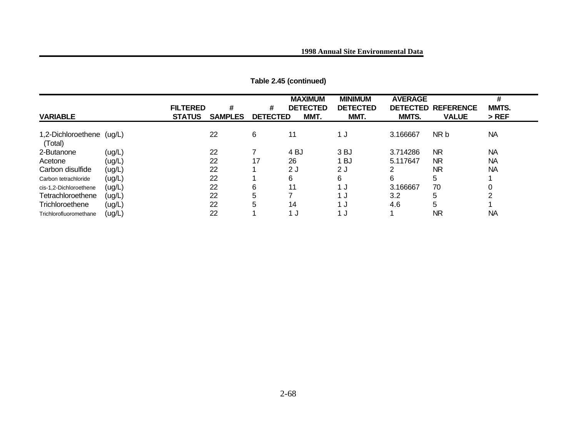|                                      |        |                 |                |                 | <b>MAXIMUM</b>  | <b>MINIMUM</b>  | <b>AVERAGE</b> |                           | #         |
|--------------------------------------|--------|-----------------|----------------|-----------------|-----------------|-----------------|----------------|---------------------------|-----------|
|                                      |        | <b>FILTERED</b> | #              | #               | <b>DETECTED</b> | <b>DETECTED</b> |                | <b>DETECTED REFERENCE</b> | MMTS.     |
| <b>VARIABLE</b>                      |        | <b>STATUS</b>   | <b>SAMPLES</b> | <b>DETECTED</b> | MMT.            | MMT.            | MMTS.          | <b>VALUE</b>              | $>$ REF   |
| 1,2-Dichloroethene (ug/L)<br>(Total) |        |                 | 22             | 6               | 11              | 1 <sub>J</sub>  | 3.166667       | NR b                      | <b>NA</b> |
| 2-Butanone                           | (ug/L) |                 | 22             |                 | 4 BJ            | 3 BJ            | 3.714286       | <b>NR</b>                 | <b>NA</b> |
| Acetone                              | (ug/L) |                 | 22             | 17              | 26              | 1 BJ            | 5.117647       | <b>NR</b>                 | <b>NA</b> |
| Carbon disulfide                     | (ug/L) |                 | 22             |                 | 2J              | 2 J             | ◠              | <b>NR</b>                 | <b>NA</b> |
| Carbon tetrachloride                 | (ug/L) |                 | 22             |                 | 6               | 6               | 6              | 5                         |           |
| cis-1,2-Dichloroethene               | (ug/L) |                 | 22             | 6               | 11              | 1 ປ             | 3.166667       | 70                        | 0         |
| Tetrachloroethene                    | (ug/L) |                 | 22             | 5               |                 | 1 <sub>J</sub>  | 3.2            | 5                         | っ         |
| Trichloroethene                      | (ug/L) |                 | 22             | 5               | 14              | 1J              | 4.6            | 5                         |           |
| Trichlorofluoromethane               | (ug/L) |                 | 22             |                 | 1 J             | 1 <sub>J</sub>  |                | <b>NR</b>                 | <b>NA</b> |

## **Table 2.45 (continued)**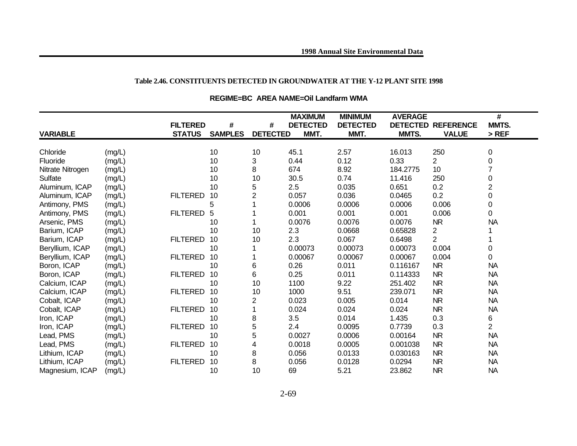#### **Table 2.46. CONSTITUENTS DETECTED IN GROUNDWATER AT THE Y-12 PLANT SITE 1998**

|                  |        |                 |                |                           | <b>MAXIMUM</b>  | <b>MINIMUM</b>  | <b>AVERAGE</b> |                           | #              |
|------------------|--------|-----------------|----------------|---------------------------|-----------------|-----------------|----------------|---------------------------|----------------|
|                  |        | <b>FILTERED</b> | #              | $\#$                      | <b>DETECTED</b> | <b>DETECTED</b> |                | <b>DETECTED REFERENCE</b> | MMTS.          |
| <b>VARIABLE</b>  |        | <b>STATUS</b>   | <b>SAMPLES</b> | <b>DETECTED</b>           | MMT.            | MMT.            | MMTS.          | <b>VALUE</b>              | $>$ REF        |
| Chloride         | (mg/L) |                 | 10             | 10                        | 45.1            | 2.57            | 16.013         | 250                       | $\pmb{0}$      |
| Fluoride         | (mg/L) |                 | 10             | $\ensuremath{\mathsf{3}}$ | 0.44            | 0.12            | 0.33           | $\overline{2}$            | 0              |
| Nitrate Nitrogen | (mg/L) |                 | 10             | 8                         | 674             | 8.92            | 184.2775       | 10                        | 7              |
| Sulfate          | (mg/L) |                 | 10             | 10                        | 30.5            | 0.74            | 11.416         | 250                       | 0              |
| Aluminum, ICAP   | (mg/L) |                 | 10             | 5                         | 2.5             | 0.035           | 0.651          | 0.2                       | $\overline{2}$ |
| Aluminum, ICAP   | (mg/L) | <b>FILTERED</b> | 10             | $\overline{2}$            | 0.057           | 0.036           | 0.0465         | 0.2                       | 0              |
| Antimony, PMS    | (mg/L) |                 | 5              |                           | 0.0006          | 0.0006          | 0.0006         | 0.006                     | 0              |
| Antimony, PMS    | (mg/L) | <b>FILTERED</b> | 5              |                           | 0.001           | 0.001           | 0.001          | 0.006                     | 0              |
| Arsenic, PMS     | (mg/L) |                 | 10             |                           | 0.0076          | 0.0076          | 0.0076         | NR                        | <b>NA</b>      |
| Barium, ICAP     | (mg/L) |                 | 10             | 10                        | 2.3             | 0.0668          | 0.65828        | $\overline{2}$            |                |
| Barium, ICAP     | (mg/L) | <b>FILTERED</b> | 10             | 10                        | 2.3             | 0.067           | 0.6498         | $\overline{2}$            |                |
| Beryllium, ICAP  | (mg/L) |                 | 10             |                           | 0.00073         | 0.00073         | 0.00073        | 0.004                     | 0              |
| Beryllium, ICAP  | (mg/L) | <b>FILTERED</b> | 10             |                           | 0.00067         | 0.00067         | 0.00067        | 0.004                     | 0              |
| Boron, ICAP      | (mg/L) |                 | 10             | 6                         | 0.26            | 0.011           | 0.116167       | NR                        | <b>NA</b>      |
| Boron, ICAP      | (mg/L) | <b>FILTERED</b> | 10             | 6                         | 0.25            | 0.011           | 0.114333       | <b>NR</b>                 | <b>NA</b>      |
| Calcium, ICAP    | (mg/L) |                 | 10             | 10                        | 1100            | 9.22            | 251.402        | <b>NR</b>                 | <b>NA</b>      |
| Calcium, ICAP    | (mg/L) | <b>FILTERED</b> | 10             | 10                        | 1000            | 9.51            | 239.071        | <b>NR</b>                 | <b>NA</b>      |
| Cobalt, ICAP     | (mg/L) |                 | 10             | $\overline{2}$            | 0.023           | 0.005           | 0.014          | <b>NR</b>                 | <b>NA</b>      |
| Cobalt, ICAP     | (mg/L) | <b>FILTERED</b> | 10             |                           | 0.024           | 0.024           | 0.024          | <b>NR</b>                 | <b>NA</b>      |
| Iron, ICAP       | (mg/L) |                 | 10             | 8                         | 3.5             | 0.014           | 1.435          | 0.3                       | 6              |
| Iron, ICAP       | (mg/L) | <b>FILTERED</b> | 10             | 5                         | 2.4             | 0.0095          | 0.7739         | 0.3                       | $\overline{2}$ |
| Lead, PMS        | (mg/L) |                 | 10             | 5                         | 0.0027          | 0.0006          | 0.00164        | <b>NR</b>                 | <b>NA</b>      |
| Lead, PMS        | (mg/L) | <b>FILTERED</b> | 10             | 4                         | 0.0018          | 0.0005          | 0.001038       | <b>NR</b>                 | <b>NA</b>      |
| Lithium, ICAP    | (mg/L) |                 | 10             | 8                         | 0.056           | 0.0133          | 0.030163       | NR                        | <b>NA</b>      |
| Lithium, ICAP    | (mg/L) | <b>FILTERED</b> | 10             | 8                         | 0.056           | 0.0128          | 0.0294         | <b>NR</b>                 | <b>NA</b>      |
| Magnesium, ICAP  | (mg/L) |                 | 10             | 10                        | 69              | 5.21            | 23.862         | <b>NR</b>                 | <b>NA</b>      |

#### **REGIME=BC AREA NAME=Oil Landfarm WMA**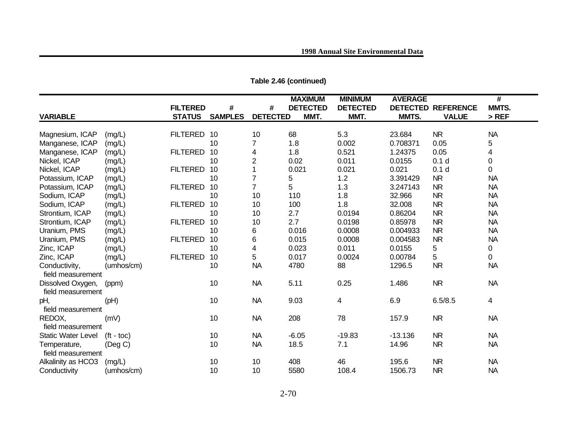|                           |               |                 |                |                 | <b>MAXIMUM</b>  | <b>MINIMUM</b>  | <b>AVERAGE</b> |                           | #         |
|---------------------------|---------------|-----------------|----------------|-----------------|-----------------|-----------------|----------------|---------------------------|-----------|
|                           |               | <b>FILTERED</b> | #              | #               | <b>DETECTED</b> | <b>DETECTED</b> |                | <b>DETECTED REFERENCE</b> | MMTS.     |
| <b>VARIABLE</b>           |               | <b>STATUS</b>   | <b>SAMPLES</b> | <b>DETECTED</b> | MMT.            | MMT.            | MMTS.          | <b>VALUE</b>              | $>$ REF   |
|                           |               |                 |                |                 |                 |                 |                |                           |           |
| Magnesium, ICAP           | (mg/L)        | <b>FILTERED</b> | 10             | 10              | 68              | 5.3             | 23.684         | <b>NR</b>                 | <b>NA</b> |
| Manganese, ICAP           | (mg/L)        |                 | 10             | $\overline{7}$  | 1.8             | 0.002           | 0.708371       | 0.05                      | 5         |
| Manganese, ICAP           | (mg/L)        | <b>FILTERED</b> | 10             | 4               | 1.8             | 0.521           | 1.24375        | 0.05                      | 4         |
| Nickel, ICAP              | (mg/L)        |                 | 10             | 2               | 0.02            | 0.011           | 0.0155         | 0.1 <sub>d</sub>          | 0         |
| Nickel, ICAP              | (mg/L)        | <b>FILTERED</b> | 10             |                 | 0.021           | 0.021           | 0.021          | 0.1 <sub>d</sub>          | 0         |
| Potassium, ICAP           | (mg/L)        |                 | 10             | 7               | 5               | 1.2             | 3.391429       | NR                        | <b>NA</b> |
| Potassium, ICAP           | (mg/L)        | <b>FILTERED</b> | 10             | $\overline{7}$  | 5               | 1.3             | 3.247143       | <b>NR</b>                 | <b>NA</b> |
| Sodium, ICAP              | (mg/L)        |                 | 10             | 10              | 110             | 1.8             | 32.966         | <b>NR</b>                 | <b>NA</b> |
| Sodium, ICAP              | (mg/L)        | <b>FILTERED</b> | 10             | 10              | 100             | 1.8             | 32.008         | <b>NR</b>                 | <b>NA</b> |
| Strontium, ICAP           | (mg/L)        |                 | 10             | 10              | 2.7             | 0.0194          | 0.86204        | <b>NR</b>                 | <b>NA</b> |
| Strontium, ICAP           | (mg/L)        | <b>FILTERED</b> | 10             | 10              | 2.7             | 0.0198          | 0.85978        | <b>NR</b>                 | <b>NA</b> |
| Uranium, PMS              | (mg/L)        |                 | 10             | 6               | 0.016           | 0.0008          | 0.004933       | <b>NR</b>                 | <b>NA</b> |
| Uranium, PMS              | (mg/L)        | <b>FILTERED</b> | 10             | 6               | 0.015           | 0.0008          | 0.004583       | <b>NR</b>                 | <b>NA</b> |
| Zinc, ICAP                | (mg/L)        |                 | 10             | 4               | 0.023           | 0.011           | 0.0155         | 5                         | 0         |
| Zinc, ICAP                | (mg/L)        | <b>FILTERED</b> | 10             | 5               | 0.017           | 0.0024          | 0.00784        | 5                         | 0         |
| Conductivity,             | (umhos/cm)    |                 | 10             | <b>NA</b>       | 4780            | 88              | 1296.5         | <b>NR</b>                 | <b>NA</b> |
| field measurement         |               |                 |                |                 |                 |                 |                |                           |           |
| Dissolved Oxygen,         | (ppm)         |                 | 10             | <b>NA</b>       | 5.11            | 0.25            | 1.486          | <b>NR</b>                 | <b>NA</b> |
| field measurement         |               |                 |                |                 |                 |                 |                |                           |           |
| рH,                       | (PH)          |                 | 10             | <b>NA</b>       | 9.03            | 4               | 6.9            | 6.5/8.5                   | 4         |
| field measurement         |               |                 |                |                 |                 |                 |                |                           |           |
| REDOX,                    | (mV)          |                 | 10             | <b>NA</b>       | 208             | 78              | 157.9          | <b>NR</b>                 | <b>NA</b> |
| field measurement         |               |                 |                |                 |                 |                 |                |                           |           |
| <b>Static Water Level</b> | $(t - toc)$   |                 | 10             | <b>NA</b>       | $-6.05$         | $-19.83$        | $-13.136$      | <b>NR</b>                 | <b>NA</b> |
| Temperature,              | $($ Deg C $)$ |                 | 10             | <b>NA</b>       | 18.5            | 7.1             | 14.96          | <b>NR</b>                 | <b>NA</b> |
| field measurement         |               |                 |                |                 |                 |                 |                |                           |           |
| Alkalinity as HCO3        | (mg/L)        |                 | 10             | 10              | 408             | 46              | 195.6          | <b>NR</b>                 | <b>NA</b> |
| Conductivity              | (umhos/cm)    |                 | 10             | 10              | 5580            | 108.4           | 1506.73        | <b>NR</b>                 | <b>NA</b> |
|                           |               |                 |                |                 |                 |                 |                |                           |           |

**Table 2.46 (continued)**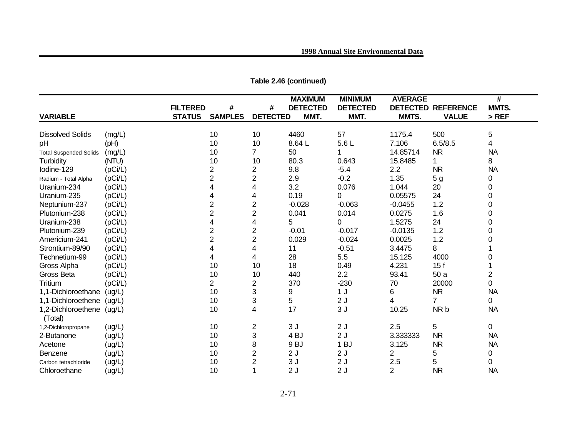|                                      |         |                 |                  |                         | <b>MAXIMUM</b>   | <b>MINIMUM</b>  | <b>AVERAGE</b> |                           | #              |
|--------------------------------------|---------|-----------------|------------------|-------------------------|------------------|-----------------|----------------|---------------------------|----------------|
|                                      |         | <b>FILTERED</b> | #                | #                       | <b>DETECTED</b>  | <b>DETECTED</b> |                | <b>DETECTED REFERENCE</b> | MMTS.          |
| <b>VARIABLE</b>                      |         | <b>STATUS</b>   | <b>SAMPLES</b>   | <b>DETECTED</b>         | MMT.             | MMT.            | MMTS.          | <b>VALUE</b>              | $>$ REF        |
| <b>Dissolved Solids</b>              | (mg/L)  |                 | 10               | 10                      | 4460             | 57              | 1175.4         | 500                       | 5              |
| pH                                   | (Hq)    |                 | 10               | 10                      | 8.64 L           | 5.6L            | 7.106          | 6.5/8.5                   | 4              |
| <b>Total Suspended Solids</b>        | (mg/L)  |                 | 10               | $\overline{7}$          | 50               |                 | 14.85714       | <b>NR</b>                 | <b>NA</b>      |
| Turbidity                            | (NTU)   |                 | 10               | 10                      | 80.3             | 0.643           | 15.8485        | 1.                        | 8              |
| lodine-129                           | (pCi/L) |                 | $\overline{2}$   | $\overline{2}$          | 9.8              | $-5.4$          | 2.2            | <b>NR</b>                 | <b>NA</b>      |
| Radium - Total Alpha                 | (pCi/L) |                 | 2                | $\overline{2}$          | 2.9              | $-0.2$          | 1.35           | 5 <sub>g</sub>            | 0              |
| Uranium-234                          | (pCi/L) |                 | 4                | 4                       | 3.2              | 0.076           | 1.044          | 20                        | 0              |
| Uranium-235                          | (pCi/L) |                 | 4                | 4                       | 0.19             | 0               | 0.05575        | 24                        | 0              |
| Neptunium-237                        | (pCi/L) |                 | $\overline{2}$   | $\overline{c}$          | $-0.028$         | $-0.063$        | $-0.0455$      | 1.2                       | 0              |
| Plutonium-238                        | (pCi/L) |                 | $\overline{2}$   | $\overline{2}$          | 0.041            | 0.014           | 0.0275         | 1.6                       | 0              |
| Uranium-238                          | (pCi/L) |                 | 4                | 4                       | 5                | 0               | 1.5275         | 24                        | 0              |
| Plutonium-239                        | (pCi/L) |                 | $\boldsymbol{2}$ | $\sqrt{2}$              | $-0.01$          | $-0.017$        | $-0.0135$      | 1.2                       | 0              |
| Americium-241                        | (pCi/L) |                 | $\overline{2}$   | $\overline{2}$          | 0.029            | $-0.024$        | 0.0025         | 1.2                       | 0              |
| Strontium-89/90                      | (pCi/L) |                 | 4                | 4                       | 11               | $-0.51$         | 3.4475         | 8                         |                |
| Technetium-99                        | (pCi/L) |                 | 4                | 4                       | 28               | 5.5             | 15.125         | 4000                      | 0              |
| Gross Alpha                          | (pCi/L) |                 | 10               | 10                      | 18               | 0.49            | 4.231          | 15f                       |                |
| Gross Beta                           | (pCi/L) |                 | 10               | 10                      | 440              | 2.2             | 93.41          | 50a                       | $\overline{2}$ |
| Tritium                              | (pCi/L) |                 | $\overline{2}$   | $\overline{2}$          | 370              | $-230$          | 70             | 20000                     | 0              |
| 1,1-Dichloroethane                   | (ug/L)  |                 | 10               | $\mathbf{3}$            | 9                | 1 <sub>J</sub>  | 6              | <b>NR</b>                 | <b>NA</b>      |
| 1,1-Dichloroethene (ug/L)            |         |                 | 10               | $\sqrt{3}$              | 5                | 2J              | 4              | $\overline{7}$            | 0              |
| 1,2-Dichloroethene (ug/L)<br>(Total) |         |                 | 10               | $\overline{\mathbf{4}}$ | 17               | 3J              | 10.25          | NR b                      | <b>NA</b>      |
| 1,2-Dichloropropane                  | (ug/L)  |                 | 10               | $\overline{2}$          | 3J               | 2J              | 2.5            | 5                         | 0              |
| 2-Butanone                           | (ug/L)  |                 | 10               | $\mathbf{3}$            | 4 <sub>BJ</sub>  | 2J              | 3.333333       | <b>NR</b>                 | <b>NA</b>      |
| Acetone                              | (ug/L)  |                 | 10               | 8                       | 9 <sub>B</sub> J | 1BJ             | 3.125          | <b>NR</b>                 | <b>NA</b>      |
| <b>Benzene</b>                       | (ug/L)  |                 | 10               | $\overline{2}$          | 2J               | 2J              | $\overline{2}$ | 5                         | 0              |
| Carbon tetrachloride                 | (ug/L)  |                 | 10               | $\overline{2}$          | 3J               | 2J              | 2.5            | 5                         | 0              |
| Chloroethane                         | (ug/L)  |                 | 10               | 1                       | 2J               | 2J              | $\overline{2}$ | <b>NR</b>                 | <b>NA</b>      |

# **Table 2.46 (continued)**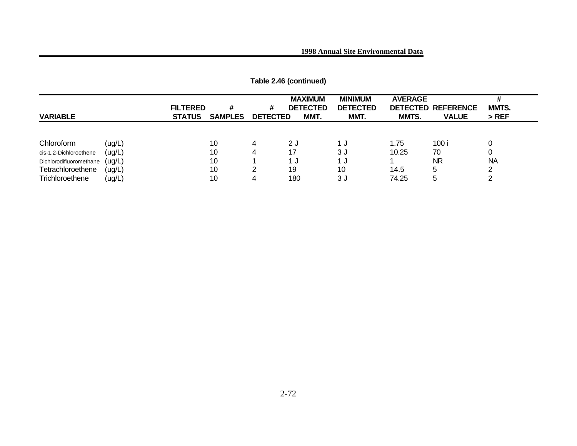### **1998 Annual Site Environmental Data**

## **Table 2.46 (continued)**

| <b>VARIABLE</b>         |        | <b>FILTERED</b><br><b>STATUS</b> | #<br><b>SAMPLES</b> | #<br><b>DETECTED</b> | <b>MAXIMUM</b><br><b>DETECTED</b><br>MMT. | <b>MINIMUM</b><br><b>DETECTED</b><br>MMT. | <b>AVERAGE</b><br>MMTS. | <b>DETECTED REFERENCE</b><br><b>VALUE</b> | MMTS.<br>> REF |
|-------------------------|--------|----------------------------------|---------------------|----------------------|-------------------------------------------|-------------------------------------------|-------------------------|-------------------------------------------|----------------|
|                         |        |                                  |                     |                      |                                           |                                           |                         |                                           |                |
| Chloroform              | (ug/L) |                                  | 10                  | 4                    | 2 J                                       | 1 J                                       | 1.75                    | 100 i                                     |                |
| cis-1,2-Dichloroethene  | (ug/L) |                                  | 10                  | 4                    | 17                                        | 3 J                                       | 10.25                   | 70                                        |                |
| Dichlorodifluoromethane | (ug/L) |                                  | 10                  |                      | 1 ປ                                       | 1 J                                       |                         | <b>NR</b>                                 | <b>NA</b>      |
| Tetrachloroethene       | (ug/L) |                                  | 10                  | 2                    | 19                                        | 10                                        | 14.5                    | 5                                         |                |
| Trichloroethene         | (ug/L) |                                  | 10                  | 4                    | 180                                       | 3 J                                       | 74.25                   |                                           |                |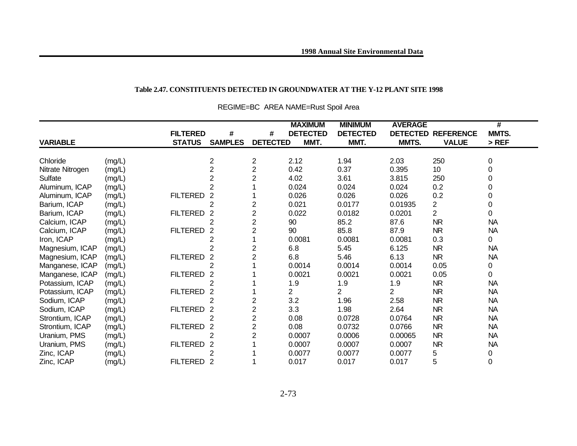### **Table 2.47. CONSTITUENTS DETECTED IN GROUNDWATER AT THE Y-12 PLANT SITE 1998**

|                  |        |                 |                |                 | <b>MAXIMUM</b>  | <b>MINIMUM</b>  | <b>AVERAGE</b> |                           | $\overline{\boldsymbol{r}}$ |
|------------------|--------|-----------------|----------------|-----------------|-----------------|-----------------|----------------|---------------------------|-----------------------------|
|                  |        | <b>FILTERED</b> | #              | #               | <b>DETECTED</b> | <b>DETECTED</b> |                | <b>DETECTED REFERENCE</b> | MMTS.                       |
| <b>VARIABLE</b>  |        | <b>STATUS</b>   | <b>SAMPLES</b> | <b>DETECTED</b> | MMT.            | MMT.            | MMTS.          | <b>VALUE</b>              | $>$ REF                     |
| Chloride         | (mg/L) |                 | 2              | $\overline{c}$  | 2.12            | 1.94            | 2.03           | 250                       | 0                           |
| Nitrate Nitrogen | (mg/L) |                 | 2              | $\overline{2}$  | 0.42            | 0.37            | 0.395          | 10                        | 0                           |
| Sulfate          | (mg/L) |                 | $\overline{2}$ | $\overline{2}$  | 4.02            | 3.61            | 3.815          | 250                       | 0                           |
| Aluminum, ICAP   | (mg/L) |                 | 2              |                 | 0.024           | 0.024           | 0.024          | 0.2                       | O                           |
| Aluminum, ICAP   | (mg/L) | <b>FILTERED</b> | 2              |                 | 0.026           | 0.026           | 0.026          | 0.2                       | 0                           |
| Barium, ICAP     | (mg/L) |                 |                | $\overline{2}$  | 0.021           | 0.0177          | 0.01935        | $\overline{2}$            | 0                           |
| Barium, ICAP     | (mg/L) | <b>FILTERED</b> | 2              | $\overline{2}$  | 0.022           | 0.0182          | 0.0201         | $\overline{2}$            | 0                           |
| Calcium, ICAP    | (mg/L) |                 |                | $\overline{2}$  | 90              | 85.2            | 87.6           | NR                        | <b>NA</b>                   |
| Calcium, ICAP    | (mg/L) | <b>FILTERED</b> | $\overline{2}$ | $\overline{2}$  | 90              | 85.8            | 87.9           | <b>NR</b>                 | <b>NA</b>                   |
| Iron, ICAP       | (mg/L) |                 |                |                 | 0.0081          | 0.0081          | 0.0081         | 0.3                       | 0                           |
| Magnesium, ICAP  | (mg/L) |                 |                | $\overline{2}$  | 6.8             | 5.45            | 6.125          | <b>NR</b>                 | <b>NA</b>                   |
| Magnesium, ICAP  | (mg/L) | <b>FILTERED</b> | 2              | $\overline{2}$  | 6.8             | 5.46            | 6.13           | <b>NR</b>                 | <b>NA</b>                   |
| Manganese, ICAP  | (mg/L) |                 |                |                 | 0.0014          | 0.0014          | 0.0014         | 0.05                      | 0                           |
| Manganese, ICAP  | (mg/L) | <b>FILTERED</b> | 2              |                 | 0.0021          | 0.0021          | 0.0021         | 0.05                      | 0                           |
| Potassium, ICAP  | (mg/L) |                 |                |                 | 1.9             | 1.9             | 1.9            | <b>NR</b>                 | <b>NA</b>                   |
| Potassium, ICAP  | (mg/L) | <b>FILTERED</b> | $\overline{2}$ |                 | 2               | 2               | $\overline{2}$ | NR                        | <b>NA</b>                   |
| Sodium, ICAP     | (mg/L) |                 |                | $\overline{2}$  | 3.2             | 1.96            | 2.58           | <b>NR</b>                 | <b>NA</b>                   |
| Sodium, ICAP     | (mg/L) | <b>FILTERED</b> | $\overline{2}$ | $\overline{2}$  | 3.3             | 1.98            | 2.64           | <b>NR</b>                 | <b>NA</b>                   |
| Strontium, ICAP  | (mg/L) |                 |                | $\overline{2}$  | 0.08            | 0.0728          | 0.0764         | <b>NR</b>                 | <b>NA</b>                   |
| Strontium, ICAP  | (mg/L) | <b>FILTERED</b> | 2              | $\overline{2}$  | 0.08            | 0.0732          | 0.0766         | <b>NR</b>                 | <b>NA</b>                   |
| Uranium, PMS     | (mg/L) |                 | 2              | $\overline{2}$  | 0.0007          | 0.0006          | 0.00065        | <b>NR</b>                 | <b>NA</b>                   |
| Uranium, PMS     | (mg/L) | <b>FILTERED</b> | 2              |                 | 0.0007          | 0.0007          | 0.0007         | <b>NR</b>                 | <b>NA</b>                   |
| Zinc, ICAP       | (mg/L) |                 |                |                 | 0.0077          | 0.0077          | 0.0077         | 5                         | 0                           |
| Zinc, ICAP       | (mg/L) | FILTERED 2      |                |                 | 0.017           | 0.017           | 0.017          | 5                         | 0                           |

# REGIME=BC AREA NAME=Rust Spoil Area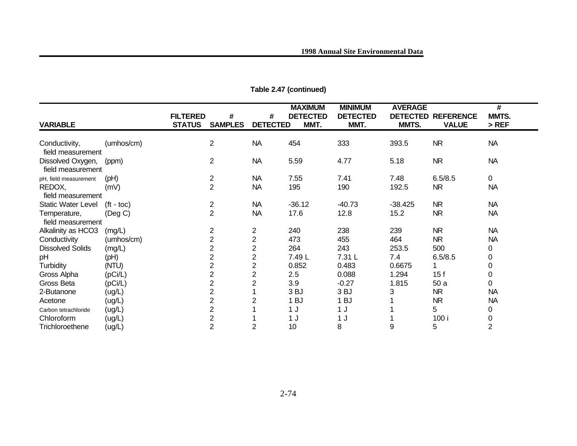|                                        |               |                 |                |                         | <b>MAXIMUM</b>  | <b>MINIMUM</b>  | <b>AVERAGE</b> |                           | #              |
|----------------------------------------|---------------|-----------------|----------------|-------------------------|-----------------|-----------------|----------------|---------------------------|----------------|
|                                        |               | <b>FILTERED</b> | #              | #                       | <b>DETECTED</b> | <b>DETECTED</b> |                | <b>DETECTED REFERENCE</b> | MMTS.          |
| <b>VARIABLE</b>                        |               | <b>STATUS</b>   | <b>SAMPLES</b> | <b>DETECTED</b>         | MMT.            | MMT.            | MMTS.          | <b>VALUE</b>              | $>$ REF        |
| Conductivity,<br>field measurement     | (umhos/cm)    |                 | $\overline{2}$ | <b>NA</b>               | 454             | 333             | 393.5          | <b>NR</b>                 | <b>NA</b>      |
| Dissolved Oxygen,<br>field measurement | (ppm)         |                 | $\overline{2}$ | <b>NA</b>               | 5.59            | 4.77            | 5.18           | <b>NR</b>                 | <b>NA</b>      |
| pH, field measurement                  | (pH)          |                 | $\overline{c}$ | <b>NA</b>               | 7.55            | 7.41            | 7.48           | 6.5/8.5                   | 0              |
| REDOX,<br>field measurement            | (mV)          |                 | $\overline{2}$ | <b>NA</b>               | 195             | 190             | 192.5          | <b>NR</b>                 | <b>NA</b>      |
| <b>Static Water Level</b>              | $(tt - toc)$  |                 | $\overline{c}$ | <b>NA</b>               | $-36.12$        | $-40.73$        | $-38.425$      | <b>NR</b>                 | <b>NA</b>      |
| Temperature,<br>field measurement      | $($ Deg C $)$ |                 | $\overline{2}$ | <b>NA</b>               | 17.6            | 12.8            | 15.2           | <b>NR</b>                 | <b>NA</b>      |
| Alkalinity as HCO3                     | (mg/L)        |                 | 2              | $\overline{2}$          | 240             | 238             | 239            | <b>NR</b>                 | <b>NA</b>      |
| Conductivity                           | (umhos/cm)    |                 | 2              | $\overline{c}$          | 473             | 455             | 464            | <b>NR</b>                 | <b>NA</b>      |
| <b>Dissolved Solids</b>                | (mg/L)        |                 | $\overline{2}$ | $\overline{\mathbf{c}}$ | 264             | 243             | 253.5          | 500                       | 0              |
| pH                                     | (PH)          |                 | 2              | $\overline{2}$          | 7.49 L          | 7.31 L          | 7.4            | 6.5/8.5                   | 0              |
| Turbidity                              | (NTU)         |                 | 2              | $\overline{2}$          | 0.852           | 0.483           | 0.6675         |                           | 0              |
| Gross Alpha                            | (pCi/L)       |                 | 2              | $\overline{2}$          | 2.5             | 0.088           | 1.294          | 15f                       | 0              |
| Gross Beta                             | (pCi/L)       |                 | 2              | $\overline{2}$          | 3.9             | $-0.27$         | 1.815          | 50a                       | 0              |
| 2-Butanone                             | (ug/L)        |                 | 2              |                         | 3BJ             | 3BJ             | 3              | <b>NR</b>                 | <b>NA</b>      |
| Acetone                                | (ug/L)        |                 | $\overline{2}$ | 2                       | 1BJ             | 1BJ             |                | <b>NR</b>                 | <b>NA</b>      |
| Carbon tetrachloride                   | (ug/L)        |                 | 2              |                         | 1 J             | 1 <sub>J</sub>  |                | 5                         | 0              |
| Chloroform                             | (ug/L)        |                 | 2              |                         | 1 J             | 1 J             |                | 100 i                     | 0              |
| Trichloroethene                        | (ug/L)        |                 | $\overline{2}$ | 2                       | 10              | 8               | 9              | 5                         | $\overline{2}$ |

## **Table 2.47 (continued)**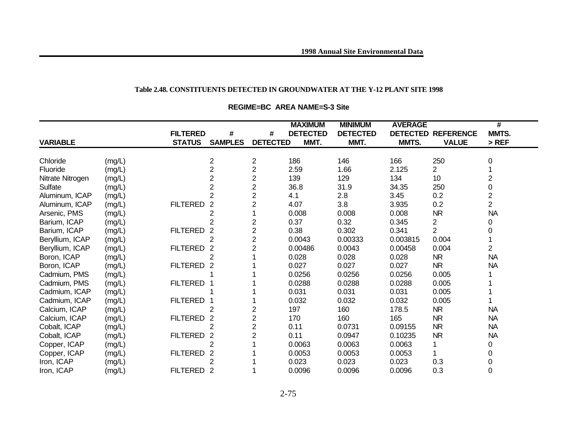### **Table 2.48. CONSTITUENTS DETECTED IN GROUNDWATER AT THE Y-12 PLANT SITE 1998**

|                  |        |                 |                |                         | <b>MAXIMUM</b>  | <b>MINIMUM</b>  | <b>AVERAGE</b> |                           | #              |
|------------------|--------|-----------------|----------------|-------------------------|-----------------|-----------------|----------------|---------------------------|----------------|
|                  |        | <b>FILTERED</b> | #              | #                       | <b>DETECTED</b> | <b>DETECTED</b> |                | <b>DETECTED REFERENCE</b> | MMTS.          |
| <b>VARIABLE</b>  |        | <b>STATUS</b>   | <b>SAMPLES</b> | <b>DETECTED</b>         | MMT.            | MMT.            | MMTS.          | <b>VALUE</b>              | $>$ REF        |
| Chloride         | (mg/L) |                 | 2              | 2                       | 186             | 146             | 166            | 250                       | 0              |
| Fluoride         | (mg/L) |                 | $\overline{2}$ | $\overline{2}$          | 2.59            | 1.66            | 2.125          | $\overline{2}$            |                |
| Nitrate Nitrogen | (mg/L) |                 | $\overline{2}$ | $\overline{\mathbf{c}}$ | 139             | 129             | 134            | 10                        | 2              |
| Sulfate          | (mg/L) |                 | $\overline{2}$ | $\overline{\mathbf{c}}$ | 36.8            | 31.9            | 34.35          | 250                       | 0              |
| Aluminum, ICAP   | (mg/L) |                 | $\overline{2}$ | $\overline{2}$          | 4.1             | 2.8             | 3.45           | 0.2                       | 2              |
| Aluminum, ICAP   | (mg/L) | <b>FILTERED</b> | 2              | $\overline{2}$          | 4.07            | 3.8             | 3.935          | 0.2                       | $\overline{2}$ |
| Arsenic, PMS     | (mg/L) |                 | 2              |                         | 0.008           | 0.008           | 0.008          | <b>NR</b>                 | <b>NA</b>      |
| Barium, ICAP     | (mg/L) |                 |                | 2                       | 0.37            | 0.32            | 0.345          | $\overline{2}$            | 0              |
| Barium, ICAP     | (mg/L) | <b>FILTERED</b> | $\overline{2}$ | $\overline{2}$          | 0.38            | 0.302           | 0.341          | $\overline{2}$            | 0              |
| Beryllium, ICAP  | (mg/L) |                 |                | $\overline{2}$          | 0.0043          | 0.00333         | 0.003815       | 0.004                     |                |
| Beryllium, ICAP  | (mg/L) | <b>FILTERED</b> | 2              | $\overline{2}$          | 0.00486         | 0.0043          | 0.00458        | 0.004                     | 2              |
| Boron, ICAP      | (mg/L) |                 | 2              |                         | 0.028           | 0.028           | 0.028          | <b>NR</b>                 | <b>NA</b>      |
| Boron, ICAP      | (mg/L) | <b>FILTERED</b> | $\overline{2}$ |                         | 0.027           | 0.027           | 0.027          | <b>NR</b>                 | <b>NA</b>      |
| Cadmium, PMS     | (mg/L) |                 |                |                         | 0.0256          | 0.0256          | 0.0256         | 0.005                     |                |
| Cadmium, PMS     | (mg/L) | <b>FILTERED</b> |                |                         | 0.0288          | 0.0288          | 0.0288         | 0.005                     |                |
| Cadmium, ICAP    | (mg/L) |                 |                |                         | 0.031           | 0.031           | 0.031          | 0.005                     |                |
| Cadmium, ICAP    | (mg/L) | <b>FILTERED</b> |                |                         | 0.032           | 0.032           | 0.032          | 0.005                     |                |
| Calcium, ICAP    | (mg/L) |                 | 2              | 2                       | 197             | 160             | 178.5          | <b>NR</b>                 | <b>NA</b>      |
| Calcium, ICAP    | (mg/L) | <b>FILTERED</b> | $\overline{2}$ | $\overline{2}$          | 170             | 160             | 165            | <b>NR</b>                 | <b>NA</b>      |
| Cobalt, ICAP     | (mg/L) |                 | 2              | $\overline{2}$          | 0.11            | 0.0731          | 0.09155        | <b>NR</b>                 | <b>NA</b>      |
| Cobalt, ICAP     | (mg/L) | <b>FILTERED</b> | 2              | $\overline{2}$          | 0.11            | 0.0947          | 0.10235        | <b>NR</b>                 | <b>NA</b>      |
| Copper, ICAP     | (mg/L) |                 | $\overline{2}$ |                         | 0.0063          | 0.0063          | 0.0063         |                           | 0              |
| Copper, ICAP     | (mg/L) | <b>FILTERED</b> | $\overline{2}$ |                         | 0.0053          | 0.0053          | 0.0053         |                           | 0              |
| Iron, ICAP       | (mg/L) |                 | 2              |                         | 0.023           | 0.023           | 0.023          | 0.3                       | 0              |
| Iron, ICAP       | (mg/L) | <b>FILTERED</b> | $\overline{2}$ |                         | 0.0096          | 0.0096          | 0.0096         | 0.3                       | $\Omega$       |

### **REGIME=BC AREA NAME=S-3 Site**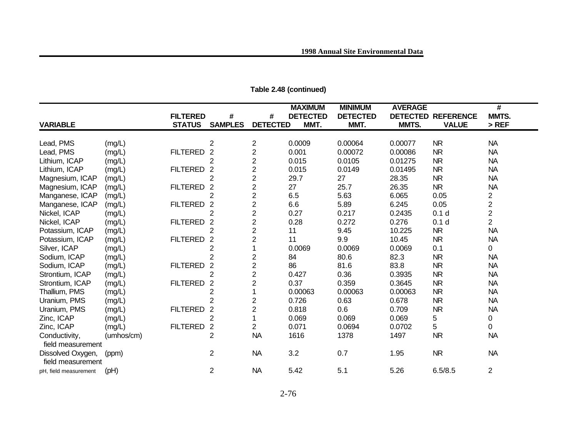| <b>VARIABLE</b>                        |            | <b>FILTERED</b><br><b>STATUS</b> | #<br><b>SAMPLES</b> | #<br><b>DETECTED</b> | <b>MAXIMUM</b><br><b>DETECTED</b><br>MMT. | <b>MINIMUM</b><br><b>DETECTED</b><br>MMT. | <b>AVERAGE</b><br>MMTS. | <b>DETECTED REFERENCE</b><br><b>VALUE</b> | #<br>MMTS.<br>$>$ REF |
|----------------------------------------|------------|----------------------------------|---------------------|----------------------|-------------------------------------------|-------------------------------------------|-------------------------|-------------------------------------------|-----------------------|
|                                        |            |                                  |                     |                      |                                           |                                           |                         |                                           |                       |
| Lead, PMS                              | (mg/L)     |                                  | $\overline{2}$      | $\overline{c}$       | 0.0009                                    | 0.00064                                   | 0.00077                 | <b>NR</b>                                 | <b>NA</b>             |
| Lead, PMS                              | (mg/L)     | <b>FILTERED</b>                  | $\overline{2}$      | $\overline{c}$       | 0.001                                     | 0.00072                                   | 0.00086                 | <b>NR</b>                                 | <b>NA</b>             |
| Lithium, ICAP                          | (mg/L)     |                                  | $\overline{2}$      | $\overline{c}$       | 0.015                                     | 0.0105                                    | 0.01275                 | <b>NR</b>                                 | <b>NA</b>             |
| Lithium, ICAP                          | (mg/L)     | <b>FILTERED</b>                  | 2                   | $\overline{c}$       | 0.015                                     | 0.0149                                    | 0.01495                 | <b>NR</b>                                 | <b>NA</b>             |
| Magnesium, ICAP                        | (mg/L)     |                                  | 2                   | $\overline{2}$       | 29.7                                      | 27                                        | 28.35                   | <b>NR</b>                                 | <b>NA</b>             |
| Magnesium, ICAP                        | (mg/L)     | <b>FILTERED</b>                  | $\overline{2}$      | $\overline{2}$       | 27                                        | 25.7                                      | 26.35                   | <b>NR</b>                                 | <b>NA</b>             |
| Manganese, ICAP                        | (mg/L)     |                                  | 2                   | $\overline{2}$       | 6.5                                       | 5.63                                      | 6.065                   | 0.05                                      | $\overline{2}$        |
| Manganese, ICAP                        | (mg/L)     | <b>FILTERED</b>                  | $\overline{2}$      | $\overline{c}$       | 6.6                                       | 5.89                                      | 6.245                   | 0.05                                      | $\overline{2}$        |
| Nickel, ICAP                           | (mg/L)     |                                  | $\overline{2}$      | $\overline{2}$       | 0.27                                      | 0.217                                     | 0.2435                  | 0.1 <sub>d</sub>                          | $\overline{2}$        |
| Nickel, ICAP                           | (mg/L)     | <b>FILTERED</b>                  | $\overline{2}$      | $\overline{2}$       | 0.28                                      | 0.272                                     | 0.276                   | 0.1 <sub>d</sub>                          | $\overline{2}$        |
| Potassium, ICAP                        | (mg/L)     |                                  | 2                   | $\overline{2}$       | 11                                        | 9.45                                      | 10.225                  | NR                                        | <b>NA</b>             |
| Potassium, ICAP                        | (mg/L)     | <b>FILTERED</b>                  | 2                   | $\overline{2}$       | 11                                        | 9.9                                       | 10.45                   | <b>NR</b>                                 | <b>NA</b>             |
| Silver, ICAP                           | (mg/L)     |                                  | 2                   |                      | 0.0069                                    | 0.0069                                    | 0.0069                  | 0.1                                       | 0                     |
| Sodium, ICAP                           | (mg/L)     |                                  | $\overline{2}$      | $\mathbf{2}$         | 84                                        | 80.6                                      | 82.3                    | <b>NR</b>                                 | <b>NA</b>             |
| Sodium, ICAP                           | (mg/L)     | <b>FILTERED</b>                  | 2                   | $\overline{2}$       | 86                                        | 81.6                                      | 83.8                    | NR                                        | <b>NA</b>             |
| Strontium, ICAP                        | (mg/L)     |                                  | 2                   | $\overline{2}$       | 0.427                                     | 0.36                                      | 0.3935                  | <b>NR</b>                                 | <b>NA</b>             |
| Strontium, ICAP                        | (mg/L)     | <b>FILTERED</b>                  | $\overline{2}$      | $\overline{2}$       | 0.37                                      | 0.359                                     | 0.3645                  | NR                                        | <b>NA</b>             |
| Thallium, PMS                          | (mg/L)     |                                  | 2                   |                      | 0.00063                                   | 0.00063                                   | 0.00063                 | <b>NR</b>                                 | <b>NA</b>             |
| Uranium, PMS                           | (mg/L)     |                                  | $\overline{2}$      | $\overline{c}$       | 0.726                                     | 0.63                                      | 0.678                   | <b>NR</b>                                 | <b>NA</b>             |
| Uranium, PMS                           | (mg/L)     | <b>FILTERED</b>                  | $\overline{2}$      | $\overline{2}$       | 0.818                                     | 0.6                                       | 0.709                   | <b>NR</b>                                 | <b>NA</b>             |
| Zinc, ICAP                             | (mg/L)     |                                  | 2                   |                      | 0.069                                     | 0.069                                     | 0.069                   | 5                                         | 0                     |
| Zinc, ICAP                             | (mg/L)     | <b>FILTERED</b>                  | $\overline{2}$      | $\overline{2}$       | 0.071                                     | 0.0694                                    | 0.0702                  | 5                                         | 0                     |
| Conductivity,<br>field measurement     | (umhos/cm) |                                  | $\overline{2}$      | <b>NA</b>            | 1616                                      | 1378                                      | 1497                    | NR                                        | <b>NA</b>             |
| Dissolved Oxygen,<br>field measurement | (ppm)      |                                  | $\overline{2}$      | <b>NA</b>            | 3.2                                       | 0.7                                       | 1.95                    | <b>NR</b>                                 | <b>NA</b>             |
| pH, field measurement                  | (Hq)       |                                  | $\overline{2}$      | <b>NA</b>            | 5.42                                      | 5.1                                       | 5.26                    | 6.5/8.5                                   | $\overline{2}$        |

## **Table 2.48 (continued)**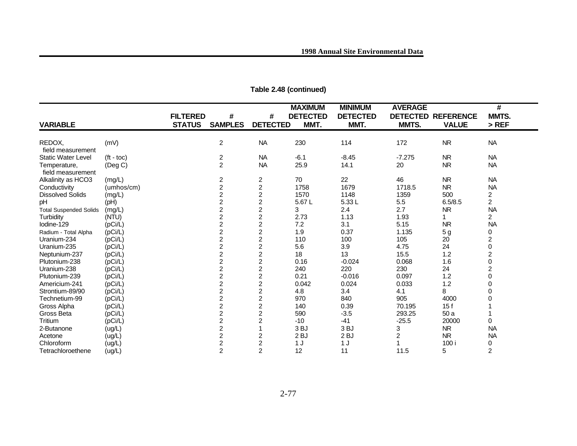|                                   |               |                 |                         |                         | <b>MAXIMUM</b>  | <b>MINIMUM</b>  | <b>AVERAGE</b> |                           | $\overline{\boldsymbol{r}}$ |
|-----------------------------------|---------------|-----------------|-------------------------|-------------------------|-----------------|-----------------|----------------|---------------------------|-----------------------------|
|                                   |               | <b>FILTERED</b> | #                       | #                       | <b>DETECTED</b> | <b>DETECTED</b> |                | <b>DETECTED REFERENCE</b> | MMTS.                       |
| <b>VARIABLE</b>                   |               | <b>STATUS</b>   | <b>SAMPLES</b>          | <b>DETECTED</b>         | MMT.            | MMT.            | MMTS.          | <b>VALUE</b>              | $>$ REF                     |
| REDOX,<br>field measurement       | (mV)          |                 | $\overline{c}$          | <b>NA</b>               | 230             | 114             | 172            | <b>NR</b>                 | <b>NA</b>                   |
| Static Water Level                | $(t - toc)$   |                 | $\overline{c}$          | <b>NA</b>               | $-6.1$          | $-8.45$         | $-7.275$       | <b>NR</b>                 | <b>NA</b>                   |
| Temperature,<br>field measurement | $($ Deg C $)$ |                 | $\overline{2}$          | <b>NA</b>               | 25.9            | 14.1            | 20             | <b>NR</b>                 | <b>NA</b>                   |
| Alkalinity as HCO3                | (mg/L)        |                 | 2                       | 2                       | 70              | 22              | 46             | <b>NR</b>                 | <b>NA</b>                   |
| Conductivity                      | (umhos/cm)    |                 | $\overline{c}$          | $\overline{\mathbf{c}}$ | 1758            | 1679            | 1718.5         | <b>NR</b>                 | <b>NA</b>                   |
| <b>Dissolved Solids</b>           | (mg/L)        |                 | 2                       | $\overline{\mathbf{c}}$ | 1570            | 1148            | 1359           | 500                       | $\overline{c}$              |
| рH                                | (Hq)          |                 | $\overline{2}$          | $\overline{c}$          | 5.67L           | 5.33L           | 5.5            | 6.5/8.5                   | $\overline{2}$              |
| <b>Total Suspended Solids</b>     | (mg/L)        |                 | $\overline{2}$          | $\overline{c}$          | 3               | 2.4             | 2.7            | <b>NR</b>                 | <b>NA</b>                   |
| Turbidity                         | (NTU)         |                 | $\overline{2}$          | $\overline{2}$          | 2.73            | 1.13            | 1.93           |                           | $\overline{2}$              |
| Iodine-129                        | (pCi/L)       |                 | $\overline{c}$          | $\overline{\mathbf{c}}$ | 7.2             | 3.1             | 5.15           | <b>NR</b>                 | <b>NA</b>                   |
| Radium - Total Alpha              | (pCi/L)       |                 | $\overline{c}$          | $\overline{c}$          | 1.9             | 0.37            | 1.135          | 5 <sub>g</sub>            | 0                           |
| Uranium-234                       | (pCi/L)       |                 | $\overline{c}$          | $\overline{c}$          | 110             | 100             | 105            | 20                        | $\overline{c}$              |
| Uranium-235                       | (pCi/L)       |                 | $\overline{c}$          | $\overline{c}$          | 5.6             | 3.9             | 4.75           | 24                        | $\mathbf 0$                 |
| Neptunium-237                     | (pCi/L)       |                 | $\overline{2}$          | $\overline{c}$          | 18              | 13              | 15.5           | 1.2                       | $\overline{2}$              |
| Plutonium-238                     | (pCi/L)       |                 | $\overline{2}$          | $\overline{2}$          | 0.16            | $-0.024$        | 0.068          | 1.6                       | $\mathbf 0$                 |
| Uranium-238                       | (pCi/L)       |                 | $\overline{c}$          | $\overline{c}$          | 240             | 220             | 230            | 24                        | $\overline{c}$              |
| Plutonium-239                     | (pCi/L)       |                 | $\overline{\mathbf{c}}$ | $\overline{\mathbf{c}}$ | 0.21            | $-0.016$        | 0.097          | 1.2                       | 0                           |
| Americium-241                     | (pCi/L)       |                 | $\overline{2}$          | $\overline{c}$          | 0.042           | 0.024           | 0.033          | 1.2                       | 0                           |
| Strontium-89/90                   | (pCi/L)       |                 | $\overline{c}$          | $\overline{c}$          | 4.8             | 3.4             | 4.1            | 8                         | $\Omega$                    |
| Technetium-99                     | (pCi/L)       |                 | $\overline{c}$          | $\overline{c}$          | 970             | 840             | 905            | 4000                      | $\Omega$                    |
| Gross Alpha                       | (pCi/L)       |                 | 2                       | $\overline{\mathbf{c}}$ | 140             | 0.39            | 70.195         | 15f                       |                             |
| Gross Beta                        | (pCi/L)       |                 | $\overline{c}$          | $\overline{c}$          | 590             | $-3.5$          | 293.25         | 50 a                      |                             |
| Tritium                           | (pCi/L)       |                 | 2                       | $\overline{\mathbf{c}}$ | $-10$           | $-41$           | $-25.5$        | 20000                     | $\Omega$                    |
| 2-Butanone                        | (ug/L)        |                 | $\overline{2}$          | 1                       | 3BJ             | 3BJ             | 3              | <b>NR</b>                 | <b>NA</b>                   |
| Acetone                           | (ug/L)        |                 | $\overline{2}$          | $\overline{c}$          | 2 <sub>BJ</sub> | 2BJ             | 2              | <b>NR</b>                 | <b>NA</b>                   |
| Chloroform                        | (ug/L)        |                 | $\overline{2}$          | $\overline{c}$          | 1 <sub>J</sub>  | 1 <sub>J</sub>  |                | 100 i                     | 0                           |
| Tetrachloroethene                 | (ug/L)        |                 | $\overline{2}$          | $\overline{2}$          | 12              | 11              | 11.5           | 5                         | $\overline{2}$              |

## **Table 2.48 (continued)**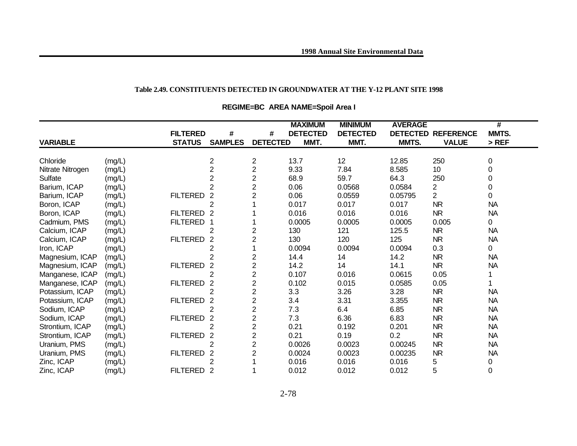### **Table 2.49. CONSTITUENTS DETECTED IN GROUNDWATER AT THE Y-12 PLANT SITE 1998**

|                  |        |                 |                |                         | <b>MAXIMUM</b>  | <b>MINIMUM</b>  | <b>AVERAGE</b> |                           | $\overline{\boldsymbol{r}}$ |
|------------------|--------|-----------------|----------------|-------------------------|-----------------|-----------------|----------------|---------------------------|-----------------------------|
|                  |        | <b>FILTERED</b> | #              | #                       | <b>DETECTED</b> | <b>DETECTED</b> |                | <b>DETECTED REFERENCE</b> | MMTS.                       |
| <b>VARIABLE</b>  |        | <b>STATUS</b>   | <b>SAMPLES</b> | <b>DETECTED</b>         | MMT.            | MMT.            | MMTS.          | <b>VALUE</b>              | $>$ REF                     |
|                  |        |                 |                |                         |                 |                 |                |                           |                             |
| Chloride         | (mg/L) |                 | $\overline{c}$ | $\overline{c}$          | 13.7            | 12              | 12.85          | 250                       | 0                           |
| Nitrate Nitrogen | (mg/L) |                 | $\overline{2}$ | $\overline{2}$          | 9.33            | 7.84            | 8.585          | 10                        | 0                           |
| Sulfate          | (mg/L) |                 | $\overline{2}$ | $\overline{c}$          | 68.9            | 59.7            | 64.3           | 250                       | 0                           |
| Barium, ICAP     | (mg/L) |                 | $\overline{2}$ | $\overline{2}$          | 0.06            | 0.0568          | 0.0584         | $\overline{2}$            | 0                           |
| Barium, ICAP     | (mg/L) | <b>FILTERED</b> | 2              | $\overline{2}$          | 0.06            | 0.0559          | 0.05795        | $\overline{2}$            | 0                           |
| Boron, ICAP      | (mg/L) |                 | 2              |                         | 0.017           | 0.017           | 0.017          | <b>NR</b>                 | <b>NA</b>                   |
| Boron, ICAP      | (mg/L) | <b>FILTERED</b> | $\overline{2}$ |                         | 0.016           | 0.016           | 0.016          | NR                        | <b>NA</b>                   |
| Cadmium, PMS     | (mg/L) | <b>FILTERED</b> |                |                         | 0.0005          | 0.0005          | 0.0005         | 0.005                     | 0                           |
| Calcium, ICAP    | (mg/L) |                 |                | $\overline{c}$          | 130             | 121             | 125.5          | <b>NR</b>                 | <b>NA</b>                   |
| Calcium, ICAP    | (mg/L) | <b>FILTERED</b> | $\overline{2}$ | $\overline{2}$          | 130             | 120             | 125            | <b>NR</b>                 | <b>NA</b>                   |
| Iron, ICAP       | (mg/L) |                 |                |                         | 0.0094          | 0.0094          | 0.0094         | 0.3                       | 0                           |
| Magnesium, ICAP  | (mg/L) |                 | 2              | $\overline{2}$          | 14.4            | 14              | 14.2           | NR                        | <b>NA</b>                   |
| Magnesium, ICAP  | (mg/L) | <b>FILTERED</b> | $\overline{2}$ | $\overline{2}$          | 14.2            | 14              | 14.1           | NR                        | <b>NA</b>                   |
| Manganese, ICAP  | (mg/L) |                 |                | $\overline{c}$          | 0.107           | 0.016           | 0.0615         | 0.05                      |                             |
| Manganese, ICAP  | (mg/L) | <b>FILTERED</b> | $\overline{2}$ | $\overline{\mathbf{c}}$ | 0.102           | 0.015           | 0.0585         | 0.05                      |                             |
| Potassium, ICAP  | (mg/L) |                 | 2              | $\overline{c}$          | 3.3             | 3.26            | 3.28           | <b>NR</b>                 | <b>NA</b>                   |
| Potassium, ICAP  | (mg/L) | <b>FILTERED</b> | $\overline{2}$ | $\overline{c}$          | 3.4             | 3.31            | 3.355          | <b>NR</b>                 | <b>NA</b>                   |
| Sodium, ICAP     | (mg/L) |                 |                | $\overline{c}$          | 7.3             | 6.4             | 6.85           | <b>NR</b>                 | <b>NA</b>                   |
| Sodium, ICAP     | (mg/L) | <b>FILTERED</b> | 2              | $\overline{c}$          | 7.3             | 6.36            | 6.83           | <b>NR</b>                 | <b>NA</b>                   |
| Strontium, ICAP  | (mg/L) |                 | 2              | $\overline{2}$          | 0.21            | 0.192           | 0.201          | <b>NR</b>                 | <b>NA</b>                   |
| Strontium, ICAP  | (mg/L) | <b>FILTERED</b> | $\overline{2}$ | $\overline{2}$          | 0.21            | 0.19            | 0.2            | <b>NR</b>                 | <b>NA</b>                   |
| Uranium, PMS     | (mg/L) |                 | 2              | $\overline{c}$          | 0.0026          | 0.0023          | 0.00245        | <b>NR</b>                 | <b>NA</b>                   |
| Uranium, PMS     | (mg/L) | <b>FILTERED</b> | $\overline{2}$ | $\overline{2}$          | 0.0024          | 0.0023          | 0.00235        | <b>NR</b>                 | <b>NA</b>                   |
| Zinc, ICAP       | (mg/L) |                 |                |                         | 0.016           | 0.016           | 0.016          | 5                         | 0                           |
| Zinc, ICAP       | (mg/L) | <b>FILTERED</b> | $\overline{2}$ |                         | 0.012           | 0.012           | 0.012          | 5                         | 0                           |

## **REGIME=BC AREA NAME=Spoil Area I**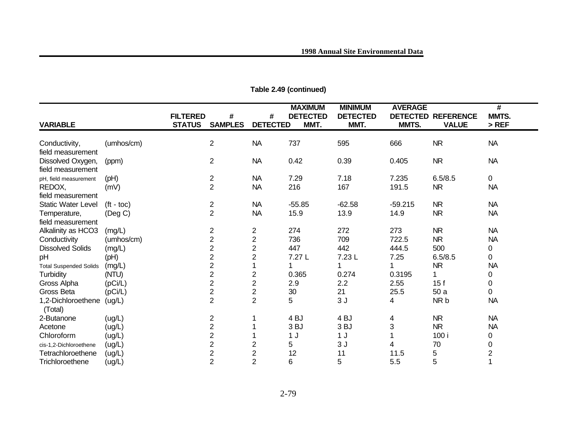|                                    |             |                 |                |                         | <b>MAXIMUM</b>  | <b>MINIMUM</b>  | <b>AVERAGE</b> |                           | #         |
|------------------------------------|-------------|-----------------|----------------|-------------------------|-----------------|-----------------|----------------|---------------------------|-----------|
|                                    |             | <b>FILTERED</b> | #              | #                       | <b>DETECTED</b> | <b>DETECTED</b> |                | <b>DETECTED REFERENCE</b> | MMTS.     |
| <b>VARIABLE</b>                    |             | <b>STATUS</b>   | <b>SAMPLES</b> | <b>DETECTED</b>         | MMT.            | MMT.            | MMTS.          | <b>VALUE</b>              | $>$ REF   |
|                                    |             |                 |                |                         |                 |                 |                |                           |           |
| Conductivity,<br>field measurement | (umhos/cm)  |                 | $\overline{2}$ | <b>NA</b>               | 737             | 595             | 666            | <b>NR</b>                 | <b>NA</b> |
| Dissolved Oxygen,                  | (ppm)       |                 | $\overline{2}$ | <b>NA</b>               | 0.42            | 0.39            | 0.405          | <b>NR</b>                 | <b>NA</b> |
| field measurement                  |             |                 |                |                         |                 |                 |                |                           |           |
| pH, field measurement              | (Hq)        |                 | $\overline{2}$ | <b>NA</b>               | 7.29            | 7.18            | 7.235          | 6.5/8.5                   | 0         |
| REDOX,                             | (mV)        |                 | $\overline{2}$ | <b>NA</b>               | 216             | 167             | 191.5          | <b>NR</b>                 | <b>NA</b> |
| field measurement                  |             |                 |                |                         |                 |                 |                |                           |           |
| <b>Static Water Level</b>          | $(t - toc)$ |                 | $\overline{2}$ | <b>NA</b>               | $-55.85$        | $-62.58$        | $-59.215$      | <b>NR</b>                 | <b>NA</b> |
| Temperature,                       | (Deg C)     |                 | $\overline{2}$ | <b>NA</b>               | 15.9            | 13.9            | 14.9           | <b>NR</b>                 | <b>NA</b> |
| field measurement                  |             |                 |                |                         |                 |                 |                |                           |           |
| Alkalinity as HCO3                 | (mg/L)      |                 | $\overline{2}$ | $\overline{c}$          | 274             | 272             | 273            | <b>NR</b>                 | <b>NA</b> |
| Conductivity                       | (umhos/cm)  |                 | $\overline{2}$ | $\overline{2}$          | 736             | 709             | 722.5          | <b>NR</b>                 | <b>NA</b> |
| <b>Dissolved Solids</b>            | (mg/L)      |                 | $\overline{2}$ | $\overline{2}$          | 447             | 442             | 444.5          | 500                       | 0         |
| pH                                 | (Hq)        |                 | $\overline{2}$ | 2                       | 7.27 L          | 7.23 L          | 7.25           | 6.5/8.5                   | 0         |
| <b>Total Suspended Solids</b>      | (mg/L)      |                 | $\overline{2}$ | 1                       |                 |                 |                | <b>NR</b>                 | <b>NA</b> |
| Turbidity                          | (NTU)       |                 | $\overline{2}$ | 2                       | 0.365           | 0.274           | 0.3195         |                           | 0         |
| Gross Alpha                        | (pCi/L)     |                 | $\overline{2}$ | $\overline{2}$          | 2.9             | 2.2             | 2.55           | 15f                       | 0         |
| Gross Beta                         | (pCi/L)     |                 | $\mathbf 2$    | $\overline{\mathbf{c}}$ | 30              | 21              | 25.5           | 50a                       | 0         |
| 1,2-Dichloroethene                 | (ug/L)      |                 | 2              | $\overline{2}$          | 5               | 3J              | 4              | NR b                      | <b>NA</b> |
| (Total)                            |             |                 |                |                         |                 |                 |                |                           |           |
| 2-Butanone                         | (ug/L)      |                 | $\overline{2}$ |                         | 4 <sub>BJ</sub> | 4 <sub>BJ</sub> | 4              | <b>NR</b>                 | <b>NA</b> |
| Acetone                            | (ug/L)      |                 | $\overline{c}$ |                         | 3BJ             | 3BJ             | 3              | <b>NR</b>                 | <b>NA</b> |
| Chloroform                         | (ug/L)      |                 | $\overline{2}$ |                         | 1 <sub>J</sub>  | 1 <sub>J</sub>  |                | 100 i                     | 0         |
| cis-1,2-Dichloroethene             | (ug/L)      |                 | $\overline{2}$ | $\overline{2}$          | 5               | 3J              | 4              | 70                        | 0         |
| Tetrachloroethene                  | (ug/L)      |                 | $\overline{2}$ | 2                       | 12              | 11              | 11.5           | 5                         | 2         |
| Trichloroethene                    | (ug/L)      |                 | $\overline{2}$ | $\overline{2}$          | 6               | 5               | 5.5            | 5                         |           |

## **Table 2.49 (continued)**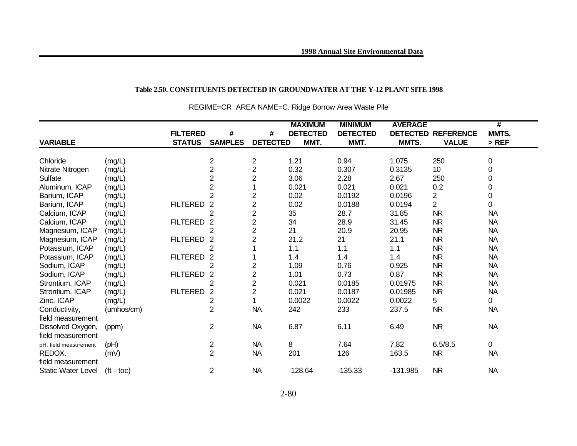### **Table 2.50. CONSTITUENTS DETECTED IN GROUNDWATER AT THE Y-12 PLANT SITE 1998**

|                           |                    |                 |                         |                         | <b>MAXIMUM</b>  | <b>MINIMUM</b>  | <b>AVERAGE</b> |                           | #           |
|---------------------------|--------------------|-----------------|-------------------------|-------------------------|-----------------|-----------------|----------------|---------------------------|-------------|
|                           |                    | <b>FILTERED</b> | #                       | #                       | <b>DETECTED</b> | <b>DETECTED</b> |                | <b>DETECTED REFERENCE</b> | MMTS.       |
| <b>VARIABLE</b>           |                    | <b>STATUS</b>   | <b>SAMPLES</b>          | <b>DETECTED</b>         | MMT.            | MMT.            | MMTS.          | <b>VALUE</b>              | $>$ REF     |
| Chloride                  | (mg/L)             |                 | 2                       | $\overline{\mathbf{c}}$ | 1.21            | 0.94            | 1.075          | 250                       | $\pmb{0}$   |
| Nitrate Nitrogen          | (mg/L)             |                 | $\overline{c}$          | $\overline{2}$          | 0.32            | 0.307           | 0.3135         | 10                        | $\mathbf 0$ |
| Sulfate                   | (mg/L)             |                 | $\overline{c}$          | $\overline{2}$          | 3.06            | 2.28            | 2.67           | 250                       | 0           |
| Aluminum, ICAP            | (mg/L)             |                 | $\overline{2}$          |                         | 0.021           | 0.021           | 0.021          | 0.2                       | 0           |
| Barium, ICAP              | (mg/L)             |                 | $\overline{2}$          | 2                       | 0.02            | 0.0192          | 0.0196         | $\overline{2}$            | 0           |
| Barium, ICAP              | (mg/L)             | <b>FILTERED</b> | $\overline{2}$          | $\overline{\mathbf{c}}$ | 0.02            | 0.0188          | 0.0194         | $\overline{2}$            | 0           |
| Calcium, ICAP             | (mg/L)             |                 | $\overline{2}$          | $\overline{c}$          | 35              | 28.7            | 31.85          | NR                        | <b>NA</b>   |
| Calcium, ICAP             | (mg/L)             | <b>FILTERED</b> | $\overline{2}$          | $\overline{c}$          | 34              | 28.9            | 31.45          | NR                        | <b>NA</b>   |
| Magnesium, ICAP           | (mg/L)             |                 | 2                       | $\overline{2}$          | 21              | 20.9            | 20.95          | <b>NR</b>                 | <b>NA</b>   |
| Magnesium, ICAP           | (mg/L)             | <b>FILTERED</b> | $\overline{2}$          | $\overline{2}$          | 21.2            | 21              | 21.1           | <b>NR</b>                 | <b>NA</b>   |
| Potassium, ICAP           | (mg/L)             |                 | 2                       |                         | 1.1             | 1.1             | 1.1            | <b>NR</b>                 | <b>NA</b>   |
| Potassium, ICAP           | (mg/L)             | <b>FILTERED</b> | $\overline{2}$          |                         | 1.4             | 1.4             | 1.4            | <b>NR</b>                 | <b>NA</b>   |
| Sodium, ICAP              | (mg/L)             |                 | 2                       | $\boldsymbol{2}$        | 1.09            | 0.76            | 0.925          | NR                        | <b>NA</b>   |
| Sodium, ICAP              | (mg/L)             | <b>FILTERED</b> | $\overline{2}$          | $\overline{c}$          | 1.01            | 0.73            | 0.87           | <b>NR</b>                 | <b>NA</b>   |
| Strontium, ICAP           | (mg/L)             |                 | $\overline{2}$          | $\mathbf 2$             | 0.021           | 0.0185          | 0.01975        | NR                        | <b>NA</b>   |
| Strontium, ICAP           | (mg/L)             | <b>FILTERED</b> | $\overline{2}$          | $\overline{2}$          | 0.021           | 0.0187          | 0.01985        | <b>NR</b>                 | <b>NA</b>   |
| Zinc, ICAP                | (mg/L)             |                 | $\overline{2}$          |                         | 0.0022          | 0.0022          | 0.0022         | 5                         | 0           |
| Conductivity,             | (umhos/cm)         |                 | $\overline{2}$          | <b>NA</b>               | 242             | 233             | 237.5          | <b>NR</b>                 | <b>NA</b>   |
| field measurement         |                    |                 |                         |                         |                 |                 |                |                           |             |
| Dissolved Oxygen,         | (ppm)              |                 | $\overline{2}$          | <b>NA</b>               | 6.87            | 6.11            | 6.49           | <b>NR</b>                 | <b>NA</b>   |
| field measurement         |                    |                 |                         |                         |                 |                 |                |                           |             |
| pH, field measurement     | (Hq)               |                 | $\overline{\mathbf{c}}$ | <b>NA</b>               | 8               | 7.64            | 7.82           | 6.5/8.5                   | $\pmb{0}$   |
| REDOX,                    | (mV)               |                 | $\overline{2}$          | <b>NA</b>               | 201             | 126             | 163.5          | <b>NR</b>                 | <b>NA</b>   |
| field measurement         |                    |                 |                         |                         |                 |                 |                |                           |             |
| <b>Static Water Level</b> | $(t - \text{toc})$ |                 | $\overline{2}$          | <b>NA</b>               | $-128.64$       | $-135.33$       | $-131.985$     | <b>NR</b>                 | <b>NA</b>   |

## REGIME=CR AREA NAME=C. Ridge Borrow Area Waste Pile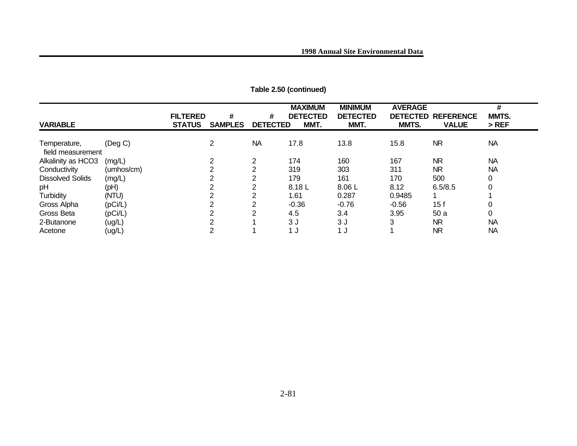| <b>VARIABLE</b>                   |               | <b>FILTERED</b><br><b>STATUS</b> | #<br><b>SAMPLES</b> | #<br><b>DETECTED</b> | <b>MAXIMUM</b><br><b>DETECTED</b><br>MMT. | <b>MINIMUM</b><br><b>DETECTED</b><br>MMT. | <b>AVERAGE</b><br>MMTS. | <b>DETECTED REFERENCE</b><br><b>VALUE</b> | #<br>MMTS.<br>$>$ REF |
|-----------------------------------|---------------|----------------------------------|---------------------|----------------------|-------------------------------------------|-------------------------------------------|-------------------------|-------------------------------------------|-----------------------|
| Temperature,<br>field measurement | $($ Deg C $)$ |                                  | 2                   | <b>NA</b>            | 17.8                                      | 13.8                                      | 15.8                    | <b>NR</b>                                 | <b>NA</b>             |
| Alkalinity as HCO3                | (mg/L)        |                                  | 2                   | 2                    | 174                                       | 160                                       | 167                     | <b>NR</b>                                 | <b>NA</b>             |
| Conductivity                      | (umhos/cm)    |                                  | 2                   | 2                    | 319                                       | 303                                       | 311                     | <b>NR</b>                                 | <b>NA</b>             |
| <b>Dissolved Solids</b>           | (mg/L)        |                                  | C.                  | 2                    | 179                                       | 161                                       | 170                     | 500                                       | 0                     |
| pH                                | (Hq)          |                                  | 2                   | 2                    | 8.18L                                     | 8.06L                                     | 8.12                    | 6.5/8.5                                   | 0                     |
| <b>Turbidity</b>                  | (NTU)         |                                  | 2                   | 2                    | 1.61                                      | 0.287                                     | 0.9485                  |                                           |                       |
| Gross Alpha                       | (pCi/L)       |                                  | 2                   | 2                    | $-0.36$                                   | $-0.76$                                   | $-0.56$                 | 15 f                                      | 0                     |
| Gross Beta                        | (pCi/L)       |                                  | C                   | 2                    | 4.5                                       | 3.4                                       | 3.95                    | 50a                                       | 0                     |
| 2-Butanone                        | (ug/L)        |                                  | C                   |                      | 3J                                        | 3 J                                       | 3                       | <b>NR</b>                                 | <b>NA</b>             |
| Acetone                           | (ug/L)        |                                  | 2                   |                      | 1 <sub>J</sub>                            | 1 <sub>J</sub>                            |                         | <b>NR</b>                                 | <b>NA</b>             |

## **Table 2.50 (continued)**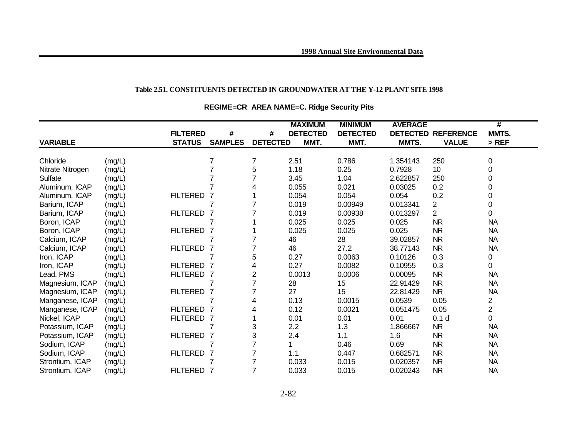### **Table 2.51. CONSTITUENTS DETECTED IN GROUNDWATER AT THE Y-12 PLANT SITE 1998**

|                  |        |                 |                |                 | <b>MAXIMUM</b>  | <b>MINIMUM</b>  | <b>AVERAGE</b> |                           | $\overline{\boldsymbol{r}}$ |
|------------------|--------|-----------------|----------------|-----------------|-----------------|-----------------|----------------|---------------------------|-----------------------------|
|                  |        | <b>FILTERED</b> | #              | #               | <b>DETECTED</b> | <b>DETECTED</b> |                | <b>DETECTED REFERENCE</b> | MMTS.                       |
| <b>VARIABLE</b>  |        | <b>STATUS</b>   | <b>SAMPLES</b> | <b>DETECTED</b> | MMT.            | MMT.            | MMTS.          | <b>VALUE</b>              | $>$ REF                     |
|                  |        |                 |                |                 |                 |                 |                |                           |                             |
| Chloride         | (mg/L) |                 |                | 7               | 2.51            | 0.786           | 1.354143       | 250                       | 0                           |
| Nitrate Nitrogen | (mg/L) |                 |                | 5               | 1.18            | 0.25            | 0.7928         | 10                        |                             |
| Sulfate          | (mg/L) |                 |                |                 | 3.45            | 1.04            | 2.622857       | 250                       | 0                           |
| Aluminum, ICAP   | (mg/L) |                 |                |                 | 0.055           | 0.021           | 0.03025        | 0.2                       |                             |
| Aluminum, ICAP   | (mg/L) | <b>FILTERED</b> |                |                 | 0.054           | 0.054           | 0.054          | 0.2                       | 0                           |
| Barium, ICAP     | (mg/L) |                 |                |                 | 0.019           | 0.00949         | 0.013341       | $\overline{2}$            | 0                           |
| Barium, ICAP     | (mg/L) | <b>FILTERED</b> |                |                 | 0.019           | 0.00938         | 0.013297       | $\overline{2}$            | 0                           |
| Boron, ICAP      | (mg/L) |                 |                |                 | 0.025           | 0.025           | 0.025          | <b>NR</b>                 | <b>NA</b>                   |
| Boron, ICAP      | (mg/L) | <b>FILTERED</b> | -7             |                 | 0.025           | 0.025           | 0.025          | <b>NR</b>                 | <b>NA</b>                   |
| Calcium, ICAP    | (mg/L) |                 |                |                 | 46              | 28              | 39.02857       | <b>NR</b>                 | <b>NA</b>                   |
| Calcium, ICAP    | (mg/L) | <b>FILTERED</b> |                | 7               | 46              | 27.2            | 38.77143       | <b>NR</b>                 | <b>NA</b>                   |
| Iron, ICAP       | (mg/L) |                 |                | 5               | 0.27            | 0.0063          | 0.10126        | 0.3                       | 0                           |
| Iron, ICAP       | (mg/L) | <b>FILTERED</b> |                | 4               | 0.27            | 0.0082          | 0.10955        | 0.3                       | 0                           |
| Lead, PMS        | (mg/L) | <b>FILTERED</b> |                | $\overline{2}$  | 0.0013          | 0.0006          | 0.00095        | NR                        | <b>NA</b>                   |
| Magnesium, ICAP  | (mg/L) |                 |                |                 | 28              | 15              | 22.91429       | <b>NR</b>                 | <b>NA</b>                   |
| Magnesium, ICAP  | (mg/L) | <b>FILTERED</b> | -7             |                 | 27              | 15              | 22.81429       | <b>NR</b>                 | <b>NA</b>                   |
| Manganese, ICAP  | (mg/L) |                 |                | 4               | 0.13            | 0.0015          | 0.0539         | 0.05                      | 2                           |
| Manganese, ICAP  | (mg/L) | FILTERED 7      |                |                 | 0.12            | 0.0021          | 0.051475       | 0.05                      | $\overline{\mathbf{c}}$     |
| Nickel, ICAP     | (mg/L) | <b>FILTERED</b> | -7             |                 | 0.01            | 0.01            | 0.01           | 0.1 <sub>d</sub>          | 0                           |
| Potassium, ICAP  | (mg/L) |                 |                | 3               | 2.2             | 1.3             | 1.866667       | <b>NR</b>                 | <b>NA</b>                   |
| Potassium, ICAP  | (mg/L) | <b>FILTERED</b> | 7              | 3               | 2.4             | 1.1             | 1.6            | <b>NR</b>                 | <b>NA</b>                   |
| Sodium, ICAP     | (mg/L) |                 |                |                 |                 | 0.46            | 0.69           | <b>NR</b>                 | <b>NA</b>                   |
| Sodium, ICAP     | (mg/L) | <b>FILTERED</b> |                |                 | 1.1             | 0.447           | 0.682571       | <b>NR</b>                 | <b>NA</b>                   |
| Strontium, ICAP  | (mg/L) |                 |                |                 | 0.033           | 0.015           | 0.020357       | <b>NR</b>                 | <b>NA</b>                   |
| Strontium, ICAP  | (mg/L) | FILTERED 7      |                | 7               | 0.033           | 0.015           | 0.020243       | <b>NR</b>                 | <b>NA</b>                   |

### **REGIME=CR AREA NAME=C. Ridge Security Pits**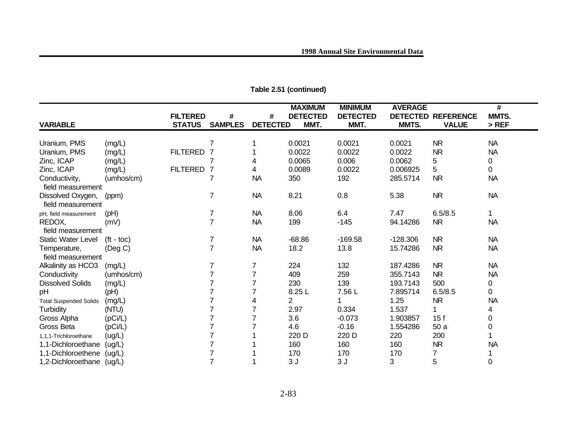|                                         |               |                 |                |                     | <b>MAXIMUM</b>  | <b>MINIMUM</b>  | <b>AVERAGE</b> |                           | $\overline{\boldsymbol{t}}$ |
|-----------------------------------------|---------------|-----------------|----------------|---------------------|-----------------|-----------------|----------------|---------------------------|-----------------------------|
|                                         |               | <b>FILTERED</b> | #              | #                   | <b>DETECTED</b> | <b>DETECTED</b> |                | <b>DETECTED REFERENCE</b> | MMTS.                       |
| <b>VARIABLE</b>                         |               | <b>STATUS</b>   | <b>SAMPLES</b> | <b>DETECTED</b>     | MMT.            | MMT.            | MMTS.          | <b>VALUE</b>              | $>$ REF                     |
| Uranium, PMS                            |               |                 |                |                     | 0.0021          | 0.0021          | 0.0021         | <b>NR</b>                 | <b>NA</b>                   |
| Uranium, PMS                            | (mg/L)        | <b>FILTERED</b> | -7             |                     | 0.0022          | 0.0022          | 0.0022         | NR                        | <b>NA</b>                   |
| Zinc, ICAP                              | (mg/L)        |                 |                | 4                   | 0.0065          | 0.006           | 0.0062         | 5                         | 0                           |
|                                         | (mg/L)        | <b>FILTERED</b> | 7              | 4                   | 0.0089          | 0.0022          | 0.006925       | 5                         | 0                           |
| Zinc, ICAP                              | (mg/L)        |                 |                |                     |                 |                 |                |                           |                             |
| Conductivity,<br>field measurement      | (umhos/cm)    |                 |                | <b>NA</b>           | 350             | 192             | 285.5714       | NR                        | <b>NA</b>                   |
| Dissolved Oxygen,<br>field measurement  | (ppm)         |                 | 7              | <b>NA</b>           | 8.21            | 0.8             | 5.38           | <b>NR</b>                 | <b>NA</b>                   |
| pH, field measurement                   | (Hq)          |                 | 7              | <b>NA</b>           | 8.06            | 6.4             | 7.47           | 6.5/8.5                   | 1                           |
| REDOX,<br>field measurement             | (mV)          |                 | $\overline{7}$ | <b>NA</b>           | 199             | $-145$          | 94.14286       | <b>NR</b>                 | <b>NA</b>                   |
| <b>Static Water Level</b>               | $(tt - toc)$  |                 | 7              | <b>NA</b>           | $-68.86$        | $-169.58$       | $-128.306$     | <b>NR</b>                 | <b>NA</b>                   |
| Temperature,                            | $($ Deg C $)$ |                 | $\overline{7}$ | <b>NA</b>           | 18.2            | 13.8            | 15.74286       | <b>NR</b>                 | <b>NA</b>                   |
| field measurement                       |               |                 |                |                     | 224             | 132             | 187.4286       | <b>NR</b>                 | <b>NA</b>                   |
| Alkalinity as HCO3                      | (mg/L)        |                 |                | 7<br>$\overline{7}$ | 409             | 259             | 355.7143       | <b>NR</b>                 | <b>NA</b>                   |
| Conductivity<br><b>Dissolved Solids</b> | (umhos/cm)    |                 |                | 7                   | 230             | 139             | 193.7143       | 500                       |                             |
|                                         | (mg/L)        |                 |                | 7                   | 8.25 L          | 7.56 L          | 7.895714       | 6.5/8.5                   | 0<br>0                      |
| pH                                      | (Hq)          |                 |                |                     | 2               |                 | 1.25           | <b>NR</b>                 |                             |
| <b>Total Suspended Solids</b>           | (mg/L)        |                 |                | 4<br>$\overline{7}$ |                 |                 |                |                           | <b>NA</b>                   |
| Turbidity                               | (NTU)         |                 |                |                     | 2.97            | 0.334           | 1.537          | 1                         | 4                           |
| Gross Alpha                             | (pCi/L)       |                 |                | 7                   | 3.6             | $-0.073$        | 1.903857       | 15f                       | 0                           |
| Gross Beta                              | (pCi/L)       |                 | 7              | 7                   | 4.6             | $-0.16$         | 1.554286       | 50a                       | 0                           |
| 1,1,1-Trichloroethane                   | (ug/L)        |                 |                |                     | 220 D           | 220 D           | 220            | 200                       |                             |
| 1,1-Dichloroethane                      | (ug/L)        |                 |                |                     | 160             | 160             | 160            | <b>NR</b>                 | <b>NA</b>                   |
| 1,1-Dichloroethene (ug/L)               |               |                 |                |                     | 170             | 170             | 170            | 7                         |                             |
| 1,2-Dichloroethane (ug/L)               |               |                 | 7              |                     | 3J              | 3J              | 3              | 5                         | 0                           |

## **Table 2.51 (continued)**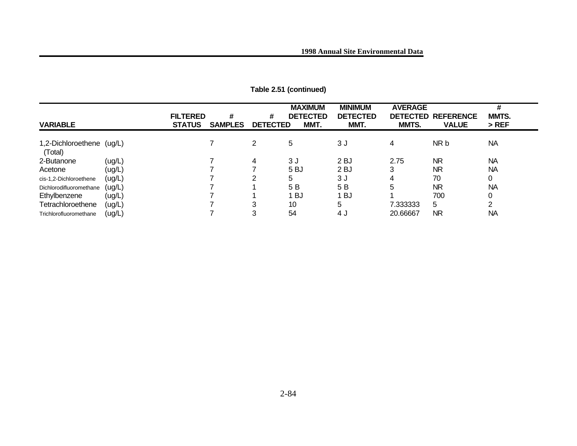| <b>VARIABLE</b>                      |        | <b>FILTERED</b><br><b>STATUS</b> | #<br><b>SAMPLES</b> | #<br><b>DETECTED</b> | <b>MAXIMUM</b><br><b>DETECTED</b><br>MMT. | <b>MINIMUM</b><br><b>DETECTED</b><br>MMT. | <b>AVERAGE</b><br>MMTS. | <b>DETECTED REFERENCE</b><br><b>VALUE</b> | #<br>MMTS.<br>> REF |
|--------------------------------------|--------|----------------------------------|---------------------|----------------------|-------------------------------------------|-------------------------------------------|-------------------------|-------------------------------------------|---------------------|
| 1,2-Dichloroethene (ug/L)<br>(Total) |        |                                  |                     | $\overline{2}$       | 5                                         | 3 J                                       | 4                       | NR b                                      | <b>NA</b>           |
| 2-Butanone                           | (ug/L) |                                  |                     | 4                    | 3 J                                       | 2 BJ                                      | 2.75                    | <b>NR</b>                                 | <b>NA</b>           |
| Acetone                              | (ug/L) |                                  |                     |                      | 5 BJ                                      | 2BJ                                       | 3                       | <b>NR</b>                                 | <b>NA</b>           |
| cis-1,2-Dichloroethene               | (ug/L) |                                  |                     | 2                    | 5                                         | 3 J                                       |                         | 70                                        | 0                   |
| Dichlorodifluoromethane              | (ug/L) |                                  |                     |                      | 5 B                                       | 5 B                                       | 5.                      | <b>NR</b>                                 | <b>NA</b>           |
| Ethylbenzene                         | (ug/L) |                                  |                     |                      | l BJ                                      | 1 BJ                                      |                         | 700                                       | 0                   |
| Tetrachloroethene                    | (ug/L) |                                  |                     | 3                    | 10                                        | 5                                         | 7.333333                | 5                                         | 2                   |
| Trichlorofluoromethane               | (ug/L) |                                  |                     | 3                    | 54                                        | 4 J                                       | 20.66667                | <b>NR</b>                                 | <b>NA</b>           |

## **Table 2.51 (continued)**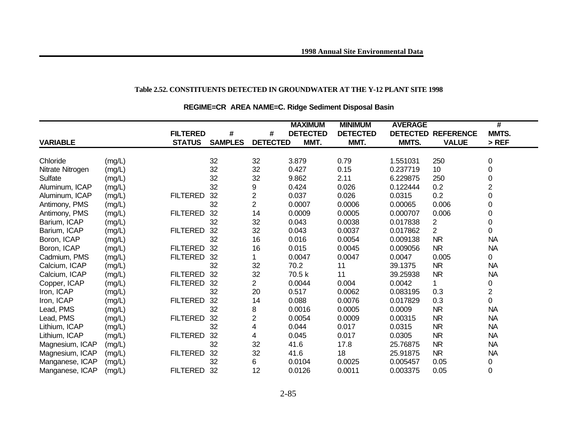### **Table 2.52. CONSTITUENTS DETECTED IN GROUNDWATER AT THE Y-12 PLANT SITE 1998**

|                  |        |                                  |                     |                         | <b>MAXIMUM</b>          | <b>MINIMUM</b>          | <b>AVERAGE</b> |                                           | #                       |
|------------------|--------|----------------------------------|---------------------|-------------------------|-------------------------|-------------------------|----------------|-------------------------------------------|-------------------------|
| <b>VARIABLE</b>  |        | <b>FILTERED</b><br><b>STATUS</b> | #<br><b>SAMPLES</b> | #<br><b>DETECTED</b>    | <b>DETECTED</b><br>MMT. | <b>DETECTED</b><br>MMT. | MMTS.          | <b>DETECTED REFERENCE</b><br><b>VALUE</b> | MMTS.<br>$>$ REF        |
|                  |        |                                  |                     |                         |                         |                         |                |                                           |                         |
| Chloride         | (mg/L) |                                  | 32                  | 32                      | 3.879                   | 0.79                    | 1.551031       | 250                                       | 0                       |
| Nitrate Nitrogen | (mg/L) |                                  | 32                  | 32                      | 0.427                   | 0.15                    | 0.237719       | 10                                        | 0                       |
| Sulfate          | (mg/L) |                                  | 32                  | 32                      | 9.862                   | 2.11                    | 6.229875       | 250                                       | 0                       |
| Aluminum, ICAP   | (mg/L) |                                  | 32                  | 9                       | 0.424                   | 0.026                   | 0.122444       | 0.2                                       | $\overline{c}$          |
| Aluminum, ICAP   | (mg/L) | <b>FILTERED</b>                  | 32                  | $\overline{\mathbf{c}}$ | 0.037                   | 0.026                   | 0.0315         | 0.2                                       | 0                       |
| Antimony, PMS    | (mg/L) |                                  | 32                  | $\overline{2}$          | 0.0007                  | 0.0006                  | 0.00065        | 0.006                                     | 0                       |
| Antimony, PMS    | (mg/L) | <b>FILTERED</b>                  | 32                  | 14                      | 0.0009                  | 0.0005                  | 0.000707       | 0.006                                     | 0                       |
| Barium, ICAP     | (mg/L) |                                  | 32                  | 32                      | 0.043                   | 0.0038                  | 0.017838       | $\overline{2}$                            | 0                       |
| Barium, ICAP     | (mg/L) | <b>FILTERED</b>                  | 32                  | 32                      | 0.043                   | 0.0037                  | 0.017862       | $\overline{2}$                            | 0                       |
| Boron, ICAP      | (mg/L) |                                  | 32                  | 16                      | 0.016                   | 0.0054                  | 0.009138       | <b>NR</b>                                 | <b>NA</b>               |
| Boron, ICAP      | (mg/L) | <b>FILTERED</b>                  | 32                  | 16                      | 0.015                   | 0.0045                  | 0.009056       | <b>NR</b>                                 | <b>NA</b>               |
| Cadmium, PMS     | (mg/L) | <b>FILTERED</b>                  | 32                  | 1                       | 0.0047                  | 0.0047                  | 0.0047         | 0.005                                     | 0                       |
| Calcium, ICAP    | (mg/L) |                                  | 32                  | 32                      | 70.2                    | 11                      | 39.1375        | <b>NR</b>                                 | <b>NA</b>               |
| Calcium, ICAP    | (mg/L) | <b>FILTERED</b>                  | 32                  | 32                      | 70.5 k                  | 11                      | 39.25938       | <b>NR</b>                                 | <b>NA</b>               |
| Copper, ICAP     | (mg/L) | <b>FILTERED</b>                  | 32                  | $\overline{2}$          | 0.0044                  | 0.004                   | 0.0042         | 1                                         | 0                       |
| Iron, ICAP       | (mg/L) |                                  | 32                  | 20                      | 0.517                   | 0.0062                  | 0.083195       | 0.3                                       | $\overline{\mathbf{c}}$ |
| Iron, ICAP       | (mg/L) | <b>FILTERED</b>                  | 32                  | 14                      | 0.088                   | 0.0076                  | 0.017829       | 0.3                                       | 0                       |
| Lead, PMS        | (mg/L) |                                  | 32                  | 8                       | 0.0016                  | 0.0005                  | 0.0009         | <b>NR</b>                                 | <b>NA</b>               |
| Lead, PMS        | (mg/L) | <b>FILTERED</b>                  | 32                  | 2                       | 0.0054                  | 0.0009                  | 0.00315        | <b>NR</b>                                 | <b>NA</b>               |
| Lithium, ICAP    | (mg/L) |                                  | 32                  | 4                       | 0.044                   | 0.017                   | 0.0315         | <b>NR</b>                                 | <b>NA</b>               |
| Lithium, ICAP    | (mg/L) | <b>FILTERED</b>                  | 32                  | 4                       | 0.045                   | 0.017                   | 0.0305         | <b>NR</b>                                 | <b>NA</b>               |
| Magnesium, ICAP  | (mg/L) |                                  | 32                  | 32                      | 41.6                    | 17.8                    | 25.76875       | <b>NR</b>                                 | <b>NA</b>               |
| Magnesium, ICAP  | (mg/L) | <b>FILTERED</b>                  | 32                  | 32                      | 41.6                    | 18                      | 25.91875       | <b>NR</b>                                 | <b>NA</b>               |
| Manganese, ICAP  | (mg/L) |                                  | 32                  | 6                       | 0.0104                  | 0.0025                  | 0.005457       | 0.05                                      | 0                       |
| Manganese, ICAP  | (mg/L) | <b>FILTERED</b>                  | 32                  | 12                      | 0.0126                  | 0.0011                  | 0.003375       | 0.05                                      | 0                       |

## **REGIME=CR AREA NAME=C. Ridge Sediment Disposal Basin**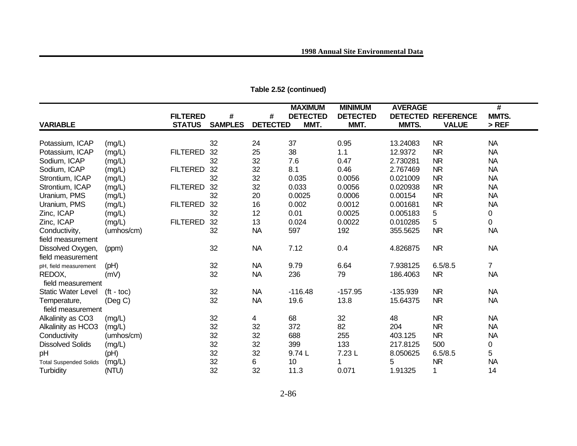|                                                                                                                                        |                                                                     |                 |                                              |                                      | <b>MAXIMUM</b>                                  | <b>MINIMUM</b>                            | <b>AVERAGE</b>                                  |                                                           | #                                                                |
|----------------------------------------------------------------------------------------------------------------------------------------|---------------------------------------------------------------------|-----------------|----------------------------------------------|--------------------------------------|-------------------------------------------------|-------------------------------------------|-------------------------------------------------|-----------------------------------------------------------|------------------------------------------------------------------|
|                                                                                                                                        |                                                                     | <b>FILTERED</b> | #                                            | #                                    | <b>DETECTED</b>                                 | <b>DETECTED</b>                           |                                                 | <b>DETECTED REFERENCE</b>                                 | MMTS.                                                            |
| <b>VARIABLE</b>                                                                                                                        |                                                                     | <b>STATUS</b>   | <b>SAMPLES</b>                               | <b>DETECTED</b>                      | MMT.                                            | MMT.                                      | MMTS.                                           | <b>VALUE</b>                                              | $>$ REF                                                          |
|                                                                                                                                        |                                                                     |                 |                                              |                                      |                                                 |                                           |                                                 |                                                           |                                                                  |
| Potassium, ICAP                                                                                                                        | (mg/L)                                                              |                 | 32                                           | 24                                   | 37                                              | 0.95                                      | 13.24083                                        | <b>NR</b>                                                 | <b>NA</b>                                                        |
| Potassium, ICAP                                                                                                                        | (mg/L)                                                              | <b>FILTERED</b> | 32                                           | 25                                   | 38                                              | 1.1                                       | 12.9372                                         | <b>NR</b>                                                 | <b>NA</b>                                                        |
| Sodium, ICAP                                                                                                                           | (mg/L)                                                              |                 | 32                                           | 32                                   | 7.6                                             | 0.47                                      | 2.730281                                        | ${\sf NR}$                                                | <b>NA</b>                                                        |
| Sodium, ICAP                                                                                                                           | (mg/L)                                                              | <b>FILTERED</b> | 32                                           | 32                                   | 8.1                                             | 0.46                                      | 2.767469                                        | NR                                                        | <b>NA</b>                                                        |
| Strontium, ICAP                                                                                                                        | (mg/L)                                                              |                 | 32                                           | 32                                   | 0.035                                           | 0.0056                                    | 0.021009                                        | NR                                                        | <b>NA</b>                                                        |
| Strontium, ICAP                                                                                                                        | (mg/L)                                                              | <b>FILTERED</b> | 32                                           | 32                                   | 0.033                                           | 0.0056                                    | 0.020938                                        | ${\sf NR}$                                                | <b>NA</b>                                                        |
| Uranium, PMS                                                                                                                           | (mg/L)                                                              |                 | 32                                           | 20                                   | 0.0025                                          | 0.0006                                    | 0.00154                                         | NR                                                        | <b>NA</b>                                                        |
| Uranium, PMS                                                                                                                           | (mg/L)                                                              | <b>FILTERED</b> | 32                                           | 16                                   | 0.002                                           | 0.0012                                    | 0.001681                                        | NR                                                        | <b>NA</b>                                                        |
| Zinc, ICAP                                                                                                                             | (mg/L)                                                              |                 | 32                                           | 12                                   | 0.01                                            | 0.0025                                    | 0.005183                                        | 5                                                         | 0                                                                |
| Zinc, ICAP                                                                                                                             | (mg/L)                                                              | <b>FILTERED</b> | 32                                           | 13                                   | 0.024                                           | 0.0022                                    | 0.010285                                        | 5                                                         | 0                                                                |
| Conductivity,                                                                                                                          | (umhos/cm)                                                          |                 | 32                                           | <b>NA</b>                            | 597                                             | 192                                       | 355.5625                                        | NR                                                        | <b>NA</b>                                                        |
| field measurement                                                                                                                      |                                                                     |                 |                                              |                                      |                                                 |                                           |                                                 |                                                           |                                                                  |
| Dissolved Oxygen,                                                                                                                      | (ppm)                                                               |                 | 32                                           | <b>NA</b>                            | 7.12                                            | 0.4                                       | 4.826875                                        | <b>NR</b>                                                 | <b>NA</b>                                                        |
| field measurement                                                                                                                      |                                                                     |                 |                                              |                                      |                                                 |                                           |                                                 |                                                           |                                                                  |
| pH, field measurement                                                                                                                  | (Hq)                                                                |                 | 32                                           | <b>NA</b>                            | 9.79                                            | 6.64                                      | 7.938125                                        | 6.5/8.5                                                   | $\overline{7}$                                                   |
| REDOX,                                                                                                                                 | (mV)                                                                |                 | 32                                           | <b>NA</b>                            | 236                                             | 79                                        | 186.4063                                        | <b>NR</b>                                                 | <b>NA</b>                                                        |
| field measurement                                                                                                                      |                                                                     |                 |                                              |                                      |                                                 |                                           |                                                 |                                                           |                                                                  |
| <b>Static Water Level</b>                                                                                                              | $(t - \text{toc})$                                                  |                 |                                              | <b>NA</b>                            | $-116.48$                                       | $-157.95$                                 | $-135.939$                                      |                                                           | <b>NA</b>                                                        |
| Temperature,<br>field measurement                                                                                                      | $($ Deg C $)$                                                       |                 | 32                                           | <b>NA</b>                            | 19.6                                            | 13.8                                      | 15.64375                                        | <b>NR</b>                                                 | <b>NA</b>                                                        |
|                                                                                                                                        |                                                                     |                 |                                              |                                      |                                                 |                                           | 48                                              | <b>NR</b>                                                 |                                                                  |
|                                                                                                                                        |                                                                     |                 |                                              |                                      |                                                 |                                           | 204                                             |                                                           |                                                                  |
|                                                                                                                                        |                                                                     |                 |                                              |                                      |                                                 |                                           |                                                 |                                                           |                                                                  |
|                                                                                                                                        |                                                                     |                 |                                              |                                      |                                                 |                                           |                                                 |                                                           |                                                                  |
|                                                                                                                                        |                                                                     |                 |                                              |                                      |                                                 |                                           |                                                 |                                                           |                                                                  |
|                                                                                                                                        |                                                                     |                 |                                              |                                      |                                                 |                                           |                                                 |                                                           |                                                                  |
|                                                                                                                                        |                                                                     |                 |                                              |                                      |                                                 |                                           |                                                 |                                                           |                                                                  |
| Alkalinity as CO3<br>Alkalinity as HCO3<br>Conductivity<br><b>Dissolved Solids</b><br>pH<br><b>Total Suspended Solids</b><br>Turbidity | (mg/L)<br>(mg/L)<br>(umhos/cm)<br>(mg/L)<br>(Hq)<br>(mg/L)<br>(NTU) |                 | 32<br>32<br>32<br>32<br>32<br>32<br>32<br>32 | 4<br>32<br>32<br>32<br>32<br>6<br>32 | 68<br>372<br>688<br>399<br>9.74 L<br>10<br>11.3 | 32<br>82<br>255<br>133<br>7.23 L<br>0.071 | 403.125<br>217.8125<br>8.050625<br>5<br>1.91325 | <b>NR</b><br><b>NR</b><br>NR<br>500<br>6.5/8.5<br>NR<br>1 | <b>NA</b><br><b>NA</b><br><b>NA</b><br>0<br>5<br><b>NA</b><br>14 |

## **Table 2.52 (continued)**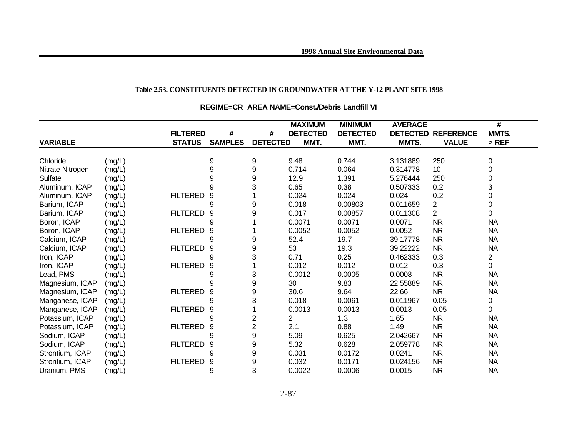### **Table 2.53. CONSTITUENTS DETECTED IN GROUNDWATER AT THE Y-12 PLANT SITE 1998**

|                  |        |                 |                |                 | <b>MAXIMUM</b>  | <b>MINIMUM</b>  | <b>AVERAGE</b> |                           | #         |
|------------------|--------|-----------------|----------------|-----------------|-----------------|-----------------|----------------|---------------------------|-----------|
|                  |        | <b>FILTERED</b> | #              | #               | <b>DETECTED</b> | <b>DETECTED</b> |                | <b>DETECTED REFERENCE</b> | MMTS.     |
| <b>VARIABLE</b>  |        | <b>STATUS</b>   | <b>SAMPLES</b> | <b>DETECTED</b> | MMT.            | MMT.            | MMTS.          | <b>VALUE</b>              | $>$ REF   |
|                  |        |                 |                |                 |                 |                 |                |                           |           |
| Chloride         | (mg/L) |                 | 9              | 9               | 9.48            | 0.744           | 3.131889       | 250                       | 0         |
| Nitrate Nitrogen | (mg/L) |                 | 9              | 9               | 0.714           | 0.064           | 0.314778       | 10                        | 0         |
| Sulfate          | (mg/L) |                 | 9              | 9               | 12.9            | 1.391           | 5.276444       | 250                       | 0         |
| Aluminum, ICAP   | (mg/L) |                 | 9              | 3               | 0.65            | 0.38            | 0.507333       | 0.2                       | 3         |
| Aluminum, ICAP   | (mg/L) | <b>FILTERED</b> | 9              |                 | 0.024           | 0.024           | 0.024          | 0.2                       | 0         |
| Barium, ICAP     | (mg/L) |                 | 9              | 9               | 0.018           | 0.00803         | 0.011659       | $\overline{2}$            | 0         |
| Barium, ICAP     | (mg/L) | <b>FILTERED</b> | 9              | 9               | 0.017           | 0.00857         | 0.011308       | $\overline{2}$            | 0         |
| Boron, ICAP      | (mg/L) |                 | 9              |                 | 0.0071          | 0.0071          | 0.0071         | NR                        | <b>NA</b> |
| Boron, ICAP      | (mg/L) | <b>FILTERED</b> | 9              |                 | 0.0052          | 0.0052          | 0.0052         | <b>NR</b>                 | <b>NA</b> |
| Calcium, ICAP    | (mg/L) |                 |                | 9               | 52.4            | 19.7            | 39.17778       | <b>NR</b>                 | <b>NA</b> |
| Calcium, ICAP    | (mg/L) | <b>FILTERED</b> | 9              | 9               | 53              | 19.3            | 39.22222       | <b>NR</b>                 | <b>NA</b> |
| Iron, ICAP       | (mg/L) |                 | 9              | 3               | 0.71            | 0.25            | 0.462333       | 0.3                       | 2         |
| Iron, ICAP       | (mg/L) | <b>FILTERED</b> | 9              |                 | 0.012           | 0.012           | 0.012          | 0.3                       | 0         |
| Lead, PMS        | (mg/L) |                 |                | 3               | 0.0012          | 0.0005          | 0.0008         | <b>NR</b>                 | <b>NA</b> |
| Magnesium, ICAP  | (mg/L) |                 |                | 9               | 30              | 9.83            | 22.55889       | NR                        | <b>NA</b> |
| Magnesium, ICAP  | (mg/L) | <b>FILTERED</b> | 9              | 9               | 30.6            | 9.64            | 22.66          | NR                        | <b>NA</b> |
| Manganese, ICAP  | (mg/L) |                 | 9              | 3               | 0.018           | 0.0061          | 0.011967       | 0.05                      | 0         |
| Manganese, ICAP  | (mg/L) | <b>FILTERED</b> | 9              |                 | 0.0013          | 0.0013          | 0.0013         | 0.05                      | 0         |
| Potassium, ICAP  | (mg/L) |                 | 9              | $\overline{2}$  | 2               | 1.3             | 1.65           | <b>NR</b>                 | <b>NA</b> |
| Potassium, ICAP  | (mg/L) | <b>FILTERED</b> | 9              | $\overline{2}$  | 2.1             | 0.88            | 1.49           | <b>NR</b>                 | <b>NA</b> |
| Sodium, ICAP     | (mg/L) |                 | 9              | 9               | 5.09            | 0.625           | 2.042667       | <b>NR</b>                 | <b>NA</b> |
| Sodium, ICAP     | (mg/L) | <b>FILTERED</b> | 9              | 9               | 5.32            | 0.628           | 2.059778       | NR                        | <b>NA</b> |
| Strontium, ICAP  | (mg/L) |                 | 9              | 9               | 0.031           | 0.0172          | 0.0241         | <b>NR</b>                 | <b>NA</b> |
| Strontium, ICAP  | (mg/L) | <b>FILTERED</b> | 9              | 9               | 0.032           | 0.0171          | 0.024156       | <b>NR</b>                 | <b>NA</b> |
| Uranium, PMS     | (mg/L) |                 | 9              | 3               | 0.0022          | 0.0006          | 0.0015         | <b>NR</b>                 | <b>NA</b> |

#### **REGIME=CR AREA NAME=Const./Debris Landfill VI**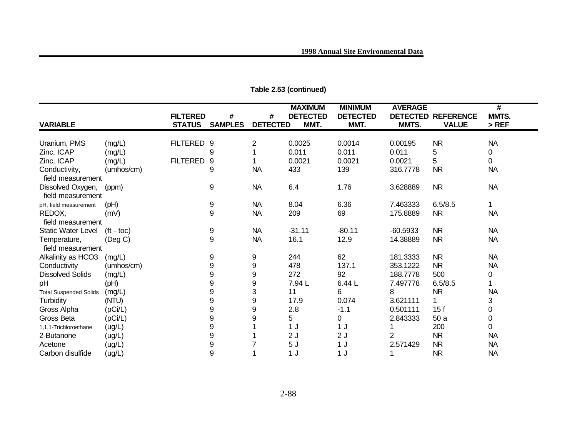|                                        |                    |                 |                |                  | <b>MAXIMUM</b>  | <b>MINIMUM</b>  | <b>AVERAGE</b> |                           | #         |
|----------------------------------------|--------------------|-----------------|----------------|------------------|-----------------|-----------------|----------------|---------------------------|-----------|
|                                        |                    | <b>FILTERED</b> | #              | #                | <b>DETECTED</b> | <b>DETECTED</b> |                | <b>DETECTED REFERENCE</b> | MMTS.     |
| <b>VARIABLE</b>                        |                    | <b>STATUS</b>   | <b>SAMPLES</b> | <b>DETECTED</b>  | MMT.            | MMT.            | MMTS.          | <b>VALUE</b>              | $>$ REF   |
|                                        |                    |                 |                |                  |                 |                 |                |                           |           |
| Uranium, PMS                           | (mg/L)             | FILTERED 9      |                | 2                | 0.0025          | 0.0014          | 0.00195        | <b>NR</b>                 | <b>NA</b> |
| Zinc, ICAP                             | (mg/L)             |                 | 9              |                  | 0.011           | 0.011           | 0.011          | 5                         | 0         |
| Zinc, ICAP                             | (mg/L)             | <b>FILTERED</b> | 9              |                  | 0.0021          | 0.0021          | 0.0021         | 5                         | 0         |
| Conductivity,<br>field measurement     | (umhos/cm)         |                 | 9              | <b>NA</b>        | 433             | 139             | 316.7778       | <b>NR</b>                 | <b>NA</b> |
| Dissolved Oxygen,<br>field measurement | (ppm)              |                 | 9              | <b>NA</b>        | 6.4             | 1.76            | 3.628889       | <b>NR</b>                 | <b>NA</b> |
| pH, field measurement                  | (Hq)               |                 | 9              | <b>NA</b>        | 8.04            | 6.36            | 7.463333       | 6.5/8.5                   | 1         |
| REDOX,<br>field measurement            | (mV)               |                 | 9              | <b>NA</b>        | 209             | 69              | 175.8889       | <b>NR</b>                 | <b>NA</b> |
| <b>Static Water Level</b>              | $(t - \text{toc})$ |                 | 9              | <b>NA</b>        | $-31.11$        | $-80.11$        | $-60.5933$     | <b>NR</b>                 | <b>NA</b> |
| Temperature,<br>field measurement      | $($ Deg C $)$      |                 | 9              | <b>NA</b>        | 16.1            | 12.9            | 14.38889       | NR                        | <b>NA</b> |
| Alkalinity as HCO3                     | (mg/L)             |                 | 9              | 9                | 244             | 62              | 181.3333       | <b>NR</b>                 | <b>NA</b> |
| Conductivity                           | (umhos/cm)         |                 | 9              | 9                | 478             | 137.1           | 353.1222       | <b>NR</b>                 | <b>NA</b> |
| <b>Dissolved Solids</b>                | (mg/L)             |                 | 9              | 9                | 272             | 92              | 188.7778       | 500                       | 0         |
| pH                                     | (PH)               |                 | 9              | $\boldsymbol{9}$ | 7.94 L          | 6.44 L          | 7.497778       | 6.5/8.5                   |           |
| <b>Total Suspended Solids</b>          | (mg/L)             |                 | 9              | 3                | 11              | 6               | 8              | <b>NR</b>                 | <b>NA</b> |
| Turbidity                              | (NTU)              |                 | 9              | 9                | 17.9            | 0.074           | 3.621111       | 1.                        | 3         |
| Gross Alpha                            | (pCi/L)            |                 | 9              | $\boldsymbol{9}$ | 2.8             | $-1.1$          | 0.501111       | 15f                       | 0         |
| Gross Beta                             | (pCi/L)            |                 | 9              | 9                | 5               | 0               | 2.843333       | 50a                       | 0         |
| 1,1,1-Trichloroethane                  | (ug/L)             |                 | 9              |                  | 1 J             | 1 J             |                | 200                       | 0         |
| 2-Butanone                             | (ug/L)             |                 | 9              |                  | 2J              | 2J              | 2              | <b>NR</b>                 | <b>NA</b> |
| Acetone                                | (ug/L)             |                 | 9              |                  | 5J              | 1 <sub>J</sub>  | 2.571429       | <b>NR</b>                 | <b>NA</b> |
| Carbon disulfide                       | (ug/L)             |                 | 9              |                  | 1J              | 1 <sub>J</sub>  | 1              | <b>NR</b>                 | <b>NA</b> |

## **Table 2.53 (continued)**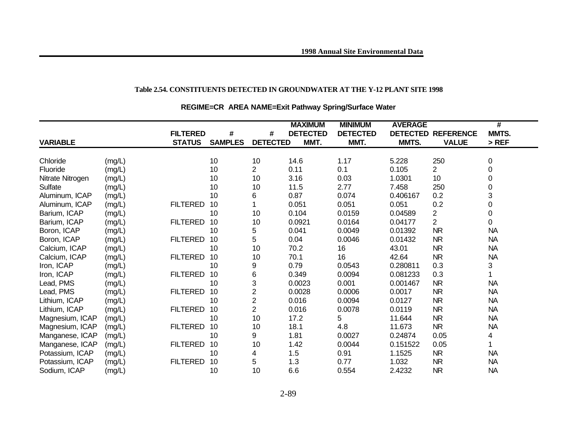### **Table 2.54. CONSTITUENTS DETECTED IN GROUNDWATER AT THE Y-12 PLANT SITE 1998**

|                  |        |                                  |                     |                      | <b>MAXIMUM</b>          | <b>MINIMUM</b>          | <b>AVERAGE</b> |                                           | $\overline{\boldsymbol{r}}$ |
|------------------|--------|----------------------------------|---------------------|----------------------|-------------------------|-------------------------|----------------|-------------------------------------------|-----------------------------|
| <b>VARIABLE</b>  |        | <b>FILTERED</b><br><b>STATUS</b> | #<br><b>SAMPLES</b> | #<br><b>DETECTED</b> | <b>DETECTED</b><br>MMT. | <b>DETECTED</b><br>MMT. | MMTS.          | <b>DETECTED REFERENCE</b><br><b>VALUE</b> | MMTS.<br>$>$ REF            |
|                  |        |                                  |                     |                      |                         |                         |                |                                           |                             |
| Chloride         | (mg/L) |                                  | 10                  | 10                   | 14.6                    | 1.17                    | 5.228          | 250                                       | 0                           |
| Fluoride         | (mg/L) |                                  | 10                  | $\overline{2}$       | 0.11                    | 0.1                     | 0.105          | $\overline{2}$                            | 0                           |
| Nitrate Nitrogen | (mg/L) |                                  | 10                  | 10                   | 3.16                    | 0.03                    | 1.0301         | 10                                        | 0                           |
| Sulfate          | (mg/L) |                                  | 10                  | 10                   | 11.5                    | 2.77                    | 7.458          | 250                                       | 0                           |
| Aluminum, ICAP   | (mg/L) |                                  | 10                  | 6                    | 0.87                    | 0.074                   | 0.406167       | 0.2                                       | 3                           |
| Aluminum, ICAP   | (mg/L) | <b>FILTERED</b>                  | 10                  |                      | 0.051                   | 0.051                   | 0.051          | 0.2                                       | 0                           |
| Barium, ICAP     | (mg/L) |                                  | 10                  | 10                   | 0.104                   | 0.0159                  | 0.04589        | $\overline{2}$                            | 0                           |
| Barium, ICAP     | (mg/L) | <b>FILTERED</b>                  | 10                  | 10                   | 0.0921                  | 0.0164                  | 0.04177        | $\overline{2}$                            | 0                           |
| Boron, ICAP      | (mg/L) |                                  | 10                  | 5                    | 0.041                   | 0.0049                  | 0.01392        | NR                                        | <b>NA</b>                   |
| Boron, ICAP      | (mg/L) | <b>FILTERED</b>                  | 10                  | 5                    | 0.04                    | 0.0046                  | 0.01432        | <b>NR</b>                                 | <b>NA</b>                   |
| Calcium, ICAP    | (mg/L) |                                  | 10                  | 10                   | 70.2                    | 16                      | 43.01          | NR                                        | <b>NA</b>                   |
| Calcium, ICAP    | (mg/L) | <b>FILTERED</b>                  | 10                  | 10                   | 70.1                    | 16                      | 42.64          | NR                                        | <b>NA</b>                   |
| Iron, ICAP       | (mg/L) |                                  | 10                  | 9                    | 0.79                    | 0.0543                  | 0.280811       | 0.3                                       | 3                           |
| Iron, ICAP       | (mg/L) | <b>FILTERED</b>                  | 10                  | 6                    | 0.349                   | 0.0094                  | 0.081233       | 0.3                                       |                             |
| Lead, PMS        | (mg/L) |                                  | 10                  | 3                    | 0.0023                  | 0.001                   | 0.001467       | NR                                        | <b>NA</b>                   |
| Lead, PMS        | (mg/L) | <b>FILTERED</b>                  | 10                  | $\overline{c}$       | 0.0028                  | 0.0006                  | 0.0017         | <b>NR</b>                                 | <b>NA</b>                   |
| Lithium, ICAP    | (mg/L) |                                  | 10                  | $\overline{2}$       | 0.016                   | 0.0094                  | 0.0127         | <b>NR</b>                                 | <b>NA</b>                   |
| Lithium, ICAP    | (mg/L) | <b>FILTERED</b>                  | 10                  | $\overline{2}$       | 0.016                   | 0.0078                  | 0.0119         | <b>NR</b>                                 | <b>NA</b>                   |
| Magnesium, ICAP  | (mg/L) |                                  | 10                  | 10                   | 17.2                    | 5                       | 11.644         | <b>NR</b>                                 | <b>NA</b>                   |
| Magnesium, ICAP  | (mg/L) | <b>FILTERED</b>                  | 10                  | 10                   | 18.1                    | 4.8                     | 11.673         | NR                                        | <b>NA</b>                   |
| Manganese, ICAP  | (mg/L) |                                  | 10                  | 9                    | 1.81                    | 0.0027                  | 0.24874        | 0.05                                      | 4                           |
| Manganese, ICAP  | (mg/L) | <b>FILTERED</b>                  | 10                  | 10                   | 1.42                    | 0.0044                  | 0.151522       | 0.05                                      |                             |
| Potassium, ICAP  | (mg/L) |                                  | 10                  | 4                    | 1.5                     | 0.91                    | 1.1525         | <b>NR</b>                                 | <b>NA</b>                   |
| Potassium, ICAP  | (mg/L) | <b>FILTERED</b>                  | 10                  | 5                    | 1.3                     | 0.77                    | 1.032          | <b>NR</b>                                 | <b>NA</b>                   |
| Sodium, ICAP     | (mg/L) |                                  | 10                  | 10                   | 6.6                     | 0.554                   | 2.4232         | <b>NR</b>                                 | <b>NA</b>                   |

### **REGIME=CR AREA NAME=Exit Pathway Spring/Surface Water**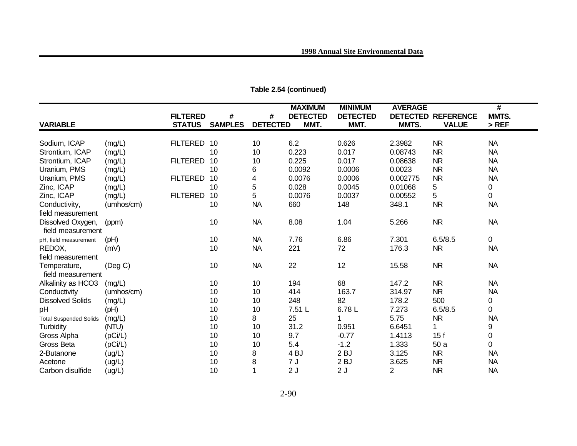|                                        |               | <b>FILTERED</b> | #              | #               | <b>MAXIMUM</b><br><b>DETECTED</b> | <b>MINIMUM</b><br><b>DETECTED</b> | <b>AVERAGE</b> | <b>DETECTED REFERENCE</b> | $\overline{\boldsymbol{r}}$<br>MMTS. |
|----------------------------------------|---------------|-----------------|----------------|-----------------|-----------------------------------|-----------------------------------|----------------|---------------------------|--------------------------------------|
| <b>VARIABLE</b>                        |               | <b>STATUS</b>   | <b>SAMPLES</b> | <b>DETECTED</b> | MMT.                              | MMT.                              | MMTS.          | <b>VALUE</b>              | $>$ REF                              |
|                                        |               |                 |                |                 |                                   |                                   |                |                           |                                      |
| Sodium, ICAP                           | (mg/L)        | <b>FILTERED</b> | 10             | 10              | 6.2                               | 0.626                             | 2.3982         | <b>NR</b>                 | <b>NA</b>                            |
| Strontium, ICAP                        | (mg/L)        |                 | 10             | 10              | 0.223                             | 0.017                             | 0.08743        | NR                        | <b>NA</b>                            |
| Strontium, ICAP                        | (mg/L)        | <b>FILTERED</b> | 10             | 10              | 0.225                             | 0.017                             | 0.08638        | NR                        | <b>NA</b>                            |
| Uranium, PMS                           | (mg/L)        |                 | 10             | 6               | 0.0092                            | 0.0006                            | 0.0023         | NR                        | <b>NA</b>                            |
| Uranium, PMS                           | (mg/L)        | <b>FILTERED</b> | 10             | 4               | 0.0076                            | 0.0006                            | 0.002775       | <b>NR</b>                 | <b>NA</b>                            |
| Zinc, ICAP                             | (mg/L)        |                 | 10             | 5               | 0.028                             | 0.0045                            | 0.01068        | 5                         | 0                                    |
| Zinc, ICAP                             | (mg/L)        | <b>FILTERED</b> | 10             | 5               | 0.0076                            | 0.0037                            | 0.00552        | 5                         | $\mathbf 0$                          |
| Conductivity,                          | (umhos/cm)    |                 | 10             | <b>NA</b>       | 660                               | 148                               | 348.1          | NR                        | <b>NA</b>                            |
| field measurement                      |               |                 |                |                 |                                   |                                   |                |                           |                                      |
| Dissolved Oxygen,<br>field measurement | (ppm)         |                 | 10             | <b>NA</b>       | 8.08                              | 1.04                              | 5.266          | NR                        | NA                                   |
| pH, field measurement                  | (Hq)          |                 | 10             | <b>NA</b>       | 7.76                              | 6.86                              | 7.301          | 6.5/8.5                   | $\overline{0}$                       |
| REDOX,                                 | (mV)          |                 | 10             | <b>NA</b>       | 221                               | 72                                | 176.3          | <b>NR</b>                 | <b>NA</b>                            |
| field measurement                      |               |                 |                |                 |                                   |                                   |                |                           |                                      |
| Temperature,<br>field measurement      | $($ Deg C $)$ |                 | 10             | <b>NA</b>       | 22                                | 12                                | 15.58          | <b>NR</b>                 | <b>NA</b>                            |
| Alkalinity as HCO3                     | (mg/L)        |                 | 10             | 10              | 194                               | 68                                | 147.2          | <b>NR</b>                 | <b>NA</b>                            |
| Conductivity                           | (umhos/cm)    |                 | 10             | 10              | 414                               | 163.7                             | 314.97         | <b>NR</b>                 | <b>NA</b>                            |
| <b>Dissolved Solids</b>                | (mg/L)        |                 | 10             | 10              | 248                               | 82                                | 178.2          | 500                       | 0                                    |
| pH                                     | (Hq)          |                 | 10             | 10              | 7.51 L                            | 6.78 L                            | 7.273          | 6.5/8.5                   | 0                                    |
| <b>Total Suspended Solids</b>          | (mg/L)        |                 | 10             | 8               | 25                                |                                   | 5.75           | <b>NR</b>                 | <b>NA</b>                            |
| Turbidity                              | (NTU)         |                 | 10             | 10              | 31.2                              | 0.951                             | 6.6451         | $\mathbf{1}$              | 9                                    |
| Gross Alpha                            | (pCi/L)       |                 | 10             | 10              | 9.7                               | $-0.77$                           | 1.4113         | 15f                       | $\mathbf 0$                          |
| Gross Beta                             | (pCi/L)       |                 | 10             | 10              | 5.4                               | $-1.2$                            | 1.333          | 50a                       | 0                                    |
| 2-Butanone                             | (ug/L)        |                 | 10             | 8               | 4 <sub>BJ</sub>                   | 2BJ                               | 3.125          | <b>NR</b>                 | <b>NA</b>                            |
| Acetone                                | (ug/L)        |                 | 10             | 8               | 7 J                               | 2BJ                               | 3.625          | <b>NR</b>                 | <b>NA</b>                            |
| Carbon disulfide                       | (ug/L)        |                 | 10             |                 | 2J                                | 2J                                | $\overline{2}$ | <b>NR</b>                 | <b>NA</b>                            |

## **Table 2.54 (continued)**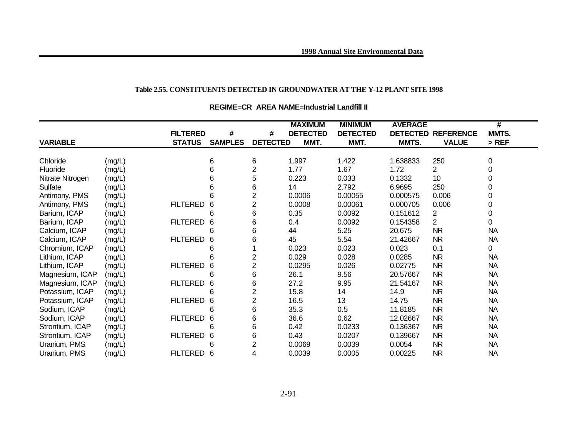### **Table 2.55. CONSTITUENTS DETECTED IN GROUNDWATER AT THE Y-12 PLANT SITE 1998**

|                  |        |                 |                |                         | <b>MAXIMUM</b>  | <b>MINIMUM</b>  | <b>AVERAGE</b> |                           | #         |
|------------------|--------|-----------------|----------------|-------------------------|-----------------|-----------------|----------------|---------------------------|-----------|
|                  |        | <b>FILTERED</b> | #              | #                       | <b>DETECTED</b> | <b>DETECTED</b> |                | <b>DETECTED REFERENCE</b> | MMTS.     |
| <b>VARIABLE</b>  |        | <b>STATUS</b>   | <b>SAMPLES</b> | <b>DETECTED</b>         | MMT.            | MMT.            | MMTS.          | <b>VALUE</b>              | > REF     |
|                  |        |                 |                |                         |                 |                 |                |                           |           |
| Chloride         | (mg/L) |                 | 6              | 6                       | 1.997           | 1.422           | 1.638833       | 250                       | 0         |
| Fluoride         | (mg/L) |                 | 6              | $\overline{\mathbf{c}}$ | 1.77            | 1.67            | 1.72           | 2                         | 0         |
| Nitrate Nitrogen | (mg/L) |                 |                | 5                       | 0.223           | 0.033           | 0.1332         | 10                        | 0         |
| Sulfate          | (mg/L) |                 | 6              | 6                       | 14              | 2.792           | 6.9695         | 250                       | 0         |
| Antimony, PMS    | (mg/L) |                 | 6              | $\overline{c}$          | 0.0006          | 0.00055         | 0.000575       | 0.006                     | 0         |
| Antimony, PMS    | (mg/L) | <b>FILTERED</b> | 6              | $\overline{c}$          | 0.0008          | 0.00061         | 0.000705       | 0.006                     | 0         |
| Barium, ICAP     | (mg/L) |                 |                | 6                       | 0.35            | 0.0092          | 0.151612       | $\overline{2}$            | 0         |
| Barium, ICAP     | (mg/L) | <b>FILTERED</b> | 6              | 6                       | 0.4             | 0.0092          | 0.154358       | 2                         | 0         |
| Calcium, ICAP    | (mg/L) |                 |                | 6                       | 44              | 5.25            | 20.675         | <b>NR</b>                 | <b>NA</b> |
| Calcium, ICAP    | (mg/L) | <b>FILTERED</b> | 6              | 6                       | 45              | 5.54            | 21.42667       | <b>NR</b>                 | <b>NA</b> |
| Chromium, ICAP   | (mg/L) |                 |                |                         | 0.023           | 0.023           | 0.023          | 0.1                       | 0         |
| Lithium, ICAP    | (mg/L) |                 |                | 2                       | 0.029           | 0.028           | 0.0285         | <b>NR</b>                 | <b>NA</b> |
| Lithium, ICAP    | (mg/L) | <b>FILTERED</b> | 6              | $\overline{2}$          | 0.0295          | 0.026           | 0.02775        | NR                        | <b>NA</b> |
| Magnesium, ICAP  | (mg/L) |                 | 6              | 6                       | 26.1            | 9.56            | 20.57667       | <b>NR</b>                 | <b>NA</b> |
| Magnesium, ICAP  | (mg/L) | <b>FILTERED</b> | 6              | 6                       | 27.2            | 9.95            | 21.54167       | <b>NR</b>                 | <b>NA</b> |
| Potassium, ICAP  | (mg/L) |                 | 6              | $\overline{2}$          | 15.8            | 14              | 14.9           | <b>NR</b>                 | <b>NA</b> |
| Potassium, ICAP  | (mg/L) | <b>FILTERED</b> | 6              | $\overline{2}$          | 16.5            | 13              | 14.75          | <b>NR</b>                 | <b>NA</b> |
| Sodium, ICAP     | (mg/L) |                 | 6              | 6                       | 35.3            | 0.5             | 11.8185        | <b>NR</b>                 | <b>NA</b> |
| Sodium, ICAP     | (mg/L) | <b>FILTERED</b> | 6              | 6                       | 36.6            | 0.62            | 12.02667       | <b>NR</b>                 | <b>NA</b> |
| Strontium, ICAP  | (mg/L) |                 | 6              | 6                       | 0.42            | 0.0233          | 0.136367       | <b>NR</b>                 | <b>NA</b> |
| Strontium, ICAP  | (mg/L) | <b>FILTERED</b> | 6              | 6                       | 0.43            | 0.0207          | 0.139667       | <b>NR</b>                 | <b>NA</b> |
| Uranium, PMS     | (mg/L) |                 | 6              | $\overline{2}$          | 0.0069          | 0.0039          | 0.0054         | <b>NR</b>                 | <b>NA</b> |
| Uranium, PMS     | (mg/L) | <b>FILTERED</b> | 6              | 4                       | 0.0039          | 0.0005          | 0.00225        | <b>NR</b>                 | <b>NA</b> |

#### **REGIME=CR AREA NAME=Industrial Landfill II**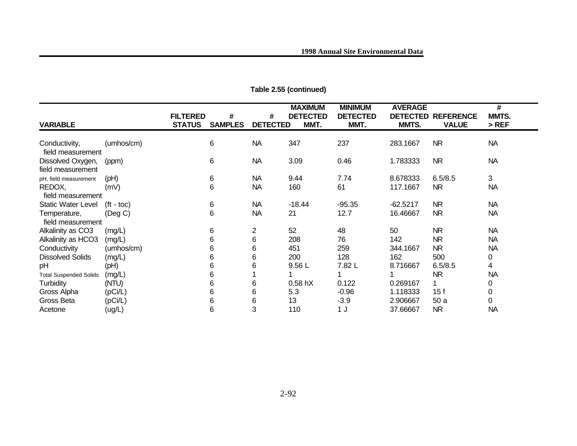| <b>VARIABLE</b>                        |                    | <b>FILTERED</b><br><b>STATUS</b> | #<br><b>SAMPLES</b> | #<br><b>DETECTED</b> | <b>MAXIMUM</b><br><b>DETECTED</b><br>MMT. | <b>MINIMUM</b><br><b>DETECTED</b><br>MMT. | <b>AVERAGE</b><br>MMTS. | <b>DETECTED REFERENCE</b><br><b>VALUE</b> | #<br>MMTS.<br>$>$ REF |
|----------------------------------------|--------------------|----------------------------------|---------------------|----------------------|-------------------------------------------|-------------------------------------------|-------------------------|-------------------------------------------|-----------------------|
| Conductivity,<br>field measurement     | (umhos/cm)         |                                  | 6                   | <b>NA</b>            | 347                                       | 237                                       | 283.1667                | <b>NR</b>                                 | <b>NA</b>             |
| Dissolved Oxygen,<br>field measurement | (ppm)              |                                  | 6                   | <b>NA</b>            | 3.09                                      | 0.46                                      | 1.783333                | <b>NR</b>                                 | <b>NA</b>             |
| pH, field measurement                  | (Hq)               |                                  | 6                   | <b>NA</b>            | 9.44                                      | 7.74                                      | 8.678333                | 6.5/8.5                                   | 3                     |
| REDOX,<br>field measurement            | (mV)               |                                  | 6                   | <b>NA</b>            | 160                                       | 61                                        | 117.1667                | <b>NR</b>                                 | <b>NA</b>             |
| <b>Static Water Level</b>              | $(t - \text{toc})$ |                                  | 6                   | <b>NA</b>            | $-18.44$                                  | $-95.35$                                  | $-62.5217$              | <b>NR</b>                                 | <b>NA</b>             |
| Temperature,<br>field measurement      | $($ Deg C $)$      |                                  | 6                   | <b>NA</b>            | 21                                        | 12.7                                      | 16.46667                | <b>NR</b>                                 | <b>NA</b>             |
| Alkalinity as CO3                      | (mg/L)             |                                  | 6                   | $\overline{c}$       | 52                                        | 48                                        | 50                      | <b>NR</b>                                 | <b>NA</b>             |
| Alkalinity as HCO3                     | (mg/L)             |                                  | 6                   | 6                    | 208                                       | 76                                        | 142                     | <b>NR</b>                                 | <b>NA</b>             |
| Conductivity                           | (umhos/cm)         |                                  | 6                   | 6                    | 451                                       | 259                                       | 344.1667                | <b>NR</b>                                 | <b>NA</b>             |
| <b>Dissolved Solids</b>                | (mg/L)             |                                  | 6                   | 6                    | 200                                       | 128                                       | 162                     | 500                                       | 0                     |
| pH                                     | (Hq)               |                                  | 6                   | 6                    | 9.56 L                                    | 7.82 L                                    | 8.716667                | 6.5/8.5                                   | 4                     |
| <b>Total Suspended Solids</b>          | (mg/L)             |                                  | 6                   |                      |                                           |                                           |                         | <b>NR</b>                                 | <b>NA</b>             |
| <b>Turbidity</b>                       | (NTU)              |                                  | 6                   | 6                    | 0.58hX                                    | 0.122                                     | 0.269167                | 1                                         | 0                     |
| Gross Alpha                            | (pCi/L)            |                                  | 6                   | 6                    | 5.3                                       | $-0.96$                                   | 1.118333                | 15f                                       | 0                     |
| Gross Beta                             | (pCi/L)            |                                  | 6                   | 6                    | 13                                        | $-3.9$                                    | 2.906667                | 50a                                       | 0                     |
| Acetone                                | (ug/L)             |                                  | 6                   | 3                    | 110                                       | 1 <sub>J</sub>                            | 37.66667                | <b>NR</b>                                 | <b>NA</b>             |

## **Table 2.55 (continued)**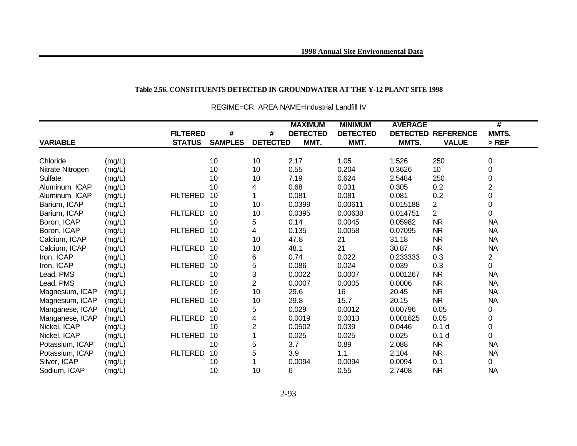### **Table 2.56. CONSTITUENTS DETECTED IN GROUNDWATER AT THE Y-12 PLANT SITE 1998**

|                  |        |                 |                |                 | <b>MAXIMUM</b>  | <b>MINIMUM</b>  | <b>AVERAGE</b> |                           | #                       |  |
|------------------|--------|-----------------|----------------|-----------------|-----------------|-----------------|----------------|---------------------------|-------------------------|--|
|                  |        | <b>FILTERED</b> | #              | #               | <b>DETECTED</b> | <b>DETECTED</b> |                | <b>DETECTED REFERENCE</b> | MMTS.                   |  |
| <b>VARIABLE</b>  |        | <b>STATUS</b>   | <b>SAMPLES</b> | <b>DETECTED</b> | MMT.            | MMT.            | MMTS.          | <b>VALUE</b>              | $>$ REF                 |  |
| Chloride         | (mg/L) |                 | 10             | 10              | 2.17            | 1.05            | 1.526          | 250                       | 0                       |  |
| Nitrate Nitrogen | (mg/L) |                 | 10             | 10              | 0.55            | 0.204           | 0.3626         | 10                        | 0                       |  |
| Sulfate          | (mg/L) |                 | 10             | 10              | 7.19            | 0.624           | 2.5484         | 250                       | 0                       |  |
| Aluminum, ICAP   | (mg/L) |                 | 10             | 4               | 0.68            | 0.031           | 0.305          | 0.2                       | $\overline{\mathbf{c}}$ |  |
| Aluminum, ICAP   | (mg/L) | <b>FILTERED</b> | 10             |                 | 0.081           | 0.081           | 0.081          | 0.2                       | $\mathbf 0$             |  |
| Barium, ICAP     | (mg/L) |                 | 10             | 10              | 0.0399          | 0.00611         | 0.015188       | $\overline{2}$            | 0                       |  |
| Barium, ICAP     | (mg/L) | <b>FILTERED</b> | 10             | 10              | 0.0395          | 0.00638         | 0.014751       | $\overline{2}$            | 0                       |  |
| Boron, ICAP      | (mg/L) |                 | 10             | 5               | 0.14            | 0.0045          | 0.05982        | NR                        | <b>NA</b>               |  |
| Boron, ICAP      | (mg/L) | <b>FILTERED</b> | 10             | 4               | 0.135           | 0.0058          | 0.07095        | NR                        | <b>NA</b>               |  |
| Calcium, ICAP    | (mg/L) |                 | 10             | 10              | 47.8            | 21              | 31.18          | <b>NR</b>                 | <b>NA</b>               |  |
| Calcium, ICAP    | (mg/L) | <b>FILTERED</b> | 10             | 10              | 48.1            | 21              | 30.87          | NR                        | <b>NA</b>               |  |
| Iron, ICAP       | (mg/L) |                 | 10             | 6               | 0.74            | 0.022           | 0.233333       | 0.3                       | $\overline{c}$          |  |
| Iron, ICAP       | (mg/L) | <b>FILTERED</b> | 10             | 5               | 0.086           | 0.024           | 0.039          | 0.3                       | 0                       |  |
| Lead, PMS        | (mg/L) |                 | 10             | 3               | 0.0022          | 0.0007          | 0.001267       | <b>NR</b>                 | <b>NA</b>               |  |
| Lead, PMS        | (mg/L) | <b>FILTERED</b> | 10             | $\overline{2}$  | 0.0007          | 0.0005          | 0.0006         | NR                        | <b>NA</b>               |  |
| Magnesium, ICAP  | (mg/L) |                 | 10             | 10              | 29.6            | 16              | 20.45          | NR                        | <b>NA</b>               |  |
| Magnesium, ICAP  | (mg/L) | <b>FILTERED</b> | 10             | 10              | 29.8            | 15.7            | 20.15          | NR                        | <b>NA</b>               |  |
| Manganese, ICAP  | (mg/L) |                 | 10             | 5               | 0.029           | 0.0012          | 0.00796        | 0.05                      | 0                       |  |
| Manganese, ICAP  | (mg/L) | <b>FILTERED</b> | 10             | 4               | 0.0019          | 0.0013          | 0.001625       | 0.05                      | 0                       |  |
| Nickel, ICAP     | (mg/L) |                 | 10             | $\overline{2}$  | 0.0502          | 0.039           | 0.0446         | 0.1 <sub>d</sub>          | 0                       |  |
| Nickel, ICAP     | (mg/L) | <b>FILTERED</b> | 10             |                 | 0.025           | 0.025           | 0.025          | 0.1 <sub>d</sub>          | 0                       |  |
| Potassium, ICAP  | (mg/L) |                 | 10             | 5               | 3.7             | 0.89            | 2.088          | <b>NR</b>                 | <b>NA</b>               |  |
| Potassium, ICAP  | (mg/L) | <b>FILTERED</b> | 10             | 5               | 3.9             | 1.1             | 2.104          | <b>NR</b>                 | <b>NA</b>               |  |
| Silver, ICAP     | (mg/L) |                 | 10             |                 | 0.0094          | 0.0094          | 0.0094         | 0.1                       | 0                       |  |
| Sodium, ICAP     | (mg/L) |                 | 10             | 10              | 6               | 0.55            | 2.7408         | <b>NR</b>                 | <b>NA</b>               |  |

#### REGIME=CR AREA NAME=Industrial Landfill IV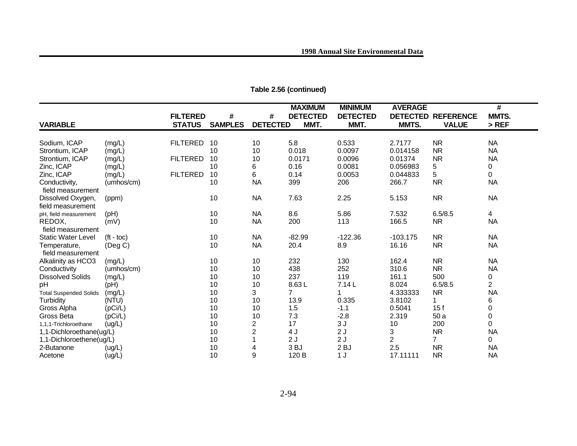|                                        |                    |                 |                |                         | <b>MAXIMUM</b>  | <b>MINIMUM</b>  | <b>AVERAGE</b> |                           | $\overline{\boldsymbol{r}}$ |
|----------------------------------------|--------------------|-----------------|----------------|-------------------------|-----------------|-----------------|----------------|---------------------------|-----------------------------|
|                                        |                    | <b>FILTERED</b> | #              | #                       | <b>DETECTED</b> | <b>DETECTED</b> |                | <b>DETECTED REFERENCE</b> | MMTS.                       |
| <b>VARIABLE</b>                        |                    | <b>STATUS</b>   | <b>SAMPLES</b> | <b>DETECTED</b>         | MMT.            | MMT.            | MMTS.          | <b>VALUE</b>              | $>$ REF                     |
|                                        |                    |                 |                |                         |                 |                 |                |                           |                             |
| Sodium, ICAP                           | (mg/L)             | <b>FILTERED</b> | 10             | 10                      | 5.8             | 0.533           | 2.7177         | <b>NR</b>                 | <b>NA</b>                   |
| Strontium, ICAP                        | (mg/L)             |                 | 10             | 10                      | 0.018           | 0.0097          | 0.014158       | <b>NR</b>                 | <b>NA</b>                   |
| Strontium, ICAP                        | (mg/L)             | <b>FILTERED</b> | 10             | 10                      | 0.0171          | 0.0096          | 0.01374        | <b>NR</b>                 | <b>NA</b>                   |
| Zinc, ICAP                             | (mg/L)             |                 | 10             | 6                       | 0.16            | 0.0081          | 0.056983       | 5                         | 0                           |
| Zinc, ICAP                             | (mg/L)             | <b>FILTERED</b> | 10             | 6                       | 0.14            | 0.0053          | 0.044833       | 5                         | 0                           |
| Conductivity,<br>field measurement     | (umhos/cm)         |                 | 10             | <b>NA</b>               | 399             | 206             | 266.7          | <b>NR</b>                 | <b>NA</b>                   |
| Dissolved Oxygen,<br>field measurement | (ppm)              |                 | 10             | <b>NA</b>               | 7.63            | 2.25            | 5.153          | <b>NR</b>                 | <b>NA</b>                   |
| pH, field measurement                  | (pH)               |                 | 10             | <b>NA</b>               | 8.6             | 5.86            | 7.532          | 6.5/8.5                   | 4                           |
| REDOX,<br>field measurement            | (mV)               |                 | 10             | <b>NA</b>               | 200             | 113             | 166.5          | <b>NR</b>                 | <b>NA</b>                   |
| <b>Static Water Level</b>              | $(t - \text{toc})$ |                 | 10             | <b>NA</b>               | $-82.99$        | $-122.36$       | $-103.175$     | <b>NR</b>                 | <b>NA</b>                   |
| Temperature,<br>field measurement      | $($ Deg C $)$      |                 | 10             | <b>NA</b>               | 20.4            | 8.9             | 16.16          | <b>NR</b>                 | <b>NA</b>                   |
| Alkalinity as HCO3                     | (mg/L)             |                 | 10             | 10                      | 232             | 130             | 162.4          | <b>NR</b>                 | <b>NA</b>                   |
| Conductivity                           | (umhos/cm)         |                 | 10             | 10                      | 438             | 252             | 310.6          | ${\sf NR}$                | <b>NA</b>                   |
| <b>Dissolved Solids</b>                | (mg/L)             |                 | 10             | 10                      | 237             | 119             | 161.1          | 500                       | 0                           |
| pH                                     | (PH)               |                 | 10             | 10                      | 8.63L           | 7.14L           | 8.024          | 6.5/8.5                   | $\overline{2}$              |
| <b>Total Suspended Solids</b>          | (mg/L)             |                 | 10             | 3                       | 7               |                 | 4.333333       | <b>NR</b>                 | <b>NA</b>                   |
| Turbidity                              | (NTU)              |                 | 10             | 10                      | 13.9            | 0.335           | 3.8102         | 1                         | 6                           |
| Gross Alpha                            | (pCi/L)            |                 | 10             | 10                      | 1.5             | $-1.1$          | 0.5041         | 15f                       | 0                           |
| Gross Beta                             | (pCi/L)            |                 | 10             | 10                      | 7.3             | $-2.8$          | 2.319          | 50a                       | 0                           |
| 1,1,1-Trichloroethane                  | (ug/L)             |                 | 10             | $\overline{\mathbf{c}}$ | 17              | 3J              | 10             | 200                       | 0                           |
| 1,1-Dichloroethane(ug/L)               |                    |                 | 10             | $\overline{2}$          | 4 J             | 2J              | 3              | <b>NR</b>                 | <b>NA</b>                   |
| 1,1-Dichloroethene(ug/L)               |                    |                 | 10             |                         | 2J              | 2J              | $\overline{2}$ | 7                         | 0                           |
| 2-Butanone                             | (ug/L)             |                 | 10             | 4                       | 3BJ             | 2BJ             | 2.5            | <b>NR</b>                 | <b>NA</b>                   |
| Acetone                                | (ug/L)             |                 | 10             | 9                       | 120 B           | 1 <sub>J</sub>  | 17.11111       | <b>NR</b>                 | <b>NA</b>                   |

## **Table 2.56 (continued)**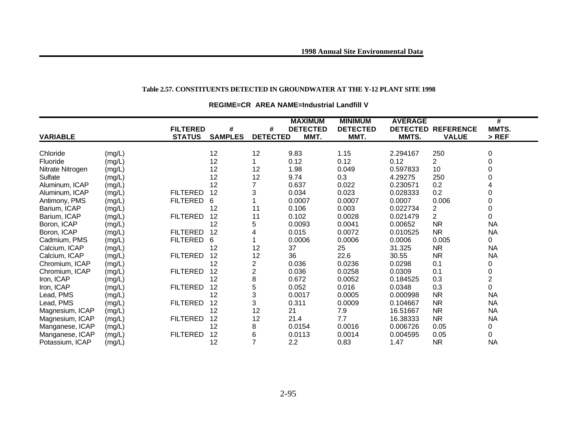#### **Table 2.57. CONSTITUENTS DETECTED IN GROUNDWATER AT THE Y-12 PLANT SITE 1998**

|                  |        | <b>FILTERED</b> | #              | #                       | <b>MAXIMUM</b><br><b>DETECTED</b> | <b>MINIMUM</b><br><b>DETECTED</b> | <b>AVERAGE</b> | <b>DETECTED REFERENCE</b> | #<br>MMTS.              |
|------------------|--------|-----------------|----------------|-------------------------|-----------------------------------|-----------------------------------|----------------|---------------------------|-------------------------|
| <b>VARIABLE</b>  |        | <b>STATUS</b>   | <b>SAMPLES</b> | <b>DETECTED</b>         | MMT.                              | MMT.                              | MMTS.          | <b>VALUE</b>              | $>$ REF                 |
|                  |        |                 |                |                         |                                   |                                   |                |                           |                         |
| Chloride         | (mg/L) |                 | 12             | 12                      | 9.83                              | 1.15                              | 2.294167       | 250                       | 0                       |
| Fluoride         | (mg/L) |                 | 12             |                         | 0.12                              | 0.12                              | 0.12           | 2                         | 0                       |
| Nitrate Nitrogen | (mg/L) |                 | 12             | 12                      | 1.98                              | 0.049                             | 0.597833       | 10                        | 0                       |
| Sulfate          | (mg/L) |                 | 12             | 12                      | 9.74                              | 0.3                               | 4.29275        | 250                       | 0                       |
| Aluminum, ICAP   | (mg/L) |                 | 12             | 7                       | 0.637                             | 0.022                             | 0.230571       | 0.2                       | 4                       |
| Aluminum, ICAP   | (mg/L) | <b>FILTERED</b> | 12             | 3                       | 0.034                             | 0.023                             | 0.028333       | 0.2                       | 0                       |
| Antimony, PMS    | (mg/L) | <b>FILTERED</b> | 6              |                         | 0.0007                            | 0.0007                            | 0.0007         | 0.006                     | 0                       |
| Barium, ICAP     | (mg/L) |                 | 12             | 11                      | 0.106                             | 0.003                             | 0.022734       | 2                         | $\mathsf 0$             |
| Barium, ICAP     | (mg/L) | <b>FILTERED</b> | 12             | 11                      | 0.102                             | 0.0028                            | 0.021479       | $\overline{2}$            | 0                       |
| Boron, ICAP      | (mg/L) |                 | 12             | 5                       | 0.0093                            | 0.0041                            | 0.00652        | <b>NR</b>                 | <b>NA</b>               |
| Boron, ICAP      | (mg/L) | <b>FILTERED</b> | 12             | 4                       | 0.015                             | 0.0072                            | 0.010525       | <b>NR</b>                 | <b>NA</b>               |
| Cadmium, PMS     | (mg/L) | <b>FILTERED</b> | 6              |                         | 0.0006                            | 0.0006                            | 0.0006         | 0.005                     | 0                       |
| Calcium, ICAP    | (mg/L) |                 | 12             | 12                      | 37                                | 25                                | 31.325         | <b>NR</b>                 | <b>NA</b>               |
| Calcium, ICAP    | (mg/L) | <b>FILTERED</b> | 12             | 12                      | 36                                | 22.6                              | 30.55          | <b>NR</b>                 | <b>NA</b>               |
| Chromium, ICAP   | (mg/L) |                 | 12             | $\overline{\mathbf{c}}$ | 0.036                             | 0.0236                            | 0.0298         | 0.1                       | 0                       |
| Chromium, ICAP   | (mg/L) | <b>FILTERED</b> | 12             | $\overline{\mathbf{c}}$ | 0.036                             | 0.0258                            | 0.0309         | 0.1                       | 0                       |
| Iron, ICAP       | (mg/L) |                 | 12             | 8                       | 0.672                             | 0.0052                            | 0.184525       | 0.3                       | $\overline{\mathbf{c}}$ |
| Iron, ICAP       | (mg/L) | <b>FILTERED</b> | 12             | 5                       | 0.052                             | 0.016                             | 0.0348         | 0.3                       | 0                       |
| Lead, PMS        | (mg/L) |                 | 12             | 3                       | 0.0017                            | 0.0005                            | 0.000998       | <b>NR</b>                 | <b>NA</b>               |
| Lead, PMS        | (mg/L) | <b>FILTERED</b> | 12             | 3                       | 0.311                             | 0.0009                            | 0.104667       | <b>NR</b>                 | <b>NA</b>               |
| Magnesium, ICAP  | (mg/L) |                 | 12             | 12                      | 21                                | 7.9                               | 16.51667       | <b>NR</b>                 | <b>NA</b>               |
| Magnesium, ICAP  | (mg/L) | <b>FILTERED</b> | 12             | 12                      | 21.4                              | 7.7                               | 16.38333       | <b>NR</b>                 | <b>NA</b>               |
| Manganese, ICAP  | (mg/L) |                 | 12             | 8                       | 0.0154                            | 0.0016                            | 0.006726       | 0.05                      | 0                       |
| Manganese, ICAP  | (mg/L) | <b>FILTERED</b> | 12             | 6                       | 0.0113                            | 0.0014                            | 0.004595       | 0.05                      | 0                       |
| Potassium, ICAP  | (mg/L) |                 | 12             | $\overline{7}$          | 2.2                               | 0.83                              | 1.47           | <b>NR</b>                 | <b>NA</b>               |

#### **REGIME=CR AREA NAME=Industrial Landfill V**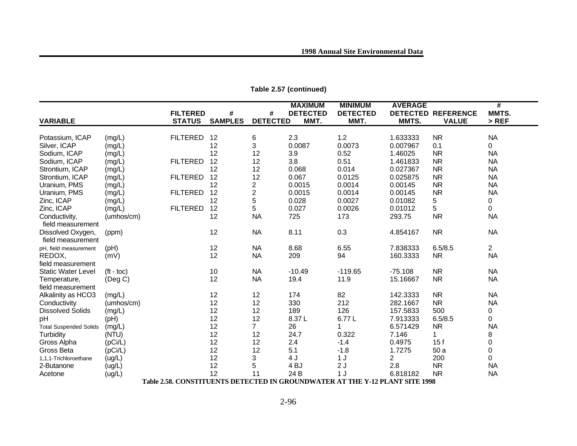|                                        |                    | <b>FILTERED</b> |                     |                         | <b>MAXIMUM</b><br><b>DETECTED</b> | <b>MINIMUM</b><br><b>DETECTED</b> | <b>AVERAGE</b> | <b>DETECTED REFERENCE</b> | #<br>MMTS.     |
|----------------------------------------|--------------------|-----------------|---------------------|-------------------------|-----------------------------------|-----------------------------------|----------------|---------------------------|----------------|
| <b>VARIABLE</b>                        |                    | <b>STATUS</b>   | #<br><b>SAMPLES</b> | #<br><b>DETECTED</b>    | MMT.                              | MMT.                              | MMTS.          | <b>VALUE</b>              | $>$ REF        |
|                                        |                    |                 |                     |                         |                                   |                                   |                |                           |                |
| Potassium, ICAP                        | (mg/L)             | <b>FILTERED</b> | 12                  | 6                       | 2.3                               | 1.2                               | 1.633333       | <b>NR</b>                 | <b>NA</b>      |
| Silver, ICAP                           | (mg/L)             |                 | 12                  | 3                       | 0.0087                            | 0.0073                            | 0.007967       | 0.1                       | 0              |
| Sodium, ICAP                           | (mg/L)             |                 | 12                  | 12                      | 3.9                               | 0.52                              | 1.46025        | <b>NR</b>                 | <b>NA</b>      |
| Sodium, ICAP                           | (mg/L)             | <b>FILTERED</b> | 12                  | 12                      | 3.8                               | 0.51                              | 1.461833       | <b>NR</b>                 | <b>NA</b>      |
| Strontium, ICAP                        | (mg/L)             |                 | 12                  | 12                      | 0.068                             | 0.014                             | 0.027367       | <b>NR</b>                 | <b>NA</b>      |
| Strontium, ICAP                        | (mg/L)             | <b>FILTERED</b> | 12                  | 12                      | 0.067                             | 0.0125                            | 0.025875       | <b>NR</b>                 | <b>NA</b>      |
| Uranium, PMS                           | (mg/L)             |                 | 12                  | 2                       | 0.0015                            | 0.0014                            | 0.00145        | <b>NR</b>                 | <b>NA</b>      |
| Uranium, PMS                           | (mg/L)             | <b>FILTERED</b> | 12                  | $\overline{\mathbf{c}}$ | 0.0015                            | 0.0014                            | 0.00145        | <b>NR</b>                 | <b>NA</b>      |
| Zinc, ICAP                             | (mg/L)             |                 | 12                  | 5                       | 0.028                             | 0.0027                            | 0.01082        | 5                         | 0              |
| Zinc, ICAP                             | (mg/L)             | <b>FILTERED</b> | 12                  | 5                       | 0.027                             | 0.0026                            | 0.01012        | 5                         | $\mathbf 0$    |
| Conductivity,<br>field measurement     | (umhos/cm)         |                 | 12                  | <b>NA</b>               | 725                               | 173                               | 293.75         | <b>NR</b>                 | <b>NA</b>      |
| Dissolved Oxygen,<br>field measurement | (ppm)              |                 | 12                  | <b>NA</b>               | 8.11                              | 0.3                               | 4.854167       | <b>NR</b>                 | <b>NA</b>      |
| pH, field measurement                  | (Hq)               |                 | 12                  | <b>NA</b>               | 8.68                              | 6.55                              | 7.838333       | 6.5/8.5                   | $\overline{2}$ |
| REDOX.                                 | (mV)               |                 | 12                  | <b>NA</b>               | 209                               | 94                                | 160.3333       | <b>NR</b>                 | <b>NA</b>      |
| field measurement                      |                    |                 |                     |                         |                                   |                                   |                |                           |                |
| <b>Static Water Level</b>              | $(t - \text{toc})$ |                 | 10                  | <b>NA</b>               | $-10.49$                          | $-119.65$                         | $-75.108$      | <b>NR</b>                 | <b>NA</b>      |
| Temperature,                           | $($ Deg C $)$      |                 | 12                  | <b>NA</b>               | 19.4                              | 11.9                              | 15.16667       | <b>NR</b>                 | <b>NA</b>      |
| field measurement                      |                    |                 |                     |                         |                                   |                                   |                |                           |                |
| Alkalinity as HCO3                     | (mg/L)             |                 | 12                  | 12                      | 174                               | 82                                | 142.3333       | <b>NR</b>                 | <b>NA</b>      |
| Conductivity                           | (umhos/cm)         |                 | 12                  | 12                      | 330                               | 212                               | 282.1667       | <b>NR</b>                 | <b>NA</b>      |
| <b>Dissolved Solids</b>                | (mg/L)             |                 | 12                  | 12                      | 189                               | 126                               | 157.5833       | 500                       | 0              |
| pH                                     | (PH)               |                 | 12                  | 12                      | 8.37L                             | 6.77L                             | 7.913333       | 6.5/8.5                   | $\mathbf 0$    |
| <b>Total Suspended Solids</b>          | (mg/L)             |                 | 12                  | $\overline{7}$          | 26                                |                                   | 6.571429       | <b>NR</b>                 | <b>NA</b>      |
| Turbidity                              | (NTU)              |                 | 12                  | 12                      | 24.7                              | 0.322                             | 7.146          |                           | 8              |
| Gross Alpha                            | (pCi/L)            |                 | 12                  | 12                      | 2.4                               | $-1.4$                            | 0.4975         | 15f                       | $\mathbf 0$    |
| Gross Beta                             | (pCi/L)            |                 | 12                  | 12                      | 5.1                               | $-1.8$                            | 1.7275         | 50a                       | 0              |
| 1,1,1-Trichloroethane                  | (ug/L)             |                 | 12                  | 3                       | 4 J                               | 1 <sub>J</sub>                    | 2              | 200                       | $\mathbf 0$    |
| 2-Butanone                             | (ug/L)             |                 | 12                  | 5                       | 4 <sub>BJ</sub>                   | 2J                                | 2.8            | <b>NR</b>                 | <b>NA</b>      |
| Acetone                                | (ug/L)             |                 | 12                  | 11                      | 24 B                              | 1 <sub>J</sub>                    | 6.818182       | <b>NR</b>                 | <b>NA</b>      |

### **Table 2.57 (continued)**

**Table 2.58. CONSTITUENTS DETECTED IN GROUNDWATER AT THE Y-12 PLANT SITE 1998**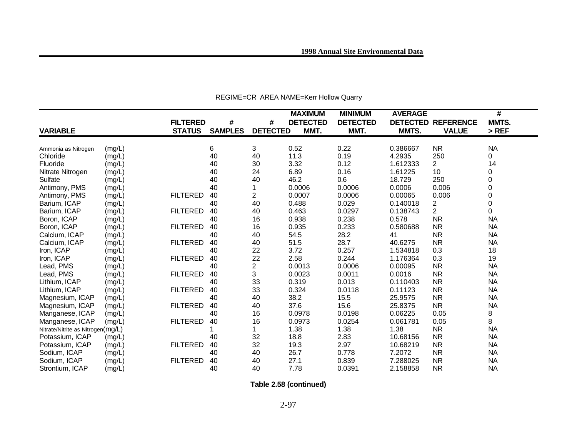|                                   |        |                 |                |                         | <b>MAXIMUM</b>  | <b>MINIMUM</b>  | <b>AVERAGE</b> |                           | #         |
|-----------------------------------|--------|-----------------|----------------|-------------------------|-----------------|-----------------|----------------|---------------------------|-----------|
|                                   |        | <b>FILTERED</b> | #              | #                       | <b>DETECTED</b> | <b>DETECTED</b> |                | <b>DETECTED REFERENCE</b> | MMTS.     |
| <b>VARIABLE</b>                   |        | <b>STATUS</b>   | <b>SAMPLES</b> | <b>DETECTED</b>         | MMT.            | MMT.            | MMTS.          | <b>VALUE</b>              | $>$ REF   |
|                                   |        |                 |                |                         |                 |                 |                |                           |           |
| Ammonia as Nitrogen               | (mg/L) |                 | 6              | 3                       | 0.52            | 0.22            | 0.386667       | <b>NR</b>                 | <b>NA</b> |
| Chloride                          | (mg/L) |                 | 40             | 40                      | 11.3            | 0.19            | 4.2935         | 250                       | 0         |
| Fluoride                          | (mg/L) |                 | 40             | 30                      | 3.32            | 0.12            | 1.612333       | $\overline{2}$            | 14        |
| Nitrate Nitrogen                  | (mg/L) |                 | 40             | 24                      | 6.89            | 0.16            | 1.61225        | 10                        | 0         |
| Sulfate                           | (mg/L) |                 | 40             | 40                      | 46.2            | 0.6             | 18.729         | 250                       | 0         |
| Antimony, PMS                     | (mg/L) |                 | 40             |                         | 0.0006          | 0.0006          | 0.0006         | 0.006                     | 0         |
| Antimony, PMS                     | (mg/L) | <b>FILTERED</b> | 40             | $\overline{\mathbf{c}}$ | 0.0007          | 0.0006          | 0.00065        | 0.006                     | 0         |
| Barium, ICAP                      | (mg/L) |                 | 40             | 40                      | 0.488           | 0.029           | 0.140018       | 2                         | 0         |
| Barium, ICAP                      | (mg/L) | <b>FILTERED</b> | 40             | 40                      | 0.463           | 0.0297          | 0.138743       | $\overline{2}$            | 0         |
| Boron, ICAP                       | (mg/L) |                 | 40             | 16                      | 0.938           | 0.238           | 0.578          | <b>NR</b>                 | <b>NA</b> |
| Boron, ICAP                       | (mg/L) | <b>FILTERED</b> | 40             | 16                      | 0.935           | 0.233           | 0.580688       | <b>NR</b>                 | <b>NA</b> |
| Calcium, ICAP                     | (mg/L) |                 | 40             | 40                      | 54.5            | 28.2            | 41             | <b>NR</b>                 | <b>NA</b> |
| Calcium, ICAP                     | (mg/L) | <b>FILTERED</b> | 40             | 40                      | 51.5            | 28.7            | 40.6275        | <b>NR</b>                 | <b>NA</b> |
| Iron, ICAP                        | (mg/L) |                 | 40             | 22                      | 3.72            | 0.257           | 1.534818       | 0.3                       | 18        |
| Iron, ICAP                        | (mg/L) | <b>FILTERED</b> | 40             | 22                      | 2.58            | 0.244           | 1.176364       | 0.3                       | 19        |
| Lead, PMS                         | (mg/L) |                 | 40             | $\overline{\mathbf{c}}$ | 0.0013          | 0.0006          | 0.00095        | <b>NR</b>                 | <b>NA</b> |
| Lead, PMS                         | (mg/L) | <b>FILTERED</b> | 40             | 3                       | 0.0023          | 0.0011          | 0.0016         | <b>NR</b>                 | <b>NA</b> |
| Lithium, ICAP                     | (mg/L) |                 | 40             | 33                      | 0.319           | 0.013           | 0.110403       | <b>NR</b>                 | <b>NA</b> |
| Lithium, ICAP                     | (mg/L) | <b>FILTERED</b> | 40             | 33                      | 0.324           | 0.0118          | 0.11123        | <b>NR</b>                 | <b>NA</b> |
| Magnesium, ICAP                   | (mg/L) |                 | 40             | 40                      | 38.2            | 15.5            | 25.9575        | <b>NR</b>                 | <b>NA</b> |
| Magnesium, ICAP                   | (mg/L) | <b>FILTERED</b> | 40             | 40                      | 37.6            | 15.6            | 25.8375        | <b>NR</b>                 | <b>NA</b> |
| Manganese, ICAP                   | (mg/L) |                 | 40             | 16                      | 0.0978          | 0.0198          | 0.06225        | 0.05                      | 8         |
| Manganese, ICAP                   | (mg/L) | <b>FILTERED</b> | 40             | 16                      | 0.0973          | 0.0254          | 0.061781       | 0.05                      | 8         |
| Nitrate/Nitrite as Nitrogen(mg/L) |        |                 |                | 1                       | 1.38            | 1.38            | 1.38           | <b>NR</b>                 | <b>NA</b> |
| Potassium, ICAP                   | (mg/L) |                 | 40             | 32                      | 18.8            | 2.83            | 10.68156       | <b>NR</b>                 | <b>NA</b> |
| Potassium, ICAP                   | (mg/L) | <b>FILTERED</b> | 40             | 32                      | 19.3            | 2.97            | 10.68219       | <b>NR</b>                 | <b>NA</b> |
| Sodium, ICAP                      | (mg/L) |                 | 40             | 40                      | 26.7            | 0.778           | 7.2072         | <b>NR</b>                 | <b>NA</b> |
| Sodium, ICAP                      | (mg/L) | <b>FILTERED</b> | 40             | 40                      | 27.1            | 0.839           | 7.288025       | <b>NR</b>                 | <b>NA</b> |
| Strontium, ICAP                   | (mg/L) |                 | 40             | 40                      | 7.78            | 0.0391          | 2.158858       | <b>NR</b>                 | <b>NA</b> |

#### REGIME=CR AREA NAME=Kerr Hollow Quarry

**Table 2.58 (continued)**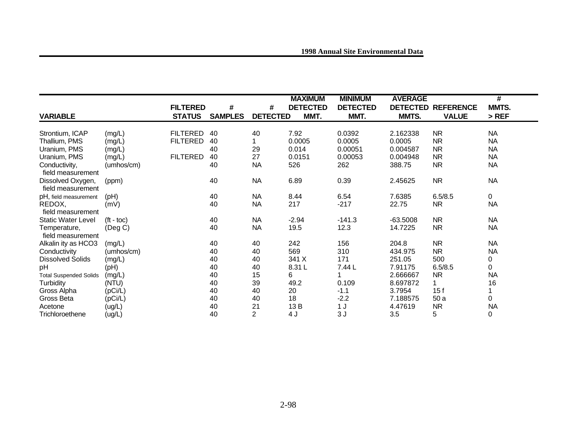|                                        |                    |                 |                |                 | <b>MAXIMUM</b>  | <b>MINIMUM</b>  | <b>AVERAGE</b> |                           | #         |
|----------------------------------------|--------------------|-----------------|----------------|-----------------|-----------------|-----------------|----------------|---------------------------|-----------|
|                                        |                    | <b>FILTERED</b> | #              | #               | <b>DETECTED</b> | <b>DETECTED</b> |                | <b>DETECTED REFERENCE</b> | MMTS.     |
| <b>VARIABLE</b>                        |                    | <b>STATUS</b>   | <b>SAMPLES</b> | <b>DETECTED</b> | MMT.            | MMT.            | MMTS.          | <b>VALUE</b>              | $>$ REF   |
| Strontium, ICAP                        | (mg/L)             | <b>FILTERED</b> | 40             | 40              | 7.92            | 0.0392          | 2.162338       | <b>NR</b>                 | <b>NA</b> |
| Thallium, PMS                          | (mg/L)             | <b>FILTERED</b> | 40             |                 | 0.0005          | 0.0005          | 0.0005         | <b>NR</b>                 | <b>NA</b> |
| Uranium, PMS                           | (mg/L)             |                 | 40             | 29              | 0.014           | 0.00051         | 0.004587       | <b>NR</b>                 | <b>NA</b> |
| Uranium, PMS                           | (mg/L)             | <b>FILTERED</b> | 40             | 27              | 0.0151          | 0.00053         | 0.004948       | <b>NR</b>                 | <b>NA</b> |
| Conductivity,<br>field measurement     | (umhos/cm)         |                 | 40             | <b>NA</b>       | 526             | 262             | 388.75         | <b>NR</b>                 | <b>NA</b> |
| Dissolved Oxygen,<br>field measurement | (ppm)              |                 | 40             | <b>NA</b>       | 6.89            | 0.39            | 2.45625        | <b>NR</b>                 | <b>NA</b> |
| pH, field measurement                  | (pH)               |                 | 40             | <b>NA</b>       | 8.44            | 6.54            | 7.6385         | 6.5/8.5                   | 0         |
| REDOX,<br>field measurement            | (mV)               |                 | 40             | <b>NA</b>       | 217             | $-217$          | 22.75          | <b>NR</b>                 | <b>NA</b> |
| <b>Static Water Level</b>              | $(t - \text{toc})$ |                 | 40             | <b>NA</b>       | $-2.94$         | $-141.3$        | $-63.5008$     | <b>NR</b>                 | <b>NA</b> |
| Temperature,<br>field measurement      | (Deg C)            |                 | 40             | <b>NA</b>       | 19.5            | 12.3            | 14.7225        | <b>NR</b>                 | <b>NA</b> |
| Alkalin ity as HCO3                    | (mg/L)             |                 | 40             | 40              | 242             | 156             | 204.8          | <b>NR</b>                 | <b>NA</b> |
| Conductivity                           | (umhos/cm)         |                 | 40             | 40              | 569             | 310             | 434.975        | <b>NR</b>                 | <b>NA</b> |
| <b>Dissolved Solids</b>                | (mg/L)             |                 | 40             | 40              | 341 X           | 171             | 251.05         | 500                       | 0         |
| pH                                     | (Hq)               |                 | 40             | 40              | 8.31L           | 7.44 L          | 7.91175        | 6.5/8.5                   | 0         |
| <b>Total Suspended Solids</b>          | (mg/L)             |                 | 40             | 15              | 6               |                 | 2.666667       | <b>NR</b>                 | <b>NA</b> |
| Turbidity                              | (NTU)              |                 | 40             | 39              | 49.2            | 0.109           | 8.697872       |                           | 16        |
| Gross Alpha                            | (pCi/L)            |                 | 40             | 40              | 20              | $-1.1$          | 3.7954         | 15f                       |           |
| Gross Beta                             | (pCi/L)            |                 | 40             | 40              | 18              | $-2.2$          | 7.188575       | 50a                       | 0         |
| Acetone                                | (ug/L)             |                 | 40             | 21              | 13B             | 1 <sub>J</sub>  | 4.47619        | <b>NR</b>                 | <b>NA</b> |
| Trichloroethene                        | (ug/L)             |                 | 40             | $\overline{2}$  | 4 J             | 3J              | 3.5            | 5                         | 0         |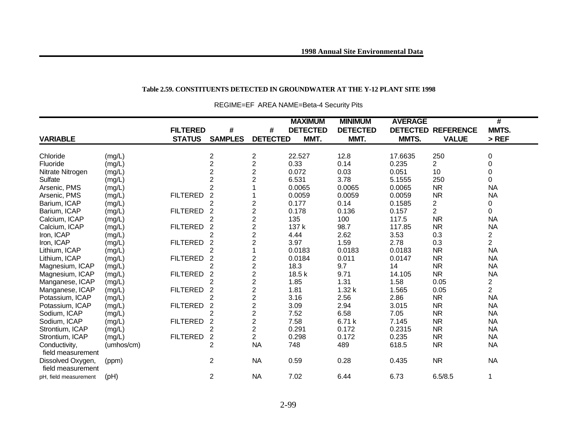#### **Table 2.59. CONSTITUENTS DETECTED IN GROUNDWATER AT THE Y-12 PLANT SITE 1998**

|                                        |                  |                 |                |                         | <b>MAXIMUM</b>  | <b>MINIMUM</b>  | <b>AVERAGE</b> |                                  | #                       |
|----------------------------------------|------------------|-----------------|----------------|-------------------------|-----------------|-----------------|----------------|----------------------------------|-------------------------|
|                                        |                  | <b>FILTERED</b> | #              | #                       | <b>DETECTED</b> | <b>DETECTED</b> |                | <b>DETECTED REFERENCE</b>        | MMTS.                   |
| <b>VARIABLE</b>                        |                  | <b>STATUS</b>   | <b>SAMPLES</b> | <b>DETECTED</b>         | MMT.            | MMT.            | MMTS.          | <b>VALUE</b>                     | $>$ REF                 |
| Chloride                               | (mg/L)           |                 | 2              |                         | 22.527          | 12.8            | 17.6635        | 250                              | 0                       |
| Fluoride                               |                  |                 | $\overline{2}$ | $\frac{2}{2}$           | 0.33            | 0.14            | 0.235          | $\overline{2}$                   | 0                       |
| Nitrate Nitrogen                       | (mg/L)<br>(mg/L) |                 | $\overline{c}$ | $\overline{2}$          | 0.072           | 0.03            | 0.051          | 10                               | 0                       |
| Sulfate                                |                  |                 | $\overline{c}$ | $\overline{2}$          | 6.531           | 3.78            | 5.1555         | 250                              | 0                       |
| Arsenic, PMS                           | (mg/L)           |                 | 2              |                         | 0.0065          | 0.0065          | 0.0065         | <b>NR</b>                        | <b>NA</b>               |
|                                        | (mg/L)           | <b>FILTERED</b> | 2              |                         | 0.0059          | 0.0059          | 0.0059         | <b>NR</b>                        | <b>NA</b>               |
| Arsenic, PMS                           | (mg/L)           |                 |                |                         |                 |                 |                |                                  |                         |
| Barium, ICAP                           | (mg/L)           |                 | 2              | $\boldsymbol{2}$        | 0.177           | 0.14            | 0.1585         | $\overline{c}$<br>$\overline{2}$ | 0                       |
| Barium, ICAP                           | (mg/L)           | <b>FILTERED</b> | $\overline{2}$ | $\frac{2}{2}$           | 0.178           | 0.136           | 0.157          |                                  | 0                       |
| Calcium, ICAP                          | (mg/L)           |                 |                |                         | 135             | 100             | 117.5          | <b>NR</b>                        | <b>NA</b>               |
| Calcium, ICAP                          | (mg/L)           | <b>FILTERED</b> | $\overline{2}$ | $\boldsymbol{2}$        | 137 k           | 98.7            | 117.85         | <b>NR</b>                        | <b>NA</b>               |
| Iron, ICAP                             | (mg/L)           |                 | 2              | $\boldsymbol{2}$        | 4.44            | 2.62            | 3.53           | 0.3                              | $\overline{\mathbf{c}}$ |
| Iron, ICAP                             | (mg/L)           | <b>FILTERED</b> | 2              | $\overline{2}$          | 3.97            | 1.59            | 2.78           | 0.3                              | $\overline{c}$          |
| Lithium, ICAP                          | (mg/L)           |                 | 2              |                         | 0.0183          | 0.0183          | 0.0183         | <b>NR</b>                        | <b>NA</b>               |
| Lithium. ICAP                          | (mg/L)           | <b>FILTERED</b> | 2              | $\overline{\mathbf{c}}$ | 0.0184          | 0.011           | 0.0147         | <b>NR</b>                        | <b>NA</b>               |
| Magnesium, ICAP                        | (mg/L)           |                 | 2              | $\overline{2}$          | 18.3            | 9.7             | 14             | <b>NR</b>                        | <b>NA</b>               |
| Magnesium, ICAP                        | (mg/L)           | <b>FILTERED</b> | $\overline{2}$ | $\boldsymbol{2}$        | 18.5k           | 9.71            | 14.105         | <b>NR</b>                        | <b>NA</b>               |
| Manganese, ICAP                        | (mg/L)           |                 |                | $\boldsymbol{2}$        | 1.85            | 1.31            | 1.58           | 0.05                             | $\overline{\mathbf{c}}$ |
| Manganese, ICAP                        | (mg/L)           | <b>FILTERED</b> | 2              | $\overline{2}$          | 1.81            | 1.32k           | 1.565          | 0.05                             | $\overline{2}$          |
| Potassium, ICAP                        | (mg/L)           |                 | 2              | $\overline{2}$          | 3.16            | 2.56            | 2.86           | <b>NR</b>                        | <b>NA</b>               |
| Potassium, ICAP                        | (mg/L)           | <b>FILTERED</b> | 2              | $\boldsymbol{2}$        | 3.09            | 2.94            | 3.015          | <b>NR</b>                        | <b>NA</b>               |
| Sodium, ICAP                           | (mg/L)           |                 | 2              | $\overline{2}$          | 7.52            | 6.58            | 7.05           | <b>NR</b>                        | <b>NA</b>               |
| Sodium, ICAP                           | (mg/L)           | <b>FILTERED</b> | 2              | $\overline{2}$          | 7.58            | 6.71 k          | 7.145          | <b>NR</b>                        | <b>NA</b>               |
| Strontium, ICAP                        | (mg/L)           |                 | 2              | $\overline{2}$          | 0.291           | 0.172           | 0.2315         | <b>NR</b>                        | <b>NA</b>               |
| Strontium, ICAP                        | (mg/L)           | <b>FILTERED</b> | 2              | $\overline{2}$          | 0.298           | 0.172           | 0.235          | <b>NR</b>                        | <b>NA</b>               |
| Conductivity,<br>field measurement     | (umhos/cm)       |                 | $\overline{2}$ | <b>NA</b>               | 748             | 489             | 618.5          | <b>NR</b>                        | <b>NA</b>               |
| Dissolved Oxygen,<br>field measurement | (ppm)            |                 | $\overline{2}$ | <b>NA</b>               | 0.59            | 0.28            | 0.435          | <b>NR</b>                        | <b>NA</b>               |
| pH, field measurement                  | (Hq)             |                 | 2              | <b>NA</b>               | 7.02            | 6.44            | 6.73           | 6.5/8.5                          | 1                       |

### REGIME=EF AREA NAME=Beta-4 Security Pits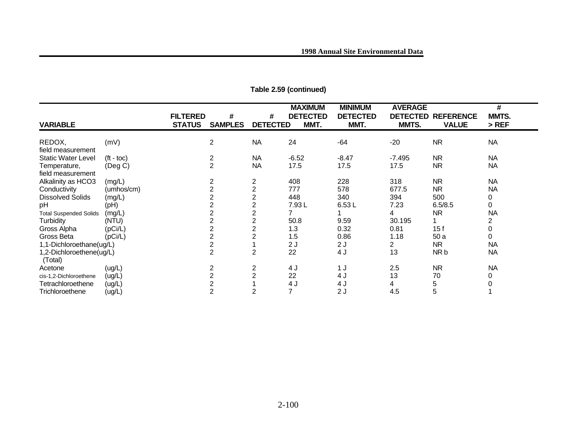|                                     |              | <b>FILTERED</b> |                     |                      | <b>MAXIMUM</b><br><b>DETECTED</b> | <b>MINIMUM</b><br><b>DETECTED</b> | <b>AVERAGE</b> | <b>DETECTED REFERENCE</b> | #<br>MMTS. |
|-------------------------------------|--------------|-----------------|---------------------|----------------------|-----------------------------------|-----------------------------------|----------------|---------------------------|------------|
| <b>VARIABLE</b>                     |              | <b>STATUS</b>   | #<br><b>SAMPLES</b> | #<br><b>DETECTED</b> | MMT.                              | MMT.                              | MMTS.          | <b>VALUE</b>              | $>$ REF    |
|                                     |              |                 |                     | <b>NA</b>            | 24                                |                                   |                | <b>NR</b>                 | <b>NA</b>  |
| REDOX,<br>field measurement         | (mV)         |                 | 2                   |                      |                                   | -64                               | $-20$          |                           |            |
| <b>Static Water Level</b>           | $(ft - toc)$ |                 |                     | <b>NA</b>            | $-6.52$                           | $-8.47$                           | $-7.495$       | <b>NR</b>                 | <b>NA</b>  |
| Temperature,<br>field measurement   | (Deg C)      |                 | $\frac{2}{2}$       | <b>NA</b>            | 17.5                              | 17.5                              | 17.5           | <b>NR</b>                 | <b>NA</b>  |
| Alkalinity as HCO3                  | (mg/L)       |                 | 2                   | $\overline{2}$       | 408                               | 228                               | 318            | <b>NR</b>                 | <b>NA</b>  |
| Conductivity                        | (umhos/cm)   |                 | $\overline{2}$      | $\overline{2}$       | 777                               | 578                               | 677.5          | <b>NR</b>                 | <b>NA</b>  |
| <b>Dissolved Solids</b>             | (mg/L)       |                 | 2                   | $\overline{2}$       | 448                               | 340                               | 394            | 500                       | 0          |
| pH                                  | (Hq)         |                 | 2                   | $\overline{c}$       | 7.93L                             | 6.53L                             | 7.23           | 6.5/8.5                   | 0          |
| <b>Total Suspended Solids</b>       | (mg/L)       |                 | $\overline{c}$      | $\overline{c}$       | 7                                 |                                   | 4              | <b>NR</b>                 | <b>NA</b>  |
| Turbidity                           | (NTU)        |                 | 2                   | $\overline{c}$       | 50.8                              | 9.59                              | 30.195         |                           |            |
| Gross Alpha                         | (pCi/L)      |                 | $\overline{c}$      | $\overline{2}$       | 1.3                               | 0.32                              | 0.81           | 15f                       | 0          |
| Gross Beta                          | (pCi/L)      |                 | 2                   | $\overline{c}$       | 1.5                               | 0.86                              | 1.18           | 50a                       | 0          |
| 1,1-Dichloroethane(ug/L)            |              |                 | 2                   |                      | 2J                                | 2 J                               | 2              | <b>NR</b>                 | <b>NA</b>  |
| 1,2-Dichloroethene(ug/L)<br>(Total) |              |                 | $\overline{2}$      | $\overline{c}$       | 22                                | 4 J                               | 13             | NR b                      | <b>NA</b>  |
| Acetone                             | (ug/L)       |                 | 2                   | 2                    | 4 J                               | 1 J                               | 2.5            | <b>NR</b>                 | <b>NA</b>  |
| cis-1,2-Dichloroethene              | (ug/L)       |                 | 2                   | 2                    | 22                                | 4 J                               | 13             | 70                        | 0          |
| Tetrachloroethene                   | (ug/L)       |                 | 2                   |                      | 4 J                               | 4 J                               | 4              | 5                         |            |
| Trichloroethene                     | (ug/L)       |                 | $\overline{2}$      | 2                    | 7                                 | 2J                                | 4.5            | 5                         |            |

## **Table 2.59 (continued)**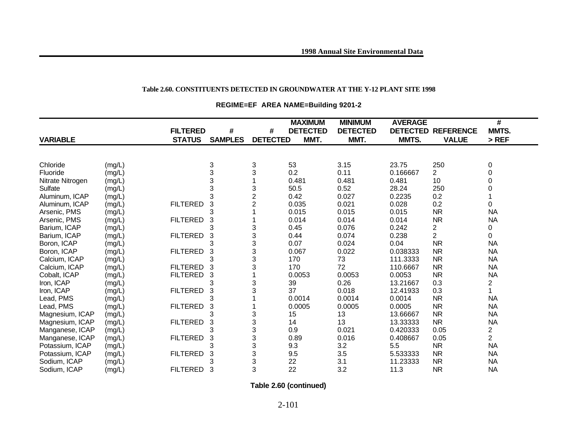### **Table 2.60. CONSTITUENTS DETECTED IN GROUNDWATER AT THE Y-12 PLANT SITE 1998**

|                  |        |                 |                |                 | <b>MAXIMUM</b>  | <b>MINIMUM</b>  | <b>AVERAGE</b> |                           | #              |
|------------------|--------|-----------------|----------------|-----------------|-----------------|-----------------|----------------|---------------------------|----------------|
|                  |        | <b>FILTERED</b> | #              | #               | <b>DETECTED</b> | <b>DETECTED</b> |                | <b>DETECTED REFERENCE</b> | MMTS.          |
| <b>VARIABLE</b>  |        | <b>STATUS</b>   | <b>SAMPLES</b> | <b>DETECTED</b> | MMT.            | MMT.            | MMTS.          | <b>VALUE</b>              | $>$ REF        |
|                  |        |                 |                |                 |                 |                 |                |                           |                |
|                  |        |                 |                |                 |                 |                 |                |                           |                |
| Chloride         | (mg/L) |                 | 3              | 3               | 53              | 3.15            | 23.75          | 250                       | 0              |
| Fluoride         | (mg/L) |                 | 3              | 3               | 0.2             | 0.11            | 0.166667       | $\overline{2}$            | 0              |
| Nitrate Nitrogen | (mg/L) |                 | 3              | 1               | 0.481           | 0.481           | 0.481          | 10                        | 0              |
| Sulfate          | (mg/L) |                 | 3              | 3               | 50.5            | 0.52            | 28.24          | 250                       | 0              |
| Aluminum, ICAP   | (mg/L) |                 | 3              | $\overline{c}$  | 0.42            | 0.027           | 0.2235         | 0.2                       |                |
| Aluminum, ICAP   | (mg/L) | <b>FILTERED</b> | 3              | $\overline{2}$  | 0.035           | 0.021           | 0.028          | 0.2                       | 0              |
| Arsenic, PMS     | (mg/L) |                 | 3              |                 | 0.015           | 0.015           | 0.015          | <b>NR</b>                 | <b>NA</b>      |
| Arsenic, PMS     | (mg/L) | <b>FILTERED</b> | 3              |                 | 0.014           | 0.014           | 0.014          | <b>NR</b>                 | <b>NA</b>      |
| Barium, ICAP     | (mg/L) |                 | 3              | 3               | 0.45            | 0.076           | 0.242          | 2                         | 0              |
| Barium, ICAP     | (mg/L) | <b>FILTERED</b> | 3              | 3               | 0.44            | 0.074           | 0.238          | $\overline{2}$            | 0              |
| Boron, ICAP      | (mg/L) |                 |                | 3               | 0.07            | 0.024           | 0.04           | <b>NR</b>                 | <b>NA</b>      |
| Boron, ICAP      | (mg/L) | <b>FILTERED</b> | 3              | 3               | 0.067           | 0.022           | 0.038333       | <b>NR</b>                 | <b>NA</b>      |
| Calcium, ICAP    | (mg/L) |                 | 3              | 3               | 170             | 73              | 111.3333       | <b>NR</b>                 | <b>NA</b>      |
| Calcium, ICAP    | (mg/L) | <b>FILTERED</b> | 3              | 3               | 170             | 72              | 110.6667       | <b>NR</b>                 | <b>NA</b>      |
| Cobalt, ICAP     | (mg/L) | <b>FILTERED</b> | 3              |                 | 0.0053          | 0.0053          | 0.0053         | <b>NR</b>                 | <b>NA</b>      |
| Iron, ICAP       | (mg/L) |                 | 3              | 3               | 39              | 0.26            | 13.21667       | 0.3                       | 2              |
| Iron, ICAP       | (mg/L) | <b>FILTERED</b> | 3              | 3               | 37              | 0.018           | 12.41933       | 0.3                       |                |
| Lead, PMS        | (mg/L) |                 |                |                 | 0.0014          | 0.0014          | 0.0014         | <b>NR</b>                 | <b>NA</b>      |
| Lead, PMS        | (mg/L) | <b>FILTERED</b> | 3              |                 | 0.0005          | 0.0005          | 0.0005         | <b>NR</b>                 | <b>NA</b>      |
| Magnesium, ICAP  | (mg/L) |                 |                | 3               | 15              | 13              | 13.66667       | <b>NR</b>                 | <b>NA</b>      |
| Magnesium, ICAP  | (mg/L) | <b>FILTERED</b> | 3              | 3               | 14              | 13              | 13.33333       | <b>NR</b>                 | <b>NA</b>      |
| Manganese, ICAP  | (mg/L) |                 | 3              | 3               | 0.9             | 0.021           | 0.420333       | 0.05                      | $\overline{c}$ |
| Manganese, ICAP  | (mg/L) | <b>FILTERED</b> | 3              | 3               | 0.89            | 0.016           | 0.408667       | 0.05                      | $\overline{2}$ |
| Potassium, ICAP  | (mg/L) |                 | 3              | 3               | 9.3             | 3.2             | 5.5            | <b>NR</b>                 | <b>NA</b>      |
| Potassium, ICAP  | (mg/L) | <b>FILTERED</b> | 3              | 3               | 9.5             | 3.5             | 5.533333       | <b>NR</b>                 | <b>NA</b>      |
| Sodium, ICAP     | (mg/L) |                 | 3              | 3               | 22              | 3.1             | 11.23333       | <b>NR</b>                 | <b>NA</b>      |
| Sodium, ICAP     | (mg/L) | <b>FILTERED</b> | 3              | 3               | 22              | 3.2             | 11.3           | <b>NR</b>                 | <b>NA</b>      |

### **REGIME=EF AREA NAME=Building 9201-2**

**Table 2.60 (continued)**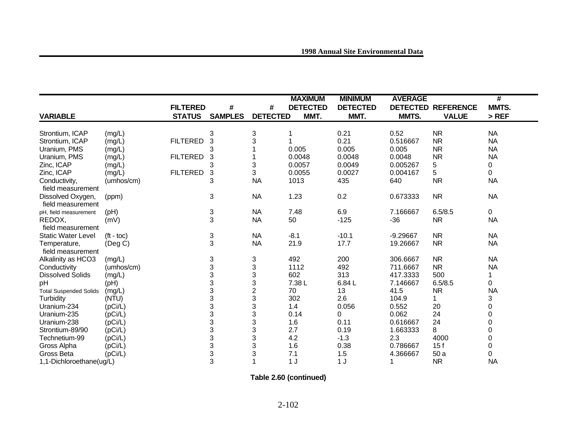|                                        |                    |                 |                |                           | <b>MAXIMUM</b>  | <b>MINIMUM</b>  | <b>AVERAGE</b> |                           | $\overline{\boldsymbol{t}}$ |
|----------------------------------------|--------------------|-----------------|----------------|---------------------------|-----------------|-----------------|----------------|---------------------------|-----------------------------|
|                                        |                    | <b>FILTERED</b> | #              | #                         | <b>DETECTED</b> | <b>DETECTED</b> |                | <b>DETECTED REFERENCE</b> | MMTS.                       |
| <b>VARIABLE</b>                        |                    | <b>STATUS</b>   | <b>SAMPLES</b> | <b>DETECTED</b>           | MMT.            | MMT.            | MMTS.          | <b>VALUE</b>              | $>$ REF                     |
|                                        |                    |                 |                |                           |                 |                 |                |                           |                             |
| Strontium, ICAP                        | (mg/L)             |                 | 3              | 3                         |                 | 0.21            | 0.52           | <b>NR</b>                 | <b>NA</b>                   |
| Strontium, ICAP                        | (mg/L)             | <b>FILTERED</b> | 3              | 3                         |                 | 0.21            | 0.516667       | <b>NR</b>                 | <b>NA</b>                   |
| Uranium, PMS                           | (mg/L)             |                 |                |                           | 0.005           | 0.005           | 0.005          | <b>NR</b>                 | <b>NA</b>                   |
| Uranium, PMS                           | (mg/L)             | <b>FILTERED</b> | 3              |                           | 0.0048          | 0.0048          | 0.0048         | <b>NR</b>                 | <b>NA</b>                   |
| Zinc, ICAP                             | (mg/L)             |                 |                | 3                         | 0.0057          | 0.0049          | 0.005267       | 5                         | 0                           |
| Zinc, ICAP                             | (mg/L)             | <b>FILTERED</b> | 3              | 3                         | 0.0055          | 0.0027          | 0.004167       | $5\phantom{.0}$           | 0                           |
| Conductivity,<br>field measurement     | (umhos/cm)         |                 | 3              | <b>NA</b>                 | 1013            | 435             | 640            | <b>NR</b>                 | <b>NA</b>                   |
| Dissolved Oxygen,<br>field measurement | (ppm)              |                 | 3              | <b>NA</b>                 | 1.23            | 0.2             | 0.673333       | <b>NR</b>                 | <b>NA</b>                   |
| pH, field measurement                  | (PH)               |                 | 3              | <b>NA</b>                 | 7.48            | 6.9             | 7.166667       | 6.5/8.5                   | 0                           |
| REDOX,<br>field measurement            | (mV)               |                 | 3              | <b>NA</b>                 | 50              | $-125$          | $-36$          | <b>NR</b>                 | <b>NA</b>                   |
| <b>Static Water Level</b>              | $(t - \text{toc})$ |                 | 3              | <b>NA</b>                 | $-8.1$          | $-10.1$         | $-9.29667$     | <b>NR</b>                 | <b>NA</b>                   |
| Temperature,<br>field measurement      | $($ Deg C $)$      |                 | 3              | <b>NA</b>                 | 21.9            | 17.7            | 19.26667       | <b>NR</b>                 | <b>NA</b>                   |
| Alkalinity as HCO3                     | (mg/L)             |                 | 3              | 3                         | 492             | 200             | 306.6667       | <b>NR</b>                 | <b>NA</b>                   |
| Conductivity                           | (umhos/cm)         |                 | 3              | $\ensuremath{\mathsf{3}}$ | 1112            | 492             | 711.6667       | <b>NR</b>                 | <b>NA</b>                   |
| <b>Dissolved Solids</b>                | (mg/L)             |                 | 3              | $\ensuremath{\mathsf{3}}$ | 602             | 313             | 417.3333       | 500                       |                             |
| pH                                     | (pH)               |                 | 3              | 3                         | 7.38L           | 6.84L           | 7.146667       | 6.5/8.5                   | 0                           |
| <b>Total Suspended Solids</b>          | (mg/L)             |                 | 3              | $\overline{2}$            | 70              | 13              | 41.5           | <b>NR</b>                 | <b>NA</b>                   |
| Turbidity                              | (NTU)              |                 | 3              | 3                         | 302             | 2.6             | 104.9          | 1.                        | 3                           |
| Uranium-234                            | (pCi/L)            |                 | 3              | 3                         | 1.4             | 0.056           | 0.552          | 20                        | 0                           |
| Uranium-235                            | (pCi/L)            |                 | 3              | 3                         | 0.14            | 0               | 0.062          | 24                        | 0                           |
| Uranium-238                            | (pCi/L)            |                 | 3              | 3                         | 1.6             | 0.11            | 0.616667       | 24                        | 0                           |
| Strontium-89/90                        | (pCi/L)            |                 | 3              | 3                         | 2.7             | 0.19            | 1.663333       | 8                         | 0                           |
| Technetium-99                          | (pCi/L)            |                 | 3              | 3                         | 4.2             | $-1.3$          | 2.3            | 4000                      | 0                           |
| Gross Alpha                            | (pCi/L)            |                 | 3              | 3                         | 1.6             | 0.38            | 0.786667       | 15f                       | 0                           |
| Gross Beta                             | (pCi/L)            |                 | 3              | 3                         | 7.1             | 1.5             | 4.366667       | 50a                       | 0                           |
| 1,1-Dichloroethane(ug/L)               |                    |                 | 3              |                           | 1 <sub>J</sub>  | 1 <sub>J</sub>  |                | <b>NR</b>                 | <b>NA</b>                   |

**Table 2.60 (continued)**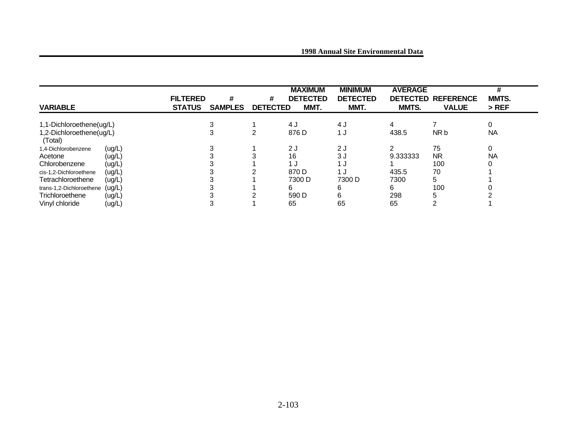| <b>1998 Annual Site Environmental Data</b> |  |
|--------------------------------------------|--|
|--------------------------------------------|--|

|                          |        | <b>FILTERED</b> | #              | #               | <b>MAXIMUM</b><br><b>DETECTED</b> | <b>MINIMUM</b><br><b>DETECTED</b> | <b>AVERAGE</b> | <b>DETECTED REFERENCE</b> | MMTS.   |
|--------------------------|--------|-----------------|----------------|-----------------|-----------------------------------|-----------------------------------|----------------|---------------------------|---------|
| <b>VARIABLE</b>          |        | <b>STATUS</b>   | <b>SAMPLES</b> | <b>DETECTED</b> | MMT.                              | MMT.                              | MMTS.          | <b>VALUE</b>              | $>$ REF |
| 1,1-Dichloroethene(ug/L) |        |                 |                |                 | 4 J                               | 4 J                               | 4              |                           | 0       |
| 1,2-Dichloroethene(ug/L) |        |                 |                | 2               | 876 D                             | ี่ 1 ป                            | 438.5          | NR b                      | NA      |
| (Total)                  |        |                 |                |                 |                                   |                                   |                |                           |         |
| 1,4-Dichlorobenzene      | (ug/L) |                 |                |                 | 2J                                | 2J                                |                | 75                        | 0       |
| Acetone                  | (ug/L) |                 |                |                 | 16                                | 3 J                               | 9.333333       | <b>NR</b>                 | NA      |
| Chlorobenzene            | (ug/L) |                 |                |                 | ี 1 ป                             | 1 J                               |                | 100                       | 0       |
| cis-1,2-Dichloroethene   | (ug/L) |                 |                |                 | 870 D                             | 1 J                               | 435.5          | 70                        |         |
| Tetrachloroethene        | (ug/L) |                 |                |                 | 7300 D                            | 7300 D                            | 7300           | 5                         |         |
| trans-1,2-Dichloroethene | (ug/L) |                 |                |                 | 6                                 | 6                                 | 6              | 100                       |         |
| Trichloroethene          | (ug/L) |                 |                |                 | 590 D                             | 6                                 | 298            |                           |         |
| Vinyl chloride           | (ug/L) |                 |                |                 | 65                                | 65                                | 65             |                           |         |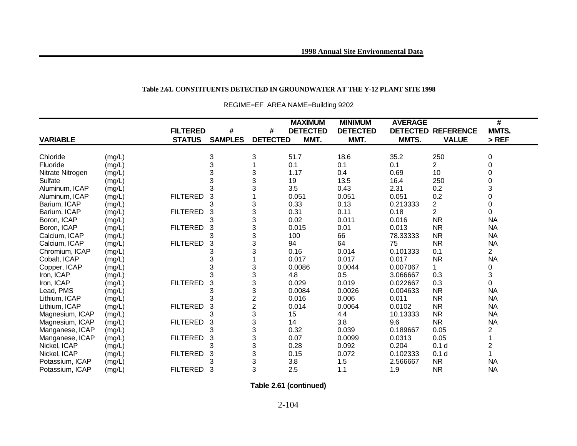#### **Table 2.61. CONSTITUENTS DETECTED IN GROUNDWATER AT THE Y-12 PLANT SITE 1998**

|                  |        |                 |                |                           | <b>MAXIMUM</b>  | <b>MINIMUM</b>  | <b>AVERAGE</b> |                           | #              |
|------------------|--------|-----------------|----------------|---------------------------|-----------------|-----------------|----------------|---------------------------|----------------|
|                  |        | <b>FILTERED</b> | #              | #                         | <b>DETECTED</b> | <b>DETECTED</b> |                | <b>DETECTED REFERENCE</b> | MMTS.          |
| <b>VARIABLE</b>  |        | <b>STATUS</b>   | <b>SAMPLES</b> | <b>DETECTED</b>           | MMT.            | MMT.            | MMTS.          | <b>VALUE</b>              | $>$ REF        |
|                  |        |                 |                |                           |                 |                 |                |                           |                |
| Chloride         | (mg/L) |                 | 3              | 3                         | 51.7            | 18.6            | 35.2           | 250                       | 0              |
| Fluoride         | (mg/L) |                 | 3              |                           | 0.1             | 0.1             | 0.1            | $\overline{2}$            | 0              |
| Nitrate Nitrogen | (mg/L) |                 | 3              | 3                         | 1.17            | 0.4             | 0.69           | 10                        | 0              |
| Sulfate          | (mg/L) |                 | 3              | 3                         | 19              | 13.5            | 16.4           | 250                       | 0              |
| Aluminum, ICAP   | (mg/L) |                 | 3              | 3                         | 3.5             | 0.43            | 2.31           | 0.2                       | 3              |
| Aluminum, ICAP   | (mg/L) | <b>FILTERED</b> | 3              |                           | 0.051           | 0.051           | 0.051          | 0.2                       | 0              |
| Barium, ICAP     | (mg/L) |                 | 3              | 3                         | 0.33            | 0.13            | 0.213333       | $\overline{2}$            | 0              |
| Barium, ICAP     | (mg/L) | <b>FILTERED</b> | 3              | 3                         | 0.31            | 0.11            | 0.18           | $\overline{2}$            | 0              |
| Boron, ICAP      | (mg/L) |                 | 3              | 3                         | 0.02            | 0.011           | 0.016          | <b>NR</b>                 | <b>NA</b>      |
| Boron, ICAP      | (mg/L) | <b>FILTERED</b> | 3              | 3                         | 0.015           | 0.01            | 0.013          | <b>NR</b>                 | <b>NA</b>      |
| Calcium, ICAP    | (mg/L) |                 | 3              | 3                         | 100             | 66              | 78.33333       | <b>NR</b>                 | <b>NA</b>      |
| Calcium, ICAP    | (mg/L) | <b>FILTERED</b> | 3              | 3                         | 94              | 64              | 75             | <b>NR</b>                 | <b>NA</b>      |
| Chromium, ICAP   | (mg/L) |                 | 3              | 3                         | 0.16            | 0.014           | 0.101333       | 0.1                       | 2              |
| Cobalt, ICAP     | (mg/L) |                 | 3              |                           | 0.017           | 0.017           | 0.017          | <b>NR</b>                 | <b>NA</b>      |
| Copper, ICAP     | (mg/L) |                 | 3              | 3                         | 0.0086          | 0.0044          | 0.007067       | 1                         | 0              |
| Iron, ICAP       | (mg/L) |                 | 3              | 3                         | 4.8             | 0.5             | 3.066667       | 0.3                       | 3              |
| Iron, ICAP       | (mg/L) | <b>FILTERED</b> | 3              | 3                         | 0.029           | 0.019           | 0.022667       | 0.3                       | 0              |
| Lead. PMS        | (mg/L) |                 | 3              | 3                         | 0.0084          | 0.0026          | 0.004633       | <b>NR</b>                 | <b>NA</b>      |
| Lithium, ICAP    | (mg/L) |                 | 3              | $\overline{2}$            | 0.016           | 0.006           | 0.011          | <b>NR</b>                 | <b>NA</b>      |
| Lithium, ICAP    | (mg/L) | <b>FILTERED</b> | 3              | $\overline{c}$            | 0.014           | 0.0064          | 0.0102         | <b>NR</b>                 | <b>NA</b>      |
| Magnesium, ICAP  | (mg/L) |                 | 3              | $\ensuremath{\mathsf{3}}$ | 15              | 4.4             | 10.13333       | <b>NR</b>                 | <b>NA</b>      |
| Magnesium, ICAP  | (mg/L) | <b>FILTERED</b> | 3              | 3                         | 14              | 3.8             | 9.6            | <b>NR</b>                 | <b>NA</b>      |
| Manganese, ICAP  | (mg/L) |                 | 3              | 3                         | 0.32            | 0.039           | 0.189667       | 0.05                      | 2              |
| Manganese, ICAP  | (mg/L) | <b>FILTERED</b> | 3              | 3                         | 0.07            | 0.0099          | 0.0313         | 0.05                      |                |
| Nickel, ICAP     | (mg/L) |                 | 3              | 3                         | 0.28            | 0.092           | 0.204          | 0.1 <sub>d</sub>          | $\overline{c}$ |
| Nickel, ICAP     |        | <b>FILTERED</b> | 3              | 3                         | 0.15            | 0.072           | 0.102333       | 0.1 <sub>d</sub>          |                |
|                  | (mg/L) |                 | 3              | 3                         | 3.8             | 1.5             |                | <b>NR</b>                 | <b>NA</b>      |
| Potassium, ICAP  | (mg/L) |                 |                |                           |                 |                 | 2.566667       |                           |                |
| Potassium, ICAP  | (mg/L) | <b>FILTERED</b> | 3              | 3                         | 2.5             | 1.1             | 1.9            | <b>NR</b>                 | <b>NA</b>      |

REGIME=EF AREA NAME=Building 9202

**Table 2.61 (continued)**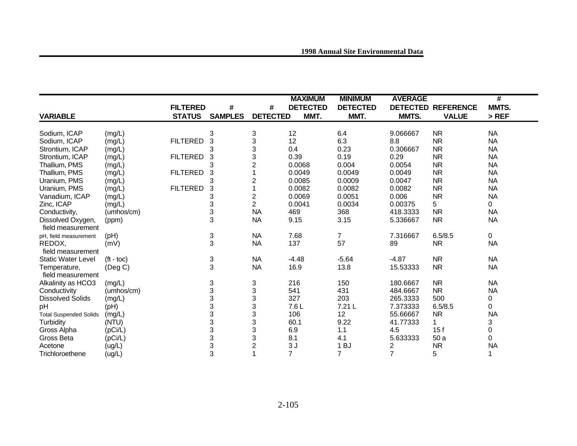|                                        |             |                 |                |                           | <b>MAXIMUM</b>  | <b>MINIMUM</b>  | <b>AVERAGE</b> |                           | $\overline{\boldsymbol{r}}$ |
|----------------------------------------|-------------|-----------------|----------------|---------------------------|-----------------|-----------------|----------------|---------------------------|-----------------------------|
|                                        |             | <b>FILTERED</b> | #              | #                         | <b>DETECTED</b> | <b>DETECTED</b> |                | <b>DETECTED REFERENCE</b> | MMTS.                       |
| <b>VARIABLE</b>                        |             | <b>STATUS</b>   | <b>SAMPLES</b> | <b>DETECTED</b>           | MMT.            | MMT.            | MMTS.          | <b>VALUE</b>              | $>$ REF                     |
|                                        |             |                 |                |                           |                 |                 |                |                           |                             |
| Sodium, ICAP                           | (mg/L)      |                 | 3              | $\ensuremath{\mathsf{3}}$ | 12              | 6.4             | 9.066667       | <b>NR</b>                 | <b>NA</b>                   |
| Sodium, ICAP                           | (mg/L)      | <b>FILTERED</b> | 3              | 3                         | 12              | 6.3             | 8.8            | <b>NR</b>                 | <b>NA</b>                   |
| Strontium, ICAP                        | (mg/L)      |                 | 3              | 3                         | 0.4             | 0.23            | 0.306667       | <b>NR</b>                 | <b>NA</b>                   |
| Strontium, ICAP                        | (mg/L)      | <b>FILTERED</b> | 3              | 3                         | 0.39            | 0.19            | 0.29           | <b>NR</b>                 | <b>NA</b>                   |
| Thallium, PMS                          | (mg/L)      |                 | 3              | $\overline{2}$            | 0.0068          | 0.004           | 0.0054         | <b>NR</b>                 | <b>NA</b>                   |
| Thallium, PMS                          | (mg/L)      | <b>FILTERED</b> | 3              |                           | 0.0049          | 0.0049          | 0.0049         | <b>NR</b>                 | <b>NA</b>                   |
| Uranium, PMS                           | (mg/L)      |                 | 3              | $\overline{2}$            | 0.0085          | 0.0009          | 0.0047         | <b>NR</b>                 | <b>NA</b>                   |
| Uranium, PMS                           | (mg/L)      | <b>FILTERED</b> | 3              |                           | 0.0082          | 0.0082          | 0.0082         | <b>NR</b>                 | <b>NA</b>                   |
| Vanadium, ICAP                         | (mg/L)      |                 | 3              | $\overline{\mathbf{c}}$   | 0.0069          | 0.0051          | 0.006          | <b>NR</b>                 | <b>NA</b>                   |
| Zinc, ICAP                             | (mg/L)      |                 | 3              | $\overline{2}$            | 0.0041          | 0.0034          | 0.00375        | 5                         | 0                           |
| Conductivity,                          | (umhos/cm)  |                 | 3              | <b>NA</b>                 | 469             | 368             | 418.3333       | <b>NR</b>                 | <b>NA</b>                   |
| Dissolved Oxygen,<br>field measurement | (ppm)       |                 | 3              | <b>NA</b>                 | 9.15            | 3.15            | 5.336667       | <b>NR</b>                 | <b>NA</b>                   |
| pH, field measurement                  | (PH)        |                 | 3              | <b>NA</b>                 | 7.68            | 7               | 7.316667       | 6.5/8.5                   | $\mathbf 0$                 |
| REDOX,<br>field measurement            | (mV)        |                 | 3              | <b>NA</b>                 | 137             | 57              | 89             | <b>NR</b>                 | <b>NA</b>                   |
| <b>Static Water Level</b>              | $(t - toc)$ |                 | 3              | <b>NA</b>                 | $-4.48$         | $-5.64$         | $-4.87$        | <b>NR</b>                 | <b>NA</b>                   |
| Temperature,<br>field measurement      | (Deg C)     |                 | 3              | <b>NA</b>                 | 16.9            | 13.8            | 15.53333       | <b>NR</b>                 | <b>NA</b>                   |
| Alkalinity as HCO3                     | (mg/L)      |                 | 3              | $\ensuremath{\mathsf{3}}$ | 216             | 150             | 180.6667       | <b>NR</b>                 | <b>NA</b>                   |
| Conductivity                           | (umhos/cm)  |                 | 3              | $\mathsf 3$               | 541             | 431             | 484.6667       | <b>NR</b>                 | <b>NA</b>                   |
| <b>Dissolved Solids</b>                | (mg/L)      |                 | 3              | 3                         | 327             | 203             | 265.3333       | 500                       | 0                           |
| pH                                     | (Hq)        |                 | 3              | 3                         | 7.6L            | 7.21L           | 7.373333       | 6.5/8.5                   | 0                           |
| <b>Total Suspended Solids</b>          | (mg/L)      |                 | 3              | 3                         | 106             | 12              | 55.66667       | <b>NR</b>                 | <b>NA</b>                   |
| Turbidity                              | (NTU)       |                 | 3              | 3                         | 60.1            | 9.22            | 41.77333       | 1                         | 3                           |
| Gross Alpha                            | (pCi/L)     |                 | 3              | 3                         | 6.9             | 1.1             | 4.5            | 15f                       | 0                           |
| Gross Beta                             | (pCi/L)     |                 | 3              | 3                         | 8.1             | 4.1             | 5.633333       | 50a                       | 0                           |
| Acetone                                | (ug/L)      |                 | 3              | $\overline{2}$            | 3J              | 1BJ             | $\overline{2}$ | <b>NR</b>                 | <b>NA</b>                   |
| Trichloroethene                        | (ug/L)      |                 | 3              |                           | $\overline{7}$  | 7               | $\overline{7}$ | 5                         | 1                           |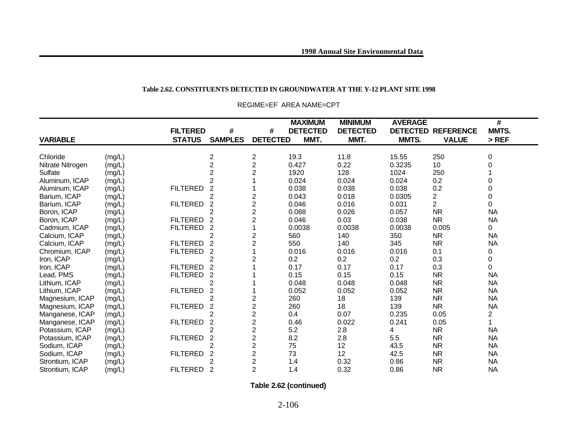#### **Table 2.62. CONSTITUENTS DETECTED IN GROUNDWATER AT THE Y-12 PLANT SITE 1998**

|                  |        |                 |                |                                            | <b>MAXIMUM</b>  | <b>MINIMUM</b>  | <b>AVERAGE</b> |                           | #         |
|------------------|--------|-----------------|----------------|--------------------------------------------|-----------------|-----------------|----------------|---------------------------|-----------|
|                  |        | <b>FILTERED</b> | #              | #                                          | <b>DETECTED</b> | <b>DETECTED</b> |                | <b>DETECTED REFERENCE</b> | MMTS.     |
| <b>VARIABLE</b>  |        | <b>STATUS</b>   | <b>SAMPLES</b> | <b>DETECTED</b>                            | MMT.            | MMT.            | MMTS.          | <b>VALUE</b>              | $>$ REF   |
| Chloride         | (mg/L) |                 | 2              | 2                                          | 19.3            | 11.8            | 15.55          | 250                       | 0         |
| Nitrate Nitrogen | (mg/L) |                 | $\overline{2}$ | $\overline{c}$                             | 0.427           | 0.22            | 0.3235         | 10                        | 0         |
| Sulfate          | (mg/L) |                 | $\overline{2}$ | $\overline{c}$                             | 1920            | 128             | 1024           | 250                       |           |
| Aluminum, ICAP   | (mg/L) |                 | $\overline{2}$ |                                            | 0.024           | 0.024           | 0.024          | 0.2                       | 0         |
| Aluminum, ICAP   | (mg/L) | <b>FILTERED</b> | $\overline{2}$ |                                            | 0.038           | 0.038           | 0.038          | 0.2                       | 0         |
| Barium, ICAP     | (mg/L) |                 | $\overline{2}$ | 2                                          | 0.043           | 0.018           | 0.0305         | $\overline{2}$            | 0         |
| Barium, ICAP     | (mg/L) | <b>FILTERED</b> | $\overline{2}$ | $\overline{\mathbf{c}}$                    | 0.046           | 0.016           | 0.031          | $\overline{2}$            | 0         |
| Boron, ICAP      | (mg/L) |                 | $\overline{2}$ | $\overline{c}$                             | 0.088           | 0.026           | 0.057          | <b>NR</b>                 | <b>NA</b> |
| Boron, ICAP      | (mg/L) | <b>FILTERED</b> | $\overline{2}$ | $\overline{2}$                             | 0.046           | 0.03            | 0.038          | <b>NR</b>                 | <b>NA</b> |
| Cadmium, ICAP    | (mg/L) | <b>FILTERED</b> | $\overline{2}$ |                                            | 0.0038          | 0.0038          | 0.0038         | 0.005                     | 0         |
| Calcium, ICAP    | (mg/L) |                 | 2              | $\overline{c}$                             | 560             | 140             | 350            | <b>NR</b>                 | <b>NA</b> |
| Calcium, ICAP    | (mg/L) | <b>FILTERED</b> | $\overline{2}$ | $\overline{2}$                             | 550             | 140             | 345            | <b>NR</b>                 | <b>NA</b> |
| Chromium, ICAP   | (mg/L) | <b>FILTERED</b> | $\overline{2}$ |                                            | 0.016           | 0.016           | 0.016          | 0.1                       | 0         |
| Iron, ICAP       | (mg/L) |                 | 2              | $\overline{2}$                             | 0.2             | 0.2             | 0.2            | 0.3                       | 0         |
| Iron, ICAP       | (mg/L) | <b>FILTERED</b> | $\overline{2}$ |                                            | 0.17            | 0.17            | 0.17           | 0.3                       | 0         |
| Lead, PMS        | (mg/L) | <b>FILTERED</b> | $\overline{2}$ |                                            | 0.15            | 0.15            | 0.15           | <b>NR</b>                 | <b>NA</b> |
| Lithium, ICAP    | (mg/L) |                 | $\overline{2}$ |                                            | 0.048           | 0.048           | 0.048          | <b>NR</b>                 | <b>NA</b> |
| Lithium, ICAP    | (mg/L) | <b>FILTERED</b> | $\overline{2}$ |                                            | 0.052           | 0.052           | 0.052          | <b>NR</b>                 | <b>NA</b> |
| Magnesium, ICAP  | (mg/L) |                 |                | 2                                          | 260             | 18              | 139            | ${\sf NR}$                | <b>NA</b> |
| Magnesium, ICAP  | (mg/L) | <b>FILTERED</b> | $\overline{2}$ | $\frac{2}{2}$                              | 260             | 18              | 139            | <b>NR</b>                 | <b>NA</b> |
| Manganese, ICAP  | (mg/L) |                 | 2              |                                            | 0.4             | 0.07            | 0.235          | 0.05                      | 2         |
| Manganese, ICAP  | (mg/L) | <b>FILTERED</b> | 2              | $\overline{\mathbf{c}}$                    | 0.46            | 0.022           | 0.241          | 0.05                      |           |
| Potassium, ICAP  | (mg/L) |                 | $\overline{2}$ |                                            | 5.2             | 2.8             | 4              | <b>NR</b>                 | <b>NA</b> |
| Potassium, ICAP  | (mg/L) | <b>FILTERED</b> | $\overline{2}$ | $\begin{array}{c} 2 \\ 2 \\ 2 \end{array}$ | 8.2             | 2.8             | 5.5            | <b>NR</b>                 | <b>NA</b> |
| Sodium, ICAP     | (mg/L) |                 | $\overline{2}$ |                                            | 75              | 12              | 43.5           | <b>NR</b>                 | <b>NA</b> |
| Sodium, ICAP     | (mg/L) | <b>FILTERED</b> | 2              | $\overline{\mathbf{c}}$                    | 73              | 12              | 42.5           | <b>NR</b>                 | <b>NA</b> |
| Strontium, ICAP  | (mg/L) |                 |                | $\overline{\mathbf{c}}$                    | 1.4             | 0.32            | 0.86           | <b>NR</b>                 | <b>NA</b> |
| Strontium, ICAP  | (mg/L) | <b>FILTERED</b> | $\overline{2}$ | $\overline{2}$                             | 1.4             | 0.32            | 0.86           | <b>NR</b>                 | <b>NA</b> |

#### REGIME=EF AREA NAME=CPT

**Table 2.62 (continued)**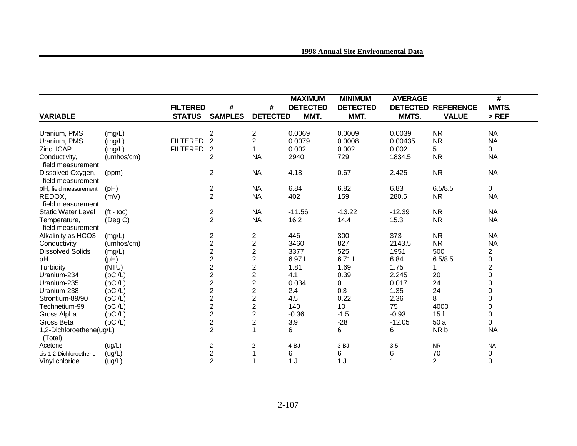|                                        |             |                 |                         |                  | <b>MAXIMUM</b>  | <b>MINIMUM</b>  | <b>AVERAGE</b> |                           | $\overline{\boldsymbol{r}}$ |
|----------------------------------------|-------------|-----------------|-------------------------|------------------|-----------------|-----------------|----------------|---------------------------|-----------------------------|
|                                        |             | <b>FILTERED</b> | #                       | #                | <b>DETECTED</b> | <b>DETECTED</b> |                | <b>DETECTED REFERENCE</b> | MMTS.                       |
| <b>VARIABLE</b>                        |             | <b>STATUS</b>   | <b>SAMPLES</b>          | <b>DETECTED</b>  | MMT.            | MMT.            | MMTS.          | <b>VALUE</b>              | $>$ REF                     |
|                                        |             |                 |                         |                  |                 |                 |                |                           |                             |
| Uranium, PMS                           | (mg/L)      |                 | 2                       | $\overline{c}$   | 0.0069          | 0.0009          | 0.0039         | <b>NR</b>                 | <b>NA</b>                   |
| Uranium, PMS                           | (mg/L)      | <b>FILTERED</b> | $\overline{2}$          | $\overline{2}$   | 0.0079          | 0.0008          | 0.00435        | <b>NR</b>                 | <b>NA</b>                   |
| Zinc, ICAP                             | (mg/L)      | <b>FILTERED</b> | 2                       |                  | 0.002           | 0.002           | 0.002          | 5                         | 0                           |
| Conductivity,<br>field measurement     | (umhos/cm)  |                 | $\overline{2}$          | <b>NA</b>        | 2940            | 729             | 1834.5         | <b>NR</b>                 | <b>NA</b>                   |
| Dissolved Oxygen,<br>field measurement | (ppm)       |                 | 2                       | <b>NA</b>        | 4.18            | 0.67            | 2.425          | ${\sf NR}$                | <b>NA</b>                   |
| pH, field measurement                  | (H)         |                 | $\overline{\mathbf{c}}$ | <b>NA</b>        | 6.84            | 6.82            | 6.83           | 6.5/8.5                   | 0                           |
| REDOX,<br>field measurement            | (mV)        |                 | $\overline{2}$          | <b>NA</b>        | 402             | 159             | 280.5          | <b>NR</b>                 | <b>NA</b>                   |
| <b>Static Water Level</b>              | $(t - toc)$ |                 | $\overline{\mathbf{c}}$ | <b>NA</b>        | $-11.56$        | $-13.22$        | $-12.39$       | <b>NR</b>                 | <b>NA</b>                   |
| Temperature,<br>field measurement      | (Deg C)     |                 | $\overline{2}$          | <b>NA</b>        | 16.2            | 14.4            | 15.3           | <b>NR</b>                 | <b>NA</b>                   |
| Alkalinity as HCO3                     | (mg/L)      |                 |                         | $\overline{c}$   | 446             | 300             | 373            | <b>NR</b>                 | <b>NA</b>                   |
| Conductivity                           | (umhos/cm)  |                 |                         | $\overline{c}$   | 3460            | 827             | 2143.5         | <b>NR</b>                 | <b>NA</b>                   |
| <b>Dissolved Solids</b>                | (mg/L)      |                 |                         | $\overline{c}$   | 3377            | 525             | 1951           | 500                       | 2                           |
| pH                                     | (Hq)        |                 | 2<br>2<br>2<br>2        | $\overline{c}$   | 6.97L           | 6.71L           | 6.84           | 6.5/8.5                   | 0                           |
| Turbidity                              | (NTU)       |                 | $\overline{c}$          | $\overline{2}$   | 1.81            | 1.69            | 1.75           | 1                         | $\overline{\mathbf{c}}$     |
| Uranium-234                            | (pCi/L)     |                 | $\overline{2}$          | $\overline{2}$   | 4.1             | 0.39            | 2.245          | 20                        | $\mathsf 0$                 |
| Uranium-235                            | (pCi/L)     |                 | $\overline{2}$          | $\overline{2}$   | 0.034           | 0               | 0.017          | 24                        | $\Omega$                    |
| Uranium-238                            | (pCi/L)     |                 | $\frac{2}{2}$           |                  | 2.4             | 0.3             | 1.35           | 24                        | 0                           |
| Strontium-89/90                        | (pCi/L)     |                 |                         | $\frac{2}{2}$    | 4.5             | 0.22            | 2.36           | 8                         | $\mathsf 0$                 |
| Technetium-99                          | (pCi/L)     |                 | $\overline{c}$          | $\boldsymbol{2}$ | 140             | 10              | 75             | 4000                      | $\mathsf 0$                 |
| Gross Alpha                            | (pCi/L)     |                 | $\overline{2}$          | $\boldsymbol{2}$ | $-0.36$         | $-1.5$          | $-0.93$        | 15f                       | 0                           |
| Gross Beta                             | (pCi/L)     |                 | $\overline{2}$          | $\overline{2}$   | 3.9             | $-28$           | $-12.05$       | 50 a                      | 0                           |
| 1,2-Dichloroethene(ug/L)<br>(Total)    |             |                 | $\overline{2}$          | $\mathbf{1}$     | 6               | 6               | 6              | NR b                      | <b>NA</b>                   |
| Acetone                                | (ug/L)      |                 | $\overline{\mathbf{c}}$ | 2                | 4 <sub>BJ</sub> | 3BJ             | 3.5            | <b>NR</b>                 | <b>NA</b>                   |
| cis-1,2-Dichloroethene                 | (ug/L)      |                 | $\overline{\mathbf{c}}$ |                  | 6               | 6               | 6              | 70                        | 0                           |
| Vinyl chloride                         | (ug/L)      |                 | $\overline{2}$          |                  | 1J              | 1 <sub>J</sub>  |                | $\overline{2}$            | 0                           |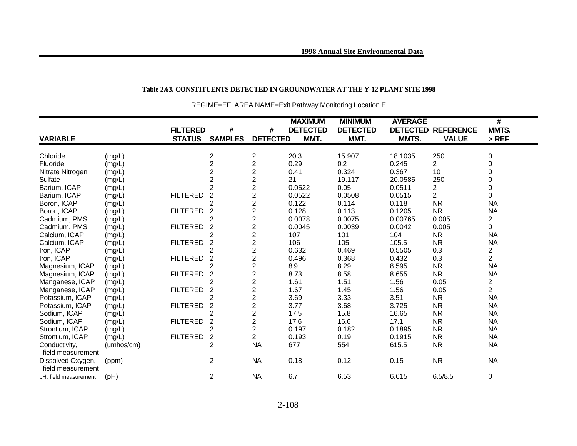#### **Table 2.63. CONSTITUENTS DETECTED IN GROUNDWATER AT THE Y-12 PLANT SITE 1998**

 **MAXIMUM MINIMUM AVERAGE # FILTERED # # DETECTED DETECTED DETECTED REFERENCE MMTS.** VARIABLE **STATUS SAMPLES DETECTED MMT. MMT. MMTS. VALUE** Chloride (mg/L) 2 2 20.3 15.907 18.1035 250 0 Fluoride (mg/L) 2 2 0.29 0.2 0.245 2 0 Nitrate Nitrogen (mg/L) 2 2 0.41 0.324 0.367 10 0 Sulfate (mg/L) 2 2 21 19.117 20.0585 250 0 Barium, ICAP (mg/L) 2 2 0.0522 0.05 0.0511 2 0 Barium, ICAP (mg/L) FILTERED 2 2 0.0522 0.0508 0.0515 2 0 Boron, ICAP (mg/L) 2 2 0.122 0.114 0.118 NR NA Boron, ICAP (mg/L) FILTERED 2 2 0.128 0.113 0.1205 NR NA Cadmium, PMS (mg/L) 2 2 0.0078 0.0075 0.00765 0.005 2 Cadmium, PMS (mg/L) FILTERED 2 2 0.0045 0.0039 0.0042 0.005 0 Calcium, ICAP (mg/L) 2 2 107 101 104 NR NA Calcium, ICAP (mg/L) FILTERED 2 2 106 105 105.5 NR NA Iron, ICAP (mg/L) 2 2 0.632 0.469 0.5505 0.3 2 Iron, ICAP (mg/L) FILTERED 2 2 0.496 0.368 0.432 0.3 2 Magnesium, ICAP (mg/L) 2 2 8.9 8.29 8.595 NR NA Magnesium, ICAP (mg/L) FILTERED 2 2 8.73 8.58 8.655 NR NA Manganese, ICAP (mg/L) 2 2 1.61 1.51 1.56 0.05 2<br>Manganese. ICAP (mg/L) FILTERED 2 2 1.67 1.45 1.56 0.05 2 Manganese, ICAP (mg/L) FILTERED 2 2 1.67 1.45 1.56 0.05 Potassium, ICAP (mg/L) 2 2 3.69 3.33 3.51 NR NA Potassium, ICAP (mg/L) FILTERED 2 2 3.77 3.68 3.725 NR NA Sodium, ICAP (mg/L) 2 2 17.5 15.8 16.65 NR NA Sodium, ICAP (mg/L) FILTERED 2 2 17.6 16.6 17.1 NR NA Strontium, ICAP (mg/L) 2 2 0.197 0.182 0.1895 NR NA Strontium, ICAP (mg/L) FILTERED 2 2 0.193 0.19 0.1915 NR NA Conductivity, (umhos/cm) 2 NA 677 554 615.5 NR NA field measurement Dissolved Oxygen, (ppm) 2 NA 0.18 0.12 0.15 NR NA field measurement pH, field measurement (pH) 2 NA 6.7 6.53 6.615 6.5/8.5 0

REGIME=EF AREA NAME=Exit Pathway Monitoring Location E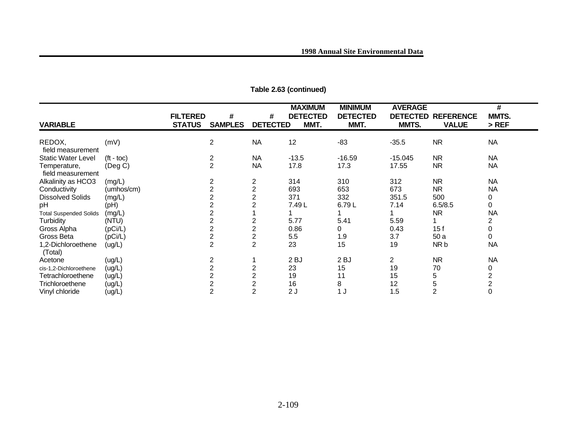| <b>VARIABLE</b>                   |              | <b>FILTERED</b><br><b>STATUS</b> | #<br><b>SAMPLES</b> | #<br><b>DETECTED</b>    | <b>MAXIMUM</b><br><b>DETECTED</b><br>MMT. | <b>MINIMUM</b><br><b>DETECTED</b><br>MMT. | <b>AVERAGE</b><br>MMTS. | <b>DETECTED REFERENCE</b><br><b>VALUE</b> | #<br>MMTS.<br>$>$ REF                      |
|-----------------------------------|--------------|----------------------------------|---------------------|-------------------------|-------------------------------------------|-------------------------------------------|-------------------------|-------------------------------------------|--------------------------------------------|
| REDOX,<br>field measurement       | (mV)         |                                  | $\overline{2}$      | <b>NA</b>               | 12                                        | $-83$                                     | $-35.5$                 | <b>NR</b>                                 | <b>NA</b>                                  |
| Static Water Level                | $(tt - toc)$ |                                  | $\overline{2}$      | <b>NA</b>               | $-13.5$                                   | $-16.59$                                  | $-15.045$               | <b>NR</b>                                 | <b>NA</b>                                  |
| Temperature,<br>field measurement | (Deg C)      |                                  | $\overline{2}$      | <b>NA</b>               | 17.8                                      | 17.3                                      | 17.55                   | <b>NR</b>                                 | <b>NA</b>                                  |
| Alkalinity as HCO3                | (mg/L)       |                                  | 2                   | $\overline{c}$          | 314                                       | 310                                       | 312                     | <b>NR</b>                                 | <b>NA</b>                                  |
| Conductivity                      | (umhos/cm)   |                                  |                     | $\overline{c}$          | 693                                       | 653                                       | 673                     | <b>NR</b>                                 | <b>NA</b>                                  |
| <b>Dissolved Solids</b>           | (mg/L)       |                                  |                     | 2                       | 371                                       | 332                                       | 351.5                   | 500                                       | 0                                          |
| pH                                | (PH)         |                                  |                     |                         | 7.49 L                                    | 6.79L                                     | 7.14                    | 6.5/8.5                                   | 0                                          |
| <b>Total Suspended Solids</b>     | (mg/L)       |                                  | 2                   |                         |                                           |                                           |                         | <b>NR</b>                                 | <b>NA</b>                                  |
| Turbidity                         | (NTU)        |                                  | 2                   |                         | 5.77                                      | 5.41                                      | 5.59                    |                                           | 2                                          |
| Gross Alpha                       | (pCi/L)      |                                  |                     | $\overline{c}$          | 0.86                                      | 0                                         | 0.43                    | 15f                                       | 0                                          |
| Gross Beta                        | (pCi/L)      |                                  | 2                   | 2                       | 5.5                                       | 1.9                                       | 3.7                     | 50 a                                      | 0                                          |
| 1,2-Dichloroethene<br>(Total)     | (ug/L)       |                                  | $\overline{2}$      | $\overline{2}$          | 23                                        | 15                                        | 19                      | NR b                                      | <b>NA</b>                                  |
| Acetone                           | (ug/L)       |                                  | 2                   |                         | 2BJ                                       | 2BJ                                       | $\overline{2}$          | <b>NR</b>                                 | <b>NA</b>                                  |
| cis-1,2-Dichloroethene            | (ug/L)       |                                  |                     | 2                       | 23                                        | 15                                        | 19                      | 70                                        | 0                                          |
| Tetrachloroethene                 | (ug/L)       |                                  | 2                   | 2                       | 19                                        | 11                                        | 15                      | 5                                         | $\begin{array}{c} 2 \\ 2 \\ 0 \end{array}$ |
| Trichloroethene                   | (ug/L)       |                                  | 2                   | $\overline{\mathbf{c}}$ | 16                                        | 8                                         | 12                      | 5                                         |                                            |
| Vinyl chloride                    | (ug/L)       |                                  | $\overline{2}$      | $\overline{2}$          | 2J                                        | 1 <sub>J</sub>                            | 1.5                     | $\overline{2}$                            |                                            |

# **Table 2.63 (continued)**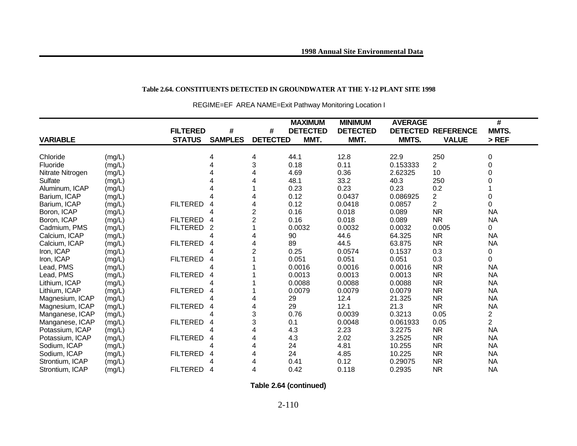### **Table 2.64. CONSTITUENTS DETECTED IN GROUNDWATER AT THE Y-12 PLANT SITE 1998**

REGIME=EF AREA NAME=Exit Pathway Monitoring Location I

|                  |        |                 |                |                 | <b>MAXIMUM</b>  | <b>MINIMUM</b>  | <b>AVERAGE</b> |                           | #              |
|------------------|--------|-----------------|----------------|-----------------|-----------------|-----------------|----------------|---------------------------|----------------|
|                  |        | <b>FILTERED</b> | #              | #               | <b>DETECTED</b> | <b>DETECTED</b> |                | <b>DETECTED REFERENCE</b> | MMTS.          |
| <b>VARIABLE</b>  |        | <b>STATUS</b>   | <b>SAMPLES</b> | <b>DETECTED</b> | MMT.            | MMT.            | MMTS.          | <b>VALUE</b>              | $>$ REF        |
| Chloride         | (mg/L) |                 | 4              | 4               | 44.1            | 12.8            | 22.9           | 250                       | 0              |
| Fluoride         | (mg/L) |                 |                | 3               | 0.18            | 0.11            | 0.153333       | $\overline{2}$            | 0              |
| Nitrate Nitrogen | (mg/L) |                 |                | 4               | 4.69            | 0.36            | 2.62325        | 10                        | 0              |
| Sulfate          | (mg/L) |                 |                |                 | 48.1            | 33.2            | 40.3           | 250                       |                |
| Aluminum, ICAP   | (mg/L) |                 |                |                 | 0.23            | 0.23            | 0.23           | 0.2                       |                |
| Barium, ICAP     | (mg/L) |                 |                | 4               | 0.12            | 0.0437          | 0.086925       | $\overline{2}$            | 0              |
| Barium, ICAP     | (mg/L) | <b>FILTERED</b> | 4              | 4               | 0.12            | 0.0418          | 0.0857         | $\overline{2}$            | $\Omega$       |
| Boron, ICAP      | (mg/L) |                 |                | $\overline{c}$  | 0.16            | 0.018           | 0.089          | <b>NR</b>                 | <b>NA</b>      |
| Boron, ICAP      | (mg/L) | <b>FILTERED</b> | 4              | $\overline{2}$  | 0.16            | 0.018           | 0.089          | <b>NR</b>                 | <b>NA</b>      |
| Cadmium, PMS     | (mg/L) | <b>FILTERED</b> | 2              |                 | 0.0032          | 0.0032          | 0.0032         | 0.005                     | 0              |
| Calcium, ICAP    | (mg/L) |                 |                | 4               | 90              | 44.6            | 64.325         | <b>NR</b>                 | <b>NA</b>      |
| Calcium, ICAP    | (mg/L) | <b>FILTERED</b> | 4              | 4               | 89              | 44.5            | 63.875         | <b>NR</b>                 | <b>NA</b>      |
| Iron, ICAP       | (mg/L) |                 |                | $\overline{2}$  | 0.25            | 0.0574          | 0.1537         | 0.3                       | 0              |
| Iron, ICAP       | (mg/L) | <b>FILTERED</b> | 4              |                 | 0.051           | 0.051           | 0.051          | 0.3                       | 0              |
| Lead, PMS        | (mg/L) |                 |                |                 | 0.0016          | 0.0016          | 0.0016         | <b>NR</b>                 | <b>NA</b>      |
| Lead, PMS        | (mg/L) | <b>FILTERED</b> | 4              |                 | 0.0013          | 0.0013          | 0.0013         | <b>NR</b>                 | <b>NA</b>      |
| Lithium, ICAP    | (mg/L) |                 |                |                 | 0.0088          | 0.0088          | 0.0088         | <b>NR</b>                 | <b>NA</b>      |
| Lithium, ICAP    | (mg/L) | <b>FILTERED</b> | 4              |                 | 0.0079          | 0.0079          | 0.0079         | <b>NR</b>                 | <b>NA</b>      |
| Magnesium, ICAP  | (mg/L) |                 |                |                 | 29              | 12.4            | 21.325         | <b>NR</b>                 | <b>NA</b>      |
| Magnesium, ICAP  | (mg/L) | <b>FILTERED</b> | 4              | 4               | 29              | 12.1            | 21.3           | <b>NR</b>                 | <b>NA</b>      |
| Manganese, ICAP  | (mg/L) |                 |                | 3               | 0.76            | 0.0039          | 0.3213         | 0.05                      | 2              |
| Manganese, ICAP  | (mg/L) | <b>FILTERED</b> | 4              | 3               | 0.1             | 0.0048          | 0.061933       | 0.05                      | $\overline{2}$ |
| Potassium, ICAP  | (mg/L) |                 |                | 4               | 4.3             | 2.23            | 3.2275         | <b>NR</b>                 | <b>NA</b>      |
| Potassium, ICAP  | (mg/L) | <b>FILTERED</b> | 4              | 4               | 4.3             | 2.02            | 3.2525         | <b>NR</b>                 | <b>NA</b>      |
| Sodium, ICAP     | (mg/L) |                 |                | 4               | 24              | 4.81            | 10.255         | <b>NR</b>                 | <b>NA</b>      |
| Sodium, ICAP     | (mg/L) | <b>FILTERED</b> | 4              | 4               | 24              | 4.85            | 10.225         | <b>NR</b>                 | <b>NA</b>      |
| Strontium, ICAP  | (mg/L) |                 |                | 4               | 0.41            | 0.12            | 0.29075        | <b>NR</b>                 | <b>NA</b>      |
| Strontium, ICAP  | (mg/L) | <b>FILTERED</b> | 4              | 4               | 0.42            | 0.118           | 0.2935         | <b>NR</b>                 | <b>NA</b>      |

**Table 2.64 (continued)**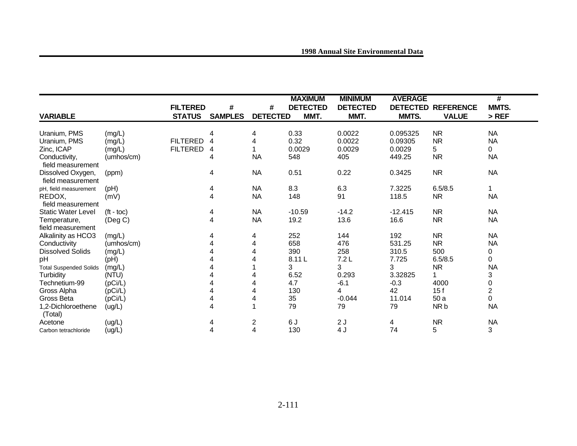|                                        |                    |                 |                |                 | <b>MAXIMUM</b>  | <b>MINIMUM</b>  | <b>AVERAGE</b> |                           | $\overline{\boldsymbol{r}}$ |
|----------------------------------------|--------------------|-----------------|----------------|-----------------|-----------------|-----------------|----------------|---------------------------|-----------------------------|
|                                        |                    | <b>FILTERED</b> | #              | #               | <b>DETECTED</b> | <b>DETECTED</b> |                | <b>DETECTED REFERENCE</b> | MMTS.                       |
| <b>VARIABLE</b>                        |                    | <b>STATUS</b>   | <b>SAMPLES</b> | <b>DETECTED</b> | MMT.            | MMT.            | MMTS.          | <b>VALUE</b>              | $>$ REF                     |
| Uranium, PMS                           | (mg/L)             |                 |                | 4               | 0.33            | 0.0022          | 0.095325       | <b>NR</b>                 | <b>NA</b>                   |
| Uranium, PMS                           | (mg/L)             | <b>FILTERED</b> | 4              | 4               | 0.32            | 0.0022          | 0.09305        | <b>NR</b>                 | <b>NA</b>                   |
| Zinc, ICAP                             | (mg/L)             | <b>FILTERED</b> | 4              |                 | 0.0029          | 0.0029          | 0.0029         | 5                         | 0                           |
| Conductivity,<br>field measurement     | (umhos/cm)         |                 | 4              | <b>NA</b>       | 548             | 405             | 449.25         | <b>NR</b>                 | <b>NA</b>                   |
| Dissolved Oxygen,<br>field measurement | (ppm)              |                 | 4              | <b>NA</b>       | 0.51            | 0.22            | 0.3425         | <b>NR</b>                 | <b>NA</b>                   |
| pH, field measurement                  | (PH)               |                 | 4              | <b>NA</b>       | 8.3             | 6.3             | 7.3225         | 6.5/8.5                   | 1                           |
| REDOX,<br>field measurement            | (mV)               |                 | 4              | <b>NA</b>       | 148             | 91              | 118.5          | <b>NR</b>                 | <b>NA</b>                   |
| <b>Static Water Level</b>              | $(t - \text{toc})$ |                 | 4              | <b>NA</b>       | $-10.59$        | $-14.2$         | $-12.415$      | <b>NR</b>                 | <b>NA</b>                   |
| Temperature,<br>field measurement      | (Deg C)            |                 | 4              | <b>NA</b>       | 19.2            | 13.6            | 16.6           | <b>NR</b>                 | <b>NA</b>                   |
| Alkalinity as HCO3                     | (mg/L)             |                 | 4              | 4               | 252             | 144             | 192            | <b>NR</b>                 | <b>NA</b>                   |
| Conductivity                           | (umhos/cm)         |                 |                | 4               | 658             | 476             | 531.25         | <b>NR</b>                 | <b>NA</b>                   |
| <b>Dissolved Solids</b>                | (mg/L)             |                 |                | 4               | 390             | 258             | 310.5          | 500                       | 0                           |
| pH                                     | (Hq)               |                 |                | 4               | 8.11L           | 7.2L            | 7.725          | 6.5/8.5                   | 0                           |
| <b>Total Suspended Solids</b>          | (mg/L)             |                 |                |                 | 3               | 3               | 3              | <b>NR</b>                 | <b>NA</b>                   |
| Turbidity                              | (NTU)              |                 | 4              | 4               | 6.52            | 0.293           | 3.32825        |                           | 3                           |
| Technetium-99                          | (pCi/L)            |                 |                | 4               | 4.7             | $-6.1$          | $-0.3$         | 4000                      | 0                           |
| Gross Alpha                            | (pCi/L)            |                 | 4              | 4               | 130             | 4               | 42             | 15f                       | $\overline{c}$              |
| Gross Beta                             | (pCi/L)            |                 |                | 4               | 35              | $-0.044$        | 11.014         | 50a                       | 0                           |
| 1,2-Dichloroethene<br>(Total)          | (ug/L)             |                 | 4              |                 | 79              | 79              | 79             | NR b                      | <b>NA</b>                   |
| Acetone                                | (ug/L)             |                 | 4              | $\overline{2}$  | 6J              | 2J              | 4              | <b>NR</b>                 | <b>NA</b>                   |
| Carbon tetrachloride                   | (ug/L)             |                 | 4              | 4               | 130             | 4 J             | 74             | 5                         | 3                           |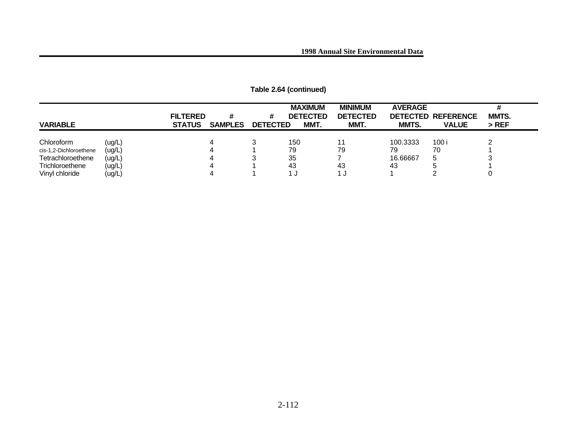| <b>VARIABLE</b>        |        | <b>FILTERED</b><br><b>STATUS</b> | #<br><b>SAMPLES</b> | #<br><b>DETECTED</b> | <b>MAXIMUM</b><br><b>DETECTED</b><br>MMT. | <b>MINIMUM</b><br><b>DETECTED</b><br>MMT. | <b>AVERAGE</b><br>MMTS. | <b>DETECTED REFERENCE</b><br><b>VALUE</b> | MMTS.<br>> REF |
|------------------------|--------|----------------------------------|---------------------|----------------------|-------------------------------------------|-------------------------------------------|-------------------------|-------------------------------------------|----------------|
| Chloroform             | (ug/L) |                                  |                     |                      | 150                                       |                                           | 100.3333                | 100 i                                     |                |
| cis-1,2-Dichloroethene | (ug/L) |                                  |                     |                      | 79                                        | 79                                        | 79                      | 70                                        |                |
| Tetrachloroethene      | (ug/L) |                                  |                     |                      | 35                                        |                                           | 16.66667                | 5                                         |                |
| Trichloroethene        | (ug/L) |                                  |                     |                      | 43                                        | 43                                        | 43                      |                                           |                |
| Vinyl chloride         | (ug/L) |                                  |                     |                      | ิง                                        | J                                         |                         |                                           |                |

# **Table 2.64 (continued)**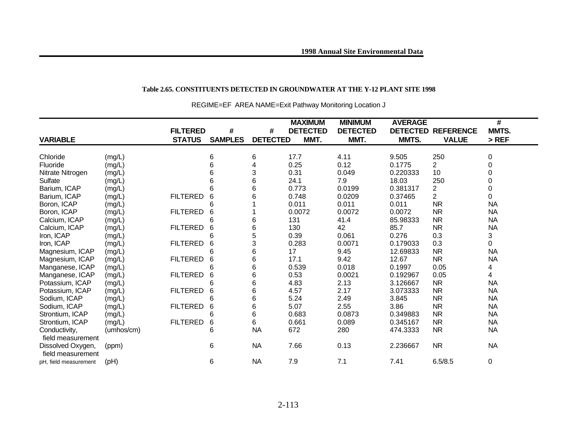### **Table 2.65. CONSTITUENTS DETECTED IN GROUNDWATER AT THE Y-12 PLANT SITE 1998**

REGIME=EF AREA NAME=Exit Pathway Monitoring Location J

|                                        |            |                 |                |                 | <b>MAXIMUM</b>  | <b>MINIMUM</b>  | <b>AVERAGE</b> |                           | #         |
|----------------------------------------|------------|-----------------|----------------|-----------------|-----------------|-----------------|----------------|---------------------------|-----------|
|                                        |            | <b>FILTERED</b> | #              | #               | <b>DETECTED</b> | <b>DETECTED</b> |                | <b>DETECTED REFERENCE</b> | MMTS.     |
| <b>VARIABLE</b>                        |            | <b>STATUS</b>   | <b>SAMPLES</b> | <b>DETECTED</b> | MMT.            | MMT.            | MMTS.          | <b>VALUE</b>              | $>$ REF   |
| Chloride                               | (mg/L)     |                 | 6              | 6               | 17.7            | 4.11            | 9.505          | 250                       | 0         |
| Fluoride                               | (mg/L)     |                 | 6              | 4               | 0.25            | 0.12            | 0.1775         | $\overline{2}$            | 0         |
| Nitrate Nitrogen                       | (mg/L)     |                 |                | 3               | 0.31            | 0.049           | 0.220333       | 10                        | 0         |
| Sulfate                                | (mg/L)     |                 | 6              | 6               | 24.1            | 7.9             | 18.03          | 250                       | 0         |
| Barium, ICAP                           | (mg/L)     |                 | 6              | 6               | 0.773           | 0.0199          | 0.381317       | $\overline{c}$            | 0         |
| Barium, ICAP                           | (mg/L)     | <b>FILTERED</b> | 6              | 6               | 0.748           | 0.0209          | 0.37465        | $\overline{2}$            | 0         |
| Boron, ICAP                            | (mg/L)     |                 | 6              |                 | 0.011           | 0.011           | 0.011          | <b>NR</b>                 | <b>NA</b> |
| Boron, ICAP                            | (mg/L)     | <b>FILTERED</b> | 6              |                 | 0.0072          | 0.0072          | 0.0072         | <b>NR</b>                 | <b>NA</b> |
| Calcium, ICAP                          | (mg/L)     |                 | 6              | 6               | 131             | 41.4            | 85.98333       | <b>NR</b>                 | <b>NA</b> |
| Calcium, ICAP                          | (mg/L)     | <b>FILTERED</b> | 6              | 6               | 130             | 42              | 85.7           | <b>NR</b>                 | <b>NA</b> |
| Iron, ICAP                             | (mg/L)     |                 |                | 5               | 0.39            | 0.061           | 0.276          | 0.3                       | 3         |
| Iron, ICAP                             | (mg/L)     | <b>FILTERED</b> | 6              | 3               | 0.283           | 0.0071          | 0.179033       | 0.3                       | 0         |
| Magnesium, ICAP                        | (mg/L)     |                 | 6              | 6               | 17              | 9.45            | 12.69833       | <b>NR</b>                 | <b>NA</b> |
| Magnesium, ICAP                        | (mg/L)     | <b>FILTERED</b> | 6              | 6               | 17.1            | 9.42            | 12.67          | <b>NR</b>                 | <b>NA</b> |
| Manganese, ICAP                        | (mg/L)     |                 |                | 6               | 0.539           | 0.018           | 0.1997         | 0.05                      |           |
| Manganese, ICAP                        | (mg/L)     | <b>FILTERED</b> | 6              | 6               | 0.53            | 0.0021          | 0.192967       | 0.05                      |           |
| Potassium, ICAP                        | (mg/L)     |                 |                | 6               | 4.83            | 2.13            | 3.126667       | <b>NR</b>                 | <b>NA</b> |
| Potassium, ICAP                        | (mg/L)     | <b>FILTERED</b> | 6              | 6               | 4.57            | 2.17            | 3.073333       | <b>NR</b>                 | <b>NA</b> |
| Sodium, ICAP                           | (mg/L)     |                 |                | 6               | 5.24            | 2.49            | 3.845          | <b>NR</b>                 | <b>NA</b> |
| Sodium, ICAP                           | (mg/L)     | <b>FILTERED</b> | 6              | 6               | 5.07            | 2.55            | 3.86           | <b>NR</b>                 | <b>NA</b> |
| Strontium, ICAP                        | (mg/L)     |                 |                | 6               | 0.683           | 0.0873          | 0.349883       | <b>NR</b>                 | <b>NA</b> |
| Strontium, ICAP                        | (mg/L)     | <b>FILTERED</b> | 6              | 6               | 0.661           | 0.089           | 0.345167       | <b>NR</b>                 | <b>NA</b> |
| Conductivity,<br>field measurement     | (umhos/cm) |                 | 6              | <b>NA</b>       | 672             | 280             | 474.3333       | <b>NR</b>                 | <b>NA</b> |
| Dissolved Oxygen,<br>field measurement | (ppm)      |                 | 6              | <b>NA</b>       | 7.66            | 0.13            | 2.236667       | <b>NR</b>                 | <b>NA</b> |
| pH, field measurement                  | (PH)       |                 | 6              | <b>NA</b>       | 7.9             | 7.1             | 7.41           | 6.5/8.5                   | 0         |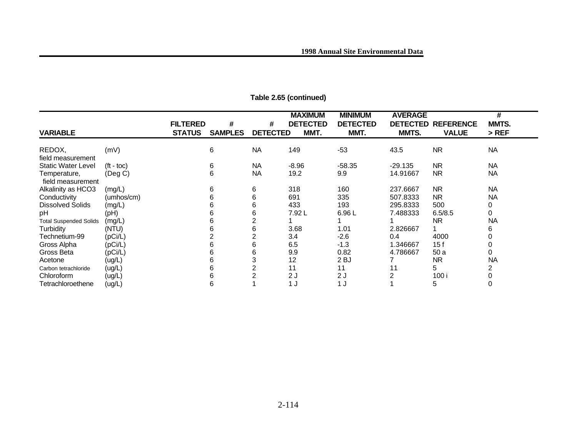|                                   |              |                 |                |                 | <b>MAXIMUM</b>  | <b>MINIMUM</b>  | <b>AVERAGE</b>  |                  | $\overline{\mathbf{t}}$ |
|-----------------------------------|--------------|-----------------|----------------|-----------------|-----------------|-----------------|-----------------|------------------|-------------------------|
|                                   |              | <b>FILTERED</b> | #              | #               | <b>DETECTED</b> | <b>DETECTED</b> | <b>DETECTED</b> | <b>REFERENCE</b> | MMTS.                   |
| <b>VARIABLE</b>                   |              | <b>STATUS</b>   | <b>SAMPLES</b> | <b>DETECTED</b> | MMT.            | MMT.            | MMTS.           | <b>VALUE</b>     | $>$ REF                 |
| REDOX,                            | (mV)         |                 | 6              | <b>NA</b>       | 149             | -53             | 43.5            | <b>NR</b>        | <b>NA</b>               |
| field measurement                 |              |                 |                |                 |                 |                 |                 |                  |                         |
| <b>Static Water Level</b>         | $(ft - toc)$ |                 | 6              | <b>NA</b>       | $-8.96$         | $-58.35$        | $-29.135$       | <b>NR</b>        | <b>NA</b>               |
| Temperature,<br>field measurement | (Deg C)      |                 | 6              | <b>NA</b>       | 19.2            | 9.9             | 14.91667        | <b>NR</b>        | <b>NA</b>               |
| Alkalinity as HCO3                | (mg/L)       |                 | 6              | 6               | 318             | 160             | 237.6667        | <b>NR</b>        | <b>NA</b>               |
| Conductivity                      | (umhos/cm)   |                 | 6              | 6               | 691             | 335             | 507.8333        | <b>NR</b>        | <b>NA</b>               |
| <b>Dissolved Solids</b>           | (mg/L)       |                 | 6              | 6               | 433             | 193             | 295.8333        | 500              |                         |
| pH                                | (Hq)         |                 | 6              | 6               | 7.92L           | 6.96L           | 7.488333        | 6.5/8.5          | 0                       |
| <b>Total Suspended Solids</b>     | (mg/L)       |                 | 6              | 2               |                 |                 |                 | <b>NR</b>        | <b>NA</b>               |
| Turbidity                         | (NTU)        |                 | 6              | 6               | 3.68            | 1.01            | 2.826667        |                  | 6                       |
| Technetium-99                     | (pCi/L)      |                 |                | 2               | 3.4             | $-2.6$          | 0.4             | 4000             |                         |
| Gross Alpha                       | (pCi/L)      |                 | 6              | 6               | 6.5             | $-1.3$          | 1.346667        | 15f              |                         |
| Gross Beta                        | (pCi/L)      |                 | 6              | 6               | 9.9             | 0.82            | 4.786667        | 50a              | 0                       |
| Acetone                           | (ug/L)       |                 | 6              | 3               | 12              | 2BJ             |                 | <b>NR</b>        | <b>NA</b>               |
| Carbon tetrachloride              | (ug/L)       |                 | 6              | 2               | 11              | 11              | 11              | 5                | 2                       |
| Chloroform                        | (ug/L)       |                 | 6              | 2               | 2 J             | 2J              |                 | 100 i            |                         |
| Tetrachloroethene                 | (ug/L)       |                 | 6              |                 | 1 J             | 1 J             |                 | 5                | 0                       |

### **Table 2.65 (continued)**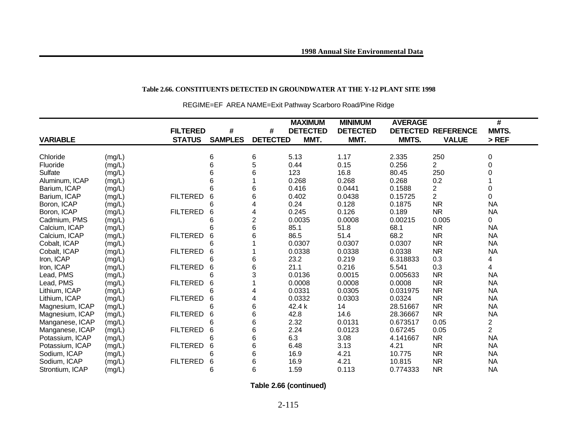### **Table 2.66. CONSTITUENTS DETECTED IN GROUNDWATER AT THE Y-12 PLANT SITE 1998**

REGIME=EF AREA NAME=Exit Pathway Scarboro Road/Pine Ridge

|                 |        |                 |                |                  | <b>MAXIMUM</b>  | <b>MINIMUM</b>  | <b>AVERAGE</b> |                           | #              |
|-----------------|--------|-----------------|----------------|------------------|-----------------|-----------------|----------------|---------------------------|----------------|
|                 |        | <b>FILTERED</b> | #              | #                | <b>DETECTED</b> | <b>DETECTED</b> |                | <b>DETECTED REFERENCE</b> | MMTS.          |
| <b>VARIABLE</b> |        | <b>STATUS</b>   | <b>SAMPLES</b> | <b>DETECTED</b>  | MMT.            | MMT.            | MMTS.          | <b>VALUE</b>              | $>$ REF        |
| Chloride        | (mg/L) |                 | 6              | 6                | 5.13            | 1.17            | 2.335          | 250                       | 0              |
| Fluoride        | (mg/L) |                 | 6              | 5                | 0.44            | 0.15            | 0.256          | $\overline{c}$            | 0              |
| Sulfate         | (mg/L) |                 | 6              | 6                | 123             | 16.8            | 80.45          | 250                       |                |
| Aluminum, ICAP  | (mg/L) |                 |                |                  | 0.268           | 0.268           | 0.268          | 0.2                       |                |
| Barium, ICAP    | (mg/L) |                 | 6              | 6                | 0.416           | 0.0441          | 0.1588         | $\overline{c}$            | 0              |
| Barium, ICAP    | (mg/L) | <b>FILTERED</b> | 6              | 6                | 0.402           | 0.0438          | 0.15725        | $\overline{2}$            | 0              |
| Boron, ICAP     | (mg/L) |                 |                | 4                | 0.24            | 0.128           | 0.1875         | <b>NR</b>                 | <b>NA</b>      |
| Boron, ICAP     | (mg/L) | <b>FILTERED</b> | 6              | 4                | 0.245           | 0.126           | 0.189          | <b>NR</b>                 | <b>NA</b>      |
| Cadmium, PMS    | (mg/L) |                 | 6              | $\boldsymbol{2}$ | 0.0035          | 0.0008          | 0.00215        | 0.005                     | 0              |
| Calcium, ICAP   | (mg/L) |                 | 6              | 6                | 85.1            | 51.8            | 68.1           | <b>NR</b>                 | <b>NA</b>      |
| Calcium, ICAP   | (mg/L) | <b>FILTERED</b> | 6              | 6                | 86.5            | 51.4            | 68.2           | <b>NR</b>                 | <b>NA</b>      |
| Cobalt, ICAP    | (mg/L) |                 | 6              |                  | 0.0307          | 0.0307          | 0.0307         | <b>NR</b>                 | <b>NA</b>      |
| Cobalt, ICAP    | (mg/L) | <b>FILTERED</b> | 6              |                  | 0.0338          | 0.0338          | 0.0338         | <b>NR</b>                 | <b>NA</b>      |
| Iron, ICAP      | (mg/L) |                 |                | 6                | 23.2            | 0.219           | 6.318833       | 0.3                       | 4              |
| Iron, ICAP      | (mg/L) | <b>FILTERED</b> | 6              | 6                | 21.1            | 0.216           | 5.541          | 0.3                       | 4              |
| Lead, PMS       | (mg/L) |                 | 6              | 3                | 0.0136          | 0.0015          | 0.005633       | <b>NR</b>                 | <b>NA</b>      |
| Lead, PMS       | (mg/L) | <b>FILTERED</b> | 6              |                  | 0.0008          | 0.0008          | 0.0008         | <b>NR</b>                 | <b>NA</b>      |
| Lithium, ICAP   | (mg/L) |                 |                | 4                | 0.0331          | 0.0305          | 0.031975       | <b>NR</b>                 | <b>NA</b>      |
| Lithium, ICAP   | (mg/L) | <b>FILTERED</b> | 6              | 4                | 0.0332          | 0.0303          | 0.0324         | <b>NR</b>                 | <b>NA</b>      |
| Magnesium, ICAP | (mg/L) |                 |                | 6                | 42.4 k          | 14              | 28.51667       | <b>NR</b>                 | <b>NA</b>      |
| Magnesium, ICAP | (mg/L) | <b>FILTERED</b> | 6              | 6                | 42.8            | 14.6            | 28.36667       | <b>NR</b>                 | <b>NA</b>      |
| Manganese, ICAP | (mg/L) |                 |                | 6                | 2.32            | 0.0131          | 0.673517       | 0.05                      | 2              |
| Manganese, ICAP | (mg/L) | <b>FILTERED</b> | 6              | 6                | 2.24            | 0.0123          | 0.67245        | 0.05                      | $\overline{2}$ |
| Potassium, ICAP | (mg/L) |                 |                | 6                | 6.3             | 3.08            | 4.141667       | <b>NR</b>                 | <b>NA</b>      |
| Potassium, ICAP | (mg/L) | <b>FILTERED</b> | 6              | 6                | 6.48            | 3.13            | 4.21           | <b>NR</b>                 | <b>NA</b>      |
| Sodium, ICAP    | (mg/L) |                 | 6              | 6                | 16.9            | 4.21            | 10.775         | <b>NR</b>                 | <b>NA</b>      |
| Sodium, ICAP    | (mg/L) | <b>FILTERED</b> | 6              | 6                | 16.9            | 4.21            | 10.815         | <b>NR</b>                 | <b>NA</b>      |
| Strontium, ICAP | (mg/L) |                 | 6              | 6                | 1.59            | 0.113           | 0.774333       | <b>NR</b>                 | <b>NA</b>      |

**Table 2.66 (continued)**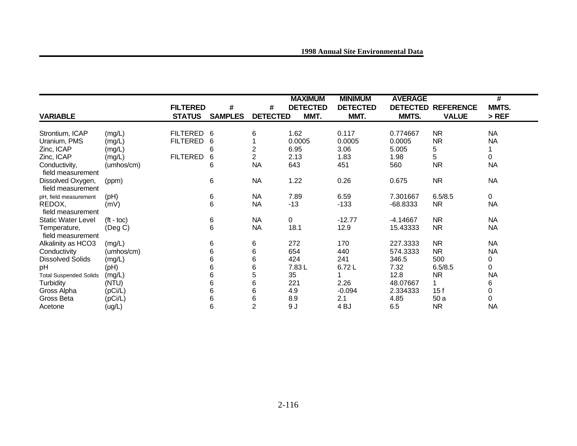|                                        |             |                 |                |                 | <b>MAXIMUM</b>  | <b>MINIMUM</b>  | <b>AVERAGE</b> |                           | #         |
|----------------------------------------|-------------|-----------------|----------------|-----------------|-----------------|-----------------|----------------|---------------------------|-----------|
|                                        |             | <b>FILTERED</b> | #              | #               | <b>DETECTED</b> | <b>DETECTED</b> |                | <b>DETECTED REFERENCE</b> | MMTS.     |
| <b>VARIABLE</b>                        |             | <b>STATUS</b>   | <b>SAMPLES</b> | <b>DETECTED</b> | MMT.            | MMT.            | MMTS.          | <b>VALUE</b>              | $>$ REF   |
|                                        |             |                 |                |                 |                 |                 |                |                           |           |
| Strontium, ICAP                        | (mg/L)      | FILTERED 6      |                | 6               | 1.62            | 0.117           | 0.774667       | <b>NR</b>                 | <b>NA</b> |
| Uranium, PMS                           | (mg/L)      | <b>FILTERED</b> | 6              |                 | 0.0005          | 0.0005          | 0.0005         | <b>NR</b>                 | <b>NA</b> |
| Zinc, ICAP                             | (mg/L)      |                 | 6              | 2               | 6.95            | 3.06            | 5.005          | 5                         |           |
| Zinc, ICAP                             | (mg/L)      | <b>FILTERED</b> | 6              | $\overline{2}$  | 2.13            | 1.83            | 1.98           | 5                         | 0         |
| Conductivity,<br>field measurement     | (umhos/cm)  |                 | 6              | <b>NA</b>       | 643             | 451             | 560            | <b>NR</b>                 | <b>NA</b> |
| Dissolved Oxygen,<br>field measurement | (ppm)       |                 | 6              | <b>NA</b>       | 1.22            | 0.26            | 0.675          | <b>NR</b>                 | <b>NA</b> |
| pH, field measurement                  | (Hq)        |                 | 6              | <b>NA</b>       | 7.89            | 6.59            | 7.301667       | 6.5/8.5                   | 0         |
| REDOX,<br>field measurement            | (mV)        |                 | 6              | <b>NA</b>       | $-13$           | $-133$          | -68.8333       | <b>NR</b>                 | <b>NA</b> |
| <b>Static Water Level</b>              | $(t - toc)$ |                 | 6              | <b>NA</b>       | 0               | $-12.77$        | $-4.14667$     | <b>NR</b>                 | <b>NA</b> |
| Temperature,<br>field measurement      | (Deg C)     |                 | 6              | <b>NA</b>       | 18.1            | 12.9            | 15.43333       | <b>NR</b>                 | <b>NA</b> |
| Alkalinity as HCO3                     | (mg/L)      |                 | 6              | 6               | 272             | 170             | 227.3333       | <b>NR</b>                 | <b>NA</b> |
| Conductivity                           | (umhos/cm)  |                 | 6              | 6               | 654             | 440             | 574.3333       | <b>NR</b>                 | <b>NA</b> |
| <b>Dissolved Solids</b>                | (mg/L)      |                 | 6              | 6               | 424             | 241             | 346.5          | 500                       | 0         |
| pH                                     | (pH)        |                 | 6              | 6               | 7.83L           | 6.72L           | 7.32           | 6.5/8.5                   | 0         |
| <b>Total Suspended Solids</b>          | (mg/L)      |                 | 6              | 5               | 35              |                 | 12.8           | <b>NR</b>                 | <b>NA</b> |
| Turbidity                              | (NTU)       |                 | 6              | 6               | 221             | 2.26            | 48.07667       |                           | 6         |
| Gross Alpha                            | (pCi/L)     |                 | 6              | 6               | 4.9             | $-0.094$        | 2.334333       | 15f                       |           |
| Gross Beta                             | (pCi/L)     |                 | 6              | 6               | 8.9             | 2.1             | 4.85           | 50a                       | 0         |
| Acetone                                | (ug/L)      |                 | 6              | $\overline{2}$  | 9J              | 4 <sub>BJ</sub> | 6.5            | <b>NR</b>                 | <b>NA</b> |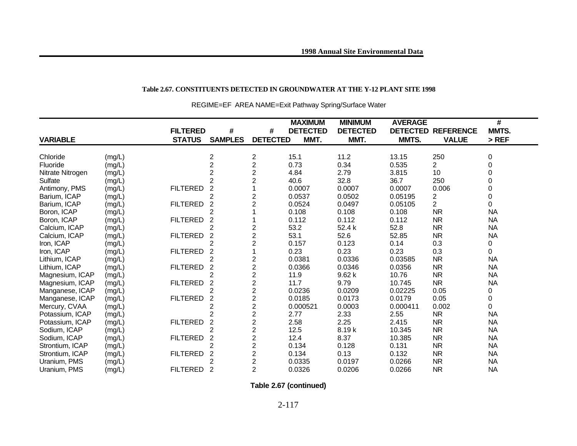### **Table 2.67. CONSTITUENTS DETECTED IN GROUNDWATER AT THE Y-12 PLANT SITE 1998**

|                  |        |                 |                |                         | <b>MAXIMUM</b>  | <b>MINIMUM</b>  | <b>AVERAGE</b> |                           | #         |
|------------------|--------|-----------------|----------------|-------------------------|-----------------|-----------------|----------------|---------------------------|-----------|
|                  |        | <b>FILTERED</b> | #              | #                       | <b>DETECTED</b> | <b>DETECTED</b> |                | <b>DETECTED REFERENCE</b> | MMTS.     |
| <b>VARIABLE</b>  |        | <b>STATUS</b>   | <b>SAMPLES</b> | <b>DETECTED</b>         | MMT.            | MMT.            | MMTS.          | <b>VALUE</b>              | $>$ REF   |
| Chloride         | (mg/L) |                 | 2              | $\overline{\mathbf{c}}$ | 15.1            | 11.2            | 13.15          | 250                       | 0         |
| Fluoride         | (mg/L) |                 | $\overline{c}$ | $\boldsymbol{2}$        | 0.73            | 0.34            | 0.535          | $\overline{2}$            | 0         |
| Nitrate Nitrogen | (mg/L) |                 | 2              | $\boldsymbol{2}$        | 4.84            | 2.79            | 3.815          | 10                        | 0         |
| Sulfate          | (mg/L) |                 | $\overline{2}$ | $\overline{2}$          | 40.6            | 32.8            | 36.7           | 250                       | 0         |
| Antimony, PMS    | (mg/L) | <b>FILTERED</b> | $\overline{c}$ |                         | 0.0007          | 0.0007          | 0.0007         | 0.006                     | 0         |
| Barium, ICAP     | (mg/L) |                 | 2              | $\overline{2}$          | 0.0537          | 0.0502          | 0.05195        | $\overline{2}$            | 0         |
| Barium, ICAP     | (mg/L) | <b>FILTERED</b> | 2              | $\overline{2}$          | 0.0524          | 0.0497          | 0.05105        | $\overline{2}$            | $\Omega$  |
| Boron, ICAP      | (mg/L) |                 |                |                         | 0.108           | 0.108           | 0.108          | <b>NR</b>                 | <b>NA</b> |
| Boron, ICAP      | (mg/L) | <b>FILTERED</b> | $\overline{2}$ |                         | 0.112           | 0.112           | 0.112          | <b>NR</b>                 | <b>NA</b> |
| Calcium, ICAP    | (mg/L) |                 | 2              | $\overline{2}$          | 53.2            | 52.4 k          | 52.8           | <b>NR</b>                 | <b>NA</b> |
| Calcium, ICAP    | (mg/L) | <b>FILTERED</b> | $\overline{2}$ | $\overline{2}$          | 53.1            | 52.6            | 52.85          | <b>NR</b>                 | <b>NA</b> |
| Iron, ICAP       | (mg/L) |                 | $\overline{2}$ | $\overline{2}$          | 0.157           | 0.123           | 0.14           | 0.3                       | 0         |
| Iron, ICAP       | (mg/L) | <b>FILTERED</b> | 2              |                         | 0.23            | 0.23            | 0.23           | 0.3                       | 0         |
| Lithium, ICAP    | (mg/L) |                 |                | $\overline{c}$          | 0.0381          | 0.0336          | 0.03585        | <b>NR</b>                 | <b>NA</b> |
| Lithium, ICAP    | (mg/L) | <b>FILTERED</b> | 2              | $\boldsymbol{2}$        | 0.0366          | 0.0346          | 0.0356         | <b>NR</b>                 | <b>NA</b> |
| Magnesium, ICAP  | (mg/L) |                 | 2              | $\boldsymbol{2}$        | 11.9            | 9.62k           | 10.76          | <b>NR</b>                 | <b>NA</b> |
| Magnesium, ICAP  | (mg/L) | <b>FILTERED</b> | 2              | $\boldsymbol{2}$        | 11.7            | 9.79            | 10.745         | <b>NR</b>                 | <b>NA</b> |
| Manganese, ICAP  | (mg/L) |                 |                | $\boldsymbol{2}$        | 0.0236          | 0.0209          | 0.02225        | 0.05                      | 0         |
| Manganese, ICAP  | (mg/L) | <b>FILTERED</b> | 2              | $\overline{2}$          | 0.0185          | 0.0173          | 0.0179         | 0.05                      | 0         |
| Mercury, CVAA    | (mg/L) |                 | 2              | $\boldsymbol{2}$        | 0.000521        | 0.0003          | 0.000411       | 0.002                     | 0         |
| Potassium, ICAP  | (mg/L) |                 | 2              | $\boldsymbol{2}$        | 2.77            | 2.33            | 2.55           | <b>NR</b>                 | <b>NA</b> |
| Potassium, ICAP  | (mg/L) | <b>FILTERED</b> | 2              | $\sqrt{2}$              | 2.58            | 2.25            | 2.415          | <b>NR</b>                 | <b>NA</b> |
| Sodium, ICAP     | (mg/L) |                 | 2              | $\overline{c}$          | 12.5            | 8.19 k          | 10.345         | <b>NR</b>                 | <b>NA</b> |
| Sodium, ICAP     | (mg/L) | <b>FILTERED</b> | 2              | $\overline{2}$          | 12.4            | 8.37            | 10.385         | <b>NR</b>                 | <b>NA</b> |
| Strontium, ICAP  | (mg/L) |                 |                | $\overline{c}$          | 0.134           | 0.128           | 0.131          | <b>NR</b>                 | <b>NA</b> |
| Strontium, ICAP  | (mg/L) | <b>FILTERED</b> | 2              | $\overline{2}$          | 0.134           | 0.13            | 0.132          | <b>NR</b>                 | <b>NA</b> |
| Uranium, PMS     | (mg/L) |                 |                | $\boldsymbol{2}$        | 0.0335          | 0.0197          | 0.0266         | <b>NR</b>                 | <b>NA</b> |
| Uranium, PMS     | (mg/L) | <b>FILTERED</b> | $\overline{2}$ | $\overline{2}$          | 0.0326          | 0.0206          | 0.0266         | <b>NR</b>                 | <b>NA</b> |

**Table 2.67 (continued)**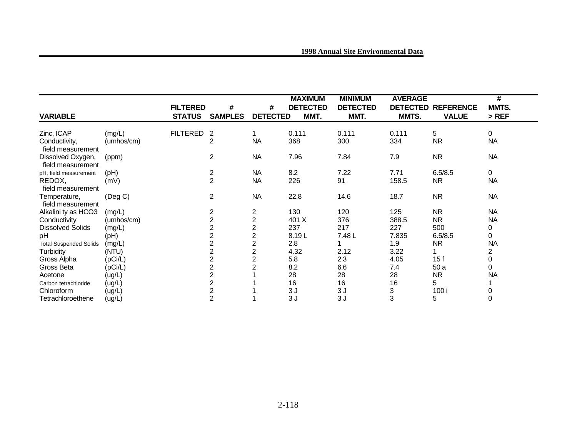|                                        |            |                 |                         |                  | <b>MAXIMUM</b>  | <b>MINIMUM</b>  | <b>AVERAGE</b>  |                  | $\overline{\boldsymbol{r}}$ |
|----------------------------------------|------------|-----------------|-------------------------|------------------|-----------------|-----------------|-----------------|------------------|-----------------------------|
|                                        |            | <b>FILTERED</b> | #                       | #                | <b>DETECTED</b> | <b>DETECTED</b> | <b>DETECTED</b> | <b>REFERENCE</b> | MMTS.                       |
| <b>VARIABLE</b>                        |            | <b>STATUS</b>   | <b>SAMPLES</b>          | <b>DETECTED</b>  | MMT.            | MMT.            | MMTS.           | <b>VALUE</b>     | $>$ REF                     |
| Zinc, ICAP                             | (mg/L)     | <b>FILTERED</b> | 2                       |                  | 0.111           | 0.111           | 0.111           | 5                | 0                           |
| Conductivity,<br>field measurement     | (umhos/cm) |                 | 2                       | <b>NA</b>        | 368             | 300             | 334             | <b>NR</b>        | <b>NA</b>                   |
| Dissolved Oxygen,<br>field measurement | (ppm)      |                 | 2                       | <b>NA</b>        | 7.96            | 7.84            | 7.9             | <b>NR</b>        | <b>NA</b>                   |
| pH, field measurement                  | (Hq)       |                 | $\overline{c}$          | <b>NA</b>        | 8.2             | 7.22            | 7.71            | 6.5/8.5          | 0                           |
| REDOX,<br>field measurement            | (mV)       |                 | $\overline{2}$          | <b>NA</b>        | 226             | 91              | 158.5           | <b>NR</b>        | <b>NA</b>                   |
| Temperature,<br>field measurement      | (Deg C)    |                 | $\overline{2}$          | <b>NA</b>        | 22.8            | 14.6            | 18.7            | <b>NR</b>        | <b>NA</b>                   |
| Alkalini ty as HCO3                    | (mg/L)     |                 | 2                       | 2                | 130             | 120             | 125             | <b>NR</b>        | <b>NA</b>                   |
| Conductivity                           | (umhos/cm) |                 | 2                       | $\boldsymbol{2}$ | 401 X           | 376             | 388.5           | <b>NR</b>        | <b>NA</b>                   |
| <b>Dissolved Solids</b>                | (mg/L)     |                 | 2                       | $\overline{c}$   | 237             | 217             | 227             | 500              | 0                           |
| pH                                     | (pH)       |                 | $\overline{c}$          | $\overline{2}$   | 8.19L           | 7.48L           | 7.835           | 6.5/8.5          | 0                           |
| <b>Total Suspended Solids</b>          | (mg/L)     |                 | $\overline{c}$          | $\overline{2}$   | 2.8             |                 | 1.9             | <b>NR</b>        | <b>NA</b>                   |
| Turbidity                              | (NTU)      |                 | 2                       | $\overline{2}$   | 4.32            | 2.12            | 3.22            |                  | $\overline{2}$              |
| Gross Alpha                            | (pCi/L)    |                 | $\overline{c}$          | $\overline{2}$   | 5.8             | 2.3             | 4.05            | 15f              | 0                           |
| Gross Beta                             | (pCi/L)    |                 | 2                       | $\overline{2}$   | 8.2             | 6.6             | 7.4             | 50a              | 0                           |
| Acetone                                | (ug/L)     |                 | 2                       |                  | 28              | 28              | 28              | <b>NR</b>        | <b>NA</b>                   |
| Carbon tetrachloride                   | (ug/L)     |                 | 2                       |                  | 16              | 16              | 16              | 5                |                             |
| Chloroform                             | (ug/L)     |                 | $\overline{\mathbf{c}}$ |                  | 3J              | 3J              | 3               | 100 i            | 0                           |
| Tetrachloroethene                      | (ug/L)     |                 | $\overline{2}$          |                  | 3J              | 3J              | 3               | 5                | 0                           |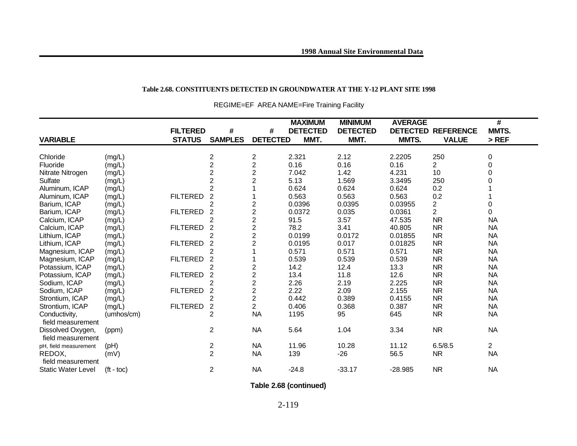### **Table 2.68. CONSTITUENTS DETECTED IN GROUNDWATER AT THE Y-12 PLANT SITE 1998**

|                                        |                  |                 |                         |                         | <b>MAXIMUM</b>  | <b>MINIMUM</b>  | <b>AVERAGE</b> |                           | #              |
|----------------------------------------|------------------|-----------------|-------------------------|-------------------------|-----------------|-----------------|----------------|---------------------------|----------------|
|                                        |                  | <b>FILTERED</b> | #                       | #                       | <b>DETECTED</b> | <b>DETECTED</b> |                | <b>DETECTED REFERENCE</b> | MMTS.          |
| <b>VARIABLE</b>                        |                  | <b>STATUS</b>   | <b>SAMPLES</b>          | <b>DETECTED</b>         | MMT.            | MMT.            | MMTS.          | <b>VALUE</b>              | $>$ REF        |
| Chloride                               | (mg/L)           |                 | 2                       | $\overline{\mathbf{c}}$ | 2.321           | 2.12            | 2.2205         | 250                       | 0              |
| Fluoride                               |                  |                 | $\overline{c}$          | $\overline{2}$          | 0.16            | 0.16            | 0.16           | $\overline{2}$            | 0              |
| Nitrate Nitrogen                       | (mg/L)<br>(mg/L) |                 | $\overline{c}$          | $\boldsymbol{2}$        | 7.042           | 1.42            | 4.231          | 10                        | 0              |
| Sulfate                                |                  |                 | $\overline{c}$          | $\overline{2}$          | 5.13            | 1.569           | 3.3495         | 250                       | 0              |
| Aluminum, ICAP                         | (mg/L)           |                 | $\overline{c}$          |                         | 0.624           | 0.624           | 0.624          | 0.2                       |                |
|                                        | (mg/L)           | <b>FILTERED</b> | $\overline{2}$          |                         | 0.563           | 0.563           | 0.563          | 0.2                       |                |
| Aluminum, ICAP                         | (mg/L)           |                 |                         |                         |                 |                 |                |                           |                |
| Barium, ICAP                           | (mg/L)           |                 | 2                       | $\boldsymbol{2}$        | 0.0396          | 0.0395          | 0.03955        | $\overline{c}$            | 0              |
| Barium, ICAP                           | (mg/L)           | <b>FILTERED</b> | $\overline{2}$          | $\overline{2}$          | 0.0372          | 0.035           | 0.0361         | $\overline{2}$            | 0              |
| Calcium, ICAP                          | (mg/L)           |                 | 2                       | $\overline{\mathbf{c}}$ | 91.5            | 3.57            | 47.535         | <b>NR</b>                 | <b>NA</b>      |
| Calcium, ICAP                          | (mg/L)           | <b>FILTERED</b> | $\overline{2}$          | $\overline{2}$          | 78.2            | 3.41            | 40.805         | <b>NR</b>                 | <b>NA</b>      |
| Lithium, ICAP                          | (mg/L)           |                 | 2                       | $\boldsymbol{2}$        | 0.0199          | 0.0172          | 0.01855        | <b>NR</b>                 | <b>NA</b>      |
| Lithium, ICAP                          | (mg/L)           | <b>FILTERED</b> | $\overline{2}$          | $\overline{2}$          | 0.0195          | 0.017           | 0.01825        | <b>NR</b>                 | <b>NA</b>      |
| Magnesium, ICAP                        | (mg/L)           |                 | 2                       |                         | 0.571           | 0.571           | 0.571          | <b>NR</b>                 | <b>NA</b>      |
| Magnesium, ICAP                        | (mg/L)           | <b>FILTERED</b> | $\overline{2}$          |                         | 0.539           | 0.539           | 0.539          | <b>NR</b>                 | <b>NA</b>      |
| Potassium, ICAP                        | (mg/L)           |                 | 2                       | $\overline{c}$          | 14.2            | 12.4            | 13.3           | <b>NR</b>                 | <b>NA</b>      |
| Potassium, ICAP                        | (mg/L)           | <b>FILTERED</b> | $\overline{2}$          | $\overline{2}$          | 13.4            | 11.8            | 12.6           | <b>NR</b>                 | <b>NA</b>      |
| Sodium, ICAP                           | (mg/L)           |                 | 2                       | $\overline{c}$          | 2.26            | 2.19            | 2.225          | <b>NR</b>                 | <b>NA</b>      |
| Sodium, ICAP                           | (mg/L)           | <b>FILTERED</b> | $\overline{c}$          | $\overline{2}$          | 2.22            | 2.09            | 2.155          | <b>NR</b>                 | <b>NA</b>      |
| Strontium, ICAP                        | (mg/L)           |                 | 2                       | $\overline{c}$          | 0.442           | 0.389           | 0.4155         | <b>NR</b>                 | <b>NA</b>      |
| Strontium, ICAP                        | (mg/L)           | <b>FILTERED</b> | $\overline{2}$          | $\overline{2}$          | 0.406           | 0.368           | 0.387          | <b>NR</b>                 | <b>NA</b>      |
| Conductivity,<br>field measurement     | (umhos/cm)       |                 | $\overline{c}$          | <b>NA</b>               | 1195            | 95              | 645            | <b>NR</b>                 | <b>NA</b>      |
| Dissolved Oxygen,<br>field measurement | (ppm)            |                 | $\overline{2}$          | <b>NA</b>               | 5.64            | 1.04            | 3.34           | <b>NR</b>                 | <b>NA</b>      |
| pH, field measurement                  | (Hq)             |                 | $\overline{\mathbf{c}}$ | <b>NA</b>               | 11.96           | 10.28           | 11.12          | 6.5/8.5                   | $\overline{2}$ |
| REDOX,<br>field measurement            | (mV)             |                 | $\overline{2}$          | <b>NA</b>               | 139             | $-26$           | 56.5           | <b>NR</b>                 | <b>NA</b>      |
| <b>Static Water Level</b>              | $(t - toc)$      |                 | $\overline{2}$          | <b>NA</b>               | $-24.8$         | $-33.17$        | $-28.985$      | <b>NR</b>                 | <b>NA</b>      |

REGIME=EF AREA NAME=Fire Training Facility

**Table 2.68 (continued)**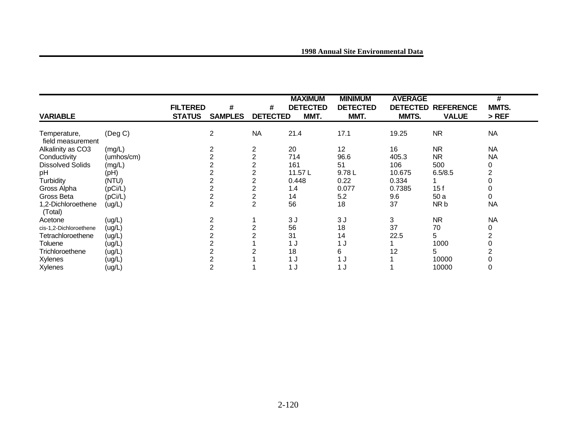|                                   |            |                                  |                     |                      | <b>MAXIMUM</b>          | <b>MINIMUM</b>          | <b>AVERAGE</b>           |                                  | $\overline{\boldsymbol{r}}$ |
|-----------------------------------|------------|----------------------------------|---------------------|----------------------|-------------------------|-------------------------|--------------------------|----------------------------------|-----------------------------|
| <b>VARIABLE</b>                   |            | <b>FILTERED</b><br><b>STATUS</b> | #<br><b>SAMPLES</b> | #<br><b>DETECTED</b> | <b>DETECTED</b><br>MMT. | <b>DETECTED</b><br>MMT. | <b>DETECTED</b><br>MMTS. | <b>REFERENCE</b><br><b>VALUE</b> | MMTS.<br>$>$ REF            |
|                                   |            |                                  |                     |                      |                         |                         |                          |                                  |                             |
| Temperature,<br>field measurement | (Deg C)    |                                  | 2                   | <b>NA</b>            | 21.4                    | 17.1                    | 19.25                    | <b>NR</b>                        | <b>NA</b>                   |
| Alkalinity as CO3                 | (mg/L)     |                                  | 2                   | 2                    | 20                      | 12                      | 16                       | <b>NR</b>                        | <b>NA</b>                   |
| Conductivity                      | (umhos/cm) |                                  |                     | $\overline{2}$       | 714                     | 96.6                    | 405.3                    | <b>NR</b>                        | <b>NA</b>                   |
| <b>Dissolved Solids</b>           | (mg/L)     |                                  |                     | 2                    | 161                     | 51                      | 106                      | 500                              | 0                           |
| pH                                | (Hq)       |                                  |                     | 2                    | 11.57L                  | 9.78L                   | 10.675                   | 6.5/8.5                          |                             |
| Turbidity                         | (NTU)      |                                  |                     | 2                    | 0.448                   | 0.22                    | 0.334                    |                                  |                             |
| Gross Alpha                       | (pCi/L)    |                                  |                     | $\overline{2}$       | 1.4                     | 0.077                   | 0.7385                   | 15f                              | 0                           |
| Gross Beta                        | (pCi/L)    |                                  |                     | $\overline{2}$       | 14                      | 5.2                     | 9.6                      | 50a                              | 0                           |
| 1,2-Dichloroethene<br>(Total)     | (ug/L)     |                                  | 2                   | $\overline{2}$       | 56                      | 18                      | 37                       | NR b                             | <b>NA</b>                   |
| Acetone                           | (ug/L)     |                                  | 2                   |                      | 3J                      | 3J                      | 3                        | <b>NR</b>                        | <b>NA</b>                   |
| cis-1,2-Dichloroethene            | (ug/L)     |                                  |                     | 2                    | 56                      | 18                      | 37                       | 70                               | 0                           |
| Tetrachloroethene                 | (ug/L)     |                                  |                     | 2                    | 31                      | 14                      | 22.5                     | 5                                |                             |
| Toluene                           | (ug/L)     |                                  |                     |                      | 1 <sub>J</sub>          | 1 J                     |                          | 1000                             | 0                           |
| Trichloroethene                   | (ug/L)     |                                  |                     |                      | 18                      | 6                       | 12                       | 5                                |                             |
| <b>Xylenes</b>                    | (ug/L)     |                                  |                     |                      | 1 <sub>J</sub>          | 1 J                     |                          | 10000                            |                             |
| Xylenes                           | (ug/L)     |                                  |                     |                      | 1 <sub>J</sub>          | 1 J                     |                          | 10000                            | 0                           |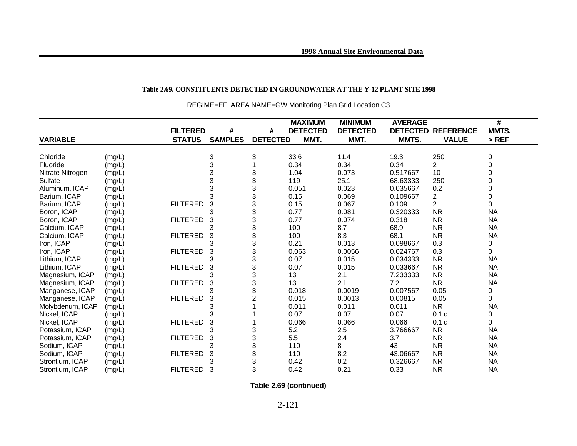### **Table 2.69. CONSTITUENTS DETECTED IN GROUNDWATER AT THE Y-12 PLANT SITE 1998**

REGIME=EF AREA NAME=GW Monitoring Plan Grid Location C3

|                  |        |                 |                |                           | <b>MAXIMUM</b>  | <b>MINIMUM</b>  | <b>AVERAGE</b> |                           | #         |
|------------------|--------|-----------------|----------------|---------------------------|-----------------|-----------------|----------------|---------------------------|-----------|
|                  |        | <b>FILTERED</b> | #              | #                         | <b>DETECTED</b> | <b>DETECTED</b> |                | <b>DETECTED REFERENCE</b> | MMTS.     |
| <b>VARIABLE</b>  |        | <b>STATUS</b>   | <b>SAMPLES</b> | <b>DETECTED</b>           | MMT.            | MMT.            | MMTS.          | <b>VALUE</b>              | $>$ REF   |
| Chloride         | (mg/L) |                 | 3              | 3                         | 33.6            | 11.4            | 19.3           | 250                       | 0         |
| Fluoride         | (mg/L) |                 | 3              |                           | 0.34            | 0.34            | 0.34           | $\overline{2}$            | 0         |
| Nitrate Nitrogen | (mg/L) |                 | 3              | 3                         | 1.04            | 0.073           | 0.517667       | 10                        | 0         |
| Sulfate          | (mg/L) |                 | 3              | 3                         | 119             | 25.1            | 68.63333       | 250                       | 0         |
| Aluminum, ICAP   | (mg/L) |                 | 3              | $\mathsf 3$               | 0.051           | 0.023           | 0.035667       | 0.2                       | 0         |
| Barium, ICAP     | (mg/L) |                 | 3              | $\mathsf 3$               | 0.15            | 0.069           | 0.109667       | $\overline{c}$            | 0         |
| Barium, ICAP     | (mg/L) | <b>FILTERED</b> | 3              | 3                         | 0.15            | 0.067           | 0.109          | $\overline{2}$            | 0         |
| Boron, ICAP      | (mg/L) |                 |                | 3                         | 0.77            | 0.081           | 0.320333       | <b>NR</b>                 | <b>NA</b> |
| Boron, ICAP      | (mg/L) | <b>FILTERED</b> | 3              | $\mathsf 3$               | 0.77            | 0.074           | 0.318          | <b>NR</b>                 | <b>NA</b> |
| Calcium, ICAP    | (mg/L) |                 |                | $\mathsf 3$               | 100             | 8.7             | 68.9           | <b>NR</b>                 | <b>NA</b> |
| Calcium, ICAP    | (mg/L) | <b>FILTERED</b> | 3              | 3                         | 100             | 8.3             | 68.1           | <b>NR</b>                 | <b>NA</b> |
| Iron, ICAP       | (mg/L) |                 | 3              | $\mathsf 3$               | 0.21            | 0.013           | 0.098667       | 0.3                       | 0         |
| Iron, ICAP       | (mg/L) | <b>FILTERED</b> | 3              | $\mathsf 3$               | 0.063           | 0.0056          | 0.024767       | 0.3                       | 0         |
| Lithium, ICAP    | (mg/L) |                 | 3              | $\mathsf 3$               | 0.07            | 0.015           | 0.034333       | <b>NR</b>                 | <b>NA</b> |
| Lithium, ICAP    | (mg/L) | <b>FILTERED</b> | 3              | 3                         | 0.07            | 0.015           | 0.033667       | <b>NR</b>                 | <b>NA</b> |
| Magnesium, ICAP  | (mg/L) |                 |                | $\mathsf 3$               | 13              | 2.1             | 7.233333       | <b>NR</b>                 | <b>NA</b> |
| Magnesium, ICAP  | (mg/L) | <b>FILTERED</b> | 3              | $\mathsf 3$               | 13              | 2.1             | 7.2            | <b>NR</b>                 | <b>NA</b> |
| Manganese, ICAP  | (mg/L) |                 |                | 3                         | 0.018           | 0.0019          | 0.007567       | 0.05                      | 0         |
| Manganese, ICAP  | (mg/L) | <b>FILTERED</b> | 3              | $\overline{2}$            | 0.015           | 0.0013          | 0.00815        | 0.05                      | 0         |
| Molybdenum, ICAP | (mg/L) |                 |                |                           | 0.011           | 0.011           | 0.011          | <b>NR</b>                 | <b>NA</b> |
| Nickel, ICAP     | (mg/L) |                 |                |                           | 0.07            | 0.07            | 0.07           | 0.1 <sub>d</sub>          | 0         |
| Nickel, ICAP     | (mg/L) | <b>FILTERED</b> | 3              |                           | 0.066           | 0.066           | 0.066          | 0.1 <sub>d</sub>          | 0         |
| Potassium, ICAP  | (mg/L) |                 |                | 3                         | 5.2             | 2.5             | 3.766667       | <b>NR</b>                 | <b>NA</b> |
| Potassium, ICAP  | (mg/L) | <b>FILTERED</b> | 3              | $\mathsf 3$               | 5.5             | 2.4             | 3.7            | <b>NR</b>                 | <b>NA</b> |
| Sodium, ICAP     | (mg/L) |                 |                | $\mathsf 3$               | 110             | 8               | 43             | <b>NR</b>                 | <b>NA</b> |
| Sodium, ICAP     | (mg/L) | <b>FILTERED</b> | 3              | 3                         | 110             | 8.2             | 43.06667       | <b>NR</b>                 | <b>NA</b> |
| Strontium, ICAP  | (mg/L) |                 |                | $\ensuremath{\mathsf{3}}$ | 0.42            | 0.2             | 0.326667       | <b>NR</b>                 | <b>NA</b> |
| Strontium, ICAP  | (mg/L) | <b>FILTERED</b> | 3              | 3                         | 0.42            | 0.21            | 0.33           | <b>NR</b>                 | <b>NA</b> |

**Table 2.69 (continued)**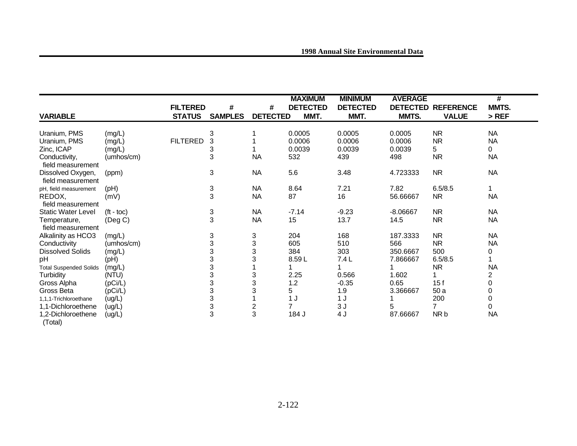|                                        |                    |                 |                |                           | <b>MAXIMUM</b>  | <b>MINIMUM</b>  | <b>AVERAGE</b> |                    | #         |
|----------------------------------------|--------------------|-----------------|----------------|---------------------------|-----------------|-----------------|----------------|--------------------|-----------|
|                                        |                    | <b>FILTERED</b> | #              | #                         | <b>DETECTED</b> | <b>DETECTED</b> |                | DETECTED REFERENCE | MMTS.     |
| <b>VARIABLE</b>                        |                    | <b>STATUS</b>   | <b>SAMPLES</b> | <b>DETECTED</b>           | MMT.            | MMT.            | MMTS.          | <b>VALUE</b>       | $>$ REF   |
|                                        |                    |                 |                |                           |                 |                 |                |                    |           |
| Uranium, PMS                           | (mg/L)             |                 | 3              |                           | 0.0005          | 0.0005          | 0.0005         | <b>NR</b>          | <b>NA</b> |
| Uranium, PMS                           | (mg/L)             | <b>FILTERED</b> | 3              |                           | 0.0006          | 0.0006          | 0.0006         | <b>NR</b>          | <b>NA</b> |
| Zinc, ICAP                             | (mg/L)             |                 | 3              |                           | 0.0039          | 0.0039          | 0.0039         | 5                  | 0         |
| Conductivity,<br>field measurement     | (umhos/cm)         |                 | 3              | <b>NA</b>                 | 532             | 439             | 498            | <b>NR</b>          | <b>NA</b> |
| Dissolved Oxygen,<br>field measurement | (ppm)              |                 | 3              | <b>NA</b>                 | 5.6             | 3.48            | 4.723333       | <b>NR</b>          | <b>NA</b> |
| pH, field measurement                  | (Hq)               |                 | 3              | <b>NA</b>                 | 8.64            | 7.21            | 7.82           | 6.5/8.5            | 1         |
| REDOX,<br>field measurement            | (mV)               |                 | 3              | <b>NA</b>                 | 87              | 16              | 56.66667       | <b>NR</b>          | <b>NA</b> |
| <b>Static Water Level</b>              | $(t - \text{toc})$ |                 | $\mathbf{3}$   | <b>NA</b>                 | $-7.14$         | $-9.23$         | $-8.06667$     | <b>NR</b>          | <b>NA</b> |
| Temperature,<br>field measurement      | (Deg C)            |                 | 3              | <b>NA</b>                 | 15              | 13.7            | 14.5           | <b>NR</b>          | <b>NA</b> |
| Alkalinity as HCO3                     | (mg/L)             |                 | 3              | 3                         | 204             | 168             | 187.3333       | <b>NR</b>          | <b>NA</b> |
| Conductivity                           | (umhos/cm)         |                 | 3              | $\mathsf 3$               | 605             | 510             | 566            | <b>NR</b>          | <b>NA</b> |
| <b>Dissolved Solids</b>                | (mg/L)             |                 | 3              | 3                         | 384             | 303             | 350.6667       | 500                | 0         |
| pH                                     | (pH)               |                 | 3              | 3                         | 8.59L           | 7.4L            | 7.866667       | 6.5/8.5            |           |
| <b>Total Suspended Solids</b>          | (mg/L)             |                 | 3              |                           |                 |                 |                | <b>NR</b>          | <b>NA</b> |
| Turbidity                              | (NTU)              |                 | 3              | $\ensuremath{\mathsf{3}}$ | 2.25            | 0.566           | 1.602          |                    | 2         |
| Gross Alpha                            | (pCi/L)            |                 | 3              | 3                         | 1.2             | $-0.35$         | 0.65           | 15f                |           |
| Gross Beta                             | (pCi/L)            |                 | 3              | 3                         | 5               | 1.9             | 3.366667       | 50 a               | 0         |
| 1.1.1-Trichloroethane                  | (ug/L)             |                 | 3              |                           | 1J              | 1 J             |                | 200                | 0         |
| 1,1-Dichloroethene                     | (ug/L)             |                 | 3              | $\boldsymbol{2}$          | $\overline{7}$  | 3J              | 5              | $\overline{7}$     | 0         |
| 1,2-Dichloroethene<br>(Total)          | (ug/L)             |                 | 3              | 3                         | 184 J           | 4 J             | 87.66667       | NR b               | <b>NA</b> |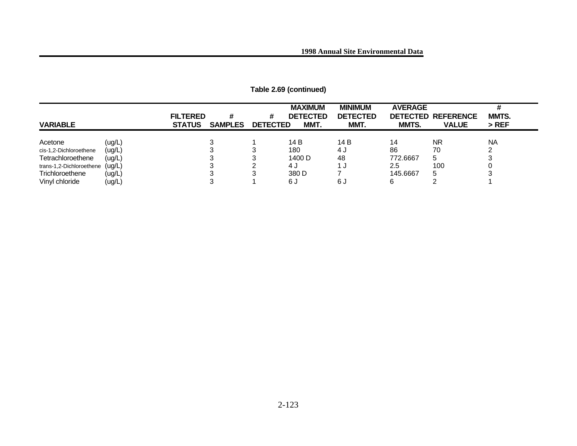| <b>VARIABLE</b>                 |        | <b>FILTERED</b><br><b>STATUS</b> | #<br><b>SAMPLES</b> | #<br><b>DETECTED</b> | <b>MAXIMUM</b><br><b>DETECTED</b><br>MMT. | <b>MINIMUM</b><br><b>DETECTED</b><br>MMT. | <b>AVERAGE</b><br>MMTS. | <b>DETECTED REFERENCE</b><br><b>VALUE</b> | MMTS.<br>> REF |
|---------------------------------|--------|----------------------------------|---------------------|----------------------|-------------------------------------------|-------------------------------------------|-------------------------|-------------------------------------------|----------------|
|                                 |        |                                  |                     |                      | 14 B                                      | 14 B                                      | 14                      | <b>NR</b>                                 | <b>NA</b>      |
| Acetone                         | (ug/L) |                                  |                     |                      |                                           |                                           |                         |                                           |                |
| cis-1,2-Dichloroethene          | (ug/L) |                                  |                     |                      | 180                                       | ل 4                                       | 86                      | 70                                        |                |
| Tetrachloroethene               | (ug/L) |                                  |                     |                      | 1400 D                                    | 48                                        | 772.6667                | 5                                         |                |
| trans-1,2-Dichloroethene (ug/L) |        |                                  |                     |                      | 4 J                                       | 1 ა                                       | 2.5                     | 100                                       |                |
| Trichloroethene                 | (ug/L) |                                  |                     |                      | 380 D                                     |                                           | 145.6667                | 5                                         |                |
| Vinyl chloride                  | (ug/L) |                                  |                     |                      | 6 J                                       | 6 J                                       |                         |                                           |                |

# **Table 2.69 (continued)**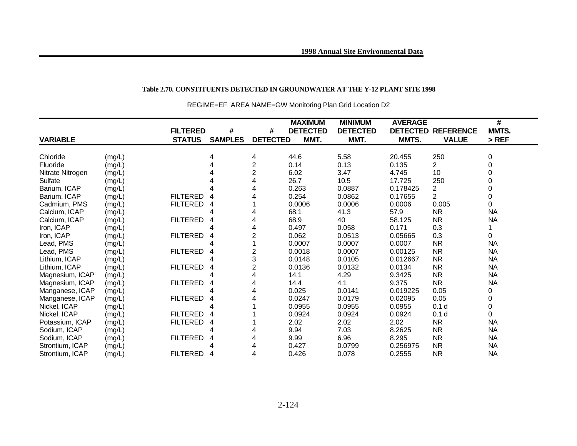### **Table 2.70. CONSTITUENTS DETECTED IN GROUNDWATER AT THE Y-12 PLANT SITE 1998**

REGIME=EF AREA NAME=GW Monitoring Plan Grid Location D2

|                  |        |                 |                |                 | <b>MAXIMUM</b>  | <b>MINIMUM</b>  | <b>AVERAGE</b> |                           | #         |
|------------------|--------|-----------------|----------------|-----------------|-----------------|-----------------|----------------|---------------------------|-----------|
|                  |        | <b>FILTERED</b> | #              | #               | <b>DETECTED</b> | <b>DETECTED</b> |                | <b>DETECTED REFERENCE</b> | MMTS.     |
| <b>VARIABLE</b>  |        | <b>STATUS</b>   | <b>SAMPLES</b> | <b>DETECTED</b> | MMT.            | MMT.            | MMTS.          | <b>VALUE</b>              | > REF     |
| Chloride         | (mg/L) |                 | 4              | 4               | 44.6            | 5.58            | 20.455         | 250                       | 0         |
| Fluoride         | (mg/L) |                 |                | $\overline{c}$  | 0.14            | 0.13            | 0.135          | $\overline{2}$            | 0         |
| Nitrate Nitrogen | (mg/L) |                 |                | $\overline{2}$  | 6.02            | 3.47            | 4.745          | 10                        | 0         |
| Sulfate          | (mg/L) |                 |                | 4               | 26.7            | 10.5            | 17.725         | 250                       | 0         |
| Barium, ICAP     | (mg/L) |                 |                | 4               | 0.263           | 0.0887          | 0.178425       | $\overline{2}$            | 0         |
| Barium, ICAP     | (mg/L) | <b>FILTERED</b> |                |                 | 0.254           | 0.0862          | 0.17655        | $\overline{2}$            |           |
| Cadmium, PMS     | (mg/L) | <b>FILTERED</b> | 4              |                 | 0.0006          | 0.0006          | 0.0006         | 0.005                     | 0         |
| Calcium, ICAP    | (mg/L) |                 |                |                 | 68.1            | 41.3            | 57.9           | <b>NR</b>                 | <b>NA</b> |
| Calcium, ICAP    | (mg/L) | <b>FILTERED</b> | 4              | 4               | 68.9            | 40              | 58.125         | <b>NR</b>                 | <b>NA</b> |
| Iron, ICAP       | (mg/L) |                 |                | 4               | 0.497           | 0.058           | 0.171          | 0.3                       |           |
| Iron, ICAP       | (mg/L) | <b>FILTERED</b> | 4              | $\overline{2}$  | 0.062           | 0.0513          | 0.05665        | 0.3                       | 0         |
| Lead, PMS        | (mg/L) |                 |                |                 | 0.0007          | 0.0007          | 0.0007         | <b>NR</b>                 | <b>NA</b> |
| Lead, PMS        | (mg/L) | <b>FILTERED</b> |                | $\overline{c}$  | 0.0018          | 0.0007          | 0.00125        | <b>NR</b>                 | <b>NA</b> |
| Lithium, ICAP    | (mg/L) |                 |                | 3               | 0.0148          | 0.0105          | 0.012667       | <b>NR</b>                 | <b>NA</b> |
| Lithium, ICAP    | (mg/L) | <b>FILTERED</b> | 4              | $\overline{2}$  | 0.0136          | 0.0132          | 0.0134         | <b>NR</b>                 | <b>NA</b> |
| Magnesium, ICAP  | (mg/L) |                 |                | 4               | 14.1            | 4.29            | 9.3425         | <b>NR</b>                 | <b>NA</b> |
| Magnesium, ICAP  | (mg/L) | <b>FILTERED</b> | 4              | 4               | 14.4            | 4.1             | 9.375          | <b>NR</b>                 | <b>NA</b> |
| Manganese, ICAP  | (mg/L) |                 |                | 4               | 0.025           | 0.0141          | 0.019225       | 0.05                      | 0         |
| Manganese, ICAP  | (mg/L) | <b>FILTERED</b> | 4              |                 | 0.0247          | 0.0179          | 0.02095        | 0.05                      |           |
| Nickel, ICAP     | (mg/L) |                 |                |                 | 0.0955          | 0.0955          | 0.0955         | 0.1 <sub>d</sub>          |           |
| Nickel, ICAP     | (mg/L) | <b>FILTERED</b> | 4              |                 | 0.0924          | 0.0924          | 0.0924         | 0.1 <sub>d</sub>          | 0         |
| Potassium, ICAP  | (mg/L) | <b>FILTERED</b> | 4              |                 | 2.02            | 2.02            | 2.02           | <b>NR</b>                 | <b>NA</b> |
| Sodium, ICAP     | (mg/L) |                 |                |                 | 9.94            | 7.03            | 8.2625         | <b>NR</b>                 | <b>NA</b> |
| Sodium, ICAP     | (mg/L) | <b>FILTERED</b> | 4              | 4               | 9.99            | 6.96            | 8.295          | <b>NR</b>                 | <b>NA</b> |
| Strontium, ICAP  | (mg/L) |                 |                | 4               | 0.427           | 0.0799          | 0.256975       | <b>NR</b>                 | <b>NA</b> |
| Strontium, ICAP  | (mg/L) | <b>FILTERED</b> | 4              | 4               | 0.426           | 0.078           | 0.2555         | <b>NR</b>                 | <b>NA</b> |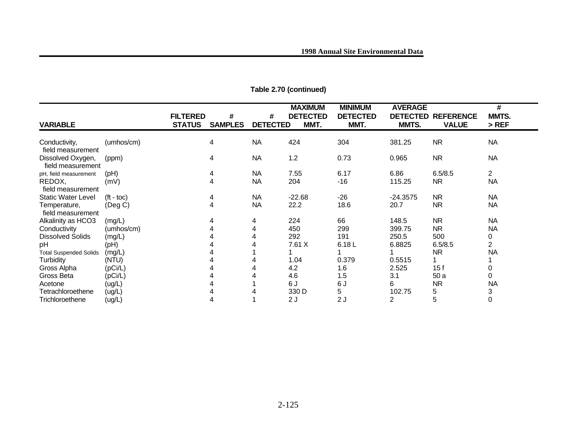|                                        |                    | <b>FILTERED</b> | #              | #               | <b>MAXIMUM</b><br><b>DETECTED</b> | <b>MINIMUM</b><br><b>DETECTED</b> | <b>AVERAGE</b> | <b>DETECTED REFERENCE</b> | #<br>MMTS.     |
|----------------------------------------|--------------------|-----------------|----------------|-----------------|-----------------------------------|-----------------------------------|----------------|---------------------------|----------------|
| <b>VARIABLE</b>                        |                    | <b>STATUS</b>   | <b>SAMPLES</b> | <b>DETECTED</b> | MMT.                              | MMT.                              | MMTS.          | <b>VALUE</b>              | $>$ REF        |
| Conductivity,<br>field measurement     | (umhos/cm)         |                 | 4              | <b>NA</b>       | 424                               | 304                               | 381.25         | <b>NR</b>                 | <b>NA</b>      |
| Dissolved Oxygen,<br>field measurement | (ppm)              |                 | 4              | <b>NA</b>       | 1.2                               | 0.73                              | 0.965          | <b>NR</b>                 | <b>NA</b>      |
| pH, field measurement                  | (PH)               |                 | 4              | <b>NA</b>       | 7.55                              | 6.17                              | 6.86           | 6.5/8.5                   | $\overline{c}$ |
| REDOX,<br>field measurement            | (mV)               |                 | 4              | <b>NA</b>       | 204                               | $-16$                             | 115.25         | <b>NR</b>                 | <b>NA</b>      |
| <b>Static Water Level</b>              | $(t - \text{toc})$ |                 | 4              | <b>NA</b>       | $-22.68$                          | $-26$                             | $-24.3575$     | <b>NR</b>                 | <b>NA</b>      |
| Temperature,<br>field measurement      | $($ Deg C $)$      |                 | 4              | <b>NA</b>       | 22.2                              | 18.6                              | 20.7           | <b>NR</b>                 | <b>NA</b>      |
| Alkalinity as HCO3                     | (mg/L)             |                 | 4              | 4               | 224                               | 66                                | 148.5          | <b>NR</b>                 | <b>NA</b>      |
| Conductivity                           | (umhos/cm)         |                 | 4              | 4               | 450                               | 299                               | 399.75         | <b>NR</b>                 | <b>NA</b>      |
| <b>Dissolved Solids</b>                | (mg/L)             |                 | 4              | 4               | 292                               | 191                               | 250.5          | 500                       | 0              |
| pH                                     | (Hq)               |                 | 4              | 4               | 7.61 X                            | 6.18L                             | 6.8825         | 6.5/8.5                   | $\overline{2}$ |
| <b>Total Suspended Solids</b>          | (mg/L)             |                 | 4              |                 |                                   |                                   |                | <b>NR</b>                 | <b>NA</b>      |
| Turbidity                              | (NTU)              |                 | 4              |                 | 1.04                              | 0.379                             | 0.5515         |                           |                |
| Gross Alpha                            | (pCi/L)            |                 | 4              | 4               | 4.2                               | 1.6                               | 2.525          | 15f                       | 0              |
| Gross Beta                             | (pCi/L)            |                 | 4              |                 | 4.6                               | 1.5                               | 3.1            | 50a                       | 0              |
| Acetone                                | (ug/L)             |                 | 4              |                 | 6J                                | 6J                                | 6              | <b>NR</b>                 | <b>NA</b>      |
| Tetrachloroethene                      | (ug/L)             |                 | 4              |                 | 330 D                             | 5                                 | 102.75         | 5                         | 3              |
| Trichloroethene                        | (ug/L)             |                 | 4              |                 | 2J                                | 2J                                | 2              | 5                         | 0              |

# **Table 2.70 (continued)**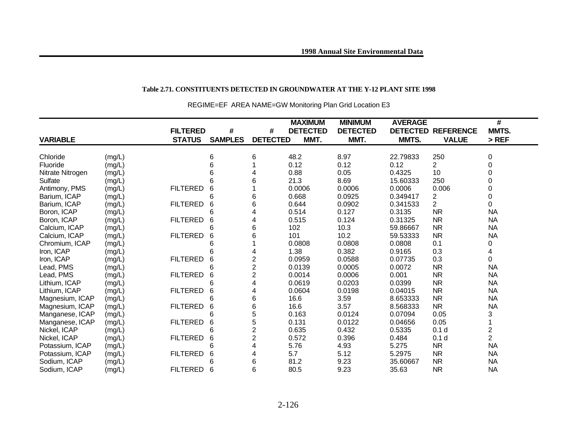### **Table 2.71. CONSTITUENTS DETECTED IN GROUNDWATER AT THE Y-12 PLANT SITE 1998**

REGIME=EF AREA NAME=GW Monitoring Plan Grid Location E3

|                  |        |                 |                |                 | <b>MAXIMUM</b>  | <b>MINIMUM</b>  | <b>AVERAGE</b> |                           | #              |
|------------------|--------|-----------------|----------------|-----------------|-----------------|-----------------|----------------|---------------------------|----------------|
|                  |        | <b>FILTERED</b> | #              | #               | <b>DETECTED</b> | <b>DETECTED</b> |                | <b>DETECTED REFERENCE</b> | MMTS.          |
| <b>VARIABLE</b>  |        | <b>STATUS</b>   | <b>SAMPLES</b> | <b>DETECTED</b> | MMT.            | MMT.            | MMTS.          | <b>VALUE</b>              | $>$ REF        |
| Chloride         | (mg/L) |                 | 6              | 6               | 48.2            | 8.97            | 22.79833       | 250                       | 0              |
| Fluoride         | (mg/L) |                 | 6              |                 | 0.12            | 0.12            | 0.12           | $\overline{2}$            | 0              |
| Nitrate Nitrogen | (mg/L) |                 | 6              |                 | 0.88            | 0.05            | 0.4325         | 10                        | 0              |
| Sulfate          | (mg/L) |                 |                | 6               | 21.3            | 8.69            | 15.60333       | 250                       | 0              |
| Antimony, PMS    | (mg/L) | <b>FILTERED</b> | 6              |                 | 0.0006          | 0.0006          | 0.0006         | 0.006                     | 0              |
| Barium, ICAP     | (mg/L) |                 | հ              | 6               | 0.668           | 0.0925          | 0.349417       | 2                         | 0              |
| Barium, ICAP     | (mg/L) | <b>FILTERED</b> | 6              | 6               | 0.644           | 0.0902          | 0.341533       | $\overline{2}$            | 0              |
| Boron, ICAP      | (mg/L) |                 |                | 4               | 0.514           | 0.127           | 0.3135         | <b>NR</b>                 | <b>NA</b>      |
| Boron, ICAP      | (mg/L) | <b>FILTERED</b> | 6              | 4               | 0.515           | 0.124           | 0.31325        | <b>NR</b>                 | <b>NA</b>      |
| Calcium, ICAP    | (mg/L) |                 |                | 6               | 102             | 10.3            | 59.86667       | <b>NR</b>                 | <b>NA</b>      |
| Calcium, ICAP    | (mg/L) | <b>FILTERED</b> | 6              | 6               | 101             | 10.2            | 59.53333       | <b>NR</b>                 | <b>NA</b>      |
| Chromium, ICAP   | (mg/L) |                 | հ              |                 | 0.0808          | 0.0808          | 0.0808         | 0.1                       | 0              |
| Iron, ICAP       | (mg/L) |                 | რ              | 4               | 1.38            | 0.382           | 0.9165         | 0.3                       | 4              |
| Iron, ICAP       | (mg/L) | <b>FILTERED</b> | 6              | $\overline{c}$  | 0.0959          | 0.0588          | 0.07735        | 0.3                       | 0              |
| Lead, PMS        | (mg/L) |                 |                | $\overline{2}$  | 0.0139          | 0.0005          | 0.0072         | <b>NR</b>                 | <b>NA</b>      |
| Lead, PMS        | (mg/L) | <b>FILTERED</b> | 6              | $\overline{2}$  | 0.0014          | 0.0006          | 0.001          | <b>NR</b>                 | <b>NA</b>      |
| Lithium, ICAP    | (mg/L) |                 |                | 4               | 0.0619          | 0.0203          | 0.0399         | <b>NR</b>                 | <b>NA</b>      |
| Lithium, ICAP    | (mg/L) | <b>FILTERED</b> | 6              | 4               | 0.0604          | 0.0198          | 0.04015        | <b>NR</b>                 | <b>NA</b>      |
| Magnesium, ICAP  | (mg/L) |                 |                | $\,6\,$         | 16.6            | 3.59            | 8.653333       | <b>NR</b>                 | <b>NA</b>      |
| Magnesium, ICAP  | (mg/L) | <b>FILTERED</b> | 6              | 6               | 16.6            | 3.57            | 8.568333       | <b>NR</b>                 | <b>NA</b>      |
| Manganese, ICAP  | (mg/L) |                 | ิค             | 5               | 0.163           | 0.0124          | 0.07094        | 0.05                      | 3              |
| Manganese, ICAP  | (mg/L) | <b>FILTERED</b> | 6              | $\sqrt{5}$      | 0.131           | 0.0122          | 0.04656        | 0.05                      |                |
| Nickel, ICAP     | (mg/L) |                 | 6              | $\overline{2}$  | 0.635           | 0.432           | 0.5335         | 0.1 <sub>d</sub>          | $\overline{c}$ |
| Nickel, ICAP     | (mg/L) | <b>FILTERED</b> | 6              | $\overline{c}$  | 0.572           | 0.396           | 0.484          | 0.1 <sub>d</sub>          | $\overline{2}$ |
| Potassium, ICAP  | (mg/L) |                 |                | 4               | 5.76            | 4.93            | 5.275          | <b>NR</b>                 | <b>NA</b>      |
| Potassium, ICAP  | (mg/L) | <b>FILTERED</b> | 6              | 4               | 5.7             | 5.12            | 5.2975         | <b>NR</b>                 | <b>NA</b>      |
| Sodium, ICAP     | (mg/L) |                 | 6              | 6               | 81.2            | 9.23            | 35.60667       | <b>NR</b>                 | <b>NA</b>      |
| Sodium, ICAP     | (mg/L) | <b>FILTERED</b> | 6              | 6               | 80.5            | 9.23            | 35.63          | <b>NR</b>                 | <b>NA</b>      |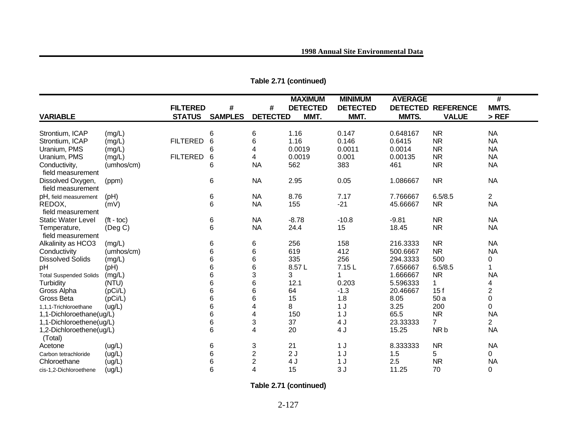|                                        |             |                 |                 |                 | <b>MAXIMUM</b>  | <b>MINIMUM</b>  | <b>AVERAGE</b> |                           | $\overline{\boldsymbol{t}}$ |
|----------------------------------------|-------------|-----------------|-----------------|-----------------|-----------------|-----------------|----------------|---------------------------|-----------------------------|
|                                        |             | <b>FILTERED</b> | #               | #               | <b>DETECTED</b> | <b>DETECTED</b> |                | <b>DETECTED REFERENCE</b> | MMTS.                       |
| <b>VARIABLE</b>                        |             | <b>STATUS</b>   | <b>SAMPLES</b>  | <b>DETECTED</b> | MMT.            | MMT.            | MMTS.          | <b>VALUE</b>              | $>$ REF                     |
| Strontium, ICAP                        | (mg/L)      |                 | 6               | 6               | 1.16            | 0.147           | 0.648167       | <b>NR</b>                 | <b>NA</b>                   |
| Strontium, ICAP                        | (mg/L)      | <b>FILTERED</b> | 6               | 6               | 1.16            | 0.146           | 0.6415         | <b>NR</b>                 | <b>NA</b>                   |
| Uranium, PMS                           | (mg/L)      |                 |                 | 4               | 0.0019          | 0.0011          | 0.0014         | <b>NR</b>                 | <b>NA</b>                   |
| Uranium, PMS                           | (mg/L)      | <b>FILTERED</b> | 6               | 4               | 0.0019          | 0.001           | 0.00135        | <b>NR</b>                 | <b>NA</b>                   |
| Conductivity,                          | (umhos/cm)  |                 | 6               | <b>NA</b>       | 562             | 383             | 461            | <b>NR</b>                 | <b>NA</b>                   |
| field measurement                      |             |                 |                 |                 |                 |                 |                |                           |                             |
| Dissolved Oxygen,<br>field measurement | (ppm)       |                 | 6               | <b>NA</b>       | 2.95            | 0.05            | 1.086667       | <b>NR</b>                 | <b>NA</b>                   |
| pH, field measurement                  | (PH)        |                 | 6               | <b>NA</b>       | 8.76            | 7.17            | 7.766667       | 6.5/8.5                   | $\overline{2}$              |
| REDOX,<br>field measurement            | (mV)        |                 | 6               | <b>NA</b>       | 155             | $-21$           | 45.66667       | <b>NR</b>                 | <b>NA</b>                   |
| <b>Static Water Level</b>              | $(t - toc)$ |                 | 6               | <b>NA</b>       | $-8.78$         | $-10.8$         | $-9.81$        | <b>NR</b>                 | <b>NA</b>                   |
| Temperature,<br>field measurement      | (Deg C)     |                 | 6               | <b>NA</b>       | 24.4            | 15              | 18.45          | <b>NR</b>                 | <b>NA</b>                   |
| Alkalinity as HCO3                     | (mg/L)      |                 | 6               | 6               | 256             | 158             | 216.3333       | <b>NR</b>                 | <b>NA</b>                   |
| Conductivity                           | (umhos/cm)  |                 | 6               | 6               | 619             | 412             | 500.6667       | <b>NR</b>                 | <b>NA</b>                   |
| <b>Dissolved Solids</b>                | (mg/L)      |                 | 6               | 6               | 335             | 256             | 294.3333       | 500                       | 0                           |
| pH                                     | (PH)        |                 | 6               | 6               | 8.57L           | 7.15L           | 7.656667       | 6.5/8.5                   | 1                           |
| <b>Total Suspended Solids</b>          | (mg/L)      |                 | 6               | 3               | 3               |                 | 1.666667       | <b>NR</b>                 | <b>NA</b>                   |
| Turbidity                              | (NTU)       |                 | 6               | 6               | 12.1            | 0.203           | 5.596333       |                           | 4                           |
| Gross Alpha                            | (pCi/L)     |                 | 6               | 6               | 64              | $-1.3$          | 20.46667       | 15f                       | $\overline{2}$              |
| Gross Beta                             | (pCi/L)     |                 | 6               | 6               | 15              | 1.8             | 8.05           | 50a                       | $\mathbf 0$                 |
| 1,1,1-Trichloroethane                  | (ug/L)      |                 | 6               | 4               | 8               | 1J              | 3.25           | 200                       | 0                           |
| 1,1-Dichloroethane(ug/L)               |             |                 | 6               | 4               | 150             | 1 <sub>J</sub>  | 65.5           | <b>NR</b>                 | <b>NA</b>                   |
| 1,1-Dichloroethene(ug/L)               |             |                 | $6\phantom{1}6$ | 3               | 37              | 4 J             | 23.33333       | $\overline{7}$            | $\overline{2}$              |
| 1,2-Dichloroethene(ug/L)<br>(Total)    |             |                 | 6               | 4               | 20              | 4 J             | 15.25          | NR b                      | <b>NA</b>                   |
| Acetone                                | (ug/L)      |                 | 6               | 3               | 21              | 1 <sub>J</sub>  | 8.333333       | <b>NR</b>                 | <b>NA</b>                   |
| Carbon tetrachloride                   | (ug/L)      |                 | 6               | $\overline{c}$  | 2J              | 1 J             | 1.5            | 5                         | 0                           |
| Chloroethane                           | (ug/L)      |                 | 6               | $\overline{c}$  | 4 J             | 1 <sub>J</sub>  | 2.5            | <b>NR</b>                 | <b>NA</b>                   |
| cis-1,2-Dichloroethene                 | (ug/L)      |                 | 6               | 4               | 15              | 3J              | 11.25          | 70                        | 0                           |

# **Table 2.71 (continued)**

**Table 2.71 (continued)**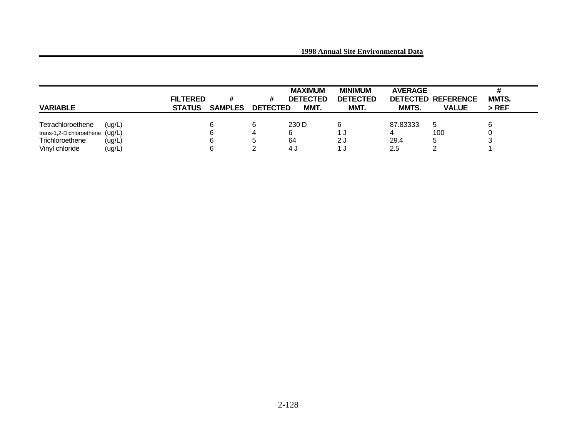|  | <b>1998 Annual Site Environmental Data</b> |  |
|--|--------------------------------------------|--|
|--|--------------------------------------------|--|

| <b>VARIABLE</b>                 |         | <b>FILTERED</b><br><b>STATUS</b> | <b>SAMPLES</b> | #<br><b>DETECTED</b> | <b>MAXIMUM</b><br><b>DETECTED</b><br>MMT. | <b>MINIMUM</b><br><b>DETECTED</b><br>MMT. | <b>AVERAGE</b><br>MMTS. | <b>DETECTED REFERENCE</b><br><b>VALUE</b> | MMTS.<br>> REF |
|---------------------------------|---------|----------------------------------|----------------|----------------------|-------------------------------------------|-------------------------------------------|-------------------------|-------------------------------------------|----------------|
|                                 |         |                                  |                |                      |                                           |                                           |                         |                                           |                |
| Tetrachloroethene               | ( uq/L) |                                  |                |                      | 230 D                                     |                                           | 87.83333                |                                           |                |
| trans-1,2-Dichloroethene (ug/L) |         |                                  |                | 4                    | 6                                         | ึJ                                        |                         | 100                                       |                |
| Trichloroethene                 | (ug/L)  |                                  |                | G                    | 64                                        | 2 J                                       | 29.4                    |                                           |                |
| Vinyl chloride                  | (ug/L)  |                                  |                |                      | ں 4                                       | ່ J                                       | 2.5                     |                                           |                |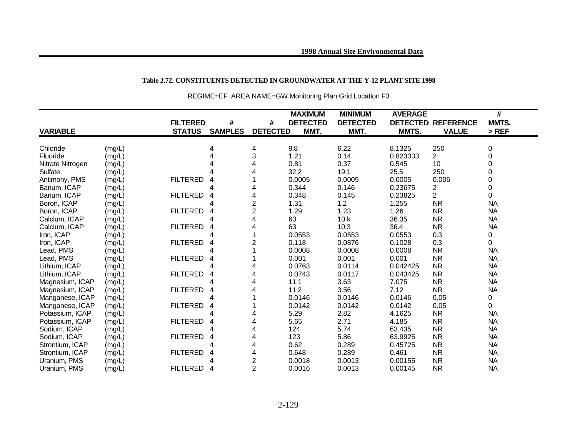### **Table 2.72. CONSTITUENTS DETECTED IN GROUNDWATER AT THE Y-12 PLANT SITE 1998**

| REGIME=EF AREA NAME=GW Monitoring Plan Grid Location F3 |  |
|---------------------------------------------------------|--|
|---------------------------------------------------------|--|

|                  |        |                 |                |                 | <b>MAXIMUM</b>  | <b>MINIMUM</b>  | <b>AVERAGE</b> |                           | #         |
|------------------|--------|-----------------|----------------|-----------------|-----------------|-----------------|----------------|---------------------------|-----------|
|                  |        | <b>FILTERED</b> | #              | #               | <b>DETECTED</b> | <b>DETECTED</b> |                | <b>DETECTED REFERENCE</b> | MMTS.     |
| <b>VARIABLE</b>  |        | <b>STATUS</b>   | <b>SAMPLES</b> | <b>DETECTED</b> | MMT.            | MMT.            | MMTS.          | <b>VALUE</b>              | $>$ REF   |
|                  |        |                 |                |                 |                 |                 |                |                           |           |
| Chloride         | (mg/L) |                 |                | 4               | 9.8             | 6.22            | 8.1325         | 250                       | 0         |
| Fluoride         | (mg/L) |                 |                | 3               | 1.21            | 0.14            | 0.823333       | $\overline{2}$            | 0         |
| Nitrate Nitrogen | (mg/L) |                 |                | 4               | 0.81            | 0.37            | 0.545          | 10                        | 0         |
| Sulfate          | (mg/L) |                 |                |                 | 32.2            | 19.1            | 25.5           | 250                       | 0         |
| Antimony, PMS    | (mg/L) | <b>FILTERED</b> |                |                 | 0.0005          | 0.0005          | 0.0005         | 0.006                     | 0         |
| Barium, ICAP     | (mg/L) |                 |                | 4               | 0.344           | 0.146           | 0.23675        | 2                         | 0         |
| Barium, ICAP     | (mg/L) | <b>FILTERED</b> | 4              | 4               | 0.348           | 0.145           | 0.23825        | $\overline{2}$            | 0         |
| Boron, ICAP      | (mg/L) |                 |                | $\overline{c}$  | 1.31            | 1.2             | 1.255          | <b>NR</b>                 | <b>NA</b> |
| Boron, ICAP      | (mg/L) | <b>FILTERED</b> | 4              | $\overline{2}$  | 1.29            | 1.23            | 1.26           | <b>NR</b>                 | <b>NA</b> |
| Calcium, ICAP    | (mg/L) |                 |                | 4               | 63              | 10k             | 36.35          | <b>NR</b>                 | <b>NA</b> |
| Calcium, ICAP    | (mg/L) | <b>FILTERED</b> | 4              | 4               | 63              | 10.3            | 36.4           | <b>NR</b>                 | <b>NA</b> |
| Iron, ICAP       | (mg/L) |                 |                |                 | 0.0553          | 0.0553          | 0.0553         | 0.3                       | 0         |
| Iron, ICAP       | (mg/L) | <b>FILTERED</b> | 4              | 2               | 0.118           | 0.0876          | 0.1028         | 0.3                       | 0         |
| Lead, PMS        | (mg/L) |                 |                |                 | 0.0008          | 0.0008          | 0.0008         | <b>NR</b>                 | <b>NA</b> |
| Lead, PMS        | (mg/L) | <b>FILTERED</b> | 4              |                 | 0.001           | 0.001           | 0.001          | <b>NR</b>                 | <b>NA</b> |
| Lithium, ICAP    | (mg/L) |                 |                |                 | 0.0763          | 0.0114          | 0.042425       | <b>NR</b>                 | <b>NA</b> |
| Lithium, ICAP    | (mg/L) | <b>FILTERED</b> | 4              | 4               | 0.0743          | 0.0117          | 0.043425       | <b>NR</b>                 | <b>NA</b> |
| Magnesium, ICAP  | (mg/L) |                 |                | 4               | 11.1            | 3.63            | 7.075          | <b>NR</b>                 | <b>NA</b> |
| Magnesium, ICAP  | (mg/L) | <b>FILTERED</b> | 4              | Δ               | 11.2            | 3.56            | 7.12           | <b>NR</b>                 | <b>NA</b> |
| Manganese, ICAP  | (mg/L) |                 |                |                 | 0.0146          | 0.0146          | 0.0146         | 0.05                      | 0         |
| Manganese, ICAP  | (mg/L) | <b>FILTERED</b> | 4              |                 | 0.0142          | 0.0142          | 0.0142         | 0.05                      | 0         |
| Potassium, ICAP  | (mg/L) |                 |                |                 | 5.29            | 2.82            | 4.1625         | <b>NR</b>                 | <b>NA</b> |
| Potassium, ICAP  | (mg/L) | <b>FILTERED</b> | 4              | 4               | 5.65            | 2.71            | 4.185          | <b>NR</b>                 | <b>NA</b> |
| Sodium, ICAP     | (mg/L) |                 |                | 4               | 124             | 5.74            | 63.435         | <b>NR</b>                 | <b>NA</b> |
| Sodium, ICAP     | (mg/L) | <b>FILTERED</b> | 4              | 4               | 123             | 5.86            | 63.9925        | <b>NR</b>                 | <b>NA</b> |
| Strontium, ICAP  | (mg/L) |                 |                | 4               | 0.62            | 0.289           | 0.45725        | <b>NR</b>                 | <b>NA</b> |
| Strontium, ICAP  | (mg/L) | <b>FILTERED</b> | 4              | 4               | 0.648           | 0.289           | 0.461          | <b>NR</b>                 | <b>NA</b> |
| Uranium, PMS     | (mg/L) |                 |                | $\overline{c}$  | 0.0018          | 0.0013          | 0.00155        | <b>NR</b>                 | <b>NA</b> |
| Uranium, PMS     | (mg/L) | <b>FILTERED</b> | 4              | $\overline{2}$  | 0.0016          | 0.0013          | 0.00145        | <b>NR</b>                 | <b>NA</b> |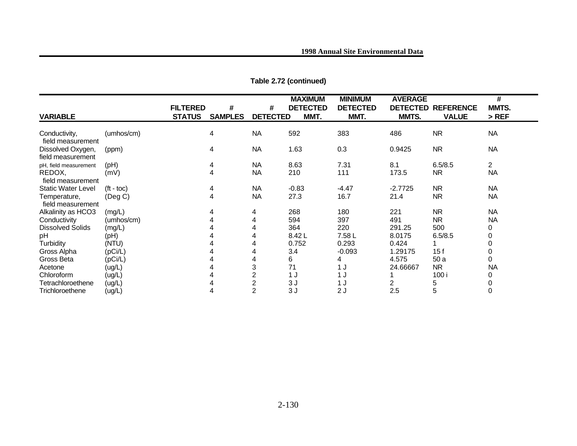|                                   |             |                 |                |                         | <b>MAXIMUM</b>  | <b>MINIMUM</b>  | <b>AVERAGE</b> |                           | #              |
|-----------------------------------|-------------|-----------------|----------------|-------------------------|-----------------|-----------------|----------------|---------------------------|----------------|
|                                   |             | <b>FILTERED</b> | #              | #                       | <b>DETECTED</b> | <b>DETECTED</b> |                | <b>DETECTED REFERENCE</b> | MMTS.          |
| <b>VARIABLE</b>                   |             | <b>STATUS</b>   | <b>SAMPLES</b> | <b>DETECTED</b>         | MMT.            | MMT.            | MMTS.          | <b>VALUE</b>              | $>$ REF        |
| Conductivity,                     | (umhos/cm)  |                 | 4              | <b>NA</b>               | 592             | 383             | 486            | <b>NR</b>                 | <b>NA</b>      |
| field measurement                 |             |                 |                |                         |                 |                 |                |                           |                |
| Dissolved Oxygen,                 | (ppm)       |                 | 4              | <b>NA</b>               | 1.63            | 0.3             | 0.9425         | <b>NR</b>                 | <b>NA</b>      |
| field measurement                 |             |                 |                |                         |                 |                 |                |                           |                |
| pH, field measurement             | (Hq)        |                 | 4              | <b>NA</b>               | 8.63            | 7.31            | 8.1            | 6.5/8.5                   | $\overline{2}$ |
| REDOX,                            | (mV)        |                 | 4              | <b>NA</b>               | 210             | 111             | 173.5          | <b>NR</b>                 | <b>NA</b>      |
| field measurement                 |             |                 |                |                         |                 |                 |                |                           |                |
| <b>Static Water Level</b>         | $(t - toc)$ |                 | 4              | <b>NA</b>               | $-0.83$         | $-4.47$         | $-2.7725$      | <b>NR</b>                 | <b>NA</b>      |
| Temperature,<br>field measurement | (Deg C)     |                 | 4              | <b>NA</b>               | 27.3            | 16.7            | 21.4           | <b>NR</b>                 | <b>NA</b>      |
| Alkalinity as HCO3                | (mg/L)      |                 | 4              | 4                       | 268             | 180             | 221            | <b>NR</b>                 | <b>NA</b>      |
| Conductivity                      | (umhos/cm)  |                 | 4              | 4                       | 594             | 397             | 491            | <b>NR</b>                 | <b>NA</b>      |
| <b>Dissolved Solids</b>           | (mg/L)      |                 | 4              | 4                       | 364             | 220             | 291.25         | 500                       | 0              |
| рH                                | (Hq)        |                 | 4              | 4                       | 8.42L           | 7.58L           | 8.0175         | 6.5/8.5                   | 0              |
| Turbidity                         | (NTU)       |                 | 4              | 4                       | 0.752           | 0.293           | 0.424          |                           | 0              |
| Gross Alpha                       | (pCi/L)     |                 | 4              | 4                       | 3.4             | $-0.093$        | 1.29175        | 15f                       | 0              |
| Gross Beta                        | (pCi/L)     |                 |                | 4                       | 6               | 4               | 4.575          | 50a                       | 0              |
| Acetone                           | (ug/L)      |                 |                | 3                       | 71              | 1 J             | 24.66667       | <b>NR</b>                 | <b>NA</b>      |
| Chloroform                        | (ug/L)      |                 |                | $\overline{c}$          | 1 J             | 1 J             |                | 100 i                     | 0              |
| Tetrachloroethene                 | (ug/L)      |                 |                | $\overline{\mathbf{c}}$ | 3J              | 1 J             | 2              | 5                         | 0              |
| Trichloroethene                   | (ug/L)      |                 | 4              | $\overline{2}$          | 3J              | 2J              | 2.5            | 5                         | 0              |

# **Table 2.72 (continued)**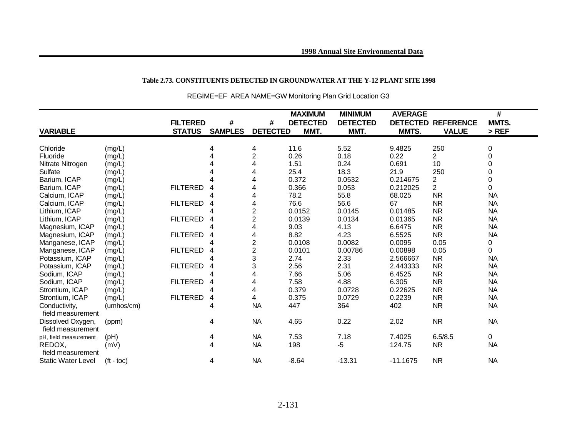### **Table 2.73. CONSTITUENTS DETECTED IN GROUNDWATER AT THE Y-12 PLANT SITE 1998**

|                                        |             |                 |                |                  | <b>MAXIMUM</b>  | <b>MINIMUM</b>  | <b>AVERAGE</b> |                           | #         |
|----------------------------------------|-------------|-----------------|----------------|------------------|-----------------|-----------------|----------------|---------------------------|-----------|
|                                        |             | <b>FILTERED</b> | #              | #                | <b>DETECTED</b> | <b>DETECTED</b> |                | <b>DETECTED REFERENCE</b> | MMTS.     |
| <b>VARIABLE</b>                        |             | <b>STATUS</b>   | <b>SAMPLES</b> | <b>DETECTED</b>  | MMT.            | MMT.            | MMTS.          | <b>VALUE</b>              | $>$ REF   |
|                                        |             |                 |                |                  |                 |                 |                |                           |           |
| Chloride                               | (mg/L)      |                 | 4              | 4                | 11.6            | 5.52            | 9.4825         | 250                       | 0         |
| Fluoride                               | (mg/L)      |                 |                | $\overline{c}$   | 0.26            | 0.18            | 0.22           | $\overline{2}$            | 0         |
| Nitrate Nitrogen                       | (mg/L)      |                 |                | 4                | 1.51            | 0.24            | 0.691          | 10                        | 0         |
| Sulfate                                | (mg/L)      |                 |                | 4                | 25.4            | 18.3            | 21.9           | 250                       | 0         |
| Barium, ICAP                           | (mg/L)      |                 |                | 4                | 0.372           | 0.0532          | 0.214675       | $\overline{2}$            | 0         |
| Barium, ICAP                           | (mg/L)      | <b>FILTERED</b> | 4              | 4                | 0.366           | 0.053           | 0.212025       | $\overline{2}$            | 0         |
| Calcium, ICAP                          | (mg/L)      |                 |                | 4                | 78.2            | 55.8            | 68.025         | <b>NR</b>                 | <b>NA</b> |
| Calcium, ICAP                          | (mg/L)      | <b>FILTERED</b> | 4              | 4                | 76.6            | 56.6            | 67             | <b>NR</b>                 | <b>NA</b> |
| Lithium, ICAP                          | (mg/L)      |                 |                | $\overline{c}$   | 0.0152          | 0.0145          | 0.01485        | <b>NR</b>                 | <b>NA</b> |
| Lithium, ICAP                          | (mg/L)      | <b>FILTERED</b> | 4              | $\overline{2}$   | 0.0139          | 0.0134          | 0.01365        | <b>NR</b>                 | <b>NA</b> |
| Magnesium, ICAP                        | (mg/L)      |                 |                | 4                | 9.03            | 4.13            | 6.6475         | <b>NR</b>                 | <b>NA</b> |
| Magnesium, ICAP                        | (mg/L)      | <b>FILTERED</b> | 4              | 4                | 8.82            | 4.23            | 6.5525         | <b>NR</b>                 | <b>NA</b> |
| Manganese, ICAP                        | (mg/L)      |                 |                | $\overline{2}$   | 0.0108          | 0.0082          | 0.0095         | 0.05                      | 0         |
| Manganese, ICAP                        | (mg/L)      | <b>FILTERED</b> | 4              | $\boldsymbol{2}$ | 0.0101          | 0.00786         | 0.00898        | 0.05                      | 0         |
| Potassium, ICAP                        | (mg/L)      |                 |                | 3                | 2.74            | 2.33            | 2.566667       | <b>NR</b>                 | <b>NA</b> |
| Potassium, ICAP                        | (mg/L)      | <b>FILTERED</b> | 4              | 3                | 2.56            | 2.31            | 2.443333       | <b>NR</b>                 | <b>NA</b> |
| Sodium, ICAP                           | (mg/L)      |                 |                | 4                | 7.66            | 5.06            | 6.4525         | <b>NR</b>                 | <b>NA</b> |
| Sodium, ICAP                           | (mg/L)      | <b>FILTERED</b> | 4              | 4                | 7.58            | 4.88            | 6.305          | <b>NR</b>                 | <b>NA</b> |
| Strontium, ICAP                        | (mg/L)      |                 |                | 4                | 0.379           | 0.0728          | 0.22625        | <b>NR</b>                 | <b>NA</b> |
| Strontium, ICAP                        | (mg/L)      | <b>FILTERED</b> | 4              | 4                | 0.375           | 0.0729          | 0.2239         | <b>NR</b>                 | <b>NA</b> |
| Conductivity,<br>field measurement     | (umhos/cm)  |                 | 4              | <b>NA</b>        | 447             | 364             | 402            | <b>NR</b>                 | <b>NA</b> |
| Dissolved Oxygen,<br>field measurement | (ppm)       |                 | 4              | <b>NA</b>        | 4.65            | 0.22            | 2.02           | <b>NR</b>                 | <b>NA</b> |
| pH, field measurement                  | (pH)        |                 | 4              | <b>NA</b>        | 7.53            | 7.18            | 7.4025         | 6.5/8.5                   | 0         |
| REDOX,<br>field measurement            | (mV)        |                 | 4              | <b>NA</b>        | 198             | $-5$            | 124.75         | <b>NR</b>                 | <b>NA</b> |
| <b>Static Water Level</b>              | $(t - toc)$ |                 | 4              | <b>NA</b>        | $-8.64$         | $-13.31$        | $-11.1675$     | <b>NR</b>                 | <b>NA</b> |

REGIME=EF AREA NAME=GW Monitoring Plan Grid Location G3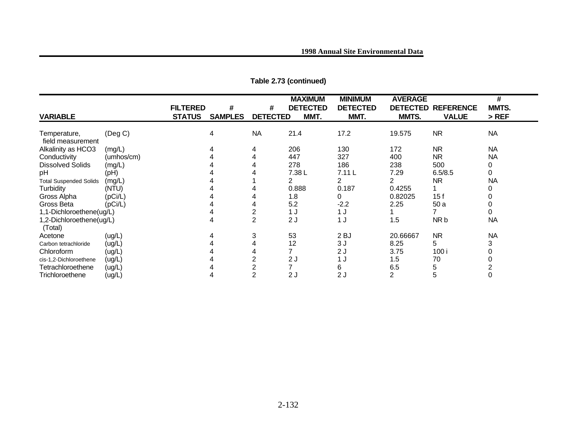| <b>VARIABLE</b>                     |            | <b>FILTERED</b><br><b>STATUS</b> | #<br><b>SAMPLES</b> | #<br><b>DETECTED</b> | <b>MAXIMUM</b><br><b>DETECTED</b><br>MMT. | <b>MINIMUM</b><br><b>DETECTED</b><br>MMT. | <b>AVERAGE</b><br>MMTS. | <b>DETECTED REFERENCE</b><br><b>VALUE</b> | #<br>MMTS.<br>$>$ REF |
|-------------------------------------|------------|----------------------------------|---------------------|----------------------|-------------------------------------------|-------------------------------------------|-------------------------|-------------------------------------------|-----------------------|
|                                     |            |                                  |                     |                      |                                           |                                           |                         |                                           |                       |
| Temperature,<br>field measurement   | (Deg C)    |                                  | 4                   | <b>NA</b>            | 21.4                                      | 17.2                                      | 19.575                  | <b>NR</b>                                 | <b>NA</b>             |
| Alkalinity as HCO3                  | (mg/L)     |                                  |                     | 4                    | 206                                       | 130                                       | 172                     | <b>NR</b>                                 | <b>NA</b>             |
| Conductivity                        | (umhos/cm) |                                  |                     | 4                    | 447                                       | 327                                       | 400                     | <b>NR</b>                                 | <b>NA</b>             |
| <b>Dissolved Solids</b>             | (mg/L)     |                                  |                     |                      | 278                                       | 186                                       | 238                     | 500                                       |                       |
| рH                                  | (Hq)       |                                  |                     | 4                    | 7.38L                                     | 7.11L                                     | 7.29                    | 6.5/8.5                                   | 0                     |
| <b>Total Suspended Solids</b>       | (mg/L)     |                                  |                     |                      | 2                                         | 2                                         |                         | <b>NR</b>                                 | <b>NA</b>             |
| Turbidity                           | (NTU)      |                                  |                     | 4                    | 0.888                                     | 0.187                                     | 0.4255                  |                                           | 0                     |
| Gross Alpha                         | (pCi/L)    |                                  |                     | 4                    | 1.8                                       |                                           | 0.82025                 | 15f                                       |                       |
| Gross Beta                          | (pCi/L)    |                                  |                     | 4                    | 5.2                                       | $-2.2$                                    | 2.25                    | 50a                                       |                       |
| 1,1-Dichloroethene(ug/L)            |            |                                  |                     | 2                    | 1 J                                       | 1 J                                       |                         |                                           |                       |
| 1,2-Dichloroethene(ug/L)<br>(Total) |            |                                  |                     | $\overline{2}$       | 2J                                        | 1J                                        | 1.5                     | NR b                                      | <b>NA</b>             |
| Acetone                             | (ug/L)     |                                  |                     | 3                    | 53                                        | 2BJ                                       | 20.66667                | <b>NR</b>                                 | <b>NA</b>             |
| Carbon tetrachloride                | (ug/L)     |                                  |                     | 4                    | 12                                        | 3J                                        | 8.25                    | 5                                         | 3                     |
| Chloroform                          | (ug/L)     |                                  |                     | 4                    |                                           | 2J                                        | 3.75                    | 100 i                                     |                       |
| cis-1,2-Dichloroethene              | (ug/L)     |                                  |                     | 2                    | 2J                                        | 1 J                                       | 1.5                     | 70                                        |                       |
| Tetrachloroethene                   | (ug/L)     |                                  |                     | 2                    |                                           | 6                                         | 6.5                     | 5                                         |                       |
| Trichloroethene                     | (ug/L)     |                                  |                     | 2                    | 2J                                        | 2J                                        | 2                       | 5                                         |                       |

# **Table 2.73 (continued)**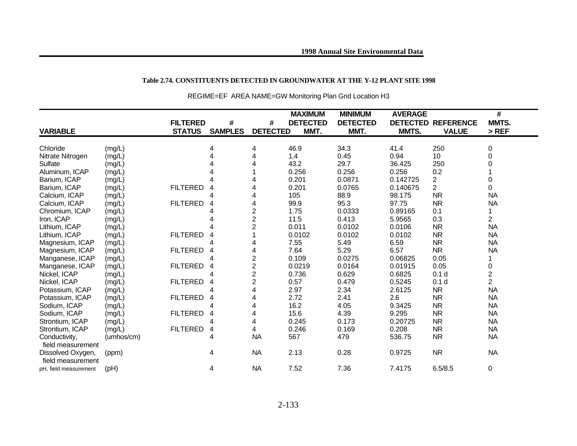### **Table 2.74. CONSTITUENTS DETECTED IN GROUNDWATER AT THE Y-12 PLANT SITE 1998**

|                                        |            |                 |                |                         | <b>MAXIMUM</b>  | <b>MINIMUM</b>  | <b>AVERAGE</b> |                           | #              |
|----------------------------------------|------------|-----------------|----------------|-------------------------|-----------------|-----------------|----------------|---------------------------|----------------|
|                                        |            | <b>FILTERED</b> | #              | #                       | <b>DETECTED</b> | <b>DETECTED</b> |                | <b>DETECTED REFERENCE</b> | MMTS.          |
| <b>VARIABLE</b>                        |            | <b>STATUS</b>   | <b>SAMPLES</b> | <b>DETECTED</b>         | MMT.            | MMT.            | MMTS.          | <b>VALUE</b>              | $>$ REF        |
| Chloride                               | (mg/L)     |                 | 4              | 4                       | 46.9            | 34.3            | 41.4           | 250                       | 0              |
| Nitrate Nitrogen                       | (mg/L)     |                 |                | 4                       | 1.4             | 0.45            | 0.94           | 10                        | $\mathbf 0$    |
| Sulfate                                | (mg/L)     |                 |                | 4                       | 43.2            | 29.7            | 36.425         | 250                       | 0              |
| Aluminum, ICAP                         | (mg/L)     |                 |                |                         | 0.256           | 0.256           | 0.256          | 0.2                       |                |
| Barium, ICAP                           | (mg/L)     |                 |                | 4                       | 0.201           | 0.0871          | 0.142725       | $\overline{\mathbf{c}}$   | 0              |
| Barium, ICAP                           | (mg/L)     | <b>FILTERED</b> |                | 4                       | 0.201           | 0.0765          | 0.140675       | $\overline{2}$            | 0              |
| Calcium, ICAP                          | (mg/L)     |                 |                | 4                       | 105             | 88.9            | 98.175         | <b>NR</b>                 | <b>NA</b>      |
| Calcium, ICAP                          | (mg/L)     | <b>FILTERED</b> |                | 4                       | 99.9            | 95.3            | 97.75          | <b>NR</b>                 | <b>NA</b>      |
| Chromium, ICAP                         | (mg/L)     |                 |                | $\overline{\mathbf{c}}$ | 1.75            | 0.0333          | 0.89165        | 0.1                       |                |
| Iron, ICAP                             | (mg/L)     |                 |                | $\overline{c}$          | 11.5            | 0.413           | 5.9565         | 0.3                       | $\overline{2}$ |
| Lithium, ICAP                          | (mg/L)     |                 |                | $\overline{2}$          | 0.011           | 0.0102          | 0.0106         | <b>NR</b>                 | <b>NA</b>      |
| Lithium, ICAP                          | (mg/L)     | <b>FILTERED</b> |                |                         | 0.0102          | 0.0102          | 0.0102         | <b>NR</b>                 | <b>NA</b>      |
| Magnesium, ICAP                        | (mg/L)     |                 |                | 4                       | 7.55            | 5.49            | 6.59           | <b>NR</b>                 | <b>NA</b>      |
| Magnesium, ICAP                        | (mg/L)     | <b>FILTERED</b> | 4              | 4                       | 7.64            | 5.29            | 6.57           | <b>NR</b>                 | <b>NA</b>      |
| Manganese, ICAP                        | (mg/L)     |                 |                | $\overline{\mathbf{c}}$ | 0.109           | 0.0275          | 0.06825        | 0.05                      |                |
| Manganese, ICAP                        | (mg/L)     | <b>FILTERED</b> | 4              | $\overline{c}$          | 0.0219          | 0.0164          | 0.01915        | 0.05                      | 0              |
| Nickel, ICAP                           | (mg/L)     |                 |                | $\overline{c}$          | 0.736           | 0.629           | 0.6825         | 0.1 <sub>d</sub>          | $\overline{2}$ |
| Nickel, ICAP                           | (mg/L)     | <b>FILTERED</b> | 4              | $\overline{c}$          | 0.57            | 0.479           | 0.5245         | 0.1 <sub>d</sub>          | $\overline{2}$ |
| Potassium, ICAP                        | (mg/L)     |                 |                | 4                       | 2.97            | 2.34            | 2.6125         | <b>NR</b>                 | <b>NA</b>      |
| Potassium, ICAP                        | (mg/L)     | <b>FILTERED</b> | 4              | 4                       | 2.72            | 2.41            | 2.6            | <b>NR</b>                 | <b>NA</b>      |
| Sodium, ICAP                           | (mg/L)     |                 |                | 4                       | 16.2            | 4.05            | 9.3425         | <b>NR</b>                 | <b>NA</b>      |
| Sodium, ICAP                           | (mg/L)     | <b>FILTERED</b> | 4              | 4                       | 15.6            | 4.39            | 9.295          | <b>NR</b>                 | <b>NA</b>      |
| Strontium, ICAP                        | (mg/L)     |                 |                | 4                       | 0.245           | 0.173           | 0.20725        | <b>NR</b>                 | <b>NA</b>      |
| Strontium, ICAP                        | (mg/L)     | <b>FILTERED</b> | 4              | 4                       | 0.246           | 0.169           | 0.208          | <b>NR</b>                 | <b>NA</b>      |
| Conductivity,<br>field measurement     | (umhos/cm) |                 | 4              | <b>NA</b>               | 567             | 479             | 536.75         | <b>NR</b>                 | <b>NA</b>      |
| Dissolved Oxygen,<br>field measurement | (ppm)      |                 | 4              | <b>NA</b>               | 2.13            | 0.28            | 0.9725         | <b>NR</b>                 | <b>NA</b>      |
| pH, field measurement                  | (Hq)       |                 | 4              | <b>NA</b>               | 7.52            | 7.36            | 7.4175         | 6.5/8.5                   | 0              |

REGIME=EF AREA NAME=GW Monitoring Plan Grid Location H3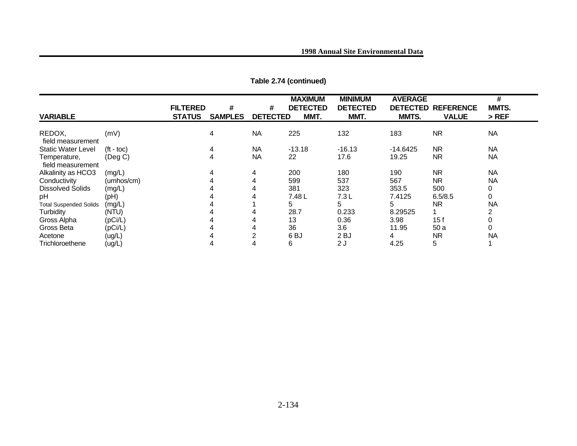| <b>VARIABLE</b>                   |                    | <b>FILTERED</b><br><b>STATUS</b> | #<br><b>SAMPLES</b> | #<br><b>DETECTED</b> | <b>MAXIMUM</b><br><b>DETECTED</b><br>MMT. | <b>MINIMUM</b><br><b>DETECTED</b><br>MMT. | <b>AVERAGE</b><br><b>DETECTED</b><br>MMTS. | <b>REFERENCE</b><br><b>VALUE</b> | #<br>MMTS.<br>$>$ REF |
|-----------------------------------|--------------------|----------------------------------|---------------------|----------------------|-------------------------------------------|-------------------------------------------|--------------------------------------------|----------------------------------|-----------------------|
|                                   |                    |                                  |                     |                      |                                           |                                           |                                            |                                  |                       |
| REDOX,<br>field measurement       | (mV)               |                                  | 4                   | <b>NA</b>            | 225                                       | 132                                       | 183                                        | <b>NR</b>                        | <b>NA</b>             |
| <b>Static Water Level</b>         | $(t - \text{toc})$ |                                  | 4                   | <b>NA</b>            | $-13.18$                                  | $-16.13$                                  | $-14.6425$                                 | <b>NR</b>                        | <b>NA</b>             |
| Temperature,<br>field measurement | $($ Deg C $)$      |                                  | 4                   | <b>NA</b>            | 22                                        | 17.6                                      | 19.25                                      | <b>NR</b>                        | <b>NA</b>             |
| Alkalinity as HCO3                | (mg/L)             |                                  |                     | 4                    | 200                                       | 180                                       | 190                                        | <b>NR</b>                        | <b>NA</b>             |
| Conductivity                      | (umhos/cm)         |                                  |                     | 4                    | 599                                       | 537                                       | 567                                        | <b>NR</b>                        | <b>NA</b>             |
| <b>Dissolved Solids</b>           | (mg/L)             |                                  |                     | 4                    | 381                                       | 323                                       | 353.5                                      | 500                              |                       |
| pH                                | (PH)               |                                  |                     | 4                    | 7.48 L                                    | 7.3 L                                     | 7.4125                                     | 6.5/8.5                          | 0                     |
| <b>Total Suspended Solids</b>     | (mg/L)             |                                  |                     |                      | 5                                         | 5                                         | 5.                                         | <b>NR</b>                        | <b>NA</b>             |
| Turbidity                         | (NTU)              |                                  |                     | 4                    | 28.7                                      | 0.233                                     | 8.29525                                    |                                  |                       |
| Gross Alpha                       | (pCi/L)            |                                  |                     | 4                    | 13                                        | 0.36                                      | 3.98                                       | 15f                              |                       |
| Gross Beta                        | (pCi/L)            |                                  |                     | 4                    | 36                                        | 3.6                                       | 11.95                                      | 50a                              | 0                     |
| Acetone                           | (ug/L)             |                                  |                     | 2                    | 6 <sub>B</sub> J                          | 2BJ                                       | 4                                          | <b>NR</b>                        | <b>NA</b>             |
| Trichloroethene                   | (ug/L)             |                                  | 4                   | 4                    | 6                                         | 2J                                        | 4.25                                       | 5                                |                       |

**Table 2.74 (continued)**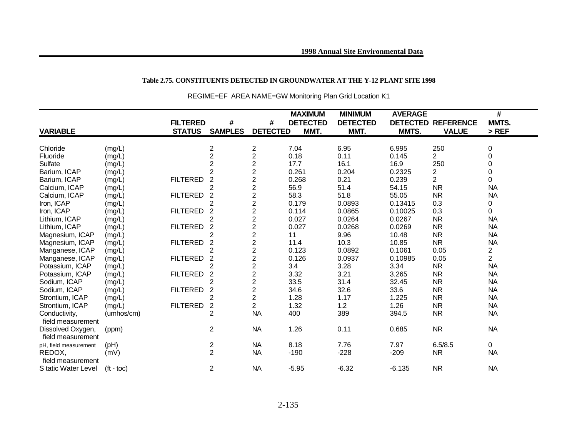#### **Table 2.75. CONSTITUENTS DETECTED IN GROUNDWATER AT THE Y-12 PLANT SITE 1998**

 **MAXIMUM MINIMUM AVERAGE # FILTERED # # DETECTED DETECTED DETECTED REFERENCE MMTS. VARIABLE STATUS SAMPLES DETECTED MMT. MMT. MMTS. VALUE > REF** Chloride (mg/L) 2 2 7.04 6.95 6.995 250 0 Fluoride (mg/L) 2 2 0.18 0.11 0.145 2 0 Sulfate (mg/L) 2 2 17.7 16.1 16.9 250 0 Barium, ICAP (mg/L) 2 2 0.261 0.204 0.2325 2 0 Barium, ICAP (mg/L) FILTERED 2 2 0.268 0.21 0.239 2 0 Calcium, ICAP (mg/L) 2 2 56.9 51.4 54.15 NR NA Calcium, ICAP (mg/L) FILTERED 2 2 58.3 51.8 55.05 NR NA Iron, ICAP (mg/L) 2 2 0.179 0.0893 0.13415 0.3 0 Iron, ICAP (mg/L) FILTERED 2 2 0.114 0.0865 0.10025 0.3 0 Lithium, ICAP (mg/L) 2 2 0.027 0.0264 0.0267 NR NA Lithium, ICAP (mg/L) FILTERED 2 2 0.027 0.0268 0.0269 NR NA Magnesium, ICAP (mg/L) 2 2 11 9.96 10.48 NR NA Magnesium, ICAP (mg/L) FILTERED 2 2 11.4 10.3 10.85 NR NA Manganese, ICAP  $(mq/L)$  2 2 0.123 0.0892 0.1061 0.05 Manganese, ICAP (mg/L) FILTERED 2 2 0.126 0.0937 0.10985 0.05 2 Potassium, ICAP (mg/L) 2 2 3.4 3.28 3.34 NR NA Potassium, ICAP (mg/L) FILTERED 2 2 3.32 3.21 3.265 NR NA Sodium, ICAP (mg/L) 2 2 33.5 31.4 32.45 NR NA Sodium, ICAP (mg/L) FILTERED 2 2 34.6 32.6 33.6 NR NA Strontium, ICAP (mg/L) 2 2 1.28 1.17 1.225 NR NA Strontium, ICAP (mg/L) FILTERED 2 2 1.32 1.2 1.26 NR NA Conductivity, (umhos/cm) 2 NA 400 389 394.5 NR NA field measurement Dissolved Oxygen, (ppm) 2 NA 1.26 0.11 0.685 NR NA field measurement pH, field measurement (pH) 2 NA 8.18 7.76 7.97 6.5/8.5 0 REDOX, (mV) 2 NA -190 -228 -209 NR NA field measurement S tatic Water Level (ft - toc)  $2$  NA  $-5.95$   $-6.32$   $-6.135$  NR NA

REGIME=EF AREA NAME=GW Monitoring Plan Grid Location K1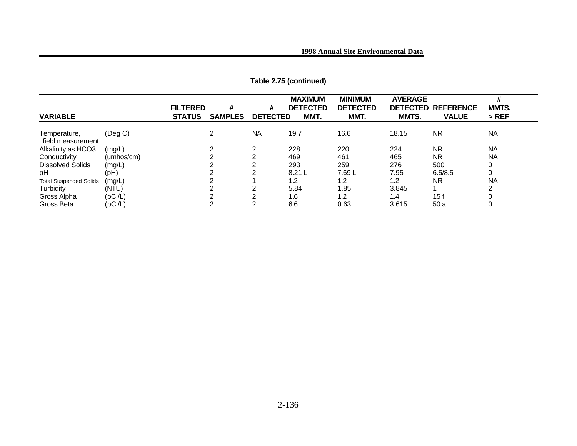| <b>VARIABLE</b>                   |            | <b>FILTERED</b><br><b>STATUS</b> | #<br><b>SAMPLES</b> | #<br><b>DETECTED</b> | <b>MAXIMUM</b><br><b>DETECTED</b><br>MMT. | <b>MINIMUM</b><br><b>DETECTED</b><br>MMT. | <b>AVERAGE</b><br>MMTS. | <b>DETECTED REFERENCE</b><br><b>VALUE</b> | #<br>MMTS.<br>$>$ REF |
|-----------------------------------|------------|----------------------------------|---------------------|----------------------|-------------------------------------------|-------------------------------------------|-------------------------|-------------------------------------------|-----------------------|
| Temperature,<br>field measurement | (Deg C)    |                                  | $\overline{2}$      | <b>NA</b>            | 19.7                                      | 16.6                                      | 18.15                   | <b>NR</b>                                 | <b>NA</b>             |
| Alkalinity as HCO3                | (mg/L)     |                                  | າ                   | 2                    | 228                                       | 220                                       | 224                     | <b>NR</b>                                 | <b>NA</b>             |
| Conductivity                      | (umhos/cm) |                                  |                     | 2                    | 469                                       | 461                                       | 465                     | <b>NR</b>                                 | <b>NA</b>             |
| <b>Dissolved Solids</b>           | (mg/L)     |                                  |                     | 2                    | 293                                       | 259                                       | 276                     | 500                                       |                       |
| pH                                | (pH)       |                                  |                     | 2                    | 8.21L                                     | 7.69L                                     | 7.95                    | 6.5/8.5                                   | 0                     |
| <b>Total Suspended Solids</b>     | (mg/L)     |                                  |                     |                      | 1.2                                       | 1.2                                       | 1.2                     | <b>NR</b>                                 | <b>NA</b>             |
| Turbidity                         | (NTU)      |                                  |                     | 2                    | 5.84                                      | 1.85                                      | 3.845                   |                                           | ົ                     |
| Gross Alpha                       | (pCi/L)    |                                  |                     | $\overline{2}$       | 1.6                                       | 1.2                                       | 1.4                     | 15f                                       |                       |
| Gross Beta                        | (pCi/L)    |                                  | C                   | $\overline{2}$       | 6.6                                       | 0.63                                      | 3.615                   | 50a                                       | 0                     |

### **Table 2.75 (continued)**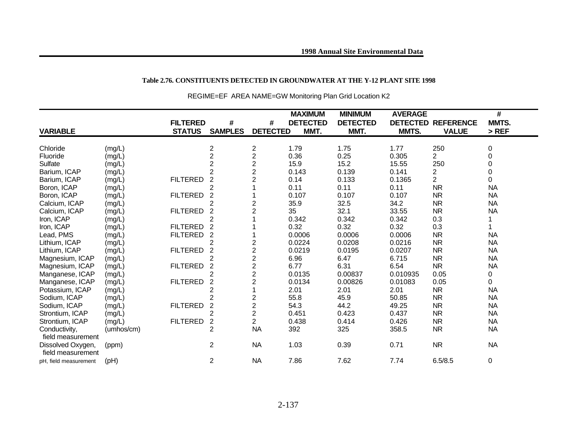### **Table 2.76. CONSTITUENTS DETECTED IN GROUNDWATER AT THE Y-12 PLANT SITE 1998**

|                                        |            |                 |                         |                         | <b>MAXIMUM</b>  | <b>MINIMUM</b>  | <b>AVERAGE</b> |                           | #         |
|----------------------------------------|------------|-----------------|-------------------------|-------------------------|-----------------|-----------------|----------------|---------------------------|-----------|
|                                        |            | <b>FILTERED</b> | #                       | #                       | <b>DETECTED</b> | <b>DETECTED</b> |                | <b>DETECTED REFERENCE</b> | MMTS.     |
| <b>VARIABLE</b>                        |            | <b>STATUS</b>   | <b>SAMPLES</b>          | <b>DETECTED</b>         | MMT.            | MMT.            | MMTS.          | <b>VALUE</b>              | $>$ REF   |
| Chloride                               | (mg/L)     |                 | $\overline{\mathbf{c}}$ |                         | 1.79            | 1.75            | 1.77           | 250                       | 0         |
| Fluoride                               | (mg/L)     |                 | $\overline{c}$          | $\frac{2}{2}$           | 0.36            | 0.25            | 0.305          | $\overline{2}$            | 0         |
| Sulfate                                | (mg/L)     |                 | $\overline{c}$          | $\overline{\mathbf{c}}$ | 15.9            | 15.2            | 15.55          | 250                       | 0         |
| Barium, ICAP                           | (mg/L)     |                 | $\overline{2}$          | $\overline{2}$          | 0.143           | 0.139           | 0.141          | 2                         | 0         |
| Barium, ICAP                           | (mg/L)     | <b>FILTERED</b> | $\overline{2}$          | $\overline{2}$          | 0.14            | 0.133           | 0.1365         | $\overline{2}$            | 0         |
| Boron, ICAP                            |            |                 | 2                       |                         | 0.11            | 0.11            | 0.11           | <b>NR</b>                 | <b>NA</b> |
| Boron, ICAP                            | (mg/L)     | <b>FILTERED</b> | $\overline{2}$          |                         | 0.107           | 0.107           | 0.107          | <b>NR</b>                 | <b>NA</b> |
| Calcium, ICAP                          | (mg/L)     |                 | 2                       | 2                       |                 | 32.5            | 34.2           | <b>NR</b>                 | <b>NA</b> |
| Calcium, ICAP                          | (mg/L)     | <b>FILTERED</b> | $\overline{2}$          | $\overline{c}$          | 35.9<br>35      | 32.1            | 33.55          | <b>NR</b>                 | <b>NA</b> |
|                                        | (mg/L)     |                 | $\overline{2}$          |                         |                 | 0.342           | 0.342          | 0.3                       |           |
| Iron, ICAP                             | (mg/L)     |                 |                         |                         | 0.342           |                 |                |                           |           |
| Iron, ICAP                             | (mg/L)     | <b>FILTERED</b> | 2                       |                         | 0.32            | 0.32            | 0.32           | 0.3                       |           |
| Lead, PMS                              | (mg/L)     | <b>FILTERED</b> | 2                       |                         | 0.0006          | 0.0006          | 0.0006         | <b>NR</b>                 | <b>NA</b> |
| Lithium, ICAP                          | (mg/L)     |                 | 2                       | 2                       | 0.0224          | 0.0208          | 0.0216         | <b>NR</b>                 | <b>NA</b> |
| Lithium, ICAP                          | (mg/L)     | <b>FILTERED</b> | $\overline{2}$          | $\overline{c}$          | 0.0219          | 0.0195          | 0.0207         | <b>NR</b>                 | <b>NA</b> |
| Magnesium, ICAP                        | (mg/L)     |                 | 2                       | $\overline{c}$          | 6.96            | 6.47            | 6.715          | <b>NR</b>                 | <b>NA</b> |
| Magnesium, ICAP                        | (mg/L)     | <b>FILTERED</b> | $\overline{2}$          | $\overline{\mathbf{c}}$ | 6.77            | 6.31            | 6.54           | <b>NR</b>                 | <b>NA</b> |
| Manganese, ICAP                        | (mg/L)     |                 | $\overline{2}$          | $\overline{c}$          | 0.0135          | 0.00837         | 0.010935       | 0.05                      | 0         |
| Manganese, ICAP                        | (mg/L)     | <b>FILTERED</b> | $\overline{2}$          | 2                       | 0.0134          | 0.00826         | 0.01083        | 0.05                      | 0         |
| Potassium, ICAP                        | (mg/L)     |                 | 2                       | 1                       | 2.01            | 2.01            | 2.01           | <b>NR</b>                 | <b>NA</b> |
| Sodium, ICAP                           | (mg/L)     |                 | $\overline{c}$          | $\overline{\mathbf{c}}$ | 55.8            | 45.9            | 50.85          | <b>NR</b>                 | <b>NA</b> |
| Sodium, ICAP                           | (mg/L)     | <b>FILTERED</b> | $\overline{2}$          | $\overline{c}$          | 54.3            | 44.2            | 49.25          | <b>NR</b>                 | <b>NA</b> |
| Strontium, ICAP                        | (mg/L)     |                 | 2                       | $\overline{c}$          | 0.451           | 0.423           | 0.437          | <b>NR</b>                 | <b>NA</b> |
| Strontium, ICAP                        | (mg/L)     | <b>FILTERED</b> | $\overline{2}$          | $\overline{2}$          | 0.438           | 0.414           | 0.426          | <b>NR</b>                 | <b>NA</b> |
| Conductivity,<br>field measurement     | (umhos/cm) |                 | 2                       | <b>NA</b>               | 392             | 325             | 358.5          | <b>NR</b>                 | <b>NA</b> |
| Dissolved Oxygen,<br>field measurement | (ppm)      |                 | $\overline{2}$          | <b>NA</b>               | 1.03            | 0.39            | 0.71           | <b>NR</b>                 | <b>NA</b> |
| pH, field measurement                  | (Hq)       |                 | $\overline{c}$          | <b>NA</b>               | 7.86            | 7.62            | 7.74           | 6.5/8.5                   | 0         |

REGIME=EF AREA NAME=GW Monitoring Plan Grid Location K2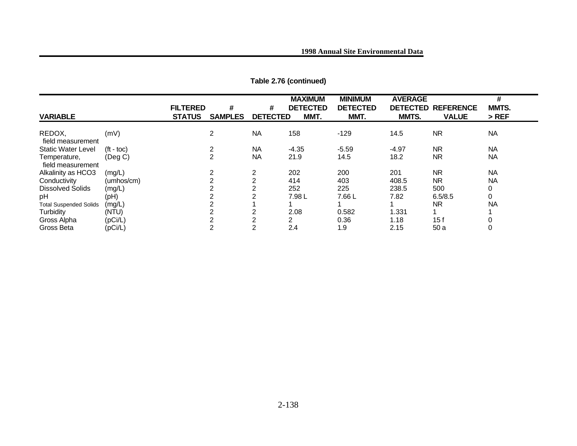| <b>VARIABLE</b>                   |               | <b>FILTERED</b><br><b>STATUS</b> | #<br><b>SAMPLES</b> | #<br><b>DETECTED</b> | <b>MAXIMUM</b><br><b>DETECTED</b><br>MMT. | <b>MINIMUM</b><br><b>DETECTED</b><br>MMT. | <b>AVERAGE</b><br><b>DETECTED</b><br>MMTS. | <b>REFERENCE</b><br><b>VALUE</b> | #<br>MMTS.<br>$>$ REF |
|-----------------------------------|---------------|----------------------------------|---------------------|----------------------|-------------------------------------------|-------------------------------------------|--------------------------------------------|----------------------------------|-----------------------|
| REDOX,<br>field measurement       | (mV)          |                                  | 2                   | <b>NA</b>            | 158                                       | $-129$                                    | 14.5                                       | <b>NR</b>                        | <b>NA</b>             |
| <b>Static Water Level</b>         | $(ft - toc)$  |                                  | 2                   | <b>NA</b>            | $-4.35$                                   | $-5.59$                                   | $-4.97$                                    | <b>NR</b>                        | <b>NA</b>             |
| Temperature,<br>field measurement | $($ Deg C $)$ |                                  | $\overline{2}$      | <b>NA</b>            | 21.9                                      | 14.5                                      | 18.2                                       | <b>NR</b>                        | <b>NA</b>             |
| Alkalinity as HCO3                | (mg/L)        |                                  | $\overline{2}$      | 2                    | 202                                       | 200                                       | 201                                        | <b>NR</b>                        | <b>NA</b>             |
| Conductivity                      | (umhos/cm)    |                                  |                     | 2                    | 414                                       | 403                                       | 408.5                                      | <b>NR</b>                        | <b>NA</b>             |
| <b>Dissolved Solids</b>           | (mg/L)        |                                  |                     | 2                    | 252                                       | 225                                       | 238.5                                      | 500                              |                       |
| pH                                | (Hq)          |                                  |                     | 2                    | 7.98L                                     | 7.66L                                     | 7.82                                       | 6.5/8.5                          | 0                     |
| <b>Total Suspended Solids</b>     | (mg/L)        |                                  |                     |                      |                                           |                                           |                                            | <b>NR</b>                        | <b>NA</b>             |
| Turbidity                         | (NTU)         |                                  |                     | 2                    | 2.08                                      | 0.582                                     | 1.331                                      |                                  |                       |
| Gross Alpha                       | (pCi/L)       |                                  | ົ                   | $\overline{2}$       | 2                                         | 0.36                                      | 1.18                                       | 15f                              |                       |
| Gross Beta                        | (pCi/L)       |                                  |                     | 2                    | 2.4                                       | 1.9                                       | 2.15                                       | 50 a                             |                       |

# **Table 2.76 (continued)**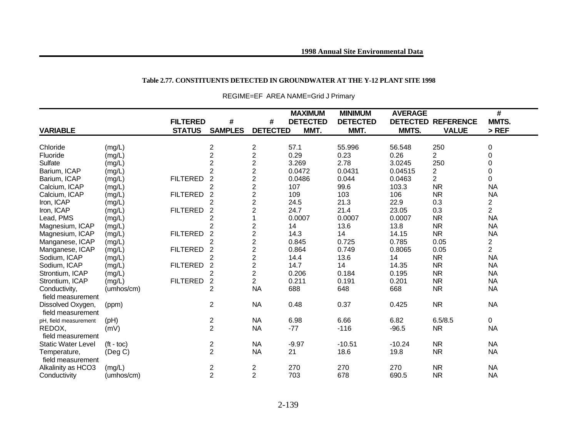### **Table 2.77. CONSTITUENTS DETECTED IN GROUNDWATER AT THE Y-12 PLANT SITE 1998**

|                                    |                    |                 |                         |                         | <b>MAXIMUM</b>  | <b>MINIMUM</b>  | <b>AVERAGE</b> |                           | #                   |
|------------------------------------|--------------------|-----------------|-------------------------|-------------------------|-----------------|-----------------|----------------|---------------------------|---------------------|
|                                    |                    | <b>FILTERED</b> | #                       | #                       | <b>DETECTED</b> | <b>DETECTED</b> |                | <b>DETECTED REFERENCE</b> | MMTS.               |
| <b>VARIABLE</b>                    |                    | <b>STATUS</b>   | <b>SAMPLES</b>          | <b>DETECTED</b>         | MMT.            | MMT.            | MMTS.          | <b>VALUE</b>              | $>$ REF             |
|                                    |                    |                 |                         |                         |                 |                 |                |                           |                     |
| Chloride                           | (mg/L)             |                 | $\overline{c}$          | $\overline{c}$          | 57.1            | 55.996          | 56.548         | 250                       | 0                   |
| Fluoride                           | (mg/L)             |                 | $\overline{c}$          | $\overline{c}$          | 0.29            | 0.23            | 0.26           | $\overline{2}$            | 0                   |
| Sulfate                            | (mg/L)             |                 | $\overline{c}$          | $\overline{c}$          | 3.269           | 2.78            | 3.0245         | 250                       | 0                   |
| Barium, ICAP                       | (mg/L)             |                 | $\overline{c}$          | $\overline{c}$          | 0.0472          | 0.0431          | 0.04515        | 2                         | $\mathsf{O}\xspace$ |
| Barium, ICAP                       | (mg/L)             | <b>FILTERED</b> | $\overline{c}$          | $\boldsymbol{2}$        | 0.0486          | 0.044           | 0.0463         | $\overline{2}$            | $\mathsf 0$         |
| Calcium, ICAP                      | (mg/L)             |                 | 2                       | $\boldsymbol{2}$        | 107             | 99.6            | 103.3          | <b>NR</b>                 | <b>NA</b>           |
| Calcium, ICAP                      | (mg/L)             | <b>FILTERED</b> | 2                       | $\overline{c}$          | 109             | 103             | 106            | <b>NR</b>                 | <b>NA</b>           |
| Iron, ICAP                         | (mg/L)             |                 | 2                       | $\overline{c}$          | 24.5            | 21.3            | 22.9           | 0.3                       | $\overline{c}$      |
| Iron, ICAP                         | (mg/L)             | <b>FILTERED</b> | $\overline{2}$          | $\overline{2}$          | 24.7            | 21.4            | 23.05          | 0.3                       | $\overline{2}$      |
| Lead, PMS                          | (mg/L)             |                 | $\overline{c}$          |                         | 0.0007          | 0.0007          | 0.0007         | <b>NR</b>                 | <b>NA</b>           |
| Magnesium, ICAP                    | (mg/L)             |                 | $\overline{2}$          | $\overline{\mathbf{c}}$ | 14              | 13.6            | 13.8           | <b>NR</b>                 | <b>NA</b>           |
| Magnesium, ICAP                    | (mg/L)             | <b>FILTERED</b> | $\overline{2}$          | $\boldsymbol{2}$        | 14.3            | 14              | 14.15          | <b>NR</b>                 | <b>NA</b>           |
| Manganese, ICAP                    | (mg/L)             |                 | 2                       | $\boldsymbol{2}$        | 0.845           | 0.725           | 0.785          | 0.05                      | $\overline{c}$      |
| Manganese, ICAP                    | (mg/L)             | <b>FILTERED</b> | $\overline{2}$          | $\overline{2}$          | 0.864           | 0.749           | 0.8065         | 0.05                      | $\overline{2}$      |
| Sodium, ICAP                       | (mg/L)             |                 | 2                       | $\overline{2}$          | 14.4            | 13.6            | 14             | <b>NR</b>                 | <b>NA</b>           |
| Sodium, ICAP                       | (mg/L)             | <b>FILTERED</b> | $\overline{2}$          | $\overline{c}$          | 14.7            | 14              | 14.35          | <b>NR</b>                 | <b>NA</b>           |
| Strontium, ICAP                    | (mg/L)             |                 | $\overline{2}$          | $\overline{c}$          | 0.206           | 0.184           | 0.195          | <b>NR</b>                 | <b>NA</b>           |
| Strontium, ICAP                    | (mg/L)             | <b>FILTERED</b> | $\overline{c}$          | $\overline{c}$          | 0.211           | 0.191           | 0.201          | <b>NR</b>                 | <b>NA</b>           |
| Conductivity,<br>field measurement | (umhos/cm)         |                 | $\overline{c}$          | <b>NA</b>               | 688             | 648             | 668            | <b>NR</b>                 | <b>NA</b>           |
| Dissolved Oxygen,                  | (ppm)              |                 | 2                       | <b>NA</b>               | 0.48            | 0.37            | 0.425          | <b>NR</b>                 | <b>NA</b>           |
| field measurement                  |                    |                 |                         |                         |                 |                 |                |                           |                     |
| pH, field measurement              | (Hq)               |                 | $\overline{\mathbf{c}}$ | <b>NA</b>               | 6.98            | 6.66            | 6.82           | 6.5/8.5                   | 0                   |
| REDOX,<br>field measurement        | (mV)               |                 | $\overline{2}$          | <b>NA</b>               | $-77$           | $-116$          | $-96.5$        | <b>NR</b>                 | <b>NA</b>           |
| <b>Static Water Level</b>          | $(t - \text{toc})$ |                 | $\overline{\mathbf{c}}$ | <b>NA</b>               | $-9.97$         | $-10.51$        | $-10.24$       | <b>NR</b>                 | <b>NA</b>           |
| Temperature,<br>field measurement  | (Deg C)            |                 | $\overline{2}$          | <b>NA</b>               | 21              | 18.6            | 19.8           | <b>NR</b>                 | <b>NA</b>           |
| Alkalinity as HCO3                 | (mg/L)             |                 | $\overline{\mathbf{c}}$ | $\overline{c}$          | 270             | 270             | 270            | <b>NR</b>                 | <b>NA</b>           |
| Conductivity                       | (umhos/cm)         |                 | $\overline{c}$          | $\overline{2}$          | 703             | 678             | 690.5          | <b>NR</b>                 | <b>NA</b>           |

### REGIME=EF AREA NAME=Grid J Primary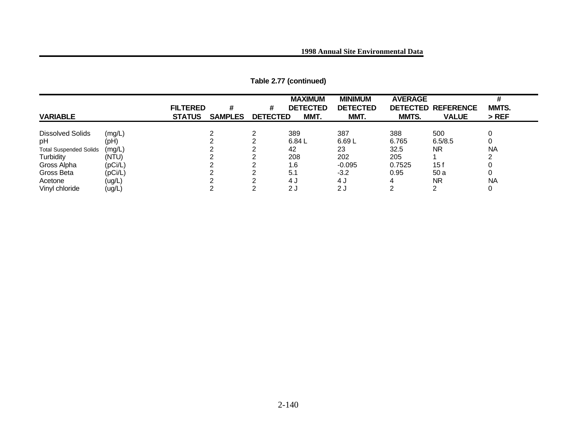# **Table 2.77 (continued)**

|                               |         |                 |                |                 | <b>MAXIMUM</b>  | <b>MINIMUM</b>  | <b>AVERAGE</b> |                           |           |
|-------------------------------|---------|-----------------|----------------|-----------------|-----------------|-----------------|----------------|---------------------------|-----------|
|                               |         | <b>FILTERED</b> | #              | #               | <b>DETECTED</b> | <b>DETECTED</b> |                | <b>DETECTED REFERENCE</b> | MMTS.     |
| <b>VARIABLE</b>               |         | <b>STATUS</b>   | <b>SAMPLES</b> | <b>DETECTED</b> | MMT.            | MMT.            | MMTS.          | <b>VALUE</b>              | $>$ REF   |
| <b>Dissolved Solids</b>       | (mg/L)  |                 |                |                 | 389             | 387             | 388            | 500                       |           |
| pH                            | (pH)    |                 |                |                 | 6.84 L          | 6.69L           | 6.765          | 6.5/8.5                   | O         |
| <b>Total Suspended Solids</b> | (mg/L)  |                 |                |                 | 42              | 23              | 32.5           | ΝR                        | <b>NA</b> |
| Turbidity                     | (NTU)   |                 |                |                 | 208             | 202             | 205            |                           |           |
| Gross Alpha                   | (pCi/L) |                 |                |                 | 1.6             | $-0.095$        | 0.7525         | 15f                       |           |
| Gross Beta                    | (pCi/L) |                 |                |                 | 5.1             | $-3.2$          | 0.95           | 50a                       | 0         |
| Acetone                       | (ug/L)  |                 |                |                 | 4 J             | 4 J             |                | ΝR                        | <b>NA</b> |
| Vinyl chloride                | (ug/L)  |                 |                | ◠               | 2J              | 2 J             |                | ົ                         | 0         |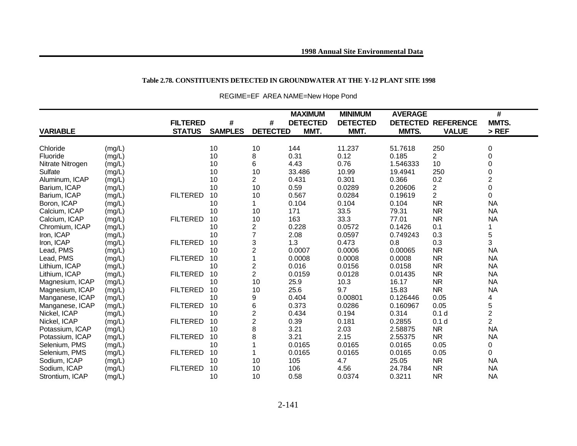### **Table 2.78. CONSTITUENTS DETECTED IN GROUNDWATER AT THE Y-12 PLANT SITE 1998**

|                  |        |                 |                |                 | <b>MAXIMUM</b>  | <b>MINIMUM</b>  | <b>AVERAGE</b> |                           | #                       |  |
|------------------|--------|-----------------|----------------|-----------------|-----------------|-----------------|----------------|---------------------------|-------------------------|--|
|                  |        | <b>FILTERED</b> | #              | #               | <b>DETECTED</b> | <b>DETECTED</b> |                | <b>DETECTED REFERENCE</b> | MMTS.                   |  |
| <b>VARIABLE</b>  |        | <b>STATUS</b>   | <b>SAMPLES</b> | <b>DETECTED</b> | MMT.            | MMT.            | MMTS.          | <b>VALUE</b>              | $>$ REF                 |  |
| Chloride         | (mg/L) |                 | 10             | 10              | 144             | 11.237          | 51.7618        | 250                       | 0                       |  |
| Fluoride         | (mg/L) |                 | 10             | 8               | 0.31            | 0.12            | 0.185          | $\overline{2}$            | 0                       |  |
| Nitrate Nitrogen | (mg/L) |                 | 10             | 6               | 4.43            | 0.76            | 1.546333       | 10                        | 0                       |  |
| Sulfate          | (mg/L) |                 | 10             | 10              | 33.486          | 10.99           | 19.4941        | 250                       | $\mathsf{O}\xspace$     |  |
| Aluminum, ICAP   | (mg/L) |                 | 10             | $\overline{c}$  | 0.431           | 0.301           | 0.366          | 0.2                       | $\overline{\mathbf{c}}$ |  |
| Barium, ICAP     | (mg/L) |                 | 10             | 10              | 0.59            | 0.0289          | 0.20606        | $\overline{c}$            | $\mathsf{O}\xspace$     |  |
| Barium, ICAP     | (mg/L) | <b>FILTERED</b> | 10             | 10              | 0.567           | 0.0284          | 0.19619        | $\overline{2}$            | 0                       |  |
| Boron, ICAP      | (mg/L) |                 | 10             | 1               | 0.104           | 0.104           | 0.104          | <b>NR</b>                 | <b>NA</b>               |  |
| Calcium, ICAP    | (mg/L) |                 | 10             | 10              | 171             | 33.5            | 79.31          | <b>NR</b>                 | <b>NA</b>               |  |
| Calcium, ICAP    | (mg/L) | <b>FILTERED</b> | 10             | 10              | 163             | 33.3            | 77.01          | <b>NR</b>                 | <b>NA</b>               |  |
| Chromium, ICAP   | (mg/L) |                 | 10             | $\overline{c}$  | 0.228           | 0.0572          | 0.1426         | 0.1                       |                         |  |
| Iron, ICAP       | (mg/L) |                 | 10             | $\overline{7}$  | 2.08            | 0.0597          | 0.749243       | 0.3                       | 5                       |  |
| Iron, ICAP       | (mg/L) | <b>FILTERED</b> | 10             | 3               | 1.3             | 0.473           | 0.8            | 0.3                       | 3                       |  |
| Lead, PMS        | (mg/L) |                 | 10             | 2               | 0.0007          | 0.0006          | 0.00065        | <b>NR</b>                 | <b>NA</b>               |  |
| Lead, PMS        | (mg/L) | <b>FILTERED</b> | 10             |                 | 0.0008          | 0.0008          | 0.0008         | <b>NR</b>                 | <b>NA</b>               |  |
| Lithium, ICAP    | (mg/L) |                 | 10             | 2               | 0.016           | 0.0156          | 0.0158         | <b>NR</b>                 | <b>NA</b>               |  |
| Lithium, ICAP    | (mg/L) | <b>FILTERED</b> | 10             | $\overline{2}$  | 0.0159          | 0.0128          | 0.01435        | <b>NR</b>                 | <b>NA</b>               |  |
| Magnesium, ICAP  | (mg/L) |                 | 10             | 10              | 25.9            | 10.3            | 16.17          | <b>NR</b>                 | <b>NA</b>               |  |
| Magnesium, ICAP  | (mg/L) | <b>FILTERED</b> | 10             | 10              | 25.6            | 9.7             | 15.83          | <b>NR</b>                 | <b>NA</b>               |  |
| Manganese, ICAP  | (mg/L) |                 | 10             | 9               | 0.404           | 0.00801         | 0.126446       | 0.05                      | 4                       |  |
| Manganese, ICAP  | (mg/L) | <b>FILTERED</b> | 10             | 6               | 0.373           | 0.0286          | 0.160967       | 0.05                      | 5                       |  |
| Nickel, ICAP     | (mg/L) |                 | 10             | $\overline{2}$  | 0.434           | 0.194           | 0.314          | 0.1 <sub>d</sub>          | $\overline{c}$          |  |
| Nickel, ICAP     | (mg/L) | <b>FILTERED</b> | 10             | $\overline{c}$  | 0.39            | 0.181           | 0.2855         | 0.1 <sub>d</sub>          | $\overline{2}$          |  |
| Potassium, ICAP  | (mg/L) |                 | 10             | 8               | 3.21            | 2.03            | 2.58875        | <b>NR</b>                 | <b>NA</b>               |  |
| Potassium, ICAP  | (mg/L) | <b>FILTERED</b> | 10             | 8               | 3.21            | 2.15            | 2.55375        | <b>NR</b>                 | <b>NA</b>               |  |
| Selenium, PMS    | (mg/L) |                 | 10             |                 | 0.0165          | 0.0165          | 0.0165         | 0.05                      | 0                       |  |
| Selenium, PMS    | (mg/L) | <b>FILTERED</b> | 10             |                 | 0.0165          | 0.0165          | 0.0165         | 0.05                      | 0                       |  |
| Sodium, ICAP     | (mg/L) |                 | 10             | 10              | 105             | 4.7             | 25.05          | <b>NR</b>                 | <b>NA</b>               |  |
| Sodium, ICAP     | (mg/L) | <b>FILTERED</b> | 10             | 10              | 106             | 4.56            | 24.784         | <b>NR</b>                 | <b>NA</b>               |  |
| Strontium, ICAP  | (mg/L) |                 | 10             | 10              | 0.58            | 0.0374          | 0.3211         | <b>NR</b>                 | <b>NA</b>               |  |

### REGIME=EF AREA NAME=New Hope Pond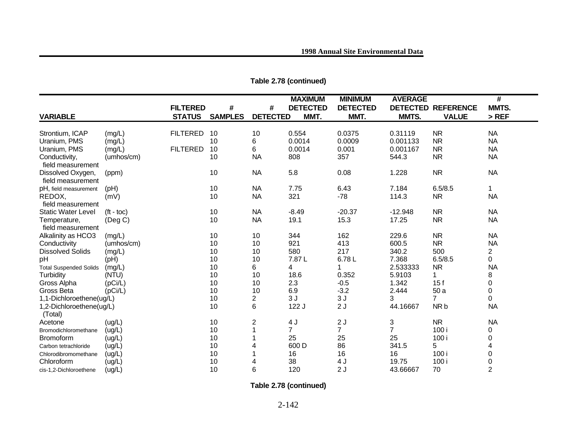|                                        |               |                 |                |                  | <b>MAXIMUM</b>  | <b>MINIMUM</b>  | <b>AVERAGE</b> |                           | #              |
|----------------------------------------|---------------|-----------------|----------------|------------------|-----------------|-----------------|----------------|---------------------------|----------------|
|                                        |               | <b>FILTERED</b> | #              | #                | <b>DETECTED</b> | <b>DETECTED</b> |                | <b>DETECTED REFERENCE</b> | MMTS.          |
| <b>VARIABLE</b>                        |               | <b>STATUS</b>   | <b>SAMPLES</b> | <b>DETECTED</b>  | MMT.            | MMT.            | MMTS.          | <b>VALUE</b>              | $>$ REF        |
|                                        |               |                 |                |                  |                 |                 |                |                           |                |
| Strontium, ICAP                        | (mg/L)        | <b>FILTERED</b> | 10             | 10               | 0.554           | 0.0375          | 0.31119        | <b>NR</b>                 | <b>NA</b>      |
| Uranium, PMS                           | (mg/L)        |                 | 10             | 6                | 0.0014          | 0.0009          | 0.001133       | <b>NR</b>                 | <b>NA</b>      |
| Uranium, PMS                           | (mg/L)        | <b>FILTERED</b> | 10             | 6                | 0.0014          | 0.001           | 0.001167       | <b>NR</b>                 | <b>NA</b>      |
| Conductivity,<br>field measurement     | (umhos/cm)    |                 | 10             | <b>NA</b>        | 808             | 357             | 544.3          | <b>NR</b>                 | <b>NA</b>      |
| Dissolved Oxygen,<br>field measurement | (ppm)         |                 | 10             | <b>NA</b>        | 5.8             | 0.08            | 1.228          | <b>NR</b>                 | <b>NA</b>      |
| pH, field measurement                  | (Hq)          |                 | 10             | <b>NA</b>        | 7.75            | 6.43            | 7.184          | 6.5/8.5                   | 1              |
| REDOX,<br>field measurement            | (mV)          |                 | 10             | <b>NA</b>        | 321             | $-78$           | 114.3          | <b>NR</b>                 | <b>NA</b>      |
| <b>Static Water Level</b>              | $(t - t)$     |                 | 10             | <b>NA</b>        | $-8.49$         | $-20.37$        | $-12.948$      | <b>NR</b>                 | <b>NA</b>      |
| Temperature,<br>field measurement      | $($ Deg C $)$ |                 | 10             | <b>NA</b>        | 19.1            | 15.3            | 17.25          | <b>NR</b>                 | <b>NA</b>      |
| Alkalinity as HCO3                     | (mg/L)        |                 | 10             | 10               | 344             | 162             | 229.6          | <b>NR</b>                 | <b>NA</b>      |
| Conductivity                           | (umhos/cm)    |                 | 10             | 10               | 921             | 413             | 600.5          | <b>NR</b>                 | <b>NA</b>      |
| <b>Dissolved Solids</b>                | (mg/L)        |                 | 10             | 10               | 580             | 217             | 340.2          | 500                       | 2              |
| рH                                     | (Hq)          |                 | 10             | 10               | 7.87L           | 6.78L           | 7.368          | 6.5/8.5                   | 0              |
| <b>Total Suspended Solids</b>          | (mg/L)        |                 | 10             | 6                | 4               |                 | 2.533333       | <b>NR</b>                 | <b>NA</b>      |
| Turbidity                              | (NTU)         |                 | 10             | 10               | 18.6            | 0.352           | 5.9103         | 1                         | 8              |
| Gross Alpha                            | (pCi/L)       |                 | 10             | 10               | 2.3             | $-0.5$          | 1.342          | 15f                       | 0              |
| Gross Beta                             | (pCi/L)       |                 | 10             | 10               | 6.9             | $-3.2$          | 2.444          | 50a                       | 0              |
| 1,1-Dichloroethene(ug/L)               |               |                 | 10             | $\overline{2}$   | 3J              | 3J              | 3              | $\overline{7}$            | 0              |
| 1,2-Dichloroethene(ug/L)<br>(Total)    |               |                 | 10             | 6                | 122 J           | 2J              | 44.16667       | NR b                      | <b>NA</b>      |
| Acetone                                | (ug/L)        |                 | 10             | $\boldsymbol{2}$ | 4 J             | 2J              | 3              | <b>NR</b>                 | <b>NA</b>      |
| Bromodichloromethane                   | (ug/L)        |                 | 10             |                  | 7               | 7               | $\overline{7}$ | 100 i                     | 0              |
| <b>Bromoform</b>                       | (ug/L)        |                 | 10             |                  | 25              | 25              | 25             | 100 i                     | 0              |
| Carbon tetrachloride                   | (ug/L)        |                 | 10             | 4                | 600 D           | 86              | 341.5          | 5                         | 4              |
| Chlorodibromomethane                   | (ug/L)        |                 | 10             |                  | 16              | 16              | 16             | 100 i                     | 0              |
| Chloroform                             | (ug/L)        |                 | 10             | 4                | 38              | 4 J             | 19.75          | 100 i                     | 0              |
| cis-1,2-Dichloroethene                 | (ug/L)        |                 | 10             | 6                | 120             | 2J              | 43.66667       | 70                        | $\overline{2}$ |

# **Table 2.78 (continued)**

**Table 2.78 (continued)**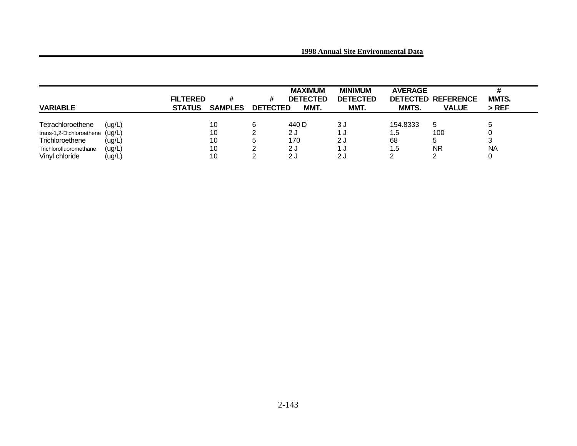|  | <b>1998 Annual Site Environmental Data</b> |
|--|--------------------------------------------|
|--|--------------------------------------------|

|                                   |        | <b>FILTERED</b> | #              | #               | <b>MAXIMUM</b><br><b>DETECTED</b> | <b>MINIMUM</b><br><b>DETECTED</b> | <b>AVERAGE</b> | <b>DETECTED REFERENCE</b> | MMTS.     |
|-----------------------------------|--------|-----------------|----------------|-----------------|-----------------------------------|-----------------------------------|----------------|---------------------------|-----------|
| <b>VARIABLE</b>                   |        | <b>STATUS</b>   | <b>SAMPLES</b> | <b>DETECTED</b> | MMT.                              | MMT.                              | MMTS.          | <b>VALUE</b>              | > REF     |
|                                   |        |                 |                |                 |                                   |                                   |                |                           |           |
| Tetrachloroethene                 | (ug/L) |                 | 10             | 6               | 440 D                             | 3 J                               | 154.8333       | 5                         |           |
| trans-1,2-Dichloroethene $(ug/L)$ |        |                 | 10             |                 | 2 J                               | 1 J                               | 1.5            | 100                       |           |
| Trichloroethene                   | (ug/L) |                 | 10             | b               | 170                               | 2 J                               | 68             |                           | 3         |
| Trichlorofluoromethane            | (ug/L) |                 | 10             |                 | 2 J                               | 1 J                               | 1.5            | <b>NR</b>                 | <b>NA</b> |
| Vinyl chloride                    | (ug/L) |                 | 10             |                 | 2J                                | 2 J                               |                |                           |           |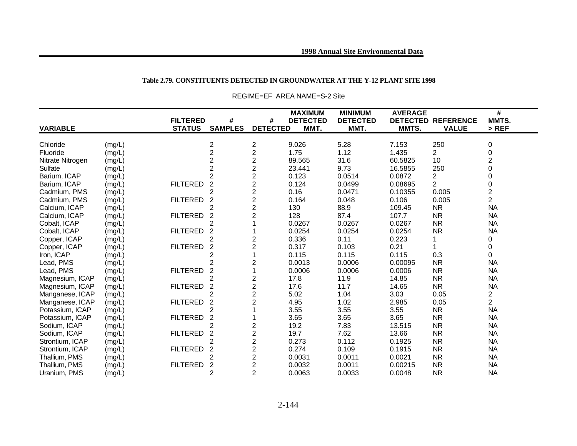### **Table 2.79. CONSTITUENTS DETECTED IN GROUNDWATER AT THE Y-12 PLANT SITE 1998**

|                  |        |                 |                |                  | <b>MAXIMUM</b>  | <b>MINIMUM</b>  | <b>AVERAGE</b> |                           | $\overline{\boldsymbol{r}}$ |
|------------------|--------|-----------------|----------------|------------------|-----------------|-----------------|----------------|---------------------------|-----------------------------|
|                  |        | <b>FILTERED</b> | #              | #                | <b>DETECTED</b> | <b>DETECTED</b> |                | <b>DETECTED REFERENCE</b> | MMTS.                       |
| <b>VARIABLE</b>  |        | <b>STATUS</b>   | <b>SAMPLES</b> | <b>DETECTED</b>  | MMT.            | MMT.            | MMTS.          | <b>VALUE</b>              | $>$ REF                     |
|                  |        |                 |                |                  |                 |                 |                |                           |                             |
| Chloride         | (mg/L) |                 | 2              | $\overline{c}$   | 9.026           | 5.28            | 7.153          | 250                       | 0                           |
| Fluoride         | (mg/L) |                 | $\overline{c}$ | $\boldsymbol{2}$ | 1.75            | 1.12            | 1.435          | $\overline{2}$            | 0                           |
| Nitrate Nitrogen | (mg/L) |                 | $\overline{2}$ | $\overline{2}$   | 89.565          | 31.6            | 60.5825        | 10                        | $\overline{2}$              |
| Sulfate          | (mg/L) |                 | $\overline{c}$ | $\overline{2}$   | 23.441          | 9.73            | 16.5855        | 250                       | 0                           |
| Barium, ICAP     | (mg/L) |                 | $\overline{2}$ | $\sqrt{2}$       | 0.123           | 0.0514          | 0.0872         | $\overline{c}$            | 0                           |
| Barium, ICAP     | (mg/L) | <b>FILTERED</b> | 2              | $\overline{c}$   | 0.124           | 0.0499          | 0.08695        | $\overline{2}$            | 0                           |
| Cadmium, PMS     | (mg/L) |                 | 2              | $\overline{c}$   | 0.16            | 0.0471          | 0.10355        | 0.005                     | $\overline{c}$              |
| Cadmium, PMS     | (mg/L) | <b>FILTERED</b> | $\overline{2}$ | $\overline{c}$   | 0.164           | 0.048           | 0.106          | 0.005                     | $\overline{2}$              |
| Calcium, ICAP    | (mg/L) |                 | 2              | $\overline{2}$   | 130             | 88.9            | 109.45         | <b>NR</b>                 | <b>NA</b>                   |
| Calcium, ICAP    | (mg/L) | <b>FILTERED</b> | 2              | $\overline{2}$   | 128             | 87.4            | 107.7          | <b>NR</b>                 | <b>NA</b>                   |
| Cobalt, ICAP     | (mg/L) |                 | 2              |                  | 0.0267          | 0.0267          | 0.0267         | <b>NR</b>                 | <b>NA</b>                   |
| Cobalt, ICAP     | (mg/L) | <b>FILTERED</b> | $\overline{2}$ |                  | 0.0254          | 0.0254          | 0.0254         | <b>NR</b>                 | <b>NA</b>                   |
| Copper, ICAP     | (mg/L) |                 | 2              | 2                | 0.336           | 0.11            | 0.223          |                           | 0                           |
| Copper, ICAP     | (mg/L) | <b>FILTERED</b> | $\overline{2}$ | $\overline{2}$   | 0.317           | 0.103           | 0.21           |                           | 0                           |
| Iron, ICAP       | (mg/L) |                 | 2              |                  | 0.115           | 0.115           | 0.115          | 0.3                       | 0                           |
| Lead, PMS        | (mg/L) |                 | 2              | 2                | 0.0013          | 0.0006          | 0.00095        | <b>NR</b>                 | <b>NA</b>                   |
| Lead, PMS        | (mg/L) | <b>FILTERED</b> | $\overline{c}$ |                  | 0.0006          | 0.0006          | 0.0006         | <b>NR</b>                 | <b>NA</b>                   |
| Magnesium, ICAP  | (mg/L) |                 | 2              | 2                | 17.8            | 11.9            | 14.85          | <b>NR</b>                 | <b>NA</b>                   |
| Magnesium, ICAP  | (mg/L) | <b>FILTERED</b> | $\overline{2}$ | $\overline{2}$   | 17.6            | 11.7            | 14.65          | <b>NR</b>                 | <b>NA</b>                   |
| Manganese, ICAP  | (mg/L) |                 | 2              | $\overline{2}$   | 5.02            | 1.04            | 3.03           | 0.05                      | 2                           |
| Manganese, ICAP  | (mg/L) | <b>FILTERED</b> | $\overline{2}$ | $\overline{2}$   | 4.95            | 1.02            | 2.985          | 0.05                      | $\overline{2}$              |
| Potassium, ICAP  | (mg/L) |                 |                |                  | 3.55            | 3.55            | 3.55           | <b>NR</b>                 | <b>NA</b>                   |
| Potassium, ICAP  | (mg/L) | <b>FILTERED</b> | $\overline{c}$ |                  | 3.65            | 3.65            | 3.65           | <b>NR</b>                 | <b>NA</b>                   |
| Sodium, ICAP     | (mg/L) |                 | 2              | $\boldsymbol{2}$ | 19.2            | 7.83            | 13.515         | <b>NR</b>                 | <b>NA</b>                   |
| Sodium, ICAP     | (mg/L) | <b>FILTERED</b> | 2              | $\overline{c}$   | 19.7            | 7.62            | 13.66          | <b>NR</b>                 | <b>NA</b>                   |
| Strontium, ICAP  | (mg/L) |                 |                | $\overline{c}$   | 0.273           | 0.112           | 0.1925         | <b>NR</b>                 | <b>NA</b>                   |
| Strontium, ICAP  | (mg/L) | <b>FILTERED</b> | $\overline{2}$ | $\overline{c}$   | 0.274           | 0.109           | 0.1915         | <b>NR</b>                 | <b>NA</b>                   |
| Thallium, PMS    | (mg/L) |                 |                | $\overline{c}$   | 0.0031          | 0.0011          | 0.0021         | <b>NR</b>                 | <b>NA</b>                   |
| Thallium, PMS    | (mg/L) | <b>FILTERED</b> | 2              | $\boldsymbol{2}$ | 0.0032          | 0.0011          | 0.00215        | <b>NR</b>                 | <b>NA</b>                   |
| Uranium, PMS     | (mg/L) |                 | 2              | $\overline{2}$   | 0.0063          | 0.0033          | 0.0048         | <b>NR</b>                 | <b>NA</b>                   |

#### REGIME=EF AREA NAME=S-2 Site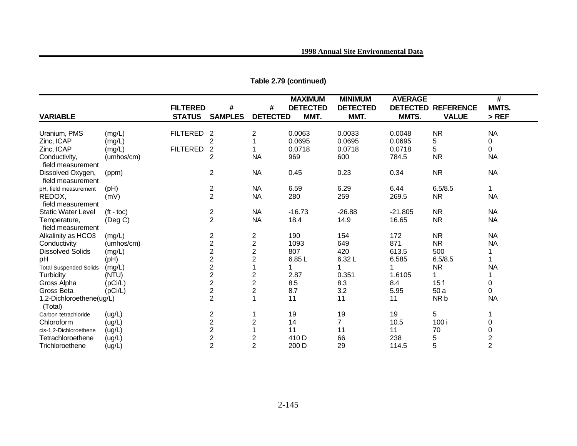|                                        |             |                 |                         |                         | <b>MAXIMUM</b>  | <b>MINIMUM</b>  | <b>AVERAGE</b> |                           | #             |
|----------------------------------------|-------------|-----------------|-------------------------|-------------------------|-----------------|-----------------|----------------|---------------------------|---------------|
|                                        |             | <b>FILTERED</b> | #                       | #                       | <b>DETECTED</b> | <b>DETECTED</b> |                | <b>DETECTED REFERENCE</b> | MMTS.         |
| <b>VARIABLE</b>                        |             | <b>STATUS</b>   | <b>SAMPLES</b>          | <b>DETECTED</b>         | MMT.            | MMT.            | MMTS.          | <b>VALUE</b>              | $>$ REF       |
|                                        |             |                 |                         |                         |                 |                 |                |                           |               |
| Uranium, PMS                           | (mg/L)      | <b>FILTERED</b> | $\overline{c}$          | $\overline{\mathbf{c}}$ | 0.0063          | 0.0033          | 0.0048         | <b>NR</b>                 | <b>NA</b>     |
| Zinc, ICAP                             | (mg/L)      |                 | 2                       |                         | 0.0695          | 0.0695          | 0.0695         | 5                         | 0             |
| Zinc, ICAP                             | (mg/L)      | <b>FILTERED</b> | $\overline{c}$          |                         | 0.0718          | 0.0718          | 0.0718         | 5                         | 0             |
| Conductivity,<br>field measurement     | (umhos/cm)  |                 | 2                       | <b>NA</b>               | 969             | 600             | 784.5          | <b>NR</b>                 | <b>NA</b>     |
| Dissolved Oxygen,<br>field measurement | (ppm)       |                 | $\overline{c}$          | <b>NA</b>               | 0.45            | 0.23            | 0.34           | <b>NR</b>                 | <b>NA</b>     |
| pH, field measurement                  | (Hq)        |                 | $\overline{2}$          | <b>NA</b>               | 6.59            | 6.29            | 6.44           | 6.5/8.5                   | 1             |
| REDOX,                                 | (mV)        |                 | $\overline{2}$          | <b>NA</b>               | 280             | 259             | 269.5          | <b>NR</b>                 | <b>NA</b>     |
| field measurement                      |             |                 |                         |                         |                 |                 |                |                           |               |
| <b>Static Water Level</b>              | $(t - toc)$ |                 | $\frac{2}{2}$           | <b>NA</b>               | $-16.73$        | $-26.88$        | $-21.805$      | <b>NR</b>                 | <b>NA</b>     |
| Temperature,<br>field measurement      | (Deg C)     |                 |                         | <b>NA</b>               | 18.4            | 14.9            | 16.65          | <b>NR</b>                 | <b>NA</b>     |
| Alkalinity as HCO3                     | (mg/L)      |                 | $\overline{c}$          | $\overline{c}$          | 190             | 154             | 172            | <b>NR</b>                 | <b>NA</b>     |
| Conductivity                           | (umhos/cm)  |                 | $\overline{2}$          | $\overline{2}$          | 1093            | 649             | 871            | <b>NR</b>                 | <b>NA</b>     |
| <b>Dissolved Solids</b>                | (mg/L)      |                 |                         | $\overline{c}$          | 807             | 420             | 613.5          | 500                       |               |
| pH                                     | (pH)        |                 | $\frac{2}{2}$           | $\overline{c}$          | 6.85L           | 6.32L           | 6.585          | 6.5/8.5                   |               |
| <b>Total Suspended Solids</b>          | (mg/L)      |                 |                         |                         |                 |                 |                | <b>NR</b>                 | <b>NA</b>     |
| Turbidity                              | (NTU)       |                 | $\frac{2}{2}$           | $\overline{\mathbf{c}}$ | 2.87            | 0.351           | 1.6105         |                           |               |
| Gross Alpha                            | (pCi/L)     |                 |                         | $\overline{\mathbf{c}}$ | 8.5             | 8.3             | 8.4            | 15f                       | 0             |
| Gross Beta                             | (pCi/L)     |                 | $\frac{2}{2}$           | $\overline{c}$          | 8.7             | 3.2             | 5.95           | 50a                       | 0             |
| 1,2-Dichloroethene(ug/L)               |             |                 | $\overline{2}$          | 1                       | 11              | 11              | 11             | NR b                      | <b>NA</b>     |
| (Total)                                |             |                 |                         |                         |                 |                 |                |                           |               |
| Carbon tetrachloride                   | (ug/L)      |                 | $\overline{\mathbf{c}}$ | 1                       | 19              | 19              | 19             | 5                         |               |
| Chloroform                             | (ug/L)      |                 | $\overline{c}$          | $\overline{\mathbf{c}}$ | 14              | $\overline{7}$  | 10.5           | 100 i                     | 0             |
| cis-1,2-Dichloroethene                 | (ug/L)      |                 | $\overline{c}$          | 1                       | 11              | 11              | 11             | 70                        | 0             |
| Tetrachloroethene                      | (ug/L)      |                 | $\overline{c}$          | 2                       | 410 D           | 66              | 238            | 5                         |               |
| Trichloroethene                        | (ug/L)      |                 | $\overline{2}$          | $\overline{2}$          | 200 D           | 29              | 114.5          | 5                         | $\frac{2}{2}$ |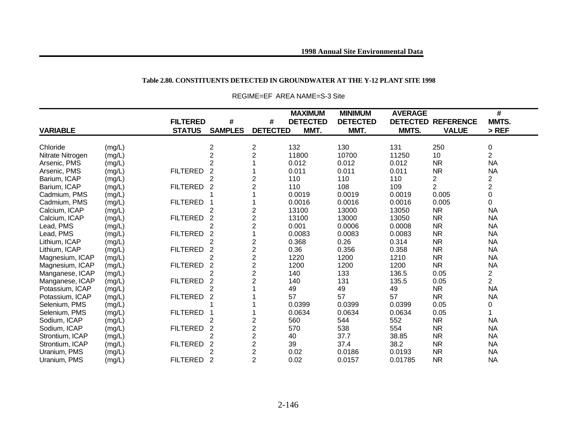### **Table 2.80. CONSTITUENTS DETECTED IN GROUNDWATER AT THE Y-12 PLANT SITE 1998**

|                  |        |                 |                |                  | <b>MAXIMUM</b>  | <b>MINIMUM</b>  | <b>AVERAGE</b> |                           | #                       |
|------------------|--------|-----------------|----------------|------------------|-----------------|-----------------|----------------|---------------------------|-------------------------|
|                  |        | <b>FILTERED</b> | #              | #                | <b>DETECTED</b> | <b>DETECTED</b> |                | <b>DETECTED REFERENCE</b> | MMTS.                   |
| <b>VARIABLE</b>  |        | <b>STATUS</b>   | <b>SAMPLES</b> | <b>DETECTED</b>  | MMT.            | MMT.            | MMTS.          | <b>VALUE</b>              | $>$ REF                 |
| Chloride         | (mg/L) |                 | 2              | $\overline{c}$   | 132             | 130             | 131            | 250                       | 0                       |
| Nitrate Nitrogen | (mg/L) |                 | $\overline{2}$ | $\overline{2}$   | 11800           | 10700           | 11250          | 10                        | $\overline{2}$          |
| Arsenic, PMS     | (mg/L) |                 | 2              |                  | 0.012           | 0.012           | 0.012          | <b>NR</b>                 | <b>NA</b>               |
| Arsenic, PMS     | (mg/L) | <b>FILTERED</b> | 2              |                  | 0.011           | 0.011           | 0.011          | <b>NR</b>                 | <b>NA</b>               |
| Barium, ICAP     | (mg/L) |                 |                | $\overline{2}$   | 110             | 110             | 110            | $\overline{c}$            | $\overline{\mathbf{c}}$ |
| Barium, ICAP     | (mg/L) | <b>FILTERED</b> | $\overline{2}$ | $\overline{2}$   | 110             | 108             | 109            | $\overline{2}$            | $\overline{c}$          |
| Cadmium, PMS     | (mg/L) |                 |                |                  | 0.0019          | 0.0019          | 0.0019         | 0.005                     | 0                       |
| Cadmium, PMS     | (mg/L) | <b>FILTERED</b> |                |                  | 0.0016          | 0.0016          | 0.0016         | 0.005                     | 0                       |
| Calcium, ICAP    | (mg/L) |                 |                | 2                | 13100           | 13000           | 13050          | <b>NR</b>                 | <b>NA</b>               |
| Calcium, ICAP    | (mg/L) | <b>FILTERED</b> | 2              | $\sqrt{2}$       | 13100           | 13000           | 13050          | <b>NR</b>                 | <b>NA</b>               |
| Lead, PMS        | (mg/L) |                 | $\overline{2}$ | $\overline{2}$   | 0.001           | 0.0006          | 0.0008         | <b>NR</b>                 | <b>NA</b>               |
| Lead, PMS        | (mg/L) | <b>FILTERED</b> | 2              |                  | 0.0083          | 0.0083          | 0.0083         | <b>NR</b>                 | <b>NA</b>               |
| Lithium, ICAP    | (mg/L) |                 |                | $\overline{c}$   | 0.368           | 0.26            | 0.314          | <b>NR</b>                 | <b>NA</b>               |
| Lithium, ICAP    | (mg/L) | <b>FILTERED</b> | 2              | $\overline{2}$   | 0.36            | 0.356           | 0.358          | <b>NR</b>                 | <b>NA</b>               |
| Magnesium, ICAP  | (mg/L) |                 | 2              | $\boldsymbol{2}$ | 1220            | 1200            | 1210           | <b>NR</b>                 | <b>NA</b>               |
| Magnesium, ICAP  | (mg/L) | <b>FILTERED</b> | 2              | $\overline{2}$   | 1200            | 1200            | 1200           | <b>NR</b>                 | <b>NA</b>               |
| Manganese, ICAP  | (mg/L) |                 | 2              | $\overline{2}$   | 140             | 133             | 136.5          | 0.05                      | 2                       |
| Manganese, ICAP  | (mg/L) | <b>FILTERED</b> | 2              | $\overline{2}$   | 140             | 131             | 135.5          | 0.05                      | $\overline{2}$          |
| Potassium, ICAP  | (mg/L) |                 |                |                  | 49              | 49              | 49             | <b>NR</b>                 | <b>NA</b>               |
| Potassium, ICAP  | (mg/L) | <b>FILTERED</b> | $\overline{2}$ |                  | 57              | 57              | 57             | <b>NR</b>                 | <b>NA</b>               |
| Selenium, PMS    | (mg/L) |                 |                |                  | 0.0399          | 0.0399          | 0.0399         | 0.05                      | 0                       |
| Selenium, PMS    | (mg/L) | <b>FILTERED</b> |                |                  | 0.0634          | 0.0634          | 0.0634         | 0.05                      |                         |
| Sodium, ICAP     | (mg/L) |                 |                | 2                | 560             | 544             | 552            | <b>NR</b>                 | <b>NA</b>               |
| Sodium, ICAP     | (mg/L) | <b>FILTERED</b> | 2              | $\boldsymbol{2}$ | 570             | 538             | 554            | <b>NR</b>                 | <b>NA</b>               |
| Strontium, ICAP  | (mg/L) |                 | 2              | $\boldsymbol{2}$ | 40              | 37.7            | 38.85          | <b>NR</b>                 | <b>NA</b>               |
| Strontium, ICAP  | (mg/L) | <b>FILTERED</b> | $\overline{2}$ | $\overline{2}$   | 39              | 37.4            | 38.2           | <b>NR</b>                 | <b>NA</b>               |
| Uranium, PMS     | (mg/L) |                 |                | $\overline{c}$   | 0.02            | 0.0186          | 0.0193         | <b>NR</b>                 | <b>NA</b>               |
| Uranium, PMS     | (mg/L) | <b>FILTERED</b> | 2              | $\overline{2}$   | 0.02            | 0.0157          | 0.01785        | <b>NR</b>                 | <b>NA</b>               |

#### REGIME=EF AREA NAME=S-3 Site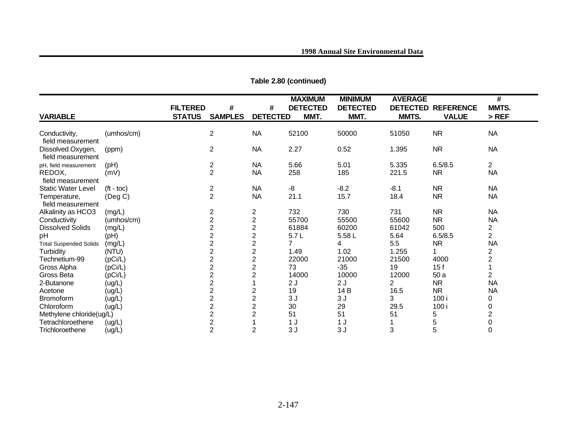| <b>VARIABLE</b>                        |             | <b>FILTERED</b><br><b>STATUS</b> | #<br><b>SAMPLES</b>     | #<br><b>DETECTED</b>    | <b>MAXIMUM</b><br><b>DETECTED</b><br>MMT. | <b>MINIMUM</b><br><b>DETECTED</b><br>MMT. | <b>AVERAGE</b><br>MMTS. | <b>DETECTED REFERENCE</b><br><b>VALUE</b> | #<br>MMTS.<br>$>$ REF |
|----------------------------------------|-------------|----------------------------------|-------------------------|-------------------------|-------------------------------------------|-------------------------------------------|-------------------------|-------------------------------------------|-----------------------|
| Conductivity,                          | (umhos/cm)  |                                  | $\overline{2}$          | <b>NA</b>               | 52100                                     | 50000                                     | 51050                   | <b>NR</b>                                 | <b>NA</b>             |
| field measurement                      |             |                                  |                         |                         |                                           |                                           |                         |                                           |                       |
| Dissolved Oxygen,<br>field measurement | (ppm)       |                                  | 2                       | <b>NA</b>               | 2.27                                      | 0.52                                      | 1.395                   | <b>NR</b>                                 | <b>NA</b>             |
| pH, field measurement                  | (PH)        |                                  |                         | <b>NA</b>               | 5.66                                      | 5.01                                      | 5.335                   | 6.5/8.5                                   | $\overline{2}$        |
| REDOX,<br>field measurement            | (mV)        |                                  | $\frac{2}{2}$           | <b>NA</b>               | 258                                       | 185                                       | 221.5                   | <b>NR</b>                                 | <b>NA</b>             |
| <b>Static Water Level</b>              | $(t - toc)$ |                                  | $\overline{c}$          | <b>NA</b>               | -8                                        | $-8.2$                                    | $-8.1$                  | <b>NR</b>                                 | <b>NA</b>             |
| Temperature,<br>field measurement      | (Deg C)     |                                  | $\overline{2}$          | <b>NA</b>               | 21.1                                      | 15.7                                      | 18.4                    | <b>NR</b>                                 | <b>NA</b>             |
| Alkalinity as HCO3                     | (mg/L)      |                                  | 2                       | $\overline{\mathbf{c}}$ | 732                                       | 730                                       | 731                     | <b>NR</b>                                 | <b>NA</b>             |
| Conductivity                           | (umhos/cm)  |                                  | $\overline{2}$          | $\overline{2}$          | 55700                                     | 55500                                     | 55600                   | <b>NR</b>                                 | <b>NA</b>             |
| <b>Dissolved Solids</b>                | (mg/L)      |                                  | $\overline{c}$          | $\boldsymbol{2}$        | 61884                                     | 60200                                     | 61042                   | 500                                       | 2                     |
| pH                                     | (Hq)        |                                  | $\overline{\mathbf{c}}$ | $\overline{\mathbf{c}}$ | 5.7L                                      | 5.58L                                     | 5.64                    | 6.5/8.5                                   | $\overline{c}$        |
| <b>Total Suspended Solids</b>          | (mg/L)      |                                  | $\overline{\mathbf{c}}$ | $\overline{c}$          | 7                                         | 4                                         | 5.5                     | <b>NR</b>                                 | <b>NA</b>             |
| Turbidity                              | (NTU)       |                                  | $\overline{\mathbf{c}}$ | $\boldsymbol{2}$        | 1.49                                      | 1.02                                      | 1.255                   |                                           | 2                     |
| Technetium-99                          | (pCi/L)     |                                  | $\overline{c}$          | $\boldsymbol{2}$        | 22000                                     | 21000                                     | 21500                   | 4000                                      | $\overline{c}$        |
| Gross Alpha                            | (pCi/L)     |                                  | $\overline{c}$          | $\overline{2}$          | 73                                        | $-35$                                     | 19                      | 15f                                       |                       |
| Gross Beta                             | (pCi/L)     |                                  | $\overline{c}$          | $\overline{c}$          | 14000                                     | 10000                                     | 12000                   | 50a                                       | $\overline{c}$        |
| 2-Butanone                             | (ug/L)      |                                  | $\overline{c}$          |                         | 2J                                        | 2J                                        | 2                       | <b>NR</b>                                 | <b>NA</b>             |
| Acetone                                | (ug/L)      |                                  | $\overline{\mathbf{c}}$ | $\overline{\mathbf{c}}$ | 19                                        | 14B                                       | 16.5                    | <b>NR</b>                                 | <b>NA</b>             |
| <b>Bromoform</b>                       | (ug/L)      |                                  | $\overline{c}$          | $\overline{2}$          | 3J                                        | 3J                                        | 3                       | 100 i                                     | 0                     |
| Chloroform                             | (ug/L)      |                                  | $\overline{c}$          | $\overline{2}$          | 30                                        | 29                                        | 29.5                    | 100 i                                     | 0                     |
| Methylene chloride(ug/L)               |             |                                  | $\overline{c}$          | $\overline{2}$          | 51                                        | 51                                        | 51                      | 5                                         | $\overline{c}$        |
| Tetrachloroethene                      | (ug/L)      |                                  | $\overline{c}$          |                         | 1 <sub>J</sub>                            | 1 J                                       |                         | 5                                         | 0                     |
| Trichloroethene                        | (ug/L)      |                                  | $\overline{2}$          | $\overline{2}$          | 3J                                        | 3J                                        | 3                       | 5                                         | 0                     |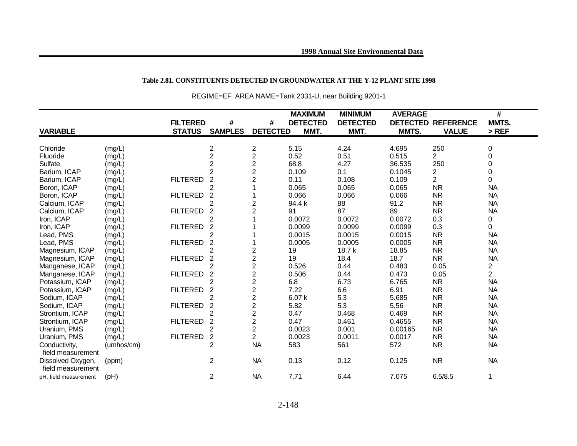### **Table 2.81. CONSTITUENTS DETECTED IN GROUNDWATER AT THE Y-12 PLANT SITE 1998**

|                                        |            |                 |                         |                         | <b>MAXIMUM</b>  | <b>MINIMUM</b>  | <b>AVERAGE</b> |                           | #              |
|----------------------------------------|------------|-----------------|-------------------------|-------------------------|-----------------|-----------------|----------------|---------------------------|----------------|
|                                        |            | <b>FILTERED</b> | #                       | #                       | <b>DETECTED</b> | <b>DETECTED</b> |                | <b>DETECTED REFERENCE</b> | MMTS.          |
| <b>VARIABLE</b>                        |            | <b>STATUS</b>   | <b>SAMPLES</b>          | <b>DETECTED</b>         | MMT.            | MMT.            | MMTS.          | <b>VALUE</b>              | $>$ REF        |
| Chloride                               | (mg/L)     |                 | $\overline{\mathbf{c}}$ | $\overline{\mathbf{c}}$ | 5.15            | 4.24            | 4.695          | 250                       | 0              |
| Fluoride                               | (mg/L)     |                 | $\overline{2}$          | $\overline{c}$          | 0.52            | 0.51            | 0.515          | $\overline{2}$            | 0              |
| Sulfate                                | (mg/L)     |                 | $\overline{2}$          |                         | 68.8            | 4.27            | 36.535         | 250                       | 0              |
| Barium, ICAP                           | (mg/L)     |                 | $\overline{2}$          | $\frac{2}{2}$           | 0.109           | 0.1             | 0.1045         | $\overline{\mathbf{c}}$   | 0              |
| Barium, ICAP                           | (mg/L)     | <b>FILTERED</b> | $\overline{2}$          | $\overline{c}$          | 0.11            | 0.108           | 0.109          | $\overline{2}$            | $\Omega$       |
| Boron, ICAP                            | (mg/L)     |                 | $\overline{2}$          |                         | 0.065           | 0.065           | 0.065          | <b>NR</b>                 | <b>NA</b>      |
| Boron, ICAP                            | (mg/L)     | <b>FILTERED</b> | $\overline{2}$          |                         | 0.066           | 0.066           | 0.066          | <b>NR</b>                 | <b>NA</b>      |
| Calcium, ICAP                          | (mg/L)     |                 | $\overline{2}$          | 2                       | 94.4 k          | 88              | 91.2           | <b>NR</b>                 | <b>NA</b>      |
| Calcium, ICAP                          | (mg/L)     | <b>FILTERED</b> | $\overline{2}$          | $\overline{2}$          | 91              | 87              | 89             | <b>NR</b>                 | <b>NA</b>      |
| Iron, ICAP                             | (mg/L)     |                 | 2                       |                         | 0.0072          | 0.0072          | 0.0072         | 0.3                       | 0              |
| Iron, ICAP                             | (mg/L)     | <b>FILTERED</b> | $\overline{2}$          |                         | 0.0099          | 0.0099          | 0.0099         | 0.3                       | $\Omega$       |
| Lead, PMS                              | (mg/L)     |                 | $\overline{2}$          |                         | 0.0015          | 0.0015          | 0.0015         | <b>NR</b>                 | <b>NA</b>      |
| Lead, PMS                              | (mg/L)     | <b>FILTERED</b> | $\overline{2}$          |                         | 0.0005          | 0.0005          | 0.0005         | <b>NR</b>                 | <b>NA</b>      |
| Magnesium, ICAP                        | (mg/L)     |                 |                         | $\frac{2}{2}$           | 19              | 18.7 k          | 18.85          | <b>NR</b>                 | <b>NA</b>      |
| Magnesium, ICAP                        | (mg/L)     | <b>FILTERED</b> | 2                       |                         | 19              | 18.4            | 18.7           | <b>NR</b>                 | <b>NA</b>      |
| Manganese, ICAP                        | (mg/L)     |                 | 2                       | $\overline{2}$          | 0.526           | 0.44            | 0.483          | 0.05                      | $\overline{2}$ |
| Manganese, ICAP                        | (mg/L)     | <b>FILTERED</b> | $\overline{2}$          | $\overline{c}$          | 0.506           | 0.44            | 0.473          | 0.05                      | $\overline{2}$ |
| Potassium, ICAP                        | (mg/L)     |                 | $\overline{2}$          | $\overline{c}$          | 6.8             | 6.73            | 6.765          | <b>NR</b>                 | <b>NA</b>      |
| Potassium, ICAP                        | (mg/L)     | <b>FILTERED</b> | $\overline{2}$          | $\boldsymbol{2}$        | 7.22            | 6.6             | 6.91           | <b>NR</b>                 | <b>NA</b>      |
| Sodium, ICAP                           | (mg/L)     |                 | $\overline{2}$          | $\overline{c}$          | 6.07 k          | 5.3             | 5.685          | <b>NR</b>                 | <b>NA</b>      |
| Sodium, ICAP                           | (mg/L)     | <b>FILTERED</b> | $\overline{2}$          | $\overline{c}$          | 5.82            | 5.3             | 5.56           | <b>NR</b>                 | <b>NA</b>      |
| Strontium, ICAP                        | (mg/L)     |                 | $\overline{2}$          | $\overline{c}$          | 0.47            | 0.468           | 0.469          | <b>NR</b>                 | <b>NA</b>      |
| Strontium, ICAP                        | (mg/L)     | <b>FILTERED</b> | $\overline{2}$          | $\overline{2}$          | 0.47            | 0.461           | 0.4655         | <b>NR</b>                 | <b>NA</b>      |
| Uranium, PMS                           | (mg/L)     |                 | 2                       | $\overline{c}$          | 0.0023          | 0.001           | 0.00165        | <b>NR</b>                 | <b>NA</b>      |
| Uranium, PMS                           | (mg/L)     | <b>FILTERED</b> | $\overline{2}$          | $\overline{2}$          | 0.0023          | 0.0011          | 0.0017         | <b>NR</b>                 | <b>NA</b>      |
| Conductivity,<br>field measurement     | (umhos/cm) |                 | $\overline{2}$          | <b>NA</b>               | 583             | 561             | 572            | <b>NR</b>                 | <b>NA</b>      |
| Dissolved Oxygen,<br>field measurement | (ppm)      |                 | $\overline{2}$          | <b>NA</b>               | 0.13            | 0.12            | 0.125          | <b>NR</b>                 | <b>NA</b>      |
| pH, field measurement                  | (PH)       |                 | $\overline{2}$          | <b>NA</b>               | 7.71            | 6.44            | 7.075          | 6.5/8.5                   | 1              |

REGIME=EF AREA NAME=Tank 2331-U, near Building 9201-1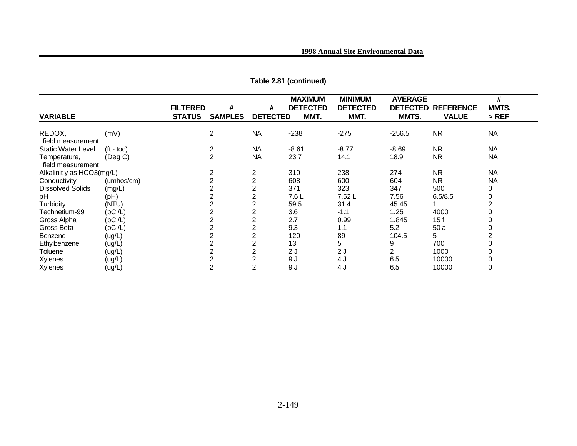|                                   |             |                 |                |                         | <b>MAXIMUM</b>  | <b>MINIMUM</b>  | <b>AVERAGE</b>  |                  | #         |
|-----------------------------------|-------------|-----------------|----------------|-------------------------|-----------------|-----------------|-----------------|------------------|-----------|
|                                   |             | <b>FILTERED</b> | #              | #                       | <b>DETECTED</b> | <b>DETECTED</b> | <b>DETECTED</b> | <b>REFERENCE</b> | MMTS.     |
| <b>VARIABLE</b>                   |             | <b>STATUS</b>   | <b>SAMPLES</b> | <b>DETECTED</b>         | MMT.            | MMT.            | MMTS.           | <b>VALUE</b>     | $>$ REF   |
|                                   |             |                 |                |                         |                 |                 |                 |                  |           |
| REDOX,<br>field measurement       | (mV)        |                 | 2              | <b>NA</b>               | $-238$          | $-275$          | $-256.5$        | <b>NR</b>        | <b>NA</b> |
| <b>Static Water Level</b>         | $(t - toc)$ |                 | 2              | <b>NA</b>               | $-8.61$         | $-8.77$         | $-8.69$         | <b>NR</b>        | <b>NA</b> |
| Temperature,<br>field measurement | (Deg C)     |                 | $\overline{2}$ | <b>NA</b>               | 23.7            | 14.1            | 18.9            | <b>NR</b>        | <b>NA</b> |
| Alkalinit y as HCO3(mg/L)         |             |                 | 2              | $\overline{\mathbf{c}}$ | 310             | 238             | 274             | <b>NR</b>        | <b>NA</b> |
| Conductivity                      | (umhos/cm)  |                 | $\overline{2}$ | $\overline{2}$          | 608             | 600             | 604             | <b>NR</b>        | <b>NA</b> |
| <b>Dissolved Solids</b>           | (mg/L)      |                 |                | $\overline{c}$          | 371             | 323             | 347             | 500              |           |
| pH                                | (Hq)        |                 |                | 2                       | 7.6L            | 7.52L           | 7.56            | 6.5/8.5          |           |
| Turbidity                         | (NTU)       |                 | 2              | 2                       | 59.5            | 31.4            | 45.45           |                  | 2         |
| Technetium-99                     | (pCi/L)     |                 |                | 2                       | 3.6             | $-1.1$          | 1.25            | 4000             |           |
| Gross Alpha                       | (pCi/L)     |                 |                | $\overline{c}$          | 2.7             | 0.99            | 1.845           | 15f              |           |
| Gross Beta                        | (pCi/L)     |                 |                | 2                       | 9.3             | 1.1             | 5.2             | 50a              |           |
| Benzene                           | (ug/L)      |                 |                | 2                       | 120             | 89              | 104.5           | 5                |           |
| Ethylbenzene                      | (ug/L)      |                 | 2              | $\overline{2}$          | 13              | 5               | 9               | 700              |           |
| Toluene                           | (ug/L)      |                 | 2              | 2                       | 2J              | 2J              | $\overline{2}$  | 1000             |           |
| <b>Xylenes</b>                    | (ug/L)      |                 | 2              | $\overline{c}$          | 9 J             | 4 J             | 6.5             | 10000            |           |
| <b>Xylenes</b>                    | (ug/L)      |                 | 2              | $\overline{2}$          | 9J              | 4 J             | 6.5             | 10000            | 0         |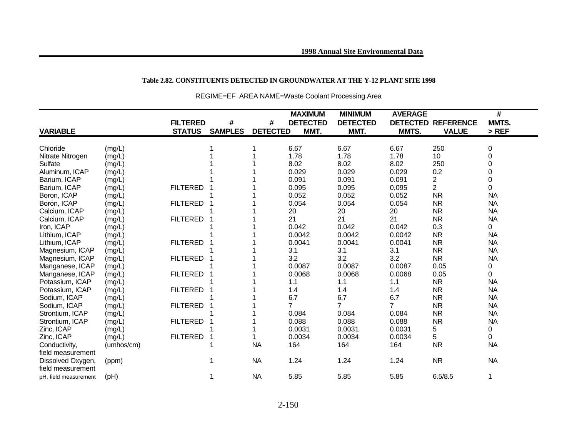### **Table 2.82. CONSTITUENTS DETECTED IN GROUNDWATER AT THE Y-12 PLANT SITE 1998**

|                       |            |                 |                |                 | <b>MAXIMUM</b>  | <b>MINIMUM</b>  | <b>AVERAGE</b> |                           | #         |
|-----------------------|------------|-----------------|----------------|-----------------|-----------------|-----------------|----------------|---------------------------|-----------|
|                       |            | <b>FILTERED</b> | #              | #               | <b>DETECTED</b> | <b>DETECTED</b> |                | <b>DETECTED REFERENCE</b> | MMTS.     |
| <b>VARIABLE</b>       |            | <b>STATUS</b>   | <b>SAMPLES</b> | <b>DETECTED</b> | MMT.            | MMT.            | MMTS.          | <b>VALUE</b>              | $>$ REF   |
|                       |            |                 |                |                 |                 |                 |                |                           |           |
| Chloride              | (mg/L)     |                 |                |                 | 6.67            | 6.67            | 6.67           | 250                       | 0         |
| Nitrate Nitrogen      | (mg/L)     |                 |                |                 | 1.78            | 1.78            | 1.78           | 10                        | 0         |
| Sulfate               | (mg/L)     |                 |                |                 | 8.02            | 8.02            | 8.02           | 250                       | $\Omega$  |
| Aluminum, ICAP        | (mg/L)     |                 |                |                 | 0.029           | 0.029           | 0.029          | 0.2                       | 0         |
| Barium, ICAP          | (mg/L)     |                 |                |                 | 0.091           | 0.091           | 0.091          | $\overline{c}$            | 0         |
| Barium, ICAP          | (mg/L)     | <b>FILTERED</b> |                |                 | 0.095           | 0.095           | 0.095          | $\overline{2}$            | 0         |
| Boron, ICAP           | (mg/L)     |                 |                |                 | 0.052           | 0.052           | 0.052          | <b>NR</b>                 | <b>NA</b> |
| Boron, ICAP           | (mg/L)     | <b>FILTERED</b> |                |                 | 0.054           | 0.054           | 0.054          | <b>NR</b>                 | <b>NA</b> |
| Calcium, ICAP         | (mg/L)     |                 |                |                 | 20              | 20              | 20             | <b>NR</b>                 | <b>NA</b> |
| Calcium, ICAP         | (mg/L)     | <b>FILTERED</b> |                |                 | 21              | 21              | 21             | <b>NR</b>                 | <b>NA</b> |
| Iron, ICAP            | (mg/L)     |                 |                |                 | 0.042           | 0.042           | 0.042          | 0.3                       | 0         |
| Lithium, ICAP         | (mg/L)     |                 |                |                 | 0.0042          | 0.0042          | 0.0042         | <b>NR</b>                 | <b>NA</b> |
| Lithium, ICAP         | (mg/L)     | <b>FILTERED</b> |                |                 | 0.0041          | 0.0041          | 0.0041         | <b>NR</b>                 | <b>NA</b> |
| Magnesium, ICAP       | (mg/L)     |                 |                |                 | 3.1             | 3.1             | 3.1            | <b>NR</b>                 | <b>NA</b> |
| Magnesium, ICAP       | (mg/L)     | <b>FILTERED</b> |                |                 | 3.2             | 3.2             | 3.2            | <b>NR</b>                 | <b>NA</b> |
| Manganese, ICAP       | (mg/L)     |                 |                |                 | 0.0087          | 0.0087          | 0.0087         | 0.05                      | 0         |
| Manganese, ICAP       | (mg/L)     | <b>FILTERED</b> |                |                 | 0.0068          | 0.0068          | 0.0068         | 0.05                      | 0         |
| Potassium, ICAP       | (mg/L)     |                 |                |                 | 1.1             | 1.1             | 1.1            | <b>NR</b>                 | <b>NA</b> |
| Potassium, ICAP       | (mg/L)     | <b>FILTERED</b> |                |                 | 1.4             | 1.4             | 1.4            | <b>NR</b>                 | <b>NA</b> |
| Sodium, ICAP          | (mg/L)     |                 |                |                 | 6.7             | 6.7             | 6.7            | <b>NR</b>                 | <b>NA</b> |
| Sodium, ICAP          | (mg/L)     | <b>FILTERED</b> |                |                 | 7               | $\overline{7}$  | 7              | <b>NR</b>                 | <b>NA</b> |
| Strontium, ICAP       | (mg/L)     |                 |                |                 | 0.084           | 0.084           | 0.084          | <b>NR</b>                 | <b>NA</b> |
| Strontium, ICAP       | (mg/L)     | <b>FILTERED</b> |                |                 | 0.088           | 0.088           | 0.088          | <b>NR</b>                 | <b>NA</b> |
| Zinc, ICAP            | (mg/L)     |                 |                |                 | 0.0031          | 0.0031          | 0.0031         | 5                         | 0         |
| Zinc, ICAP            | (mg/L)     | <b>FILTERED</b> |                |                 | 0.0034          | 0.0034          | 0.0034         | 5                         | 0         |
| Conductivity,         | (umhos/cm) |                 |                | <b>NA</b>       | 164             | 164             | 164            | <b>NR</b>                 | <b>NA</b> |
| field measurement     |            |                 |                |                 |                 |                 |                |                           |           |
| Dissolved Oxygen,     | (ppm)      |                 |                | <b>NA</b>       | 1.24            | 1.24            | 1.24           | <b>NR</b>                 | <b>NA</b> |
| field measurement     |            |                 |                |                 |                 |                 |                |                           |           |
| pH, field measurement | (PH)       |                 |                | <b>NA</b>       | 5.85            | 5.85            | 5.85           | 6.5/8.5                   | 1         |

REGIME=EF AREA NAME=Waste Coolant Processing Area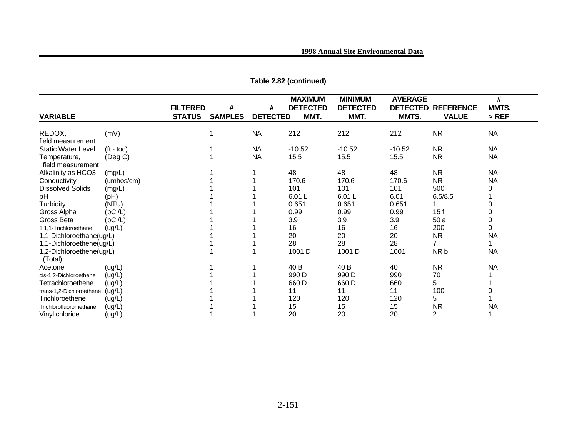|                                     |             |                                  |                     |                      | <b>MAXIMUM</b>          | <b>MINIMUM</b>          | <b>AVERAGE</b> |                                           | #                |
|-------------------------------------|-------------|----------------------------------|---------------------|----------------------|-------------------------|-------------------------|----------------|-------------------------------------------|------------------|
| <b>VARIABLE</b>                     |             | <b>FILTERED</b><br><b>STATUS</b> | #<br><b>SAMPLES</b> | #<br><b>DETECTED</b> | <b>DETECTED</b><br>MMT. | <b>DETECTED</b><br>MMT. | MMTS.          | <b>DETECTED REFERENCE</b><br><b>VALUE</b> | MMTS.<br>$>$ REF |
| REDOX,                              | (mV)        |                                  |                     | <b>NA</b>            | 212                     | 212                     | 212            | NR                                        | <b>NA</b>        |
| field measurement                   |             |                                  |                     |                      |                         |                         |                |                                           |                  |
| <b>Static Water Level</b>           | $(t - toc)$ |                                  |                     | <b>NA</b>            | $-10.52$                | $-10.52$                | $-10.52$       | <b>NR</b>                                 | <b>NA</b>        |
| Temperature,                        | (Deg C)     |                                  |                     | <b>NA</b>            | 15.5                    | 15.5                    | 15.5           | <b>NR</b>                                 | <b>NA</b>        |
| field measurement                   |             |                                  |                     |                      |                         |                         |                |                                           |                  |
| Alkalinity as HCO3                  | (mg/L)      |                                  |                     |                      | 48                      | 48                      | 48             | <b>NR</b>                                 | <b>NA</b>        |
| Conductivity                        | (umhos/cm)  |                                  |                     |                      | 170.6                   | 170.6                   | 170.6          | <b>NR</b>                                 | <b>NA</b>        |
| <b>Dissolved Solids</b>             | (mg/L)      |                                  |                     |                      | 101                     | 101                     | 101            | 500                                       | 0                |
| pH                                  | (Hq)        |                                  |                     |                      | 6.01L                   | 6.01L                   | 6.01           | 6.5/8.5                                   |                  |
| Turbidity                           | (NTU)       |                                  |                     |                      | 0.651                   | 0.651                   | 0.651          |                                           | 0                |
| Gross Alpha                         | (pCi/L)     |                                  |                     |                      | 0.99                    | 0.99                    | 0.99           | 15f                                       | 0                |
| Gross Beta                          | (pCi/L)     |                                  |                     |                      | 3.9                     | 3.9                     | 3.9            | 50a                                       | 0                |
| 1,1,1-Trichloroethane               | (ug/L)      |                                  |                     |                      | 16                      | 16                      | 16             | 200                                       | 0                |
| 1,1-Dichloroethane(ug/L)            |             |                                  |                     |                      | 20                      | 20                      | 20             | <b>NR</b>                                 | <b>NA</b>        |
| 1,1-Dichloroethene(ug/L)            |             |                                  |                     |                      | 28                      | 28                      | 28             | $\overline{7}$                            |                  |
| 1,2-Dichloroethene(ug/L)<br>(Total) |             |                                  |                     |                      | 1001 D                  | 1001 D                  | 1001           | NR b                                      | <b>NA</b>        |
| Acetone                             | (ug/L)      |                                  |                     |                      | 40 B                    | 40 B                    | 40             | <b>NR</b>                                 | <b>NA</b>        |
| cis-1,2-Dichloroethene              | (ug/L)      |                                  |                     |                      | 990 D                   | 990 D                   | 990            | 70                                        |                  |
| Tetrachloroethene                   | (ug/L)      |                                  |                     |                      | 660 D                   | 660 D                   | 660            | 5                                         |                  |
| trans-1,2-Dichloroethene            | (ug/L)      |                                  |                     |                      | 11                      | 11                      | 11             | 100                                       |                  |
| Trichloroethene                     | (ug/L)      |                                  |                     |                      | 120                     | 120                     | 120            | 5                                         |                  |
| Trichlorofluoromethane              | (ug/L)      |                                  |                     |                      | 15                      | 15                      | 15             | <b>NR</b>                                 | <b>NA</b>        |
| Vinyl chloride                      | (ug/L)      |                                  |                     |                      | 20                      | 20                      | 20             | 2                                         | 1                |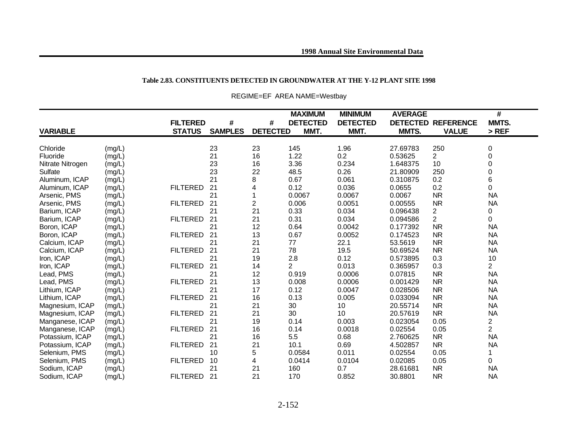### **Table 2.83. CONSTITUENTS DETECTED IN GROUNDWATER AT THE Y-12 PLANT SITE 1998**

|                             |        |                 |                |                 | <b>MAXIMUM</b>  | <b>MINIMUM</b>  | <b>AVERAGE</b>       |                           | #              |
|-----------------------------|--------|-----------------|----------------|-----------------|-----------------|-----------------|----------------------|---------------------------|----------------|
|                             |        | <b>FILTERED</b> | #              | #               | <b>DETECTED</b> | <b>DETECTED</b> |                      | <b>DETECTED REFERENCE</b> | MMTS.          |
| <b>VARIABLE</b>             |        | <b>STATUS</b>   | <b>SAMPLES</b> | <b>DETECTED</b> | MMT.            | MMT.            | MMTS.                | <b>VALUE</b>              | $>$ REF        |
|                             |        |                 |                |                 |                 |                 |                      |                           |                |
| Chloride                    | (mg/L) |                 | 23<br>21       | 23<br>16        | 145<br>1.22     | 1.96<br>0.2     | 27.69783             | 250                       | 0              |
| Fluoride                    | (mg/L) |                 |                |                 |                 |                 | 0.53625              | $\overline{2}$            | 0              |
| Nitrate Nitrogen<br>Sulfate | (mg/L) |                 | 23<br>23       | 16<br>22        | 3.36<br>48.5    | 0.234<br>0.26   | 1.648375<br>21.80909 | 10<br>250                 | 0<br>0         |
|                             | (mg/L) |                 | 21             |                 |                 |                 |                      |                           |                |
| Aluminum, ICAP              | (mg/L) |                 |                | 8               | 0.67            | 0.061           | 0.310875             | 0.2                       | 6              |
| Aluminum, ICAP              | (mg/L) | <b>FILTERED</b> | 21             | 4               | 0.12            | 0.036           | 0.0655               | 0.2                       | 0              |
| Arsenic, PMS                | (mg/L) |                 | 21             | 1               | 0.0067          | 0.0067          | 0.0067               | <b>NR</b>                 | <b>NA</b>      |
| Arsenic, PMS                | (mg/L) | <b>FILTERED</b> | 21<br>21       | 2               | 0.006           | 0.0051          | 0.00555              | <b>NR</b>                 | <b>NA</b>      |
| Barium, ICAP                | (mg/L) |                 |                | 21              | 0.33            | 0.034           | 0.096438             | $\overline{2}$            | 0              |
| Barium, ICAP                | (mg/L) | <b>FILTERED</b> | 21             | 21              | 0.31            | 0.034           | 0.094586             | $\overline{2}$            | 0              |
| Boron, ICAP                 | (mg/L) |                 | 21             | 12              | 0.64            | 0.0042          | 0.177392             | <b>NR</b>                 | <b>NA</b>      |
| Boron, ICAP                 | (mg/L) | <b>FILTERED</b> | 21             | 13              | 0.67            | 0.0052          | 0.174523             | <b>NR</b>                 | <b>NA</b>      |
| Calcium, ICAP               | (mg/L) |                 | 21             | 21              | 77              | 22.1            | 53.5619              | <b>NR</b>                 | <b>NA</b>      |
| Calcium, ICAP               | (mg/L) | <b>FILTERED</b> | 21             | 21              | 78              | 19.5            | 50.69524             | <b>NR</b>                 | <b>NA</b>      |
| Iron, ICAP                  | (mg/L) |                 | 21             | 19              | 2.8             | 0.12            | 0.573895             | 0.3                       | 10             |
| Iron, ICAP                  | (mg/L) | <b>FILTERED</b> | 21             | 14              | 2               | 0.013           | 0.365957             | 0.3                       | $\overline{2}$ |
| Lead, PMS                   | (mg/L) |                 | 21             | 12              | 0.919           | 0.0006          | 0.07815              | <b>NR</b>                 | <b>NA</b>      |
| Lead, PMS                   | (mg/L) | <b>FILTERED</b> | 21             | 13              | 0.008           | 0.0006          | 0.001429             | <b>NR</b>                 | <b>NA</b>      |
| Lithium, ICAP               | (mg/L) |                 | 21             | 17              | 0.12            | 0.0047          | 0.028506             | <b>NR</b>                 | <b>NA</b>      |
| Lithium, ICAP               | (mg/L) | <b>FILTERED</b> | 21             | 16              | 0.13            | 0.005           | 0.033094             | <b>NR</b>                 | <b>NA</b>      |
| Magnesium, ICAP             | (mg/L) |                 | 21             | 21              | 30              | 10              | 20.55714             | <b>NR</b>                 | <b>NA</b>      |
| Magnesium, ICAP             | (mg/L) | <b>FILTERED</b> | 21             | 21              | 30              | 10              | 20.57619             | <b>NR</b>                 | <b>NA</b>      |
| Manganese, ICAP             | (mg/L) |                 | 21             | 19              | 0.14            | 0.003           | 0.023054             | 0.05                      | $\overline{c}$ |
| Manganese, ICAP             | (mg/L) | <b>FILTERED</b> | 21             | 16              | 0.14            | 0.0018          | 0.02554              | 0.05                      | $\overline{2}$ |
| Potassium, ICAP             | (mg/L) |                 | 21             | 16              | 5.5             | 0.68            | 2.760625             | <b>NR</b>                 | <b>NA</b>      |
| Potassium, ICAP             | (mg/L) | <b>FILTERED</b> | 21             | 21              | 10.1            | 0.69            | 4.502857             | <b>NR</b>                 | <b>NA</b>      |
| Selenium, PMS               | (mg/L) |                 | 10             | 5               | 0.0584          | 0.011           | 0.02554              | 0.05                      | 1              |
| Selenium, PMS               | (mg/L) | <b>FILTERED</b> | 10             | 4               | 0.0414          | 0.0104          | 0.02085              | 0.05                      | 0              |
| Sodium, ICAP                | (mg/L) |                 | 21             | 21              | 160             | 0.7             | 28.61681             | <b>NR</b>                 | <b>NA</b>      |
| Sodium, ICAP                | (mg/L) | <b>FILTERED</b> | 21             | 21              | 170             | 0.852           | 30.8801              | <b>NR</b>                 | <b>NA</b>      |

#### REGIME=EF AREA NAME=Westbay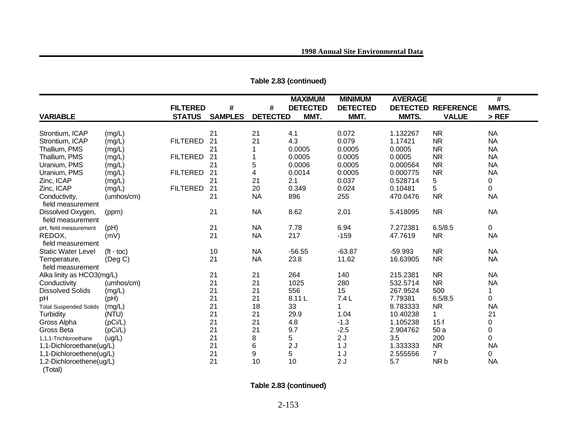|                                        |                    | <b>FILTERED</b> | #              | #               | <b>MAXIMUM</b><br><b>DETECTED</b> | <b>MINIMUM</b><br><b>DETECTED</b> | <b>AVERAGE</b> | <b>DETECTED REFERENCE</b> | #<br>MMTS.   |
|----------------------------------------|--------------------|-----------------|----------------|-----------------|-----------------------------------|-----------------------------------|----------------|---------------------------|--------------|
| <b>VARIABLE</b>                        |                    | <b>STATUS</b>   | <b>SAMPLES</b> | <b>DETECTED</b> | MMT.                              | MMT.                              | MMTS.          | <b>VALUE</b>              | $>$ REF      |
| Strontium, ICAP                        | (mg/L)             |                 | 21             | 21              | 4.1                               | 0.072                             | 1.132267       | <b>NR</b>                 | <b>NA</b>    |
| Strontium, ICAP                        | (mg/L)             | <b>FILTERED</b> | 21             | 21              | 4.3                               | 0.079                             | 1.17421        | <b>NR</b>                 | <b>NA</b>    |
| Thallium, PMS                          | (mg/L)             |                 | 21             |                 | 0.0005                            | 0.0005                            | 0.0005         | <b>NR</b>                 | <b>NA</b>    |
| Thallium, PMS                          | (mg/L)             | <b>FILTERED</b> | 21             | 1               | 0.0005                            | 0.0005                            | 0.0005         | <b>NR</b>                 | <b>NA</b>    |
| Uranium, PMS                           | (mg/L)             |                 | 21             | 5               | 0.0006                            | 0.0005                            | 0.000564       | <b>NR</b>                 | <b>NA</b>    |
| Uranium, PMS                           | (mg/L)             | <b>FILTERED</b> | 21             | 4               | 0.0014                            | 0.0005                            | 0.000775       | <b>NR</b>                 | <b>NA</b>    |
| Zinc, ICAP                             | (mg/L)             |                 | 21             | 21              | 2.1                               | 0.037                             | 0.528714       | 5                         | 0            |
| Zinc, ICAP                             | (mg/L)             | <b>FILTERED</b> | 21             | 20              | 0.349                             | 0.024                             | 0.10481        | 5                         | $\mathbf 0$  |
| Conductivity,<br>field measurement     | (umhos/cm)         |                 | 21             | <b>NA</b>       | 896                               | 255                               | 470.0476       | <b>NR</b>                 | <b>NA</b>    |
| Dissolved Oxygen,<br>field measurement | (ppm)              |                 | 21             | <b>NA</b>       | 8.62                              | 2.01                              | 5.418095       | <b>NR</b>                 | <b>NA</b>    |
| pH, field measurement                  | (PH)               |                 | 21             | <b>NA</b>       | 7.78                              | 6.94                              | 7.272381       | 6.5/8.5                   | $\mathbf 0$  |
| REDOX,                                 | (mV)               |                 | 21             | <b>NA</b>       | 217                               | $-159$                            | 47.7619        | <b>NR</b>                 | <b>NA</b>    |
| field measurement                      |                    |                 |                |                 |                                   |                                   |                |                           |              |
| <b>Static Water Level</b>              | $(t - \text{toc})$ |                 | 10             | <b>NA</b>       | $-56.55$                          | $-63.87$                          | $-59.993$      | <b>NR</b>                 | <b>NA</b>    |
| Temperature,                           | (Deg C)            |                 | 21             | <b>NA</b>       | 23.8                              | 11.62                             | 16.63905       | <b>NR</b>                 | <b>NA</b>    |
| field measurement                      |                    |                 |                |                 |                                   |                                   |                |                           |              |
| Alka linity as HCO3(mg/L)              |                    |                 | 21             | 21              | 264                               | 140                               | 215.2381       | <b>NR</b>                 | <b>NA</b>    |
| Conductivity                           | (umhos/cm)         |                 | 21             | 21              | 1025                              | 280                               | 532.5714       | <b>NR</b>                 | <b>NA</b>    |
| <b>Dissolved Solids</b>                | (mg/L)             |                 | 21             | 21              | 556                               | 15                                | 267.9524       | 500                       |              |
| pH                                     | (PH)               |                 | 21             | 21              | 8.11L                             | 7.4L                              | 7.79381        | 6.5/8.5                   | $\mathbf 0$  |
| <b>Total Suspended Solids</b>          | (mg/L)             |                 | 21             | 18              | 33                                |                                   | 8.783333       | <b>NR</b>                 | <b>NA</b>    |
| Turbidity                              | (NTU)              |                 | 21             | 21              | 29.9                              | 1.04                              | 10.40238       | $\mathbf 1$               | 21           |
| Gross Alpha                            | (pCi/L)            |                 | 21             | 21              | 4.8                               | $-1.3$                            | 1.105238       | 15f                       | 0            |
| Gross Beta                             | (pCi/L)            |                 | 21             | 21              | 9.7                               | $-2.5$                            | 2.904762       | 50a                       | $\pmb{0}$    |
| 1,1,1-Trichloroethane                  | (ug/L)             |                 | 21             | 8               | 5                                 | 2J                                | 3.5            | 200                       | $\mathbf{0}$ |
| 1,1-Dichloroethane(ug/L)               |                    |                 | 21             | 6               | 2J                                | 1 <sub>J</sub>                    | 1.333333       | <b>NR</b>                 | <b>NA</b>    |
| 1,1-Dichloroethene(ug/L)               |                    |                 | 21             | 9               | 5                                 | 1 <sub>J</sub>                    | 2.555556       | $\overline{7}$            | 0            |
| 1,2-Dichloroethene(ug/L)               |                    |                 | 21             | 10              | 10                                | 2J                                | 5.7            | NR b                      | <b>NA</b>    |
| (Total)                                |                    |                 |                |                 |                                   |                                   |                |                           |              |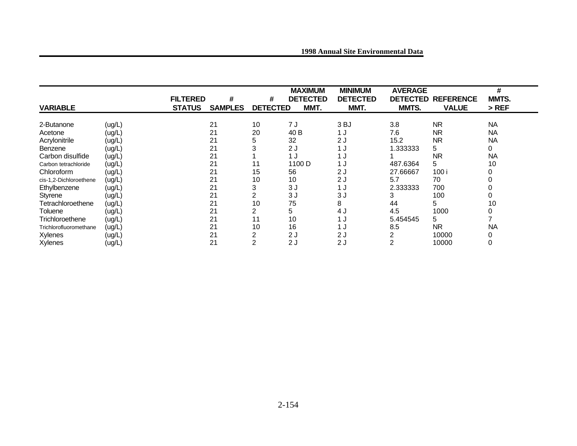|                        |        |                 |                |                 | <b>MAXIMUM</b>  | <b>MINIMUM</b>  | <b>AVERAGE</b> |                           | #         |
|------------------------|--------|-----------------|----------------|-----------------|-----------------|-----------------|----------------|---------------------------|-----------|
|                        |        | <b>FILTERED</b> | #              | #               | <b>DETECTED</b> | <b>DETECTED</b> |                | <b>DETECTED REFERENCE</b> | MMTS.     |
| <b>VARIABLE</b>        |        | <b>STATUS</b>   | <b>SAMPLES</b> | <b>DETECTED</b> | MMT.            | MMT.            | MMTS.          | <b>VALUE</b>              | $>$ REF   |
|                        |        |                 |                |                 |                 |                 |                |                           |           |
| 2-Butanone             | (ug/L) |                 | 21             | 10              | 7 J             | 3BJ             | 3.8            | <b>NR</b>                 | <b>NA</b> |
| Acetone                | (ug/L) |                 | 21             | 20              | 40 B            | 1 J             | 7.6            | <b>NR</b>                 | <b>NA</b> |
| Acrylonitrile          | (ug/L) |                 | 21             | 5               | 32              | 2 J             | 15.2           | <b>NR</b>                 | <b>NA</b> |
| Benzene                | (ug/L) |                 | 21             |                 | 2 J             | 1 <sub>J</sub>  | 1.333333       | 5                         | 0         |
| Carbon disulfide       | (ug/L) |                 | 21             |                 | 1 J             | 1 <sub>J</sub>  |                | <b>NR</b>                 | <b>NA</b> |
| Carbon tetrachloride   | (ug/L) |                 | 21             | 11              | 1100 D          | 1 <sub>J</sub>  | 487.6364       | 5                         | 10        |
| Chloroform             | (ug/L) |                 | 21             | 15              | 56              | 2 J             | 27.66667       | 100 i                     | 0         |
| cis-1,2-Dichloroethene | (ug/L) |                 | 21             | 10              | 10              | 2J              | 5.7            | 70                        |           |
| Ethylbenzene           | (ug/L) |                 | 21             | 3               | 3J              | 1 <sub>J</sub>  | 2.333333       | 700                       |           |
| Styrene                | (ug/L) |                 | 21             | ົ               | 3 J             | 3 J             |                | 100                       |           |
| Tetrachloroethene      | (ug/L) |                 | 21             | 10              | 75              | 8               | 44             | 5                         | 10        |
| Toluene                | (ug/L) |                 | 21             | 2               | 5               | 4 J             | 4.5            | 1000                      |           |
| Trichloroethene        | (ug/L) |                 | 21             | 11              | 10              | 1 <sub>J</sub>  | 5.454545       | 5.                        |           |
| Trichlorofluoromethane | (ug/L) |                 | 21             | 10              | 16              | 1 <sub>J</sub>  | 8.5            | <b>NR</b>                 | <b>NA</b> |
| Xylenes                | (ug/L) |                 | 21             | ົ               | 2J              | 2 J             |                | 10000                     |           |
| Xylenes                | (ug/L) |                 | 21             |                 | 2J              | 2J              |                | 10000                     | 0         |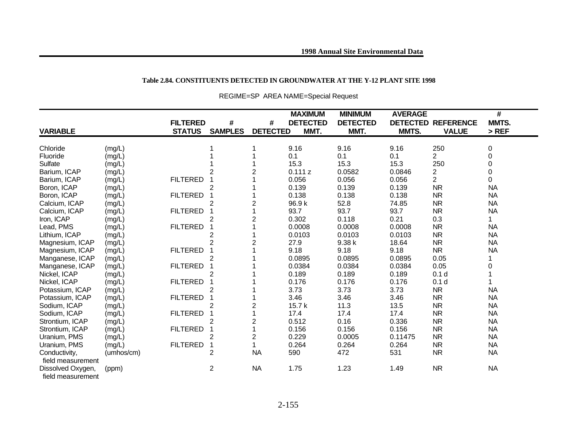### **Table 2.84. CONSTITUENTS DETECTED IN GROUNDWATER AT THE Y-12 PLANT SITE 1998**

|                     |            |                 |                |                 | <b>MAXIMUM</b>  | <b>MINIMUM</b>  | <b>AVERAGE</b> |                           | #         |  |
|---------------------|------------|-----------------|----------------|-----------------|-----------------|-----------------|----------------|---------------------------|-----------|--|
|                     |            | <b>FILTERED</b> | #              | #               | <b>DETECTED</b> | <b>DETECTED</b> |                | <b>DETECTED REFERENCE</b> | MMTS.     |  |
| <b>VARIABLE</b>     |            | <b>STATUS</b>   | <b>SAMPLES</b> | <b>DETECTED</b> | MMT.            | MMT.            | MMTS.          | <b>VALUE</b>              | $>$ REF   |  |
| Chloride            |            |                 |                |                 | 9.16            | 9.16            | 9.16           | 250                       | 0         |  |
|                     | (mg/L)     |                 |                |                 | 0.1             | 0.1             | 0.1            | $\overline{2}$            | 0         |  |
| Fluoride<br>Sulfate | (mg/L)     |                 |                |                 | 15.3            | 15.3            | 15.3           | 250                       | 0         |  |
| Barium, ICAP        | (mg/L)     |                 |                |                 | 0.111 z         | 0.0582          | 0.0846         |                           | 0         |  |
|                     | (mg/L)     |                 |                |                 |                 |                 |                | $\overline{a}$            |           |  |
| Barium, ICAP        | (mg/L)     | <b>FILTERED</b> |                |                 | 0.056           | 0.056           | 0.056          | $\overline{2}$            | 0         |  |
| Boron, ICAP         | (mg/L)     |                 | 2              |                 | 0.139           | 0.139           | 0.139          | <b>NR</b>                 | <b>NA</b> |  |
| Boron, ICAP         | (mg/L)     | <b>FILTERED</b> |                |                 | 0.138           | 0.138           | 0.138          | <b>NR</b>                 | <b>NA</b> |  |
| Calcium, ICAP       | (mg/L)     |                 |                |                 | 96.9 k          | 52.8            | 74.85          | <b>NR</b>                 | <b>NA</b> |  |
| Calcium, ICAP       | (mg/L)     | <b>FILTERED</b> |                |                 | 93.7            | 93.7            | 93.7           | <b>NR</b>                 | <b>NA</b> |  |
| Iron, ICAP          | (mg/L)     |                 | 2              | 2               | 0.302           | 0.118           | 0.21           | 0.3                       |           |  |
| Lead, PMS           | (mg/L)     | <b>FILTERED</b> |                |                 | 0.0008          | 0.0008          | 0.0008         | <b>NR</b>                 | <b>NA</b> |  |
| Lithium, ICAP       | (mg/L)     |                 | 2              |                 | 0.0103          | 0.0103          | 0.0103         | <b>NR</b>                 | <b>NA</b> |  |
| Magnesium, ICAP     | (mg/L)     |                 | $\overline{2}$ | $\overline{2}$  | 27.9            | 9.38 k          | 18.64          | <b>NR</b>                 | <b>NA</b> |  |
| Magnesium, ICAP     | (mg/L)     | <b>FILTERED</b> |                |                 | 9.18            | 9.18            | 9.18           | <b>NR</b>                 | <b>NA</b> |  |
| Manganese, ICAP     | (mg/L)     |                 | 2              |                 | 0.0895          | 0.0895          | 0.0895         | 0.05                      |           |  |
| Manganese, ICAP     | (mg/L)     | <b>FILTERED</b> |                |                 | 0.0384          | 0.0384          | 0.0384         | 0.05                      | 0         |  |
| Nickel, ICAP        | (mg/L)     |                 | 2              |                 | 0.189           | 0.189           | 0.189          | 0.1 <sub>d</sub>          |           |  |
| Nickel, ICAP        | (mg/L)     | <b>FILTERED</b> |                |                 | 0.176           | 0.176           | 0.176          | 0.1 <sub>d</sub>          |           |  |
| Potassium, ICAP     | (mg/L)     |                 | 2              |                 | 3.73            | 3.73            | 3.73           | <b>NR</b>                 | <b>NA</b> |  |
| Potassium, ICAP     | (mg/L)     | <b>FILTERED</b> |                |                 | 3.46            | 3.46            | 3.46           | <b>NR</b>                 | <b>NA</b> |  |
| Sodium, ICAP        | (mg/L)     |                 | 2              | 2               | 15.7k           | 11.3            | 13.5           | <b>NR</b>                 | <b>NA</b> |  |
| Sodium, ICAP        | (mg/L)     | <b>FILTERED</b> |                |                 | 17.4            | 17.4            | 17.4           | <b>NR</b>                 | <b>NA</b> |  |
| Strontium, ICAP     | (mg/L)     |                 | 2              | 2               | 0.512           | 0.16            | 0.336          | <b>NR</b>                 | <b>NA</b> |  |
| Strontium, ICAP     | (mg/L)     | <b>FILTERED</b> |                |                 | 0.156           | 0.156           | 0.156          | <b>NR</b>                 | <b>NA</b> |  |
| Uranium, PMS        | (mg/L)     |                 | 2              | $\overline{c}$  | 0.229           | 0.0005          | 0.11475        | <b>NR</b>                 | <b>NA</b> |  |
| Uranium, PMS        | (mg/L)     | <b>FILTERED</b> |                |                 | 0.264           | 0.264           | 0.264          | <b>NR</b>                 | <b>NA</b> |  |
| Conductivity,       | (umhos/cm) |                 | $\overline{c}$ | <b>NA</b>       | 590             | 472             | 531            | <b>NR</b>                 | <b>NA</b> |  |
| field measurement   |            |                 |                |                 |                 |                 |                |                           |           |  |
| Dissolved Oxygen,   | (ppm)      |                 | 2              | <b>NA</b>       | 1.75            | 1.23            | 1.49           | <b>NR</b>                 | <b>NA</b> |  |
| field measurement   |            |                 |                |                 |                 |                 |                |                           |           |  |

REGIME=SP AREA NAME=Special Request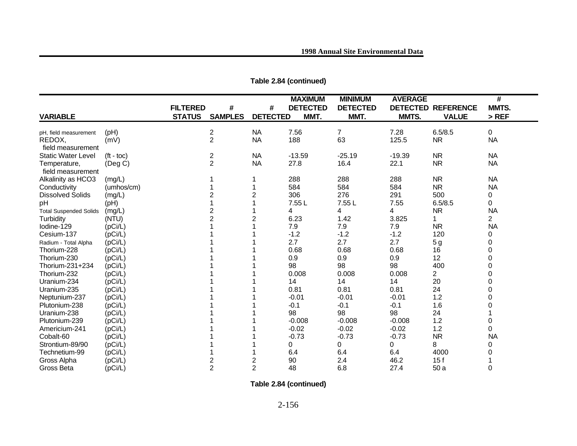| <b>VARIABLE</b>                                                |                                | <b>FILTERED</b><br><b>STATUS</b> | #<br><b>SAMPLES</b>                       | #<br><b>DETECTED</b>             | <b>MAXIMUM</b><br><b>DETECTED</b><br>MMT. | <b>MINIMUM</b><br><b>DETECTED</b><br>MMT. | <b>AVERAGE</b><br>MMTS.   | <b>DETECTED REFERENCE</b><br><b>VALUE</b> | $\#$<br>MMTS.<br>$>$ REF         |
|----------------------------------------------------------------|--------------------------------|----------------------------------|-------------------------------------------|----------------------------------|-------------------------------------------|-------------------------------------------|---------------------------|-------------------------------------------|----------------------------------|
| pH, field measurement<br>REDOX,<br>field measurement           | (Hq)<br>(mV)                   |                                  | $\overline{\mathbf{c}}$<br>$\overline{2}$ | <b>NA</b><br><b>NA</b>           | 7.56<br>188                               | $\overline{7}$<br>63                      | 7.28<br>125.5             | 6.5/8.5<br><b>NR</b>                      | 0<br><b>NA</b>                   |
| <b>Static Water Level</b><br>Temperature,<br>field measurement | $(ft - toc)$<br>$($ Deg C $)$  |                                  | $\overline{\mathbf{c}}$<br>$\overline{2}$ | <b>NA</b><br><b>NA</b>           | $-13.59$<br>27.8                          | $-25.19$<br>16.4                          | $-19.39$<br>22.1          | <b>NR</b><br><b>NR</b>                    | <b>NA</b><br><b>NA</b>           |
| Alkalinity as HCO3<br>Conductivity<br><b>Dissolved Solids</b>  | (mg/L)<br>(umhos/cm)<br>(mg/L) |                                  | 2                                         | 2                                | 288<br>584<br>306                         | 288<br>584<br>276                         | 288<br>584<br>291         | <b>NR</b><br><b>NR</b><br>500             | <b>NA</b><br><b>NA</b><br>0      |
| рH<br><b>Total Suspended Solids</b>                            | (Hq)<br>(mg/L)<br>(NTU)        |                                  | $\overline{2}$<br>$\overline{2}$          |                                  | 7.55L<br>4<br>6.23                        | 7.55L<br>4<br>1.42                        | 7.55<br>4<br>3.825        | 6.5/8.5<br><b>NR</b><br>1                 | 0<br><b>NA</b><br>$\overline{2}$ |
| Turbidity<br>lodine-129<br>Cesium-137                          | (pCi/L)<br>(pCi/L)             |                                  |                                           |                                  | 7.9<br>$-1.2$                             | 7.9<br>$-1.2$                             | 7.9<br>$-1.2$             | <b>NR</b><br>120                          | <b>NA</b><br>0                   |
| Radium - Total Alpha<br>Thorium-228<br>Thorium-230             | (pCi/L)<br>(pCi/L)<br>(pCi/L)  |                                  |                                           |                                  | 2.7<br>0.68<br>0.9                        | 2.7<br>0.68<br>0.9                        | 2.7<br>0.68<br>0.9        | 5 <sub>g</sub><br>16<br>12                | 0<br>0<br>0                      |
| Thorium-231+234<br>Thorium-232<br>Uranium-234                  | (pCi/L)<br>(pCi/L)<br>(pCi/L)  |                                  |                                           |                                  | 98<br>0.008<br>14                         | 98<br>0.008<br>14                         | 98<br>0.008<br>14         | 400<br>2<br>20                            | 0<br>0<br>0                      |
| Uranium-235<br>Neptunium-237<br>Plutonium-238                  | (pCi/L)<br>(pCi/L)<br>(pCi/L)  |                                  |                                           |                                  | 0.81<br>$-0.01$<br>$-0.1$                 | 0.81<br>$-0.01$<br>$-0.1$                 | 0.81<br>$-0.01$<br>$-0.1$ | 24<br>1.2<br>1.6                          | $\Omega$<br>$\Omega$<br>$\Omega$ |
| Uranium-238<br>Plutonium-239<br>Americium-241                  | (pCi/L)<br>(pCi/L)<br>(pCi/L)  |                                  |                                           |                                  | 98<br>$-0.008$<br>$-0.02$                 | 98<br>$-0.008$<br>$-0.02$                 | 98<br>$-0.008$<br>$-0.02$ | 24<br>1.2<br>1.2                          | 0<br>0                           |
| Cobalt-60<br>Strontium-89/90                                   | (pCi/L)<br>(pCi/L)             |                                  |                                           |                                  | $-0.73$<br>0                              | $-0.73$<br>0                              | $-0.73$<br>0              | <b>NR</b><br>8                            | <b>NA</b><br>0                   |
| Technetium-99<br>Gross Alpha<br>Gross Beta                     | (pCi/L)<br>(pCi/L)<br>(pCi/L)  |                                  | $\overline{c}$<br>$\overline{2}$          | $\overline{c}$<br>$\overline{2}$ | 6.4<br>90<br>48                           | 6.4<br>2.4<br>6.8                         | 6.4<br>46.2<br>27.4       | 4000<br>15f<br>50a                        | 0<br>$\mathbf 0$                 |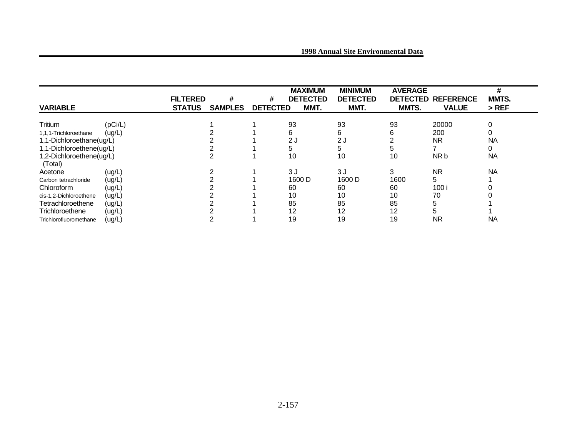| <b>1998 Annual Site Environmental Data</b> |  |
|--------------------------------------------|--|
|--------------------------------------------|--|

|                          |         |                 |                |                 | <b>MAXIMUM</b>  | <b>MINIMUM</b>  | <b>AVERAGE</b> |                           | #         |
|--------------------------|---------|-----------------|----------------|-----------------|-----------------|-----------------|----------------|---------------------------|-----------|
|                          |         | <b>FILTERED</b> | #              | #               | <b>DETECTED</b> | <b>DETECTED</b> |                | <b>DETECTED REFERENCE</b> | MMTS.     |
| <b>VARIABLE</b>          |         | <b>STATUS</b>   | <b>SAMPLES</b> | <b>DETECTED</b> | MMT.            | MMT.            | MMTS.          | <b>VALUE</b>              | $>$ REF   |
| Tritium                  | (pCi/L) |                 |                |                 | 93              | 93              | 93             | 20000                     | 0         |
| 1,1,1-Trichloroethane    | (ug/L)  |                 |                |                 | 6               | 6               |                | 200                       | 0         |
| 1,1-Dichloroethane(ug/L) |         |                 |                |                 | 2J              | 2 J             |                | <b>NR</b>                 | <b>NA</b> |
| 1,1-Dichloroethene(ug/L) |         |                 |                |                 | 5               | 5               | G              |                           | 0         |
| 1,2-Dichloroethene(ug/L) |         |                 |                |                 | 10              | 10              | 10             | NR b                      | <b>NA</b> |
| (Total)                  |         |                 |                |                 |                 |                 |                |                           |           |
| Acetone                  | (ug/L)  |                 |                |                 | 3J              | 3 J             | 3              | <b>NR</b>                 | <b>NA</b> |
| Carbon tetrachloride     | (ug/L)  |                 |                |                 | 1600 D          | 1600 D          | 1600           | 5                         |           |
| Chloroform               | (ug/L)  |                 |                |                 | 60              | 60              | 60             | 100 i                     |           |
| cis-1,2-Dichloroethene   | (ug/L)  |                 |                |                 | 10              | 10              | 10             | 70                        |           |
| Tetrachloroethene        | (ug/L)  |                 |                |                 | 85              | 85              | 85             | 5                         |           |
| Trichloroethene          | (ug/L)  |                 |                |                 | 12              | 12              | 12             |                           |           |
| Trichlorofluoromethane   | (ug/L)  |                 |                |                 | 19              | 19              | 19             | <b>NR</b>                 | <b>NA</b> |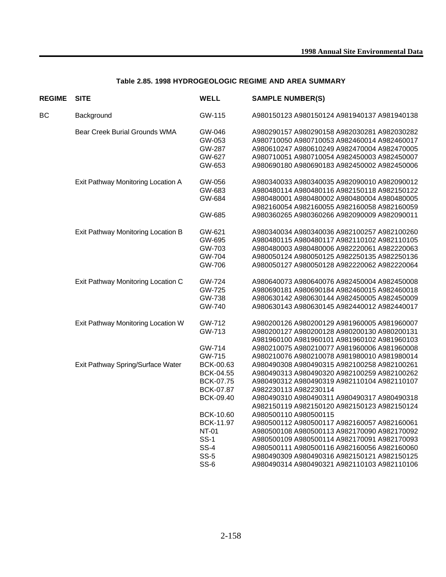| <b>REGIME</b> | <b>SITE</b>                          | <b>WELL</b>      | <b>SAMPLE NUMBER(S)</b>                     |
|---------------|--------------------------------------|------------------|---------------------------------------------|
| ВC            | Background                           | GW-115           | A980150123 A980150124 A981940137 A981940138 |
|               | <b>Bear Creek Burial Grounds WMA</b> | GW-046           | A980290157 A980290158 A982030281 A982030282 |
|               |                                      | GW-053           | A980710050 A980710053 A982460014 A982460017 |
|               |                                      | GW-287           | A980610247 A980610249 A982470004 A982470005 |
|               |                                      | GW-627           | A980710051 A980710054 A982450003 A982450007 |
|               |                                      | GW-653           | A980690180 A980690183 A982450002 A982450006 |
|               | Exit Pathway Monitoring Location A   | GW-056           | A980340033 A980340035 A982090010 A982090012 |
|               |                                      | GW-683           | A980480114 A980480116 A982150118 A982150122 |
|               |                                      | GW-684           | A980480001 A980480002 A980480004 A980480005 |
|               |                                      |                  | A982160054 A982160055 A982160058 A982160059 |
|               |                                      | GW-685           | A980360265 A980360266 A982090009 A982090011 |
|               | Exit Pathway Monitoring Location B   | GW-621           | A980340034 A980340036 A982100257 A982100260 |
|               |                                      | GW-695           | A980480115 A980480117 A982110102 A982110105 |
|               |                                      | GW-703           | A980480003 A980480006 A982220061 A982220063 |
|               |                                      | GW-704           | A980050124 A980050125 A982250135 A982250136 |
|               |                                      | GW-706           | A980050127 A980050128 A982220062 A982220064 |
|               | Exit Pathway Monitoring Location C   | GW-724           | A980640073 A980640076 A982450004 A982450008 |
|               |                                      | GW-725           | A980690181 A980690184 A982460015 A982460018 |
|               |                                      | GW-738           | A980630142 A980630144 A982450005 A982450009 |
|               |                                      | GW-740           | A980630143 A980630145 A982440012 A982440017 |
|               | Exit Pathway Monitoring Location W   | GW-712           | A980200126 A980200129 A981960005 A981960007 |
|               |                                      | GW-713           | A980200127 A980200128 A980200130 A980200131 |
|               |                                      |                  | A981960100 A981960101 A981960102 A981960103 |
|               |                                      | GW-714           | A980210075 A980210077 A981960006 A981960008 |
|               |                                      | GW-715           | A980210076 A980210078 A981980010 A981980014 |
|               | Exit Pathway Spring/Surface Water    | BCK-00.63        | A980490308 A980490315 A982100258 A982100261 |
|               |                                      | BCK-04.55        | A980490313 A980490320 A982100259 A982100262 |
|               |                                      | BCK-07.75        | A980490312 A980490319 A982110104 A982110107 |
|               |                                      | BCK-07.87        | A982230113 A982230114                       |
|               |                                      | BCK-09.40        | A980490310 A980490311 A980490317 A980490318 |
|               |                                      |                  | A982150119 A982150120 A982150123 A982150124 |
|               |                                      | BCK-10.60        | A980500110 A980500115                       |
|               |                                      | BCK-11.97        | A980500112 A980500117 A982160057 A982160061 |
|               |                                      | <b>NT-01</b>     | A980500108 A980500113 A982170090 A982170092 |
|               |                                      | <b>SS-1</b>      | A980500109 A980500114 A982170091 A982170093 |
|               |                                      | $SS-4$<br>$SS-5$ | A980500111 A980500116 A982160056 A982160060 |
|               |                                      |                  | A980490309 A980490316 A982150121 A982150125 |
|               |                                      | $SS-6$           | A980490314 A980490321 A982110103 A982110106 |

## **Table 2.85. 1998 HYDROGEOLOGIC REGIME AND AREA SUMMARY**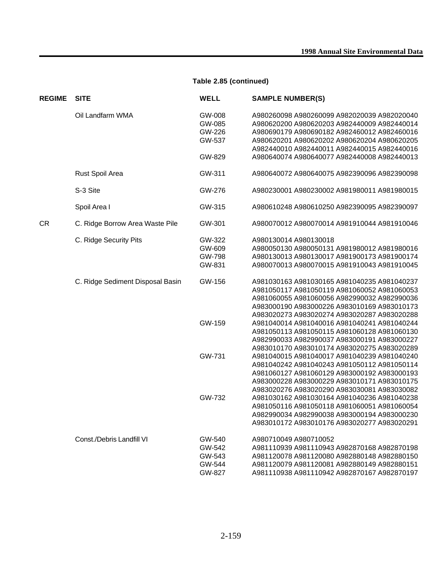| <b>REGIME</b> | <b>SITE</b>                      | <b>WELL</b>                                    | <b>SAMPLE NUMBER(S)</b>                                                                                                                                                                                                                 |
|---------------|----------------------------------|------------------------------------------------|-----------------------------------------------------------------------------------------------------------------------------------------------------------------------------------------------------------------------------------------|
|               | Oil Landfarm WMA                 | GW-008<br>GW-085<br>GW-226<br>GW-537           | A980260098 A980260099 A982020039 A982020040<br>A980620200 A980620203 A982440009 A982440014<br>A980690179 A980690182 A982460012 A982460016<br>A980620201 A980620202 A980620204 A980620205<br>A982440010 A982440011 A982440015 A982440016 |
|               |                                  | GW-829                                         | A980640074 A980640077 A982440008 A982440013                                                                                                                                                                                             |
|               | Rust Spoil Area                  | GW-311                                         | A980640072 A980640075 A982390096 A982390098                                                                                                                                                                                             |
|               | S-3 Site                         | GW-276                                         | A980230001 A980230002 A981980011 A981980015                                                                                                                                                                                             |
|               | Spoil Area I                     | GW-315                                         | A980610248 A980610250 A982390095 A982390097                                                                                                                                                                                             |
| CR            | C. Ridge Borrow Area Waste Pile  | GW-301                                         | A980070012 A980070014 A981910044 A981910046                                                                                                                                                                                             |
|               | C. Ridge Security Pits           | GW-322<br>GW-609<br>GW-798<br>GW-831           | A980130014 A980130018<br>A980050130 A980050131 A981980012 A981980016<br>A980130013 A980130017 A981900173 A981900174<br>A980070013 A980070015 A981910043 A981910045                                                                      |
|               | C. Ridge Sediment Disposal Basin | GW-156                                         | A981030163 A981030165 A981040235 A981040237<br>A981050117 A981050119 A981060052 A981060053<br>A981060055 A981060056 A982990032 A982990036<br>A983000190 A983000226 A983010169 A983010173                                                |
|               |                                  | GW-159                                         | A983020273 A983020274 A983020287 A983020288<br>A981040014 A981040016 A981040241 A981040244<br>A981050113 A981050115 A981060128 A981060130<br>A982990033 A982990037 A983000191 A983000227<br>A983010170 A983010174 A983020275 A983020289 |
|               |                                  | GW-731                                         | A981040015 A981040017 A981040239 A981040240<br>A981040242 A981040243 A981050112 A981050114<br>A981060127 A981060129 A983000192 A983000193<br>A983000228 A983000229 A983010171 A983010175<br>A983020276 A983020290 A983030081 A983030082 |
|               |                                  | GW-732                                         | A981030162 A981030164 A981040236 A981040238<br>A981050116 A981050118 A981060051 A981060054<br>A982990034 A982990038 A983000194 A983000230<br>A983010172 A983010176 A983020277 A983020291                                                |
|               | Const./Debris Landfill VI        | GW-540<br>GW-542<br>GW-543<br>GW-544<br>GW-827 | A980710049 A980710052<br>A981110939 A981110943 A982870168 A982870198<br>A981120078 A981120080 A982880148 A982880150<br>A981120079 A981120081 A982880149 A982880151<br>A981110938 A981110942 A982870167 A982870197                       |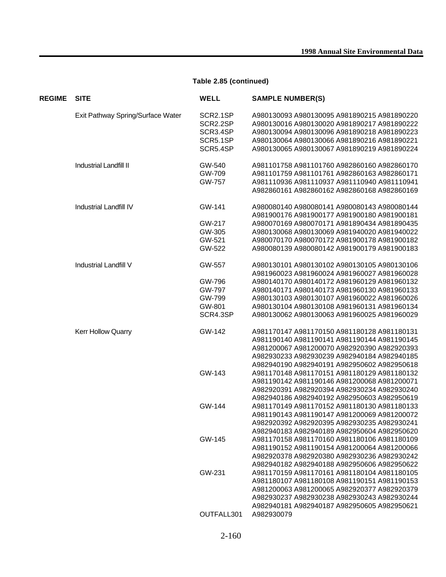| <b>REGIME</b> | <b>SITE</b>                       | <b>WELL</b>                                                | <b>SAMPLE NUMBER(S)</b>                                                                                                                                                                                                                                                                                                               |
|---------------|-----------------------------------|------------------------------------------------------------|---------------------------------------------------------------------------------------------------------------------------------------------------------------------------------------------------------------------------------------------------------------------------------------------------------------------------------------|
|               | Exit Pathway Spring/Surface Water | SCR2.1SP<br>SCR2.2SP<br>SCR3.4SP<br>SCR5.1SP<br>SCR5.4SP   | A980130093 A980130095 A981890215 A981890220<br>A980130016 A980130020 A981890217 A981890222<br>A980130094 A980130096 A981890218 A981890223<br>A980130064 A980130066 A981890216 A981890221<br>A980130065 A980130067 A981890219 A981890224                                                                                               |
|               | <b>Industrial Landfill II</b>     | GW-540<br>GW-709<br>GW-757                                 | A981101758 A981101760 A982860160 A982860170<br>A981101759 A981101761 A982860163 A982860171<br>A981110936 A981110937 A981110940 A981110941<br>A982860161 A982860162 A982860168 A982860169                                                                                                                                              |
|               | Industrial Landfill IV            | GW-141<br>GW-217<br>GW-305<br>GW-521<br>GW-522             | A980080140 A980080141 A980080143 A980080144<br>A981900176 A981900177 A981900180 A981900181<br>A980070169 A980070171 A981890434 A981890435<br>A980130068 A980130069 A981940020 A981940022<br>A980070170 A980070172 A981900178 A981900182<br>A980080139 A980080142 A981900179 A981900183                                                |
|               | <b>Industrial Landfill V</b>      | GW-557<br>GW-796<br>GW-797<br>GW-799<br>GW-801<br>SCR4.3SP | A980130101 A980130102 A980130105 A980130106<br>A981960023 A981960024 A981960027 A981960028<br>A980140170 A980140172 A981960129 A981960132<br>A980140171 A980140173 A981960130 A981960133<br>A980130103 A980130107 A981960022 A981960026<br>A980130104 A980130108 A981960131 A981960134<br>A980130062 A980130063 A981960025 A981960029 |
|               | Kerr Hollow Quarry                | GW-142                                                     | A981170147 A981170150 A981180128 A981180131<br>A981190140 A981190141 A981190144 A981190145<br>A981200067 A981200070 A982920390 A982920393<br>A982930233 A982930239 A982940184 A982940185<br>A982940190 A982940191 A982950602 A982950618                                                                                               |
|               |                                   | GW-143                                                     | A981170148 A981170151 A981180129 A981180132<br>A981190142 A981190146 A981200068 A981200071<br>A982920391 A982920394 A982930234 A982930240<br>A982940186 A982940192 A982950603 A982950619                                                                                                                                              |
|               |                                   | GW-144                                                     | A981170149 A981170152 A981180130 A981180133<br>A981190143 A981190147 A981200069 A981200072<br>A982920392 A982920395 A982930235 A982930241<br>A982940183 A982940189 A982950604 A982950620                                                                                                                                              |
|               |                                   | GW-145                                                     | A981170158 A981170160 A981180106 A981180109<br>A981190152 A981190154 A981200064 A981200066<br>A982920378 A982920380 A982930236 A982930242                                                                                                                                                                                             |
|               |                                   | GW-231                                                     | A982940182 A982940188 A982950606 A982950622<br>A981170159 A981170161 A981180104 A981180105<br>A981180107 A981180108 A981190151 A981190153<br>A981200063 A981200065 A982920377 A982920379<br>A982930237 A982930238 A982930243 A982930244<br>A982940181 A982940187 A982950605 A982950621                                                |
|               |                                   | OUTFALL301                                                 | A982930079                                                                                                                                                                                                                                                                                                                            |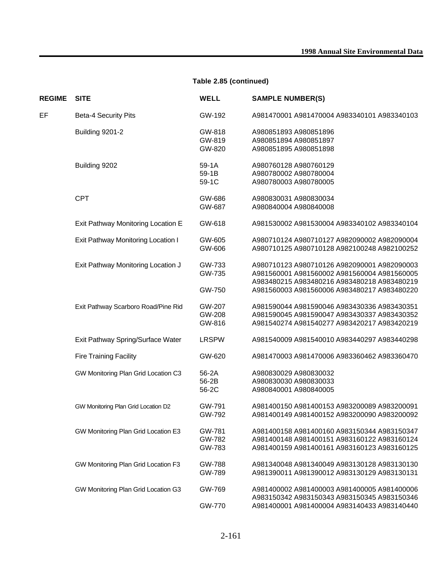| <b>REGIME</b> | <b>SITE</b>                         | <b>WELL</b>                       | <b>SAMPLE NUMBER(S)</b>                                                                                                                   |
|---------------|-------------------------------------|-----------------------------------|-------------------------------------------------------------------------------------------------------------------------------------------|
| EF            | <b>Beta-4 Security Pits</b>         | GW-192                            | A981470001 A981470004 A983340101 A983340103                                                                                               |
|               | Building 9201-2                     | GW-818<br>GW-819<br>GW-820        | A980851893 A980851896<br>A980851894 A980851897<br>A980851895 A980851898                                                                   |
|               | Building 9202                       | 59-1A<br>59-1B<br>59-1C           | A980760128 A980760129<br>A980780002 A980780004<br>A980780003 A980780005                                                                   |
|               | <b>CPT</b>                          | GW-686<br>GW-687                  | A980830031 A980830034<br>A980840004 A980840008                                                                                            |
|               | Exit Pathway Monitoring Location E  | GW-618                            | A981530002 A981530004 A983340102 A983340104                                                                                               |
|               | Exit Pathway Monitoring Location I  | GW-605<br>GW-606                  | A980710124 A980710127 A982090002 A982090004<br>A980710125 A980710128 A982100248 A982100252                                                |
|               | Exit Pathway Monitoring Location J  | GW-733<br>GW-735                  | A980710123 A980710126 A982090001 A982090003<br>A981560001 A981560002 A981560004 A981560005<br>A983480215 A983480216 A983480218 A983480219 |
|               |                                     | GW-750                            | A981560003 A981560006 A983480217 A983480220                                                                                               |
|               | Exit Pathway Scarboro Road/Pine Rid | GW-207<br><b>GW-208</b><br>GW-816 | A981590044 A981590046 A983430336 A983430351<br>A981590045 A981590047 A983430337 A983430352<br>A981540274 A981540277 A983420217 A983420219 |
|               | Exit Pathway Spring/Surface Water   | <b>LRSPW</b>                      | A981540009 A981540010 A983440297 A983440298                                                                                               |
|               | <b>Fire Training Facility</b>       | GW-620                            | A981470003 A981470006 A983360462 A983360470                                                                                               |
|               | GW Monitoring Plan Grid Location C3 | 56-2A<br>56-2B<br>56-2C           | A980830029 A980830032<br>A980830030 A980830033<br>A980840001 A980840005                                                                   |
|               | GW Monitoring Plan Grid Location D2 | GW-791<br>GW-792                  | A981400150 A981400153 A983200089 A983200091<br>A981400149 A981400152 A983200090 A983200092                                                |
|               | GW Monitoring Plan Grid Location E3 | GW-781<br>GW-782<br>GW-783        | A981400158 A981400160 A983150344 A983150347<br>A981400148 A981400151 A983160122 A983160124<br>A981400159 A981400161 A983160123 A983160125 |
|               | GW Monitoring Plan Grid Location F3 | GW-788<br>GW-789                  | A981340048 A981340049 A983130128 A983130130<br>A981390011 A981390012 A983130129 A983130131                                                |
|               | GW Monitoring Plan Grid Location G3 | GW-769                            | A981400002 A981400003 A981400005 A981400006<br>A983150342 A983150343 A983150345 A983150346                                                |
|               |                                     | GW-770                            | A981400001 A981400004 A983140433 A983140440                                                                                               |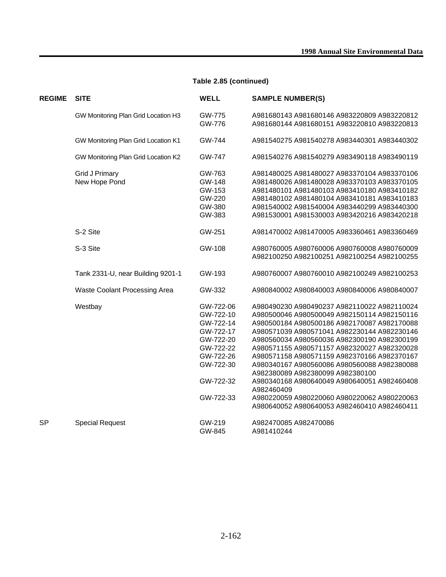| <b>REGIME</b> | <b>SITE</b>                            | <b>WELL</b>                                                                                                                    | <b>SAMPLE NUMBER(S)</b>                                                                                                                                                                                                                                                                                                                                                                                                                                                                                                                                                             |
|---------------|----------------------------------------|--------------------------------------------------------------------------------------------------------------------------------|-------------------------------------------------------------------------------------------------------------------------------------------------------------------------------------------------------------------------------------------------------------------------------------------------------------------------------------------------------------------------------------------------------------------------------------------------------------------------------------------------------------------------------------------------------------------------------------|
|               | GW Monitoring Plan Grid Location H3    | GW-775<br>GW-776                                                                                                               | A981680143 A981680146 A983220809 A983220812<br>A981680144 A981680151 A983220810 A983220813                                                                                                                                                                                                                                                                                                                                                                                                                                                                                          |
|               | GW Monitoring Plan Grid Location K1    | GW-744                                                                                                                         | A981540275 A981540278 A983440301 A983440302                                                                                                                                                                                                                                                                                                                                                                                                                                                                                                                                         |
|               | GW Monitoring Plan Grid Location K2    | <b>GW-747</b>                                                                                                                  | A981540276 A981540279 A983490118 A983490119                                                                                                                                                                                                                                                                                                                                                                                                                                                                                                                                         |
|               | <b>Grid J Primary</b><br>New Hope Pond | GW-763<br>GW-148<br>GW-153<br>GW-220<br>GW-380<br>GW-383                                                                       | A981480025 A981480027 A983370104 A983370106<br>A981480026 A981480028 A983370103 A983370105<br>A981480101 A981480103 A983410180 A983410182<br>A981480102 A981480104 A983410181 A983410183<br>A981540002 A981540004 A983440299 A983440300<br>A981530001 A981530003 A983420216 A983420218                                                                                                                                                                                                                                                                                              |
|               | S-2 Site                               | GW-251                                                                                                                         | A981470002 A981470005 A983360461 A983360469                                                                                                                                                                                                                                                                                                                                                                                                                                                                                                                                         |
|               | S-3 Site                               | GW-108                                                                                                                         | A980760005 A980760006 A980760008 A980760009<br>A982100250 A982100251 A982100254 A982100255                                                                                                                                                                                                                                                                                                                                                                                                                                                                                          |
|               | Tank 2331-U, near Building 9201-1      | GW-193                                                                                                                         | A980760007 A980760010 A982100249 A982100253                                                                                                                                                                                                                                                                                                                                                                                                                                                                                                                                         |
|               | <b>Waste Coolant Processing Area</b>   | GW-332                                                                                                                         | A980840002 A980840003 A980840006 A980840007                                                                                                                                                                                                                                                                                                                                                                                                                                                                                                                                         |
|               | Westbay                                | GW-722-06<br>GW-722-10<br>GW-722-14<br>GW-722-17<br>GW-722-20<br>GW-722-22<br>GW-722-26<br>GW-722-30<br>GW-722-32<br>GW-722-33 | A980490230 A980490237 A982110022 A982110024<br>A980500046 A980500049 A982150114 A982150116<br>A980500184 A980500186 A982170087 A982170088<br>A980571039 A980571041 A982230144 A982230146<br>A980560034 A980560036 A982300190 A982300199<br>A980571155 A980571157 A982320027 A982320028<br>A980571158 A980571159 A982370166 A982370167<br>A980340167 A980560086 A980560088 A982380088<br>A982380089 A982380099 A982380100<br>A980340168 A980640049 A980640051 A982460408<br>A982460409<br>A980220059 A980220060 A980220062 A980220063<br>A980640052 A980640053 A982460410 A982460411 |
| SP            | <b>Special Request</b>                 | GW-219<br>GW-845                                                                                                               | A982470085 A982470086<br>A981410244                                                                                                                                                                                                                                                                                                                                                                                                                                                                                                                                                 |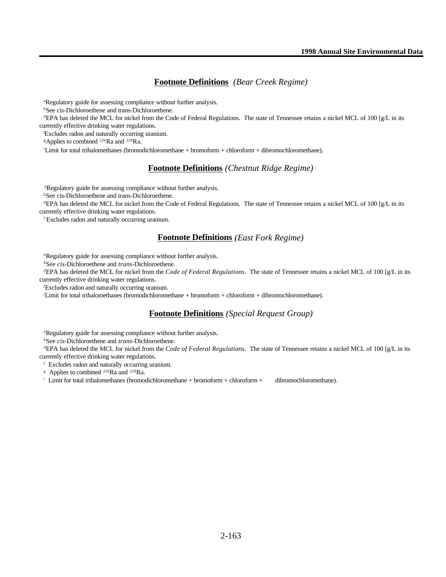### **Footnote Definitions** *(Bear Creek Regime)*

<sup>a</sup>Regulatory guide for assessing compliance without further analysis.

**bSee cis-Dichloroethene and trans-Dichloroethene.** 

<sup>d</sup>EPA has deleted the MCL for nickel from the Code of Federal Regulations. The state of Tennessee retains a nickel MCL of 100 [g/L in its currently effective drinking water regulations.

<sup>f</sup>Excludes radon and naturally occurring uranium.

<sup>g</sup>Applies to combined <sup>226</sup>Ra and <sup>228</sup>Ra.

<sup>i</sup>Limit for total trihalomethanes (bromodichloromethane + bromoform + chloroform + dibromochloromethane).

#### **Footnote Definitions** *(Chestnut Ridge Regime)*

<sup>a</sup>Regulatory guide for assessing compliance without further analysis.

**bSee cis-Dichloroethene and trans-Dichloroethene.** 

 ${}^{\text{d}}$ EPA has deleted the MCL for nickel from the Code of Federal Regulations. The state of Tennessee retains a nickel MCL of 100 [g/L in its currently effective drinking water regulations.

<sup>f</sup> Excludes radon and naturally occurring uranium.

#### **Footnote Definitions** *(East Fork Regime)*

*<sup>a</sup>*Regulatory guide for assessing compliance without further analysis.

*<sup>b</sup>*See *cis*-Dichloroethene and *trans*-Dichloroethene.

*<sup>d</sup>*EPA has deleted the MCL for nickel from the *Code of Federal Regulations*. The state of Tennessee retains a nickel MCL of 100 [g/L in its currently effective drinking water regulations.

*<sup>f</sup>*Excludes radon and naturally occurring uranium.

*<sup>i</sup>*Limit for total trihalomethanes (bromodichloromethane + bromoform + chloroform + dibromochloromethane).

#### **Footnote Definitions** *(Special Request Group)*

<sup>a</sup>Regulatory guide for assessing compliance without further analysis.

*<sup>b</sup>*See *cis*-Dichloroethene and *trans*-Dichloroethene.

*<sup>d</sup>*EPA has deleted the MCL for nickel from the *Code of Federal Regulations*. The state of Tennessee retains a nickel MCL of 100 [g/L in its currently effective drinking water regulations.

*<sup>f</sup>* Excludes radon and naturally occurring uranium.

*<sup>g</sup>* Applies to combined *<sup>226</sup>*Ra and *<sup>228</sup>*Ra.

*i* Limit for total trihalomethanes (bromodichloromethane + bromoform + chloroform + dibromochloromethane).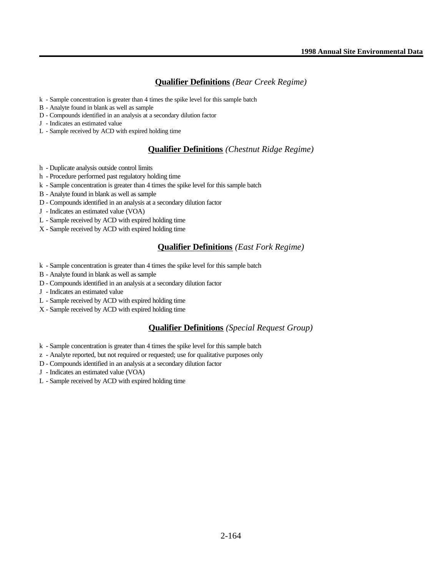# **Qualifier Definitions** *(Bear Creek Regime)*

- k Sample concentration is greater than 4 times the spike level for this sample batch
- B Analyte found in blank as well as sample
- D Compounds identified in an analysis at a secondary dilution factor
- J Indicates an estimated value
- L Sample received by ACD with expired holding time

#### **Qualifier Definitions** *(Chestnut Ridge Regime)*

- h Duplicate analysis outside control limits
- h Procedure performed past regulatory holding time
- k Sample concentration is greater than 4 times the spike level for this sample batch
- B Analyte found in blank as well as sample
- D Compounds identified in an analysis at a secondary dilution factor
- J Indicates an estimated value (VOA)
- L Sample received by ACD with expired holding time
- X Sample received by ACD with expired holding time

#### **Qualifier Definitions** *(East Fork Regime)*

- k Sample concentration is greater than 4 times the spike level for this sample batch
- B Analyte found in blank as well as sample
- D Compounds identified in an analysis at a secondary dilution factor
- J Indicates an estimated value
- L Sample received by ACD with expired holding time
- X Sample received by ACD with expired holding time

### **Qualifier Definitions** *(Special Request Group)*

- k Sample concentration is greater than 4 times the spike level for this sample batch
- z Analyte reported, but not required or requested; use for qualitative purposes only
- D Compounds identified in an analysis at a secondary dilution factor
- J Indicates an estimated value (VOA)
- L Sample received by ACD with expired holding time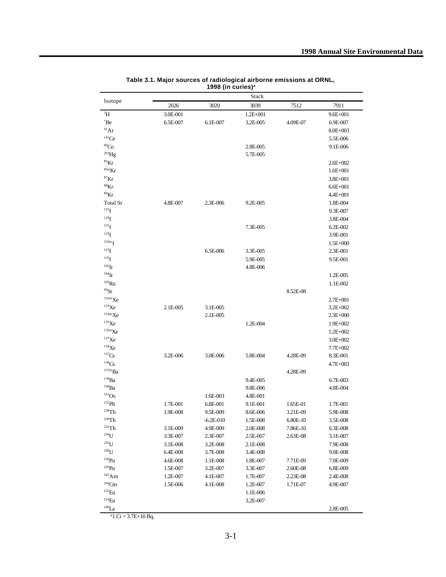|                              | <b>Stack</b> |               |              |          |              |  |  |
|------------------------------|--------------|---------------|--------------|----------|--------------|--|--|
| Isotope                      | 2026         | 3020          | 3039         | 7512     | 7911         |  |  |
| ${}^{3}H$                    | 3.0E-001     |               | $1.2E + 001$ |          | $9.6E + 001$ |  |  |
| $^7Be$                       | 6.5E-007     | 6.1E-007      | 3.2E-005     | 4.09E-07 | 6.9E-007     |  |  |
| 41Ar                         |              |               |              |          | 8.0E+003     |  |  |
| $141$ Ce                     |              |               |              |          | 5.5E-006     |  |  |
| $^{60}\mathrm{Co}$           |              |               | 2.8E-005     |          | 9.1E-006     |  |  |
| $^{203}$ Hg                  |              |               | 5.7E-005     |          |              |  |  |
| $^{85}\mathrm{Kr}$           |              |               |              |          | $2.6E + 002$ |  |  |
| ${}^\mathrm{85m}\mathrm{Kr}$ |              |               |              |          | $1.6E + 001$ |  |  |
| ${}^{87}\mathrm{Kr}$         |              |               |              |          | $3.8E + 001$ |  |  |
| ${}^{88}\text{Kr}$           |              |               |              |          | $6.6E + 001$ |  |  |
| ${}^{89}$ Kr                 |              |               |              |          | 4.4E+001     |  |  |
| <b>Total Sr</b>              | 4.8E-007     | 2.3E-006      | 9.2E-005     |          | 1.8E-004     |  |  |
| $^{125}$ I                   |              |               |              |          | 9.3E-007     |  |  |
| $129$ <sup>T</sup>           |              |               |              |          | 3.8E-004     |  |  |
| $^{131}$ I                   |              |               | 7.3E-005     |          | 6.2E-002     |  |  |
| 132 <sub>T</sub>             |              |               |              |          | 3.9E-001     |  |  |
| $132m$ <sup>T</sup>          |              |               |              |          | 1.5E+000     |  |  |
| $^{133}$ I                   |              | 6.5E-006      | 3.3E-005     |          | 2.3E-001     |  |  |
| $135$ <sup>T</sup>           |              |               | 5.9E-005     |          | 9.5E-001     |  |  |
| $192$ Ir                     |              |               | 4.8E-006     |          |              |  |  |
| $194$ Ir                     |              |               |              |          | 1.2E-005     |  |  |
| $^{105}\mathrm{Ru}$          |              |               |              |          | 1.1E-002     |  |  |
| $^{90}\mathrm{Sr}$           |              |               |              | 8.52E-08 |              |  |  |
| $\rm ^{131m}Xe$              |              |               |              |          | $2.7E + 001$ |  |  |
| $^{133}$ Xe                  | 2.1E-005     | 3.1E-005      |              |          | 3.2E+002     |  |  |
| $133m$ Xe                    |              | 2.1E-005      |              |          | $2.3E + 000$ |  |  |
| $^{135}$ Xe                  |              |               | 1.2E-004     |          | 1.9E+002     |  |  |
| $135m$ Xe                    |              |               |              |          | $1.2E + 002$ |  |  |
| ${}^{137}\mathrm{Xe}$        |              |               |              |          | 3.0E+002     |  |  |
| $138$ Xe                     |              |               |              |          | 7.7E+002     |  |  |
| 137Cs                        | 3.2E-006     | 3.0E-006      | 5.8E-004     | 4.28E-09 | 8.3E-001     |  |  |
| $^{138}\mathrm{Cs}$          |              |               |              |          | 4.7E+003     |  |  |
| $^{137m}\text{Ba}$           |              |               |              | 4.28E-09 |              |  |  |
| $^{139}Ba$                   |              |               | 9.4E-005     |          | 6.7E-003     |  |  |
| $140$ Ba                     |              |               | 9.8E-006     |          | 4.8E-004     |  |  |
| $^{191}Os$                   |              | 1.6E-003      | 4.8E-001     |          |              |  |  |
| $^{212}Pb$                   | 1.7E-001     | 6.8E-001      | 9.1E-001     | 1.65E-01 | 1.7E-001     |  |  |
| $^{228}\mathrm{Th}$          | 1.9E-008     | 9.5E-009      | 8.6E-006     | 3.21E-09 | 5.9E-008     |  |  |
| $230$ Th                     |              | $-6.2E - 010$ | 1.5E-008     | 6.80E-10 | 3.5E-008     |  |  |
| 232Th                        | 3.1E-009     | 4.9E-009      | 2.0E-008     | 7.86E-10 | 6.3E-008     |  |  |
| $234$ U                      | 3.3E-007     | 2.3E-007      | 2.5E-007     | 2.63E-08 | 3.1E-007     |  |  |
| $235$ U                      | 3.1E-008     | 3.2E-008      | 2.1E-008     |          | 7.9E-008     |  |  |
| $238$ U                      | 6.4E-008     | 3.7E-008      | 3.4E-008     |          | 9.0E-008     |  |  |
| $^{238}Pu$                   | 4.6E-008     | 1.1E-008      | 1.8E-007     | 7.71E-09 | 7.0E-009     |  |  |
| $\mathrm{^{239}Pu}$          | 1.5E-007     | 3.2E-007      | 3.3E-007     | 2.60E-08 | 6.8E-009     |  |  |
| $^{241}\mathrm{Am}$          | 1.2E-007     | 4.1E-007      | 1.7E-007     | 2.23E-08 | 2.4E-008     |  |  |
| $244$ Cm                     | 1.5E-006     | 4.1E-008      | 1.2E-007     | 1.71E-07 | 4.9E-007     |  |  |
| $\mathrm{^{152}Eu}$          |              |               | 1.1E-006     |          |              |  |  |
| $154$ Eu                     |              |               | 3.2E-007     |          |              |  |  |
| $^{140}$ La                  |              |               |              |          | 2.8E-005     |  |  |
|                              |              |               |              |          |              |  |  |

| Table 3.1. Major sources of radiological airborne emissions at ORNL, |
|----------------------------------------------------------------------|
| 1998 (in curies) <sup>a</sup>                                        |

*a* 1 Ci = 3.7E+10 Bq.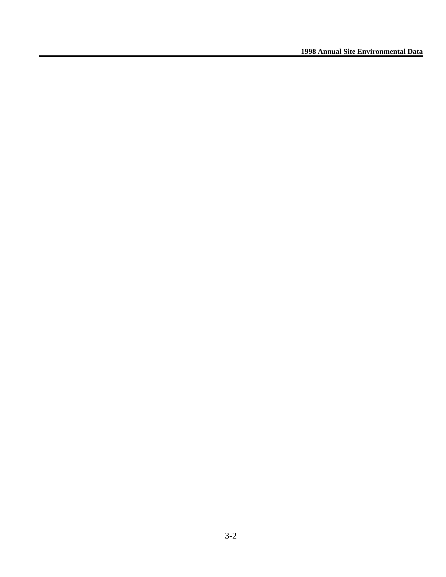**1998 Annual Site Environmental Data**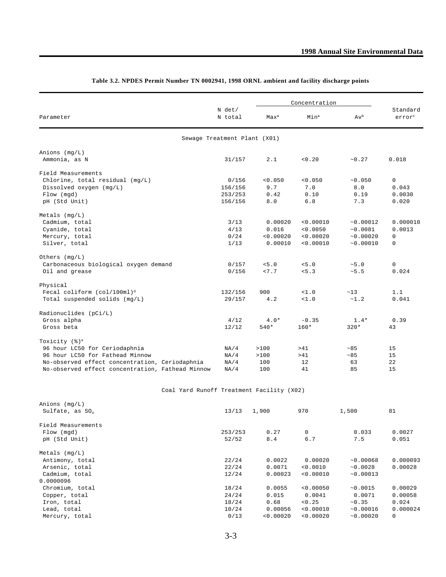|                                                  |                              |                  | Concentration    |               |                                |  |
|--------------------------------------------------|------------------------------|------------------|------------------|---------------|--------------------------------|--|
| Parameter                                        | N det/<br>N total            | Max <sup>a</sup> | Min <sup>a</sup> | $Av^b$        | Standard<br>error <sup>c</sup> |  |
|                                                  | Sewage Treatment Plant (X01) |                  |                  |               |                                |  |
| Anions (mg/L)<br>Ammonia, as N                   | 31/157                       | 2.1              | < 0.20           | ~10.27        | 0.018                          |  |
| Field Measurements                               |                              |                  |                  |               |                                |  |
| Chlorine, total residual (mg/L)                  | 0/156                        | < 0.050          | 0.050            | ~10.050       | 0                              |  |
| Dissolved oxygen (mg/L)                          | 156/156                      | 9.7              | 7.0              | 8.0           | 0.043                          |  |
| Flow (mgd)                                       | 253/253                      | 0.42             | 0.10             | 0.19          | 0.0030                         |  |
| pH (Std Unit)                                    | 156/156                      | 8.0              | 6.8              | 7.3           | 0.020                          |  |
| Metals (mg/L)                                    |                              |                  |                  |               |                                |  |
| Cadmium, total                                   | 3/13                         | 0.00020          | < 0.00010        | ~0.00012      | 0.000010                       |  |
| Cyanide, total                                   | 4/13                         | 0.016            | < 0.0050         | ~10.0081      | 0.0013                         |  |
| Mercury, total                                   | 0/24                         | < 0.00020        | < 0.00020        | ~10.00020     | 0                              |  |
| Silver, total                                    | 1/13                         | 0.00010          | < 0.00010        | ~0.00010      | 0                              |  |
| Others $(mq/L)$                                  |                              |                  |                  |               |                                |  |
| Carbonaceous biological oxygen demand            | 0/157                        | < 5.0            | < 5.0            | $~10^{-5}$ .0 | $\mathbf{0}$                   |  |
| Oil and grease                                   | 0/156                        | < 7.7            | < 5.3            | ~5.5          | 0.024                          |  |
| Physical                                         |                              |                  |                  |               |                                |  |
| Fecal coliform (col/100ml) <sup>d</sup>          | 132/156                      | 900              | 1.0              | ~13           | 1.1                            |  |
| Total suspended solids (mg/L)                    | 29/157                       | 4.2              | 1.0              | ~1.2          | 0.041                          |  |
| Radionuclides (pCi/L)                            |                              |                  |                  |               |                                |  |
| Gross alpha                                      | 4/12                         | $4.0*$           | $-0.35$          | $1.4*$        | 0.39                           |  |
| Gross beta                                       | 12/12                        | 540*             | $160*$           | $320*$        | 43                             |  |
| Toxicity (%) <sup>e</sup>                        |                              |                  |                  |               |                                |  |
| 96 hour LC50 for Ceriodaphnia                    | NA/4                         | >100             | >41              | $~10-85$      | 15                             |  |
| 96 hour LC50 for Fathead Minnow                  | NA/4                         | >100             | >41              | $~10-85$      | 15                             |  |
| No-observed effect concentration, Ceriodaphnia   | NA/4                         | 100              | 12               | 63            | 22                             |  |
| No-observed effect concentration, Fathead Minnow | NA/4                         | 100              | 41               | 85            | 15                             |  |
| Coal Yard Runoff Treatment Facility (X02)        |                              |                  |                  |               |                                |  |
|                                                  |                              |                  |                  |               |                                |  |
| Anions (mq/L)<br>Sulfate, as $SO_4$              | 13/13                        | 1,900            | 970              | 1,500         | 81                             |  |
| Field Measurements                               |                              |                  |                  |               |                                |  |
| Flow (mgd)                                       | 253/253                      | 0.27             | 0                | 0.033         | 0.0027                         |  |
| pH (Std Unit)                                    | 52/52                        | $8.4\,$          | $\,$ 6 . 7 $\,$  | 7.5           | 0.051                          |  |
| Metals (mg/L)                                    |                              |                  |                  |               |                                |  |
| Antimony, total                                  | 22/24                        | 0.0022           | 0.00020          | ~10.00068     | 0.000093                       |  |
| Arsenic, total                                   | 22/24                        | 0.0071           | < 0.0010         | ~10.0028      | 0.00028                        |  |
| Cadmium, total                                   | 12/24                        | 0.00023          | < 0.00010        | ~10.00013     |                                |  |
| 0.0000096                                        |                              |                  |                  |               |                                |  |
| Chromium, total                                  | 18/24                        | 0.0055           | < 0.00050        | ~0.0015       | 0.00029                        |  |
| Copper, total                                    | 24/24                        | 0.015            | 0.0041           | 0.0071        | 0.00058                        |  |
| Iron, total                                      | 18/24                        | 0.68             | < 0.25           | ~10.35        | 0.024                          |  |
| Lead, total                                      | 10/24                        | 0.00056          | < 0.00010        | ~0.00016      | 0.000024                       |  |
| Mercury, total                                   | 0/13                         | < 0.00020        | < 0.00020        | ~10.00020     | 0                              |  |
|                                                  |                              |                  |                  |               |                                |  |

#### **Table 3.2. NPDES Permit Number TN 0002941, 1998 ORNL ambient and facility discharge points**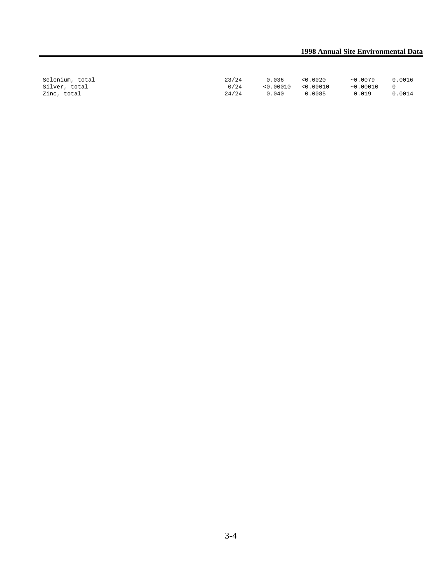| Selenium, total | 23/24 | 0.036                   | < 0.0020 | ~10.0079  | 0.0016 |
|-----------------|-------|-------------------------|----------|-----------|--------|
| Silver, total   | 0/24  | $< 0.00010$ $< 0.00010$ |          | ~10.00010 |        |
| Zinc, total     | 24/24 | 0.040                   | 0.0085   | 0.019     | 0.0014 |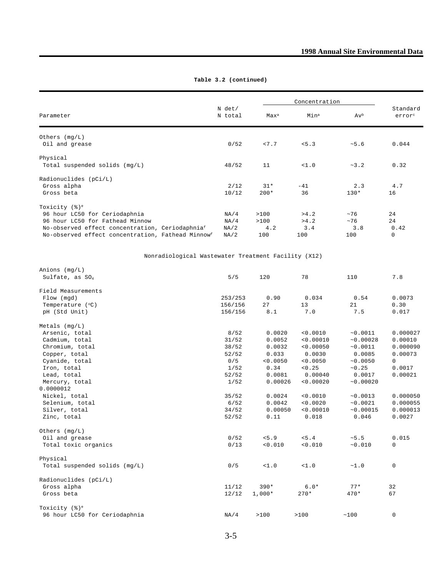| Parameter                                                     | N det/<br>N total | Max <sup>a</sup>      | Min <sup>a</sup>   | $\mathrm{Av}^\mathrm{b}$ | Standard<br>error <sup>c</sup> |
|---------------------------------------------------------------|-------------------|-----------------------|--------------------|--------------------------|--------------------------------|
| Others (mg/L)                                                 |                   | < 7.7                 |                    |                          |                                |
| Oil and grease                                                | 0/52              |                       | < 5.3              | ~5.6                     | 0.044                          |
| Physical<br>Total suspended solids (mg/L)                     | 48/52             | 11                    | 1.0                | $~1 - 3.2$               | 0.32                           |
| Radionuclides (pCi/L)                                         |                   |                       |                    |                          |                                |
| Gross alpha                                                   | 2/12              | $31*$                 | $-41$              | 2.3                      | 4.7                            |
| Gross beta                                                    | 10/12             | $200*$                | 36                 | $130*$                   | 16                             |
| Toxicity (%) <sup>e</sup>                                     |                   |                       |                    |                          |                                |
| 96 hour LC50 for Ceriodaphnia                                 | NA/4              | >100                  | >4.2               | ~176                     | 24                             |
| 96 hour LC50 for Fathead Minnow                               | NA/4              | >100                  | >4.2               | ~176                     | 24                             |
| No-observed effect concentration, Ceriodaphnia <sup>f</sup>   | NA/2              | 4.2                   | 3.4                | 3.8                      | 0.42                           |
| No-observed effect concentration, Fathead Minnow <sup>f</sup> | NA/2              | 100                   | 100                | 100                      | 0                              |
| Nonradiological Wastewater Treatment Facility (X12)           |                   |                       |                    |                          |                                |
|                                                               |                   |                       |                    |                          |                                |
| Anions $(mg/L)$                                               |                   |                       |                    |                          | 7.8                            |
| Sulfate, as $SO_4$                                            | 5/5               | 120                   | 78                 | 110                      |                                |
| Field Measurements                                            |                   |                       |                    |                          |                                |
| Flow (mgd)                                                    | 253/253           | 0.90                  | 0.034              | 0.54                     | 0.0073                         |
| Temperature (°C)                                              | 156/156           | 27                    | 13                 | 21                       | 0.30                           |
| pH (Std Unit)                                                 | 156/156           | 8.1                   | 7.0                | 7.5                      | 0.017                          |
| Metals (mg/L)                                                 |                   |                       |                    |                          |                                |
| Arsenic, total                                                | 8/52              | 0.0020                | 0.0010             | ~0.0011                  | 0.000027                       |
| Cadmium, total                                                | 31/52             | 0.0052                | < 0.00010          | ~10.00028                | 0.00010                        |
| Chromium, total                                               | 38/52             | 0.0032                | < 0.00050          | ~0.0011                  | 0.000090                       |
| Copper, total                                                 | 52/52             | 0.033                 | 0.0030             | 0.0085                   | 0.00073                        |
| Cyanide, total                                                | 0/5               | 0.0050                | 0.0050             | ~10.0050                 | 0                              |
| Iron, total                                                   | 1/52              | 0.34                  | < 0.25             | ~10.25                   | 0.0017                         |
| Lead, total                                                   | 52/52             | 0.0081                | 0.00040            | 0.0017                   | 0.00021                        |
| Mercury, total                                                | 1/52              | 0.00026               | < 0.00020          | ~10.00020                |                                |
| 0.0000012                                                     |                   |                       |                    |                          |                                |
| Nickel, total                                                 | 35/52             | 0.0024                | 0.0010             | ~10.0013                 | 0.000050                       |
| Selenium, total                                               | 6/52              | 0.0042                | < 0.0020           | ~10.0021                 | 0.000055                       |
| Silver, total<br>Zinc, total                                  | 34/52<br>52/52    | 0.00050<br>0.11       | < 0.00010<br>0.018 | ~0.00015<br>0.046        | 0.000013<br>0.0027             |
|                                                               |                   |                       |                    |                          |                                |
| Others $(mq/L)$                                               |                   |                       |                    |                          |                                |
| Oil and grease                                                | 0/52              | < 5.9                 | < 5.4              | ~5.5                     | 0.015                          |
| Total toxic organics                                          | 0/13              | < 0.010               | < 0.010            | ~10.010                  | 0                              |
| Physical                                                      |                   |                       |                    |                          |                                |
| Total suspended solids (mg/L)                                 | 0/5               | <1.0                  | <1.0               | ~1.0                     | 0                              |
| Radionuclides (pCi/L)                                         |                   |                       |                    |                          |                                |
| Gross alpha                                                   | 11/12             | $390*$                | $6.0*$             | $77*$                    | 32                             |
| Gross beta                                                    | 12/12             | $1$ , $000\,^{\star}$ | $270*$             | $470*$                   | 67                             |
| Toxicity $({}^{\circ}\!\!$ ( ${}^{\circ}\!\!$ ) <sup>e</sup>  |                   |                       |                    |                          |                                |
| 96 hour LC50 for Ceriodaphnia                                 | NA/4              | >100                  | >100               | ~100                     | 0                              |
|                                                               |                   |                       |                    |                          |                                |

**Table 3.2 (continued)**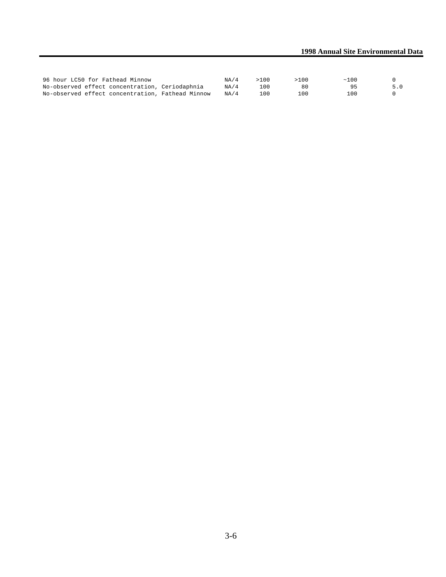| 96 hour LC50 for Fathead Minnow                  | NA/4 | >100 | >100 | ~100 |     |
|--------------------------------------------------|------|------|------|------|-----|
| No-observed effect concentration, Ceriodaphnia   | NA/4 | 100  |      |      | 5.0 |
| No-observed effect concentration, Fathead Minnow | NA/4 | 100  | 100  | 100  |     |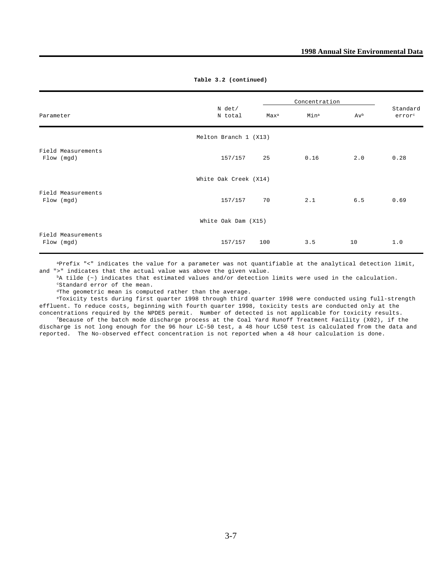|                                  |                       |                  | Concentration    |        |                                |
|----------------------------------|-----------------------|------------------|------------------|--------|--------------------------------|
| Parameter                        | N det/<br>N total     | Max <sup>a</sup> | Min <sup>a</sup> | $Av^b$ | Standard<br>error <sup>c</sup> |
|                                  | Melton Branch 1 (X13) |                  |                  |        |                                |
| Field Measurements<br>Flow (mgd) | 157/157               | 25               | 0.16             | 2.0    | 0.28                           |
|                                  | White Oak Creek (X14) |                  |                  |        |                                |
| Field Measurements<br>Flow (mgd) | 157/157               | 70               | 2.1              | 6.5    | 0.69                           |
|                                  | White Oak Dam (X15)   |                  |                  |        |                                |
| Field Measurements<br>Flow (mgd) | 157/157               | 100              | 3.5              | 10     | 1.0                            |

**Table 3.2 (continued)**

aPrefix "<" indicates the value for a parameter was not quantifiable at the analytical detection limit, and ">" indicates that the actual value was above the given value.

 $bA$  tilde ( $\sim$ ) indicates that estimated values and/or detection limits were used in the calculation. <sup>c</sup>Standard error of the mean.

dThe geometric mean is computed rather than the average.

<sup>e</sup>Toxicity tests during first quarter 1998 through third quarter 1998 were conducted using full-strength effluent. To reduce costs, beginning with fourth quarter 1998, toxicity tests are conducted only at the concentrations required by the NPDES permit. Number of detected is not applicable for toxicity results.

 ${}^{\text{f}}$ Because of the batch mode discharge process at the Coal Yard Runoff Treatment Facility (X02), if the discharge is not long enough for the 96 hour LC-50 test, a 48 hour LC50 test is calculated from the data and reported. The No-observed effect concentration is not reported when a 48 hour calculation is done.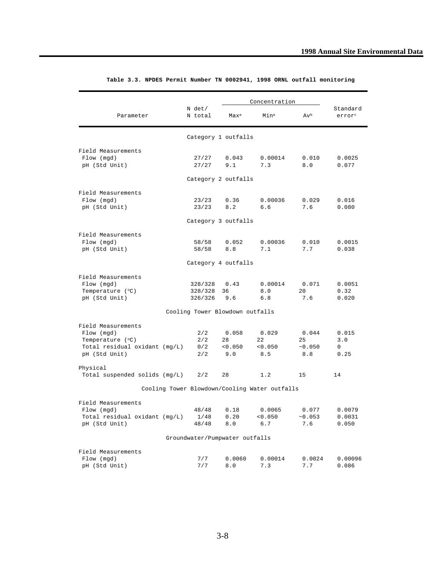|                               |                                 |                  | Concentration                                 |         |                                |
|-------------------------------|---------------------------------|------------------|-----------------------------------------------|---------|--------------------------------|
| Parameter                     | N det/<br>N total               | Max <sup>a</sup> | Min <sup>a</sup>                              | $Av^b$  | Standard<br>error <sup>c</sup> |
|                               | Category 1 outfalls             |                  |                                               |         |                                |
| Field Measurements            |                                 |                  |                                               |         |                                |
| Flow (mgd)                    | 27/27                           | 0.043            | 0.00014                                       | 0.010   | 0.0025                         |
| pH (Std Unit)                 | 27/27                           | 9.1              | 7.3                                           | 8.0     | 0.077                          |
|                               | Category 2 outfalls             |                  |                                               |         |                                |
| Field Measurements            |                                 |                  |                                               |         |                                |
| Flow (mgd)                    | 23/23                           | 0.36             | 0.00036                                       | 0.029   | 0.016                          |
| pH (Std Unit)                 | 23/23                           | 8.2              | 6.6                                           | 7.6     | 0.080                          |
|                               | Category 3 outfalls             |                  |                                               |         |                                |
| Field Measurements            |                                 |                  |                                               |         |                                |
| Flow (mgd)                    | 58/58                           | 0.052            | 0.00036                                       | 0.010   | 0.0015                         |
| pH (Std Unit)                 | 58/58                           | 8.8              | 7.1                                           | 7.7     | 0.038                          |
|                               | Category 4 outfalls             |                  |                                               |         |                                |
| Field Measurements            |                                 |                  |                                               |         |                                |
| Flow (mgd)                    | 328/328                         | 0.43             | 0.00014                                       | 0.071   | 0.0051                         |
| Temperature $(°C)$            | 328/328                         | 36               | 8.0                                           | 20      | 0.32                           |
| pH (Std Unit)                 | 326/326                         | 9.6              | 6.8                                           | 7.6     | 0.020                          |
|                               | Cooling Tower Blowdown outfalls |                  |                                               |         |                                |
| Field Measurements            |                                 |                  |                                               |         |                                |
| Flow (mgd)                    | 2/2                             | 0.058            | 0.029                                         | 0.044   | 0.015                          |
| Temperature (°C)              | 2/2                             | 28               | 22                                            | 25      | 3.0                            |
| Total residual oxidant (mg/L) | 0/2                             | < 0.050          | < 0.050                                       | ~0.050  | 0                              |
| pH (Std Unit)                 | 2/2                             | 9.0              | 8.5                                           | 8.8     | 0.25                           |
| Physical                      |                                 |                  |                                               |         |                                |
| Total suspended solids (mg/L) | 2/2                             | 28               | 1.2                                           | 15      | 14                             |
|                               |                                 |                  | Cooling Tower Blowdown/Cooling Water outfalls |         |                                |
| Field Measurements            |                                 |                  |                                               |         |                                |
| Flow (mgd)                    | 48/48                           | 0.18             | 0.0065                                        | 0.077   | 0.0079                         |
| Total residual oxidant (mg/L) | 1/48                            | 0.20             | < 0.050                                       | ~10.053 | 0.0031                         |
| pH (Std Unit)                 | 48/48                           | 8.0              | 6.7                                           | 7.6     | 0.050                          |
|                               | Groundwater/Pumpwater outfalls  |                  |                                               |         |                                |
| Field Measurements            |                                 |                  |                                               |         |                                |
| Flow (mgd)                    | 7/7                             | 0.0060           | 0.00014                                       | 0.0024  | 0.00096                        |
| pH (Std Unit)                 | 7/7                             | 8.0              | 7.3                                           | 7.7     | 0.086                          |

**Table 3.3. NPDES Permit Number TN 0002941, 1998 ORNL outfall monitoring**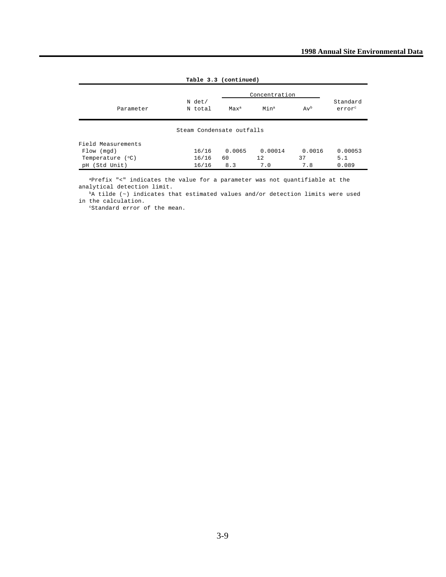|                    |                           |                  | Concentration    |        |                                |
|--------------------|---------------------------|------------------|------------------|--------|--------------------------------|
| Parameter          | $N$ det/<br>N total       | Max <sup>a</sup> | Min <sup>a</sup> | $Av^b$ | Standard<br>error <sup>c</sup> |
|                    | Steam Condensate outfalls |                  |                  |        |                                |
| Field Measurements |                           |                  |                  |        |                                |
| Flow (mgd)         | 16/16                     | 0.0065           | 0.00014          | 0.0016 | 0.00053                        |
| Temperature $(°C)$ | 16/16                     | 60               | 12.              | 37     | 5.1                            |
| pH (Std Unit)      | 16/16                     | 8.3              | 7.0              | 7.8    | 0.089                          |

**Table 3.3 (continued)**

aPrefix "<" indicates the value for a parameter was not quantifiable at the analytical detection limit.

 $b$ A tilde ( $\sim$ ) indicates that estimated values and/or detection limits were used in the calculation.

cStandard error of the mean.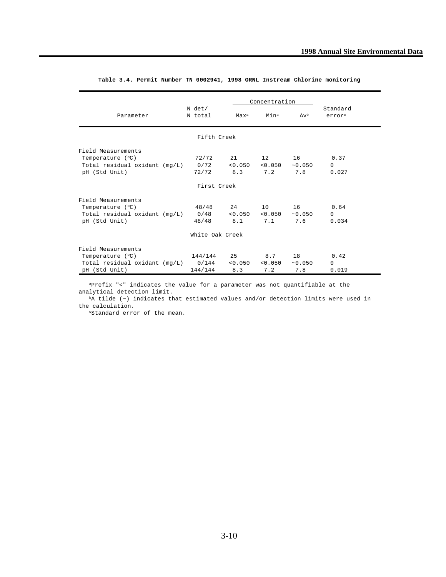|                                                           |                     |                          | Concentration    |         |                                |
|-----------------------------------------------------------|---------------------|--------------------------|------------------|---------|--------------------------------|
| Parameter                                                 | N det/<br>N total   | Max <sup>a</sup>         | Min <sup>a</sup> | $Av^b$  | Standard<br>error <sup>c</sup> |
|                                                           | Fifth Creek         |                          |                  |         |                                |
| Field Measurements                                        |                     |                          |                  |         |                                |
| Temperature $(°C)$                                        |                     | 72/72 21 12 16 0.37      |                  |         |                                |
| Total residual oxidant $(mq/L)$ 0/72 <0.050 <0.050 ~0.050 |                     |                          |                  |         | $0 \qquad \qquad$              |
| pH (Std Unit)                                             |                     | $72/72$ 8.3 7.2 7.8      |                  |         | 0.027                          |
|                                                           | First Creek         |                          |                  |         |                                |
| Field Measurements                                        |                     |                          |                  |         |                                |
| Temperature (°C)                                          | 48/48 24 10 16 0.64 |                          |                  |         |                                |
| Total residual oxidant $(mg/L)$ 0/48 <0.050 <0.050 ~0.050 |                     |                          |                  |         | $0 \qquad \qquad$              |
| pH (Std Unit)                                             |                     | 48/48 8.1 7.1 7.6        |                  |         | 0.034                          |
|                                                           | White Oak Creek     |                          |                  |         |                                |
| Field Measurements                                        |                     |                          |                  |         |                                |
| Temperature (°C)                                          |                     | $144/144$ 25 8.7 18 0.42 |                  |         |                                |
| Total residual oxidant $(mq/L)$ 0/144 <0.050 <0.050       |                     |                          |                  | ~10.050 | $\Omega$                       |
| pH (Std Unit)                                             |                     | $144/144$ 8.3            | 7.2              | 7.8     | 0.019                          |

**Table 3.4. Permit Number TN 0002941, 1998 ORNL Instream Chlorine monitoring**

aPrefix "<" indicates the value for a parameter was not quantifiable at the analytical detection limit.

 $b_A$  tilde (~) indicates that estimated values and/or detection limits were used in the calculation.

cStandard error of the mean.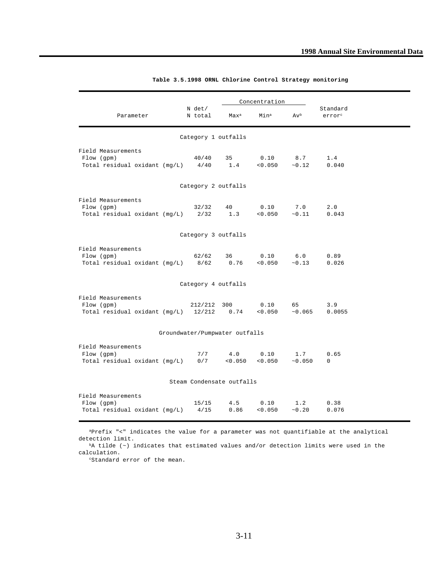|                                      |                   |                                | Concentration    |         |                                |  |
|--------------------------------------|-------------------|--------------------------------|------------------|---------|--------------------------------|--|
| Parameter                            | N det/<br>N total | Max <sup>a</sup>               | Min <sup>a</sup> | $Av^b$  | Standard<br>error <sup>c</sup> |  |
|                                      |                   | Category 1 outfalls            |                  |         |                                |  |
| Field Measurements                   |                   |                                |                  |         |                                |  |
| Flow (gpm)                           | 40/40             | 35                             | 0.10             | 8.7     | 1.4                            |  |
| Total residual oxidant (mg/L)        | 4/40              | 1.4                            | < 0.050          | ~12     | 0.040                          |  |
|                                      |                   | Category 2 outfalls            |                  |         |                                |  |
| Field Measurements                   |                   |                                |                  |         |                                |  |
| Flow (gpm)                           | 32/32             | 40                             | 0.10             | 7.0     | 2.0                            |  |
| Total residual oxidant $(mq/L)$      | 2/32              | 1.3                            | < 0.050          | ~11     | 0.043                          |  |
|                                      |                   | Category 3 outfalls            |                  |         |                                |  |
| Field Measurements                   |                   |                                |                  |         |                                |  |
| $Flow$ (gpm)                         | 62/62             | 36                             | 0.10             | 6.0     | 0.89                           |  |
| Total residual oxidant (mg/L)        | 8/62              | 0.76                           | < 0.050          | ~13     | 0.026                          |  |
|                                      |                   | Category 4 outfalls            |                  |         |                                |  |
| Field Measurements                   |                   |                                |                  |         |                                |  |
| Flow (gpm)                           | 212/212 300       |                                | 0.10             | 65      | 3.9                            |  |
| Total residual oxidant (mg/L) 12/212 |                   | 0.74                           | < 0.050          | ~10.065 | 0.0055                         |  |
|                                      |                   | Groundwater/Pumpwater outfalls |                  |         |                                |  |
| Field Measurements                   |                   |                                |                  |         |                                |  |
| Flow (gpm)                           | 7/7               | 4.0                            | 0.10             | 1.7     | 0.65                           |  |
| Total residual oxidant (mg/L)        | 0/7               | < 0.050                        | < 0.050          | ~10.050 | $\Omega$                       |  |
|                                      |                   | Steam Condensate outfalls      |                  |         |                                |  |
| Field Measurements                   |                   |                                |                  |         |                                |  |
| $Flow$ (gpm)                         | 15/15             | 4.5                            | 0.10             | 1.2     | 0.38                           |  |
| Total residual oxidant (mg/L)        | 4/15              | 0.86                           | < 0.050          | ~10.20  | 0.076                          |  |

**Table 3.5.1998 ORNL Chlorine Control Strategy monitoring**

<sup>a</sup>Prefix "<" indicates the value for a parameter was not quantifiable at the analytical detection limit.

 $b$ A tilde ( $\sim$ ) indicates that estimated values and/or detection limits were used in the calculation.

<sup>c</sup>Standard error of the mean.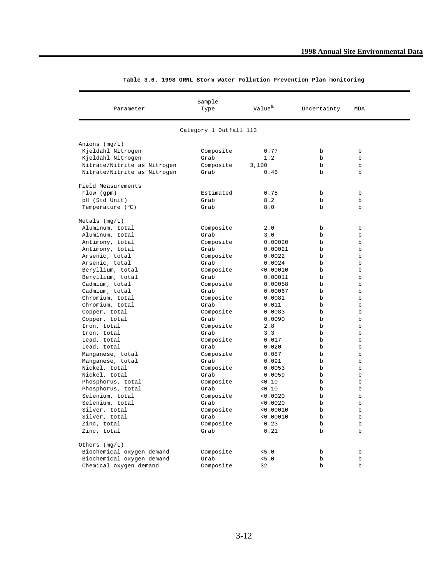| Parameter                   | Sample<br>Type         | Value <sup>a</sup> | Uncertainty | MDA         |  |
|-----------------------------|------------------------|--------------------|-------------|-------------|--|
|                             | Category 1 Outfall 113 |                    |             |             |  |
| Anions $(mq/L)$             |                        |                    |             |             |  |
| Kjeldahl Nitrogen           | Composite              | 0.77               | $\mathbf b$ | $\mathbf b$ |  |
| Kjeldahl Nitrogen           | Grab                   | 1.2                | $\mathbf b$ | $\mathbf b$ |  |
| Nitrate/Nitrite as Nitrogen | Composite              | 3,100              | $\mathbf b$ | $\mathbf b$ |  |
| Nitrate/Nitrite as Nitrogen | Grab                   | 0.46               | $\mathbf b$ | $\mathbf b$ |  |
| Field Measurements          |                        |                    |             |             |  |
| $Flow$ (gpm)                | Estimated              | 0.75               | $\mathbf b$ | b           |  |
| pH (Std Unit)               | Grab                   | 8.2                | b           | b           |  |
| Temperature (°C)            | Grab                   | 8.0                | b           | b           |  |
| Metals (mg/L)               |                        |                    |             |             |  |
| Aluminum, total             | Composite              | 2.0                | b           | b           |  |
| Aluminum, total             | Grab                   | 3.0                | $\mathbf b$ | $\mathbf b$ |  |
| Antimony, total             | Composite              | 0.00020            | b           | b           |  |
| Antimony, total             | Grab                   | 0.00021            | $\mathbf b$ | $\mathbf b$ |  |
| Arsenic, total              | Composite              | 0.0022             | $\mathbf b$ | b           |  |
| Arsenic, total              | Grab                   | 0.0024             | $\mathbf b$ | $b$         |  |
| Beryllium, total            | Composite              | 0.00010            | b           | b           |  |
| Beryllium, total            | Grab                   | 0.00011            | $\mathbf b$ | $\mathbf b$ |  |
| Cadmium, total              | Composite              | 0.00058            | $\mathbf b$ | $\mathbf b$ |  |
| Cadmium, total              | Grab                   | 0.00067            | $\mathbf b$ | $\mathbf b$ |  |
| Chromium, total             | Composite              | 0.0081             | b           | $\mathbf b$ |  |
| Chromium, total             | Grab                   | 0.011              | $\mathbf b$ | $\mathbf b$ |  |
| Copper, total               | Composite              | 0.0083             | $\mathbf b$ | b           |  |
| Copper, total               | Grab                   | 0.0090             | $\mathbf b$ | $\mathbf b$ |  |
| Iron, total                 | Composite              | 2.8                | $\mathbf b$ | $b$         |  |
| Iron, total                 | Grab                   | 3.3                | $\mathbf b$ | $\mathbf b$ |  |
| Lead, total                 | Composite              | 0.017              | $\mathbf b$ | $\mathbf b$ |  |
| Lead, total                 | Grab                   | 0.020              | b           | b           |  |
| Manganese, total            | Composite              | 0.087              | $\mathbf b$ | $\mathbf b$ |  |
| Manganese, total            | Grab                   | 0.091              | $\mathbf b$ | $\mathbf b$ |  |
| Nickel, total               | Composite              | 0.0053             | b           | b           |  |
| Nickel, total               | Grab                   | 0.0059             | $\mathbf b$ | $\mathbf b$ |  |
| Phosphorus, total           | Composite              | 0.10               | $\mathbf b$ | $\mathbf b$ |  |
| Phosphorus, total           | Grab                   | 0.10               | $\mathbf b$ | $b$         |  |
| Selenium, total             | Composite              | 0.0020             | $\mathbf b$ | $\mathbf b$ |  |
| Selenium, total             | Grab                   | 0.0020             | $\mathbf b$ | $\mathbf b$ |  |
| Silver, total               | Composite              | 0.00010            | b           | $b$         |  |
| Silver, total               | Grab                   | < 0.00010          | b           | b           |  |
| Zinc, total                 | Composite              | 0.23               | $\mathbf b$ | b           |  |
| Zinc, total                 | Grab                   | 0.21               | b           | b           |  |
| Others (mg/L)               |                        |                    |             |             |  |
| Biochemical oxygen demand   | Composite              | < 5.0              | b           | b           |  |
| Biochemical oxygen demand   | Grab                   | < 5.0              | b           | b           |  |
| Chemical oxygen demand      | Composite              | 32                 | $\mathbf b$ | $\mathbf b$ |  |
|                             |                        |                    |             |             |  |

#### **Table 3.6. 1998 ORNL Storm Water Pollution Prevention Plan monitoring**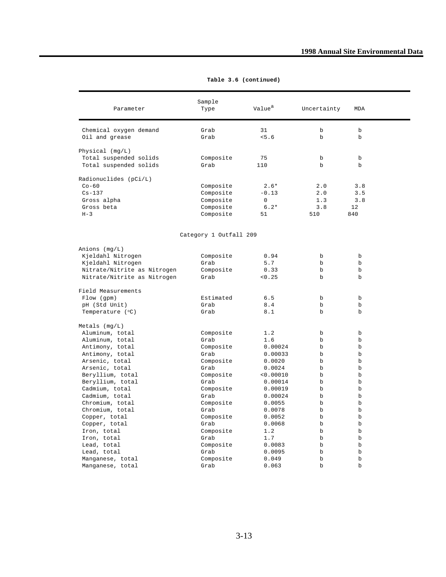| Parameter                   | Sample<br>Type         | Value <sup>a</sup> | Uncertainty | MDA         |  |
|-----------------------------|------------------------|--------------------|-------------|-------------|--|
| Chemical oxygen demand      | Grab                   | 31                 | $\mathbf b$ | b           |  |
| Oil and grease              | Grab                   | < 5.6              | $\mathbf b$ | $\mathbf b$ |  |
| Physical $(mq/L)$           |                        |                    |             |             |  |
| Total suspended solids      | Composite              | 75                 | b           | b           |  |
| Total suspended solids      | Grab                   | 110                | b           | b           |  |
| Radionuclides (pCi/L)       |                        |                    |             |             |  |
| $Co-60$                     | Composite              | $2.6*$             | 2.0         | 3.8         |  |
| $Cs - 137$                  | Composite              | $-0.13$            | 2.0         | 3.5         |  |
| Gross alpha                 | Composite              | 0                  | 1.3         | 3.8         |  |
| Gross beta                  | Composite              | $6.2*$             | 3.8         | 12          |  |
| $H-3$                       | Composite              | 51                 | 510         | 840         |  |
|                             | Category 1 Outfall 209 |                    |             |             |  |
| Anions $(mq/L)$             |                        |                    |             |             |  |
| Kjeldahl Nitrogen           | Composite              | 0.94               | b           | $\mathbf b$ |  |
| Kjeldahl Nitrogen           | Grab                   | 5.7                | b           | b           |  |
| Nitrate/Nitrite as Nitrogen | Composite              | 0.33               | b           | $\mathbf b$ |  |
| Nitrate/Nitrite as Nitrogen | Grab                   | < 0.25             | b           | $\mathbf b$ |  |
| Field Measurements          |                        |                    |             |             |  |
| Flow (gpm)                  | Estimated              | 6.5                | b           | $\rm b$     |  |
| pH (Std Unit)               | Grab                   | 8.4                | b           | b           |  |
| Temperature $(°C)$          | Grab                   | 8.1                | b           | b           |  |
| Metals $(mg/L)$             |                        |                    |             |             |  |
| Aluminum, total             | Composite              | 1.2                | b           | b           |  |
| Aluminum, total             | Grab                   | 1.6                | b           | b           |  |
| Antimony, total             | Composite              | 0.00024            | b           | $\mathbf b$ |  |
| Antimony, total             | Grab                   | 0.00033            | b           | $\mathbf b$ |  |
| Arsenic, total              | Composite              | 0.0020             | $\mathbf b$ | $b$         |  |
| Arsenic, total              | Grab                   | 0.0024             | b           | b           |  |
| Beryllium, total            | Composite              | < 0.00010          | $\mathbf b$ | $\mathbf b$ |  |
| Beryllium, total            | Grab                   | 0.00014            | b           | $\mathbf b$ |  |
| Cadmium, total              | Composite              | 0.00019            | b           | b           |  |
| Cadmium, total              | Grab                   | 0.00024            | b           | b           |  |
| Chromium, total             | Composite              | 0.0055             | b           | $\mathbf b$ |  |
| Chromium, total             | Grab                   | 0.0078             | b           | $\mathbf b$ |  |
| Copper, total               | Composite              | 0.0052             | b           | b           |  |
| Copper, total               | Grab                   | 0.0068             | $\mathbf b$ | $\mathbf b$ |  |
| Iron, total                 | Composite              | 1.2                | b           | $\mathbf b$ |  |
| Iron, total                 | Grab                   | 1.7                | b           | b           |  |
| Lead, total                 | Composite              | 0.0083             | b           | $\mathbf b$ |  |
| Lead, total                 | Grab                   | 0.0095             | b           | b           |  |
| Manganese, total            | Composite              | 0.049              | b           | b           |  |
| Manganese, total            | Grab                   | 0.063              | b           | $\mathbf b$ |  |

**Table 3.6 (continued)**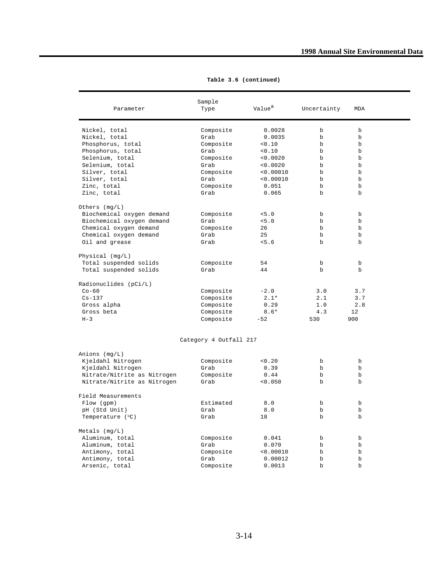ä,

| Parameter                   | Sample<br>Type         | Value <sup>a</sup> | Uncertainty | MDA         |  |
|-----------------------------|------------------------|--------------------|-------------|-------------|--|
| Nickel, total               | Composite              | 0.0028             | $\mathbf b$ | b           |  |
| Nickel, total               | Grab                   | 0.0035             | b           | $\mathbf b$ |  |
| Phosphorus, total           | Composite              | 0.10               | $\mathbf b$ | $\mathbf b$ |  |
| Phosphorus, total           | Grab                   | 0.10               | b           | b           |  |
| Selenium, total             | Composite              | < 0.0020           | $\mathbf b$ | $\mathbf b$ |  |
| Selenium, total             | Grab                   | 0.0020             | b           | b           |  |
| Silver, total               | Composite              | < 0.00010          | $\mathbf b$ | $\mathbf b$ |  |
| Silver, total               | Grab                   | 0.00010            | b           | b           |  |
| Zinc, total                 | Composite              | 0.051              | $\mathbf b$ | $\mathbf b$ |  |
| Zinc, total                 | Grab                   | 0.065              | $\mathbf b$ | $\mathbf b$ |  |
| Others $(mq/L)$             |                        |                    |             |             |  |
| Biochemical oxygen demand   | Composite              | < 5.0              | b           | b           |  |
| Biochemical oxygen demand   | Grab                   | < 5.0              | $\mathbf b$ | $\mathbf b$ |  |
| Chemical oxygen demand      | Composite              | 26                 | b           | b           |  |
| Chemical oxygen demand      | Grab                   | 25                 | $\mathbf b$ | $\mathbf b$ |  |
| Oil and grease              | Grab                   | < 5.6              | $\mathbf b$ | b           |  |
| Physical (mg/L)             |                        |                    |             |             |  |
| Total suspended solids      | Composite              | 54                 | $b$         | $\mathbf b$ |  |
| Total suspended solids      | Grab                   | 44                 | $\mathbf b$ | b           |  |
| Radionuclides (pCi/L)       |                        |                    |             |             |  |
| $Co-60$                     | Composite              | $-2.0$             | 3.0         | 3.7         |  |
| $Cs - 137$                  | Composite              | $2.1*$             | 2.1         | 3.7         |  |
| Gross alpha                 | Composite              | 0.29               | 1.0         | 2.8         |  |
| Gross beta                  | Composite              | $8.6*$             | 4.3         | 12          |  |
| $H - 3$                     | Composite              | $-52$              | 530         | 900         |  |
|                             | Category 4 Outfall 217 |                    |             |             |  |
| Anions (mg/L)               |                        |                    |             |             |  |
| Kjeldahl Nitrogen           | Composite              | < 0.20             | $\mathbf b$ | b           |  |
| Kjeldahl Nitrogen           | Grab                   | 0.39               | $\mathbf b$ | $\mathbf b$ |  |
| Nitrate/Nitrite as Nitrogen | Composite              | 0.44               | b           | b           |  |
| Nitrate/Nitrite as Nitrogen | Grab                   | < 0.050            | $\mathbf b$ | b           |  |
| Field Measurements          |                        |                    |             |             |  |
| $Flow$ (qpm)                | Estimated              | 8.0                | b           | b           |  |
| pH (Std Unit)               | Grab                   | 8.0                | $\mathbf b$ | b           |  |
| Temperature (°C)            | Grab                   | 18                 | $\mathbf b$ | b           |  |
| Metals (mg/L)               |                        |                    |             |             |  |
| Aluminum, total             | Composite              | 0.041              | b           | b           |  |
| Aluminum, total             | Grab                   | 0.070              | $\mathbf b$ | b           |  |
| Antimony, total             | Composite              | < 0.00010          | $\mathbf b$ | b           |  |
| Antimony, total             | Grab                   | 0.00012            | $\mathbf b$ | $\mathbf b$ |  |
| Arsenic, total              | Composite              | 0.0013             | b           | b           |  |

**Table 3.6 (continued)**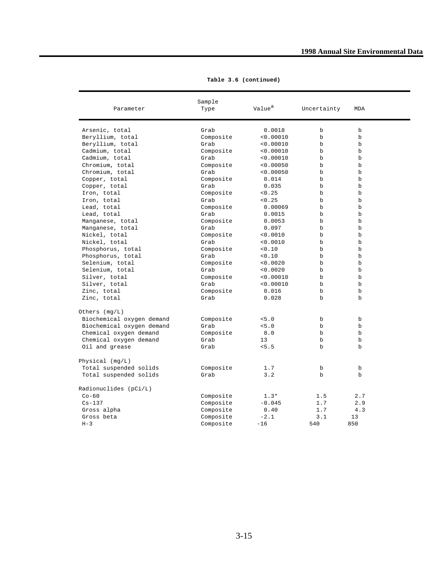| Parameter                 | Sample<br>Type | Value <sup>a</sup> | Uncertainty | MDA         |  |
|---------------------------|----------------|--------------------|-------------|-------------|--|
| Arsenic, total            | Grab           | 0.0018             | b           | b           |  |
| Beryllium, total          | Composite      | < 0.00010          | b           | b           |  |
| Beryllium, total          | Grab           | < 0.00010          | b           | b           |  |
| Cadmium, total            | Composite      | < 0.00010          | b           | b           |  |
| Cadmium, total            | Grab           | < 0.00010          | $\mathbf b$ | b           |  |
| Chromium, total           | Composite      | < 0.00050          | b           | b           |  |
| Chromium, total           | Grab           | < 0.00050          | b           | b           |  |
| Copper, total             | Composite      | 0.014              | b           | b           |  |
| Copper, total             | Grab           | 0.035              | b           | $\mathbf b$ |  |
| Iron, total               | Composite      | < 0.25             | b           | b           |  |
| Iron, total               | Grab           | < 0.25             | b           | $\mathbf b$ |  |
| Lead, total               | Composite      | 0.00069            | b           | $\mathbf b$ |  |
| Lead, total               | Grab           | 0.0015             | $\mathbf b$ | $\mathbf b$ |  |
| Manganese, total          | Composite      | 0.0053             | b           | b           |  |
| Manganese, total          | Grab           | 0.097              | b           | $\mathbf b$ |  |
| Nickel, total             | Composite      | 0.0010             | b           | $\mathbf b$ |  |
| Nickel, total             | Grab           | < 0.0010           | b           | b           |  |
| Phosphorus, total         | Composite      | 0.10               | b           | $\mathbf b$ |  |
| Phosphorus, total         | Grab           | 0.10               | $\mathbf b$ | $\mathbf b$ |  |
| Selenium, total           | Composite      | < 0.0020           | b           | $\mathbf b$ |  |
| Selenium, total           | Grab           | < 0.0020           | b           | b           |  |
| Silver, total             | Composite      | < 0.00010          | b           | $\mathbf b$ |  |
| Silver, total             | Grab           | < 0.00010          | b           | $\mathbf b$ |  |
| Zinc, total               | Composite      | 0.016              | b           | b           |  |
| Zinc, total               | Grab           | 0.028              | b           | b           |  |
| Others (mg/L)             |                |                    |             |             |  |
| Biochemical oxygen demand | Composite      | < 5.0              | b           | b           |  |
| Biochemical oxygen demand | Grab           | < 5.0              | b           | b           |  |
| Chemical oxygen demand    | Composite      | 8.0                | $\mathbf b$ | $\mathbf b$ |  |
| Chemical oxygen demand    | Grab           | 13                 | b           | b           |  |
| Oil and grease            | Grab           | < 5.5              | $\mathbf b$ | $\mathbf b$ |  |
| Physical (mg/L)           |                |                    |             |             |  |
| Total suspended solids    | Composite      | 1.7                | b           | b           |  |
| Total suspended solids    | Grab           | 3.2                | b           | b           |  |
| Radionuclides (pCi/L)     |                |                    |             |             |  |
| $Co-60$                   | Composite      | $1.3*$             | 1.5         | 2.7         |  |
| $Cs - 137$                | Composite      | $-0.045$           | 1.7         | 2.9         |  |
| Gross alpha               | Composite      | 0.40               | 1.7         | 4.3         |  |
| Gross beta                | Composite      | $-2.1$             | 3.1         | 13          |  |
| $H-3$                     | Composite      | $-16$              | 540         | 850         |  |
|                           |                |                    |             |             |  |

**Table 3.6 (continued)**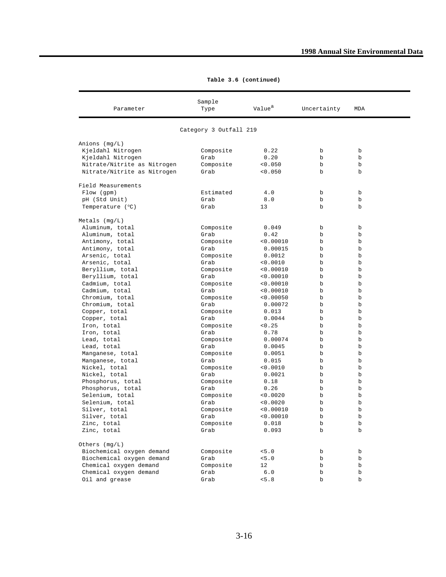| Category 3 Outfall 219<br>Anions $(mq/L)$<br>0.22<br>Kjeldahl Nitrogen<br>Composite<br>b<br>b<br>Kjeldahl Nitrogen<br>Grab<br>0.20<br>b<br>$\mathbf b$<br>Composite<br>< 0.050<br>$\mathbf b$<br>Nitrate/Nitrite as Nitrogen<br>b<br>Grab<br>b<br>Nitrate/Nitrite as Nitrogen<br>0.050<br>b<br>Field Measurements<br>Estimated<br>4.0<br>Flow (gpm)<br>b<br>b<br>8.0<br>pH (Std Unit)<br>Grab<br>$\mathbf b$<br>b<br>13<br>b<br>b<br>Temperature (°C)<br>Grab<br>Metals (mg/L)<br>Aluminum, total<br>Composite<br>0.049<br>b<br>b<br>Aluminum, total<br>Grab<br>$\mathbf b$<br>0.42<br>b<br>Antimony, total<br>Composite<br>$\mathbf b$<br>< 0.00010<br>b<br>b<br>b<br>Antimony, total<br>Grab<br>0.00015<br>$\mathbf b$<br>Arsenic, total<br>Composite<br>0.0012<br>b<br>Grab<br>b<br>b<br>Arsenic, total<br>< 0.0010<br>Beryllium, total<br>$\mathbf b$<br>Composite<br>< 0.00010<br>b<br>Beryllium, total<br>$\mathbf b$<br>Grab<br>< 0.00010<br>b<br>Cadmium, total<br>b<br>b<br>Composite<br>< 0.00010<br>b<br>$\mathbf b$<br>Cadmium, total<br>Grab<br>0.00010<br>b<br>b<br>Chromium, total<br>Composite<br>< 0.00050<br>Chromium, total<br>Grab<br>$\mathbf b$<br>0.00072<br>b<br>$\mathbf b$<br>Copper, total<br>Composite<br>0.013<br>b<br>b<br>b<br>Grab<br>0.0044<br>Copper, total<br>$\mathbf b$<br>Composite<br>< 0.25<br>b<br>Iron, total<br>Grab<br>0.78<br>b<br>b<br>Iron, total<br>$\mathbf b$<br>Lead, total<br>Composite<br>0.00074<br>b<br>$\mathbf b$<br>Lead, total<br>Grab<br>0.0045<br>b<br>b<br>b<br>Composite<br>0.0051<br>Manganese, total<br>b<br>$\mathbf b$<br>Grab<br>0.015<br>Manganese, total<br>b<br>Nickel, total<br>Composite<br>0.0010<br>b<br>Nickel, total<br>Grab<br>$\mathbf b$<br>0.0021<br>b<br>$\mathbf b$<br>Phosphorus, total<br>Composite<br>0.18<br>b<br>0.26<br>b<br>b<br>Phosphorus, total<br>Grab<br>$\mathbf b$<br>Selenium, total<br>Composite<br>b<br>0.0020<br>Grab<br>b<br>b<br>Selenium, total<br>< 0.0020<br>Silver, total<br>$\mathbf b$<br>Composite<br>< 0.00010<br>b<br>b<br>$\mathbf b$<br>Silver, total<br>Grab<br>< 0.00010<br>Zinc, total<br>Composite<br>0.018<br>b<br>b<br>$\mathbf b$<br>Zinc, total<br>Grab<br>0.093<br>b<br>Others $(mq/L)$<br>Biochemical oxygen demand<br>Composite<br>< 5.0<br>b<br>b<br>< 5.0<br>Biochemical oxygen demand<br>Grab<br>b<br>b<br>Chemical oxygen demand<br>Composite<br>12<br>b<br>b<br>6.0<br>Chemical oxygen demand<br>Grab<br>b<br>b<br>Oil and grease<br>< 5.8<br>Grab<br>b<br>$\mathbf b$ | Parameter | Sample<br>Type | Value <sup>a</sup> | Uncertainty | MDA |  |
|----------------------------------------------------------------------------------------------------------------------------------------------------------------------------------------------------------------------------------------------------------------------------------------------------------------------------------------------------------------------------------------------------------------------------------------------------------------------------------------------------------------------------------------------------------------------------------------------------------------------------------------------------------------------------------------------------------------------------------------------------------------------------------------------------------------------------------------------------------------------------------------------------------------------------------------------------------------------------------------------------------------------------------------------------------------------------------------------------------------------------------------------------------------------------------------------------------------------------------------------------------------------------------------------------------------------------------------------------------------------------------------------------------------------------------------------------------------------------------------------------------------------------------------------------------------------------------------------------------------------------------------------------------------------------------------------------------------------------------------------------------------------------------------------------------------------------------------------------------------------------------------------------------------------------------------------------------------------------------------------------------------------------------------------------------------------------------------------------------------------------------------------------------------------------------------------------------------------------------------------------------------------------------------------------------------------------------------------------------------------------------------------------------------------------------------------------------------------------------------------------------|-----------|----------------|--------------------|-------------|-----|--|
|                                                                                                                                                                                                                                                                                                                                                                                                                                                                                                                                                                                                                                                                                                                                                                                                                                                                                                                                                                                                                                                                                                                                                                                                                                                                                                                                                                                                                                                                                                                                                                                                                                                                                                                                                                                                                                                                                                                                                                                                                                                                                                                                                                                                                                                                                                                                                                                                                                                                                                          |           |                |                    |             |     |  |
|                                                                                                                                                                                                                                                                                                                                                                                                                                                                                                                                                                                                                                                                                                                                                                                                                                                                                                                                                                                                                                                                                                                                                                                                                                                                                                                                                                                                                                                                                                                                                                                                                                                                                                                                                                                                                                                                                                                                                                                                                                                                                                                                                                                                                                                                                                                                                                                                                                                                                                          |           |                |                    |             |     |  |
|                                                                                                                                                                                                                                                                                                                                                                                                                                                                                                                                                                                                                                                                                                                                                                                                                                                                                                                                                                                                                                                                                                                                                                                                                                                                                                                                                                                                                                                                                                                                                                                                                                                                                                                                                                                                                                                                                                                                                                                                                                                                                                                                                                                                                                                                                                                                                                                                                                                                                                          |           |                |                    |             |     |  |
|                                                                                                                                                                                                                                                                                                                                                                                                                                                                                                                                                                                                                                                                                                                                                                                                                                                                                                                                                                                                                                                                                                                                                                                                                                                                                                                                                                                                                                                                                                                                                                                                                                                                                                                                                                                                                                                                                                                                                                                                                                                                                                                                                                                                                                                                                                                                                                                                                                                                                                          |           |                |                    |             |     |  |
|                                                                                                                                                                                                                                                                                                                                                                                                                                                                                                                                                                                                                                                                                                                                                                                                                                                                                                                                                                                                                                                                                                                                                                                                                                                                                                                                                                                                                                                                                                                                                                                                                                                                                                                                                                                                                                                                                                                                                                                                                                                                                                                                                                                                                                                                                                                                                                                                                                                                                                          |           |                |                    |             |     |  |
|                                                                                                                                                                                                                                                                                                                                                                                                                                                                                                                                                                                                                                                                                                                                                                                                                                                                                                                                                                                                                                                                                                                                                                                                                                                                                                                                                                                                                                                                                                                                                                                                                                                                                                                                                                                                                                                                                                                                                                                                                                                                                                                                                                                                                                                                                                                                                                                                                                                                                                          |           |                |                    |             |     |  |
|                                                                                                                                                                                                                                                                                                                                                                                                                                                                                                                                                                                                                                                                                                                                                                                                                                                                                                                                                                                                                                                                                                                                                                                                                                                                                                                                                                                                                                                                                                                                                                                                                                                                                                                                                                                                                                                                                                                                                                                                                                                                                                                                                                                                                                                                                                                                                                                                                                                                                                          |           |                |                    |             |     |  |
|                                                                                                                                                                                                                                                                                                                                                                                                                                                                                                                                                                                                                                                                                                                                                                                                                                                                                                                                                                                                                                                                                                                                                                                                                                                                                                                                                                                                                                                                                                                                                                                                                                                                                                                                                                                                                                                                                                                                                                                                                                                                                                                                                                                                                                                                                                                                                                                                                                                                                                          |           |                |                    |             |     |  |
|                                                                                                                                                                                                                                                                                                                                                                                                                                                                                                                                                                                                                                                                                                                                                                                                                                                                                                                                                                                                                                                                                                                                                                                                                                                                                                                                                                                                                                                                                                                                                                                                                                                                                                                                                                                                                                                                                                                                                                                                                                                                                                                                                                                                                                                                                                                                                                                                                                                                                                          |           |                |                    |             |     |  |
|                                                                                                                                                                                                                                                                                                                                                                                                                                                                                                                                                                                                                                                                                                                                                                                                                                                                                                                                                                                                                                                                                                                                                                                                                                                                                                                                                                                                                                                                                                                                                                                                                                                                                                                                                                                                                                                                                                                                                                                                                                                                                                                                                                                                                                                                                                                                                                                                                                                                                                          |           |                |                    |             |     |  |
|                                                                                                                                                                                                                                                                                                                                                                                                                                                                                                                                                                                                                                                                                                                                                                                                                                                                                                                                                                                                                                                                                                                                                                                                                                                                                                                                                                                                                                                                                                                                                                                                                                                                                                                                                                                                                                                                                                                                                                                                                                                                                                                                                                                                                                                                                                                                                                                                                                                                                                          |           |                |                    |             |     |  |
|                                                                                                                                                                                                                                                                                                                                                                                                                                                                                                                                                                                                                                                                                                                                                                                                                                                                                                                                                                                                                                                                                                                                                                                                                                                                                                                                                                                                                                                                                                                                                                                                                                                                                                                                                                                                                                                                                                                                                                                                                                                                                                                                                                                                                                                                                                                                                                                                                                                                                                          |           |                |                    |             |     |  |
|                                                                                                                                                                                                                                                                                                                                                                                                                                                                                                                                                                                                                                                                                                                                                                                                                                                                                                                                                                                                                                                                                                                                                                                                                                                                                                                                                                                                                                                                                                                                                                                                                                                                                                                                                                                                                                                                                                                                                                                                                                                                                                                                                                                                                                                                                                                                                                                                                                                                                                          |           |                |                    |             |     |  |
|                                                                                                                                                                                                                                                                                                                                                                                                                                                                                                                                                                                                                                                                                                                                                                                                                                                                                                                                                                                                                                                                                                                                                                                                                                                                                                                                                                                                                                                                                                                                                                                                                                                                                                                                                                                                                                                                                                                                                                                                                                                                                                                                                                                                                                                                                                                                                                                                                                                                                                          |           |                |                    |             |     |  |
|                                                                                                                                                                                                                                                                                                                                                                                                                                                                                                                                                                                                                                                                                                                                                                                                                                                                                                                                                                                                                                                                                                                                                                                                                                                                                                                                                                                                                                                                                                                                                                                                                                                                                                                                                                                                                                                                                                                                                                                                                                                                                                                                                                                                                                                                                                                                                                                                                                                                                                          |           |                |                    |             |     |  |
|                                                                                                                                                                                                                                                                                                                                                                                                                                                                                                                                                                                                                                                                                                                                                                                                                                                                                                                                                                                                                                                                                                                                                                                                                                                                                                                                                                                                                                                                                                                                                                                                                                                                                                                                                                                                                                                                                                                                                                                                                                                                                                                                                                                                                                                                                                                                                                                                                                                                                                          |           |                |                    |             |     |  |
|                                                                                                                                                                                                                                                                                                                                                                                                                                                                                                                                                                                                                                                                                                                                                                                                                                                                                                                                                                                                                                                                                                                                                                                                                                                                                                                                                                                                                                                                                                                                                                                                                                                                                                                                                                                                                                                                                                                                                                                                                                                                                                                                                                                                                                                                                                                                                                                                                                                                                                          |           |                |                    |             |     |  |
|                                                                                                                                                                                                                                                                                                                                                                                                                                                                                                                                                                                                                                                                                                                                                                                                                                                                                                                                                                                                                                                                                                                                                                                                                                                                                                                                                                                                                                                                                                                                                                                                                                                                                                                                                                                                                                                                                                                                                                                                                                                                                                                                                                                                                                                                                                                                                                                                                                                                                                          |           |                |                    |             |     |  |
|                                                                                                                                                                                                                                                                                                                                                                                                                                                                                                                                                                                                                                                                                                                                                                                                                                                                                                                                                                                                                                                                                                                                                                                                                                                                                                                                                                                                                                                                                                                                                                                                                                                                                                                                                                                                                                                                                                                                                                                                                                                                                                                                                                                                                                                                                                                                                                                                                                                                                                          |           |                |                    |             |     |  |
|                                                                                                                                                                                                                                                                                                                                                                                                                                                                                                                                                                                                                                                                                                                                                                                                                                                                                                                                                                                                                                                                                                                                                                                                                                                                                                                                                                                                                                                                                                                                                                                                                                                                                                                                                                                                                                                                                                                                                                                                                                                                                                                                                                                                                                                                                                                                                                                                                                                                                                          |           |                |                    |             |     |  |
|                                                                                                                                                                                                                                                                                                                                                                                                                                                                                                                                                                                                                                                                                                                                                                                                                                                                                                                                                                                                                                                                                                                                                                                                                                                                                                                                                                                                                                                                                                                                                                                                                                                                                                                                                                                                                                                                                                                                                                                                                                                                                                                                                                                                                                                                                                                                                                                                                                                                                                          |           |                |                    |             |     |  |
|                                                                                                                                                                                                                                                                                                                                                                                                                                                                                                                                                                                                                                                                                                                                                                                                                                                                                                                                                                                                                                                                                                                                                                                                                                                                                                                                                                                                                                                                                                                                                                                                                                                                                                                                                                                                                                                                                                                                                                                                                                                                                                                                                                                                                                                                                                                                                                                                                                                                                                          |           |                |                    |             |     |  |
|                                                                                                                                                                                                                                                                                                                                                                                                                                                                                                                                                                                                                                                                                                                                                                                                                                                                                                                                                                                                                                                                                                                                                                                                                                                                                                                                                                                                                                                                                                                                                                                                                                                                                                                                                                                                                                                                                                                                                                                                                                                                                                                                                                                                                                                                                                                                                                                                                                                                                                          |           |                |                    |             |     |  |
|                                                                                                                                                                                                                                                                                                                                                                                                                                                                                                                                                                                                                                                                                                                                                                                                                                                                                                                                                                                                                                                                                                                                                                                                                                                                                                                                                                                                                                                                                                                                                                                                                                                                                                                                                                                                                                                                                                                                                                                                                                                                                                                                                                                                                                                                                                                                                                                                                                                                                                          |           |                |                    |             |     |  |
|                                                                                                                                                                                                                                                                                                                                                                                                                                                                                                                                                                                                                                                                                                                                                                                                                                                                                                                                                                                                                                                                                                                                                                                                                                                                                                                                                                                                                                                                                                                                                                                                                                                                                                                                                                                                                                                                                                                                                                                                                                                                                                                                                                                                                                                                                                                                                                                                                                                                                                          |           |                |                    |             |     |  |
|                                                                                                                                                                                                                                                                                                                                                                                                                                                                                                                                                                                                                                                                                                                                                                                                                                                                                                                                                                                                                                                                                                                                                                                                                                                                                                                                                                                                                                                                                                                                                                                                                                                                                                                                                                                                                                                                                                                                                                                                                                                                                                                                                                                                                                                                                                                                                                                                                                                                                                          |           |                |                    |             |     |  |
|                                                                                                                                                                                                                                                                                                                                                                                                                                                                                                                                                                                                                                                                                                                                                                                                                                                                                                                                                                                                                                                                                                                                                                                                                                                                                                                                                                                                                                                                                                                                                                                                                                                                                                                                                                                                                                                                                                                                                                                                                                                                                                                                                                                                                                                                                                                                                                                                                                                                                                          |           |                |                    |             |     |  |
|                                                                                                                                                                                                                                                                                                                                                                                                                                                                                                                                                                                                                                                                                                                                                                                                                                                                                                                                                                                                                                                                                                                                                                                                                                                                                                                                                                                                                                                                                                                                                                                                                                                                                                                                                                                                                                                                                                                                                                                                                                                                                                                                                                                                                                                                                                                                                                                                                                                                                                          |           |                |                    |             |     |  |
|                                                                                                                                                                                                                                                                                                                                                                                                                                                                                                                                                                                                                                                                                                                                                                                                                                                                                                                                                                                                                                                                                                                                                                                                                                                                                                                                                                                                                                                                                                                                                                                                                                                                                                                                                                                                                                                                                                                                                                                                                                                                                                                                                                                                                                                                                                                                                                                                                                                                                                          |           |                |                    |             |     |  |
|                                                                                                                                                                                                                                                                                                                                                                                                                                                                                                                                                                                                                                                                                                                                                                                                                                                                                                                                                                                                                                                                                                                                                                                                                                                                                                                                                                                                                                                                                                                                                                                                                                                                                                                                                                                                                                                                                                                                                                                                                                                                                                                                                                                                                                                                                                                                                                                                                                                                                                          |           |                |                    |             |     |  |
|                                                                                                                                                                                                                                                                                                                                                                                                                                                                                                                                                                                                                                                                                                                                                                                                                                                                                                                                                                                                                                                                                                                                                                                                                                                                                                                                                                                                                                                                                                                                                                                                                                                                                                                                                                                                                                                                                                                                                                                                                                                                                                                                                                                                                                                                                                                                                                                                                                                                                                          |           |                |                    |             |     |  |
|                                                                                                                                                                                                                                                                                                                                                                                                                                                                                                                                                                                                                                                                                                                                                                                                                                                                                                                                                                                                                                                                                                                                                                                                                                                                                                                                                                                                                                                                                                                                                                                                                                                                                                                                                                                                                                                                                                                                                                                                                                                                                                                                                                                                                                                                                                                                                                                                                                                                                                          |           |                |                    |             |     |  |
|                                                                                                                                                                                                                                                                                                                                                                                                                                                                                                                                                                                                                                                                                                                                                                                                                                                                                                                                                                                                                                                                                                                                                                                                                                                                                                                                                                                                                                                                                                                                                                                                                                                                                                                                                                                                                                                                                                                                                                                                                                                                                                                                                                                                                                                                                                                                                                                                                                                                                                          |           |                |                    |             |     |  |
|                                                                                                                                                                                                                                                                                                                                                                                                                                                                                                                                                                                                                                                                                                                                                                                                                                                                                                                                                                                                                                                                                                                                                                                                                                                                                                                                                                                                                                                                                                                                                                                                                                                                                                                                                                                                                                                                                                                                                                                                                                                                                                                                                                                                                                                                                                                                                                                                                                                                                                          |           |                |                    |             |     |  |
|                                                                                                                                                                                                                                                                                                                                                                                                                                                                                                                                                                                                                                                                                                                                                                                                                                                                                                                                                                                                                                                                                                                                                                                                                                                                                                                                                                                                                                                                                                                                                                                                                                                                                                                                                                                                                                                                                                                                                                                                                                                                                                                                                                                                                                                                                                                                                                                                                                                                                                          |           |                |                    |             |     |  |
|                                                                                                                                                                                                                                                                                                                                                                                                                                                                                                                                                                                                                                                                                                                                                                                                                                                                                                                                                                                                                                                                                                                                                                                                                                                                                                                                                                                                                                                                                                                                                                                                                                                                                                                                                                                                                                                                                                                                                                                                                                                                                                                                                                                                                                                                                                                                                                                                                                                                                                          |           |                |                    |             |     |  |
|                                                                                                                                                                                                                                                                                                                                                                                                                                                                                                                                                                                                                                                                                                                                                                                                                                                                                                                                                                                                                                                                                                                                                                                                                                                                                                                                                                                                                                                                                                                                                                                                                                                                                                                                                                                                                                                                                                                                                                                                                                                                                                                                                                                                                                                                                                                                                                                                                                                                                                          |           |                |                    |             |     |  |
|                                                                                                                                                                                                                                                                                                                                                                                                                                                                                                                                                                                                                                                                                                                                                                                                                                                                                                                                                                                                                                                                                                                                                                                                                                                                                                                                                                                                                                                                                                                                                                                                                                                                                                                                                                                                                                                                                                                                                                                                                                                                                                                                                                                                                                                                                                                                                                                                                                                                                                          |           |                |                    |             |     |  |
|                                                                                                                                                                                                                                                                                                                                                                                                                                                                                                                                                                                                                                                                                                                                                                                                                                                                                                                                                                                                                                                                                                                                                                                                                                                                                                                                                                                                                                                                                                                                                                                                                                                                                                                                                                                                                                                                                                                                                                                                                                                                                                                                                                                                                                                                                                                                                                                                                                                                                                          |           |                |                    |             |     |  |
|                                                                                                                                                                                                                                                                                                                                                                                                                                                                                                                                                                                                                                                                                                                                                                                                                                                                                                                                                                                                                                                                                                                                                                                                                                                                                                                                                                                                                                                                                                                                                                                                                                                                                                                                                                                                                                                                                                                                                                                                                                                                                                                                                                                                                                                                                                                                                                                                                                                                                                          |           |                |                    |             |     |  |
|                                                                                                                                                                                                                                                                                                                                                                                                                                                                                                                                                                                                                                                                                                                                                                                                                                                                                                                                                                                                                                                                                                                                                                                                                                                                                                                                                                                                                                                                                                                                                                                                                                                                                                                                                                                                                                                                                                                                                                                                                                                                                                                                                                                                                                                                                                                                                                                                                                                                                                          |           |                |                    |             |     |  |
|                                                                                                                                                                                                                                                                                                                                                                                                                                                                                                                                                                                                                                                                                                                                                                                                                                                                                                                                                                                                                                                                                                                                                                                                                                                                                                                                                                                                                                                                                                                                                                                                                                                                                                                                                                                                                                                                                                                                                                                                                                                                                                                                                                                                                                                                                                                                                                                                                                                                                                          |           |                |                    |             |     |  |
|                                                                                                                                                                                                                                                                                                                                                                                                                                                                                                                                                                                                                                                                                                                                                                                                                                                                                                                                                                                                                                                                                                                                                                                                                                                                                                                                                                                                                                                                                                                                                                                                                                                                                                                                                                                                                                                                                                                                                                                                                                                                                                                                                                                                                                                                                                                                                                                                                                                                                                          |           |                |                    |             |     |  |
|                                                                                                                                                                                                                                                                                                                                                                                                                                                                                                                                                                                                                                                                                                                                                                                                                                                                                                                                                                                                                                                                                                                                                                                                                                                                                                                                                                                                                                                                                                                                                                                                                                                                                                                                                                                                                                                                                                                                                                                                                                                                                                                                                                                                                                                                                                                                                                                                                                                                                                          |           |                |                    |             |     |  |
|                                                                                                                                                                                                                                                                                                                                                                                                                                                                                                                                                                                                                                                                                                                                                                                                                                                                                                                                                                                                                                                                                                                                                                                                                                                                                                                                                                                                                                                                                                                                                                                                                                                                                                                                                                                                                                                                                                                                                                                                                                                                                                                                                                                                                                                                                                                                                                                                                                                                                                          |           |                |                    |             |     |  |
|                                                                                                                                                                                                                                                                                                                                                                                                                                                                                                                                                                                                                                                                                                                                                                                                                                                                                                                                                                                                                                                                                                                                                                                                                                                                                                                                                                                                                                                                                                                                                                                                                                                                                                                                                                                                                                                                                                                                                                                                                                                                                                                                                                                                                                                                                                                                                                                                                                                                                                          |           |                |                    |             |     |  |
|                                                                                                                                                                                                                                                                                                                                                                                                                                                                                                                                                                                                                                                                                                                                                                                                                                                                                                                                                                                                                                                                                                                                                                                                                                                                                                                                                                                                                                                                                                                                                                                                                                                                                                                                                                                                                                                                                                                                                                                                                                                                                                                                                                                                                                                                                                                                                                                                                                                                                                          |           |                |                    |             |     |  |

**Table 3.6 (continued)**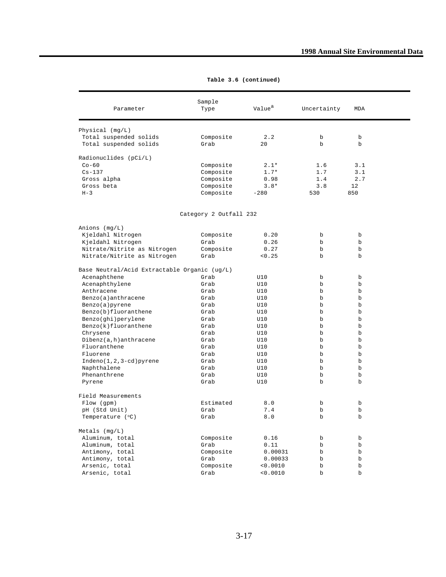| Parameter                                    | Sample<br>Type         | Value <sup>a</sup> | Uncertainty | MDA         |  |
|----------------------------------------------|------------------------|--------------------|-------------|-------------|--|
| Physical (mg/L)                              |                        |                    |             |             |  |
| Total suspended solids                       | Composite              | 2.2                | b           | b           |  |
| Total suspended solids                       | Grab                   | 20                 | b           | b           |  |
| Radionuclides (pCi/L)                        |                        |                    |             |             |  |
| $Co-60$                                      | Composite              | $2.1*$             | 1.6         | 3.1         |  |
| $Cs - 137$                                   | Composite              | $1.7*$             | 1.7         | 3.1         |  |
| Gross alpha                                  | Composite              | 0.98               | 1.4         | 2.7         |  |
| Gross beta                                   | Composite              | $3.8*$             | 3.8         | $12 \,$     |  |
| $H - 3$                                      | Composite              | $-280$             | 530         | 850         |  |
|                                              | Category 2 Outfall 232 |                    |             |             |  |
| Anions $(mq/L)$                              |                        |                    |             |             |  |
| Kjeldahl Nitrogen                            | Composite              | 0.20               | b           | b           |  |
| Kjeldahl Nitrogen                            | Grab                   | 0.26               | b           | b           |  |
| Nitrate/Nitrite as Nitrogen                  | Composite              | 0.27               | b           | b           |  |
| Nitrate/Nitrite as Nitrogen                  | Grab                   | < 0.25             | $\mathbf b$ | b           |  |
| Base Neutral/Acid Extractable Organic (ug/L) |                        |                    |             |             |  |
| Acenaphthene                                 | Grab                   | U10                | b           | b           |  |
| Acenaphthylene                               | Grab                   | U10                | b           | b           |  |
| Anthracene                                   | Grab                   | U10                | b           | b           |  |
| Benzo(a)anthracene                           | Grab                   | U10                | $\mathbf b$ | b           |  |
| Benzo(a)pyrene                               | Grab                   | U10                | b           | b           |  |
| Benzo(b)fluoranthene                         | Grab                   | U10                | b           | b           |  |
| Benzo(ghi)perylene                           | Grab                   | U10                | b           | b           |  |
| Benzo(k)fluoranthene                         | Grab                   | U10                | b           | b           |  |
| Chrysene                                     | Grab<br>Grab           | U10                | b           | b<br>b      |  |
| Dibenz(a,h)anthracene                        |                        | U10                | b           | b           |  |
| Fluoranthene<br>Fluorene                     | Grab<br>Grab           | U10<br>U10         | b<br>b      | b           |  |
| $Indeno(1,2,3-cd)pyrene$                     | Grab                   | U10                | b           | $\mathbf b$ |  |
| Naphthalene                                  | Grab                   | U10                | $\mathbf b$ | b           |  |
| Phenanthrene                                 | Grab                   | U10                | b           | b           |  |
| Pyrene                                       | Grab                   | U10                | b           | b           |  |
| Field Measurements                           |                        |                    |             |             |  |
| Flow (gpm)                                   | Estimated              | 8.0                | b           | b           |  |
| pH (Std Unit)                                | Grab                   | 7.4                | b           | b           |  |
| Temperature (°C)                             | Grab                   | 8.0                | b           | b           |  |
| $Metals$ ( $mq/L$ )                          |                        |                    |             |             |  |
| Aluminum, total                              | Composite              | 0.16               | b           | b           |  |
| Aluminum, total                              | Grab                   | 0.11               | b           | b           |  |
| Antimony, total                              | Composite              | 0.00031            | b           | b           |  |
| Antimony, total                              | Grab                   | 0.00033            | b           | b           |  |
| Arsenic, total                               | Composite              | < 0.0010           | b           | b           |  |
| Arsenic, total                               | Grab                   | < 0.0010           | b           | b           |  |

**Table 3.6 (continued)**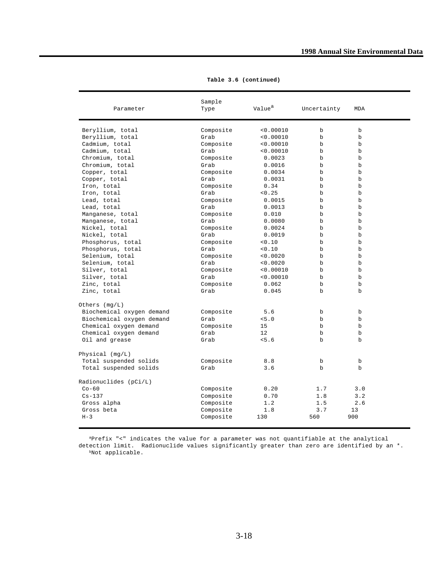| Parameter                 | Sample<br>Type | Value <sup>a</sup> | Uncertainty | MDA         |
|---------------------------|----------------|--------------------|-------------|-------------|
| Beryllium, total          | Composite      | < 0.00010          | $\mathbf b$ | b           |
| Beryllium, total          | Grab           | < 0.00010          | $\mathbf b$ | $\mathbf b$ |
| Cadmium, total            | Composite      | 0.00010            | b           | b           |
| Cadmium, total            | Grab           | < 0.00010          | b           | b           |
| Chromium, total           | Composite      | 0.0023             | b           | b           |
| Chromium, total           | Grab           | 0.0016             | b           | b           |
| Copper, total             | Composite      | 0.0034             | b           | b           |
| Copper, total             | Grab           | 0.0031             | $\mathbf b$ | $\mathbf b$ |
| Iron, total               | Composite      | 0.34               | b           | $\mathbf b$ |
| Iron, total               | Grab           | < 0.25             | b           | $\mathbf b$ |
| Lead, total               | Composite      | 0.0015             | b           | b           |
| Lead, total               | Grab           | 0.0013             | b           | b           |
| Manganese, total          | Composite      | 0.010              | b           | b           |
| Manganese, total          | Grab           | 0.0080             | b           | $\mathbf b$ |
| Nickel, total             | Composite      | 0.0024             | b           | $\mathbf b$ |
| Nickel, total             | Grab           | 0.0019             | b           | $\mathbf b$ |
| Phosphorus, total         | Composite      | 0.10               | b           | b           |
| Phosphorus, total         | Grab           | 0.10               | b           | b           |
| Selenium, total           | Composite      | < 0.0020           | b           | b           |
| Selenium, total           | Grab           | < 0.0020           | b           | b           |
| Silver, total             | Composite      | < 0.00010          | b           | b           |
| Silver, total             | Grab           | < 0.00010          | b           | b           |
| Zinc, total               | Composite      | 0.062              | b           | b           |
| Zinc, total               | Grab           | 0.045              | $\mathbf b$ | b           |
| Others (mg/L)             |                |                    |             |             |
| Biochemical oxygen demand | Composite      | 5.6                | $\mathbf b$ | b           |
| Biochemical oxygen demand | Grab           | 5.0                | b           | b           |
| Chemical oxygen demand    | Composite      | 15                 | $\mathbf b$ | $\mathbf b$ |
| Chemical oxygen demand    | Grab           | 12                 | b           | b           |
| Oil and grease            | Grab           | 5.6                | b           | b           |
| Physical (mg/L)           |                |                    |             |             |
| Total suspended solids    | Composite      | 8.8                | b           | b           |
| Total suspended solids    | Grab           | 3.6                | b           | $\mathbf b$ |
| Radionuclides (pCi/L)     |                |                    |             |             |
| $Co-60$                   | Composite      | 0.20               | 1.7         | 3.0         |
| $Cs - 137$                | Composite      | 0.70               | 1.8         | 3.2         |
| Gross alpha               | Composite      | 1.2                | 1.5         | 2.6         |
| Gross beta                | Composite      | 1.8                | 3.7         | 13          |
| $H - 3$                   | Composite      | 130                | 560         | 900         |

**Table 3.6 (continued)**

 <sup>a</sup>Prefix "<" indicates the value for a parameter was not quantifiable at the analytical detection limit. Radionuclide values significantly greater than zero are identified by an \*.  $b$ Not applicable.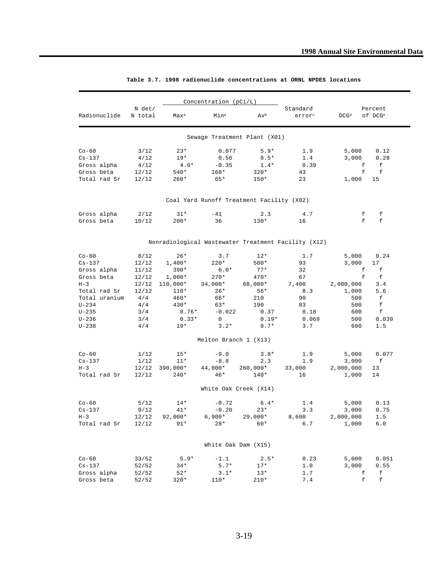|               |                   |                  | Concentration (pCi/L) |                                                     |                                |                  |                                |
|---------------|-------------------|------------------|-----------------------|-----------------------------------------------------|--------------------------------|------------------|--------------------------------|
| Radionuclide  | N det/<br>N total | Max <sup>a</sup> | Min <sup>a</sup>      | $Av^b$                                              | Standard<br>error <sup>c</sup> | DCG <sup>d</sup> | Percent<br>of DCG <sup>e</sup> |
|               |                   |                  |                       | Sewage Treatment Plant (X01)                        |                                |                  |                                |
| $Co-60$       | 3/12              | $23*$            | 0.077                 | $5.9*$                                              | 1.9                            | 5,000            | 0.12                           |
| $Cs - 137$    | 4/12              | $19*$            | 0.56                  | $8.5*$                                              | 1.4                            | 3,000            | 0.28                           |
| Gross alpha   | 4/12              | $4.0*$           | $-0.35$               | $1.4*$                                              | 0.39                           | f                | f                              |
| Gross beta    | 12/12             | 540*             | $160*$                | $320*$                                              | 43                             | f                | f                              |
| Total rad Sr  | 12/12             | $260*$           | 65*                   | $150*$                                              | 23                             | 1,000            | 15                             |
|               |                   |                  |                       | Coal Yard Runoff Treatment Facility (X02)           |                                |                  |                                |
| Gross alpha   | 2/12              | $31*$            | $-41$                 | 2.3                                                 | 4.7                            | f                | f                              |
| Gross beta    | 10/12             | $200*$           | 36                    | $130*$                                              | 16                             | f                | f                              |
|               |                   |                  |                       | Nonradiological Wastewater Treatment Facility (X12) |                                |                  |                                |
| $Co-60$       | 8/12              | $26*$            | 3.7                   | $12*$                                               | 1.7                            | 5,000            | 0.24                           |
| $Cs - 137$    | 12/12             | $1,400*$         | $220*$                | $500*$                                              | 93                             | 3,000            | 17                             |
| Gross alpha   | 11/12             | $390*$           | $6.0*$                | $77*$                                               | 32                             | f                | f                              |
| Gross beta    | 12/12             | $1,000*$         | $270*$                | $470*$                                              | 67                             | f                | f                              |
| $H-3$         | 12/12             | $110,000*$       | 34,000*               | 68,000*                                             | 7,400                          | 2,000,000        | 3.4                            |
| Total rad Sr  | 12/12             | $110*$           | $26*$                 | 56*                                                 | 8.3                            | 1,000            | 5.6                            |
| Total uranium | 4/4               | $460*$           | 66*                   | 210                                                 | 90                             | 500              | f                              |
| $U-234$       | 4/4               | $430*$           | $63*$                 | 190                                                 | 83                             | 500              | f                              |
| $U-235$       | 3/4               | $0.76*$          | $-0.022$              | 0.37                                                | 0.18                           | 600              | $\mathbf f$                    |
| $U-236$       | 3/4               | $0.33*$          | 0                     | $0.19*$                                             | 0.069                          | 500              | 0.039                          |
| $U-238$       | 4/4               | $19*$            | $3.2*$                | $8.7*$                                              | 3.7                            | 600              | 1.5                            |
|               |                   |                  | Melton Branch 1 (X13) |                                                     |                                |                  |                                |
| $Co-60$       | 1/12              | $15*$            | $-9.0$                | $3.8*$                                              | 1.9                            | 5,000            | 0.077                          |
| $Cs - 137$    | 1/12              | $11*$            | $-8.8$                | 2.3                                                 | 1.9                            | 3,000            | f                              |
| $H-3$         | 12/12             | 390,000*         | 44,000*               | 260,000*                                            | 33,000                         | 2,000,000        | 13                             |
| Total rad Sr  | 12/12             | $240*$           | $46*$                 | $140*$                                              | 16                             | 1,000            | 14                             |
|               |                   |                  |                       | White Oak Creek (X14)                               |                                |                  |                                |
| $Co-60$       | 5/12              | $14*$            | $-0.72$               | $6.4*$                                              | 1.4                            | 5,000            | 0.13                           |
| $Cs - 137$    | 9/12              | $41*$            | $-0.20$               | $23*$                                               | 3.3                            | 3,000            | 0.75                           |
| $H-3$         | 12/12             | $92,000*$        | $6,900*$              | 29,000*                                             | 8,600                          | 2,000,000        | 1.5                            |
| Total rad Sr  | 12/12             | 91*              | $28*$                 | 60*                                                 | $6.7\,$                        | 1,000            | 6.0                            |
|               |                   |                  |                       | White Oak Dam (X15)                                 |                                |                  |                                |
| $Co-60$       | 33/52             | $5.9*$           | $-1.1$                | $2.5*$                                              | 0.23                           | 5,000            | 0.051                          |
| $Cs - 137$    | 52/52             | $34*$            | $5.7*$                | $17*$                                               | 1.0                            | 3,000            | 0.55                           |
| Gross alpha   | 52/52             | $52*$            | $3.1*$                | $13*$                                               | 1.7                            | f                | f                              |
| Gross beta    | 52/52             | $320*$           | $110*$                | $210*$                                              | $7\,.$ $4\,$                   | f                | f                              |
|               |                   |                  |                       |                                                     |                                |                  |                                |

## **Table 3.7. 1998 radionuclide concentrations at ORNL NPDES locations**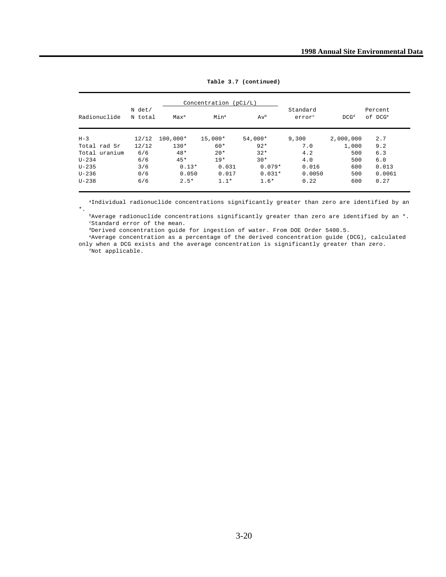|               |                     |                  | Concentration $(pCi/L)$ |                 |                                |                  |                                |
|---------------|---------------------|------------------|-------------------------|-----------------|--------------------------------|------------------|--------------------------------|
| Radionuclide  | $N$ det/<br>N total | Max <sup>a</sup> | Min <sup>a</sup>        | Av <sup>b</sup> | Standard<br>error <sup>c</sup> | DCG <sup>d</sup> | Percent<br>of DCG <sup>e</sup> |
| $H-3$         | 12/12               | 100,000*         | $15.000*$               | $54.000*$       | 9,300                          | 2,000,000        | 2.7                            |
| Total rad Sr  | 12/12               | $130*$           | $60*$                   | $92*$           | 7.0                            | 1,000            | 9.2                            |
| Total uranium | 6/6                 | $48*$            | $20*$                   | $32*$           | 4.2                            | 500              | 6.3                            |
| $U - 234$     | 6/6                 | $45*$            | $19*$                   | $30*$           | 4.0                            | 500              | 6.0                            |
| $U - 235$     | 3/6                 | $0.13*$          | 0.031                   | $0.079*$        | 0.016                          | 600              | 0.013                          |
| $U - 236$     | 0/6                 | 0.050            | 0.017                   | $0.031*$        | 0.0050                         | 500              | 0.0061                         |
| $U - 238$     | 6/6                 | $2.5*$           | $1.1*$                  | $1.6*$          | 0.22                           | 600              | 0.27                           |

**Table 3.7 (continued)**

aIndividual radionuclide concentrations significantly greater than zero are identified by an

 $b$ Average radionuclide concentrations significantly greater than zero are identified by an  $*$ . <sup>c</sup>Standard error of the mean.

dDerived concentration guide for ingestion of water. From DOE Order 5400.5.

<sup>e</sup>Average concentration as a percentage of the derived concentration guide (DCG), calculated only when a DCG exists and the average concentration is significantly greater than zero.

fNot applicable.

\*.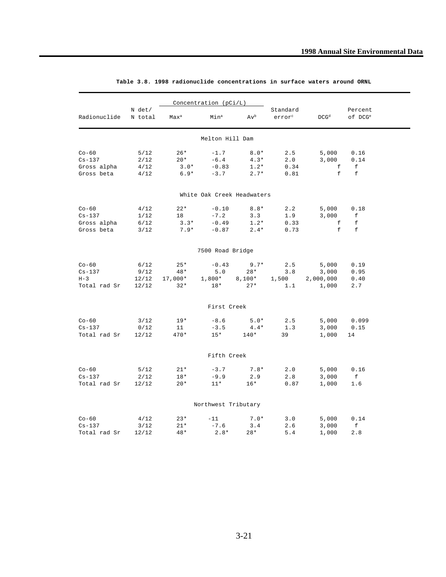| N det/<br>Standard<br>Percent<br>Radionuclide<br>N total<br>$Av^b$<br>error <sup>c</sup><br>DCG <sup>d</sup><br>of DCG <sup>e</sup><br>Max <sup>a</sup><br>Minª<br>Melton Hill Dam<br>$-1.7$<br>$Co-60$<br>5/12<br>$26*$<br>$8.0*$<br>2.5<br>5,000<br>0.16<br>$Cs - 137$<br>2/12<br>$20*$<br>$-6.4$<br>$4.3*$<br>2.0<br>3,000<br>0.14<br>$-0.83$<br>Gross alpha<br>4/12<br>$3.0*$<br>$1.2*$<br>0.34<br>f<br>f<br>f<br>Gross beta<br>4/12<br>$6.9*$<br>$-3.7$<br>$2.7*$<br>0.81<br>f<br>White Oak Creek Headwaters<br>$-0.10$<br>$8.8*$<br>2.2<br>5,000<br>$Co-60$<br>4/12<br>$22*$<br>0.18<br>$Cs - 137$<br>1/12<br>$-7.2$<br>3.3<br>1.9<br>3,000<br>f<br>18<br>f<br>Gross alpha<br>6/12<br>$3.3*$<br>$-0.49$<br>$1.2*$<br>0.33<br>f<br>$7.9*$<br>0.73<br>f<br>f<br>Gross beta<br>3/12<br>$-0.87$<br>$2.4*$<br>7500 Road Bridge<br>2.5<br>$Co-60$<br>6/12<br>$25*$<br>$-0.43$<br>$9.7*$<br>5,000<br>0.19<br>5.0<br>3.8<br>$Cs-137$<br>9/12<br>48*<br>$28*$<br>3,000<br>0.95<br>1,500<br>$H-3$<br>12/12<br>17,000*<br>1,800*<br>$8,100*$<br>2,000,000<br>0.40<br>12/12<br>$32*$<br>$18*$<br>$27*$<br>1.1<br>1,000<br>2.7<br>Total rad Sr<br>First Creek<br>$19*$<br>$-8.6$<br>2.5<br>5,000<br>$Co-60$<br>3/12<br>$5.0*$<br>0.099<br>$Cs - 137$<br>$-3.5$<br>1.3<br>3,000<br>0/12<br>11<br>$4.4*$<br>0.15<br>Total rad Sr<br>12/12<br>$470*$<br>$15*$<br>$140*$<br>1,000<br>39<br>14<br>Fifth Creek<br>$Co-60$<br>$21*$<br>$-3.7$<br>$7.8*$<br>2.0<br>5,000<br>0.16<br>5/12<br>$-9.9$<br>2.8<br>3,000<br>f<br>$Cs - 137$<br>2/12<br>$18*$<br>2.9<br>$20*$<br>$11*$<br>1,000<br>1.6<br>Total rad Sr<br>12/12<br>$16*$<br>0.87<br>Northwest Tributary<br>$Co-60$<br>4/12<br>$23*$<br>$-11$<br>$7.0*$<br>3.0<br>5,000<br>0.14<br>$-7.6$<br>f<br>$Cs - 137$<br>3/12<br>$21*$<br>3.4<br>2.6<br>3,000<br>12/12<br>$48*$<br>$2.8*$<br>$28*$<br>2.8<br>Total rad Sr<br>5.4<br>1,000 |  | Concentration (pCi/L) |  |  |  |
|---------------------------------------------------------------------------------------------------------------------------------------------------------------------------------------------------------------------------------------------------------------------------------------------------------------------------------------------------------------------------------------------------------------------------------------------------------------------------------------------------------------------------------------------------------------------------------------------------------------------------------------------------------------------------------------------------------------------------------------------------------------------------------------------------------------------------------------------------------------------------------------------------------------------------------------------------------------------------------------------------------------------------------------------------------------------------------------------------------------------------------------------------------------------------------------------------------------------------------------------------------------------------------------------------------------------------------------------------------------------------------------------------------------------------------------------------------------------------------------------------------------------------------------------------------------------------------------------------------------------------------------------------------------------------------------------------------------------------------------------------------------------------------------------------------------------------------------------------------------------------|--|-----------------------|--|--|--|
|                                                                                                                                                                                                                                                                                                                                                                                                                                                                                                                                                                                                                                                                                                                                                                                                                                                                                                                                                                                                                                                                                                                                                                                                                                                                                                                                                                                                                                                                                                                                                                                                                                                                                                                                                                                                                                                                           |  |                       |  |  |  |
|                                                                                                                                                                                                                                                                                                                                                                                                                                                                                                                                                                                                                                                                                                                                                                                                                                                                                                                                                                                                                                                                                                                                                                                                                                                                                                                                                                                                                                                                                                                                                                                                                                                                                                                                                                                                                                                                           |  |                       |  |  |  |
|                                                                                                                                                                                                                                                                                                                                                                                                                                                                                                                                                                                                                                                                                                                                                                                                                                                                                                                                                                                                                                                                                                                                                                                                                                                                                                                                                                                                                                                                                                                                                                                                                                                                                                                                                                                                                                                                           |  |                       |  |  |  |
|                                                                                                                                                                                                                                                                                                                                                                                                                                                                                                                                                                                                                                                                                                                                                                                                                                                                                                                                                                                                                                                                                                                                                                                                                                                                                                                                                                                                                                                                                                                                                                                                                                                                                                                                                                                                                                                                           |  |                       |  |  |  |
|                                                                                                                                                                                                                                                                                                                                                                                                                                                                                                                                                                                                                                                                                                                                                                                                                                                                                                                                                                                                                                                                                                                                                                                                                                                                                                                                                                                                                                                                                                                                                                                                                                                                                                                                                                                                                                                                           |  |                       |  |  |  |
|                                                                                                                                                                                                                                                                                                                                                                                                                                                                                                                                                                                                                                                                                                                                                                                                                                                                                                                                                                                                                                                                                                                                                                                                                                                                                                                                                                                                                                                                                                                                                                                                                                                                                                                                                                                                                                                                           |  |                       |  |  |  |
|                                                                                                                                                                                                                                                                                                                                                                                                                                                                                                                                                                                                                                                                                                                                                                                                                                                                                                                                                                                                                                                                                                                                                                                                                                                                                                                                                                                                                                                                                                                                                                                                                                                                                                                                                                                                                                                                           |  |                       |  |  |  |
|                                                                                                                                                                                                                                                                                                                                                                                                                                                                                                                                                                                                                                                                                                                                                                                                                                                                                                                                                                                                                                                                                                                                                                                                                                                                                                                                                                                                                                                                                                                                                                                                                                                                                                                                                                                                                                                                           |  |                       |  |  |  |
|                                                                                                                                                                                                                                                                                                                                                                                                                                                                                                                                                                                                                                                                                                                                                                                                                                                                                                                                                                                                                                                                                                                                                                                                                                                                                                                                                                                                                                                                                                                                                                                                                                                                                                                                                                                                                                                                           |  |                       |  |  |  |
|                                                                                                                                                                                                                                                                                                                                                                                                                                                                                                                                                                                                                                                                                                                                                                                                                                                                                                                                                                                                                                                                                                                                                                                                                                                                                                                                                                                                                                                                                                                                                                                                                                                                                                                                                                                                                                                                           |  |                       |  |  |  |
|                                                                                                                                                                                                                                                                                                                                                                                                                                                                                                                                                                                                                                                                                                                                                                                                                                                                                                                                                                                                                                                                                                                                                                                                                                                                                                                                                                                                                                                                                                                                                                                                                                                                                                                                                                                                                                                                           |  |                       |  |  |  |
|                                                                                                                                                                                                                                                                                                                                                                                                                                                                                                                                                                                                                                                                                                                                                                                                                                                                                                                                                                                                                                                                                                                                                                                                                                                                                                                                                                                                                                                                                                                                                                                                                                                                                                                                                                                                                                                                           |  |                       |  |  |  |
|                                                                                                                                                                                                                                                                                                                                                                                                                                                                                                                                                                                                                                                                                                                                                                                                                                                                                                                                                                                                                                                                                                                                                                                                                                                                                                                                                                                                                                                                                                                                                                                                                                                                                                                                                                                                                                                                           |  |                       |  |  |  |
|                                                                                                                                                                                                                                                                                                                                                                                                                                                                                                                                                                                                                                                                                                                                                                                                                                                                                                                                                                                                                                                                                                                                                                                                                                                                                                                                                                                                                                                                                                                                                                                                                                                                                                                                                                                                                                                                           |  |                       |  |  |  |
|                                                                                                                                                                                                                                                                                                                                                                                                                                                                                                                                                                                                                                                                                                                                                                                                                                                                                                                                                                                                                                                                                                                                                                                                                                                                                                                                                                                                                                                                                                                                                                                                                                                                                                                                                                                                                                                                           |  |                       |  |  |  |
|                                                                                                                                                                                                                                                                                                                                                                                                                                                                                                                                                                                                                                                                                                                                                                                                                                                                                                                                                                                                                                                                                                                                                                                                                                                                                                                                                                                                                                                                                                                                                                                                                                                                                                                                                                                                                                                                           |  |                       |  |  |  |
|                                                                                                                                                                                                                                                                                                                                                                                                                                                                                                                                                                                                                                                                                                                                                                                                                                                                                                                                                                                                                                                                                                                                                                                                                                                                                                                                                                                                                                                                                                                                                                                                                                                                                                                                                                                                                                                                           |  |                       |  |  |  |
|                                                                                                                                                                                                                                                                                                                                                                                                                                                                                                                                                                                                                                                                                                                                                                                                                                                                                                                                                                                                                                                                                                                                                                                                                                                                                                                                                                                                                                                                                                                                                                                                                                                                                                                                                                                                                                                                           |  |                       |  |  |  |
|                                                                                                                                                                                                                                                                                                                                                                                                                                                                                                                                                                                                                                                                                                                                                                                                                                                                                                                                                                                                                                                                                                                                                                                                                                                                                                                                                                                                                                                                                                                                                                                                                                                                                                                                                                                                                                                                           |  |                       |  |  |  |
|                                                                                                                                                                                                                                                                                                                                                                                                                                                                                                                                                                                                                                                                                                                                                                                                                                                                                                                                                                                                                                                                                                                                                                                                                                                                                                                                                                                                                                                                                                                                                                                                                                                                                                                                                                                                                                                                           |  |                       |  |  |  |
|                                                                                                                                                                                                                                                                                                                                                                                                                                                                                                                                                                                                                                                                                                                                                                                                                                                                                                                                                                                                                                                                                                                                                                                                                                                                                                                                                                                                                                                                                                                                                                                                                                                                                                                                                                                                                                                                           |  |                       |  |  |  |
|                                                                                                                                                                                                                                                                                                                                                                                                                                                                                                                                                                                                                                                                                                                                                                                                                                                                                                                                                                                                                                                                                                                                                                                                                                                                                                                                                                                                                                                                                                                                                                                                                                                                                                                                                                                                                                                                           |  |                       |  |  |  |
|                                                                                                                                                                                                                                                                                                                                                                                                                                                                                                                                                                                                                                                                                                                                                                                                                                                                                                                                                                                                                                                                                                                                                                                                                                                                                                                                                                                                                                                                                                                                                                                                                                                                                                                                                                                                                                                                           |  |                       |  |  |  |
|                                                                                                                                                                                                                                                                                                                                                                                                                                                                                                                                                                                                                                                                                                                                                                                                                                                                                                                                                                                                                                                                                                                                                                                                                                                                                                                                                                                                                                                                                                                                                                                                                                                                                                                                                                                                                                                                           |  |                       |  |  |  |
|                                                                                                                                                                                                                                                                                                                                                                                                                                                                                                                                                                                                                                                                                                                                                                                                                                                                                                                                                                                                                                                                                                                                                                                                                                                                                                                                                                                                                                                                                                                                                                                                                                                                                                                                                                                                                                                                           |  |                       |  |  |  |
|                                                                                                                                                                                                                                                                                                                                                                                                                                                                                                                                                                                                                                                                                                                                                                                                                                                                                                                                                                                                                                                                                                                                                                                                                                                                                                                                                                                                                                                                                                                                                                                                                                                                                                                                                                                                                                                                           |  |                       |  |  |  |
|                                                                                                                                                                                                                                                                                                                                                                                                                                                                                                                                                                                                                                                                                                                                                                                                                                                                                                                                                                                                                                                                                                                                                                                                                                                                                                                                                                                                                                                                                                                                                                                                                                                                                                                                                                                                                                                                           |  |                       |  |  |  |
|                                                                                                                                                                                                                                                                                                                                                                                                                                                                                                                                                                                                                                                                                                                                                                                                                                                                                                                                                                                                                                                                                                                                                                                                                                                                                                                                                                                                                                                                                                                                                                                                                                                                                                                                                                                                                                                                           |  |                       |  |  |  |
|                                                                                                                                                                                                                                                                                                                                                                                                                                                                                                                                                                                                                                                                                                                                                                                                                                                                                                                                                                                                                                                                                                                                                                                                                                                                                                                                                                                                                                                                                                                                                                                                                                                                                                                                                                                                                                                                           |  |                       |  |  |  |

**Table 3.8. 1998 radionuclide concentrations in surface waters around ORNL**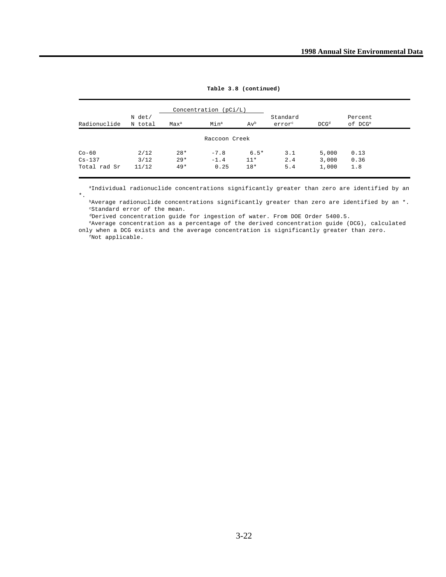|              |                   |                  | Concentration $(pCi/L)$ |        |                                |                  |                                |
|--------------|-------------------|------------------|-------------------------|--------|--------------------------------|------------------|--------------------------------|
| Radionuclide | N det/<br>N total | Max <sup>a</sup> | Min <sup>a</sup>        | $Av^b$ | Standard<br>error <sup>c</sup> | DCG <sup>d</sup> | Percent<br>of DCG <sup>e</sup> |
|              |                   |                  | Raccoon Creek           |        |                                |                  |                                |
| $Co-60$      | 2/12              | $28*$            | $-7.8$                  | $6.5*$ | 3.1                            | 5,000            | 0.13                           |
| $Cs - 137$   | 3/12              | $29*$            | $-1.4$                  | $11*$  | 2.4                            | 3,000            | 0.36                           |
| Total rad Sr | 11/12             | $49*$            | 0.25                    | $18*$  | 5.4                            | 1,000            | 1.8                            |

**Table 3.8 (continued)**

aIndividual radionuclide concentrations significantly greater than zero are identified by an \*.

 $b$ Average radionuclide concentrations significantly greater than zero are identified by an  $\star$ . <sup>c</sup>Standard error of the mean.

dDerived concentration guide for ingestion of water. From DOE Order 5400.5.

<sup>e</sup>Average concentration as a percentage of the derived concentration guide (DCG), calculated only when a DCG exists and the average concentration is significantly greater than zero.

fNot applicable.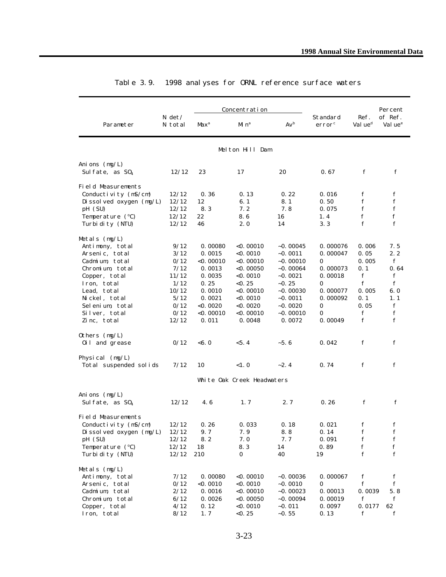|                              |                   |                    | Concentration              |                      |                                | Percent                     |                                |
|------------------------------|-------------------|--------------------|----------------------------|----------------------|--------------------------------|-----------------------------|--------------------------------|
| Parameter                    | N det/<br>N total | Max <sup>a</sup>   | Mi n <sup>a</sup>          | $Av^b$               | Standard<br>error <sup>c</sup> | Ref.<br>Val ue <sup>d</sup> | of Ref.<br>Val ue <sup>e</sup> |
|                              |                   |                    | Mel ton Hill Dam           |                      |                                |                             |                                |
| Anions $(mg/L)$              |                   |                    |                            |                      |                                |                             |                                |
| Sulfate, as $SO_4$           | 12/12             | 23                 | 17                         | 20                   | 0.67                           | f                           | $\mathsf{f}$                   |
| Field Measurements           |                   |                    |                            |                      |                                |                             |                                |
| Conductivity (mS/cm)         | 12/12             | 0.36               | 0.13                       | 0.22                 | 0.016                          | f                           | $\mathsf f$                    |
| Dissolved oxygen (mg/L)      | 12/12             | 12                 | 6.1                        | 8.1                  | 0.50                           | f                           | f                              |
| pH (SU)                      | 12/12             | 8.3                | 7.2                        | 7.8                  | 0.075                          | f                           | f                              |
| Temperature (°C)             | 12/12             | 22                 | 8.6                        | 16                   | 1.4                            | f                           | $\mathsf f$                    |
| Turbi di ty (NTU)            | 12/12             | 46                 | 2.0                        | 14                   | 3.3                            | f                           | f                              |
| Metals (mg/L)                |                   |                    |                            |                      |                                |                             |                                |
| Antimony, total              | 9/12              | 0.00080            | < 0.00010                  | $-0.00045$           | 0.000076                       | 0.006                       | 7.5                            |
| Arsenic, total               | 3/12              | 0.0015             | < 0.0010                   | $-0.0011$            | 0.000047                       | 0.05                        | 2.2                            |
| Cadmium, total               | 0/12              | < 0.00010          | < 0.00010                  | $-0.00010$           | 0                              | 0.005                       | f                              |
| Chromium, total              | 7/12              | 0.0013             | < 0.00050                  | $-0.00064$           | 0.000073                       | 0.1                         | 0.64                           |
| Copper, total                | 11/12             | 0.0035             | < 0.0010                   | $-0.0021$            | 0.00018                        | f                           | f                              |
| Iron, total                  | 1/12              | 0.25               | < 0.25                     | $-0.25$              | 0                              | $\mathsf f$                 | f                              |
| Lead, total                  | 10/12             | 0.0010             | < 0.00010                  | $-0.00030$           | 0.000077                       | 0.005                       | 6. 0                           |
| Nickel, total                | 5/12              | 0.0021             | < 0.0010                   | $-0.0011$            | 0.000092                       | 0.1                         | 1.1                            |
| Selenium, total              | 0/12              | $<$ 0. 0020        | < 0.0020                   | $-0.0020$            | 0                              | 0.05                        | f                              |
| Silver, total<br>Zinc, total | 0/12<br>12/12     | < 0.00010<br>0.011 | < 0.00010<br>0.0048        | $-0.00010$<br>0.0072 | 0<br>0.00049                   | f<br>f                      | f<br>f                         |
| Others $(mg/L)$              |                   |                    |                            |                      |                                |                             |                                |
| Oil and grease               | 0/12              | &5.0               | < 5.4                      | $-5.6$               | 0.042                          | f                           | f                              |
|                              |                   |                    |                            |                      |                                |                             |                                |
| Physical (mg/L)              |                   |                    |                            |                      |                                |                             |                                |
| Total suspended solids       | 7/12              | 10                 | <1.0                       | $-2.4$               | 0.74                           | f                           | f                              |
|                              |                   |                    | White Oak Creek Headwaters |                      |                                |                             |                                |
| Anions (mg/L)                |                   |                    |                            |                      |                                |                             |                                |
| Sulfate, as $SO_4$           | 12/12             | 4.6                | 1.7                        | 2.7                  | 0.26                           | f                           | f                              |
| Field Measurements           |                   |                    |                            |                      |                                |                             |                                |
| Conductivity (mS/cm)         | 12/12             | 0.26               | 0.033                      | 0.18                 | 0.021                          | f                           | f                              |
| Dissolved oxygen (mg/L)      | 12/12             | 9.7                | 7.9                        | 8.8                  | 0.14                           | $\mathsf f$                 | $\mathsf f$                    |
| pH (SU)                      | 12/12             | 8.2                | 7.0                        | 7.7                  | 0.091                          | $\mathsf f$                 | f                              |
| Temperature (°C)             | 12/12             | 18                 | 8.3                        | 14                   | 0.89                           | f                           | $\mathsf f$                    |
| Turbi di ty (NTU)            | 12/12             | 210                | 0                          | 40                   | 19                             | f                           | f                              |
| Metals (mg/L)                |                   |                    |                            |                      |                                |                             |                                |
| Antimony, total              | 7/12              | 0.00080            | < 0.00010                  | $-0.00036$           | 0.000067                       | f                           | f                              |
| Arsenic, total               | 0/12              | $<$ 0.0010         | < 0.0010                   | $-0.0010$            | 0                              | f                           | f                              |
| Cadmium, total               | 2/12              | 0.0016             | < 0.00010                  | $-0.00023$           | 0.00013                        | 0.0039                      | 5.8                            |
| Chromium, total              | 6/12              | 0.0026             | < 0.00050                  | $-0.00094$           | 0.00019                        | f                           | f                              |
| Copper, total                | 4/12              | 0.12               | $<$ 0.0010                 | $-0.011$             | 0.0097                         | 0.0177                      | 62                             |
| Iron, total                  | 8/12              | 1.7                | < 0.25                     | $-0.55$              | 0.13                           | f                           | f                              |

|  | Table 3.9. 1998 analyses for ORNL reference surface waters |  |  |  |  |  |  |  |
|--|------------------------------------------------------------|--|--|--|--|--|--|--|
|--|------------------------------------------------------------|--|--|--|--|--|--|--|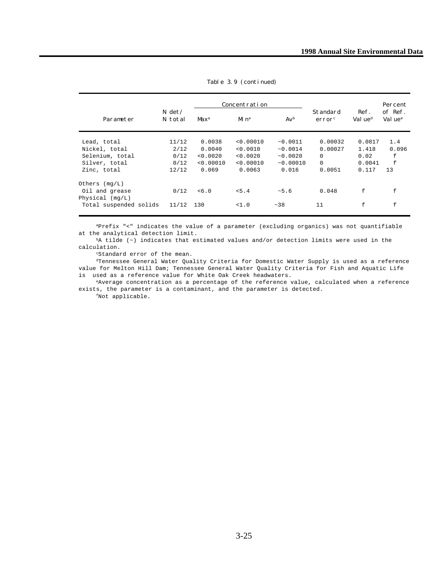|                                     |                                       |           | Concentration       |          |                                |                             | Percent                        |
|-------------------------------------|---------------------------------------|-----------|---------------------|----------|--------------------------------|-----------------------------|--------------------------------|
| Parameter                           | N det/<br>Max <sup>a</sup><br>N total |           | $Mi$ n <sup>a</sup> | $Av^b$   | Standard<br>error <sup>c</sup> | Ref.<br>Val ue <sup>d</sup> | of Ref.<br>Val ue <sup>e</sup> |
| Lead, total                         | 11/12                                 | 0.0038    | < 0.00010           | ~0.0011  | 0.00032                        | 0.0817                      | 1.4                            |
| Nickel, total                       | 2/12                                  | 0.0040    | < 0.0010            | ~0.0014  | 0.00027                        | 1.418                       | 0.096                          |
| Selenium, total                     | 0/12                                  | < 0.0020  | < 0.0020            | ~0.0020  | $\Omega$                       | 0.02                        | f                              |
| Silver, total                       | 0/12                                  | < 0.00010 | < 0.00010           | ~0.00010 | $\Omega$                       | 0.0041                      | f                              |
| Zinc, total                         | 12/12                                 | 0.069     | 0.0063              | 0.016    | 0.0051                         | 0.117                       | 13                             |
| Others $(mq/L)$                     |                                       |           |                     |          |                                |                             |                                |
| Oil and grease<br>Physical $(mq/L)$ | 0/12                                  | < 6.0     | < 5.4               | ~5.6     | 0.048                          | f                           | f                              |
| Total suspended solids              | 11/12                                 | 130       | <1.0                | ~1.38    | 11                             | f                           | f                              |

Table 3.9 (continued)

aPrefix "<" indicates the value of a parameter (excluding organics) was not quantifiable at the analytical detection limit.

 $bA$  tilde ( $\sim$ ) indicates that estimated values and/or detection limits were used in the calculation.

<sup>c</sup>Standard error of the mean.

dTennessee General Water Quality Criteria for Domestic Water Supply is used as a reference value for Melton Hill Dam; Tennessee General Water Quality Criteria for Fish and Aquatic Life is used as a reference value for White Oak Creek headwaters.

<sup>e</sup>Average concentration as a percentage of the reference value, calculated when a reference exists, the parameter is a contaminant, and the parameter is detected.

fNot applicable.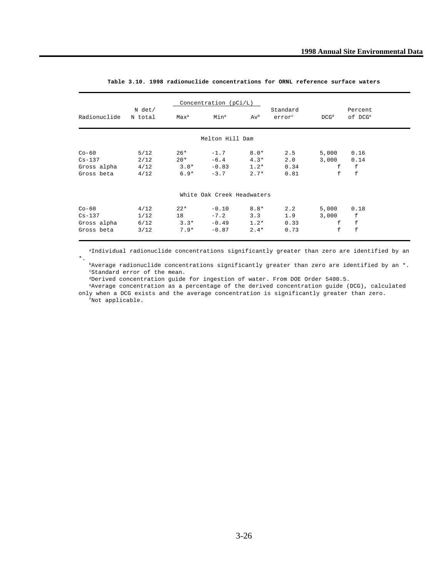|              |                   |                  | Concentration $(pCi/L)$    |        |                                |                  |                                |  |
|--------------|-------------------|------------------|----------------------------|--------|--------------------------------|------------------|--------------------------------|--|
| Radionuclide | N det/<br>N total | Max <sup>a</sup> | Min <sup>a</sup>           | $Av^b$ | Standard<br>error <sup>c</sup> | DCG <sup>d</sup> | Percent<br>of DCG <sup>e</sup> |  |
|              |                   |                  | Melton Hill Dam            |        |                                |                  |                                |  |
| $Co-60$      | 5/12              | $26*$            | $-1.7$                     | $8.0*$ | 2.5                            | 5,000 0.16       |                                |  |
| $Cs - 137$   | 2/12              | $20*$            | $-6.4$                     | $4.3*$ | 2.0                            | 3,000            | 0.14                           |  |
| Gross alpha  | 4/12              | $3.0*$           | $-0.83$                    | $1.2*$ | 0.34                           | f                | f                              |  |
| Gross beta   | 4/12              | $6.9*$           | $-3.7$                     | $2.7*$ | 0.81                           | f                | $\mathbf f$                    |  |
|              |                   |                  | White Oak Creek Headwaters |        |                                |                  |                                |  |
| $Co-60$      | 4/12              | $22*$            | $-0.10$                    | $8.8*$ | 2.2                            | 5,000            | 0.18                           |  |
| $Cs - 137$   | 1/12              | 18               | $-7.2$                     | 3.3    | 1.9                            | 3,000            | f                              |  |
| Gross alpha  | 6/12              | $3.3*$           | $-0.49$                    | $1.2*$ | 0.33                           | f                | $\mathbf f$                    |  |
| Gross beta   | 3/12              | $7.9*$           | $-0.87$                    | $2.4*$ | 0.73                           | f                | $\mathbf f$                    |  |

## **Table 3.10. 1998 radionuclide concentrations for ORNL reference surface waters**

aIndividual radionuclide concentrations significantly greater than zero are identified by an \*.

 $b$ Average radionuclide concentrations significantly greater than zero are identified by an  $*$ . <sup>c</sup>Standard error of the mean.

dDerived concentration guide for ingestion of water. From DOE Order 5400.5.

<sup>e</sup>Average concentration as a percentage of the derived concentration guide (DCG), calculated only when a DCG exists and the average concentration is significantly greater than zero.

fNot applicable.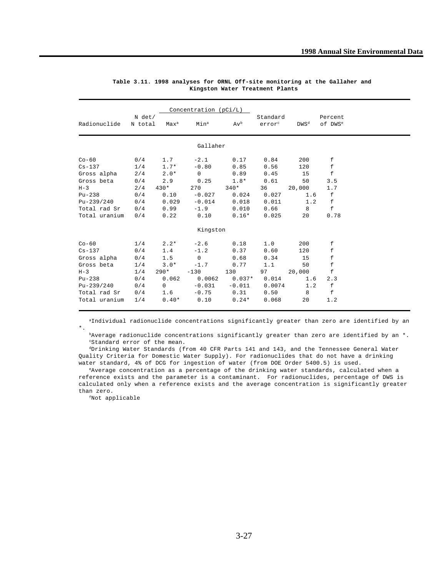|               |                   |                  | Concentration $(pCi/L)$ |          |                                |                           |                                |
|---------------|-------------------|------------------|-------------------------|----------|--------------------------------|---------------------------|--------------------------------|
| Radionuclide  | N det/<br>N total | Max <sup>a</sup> | Min <sup>a</sup>        | $Av^b$   | Standard<br>error <sup>c</sup> | $\mathtt{DWS}^\mathtt{d}$ | Percent<br>of DWS <sup>e</sup> |
|               |                   |                  | Gallaher                |          |                                |                           |                                |
| $Co-60$       | 0/4               | 1.7              | $-2.1$                  | 0.17     | 0.84                           | 200                       | f                              |
| $Cs - 137$    | 1/4               | $1.7*$           | $-0.80$                 | 0.85     | 0.56                           | 120                       | $\mathbf f$                    |
| Gross alpha   | 2/4               | $2.0*$           | $\mathbf 0$             | 0.89     | 0.45                           | 15                        | $\mathbf f$                    |
| Gross beta    | 0/4               | 2.9              | 0.25                    | $1.8*$   | 0.61                           | 50                        | 3.5                            |
| $H-3$         | 2/4               | $430*$           | 270                     | $340*$   | 36                             | 20,000                    | 1.7                            |
| $Pu-238$      | 0/4               | 0.10             | $-0.027$                | 0.024    | 0.027                          | 1.6                       | $\mathbf f$                    |
| Pu-239/240    | 0/4               | 0.029            | $-0.014$                | 0.018    | 0.011                          | 1.2                       | $\mathbf f$                    |
| Total rad Sr  | 0/4               | 0.99             | $-1.9$                  | 0.010    | 0.66                           | 8                         | $\mathbf f$                    |
| Total uranium | 0/4               | 0.22             | 0.10                    | $0.16*$  | 0.025                          | 20                        | 0.78                           |
|               |                   |                  | Kingston                |          |                                |                           |                                |
| $Co-60$       | 1/4               | $2.2*$           | $-2.6$                  | 0.18     | 1.0                            | 200                       | f                              |
| $Cs - 137$    | 0/4               | 1.4              | $-1.2$                  | 0.37     | 0.60                           | 120                       | $\mathbf f$                    |
| Gross alpha   | 0/4               | 1.5              | $\overline{0}$          | 0.68     | 0.34                           | 15                        | $\mathbf f$                    |
| Gross beta    | 1/4               | $3.0*$           | $-1.7$                  | 0.77     | 1.1                            | 50                        | $\mathbf f$                    |
| $H - 3$       | 1/4               | $290*$           | $-130$                  | 130      | 97                             | 20,000                    | $\mathbf f$                    |
| $Pu-238$      | 0/4               | 0.062            | 0.0062                  | $0.037*$ | 0.014                          | 1.6                       | 2.3                            |
| Pu-239/240    | 0/4               | $\Omega$         | $-0.031$                | $-0.011$ | 0.0074                         | 1.2                       | ${\tt f}$                      |
| Total rad Sr  | 0/4               | 1.6              | $-0.75$                 | 0.31     | 0.50                           | 8                         | $\mathbf f$                    |
| Total uranium | 1/4               | $0.40*$          | 0.10                    | $0.24*$  | 0.068                          | 20                        | 1.2                            |

|  | Table 3.11. 1998 analyses for ORNL Off-site monitoring at the Gallaher and |  |                                 |  |  |  |
|--|----------------------------------------------------------------------------|--|---------------------------------|--|--|--|
|  |                                                                            |  | Kingston Water Treatment Plants |  |  |  |

aIndividual radionuclide concentrations significantly greater than zero are identified by an \*.

 $b$ Average radionuclide concentrations significantly greater than zero are identified by an  $*$ . <sup>c</sup>Standard error of the mean.

dDrinking Water Standards (from 40 CFR Parts 141 and 143, and the Tennessee General Water Quality Criteria for Domestic Water Supply). For radionuclides that do not have a drinking water standard, 4% of DCG for ingestion of water (from DOE Order 5400.5) is used.

<sup>e</sup>Average concentration as a percentage of the drinking water standards, calculated when a reference exists and the parameter is a contaminant. For radionuclides, percentage of DWS is calculated only when a reference exists and the average concentration is significantly greater than zero.

fNot applicable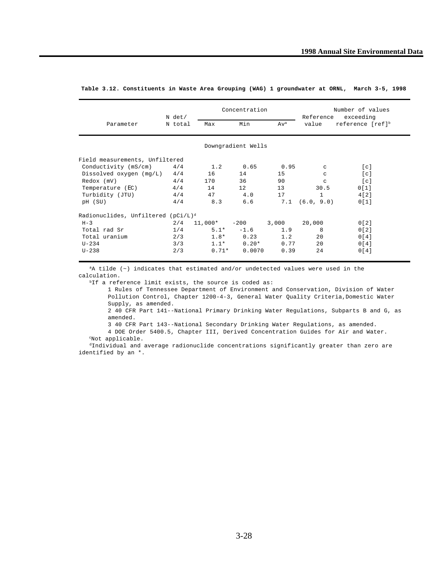|                                                    | N det/  |         | Concentration      |        | Reference     | Number of values<br>exceeding |
|----------------------------------------------------|---------|---------|--------------------|--------|---------------|-------------------------------|
| Parameter                                          | N total | Max     | Min                | $Av^a$ | value         | reference [ref] <sup>b</sup>  |
|                                                    |         |         | Downgradient Wells |        |               |                               |
| Field measurements, Unfiltered                     |         |         |                    |        |               |                               |
| Conductivity (mS/cm)                               | 4/4     | 1.2     | 0.65               | 0.95   | $\mathcal{C}$ | [c]                           |
| Dissolved oxygen $(mq/L)$                          | 4/4     | 16      | 14                 | 15     | $\mathcal{C}$ | [c]                           |
| Redox (mV)                                         | 4/4     | 170     | 36                 | 90     | $\mathbf C$   | [c]                           |
| Temperature (EC)                                   | 4/4     | 14      | 12 <sup>°</sup>    | 13     | 30.5          | 0[1]                          |
| Turbidity (JTU)                                    | 4/4     | 47      | 4.0                | 17     | $\mathbf{1}$  | 4[2]                          |
| pH (SU)                                            | 4/4     | 8.3     | 6.6                | 7.1    | (6.0, 9.0)    | 0[1]                          |
| Radionuclides, Unfiltered ( $pCi/L$ ) <sup>d</sup> |         |         |                    |        |               |                               |
| $H-3$                                              | 2/4     | 11,000* | $-200$             | 3,000  | 20,000        | 0[2]                          |
| Total rad Sr                                       | 1/4     | $5.1*$  | $-1.6$             | 1.9    | 8             | 0[2]                          |
| Total uranium                                      | 2/3     | $1.8*$  | 0.23               | 1.2    | 20            | 0[4]                          |
| $U - 234$                                          | 3/3     | $1.1*$  | $0.20*$            | 0.77   | 20            | 0[4]                          |
| $U - 238$                                          | 2/3     | $0.71*$ | 0.0070             | 0.39   | 24            | 0[4]                          |

**Table 3.12. Constituents in Waste Area Grouping (WAG) 1 groundwater at ORNL, March 3-5, 1998**

aA tilde (~) indicates that estimated and/or undetected values were used in the calculation.

 ${}^{b}$ If a reference limit exists, the source is coded as:

1 Rules of Tennessee Department of Environment and Conservation, Division of Water Pollution Control, Chapter 1200-4-3, General Water Quality Criteria,Domestic Water Supply, as amended.

2 40 CFR Part 141--National Primary Drinking Water Regulations, Subparts B and G, as amended.

3 40 CFR Part 143--National Secondary Drinking Water Regulations, as amended.

4 DOE Order 5400.5, Chapter III, Derived Concentration Guides for Air and Water. <sup>c</sup>Not applicable.

<sup>d</sup>Individual and average radionuclide concentrations significantly greater than zero are identified by an \*.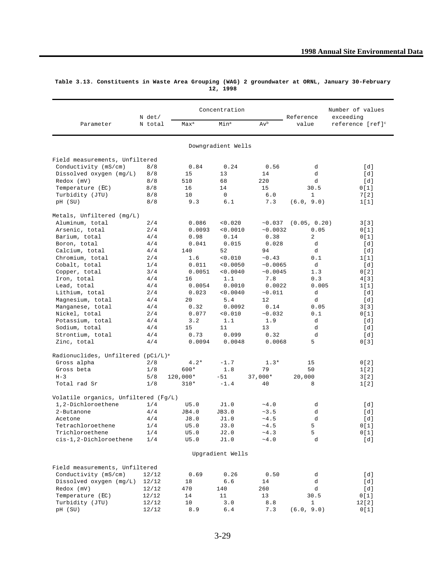|                                       | N det/  |                  | Concentration      |                          | Reference      | Number of values<br>exceeding |
|---------------------------------------|---------|------------------|--------------------|--------------------------|----------------|-------------------------------|
| Parameter                             | N total | Max <sup>a</sup> | Min <sup>a</sup>   | $\mathrm{Av}^\mathrm{b}$ | value          | reference [ref] <sup>c</sup>  |
|                                       |         |                  | Downgradient Wells |                          |                |                               |
| Field measurements, Unfiltered        |         |                  |                    |                          |                |                               |
| Conductivity (mS/cm)                  | 8/8     | 0.84             | 0.24               | 0.56                     | d              | [d]                           |
| Dissolved oxygen $(mq/L)$             | 8/8     | 15               | 13                 | 14                       | d              | [d]                           |
| Redox (mV)                            | 8/8     | 510              | 68                 | 220                      | d              | [d]                           |
| Temperature (EC)                      | 8/8     | 16               | 14                 | 15                       | 30.5           | 0[1]                          |
| Turbidity (JTU)                       | 8/8     | 10               | 0                  | 6.0                      | 1              | 7[2]                          |
| pH (SU)                               | 8/8     | 9.3              | 6.1                | 7.3                      | (6.0, 9.0)     | 1[1]                          |
| Metals, Unfiltered (mg/L)             |         |                  |                    |                          |                |                               |
| Aluminum, total                       | 2/4     | 0.086            | < 0.020            | ~10.037                  | (0.05, 0.20)   | 3[3]                          |
| Arsenic, total                        | 2/4     | 0.0093           | < 0.0010           | ~10.0032                 | 0.05           | 0[1]                          |
| Barium, total                         | 4/4     | 0.98             | 0.14               | 0.38                     | $\overline{a}$ | 0[1]                          |
| Boron, total                          | 4/4     | 0.041            | 0.015              | 0.028                    | d              | [d]                           |
| Calcium, total                        | 4/4     | 140              | 52                 | 94                       | d              | [d]                           |
| Chromium, total                       | 2/4     | 1.6              | < 0.010            | ~10.43                   | 0.1            | 1[1]                          |
| Cobalt, total                         | 1/4     | 0.011            | < 0.0050           | ~0.0065                  | d              | [d]                           |
| Copper, total                         | 3/4     | 0.0051           | < 0.0040           | ~10.0045                 | 1.3            | 0[2]                          |
| Iron, total                           | 4/4     | 16               | 1.1                | 7.8                      | 0.3            | 4[3]                          |
| Lead, total                           | 4/4     | 0.0054           | 0.0010             | 0.0022                   | 0.005          | 1[1]                          |
| Lithium, total                        | 2/4     | 0.023            | < 0.0040           | ~0.011                   | d              | [d]                           |
| Magnesium, total                      | 4/4     | 20               | 5.4                | 12                       | d              | [d]                           |
| Manganese, total                      | 4/4     | 0.32             | 0.0092             | 0.14                     | 0.05           | 3[3]                          |
| Nickel, total                         | 2/4     | 0.077            | < 0.010            | ~10.032                  | 0.1            | 0[1]                          |
| Potassium, total                      | 4/4     | 3.2              | 1.1                | 1.9                      | d              | [d]                           |
| Sodium, total                         | 4/4     | 15               | 11                 | 13                       | d              | [d]                           |
| Strontium, total                      | 4/4     | 0.73             | 0.099              | 0.32                     | d              | [d]                           |
| Zinc, total                           | 4/4     | 0.0094           | 0.0048             | 0.0068                   | 5              | 0[3]                          |
| Radionuclides, Unfiltered $(pCi/L)^e$ |         |                  |                    |                          |                |                               |
| Gross alpha                           | 2/8     | $4.2*$           | $-1.7$             | $1.3*$                   | 15             | 0[2]                          |
| Gross beta                            | 1/8     | 600*             | 1.8                | 79                       | 50             | 1[2]                          |
| $H - 3$                               | 5/8     | $120,000*$       | $-51$              | $37,000*$                | 20,000         | 3[2]                          |
| Total rad Sr                          | 1/8     | $310*$           | $-1.4$             | 40                       | 8              | 1[2]                          |
| Volatile organics, Unfiltered (Fg/L)  |         |                  |                    |                          |                |                               |
| 1,2-Dichloroethene                    | 1/4     | U5.0             | J1.0               | ~1.0                     | d              | [d]                           |
| 2-Butanone                            | 4/4     | JB4.0            | JB3.0              | ~3.5                     | d              | [d]                           |
| Acetone                               | 4/4     | J8.0             | J1.0               | ~1.5                     | d              | [d]                           |
| Tetrachloroethene                     | 1/4     | U5.0             | J3.0               | $\sim 4$ . 5             | 5              | 0[1]                          |
| Trichloroethene                       | 1/4     | U5.0             | J2.0               | ~1.3                     | 5              | 0[1]                          |
| cis-1,2-Dichloroethene                | 1/4     | U5.0             | J1.0               | $\sim 4$ . $0$           | d              | [d]                           |
|                                       |         |                  | Upgradient Wells   |                          |                |                               |
| Field measurements, Unfiltered        |         |                  |                    |                          |                |                               |
| Conductivity (mS/cm)                  | 12/12   | 0.69             | 0.26               | 0.50                     | d              | [d]                           |
| Dissolved oxygen (mg/L)               | 12/12   | 18               | 6.6                | 14                       | d              | [d]                           |
| Redox (mV)                            | 12/12   | 470              | 140                | 260                      | d              | [d]                           |
| Temperature (EC)                      | 12/12   | 14               | 11                 | 13                       | 30.5           | 0[1]                          |
| Turbidity (JTU)                       | 12/12   | 10               | 3.0                | 8.8                      | $\mathbf{1}$   | 12[2]                         |
| pH (SU)                               | 12/12   | 8.9              | 6.4                | 7.3                      | (6.0, 9.0)     | 0[1]                          |

|  | Table 3.13. Constituents in Waste Area Grouping (WAG) 2 groundwater at ORNL, January 30-February |  |  |          |  |  |  |
|--|--------------------------------------------------------------------------------------------------|--|--|----------|--|--|--|
|  |                                                                                                  |  |  | 12, 1998 |  |  |  |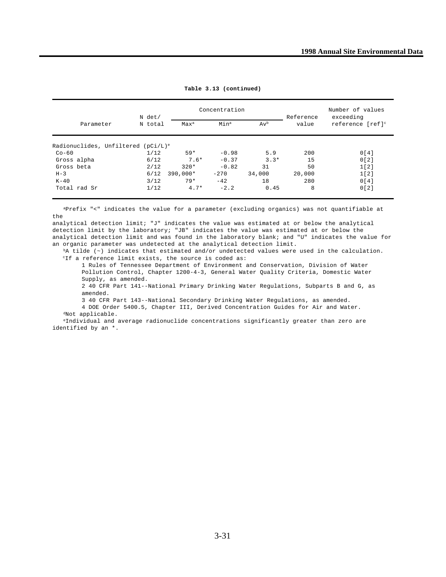|                                                    | N det/  |                  | Concentration    |        | Reference | Number of values<br>exceeding |
|----------------------------------------------------|---------|------------------|------------------|--------|-----------|-------------------------------|
| Parameter                                          | N total | Max <sup>a</sup> | Min <sup>a</sup> | $Av^b$ | value     | reference [ref] <sup>c</sup>  |
| Radionuclides, Unfiltered ( $pCi/L$ ) <sup>e</sup> |         |                  |                  |        |           |                               |
| $Co-60$                                            | 1/12    | $59*$            | $-0.98$          | 5.9    | 200       | 0[4]                          |
| Gross alpha                                        | 6/12    | $7.6*$           | $-0.37$          | $3.3*$ | 15        | 0 <sub>1</sub> 2 <sub>1</sub> |
| Gross beta                                         | 2/12    | $320*$           | $-0.82$          | 31     | 50        | 1[2]                          |
| $H-3$                                              | 6/12    | 390,000*         | $-270$           | 34,000 | 20,000    | 1[2]                          |
| $K-40$                                             | 3/12    | $79*$            | $-42$            | 18     | 280       | 0 <sub>1</sub> 4 <sub>1</sub> |
| Total rad Sr                                       | 1/12    | $4.7*$           | $-2.2$           | 0.45   | 8         | 0[2]                          |

**Table 3.13 (continued)**

aPrefix "<" indicates the value for a parameter (excluding organics) was not quantifiable at the

analytical detection limit; "J" indicates the value was estimated at or below the analytical detection limit by the laboratory; "JB" indicates the value was estimated at or below the analytical detection limit and was found in the laboratory blank; and "U" indicates the value for an organic parameter was undetected at the analytical detection limit.

<sup>b</sup>A tilde (~) indicates that estimated and/or undetected values were used in the calculation. <sup>c</sup>If a reference limit exists, the source is coded as:

1 Rules of Tennessee Department of Environment and Conservation, Division of Water Pollution Control, Chapter 1200-4-3, General Water Quality Criteria, Domestic Water Supply, as amended.

2 40 CFR Part 141--National Primary Drinking Water Regulations, Subparts B and G, as amended.

3 40 CFR Part 143--National Secondary Drinking Water Regulations, as amended.

4 DOE Order 5400.5, Chapter III, Derived Concentration Guides for Air and Water. dNot applicable.

<sup>e</sup>Individual and average radionuclide concentrations significantly greater than zero are identified by an \*.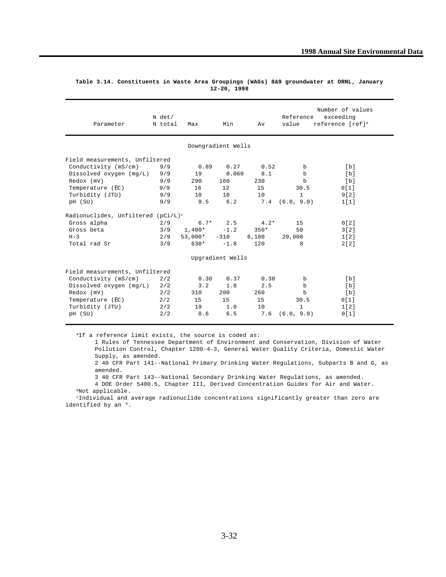| Parameter                                      | N det/<br>N total | Max       | Min                | Av     | Reference<br>value | Number of values<br>exceeding<br>reference [ref] <sup>a</sup> |
|------------------------------------------------|-------------------|-----------|--------------------|--------|--------------------|---------------------------------------------------------------|
|                                                |                   |           | Downgradient Wells |        |                    |                                                               |
| Field measurements, Unfiltered                 |                   |           |                    |        |                    |                                                               |
| Conductivity (mS/cm)                           | 9/9               | 0.89      | 0.27               | 0.52   | b                  | [b]                                                           |
| Dissolved oxygen $(mq/L)$                      | 9/9               | 19        | 0.060              | 8.1    | $b$                | [b]                                                           |
| Redox (mV)                                     | 9/9               | 290       | 160                | 230    | b                  | [b]                                                           |
| Temperature (EC)                               | 9/9               | 16        | 12                 | 15     | 30.5               | 0[1]                                                          |
| Turbidity (JTU)                                | 9/9               | 10        | 10 <sub>1</sub>    | 10     | $\mathbf{1}$       | 9[2]                                                          |
| pH (SU)                                        | 9/9               | 9.5       | 6.2                |        | $7.4$ $(6.0, 9.0)$ | 1[1]                                                          |
| Radionuclides, Unfiltered (pCi/L) <sup>c</sup> |                   |           |                    |        |                    |                                                               |
| Gross alpha                                    | 2/9               | $6.7*$    | 2.5                | $4.2*$ | 15                 | 0[2]                                                          |
| Gross beta                                     | 3/9               | $1,400*$  | $-1.2$             | $350*$ | 50                 | 3[2]                                                          |
| $H-3$                                          | 2/9               | $53,000*$ | $-310$             | 6,100  | 20,000             | 1[2]                                                          |
| Total rad Sr                                   | 3/9               | 630*      | $-1.8$             | 120    | 8                  | 2[2]                                                          |
|                                                |                   |           | Upgradient Wells   |        |                    |                                                               |
| Field measurements, Unfiltered                 |                   |           |                    |        |                    |                                                               |
| Conductivity (mS/cm)                           | 2/2               | 0.38      | 0.37               | 0.38   | b                  | [b]                                                           |
| Dissolved oxygen (mg/L)                        | 2/2               | 3.2       | 1.8                | 2.5    | $\mathbf b$        | [b]                                                           |
| Redox (mV)                                     | 2/2               | 310       | 200                | 260    | b                  | [b]                                                           |
| Temperature (EC)                               | 2/2               | 15        | 15                 | 15     | 30.5               | 0[1]                                                          |
| Turbidity (JTU)                                | 2/2               | 19        | 1.0                | 10     | $\mathbf 1$        | 1[2]                                                          |
| pH (SU)                                        | 2/2               | 8.6       | 6.5                | 7.6    | (6.0, 9.0)         | 0[1]                                                          |

|  | Table 3.14. Constituents in Waste Area Groupings (WAGs) 8&9 groundwater at ORNL, January |  |             |  |  |  |
|--|------------------------------------------------------------------------------------------|--|-------------|--|--|--|
|  |                                                                                          |  | 12-20, 1998 |  |  |  |

<sup>a</sup>If a reference limit exists, the source is coded as:

1 Rules of Tennessee Department of Environment and Conservation, Division of Water Pollution Control, Chapter 1200-4-3, General Water Quality Criteria, Domestic Water Supply, as amended.

2 40 CFR Part 141--National Primary Drinking Water Regulations, Subparts B and G, as amended.

3 40 CFR Part 143--National Secondary Drinking Water Regulations, as amended.

4 DOE Order 5400.5, Chapter III, Derived Concentration Guides for Air and Water. bNot applicable.

<sup>c</sup>Individual and average radionuclide concentrations significantly greater than zero are identified by an \*.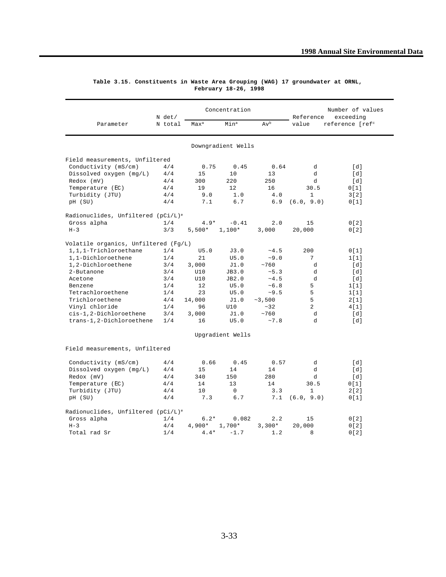|                                                | N det/  |                  | Concentration      |              | Reference      | Number of values<br>exceeding |
|------------------------------------------------|---------|------------------|--------------------|--------------|----------------|-------------------------------|
| Parameter                                      | N total | Max <sup>a</sup> | Min <sup>a</sup>   | $Av^b$       | value          | reference [ref <sup>c</sup>   |
|                                                |         |                  | Downgradient Wells |              |                |                               |
| Field measurements, Unfiltered                 |         |                  |                    |              |                |                               |
| Conductivity (mS/cm)                           | 4/4     | 0.75             | 0.45               | 0.64         | d              | [d]                           |
| Dissolved oxygen (mg/L)                        | 4/4     | 15               | 10                 | 13           | d              | [d]                           |
| Redox (mV)                                     | 4/4     | 300              | 220                | 250          | d              | [d]                           |
| Temperature (EC)                               | 4/4     | 19               | 12                 | 16           | 30.5           | 0[1]                          |
| Turbidity (JTU)                                | 4/4     | 9.0              | 1.0                | 4.0          | $\mathbf{1}$   | 3[2]                          |
| pH (SU)                                        | 4/4     | 7.1              | 6.7                | 6.9          | (6.0, 9.0)     | 0[1]                          |
| Radionuclides, Unfiltered (pCi/L) <sup>e</sup> |         |                  |                    |              |                |                               |
| Gross alpha                                    | 1/4     | $4.9*$           | $-0.41$            | 2.0          | 15             | 0[2]                          |
| $H-3$                                          | 3/3     | $5,500*$         | $1,100*$           | 3,000        | 20,000         | 0[2]                          |
| Volatile organics, Unfiltered (Fg/L)           |         |                  |                    |              |                |                               |
| 1,1,1-Trichloroethane                          | 1/4     | U5.0             | J3.0               | ~1.5         | 200            | 0[1]                          |
| 1,1-Dichloroethene                             | 1/4     | 21               | U5.0               | $~10^{-9}$ . | 7              | 1 [ 1 ]                       |
| 1,2-Dichloroethene                             | 3/4     | 3,000            | J1.0               | ~1760        | d              | [d]                           |
| 2-Butanone                                     | 3/4     | U10              | JB3.0              | ~5.3         | d              | [d]                           |
| Acetone                                        | 3/4     | U10              | JB2.0              | $\sim 4$ . 5 | d              | [d]                           |
| Benzene                                        | 1/4     | 12               | U5.0               | ~5.8         | 5              | 1[1]                          |
| Tetrachloroethene                              | 1/4     | 23               | U5.0               | ~10.5        | 5              | 1[1]                          |
| Trichloroethene                                | 4/4     | 14,000           | J1.0               | ~2,500       | 5              | 2[1]                          |
| Vinyl chloride                                 | 1/4     | 96               | U10                | ~12          | $\overline{a}$ | 4[1]                          |
| cis-1,2-Dichloroethene                         | 3/4     | 3,000            | J1.0               | ~1760        | d              | [d]                           |
| trans-1,2-Dichloroethene                       | 1/4     | 16               | U5.0               | ~27.8        | d              | [d]                           |
|                                                |         |                  | Upgradient Wells   |              |                |                               |
| Field measurements, Unfiltered                 |         |                  |                    |              |                |                               |
| Conductivity (mS/cm)                           | 4/4     | 0.66             | 0.45               | 0.57         | d              | [d]                           |
| Dissolved oxygen (mg/L)                        | 4/4     | 15               | 14                 | 14           | d              | [d]                           |
| Redox (mV)                                     | 4/4     | 340              | 150                | 280          | d              | [d]                           |
| Temperature (EC)                               | 4/4     | 14               | 13                 | 14           | 30.5           | 0[1]                          |
| Turbidity (JTU)                                | 4/4     | 10               | $\mathbf 0$        | 3.3          | $\mathbf{1}$   | 2[2]                          |
| pH (SU)                                        | 4/4     | 7.3              | 6.7                | 7.1          | (6.0, 9.0)     | 0[1]                          |
| Radionuclides, Unfiltered (pCi/L) <sup>e</sup> |         |                  |                    |              |                |                               |
| Gross alpha                                    | 1/4     | $6.2*$           | 0.082              | 2.2          | 15             | 0[2]                          |
| $H - 3$                                        | 4/4     | 4,900*           | 1,700*             | $3,300*$     | 20,000         | 0[2]                          |
| Total rad Sr                                   | 1/4     | $4.4*$           | $-1.7$             | 1.2          | 8              | 0[2]                          |

|  | Table 3.15. Constituents in Waste Area Grouping (WAG) 17 groundwater at ORNL, |  |                      |  |  |  |
|--|-------------------------------------------------------------------------------|--|----------------------|--|--|--|
|  |                                                                               |  | February 18-26, 1998 |  |  |  |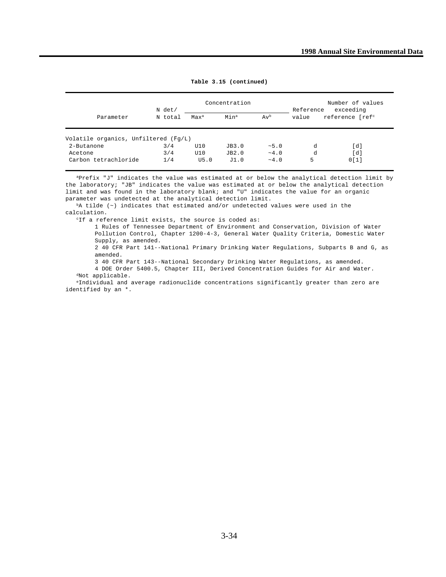|                                      |                   |                  | Concentration |               | Reference | Number of values                         |
|--------------------------------------|-------------------|------------------|---------------|---------------|-----------|------------------------------------------|
| Parameter                            | N det/<br>N total | Max <sup>a</sup> | Mina          | $Av^b$        | value     | exceeding<br>reference [ref <sup>c</sup> |
| Volatile organics, Unfiltered (Fg/L) |                   |                  |               |               |           |                                          |
| 2-Butanone                           | 3/4               | U10              | JB3.0         | ~5.0          | d         | rd 1                                     |
| Acetone                              | 3/4               | U10              | JB2.0         | ~1.0          | d         | [d]                                      |
| Carbon tetrachloride                 | 1/4               | U5.0             | J1.0          | $~\sim$ 4 . 0 | 5         | 0 <sub>1</sub> 1                         |

**Table 3.15 (continued)**

<sup>a</sup>Prefix "J" indicates the value was estimated at or below the analytical detection limit by the laboratory; "JB" indicates the value was estimated at or below the analytical detection limit and was found in the laboratory blank; and "U" indicates the value for an organic parameter was undetected at the analytical detection limit.

 $b$ A tilde ( $\sim$ ) indicates that estimated and/or undetected values were used in the calculation.

<sup>c</sup>If a reference limit exists, the source is coded as:

1 Rules of Tennessee Department of Environment and Conservation, Division of Water Pollution Control, Chapter 1200-4-3, General Water Quality Criteria, Domestic Water Supply, as amended.

2 40 CFR Part 141--National Primary Drinking Water Regulations, Subparts B and G, as amended.

3 40 CFR Part 143--National Secondary Drinking Water Regulations, as amended.

4 DOE Order 5400.5, Chapter III, Derived Concentration Guides for Air and Water. <sup>d</sup>Not applicable.

eIndividual and average radionuclide concentrations significantly greater than zero are identified by an \*.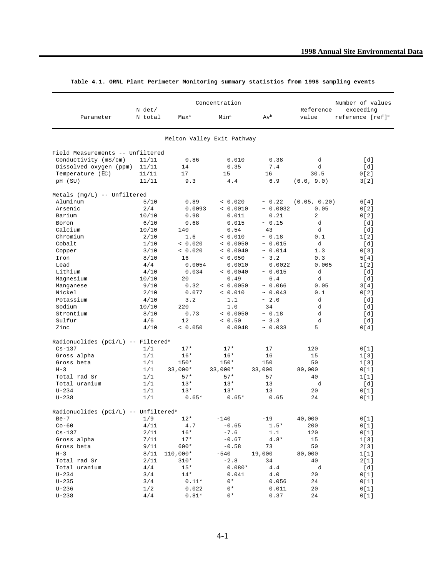|                                                  | N det/  |                            | Concentration |            | Reference    | Number of values<br>exceeding |  |
|--------------------------------------------------|---------|----------------------------|---------------|------------|--------------|-------------------------------|--|
| Parameter                                        | N total | Max <sup>a</sup>           | Mina          | $Av^b$     | value        | reference [ref] <sup>c</sup>  |  |
|                                                  |         | Melton Valley Exit Pathway |               |            |              |                               |  |
| Field Measurements -- Unfiltered                 |         |                            |               |            |              |                               |  |
| Conductivity (mS/cm)                             | 11/11   | 0.86                       | 0.010         | 0.38       | d            | [d]                           |  |
| Dissolved oxygen (ppm)                           | 11/11   | 14                         | 0.35          | 7.4        | d            | [d]                           |  |
| Temperature (EC)                                 | 11/11   | 17                         | 15            | 16         | 30.5         | 0[2]                          |  |
| pH (SU)                                          | 11/11   | 9.3                        | 4.4           | 6.9        | (6.0, 9.0)   | 3[2]                          |  |
| Metals $(mq/L)$ -- Unfiltered                    |         |                            |               |            |              |                               |  |
| Aluminum                                         | 5/10    | 0.89                       | & 0.020       | ~10.22     | (0.05, 0.20) | 6[4]                          |  |
| Arsenic                                          | 2/4     | 0.0093                     | < 0.0010      | ~0.0032    | 0.05         | 0[2]                          |  |
| Barium                                           | 10/10   | 0.98                       | 0.011         | 0.21       | 2            | 0[2]                          |  |
| Boron                                            | 6/10    | 0.68                       | 0.015         | ~0.15      | d            | [d]                           |  |
| Calcium                                          | 10/10   | 140                        | 0.54          | 43         | d            | [d]                           |  |
| Chromium                                         | 2/10    | 1.6                        | < 0.010       | ~0.18      | 0.1          | 1[2]                          |  |
| Cobalt                                           | 1/10    | & 0.020                    | & 0.0050      | ~0.015     | d            | [d]                           |  |
| Copper                                           | 3/10    | & 0.020                    | & 0.0040      | ~0.014     | 1.3          | 0[3]                          |  |
| Iron                                             | 8/10    | 16                         | & 0.050       | ~1.2       | 0.3          | 5[4]                          |  |
| Lead                                             | 4/4     | 0.0054                     | 0.0010        | 0.0022     | 0.005        | 1[2]                          |  |
| Lithium                                          | 4/10    | 0.034                      | & 0.0040      | ~0.015     | d            | [d]                           |  |
| Magnesium                                        | 10/10   | 20                         | 0.49          | 6.4        | d            | [d]                           |  |
| Manganese                                        | 9/10    | 0.32                       | & 0.0050      | ~10.066    | 0.05         | 3[4]                          |  |
| Nickel                                           | 2/10    | 0.077                      | & 0.010       | ~10.043    | 0.1          | 0[2]                          |  |
| Potassium                                        | 4/10    | 3.2                        | 1.1           | $~1 - 2.0$ | d            | [d]                           |  |
| Sodium                                           | 10/10   | 220                        | 1.0           | 34         | d            | [d]                           |  |
| Strontium                                        | 8/10    | 0.73                       | & 0.0050      | ~0.18      | d            | [d]                           |  |
| Sulfur                                           | 4/6     | 12                         | & 0.50        | ~1.3       | d            | [d]                           |  |
| Zinc                                             | 4/10    | & 0.050                    | 0.0048        | ~10.033    | 5            | 0[4]                          |  |
| Radionuclides (pCi/L) -- Filtered <sup>e</sup>   |         |                            |               |            |              |                               |  |
| $Cs - 137$                                       | 1/1     | $17*$                      | $17*$         | 17         | 120          | 0[1]                          |  |
| Gross alpha                                      | 1/1     | $16*$                      | $16*$         | 16         | 15           | 1[3]                          |  |
| Gross beta                                       | 1/1     | $150*$                     | $150*$        | 150        | 50           | 1[3]                          |  |
| $H-3$                                            | 1/1     | $33,000*$                  | $33,000*$     | 33,000     | 80,000       | 0[1]                          |  |
| Total rad Sr                                     | 1/1     | $57*$                      | $57*$         | 57         | 40           | 1[1]                          |  |
| Total uranium                                    | 1/1     | $13*$                      | $13*$         | 13         | d            | [d]                           |  |
| $U - 234$                                        | 1/1     | $13*$                      | $13*$         | 13         | 20           | 0[1]                          |  |
| $U - 238$                                        | 1/1     | $0.65*$                    | $0.65*$       | 0.65       | 24           | 0[1]                          |  |
| Radionuclides (pCi/L) -- Unfiltered <sup>e</sup> |         |                            |               |            |              |                               |  |
| $Be-7$                                           | 1/9     | $12*$                      | -140          | $-19$      | 40,000       | 0[1]                          |  |
| $Co-60$                                          | 4/11    | 4.7                        | $-0.65$       | $1.5*$     | 200          | 0[1]                          |  |
| $Cs - 137$                                       | 2/11    | $16*$                      | $-7.6$        | 1.1        | 120          | 0[1]                          |  |
| Gross alpha                                      | 7/11    | $17*$                      | $-0.67$       | $4.8*$     | 15           | 1[3]                          |  |
| Gross beta                                       | 9/11    | 600*                       | $-0.58$       | 73         | 50           | 2[3]                          |  |
| $H-3$                                            | 8/11    | $110,000*$                 | $-540$        | 19,000     | 80,000       | 1[1]                          |  |
| Total rad Sr                                     | 2/11    | $310*$                     | $-2.8$        | 34         | 40           | 2[1]                          |  |
| Total uranium                                    | 4/4     | $15*$                      | $0.080*$      | 4.4        | d            | [d]                           |  |
| $U - 234$                                        | 3/4     | $14*$                      | 0.041         | 4.0        | 20           | 0[1]                          |  |
| $U - 235$                                        | 3/4     | $0.11*$                    | $0*$          | 0.056      | 24           | 0[1]                          |  |
| $U - 236$                                        | 1/2     | 0.022                      | 0 *           | 0.011      | 20           | 0[1]                          |  |
| $U - 238$                                        | 4/4     | $0.81*$                    | 0 *           | 0.37       | 24           | 0[1]                          |  |

## **Table 4.1. ORNL Plant Perimeter Monitoring summary statistics from 1998 sampling events**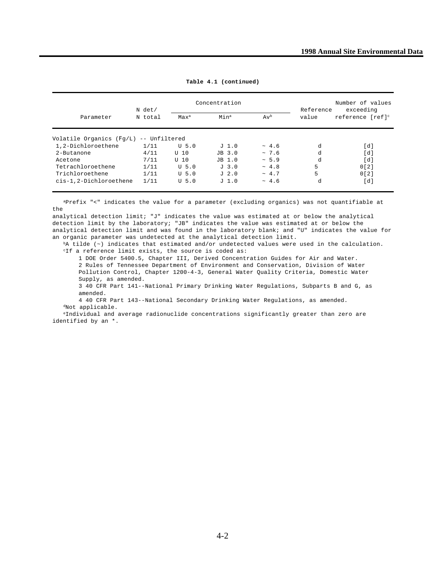|                                          | N det/  |                  | Concentration    |               | Reference | Number of values<br>exceeding |
|------------------------------------------|---------|------------------|------------------|---------------|-----------|-------------------------------|
| Parameter                                | N total | Max <sup>a</sup> | Mina             | $Av^b$        | value     | reference [ref] <sup>c</sup>  |
| Volatile Organics $(Fq/L)$ -- Unfiltered |         |                  |                  |               |           |                               |
| 1,2-Dichloroethene                       | 1/11    | $U5$ .0          | $J_1 1.0$        | $~\sim~4.6$   | d         | :d ]                          |
| 2-Butanone                               | 4/11    | $U_1$ 10         | $JB$ 3.0         | $~\sim~7.6$   | d         | [d]                           |
| Acetone                                  | 7/11    | $U_1$ 10         | $JB$ 1.0         | $~10^{-5}$ .9 | d         | [d]                           |
| Tetrachloroethene                        | 1/11    | $U5$ .0          | $J3$ .0          | ~1.8          | 5         | 0 <sub>1</sub> 2 <sub>1</sub> |
| Trichloroethene                          | 1/11    | U 5.0            | J <sub>2.0</sub> | ~1.7          | 5         | 0 <sub>1</sub> 2 <sub>1</sub> |
| cis-1,2-Dichloroethene                   | 1/11    | $U5$ .0          | $J_1 1.0$        | $~\sim~4.6$   | d         | [d]                           |

**Table 4.1 (continued)**

<sup>a</sup>Prefix "<" indicates the value for a parameter (excluding organics) was not quantifiable at the

analytical detection limit; "J" indicates the value was estimated at or below the analytical detection limit by the laboratory; "JB" indicates the value was estimated at or below the analytical detection limit and was found in the laboratory blank; and "U" indicates the value for an organic parameter was undetected at the analytical detection limit.

 $b$ A tilde ( $\sim$ ) indicates that estimated and/or undetected values were used in the calculation. <sup>c</sup>If a reference limit exists, the source is coded as:

1 DOE Order 5400.5, Chapter III, Derived Concentration Guides for Air and Water. 2 Rules of Tennessee Department of Environment and Conservation, Division of Water Pollution Control, Chapter 1200-4-3, General Water Quality Criteria, Domestic Water Supply, as amended.

3 40 CFR Part 141--National Primary Drinking Water Regulations, Subparts B and G, as amended.

4 40 CFR Part 143--National Secondary Drinking Water Regulations, as amended. <sup>d</sup>Not applicable.

<sup>e</sup>Individual and average radionuclide concentrations significantly greater than zero are identified by an \*.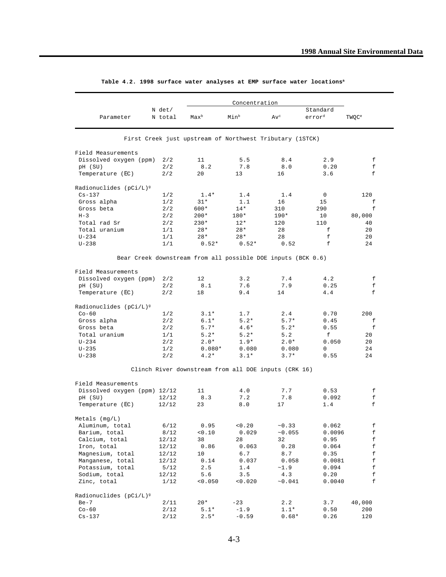|                                               |                   |                                                              | Concentration     |                 |                                |                   |
|-----------------------------------------------|-------------------|--------------------------------------------------------------|-------------------|-----------------|--------------------------------|-------------------|
| Parameter                                     | N det/<br>N total | Maxb                                                         | Min <sup>b</sup>  | $Av^c$          | Standard<br>error <sup>d</sup> | TWQC <sup>e</sup> |
|                                               |                   | First Creek just upstream of Northwest Tributary (1STCK)     |                   |                 |                                |                   |
| Field Measurements                            |                   |                                                              |                   |                 |                                |                   |
| Dissolved oxygen (ppm)                        | 2/2               | 11                                                           | 5.5               | 8.4             | 2.9                            | f                 |
| pH (SU)                                       | 2/2               | 8.2                                                          | 7.8               | 8.0             | 0.20                           | f                 |
| Temperature (EC)                              | 2/2               | 20                                                           | 13                | 16              | 3.6                            | f                 |
| Radionuclides (pCi/L) <sup>9</sup>            |                   |                                                              |                   |                 |                                |                   |
| $Cs - 137$                                    | 1/2               | $1.4*$                                                       | 1.4               | 1.4             | 0                              | 120               |
| Gross alpha                                   | 1/2               | $31*$                                                        | 1.1               | 16              | 15                             | f                 |
| Gross beta                                    | 2/2               | 600*                                                         | $14*$             | 310             | 290                            | f                 |
| $H-3$                                         | 2/2               | $200*$                                                       | 180*              | $190*$          | 10                             | 80,000            |
| Total rad Sr                                  | 2/2               | $230*$                                                       | $12*$             | 120             | 110                            | 40                |
| Total uranium                                 | 1/1               | $28*$                                                        | $28*$             | 28              | f                              | 20                |
| $U - 234$                                     | 1/1               | $28*$                                                        | $28*$             | 28              | f                              | 20                |
| $U - 238$                                     | 1/1               | $0.52*$                                                      | $0.52*$           | 0.52            | f                              | 24                |
|                                               |                   | Bear Creek downstream from all possible DOE inputs (BCK 0.6) |                   |                 |                                |                   |
| Field Measurements                            |                   |                                                              |                   |                 |                                |                   |
| Dissolved oxygen (ppm)                        | 2/2               | 12                                                           | 3.2               | 7.4             | 4.2                            | f                 |
| pH (SU)                                       | 2/2               | 8.1                                                          | 7.6               | 7.9             | 0.25                           | f                 |
| Temperature (EC)                              | 2/2               | 18                                                           | 9.4               | 14              | 4.4                            | f                 |
| Radionuclides (pCi/L) <sup>9</sup>            |                   |                                                              |                   |                 |                                |                   |
| $Co-60$                                       | 1/2               | $3.1*$                                                       | 1.7               | 2.4             | 0.70                           | 200               |
| Gross alpha                                   | 2/2               | $6.1*$                                                       | $5.2*$            | $5.7*$          | 0.45                           | f                 |
| Gross beta                                    | 2/2               | $5.7*$                                                       | $4.6*$            | $5.2*$          | 0.55                           | f                 |
|                                               | 1/1               | $5.2*$                                                       | $5.2*$            | 5.2             | f                              |                   |
| Total uranium                                 |                   |                                                              |                   |                 |                                | 20                |
| $U - 234$                                     | 2/2               | $2.0*$                                                       | $1.9*$            | $2.0*$          | 0.050                          | 20                |
| $U - 235$<br>$U - 238$                        | 1/2<br>2/2        | $0.080*$<br>$4.2*$                                           | 0.080<br>$3.1*$   | 0.080<br>$3.7*$ | 0<br>0.55                      | 24<br>24          |
|                                               |                   | Clinch River downstream from all DOE inputs (CRK 16)         |                   |                 |                                |                   |
| Field Measurements                            |                   |                                                              |                   |                 |                                |                   |
| Dissolved oxygen (ppm) 12/12                  |                   | 11                                                           | 4.0               | 7.7             | 0.53                           | f                 |
| pH (SU)                                       | 12/12             | 8.3                                                          | 7.2               | 7.8             | 0.092                          | f                 |
| Temperature (EC)                              | 12/12             | 23                                                           | 8.0               | 17              | 1.4                            | f                 |
| $Metals$ (mg/L)                               |                   |                                                              |                   |                 |                                |                   |
| Aluminum, total                               |                   |                                                              | 0.20              | ~10.33          |                                |                   |
| Barium, total                                 | 6/12              | 0.95                                                         |                   | ~10.055         | 0.062                          | f<br>f            |
| Calcium, total                                | 8/12              | 0.10                                                         | 0.029             |                 | 0.0096                         |                   |
|                                               | 12/12             | 38                                                           | 28                | 32              | 0.95                           | f                 |
| Iron, total<br>Magnesium, total               | 12/12             | $0.86\,$                                                     | 0.063             | 0.28            | 0.064                          | f                 |
|                                               | 12/12             | 10                                                           | 6.7               | 8.7             | 0.35                           | $\mathbf f$       |
|                                               |                   | 0.14                                                         | 0.037             | 0.058           | 0.0081                         | f                 |
| Manganese, total                              | 12/12             |                                                              |                   |                 |                                |                   |
| Potassium, total                              | 5/12              | 2.5                                                          | 1.4               | ~1.9            | 0.094                          | f                 |
| Sodium, total                                 | 12/12             | 5.6                                                          | 3.5               | 4.3             | 0.20                           | f                 |
| Zinc, total                                   | 1/12              | < 0.050                                                      | < 0.020           | ~10.041         | 0.0040                         | f                 |
|                                               |                   |                                                              |                   |                 |                                |                   |
| $Be-7$                                        | 2/11              | $20*$                                                        | $-23$             | 2.2             | 3.7                            | 40,000            |
| Radionuclides (pCi/L) <sup>9</sup><br>$Co-60$ | 2/12              | $5.1*$                                                       | $-1.9$<br>$-0.59$ | $1.1*$          | 0.50                           | 200               |

**Table 4.2. 1998 surface water analyses at EMP surface water locations<sup>a</sup>**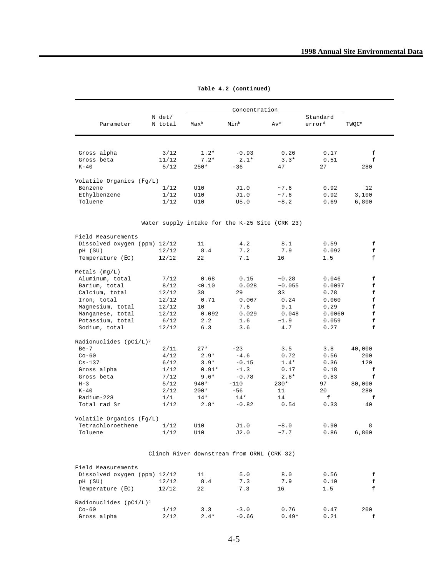|                              |                   |                  | Concentration                                  |         |                                |                   |  |
|------------------------------|-------------------|------------------|------------------------------------------------|---------|--------------------------------|-------------------|--|
| Parameter                    | N det/<br>N total | Max <sup>b</sup> | Min <sup>b</sup>                               | $Av^c$  | Standard<br>error <sup>d</sup> | TWQC <sup>e</sup> |  |
|                              |                   |                  |                                                |         |                                |                   |  |
| Gross alpha                  | 3/12              | $1.2*$           | $-0.93$                                        | 0.26    | 0.17                           | f                 |  |
| Gross beta                   | 11/12             | $7.2*$           | $2.1*$                                         | $3.3*$  | 0.51                           | f                 |  |
| $K-40$                       | 5/12              | $250*$           | $-36$                                          | 47      | 27                             | 280               |  |
| Volatile Organics (Fg/L)     |                   |                  |                                                |         |                                |                   |  |
| Benzene                      | 1/12              | U10              | J1.0                                           | ~7.6    | 0.92                           | 12                |  |
| Ethylbenzene                 | 1/12              | U10              | J1.0                                           | ~7.6    | 0.92                           | 3,100             |  |
| Toluene                      | 1/12              | U10              | U5.0                                           | ~8.2    | 0.69                           | 6,800             |  |
|                              |                   |                  | Water supply intake for the K-25 Site (CRK 23) |         |                                |                   |  |
| Field Measurements           |                   |                  |                                                |         |                                |                   |  |
| Dissolved oxygen (ppm) 12/12 |                   | 11               | 4.2                                            | 8.1     | 0.59                           | f                 |  |
| pH (SU)                      | 12/12             | 8.4              | 7.2                                            | 7.9     | 0.092                          | f                 |  |
| Temperature (EC)             | 12/12             | 22               | 7.1                                            | 16      | 1.5                            | f                 |  |
| Methods (mg/L)               |                   |                  |                                                |         |                                |                   |  |
| Aluminum, total              | 7/12              | 0.68             | 0.15                                           | ~10.28  | 0.046                          | f                 |  |
| Barium, total                | 8/12              | 0.10             | 0.028                                          | ~10.055 | 0.0097                         | $\mathbf f$       |  |
| Calcium, total               | 12/12             | 38               | 29                                             | 33      | 0.78                           | f                 |  |
| Iron, total                  | 12/12             | 0.71             | 0.067                                          | 0.24    | 0.060                          | $\mathbf f$       |  |
| Magnesium, total             | 12/12             | 10               | 7.6                                            | 9.1     | 0.29                           | f                 |  |
| Manganese, total             | 12/12             | 0.092            | 0.029                                          | 0.048   | 0.0060                         | $\mathbf f$       |  |
| Potassium, total             | 6/12              | 2.2              | 1.6                                            | ~1.9    | 0.059                          | f                 |  |
| Sodium, total                | 12/12             | 6.3              | 3.6                                            | 4.7     | 0.27                           | $\mathbf f$       |  |
| Radionuclides $(pCi/L)^{g}$  |                   |                  |                                                |         |                                |                   |  |
| $Be-7$                       | 2/11              | $27*$            | $-23$                                          | 3.5     | 3.8                            | 40,000            |  |
| $Co-60$                      | 4/12              | $2.9*$           | $-4.6$                                         | 0.72    | 0.56                           | 200               |  |
| $Cs - 137$                   | 6/12              | $3.9*$           | $-0.15$                                        | $1.4*$  | 0.36                           | 120               |  |
| Gross alpha                  | 1/12              | $0.91*$          | $-1.3$                                         | 0.17    | 0.18                           | f                 |  |
| Gross beta                   | 7/12              | $9.6*$           | $-0.78$                                        | $2.6*$  | 0.83                           | f                 |  |
| $H-3$                        | 5/12              | 940*             | $-110$                                         | $230*$  | 97                             | 80,000            |  |
| $K-40$                       | 2/12              | $200*$           | $-56$                                          | 11      | 20                             | 280               |  |
| Radium-228                   | 1/1               | $14*$            | $14*$                                          | 14      | f                              | f                 |  |
| Total rad Sr                 | 1/12              | $2.8*$           | $-0.82$                                        | 0.54    | 0.33                           | 40                |  |
| Volatile Organics (Fg/L)     |                   |                  |                                                |         |                                |                   |  |
| Tetrachloroethene            | 1/12              | U10              | J1.0                                           | ~8.0    | 0.90                           | 8                 |  |
| Toluene                      | 1/12              | U10              | J2.0                                           | ~17.7   | 0.86                           | 6,800             |  |
|                              |                   |                  | Clinch River downstream from ORNL (CRK 32)     |         |                                |                   |  |
| Field Measurements           |                   |                  |                                                |         |                                |                   |  |
| Dissolved oxygen (ppm) 12/12 |                   | 11               | 5.0                                            | 8.0     | 0.56                           | f                 |  |
|                              |                   |                  |                                                |         |                                |                   |  |

**Table 4.2 (continued)**

 pH (SU) 12/12 8.4 7.3 7.9 0.10 f Temperature (EC)  $12/12$  22 7.3 16 1.5 f Radionuclides  $(pCi/L)^g$ <br>Co-60  $2/12$  3.3 -3.0 0.76 0.47 200<br> $2/12$  2.4\* -0.66 0.49\* 0.21 f Gross alpha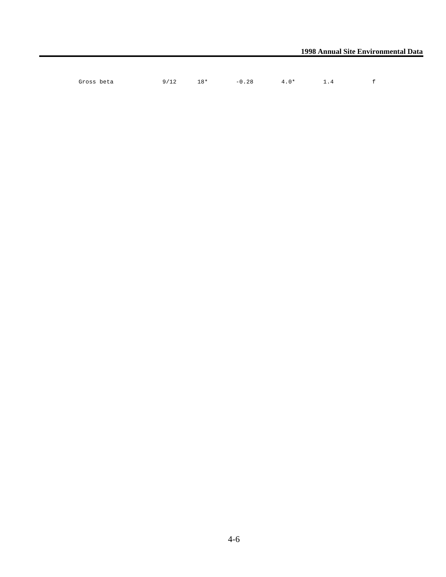| Gross beta | -- - | $18*$ | $-0.28$ | 4 N * |  |
|------------|------|-------|---------|-------|--|
|            |      |       |         |       |  |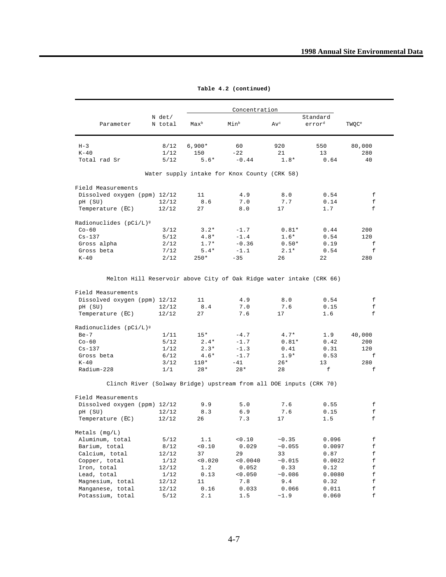|                                                                     |                   |                  | Concentration                                |         |                                |                   |
|---------------------------------------------------------------------|-------------------|------------------|----------------------------------------------|---------|--------------------------------|-------------------|
| Parameter                                                           | N det/<br>N total | Max <sup>b</sup> | Min <sup>b</sup>                             | $Av^c$  | Standard<br>error <sup>d</sup> | TWQC <sup>e</sup> |
|                                                                     |                   |                  |                                              |         |                                |                   |
| $H-3$                                                               | 8/12              | $6,900*$         | 60                                           | 920     | 550                            | 80,000            |
| $K-40$                                                              | 1/12              | 150<br>$5.6*$    | $-22$                                        | 21      | 13                             | 280<br>40         |
| Total rad Sr                                                        | 5/12              |                  | $-0.44$                                      | $1.8*$  | 0.64                           |                   |
|                                                                     |                   |                  | Water supply intake for Knox County (CRK 58) |         |                                |                   |
| Field Measurements                                                  |                   |                  |                                              |         |                                |                   |
| Dissolved oxygen (ppm) 12/12                                        |                   | 11               | 4.9                                          | 8.0     | 0.54                           | f                 |
| pH (SU)                                                             | 12/12             | 8.6              | 7.0                                          | 7.7     | 0.14                           | f                 |
| Temperature (EC)                                                    | 12/12             | 27               | 8.0                                          | 17      | 1.7                            | f                 |
| Radionuclides (pCi/L) <sup>9</sup>                                  |                   |                  |                                              |         |                                |                   |
| $Co-60$                                                             | 3/12              | $3.2*$           | $-1.7$                                       | $0.81*$ | 0.44                           | 200               |
| $Cs - 137$                                                          | 5/12              | $4.8*$           | $-1.4$                                       | $1.6*$  | 0.54                           | 120               |
| Gross alpha                                                         | 2/12              | $1.7*$           | $-0.36$                                      | $0.50*$ | 0.19                           | f                 |
| Gross beta                                                          | 7/12              | $5.4*$           | $-1.1$                                       | $2.1*$  | 0.54                           | f                 |
| $K-40$                                                              | 2/12              | $250*$           | $-35$                                        | 26      | 22                             | 280               |
| Melton Hill Reservoir above City of Oak Ridge water intake (CRK 66) |                   |                  |                                              |         |                                |                   |
| Field Measurements                                                  |                   |                  |                                              |         |                                |                   |
| Dissolved oxygen (ppm) 12/12                                        |                   | 11               | 4.9                                          | 8.0     | 0.54                           | f                 |
| pH (SU)                                                             | 12/12             | 8.4              | 7.0                                          | 7.6     | 0.15                           | f                 |
| Temperature (EC)                                                    | 12/12             | 27               | 7.6                                          | 17      | 1.6                            | f                 |
| Radionuclides (pCi/L) <sup>9</sup>                                  |                   |                  |                                              |         |                                |                   |
| $Be-7$                                                              | 1/11              | $15*$            | $-4.7$                                       | $4.7*$  | 1.9                            | 40,000            |
| $Co-60$                                                             | 5/12              | $2.4*$           | $-1.7$                                       | $0.81*$ | 0.42                           | 200               |
| $Cs - 137$                                                          | 1/12              | $2.3*$           | $-1.3$                                       | 0.41    | 0.31                           | 120               |
| Gross beta                                                          | 6/12              | $4.6*$           | $-1.7$                                       | $1.9*$  | 0.53                           | f                 |
| $K-40$                                                              | 3/12              | $110*$           | $-41$                                        | $26*$   | 13                             | 280               |
| Radium-228                                                          | 1/1               | $28*$            | $28*$                                        | 28      | f                              | f                 |
| Clinch River (Solway Bridge) upstream from all DOE inputs (CRK 70)  |                   |                  |                                              |         |                                |                   |
| Field Measurements                                                  |                   |                  |                                              |         |                                |                   |
| Dissolved oxygen (ppm) 12/12                                        |                   | 9.9              | 5.0                                          | 7.6     | 0.55                           | f                 |
| pH (SU)                                                             | 12/12             | 8.3              | 6.9                                          | 7.6     | 0.15                           | f                 |
| Temperature (EC)                                                    | 12/12             | 26               | 7.3                                          | 17      | 1.5                            | f                 |
| Metals $(mg/L)$                                                     |                   |                  |                                              |         |                                |                   |
| Aluminum, total                                                     | 5/12              | 1.1              | 0.10                                         | ~10.35  | 0.096                          | f                 |
| Barium, total                                                       | 8/12              | 0.10             | 0.029                                        | ~10.055 | 0.0097                         | f                 |
| Calcium, total                                                      | 12/12             | 37               | 29                                           | 33      | 0.87                           | f                 |
| Copper, total                                                       | 1/12              | < 0.020          | < 0.0040                                     | ~10.015 | 0.0022                         | f                 |
| Iron, total                                                         | 12/12             | 1.2              | 0.052                                        | 0.33    | 0.12                           | f                 |
| Lead, total                                                         | 1/12              | 0.13             | < 0.050                                      | ~10.086 | 0.0080                         | f                 |
| Magnesium, total                                                    | 12/12             | 11               | 7.8                                          | 9.4     | 0.32                           | f                 |
| Manganese, total                                                    | 12/12             | 0.16             | 0.033                                        | 0.066   | 0.011                          | f                 |
| Potassium, total                                                    | 5/12              | 2.1              | 1.5                                          | ~1.9    | 0.060                          | f                 |

**Table 4.2 (continued)**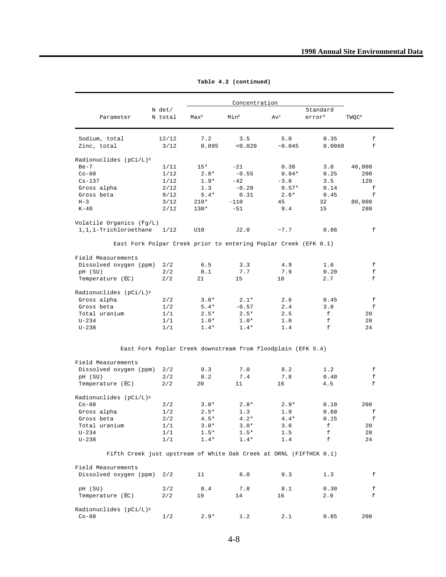|                                                                    |                   |        | Concentration                                                   |         |                                                     |        |  |
|--------------------------------------------------------------------|-------------------|--------|-----------------------------------------------------------------|---------|-----------------------------------------------------|--------|--|
| Parameter                                                          | N det/<br>N total | Maxb   | Min <sup>b</sup>                                                | $Av^c$  | Standard<br>error <sup>d</sup><br>TWQC <sup>e</sup> |        |  |
| Sodium, total                                                      | 12/12             | 7.2    | 3.5                                                             | 5.0     | 0.35                                                | f      |  |
| Zinc, total                                                        | 3/12              | 0.095  | < 0.020                                                         | ~0.045  | 0.0060                                              | f      |  |
| Radionuclides (pCi/L) <sup>9</sup>                                 |                   |        |                                                                 |         |                                                     |        |  |
| $Be-7$                                                             | 1/11              | $15*$  | $-21$                                                           | 0.38    | 3.0                                                 | 40,000 |  |
| $Co-60$                                                            | 1/12              | $2.8*$ | $-0.55$                                                         | $0.84*$ | 0.25                                                | 200    |  |
| $Cs - 137$                                                         | 1/12              | $1.9*$ | $-42$                                                           | $-3.6$  | 3.5                                                 | 120    |  |
| Gross alpha                                                        | 2/12              | 1.3    | $-0.20$                                                         | $0.57*$ | 0.14                                                | f      |  |
| Gross beta                                                         | 9/12              | $5.4*$ | 0.31                                                            | $2.6*$  | 0.45                                                | f      |  |
| $H-3$                                                              | 3/12              | $210*$ | $-110$                                                          | 45      | 32                                                  | 80,000 |  |
| $K-40$                                                             | 2/12              | 130*   | $-51$                                                           | 9.4     | 15                                                  | 280    |  |
| Volatile Organics (Fg/L)                                           |                   |        |                                                                 |         |                                                     |        |  |
| 1,1,1-Trichloroethane                                              | 1/12              | U10    | J2.0                                                            | ~17.7   | 0.86                                                | f      |  |
|                                                                    |                   |        | East Fork Polpar Creek prior to entering Poplar Creek (EFK 0.1) |         |                                                     |        |  |
|                                                                    |                   |        |                                                                 |         |                                                     |        |  |
| Field Measurements                                                 |                   |        |                                                                 |         |                                                     |        |  |
| Dissolved oxygen (ppm)                                             | 2/2               | 6.5    | 3.3                                                             | 4.9     | 1.6                                                 | f      |  |
| pH (SU)                                                            | 2/2               | 8.1    | 7.7                                                             | 7.9     | 0.20                                                | f      |  |
| Temperature (EC)                                                   | 2/2               | 21     | 15                                                              | 18      | 2.7                                                 | f      |  |
| Radionuclides (pCi/L) <sup>9</sup>                                 |                   |        |                                                                 |         |                                                     |        |  |
| Gross alpha                                                        | 2/2               | $3.0*$ | $2.1*$                                                          | 2.6     | 0.45                                                | f      |  |
| Gross beta                                                         | 1/2               | $5.4*$ | $-0.57$                                                         | 2.4     | 3.0                                                 | f      |  |
| Total uranium                                                      | 1/1               | $2.5*$ | $2.5*$                                                          | 2.5     | f                                                   | 20     |  |
| $U-234$                                                            | 1/1               | $1.0*$ | $1.0*$                                                          | 1.0     | f                                                   | 20     |  |
| $U - 238$                                                          | 1/1               | $1.4*$ | $1.4*$                                                          | 1.4     | f                                                   | 24     |  |
|                                                                    |                   |        | East Fork Poplar Creek downstream from floodplain (EFK 5.4)     |         |                                                     |        |  |
| Field Measurements                                                 |                   |        |                                                                 |         |                                                     |        |  |
| Dissolved oxygen (ppm)                                             | 2/2               | 9.3    | 7.0                                                             | 8.2     | 1.2                                                 | f      |  |
| pH (SU)                                                            | 2/2               | 8.2    | 7.4                                                             | 7.8     | 0.40                                                | f      |  |
| Temperature (EC)                                                   | 2/2               | 20     | 11                                                              | 16      | 4.5                                                 | f      |  |
| Radionuclides (pCi/L) <sup>9</sup>                                 |                   |        |                                                                 |         |                                                     |        |  |
| $Co-60$                                                            | 2/2               | $3.0*$ | $2.8*$                                                          | $2.9*$  | 0.10                                                | 200    |  |
| Gross alpha                                                        | 1/2               | $2.5*$ | 1.3                                                             | 1.9     | 0.60                                                | f      |  |
| Gross beta                                                         | 2/2               | $4.5*$ | $4.2*$                                                          | $4.4*$  | 0.15                                                | f      |  |
| Total uranium                                                      | 1/1               | $3.0*$ | $3.0*$                                                          | 3.0     | f                                                   | 20     |  |
| $U-234$                                                            | 1/1               | $1.5*$ | $1.5*$                                                          | 1.5     | f                                                   | 20     |  |
| $U - 238$                                                          | 1/1               | $1.4*$ | $1.4*$                                                          | 1.4     | f                                                   | 24     |  |
| Fifth Creek just upstream of White Oak Creek at ORNL (FIFTHCK 0.1) |                   |        |                                                                 |         |                                                     |        |  |
|                                                                    |                   |        |                                                                 |         |                                                     |        |  |
| Field Measurements                                                 |                   |        |                                                                 |         |                                                     |        |  |
| Dissolved oxygen (ppm)                                             | 2/2               | 11     | 8.0                                                             | 9.3     | 1.3                                                 | f      |  |
| pH (SU)                                                            | 2/2               | 8.4    | 7.8                                                             | 8.1     | 0.30                                                | f      |  |
| Temperature (EC)                                                   | 2/2               | 19     | 14                                                              | 16      | 2.9                                                 | f      |  |
|                                                                    |                   |        |                                                                 |         |                                                     |        |  |
|                                                                    |                   |        |                                                                 |         |                                                     | 200    |  |
|                                                                    |                   |        |                                                                 |         |                                                     |        |  |
| Radionuclides (pCi/L) <sup>9</sup><br>$Co-60$                      | 1/2               | $2.9*$ | 1.2                                                             | 2.1     | 0.85                                                |        |  |

**Table 4.2 (continued)**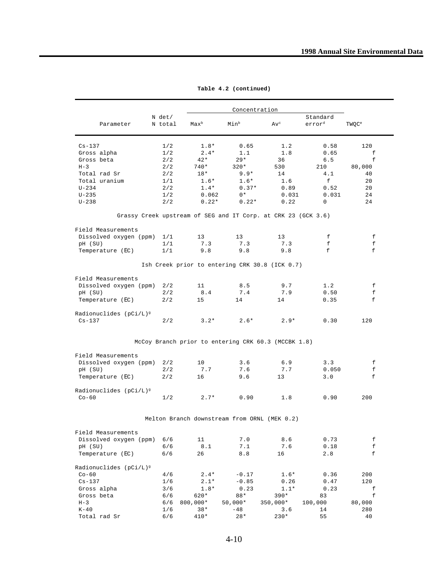|                                    |         |                                                               | Concentration    |          |                                |                   |
|------------------------------------|---------|---------------------------------------------------------------|------------------|----------|--------------------------------|-------------------|
| Parameter                          | N det/  | Max <sup>b</sup>                                              | Min <sup>b</sup> |          | Standard<br>error <sup>d</sup> |                   |
|                                    | N total |                                                               |                  | $Av^c$   |                                | TWQC <sup>e</sup> |
| $Cs - 137$                         | 1/2     | $1.8*$                                                        | 0.65             | 1.2      | 0.58                           | 120               |
| Gross alpha                        | 1/2     | $2.4*$                                                        | 1.1              | 1.8      | 0.65                           | f                 |
| Gross beta                         | 2/2     | $42*$                                                         | $29*$            | 36       | 6.5                            | f                 |
| $H - 3$                            | 2/2     | 740*                                                          | $320*$           | 530      | 210                            | 80,000            |
| Total rad Sr                       | 2/2     | $18*$                                                         | $9.9*$           | 14       | 4.1                            | 40                |
| Total uranium                      | 1/1     | $1.6*$                                                        | $1.6*$           | 1.6      | f                              | 20                |
| $U-234$                            | 2/2     | $1.4*$                                                        | $0.37*$          | 0.89     | 0.52                           | 20                |
| $U - 235$                          | 1/2     | 0.062                                                         | $0*$             | 0.031    | 0.031                          | 24                |
| $U - 238$                          | 2/2     | $0.22*$                                                       | $0.22*$          | 0.22     | $\Omega$                       | 24                |
|                                    |         | Grassy Creek upstream of SEG and IT Corp. at CRK 23 (GCK 3.6) |                  |          |                                |                   |
| Field Measurements                 |         |                                                               |                  |          |                                |                   |
| Dissolved oxygen (ppm)             | 1/1     | 13                                                            | 13               | 13       | f                              | f                 |
| pH (SU)                            | 1/1     | 7.3                                                           | 7.3              | 7.3      | f                              | f                 |
| Temperature (EC)                   | 1/1     | 9.8                                                           | 9.8              | 9.8      | f                              | f                 |
|                                    |         | Ish Creek prior to entering CRK 30.8 (ICK 0.7)                |                  |          |                                |                   |
| Field Measurements                 |         |                                                               |                  |          |                                |                   |
| Dissolved oxygen (ppm)             | 2/2     | 11                                                            | 8.5              | 9.7      | 1.2                            | f                 |
| pH (SU)                            | 2/2     | 8.4                                                           | 7.4              | 7.9      | 0.50                           | f                 |
| Temperature (EC)                   | 2/2     | 15                                                            | 14               | 14       | 0.35                           | f                 |
| Radionuclides $(pCi/L)^{g}$        |         |                                                               |                  |          |                                |                   |
| $Cs - 137$                         | 2/2     | $3.2*$                                                        | $2.6*$           | $2.9*$   | 0.30                           | 120               |
|                                    |         | McCoy Branch prior to entering CRK 60.3 (MCCBK 1.8)           |                  |          |                                |                   |
|                                    |         |                                                               |                  |          |                                |                   |
| Field Measurements                 |         |                                                               |                  |          |                                |                   |
| Dissolved oxygen (ppm)             | 2/2     | 10                                                            | 3.6              | 6.9      | 3.3                            | f                 |
| pH (SU)                            | 2/2     | 7.7                                                           | 7.6              | 7.7      | 0.050                          | f                 |
| Temperature (EC)                   | 2/2     | 16                                                            | 9.6              | 13       | 3.0                            | f                 |
| Radionuclides $(pCi/L)^{g}$        |         |                                                               |                  |          |                                |                   |
| $Co-60$                            | 1/2     | $2.7*$                                                        | 0.90             | 1.8      | 0.90                           | 200               |
|                                    |         | Melton Branch downstream from ORNL (MEK 0.2)                  |                  |          |                                |                   |
|                                    |         |                                                               |                  |          |                                |                   |
| Field Measurements                 |         |                                                               |                  |          |                                |                   |
| Dissolved oxygen (ppm)             | 6/6     | 11                                                            | 7.0              | 8.6      | 0.73                           | f                 |
| pH (SU)                            | 6/6     | 8.1                                                           | 7.1              | 7.6      | 0.18                           | f                 |
| Temperature (EC)                   | 6/6     | 26                                                            | 8.8              | 16       | 2.8                            | f                 |
| Radionuclides (pCi/L) <sup>9</sup> |         |                                                               |                  |          |                                |                   |
| $Co-60$                            | 4/6     | $2.4*$                                                        | $-0.17$          | $1.6*$   | 0.36                           | 200               |
| $Cs - 137$                         | 1/6     | $2.1*$                                                        | $-0.85$          | 0.26     | 0.47                           | 120               |
| Gross alpha                        | 3/6     | $1.8*$                                                        | 0.23             | $1.1*$   | 0.23                           | f                 |
| Gross beta                         | 6/6     | 620*                                                          | 88*              | $390*$   | 83                             | f                 |
| $H-3$                              | 6/6     | $800,000*$                                                    | $50,000*$        | 350,000* | 100,000                        | 80,000            |
| $K-40$                             | 1/6     | $38*$                                                         | $-48$            | 3.6      | 14                             | 280               |
| Total rad Sr                       | 6/6     | $410*$                                                        | $28*$            | $230*$   | 55                             | 40                |
|                                    |         |                                                               |                  |          |                                |                   |

**Table 4.2 (continued)**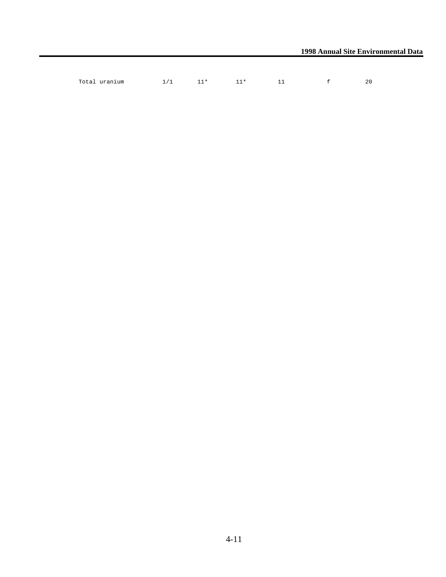| Total uranium | - - | -- - |  |  |
|---------------|-----|------|--|--|
|               |     |      |  |  |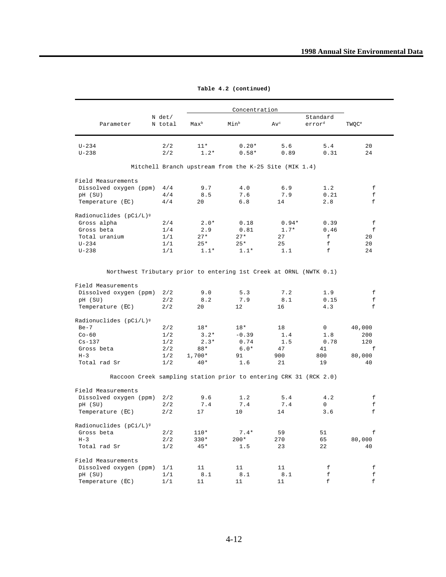| N det/<br>Standard<br>error <sup>d</sup><br>Max <sup>b</sup><br>Min <sup>b</sup><br>$Av^c$<br><b>TWQC<sup>e</sup></b><br>Parameter<br>N total<br>2/2<br>$11*$<br>$0.20*$<br>5.6<br>5.4<br>20<br>$U - 234$<br>2/2<br>$1.2*$<br>$0.58*$<br>0.89<br>0.31<br>24<br>$U - 238$<br>Mitchell Branch upstream from the K-25 Site (MIK 1.4)<br>4/4<br>9.7<br>4.0<br>6.9<br>1.2<br>f<br>Dissolved oxygen (ppm)<br>7.6<br>0.21<br>4/4<br>8.5<br>7.9<br>f<br>pH (SU)<br>Temperature (EC)<br>4/4<br>20<br>6.8<br>14<br>2.8<br>f<br>Radionuclides (pCi/L) <sup>9</sup><br>Gross alpha<br>2/4<br>$2.0*$<br>0.18<br>$0.94*$<br>0.39<br>f<br>f<br>Gross beta<br>1/4<br>2.9<br>0.81<br>$1.7*$<br>0.46<br>f<br>Total uranium<br>1/1<br>$27*$<br>$27*$<br>27<br>20<br>25<br>f<br>$U - 234$<br>1/1<br>$25*$<br>$25*$<br>20<br>$U - 238$<br>1/1<br>$1.1*$<br>1.1<br>f<br>24<br>$1.1*$<br>Northwest Tributary prior to entering 1st Creek at ORNL (NWTK 0.1)<br>Field Measurements<br>Dissolved oxygen (ppm)<br>9.0<br>5.3<br>7.2<br>1.9<br>f<br>2/2<br>8.1<br>f<br>2/2<br>8.2<br>7.9<br>0.15<br>pH (SU)<br>Temperature (EC)<br>2/2<br>20<br>16<br>4.3<br>f<br>12<br>Radionuclides (pCi/L) <sup>9</sup><br>$Be-7$<br>2/2<br>$18*$<br>$18*$<br>18<br>40,000<br>0<br>1/2<br>$3.2*$<br>$-0.39$<br>1.4<br>1.8<br>200<br>$Co-60$<br>$Cs - 137$<br>1/2<br>$2.3*$<br>0.74<br>1.5<br>0.78<br>120<br>Gross beta<br>2/2<br>$6.0*$<br>47<br>41<br>f<br>88*<br>$H-3$<br>1/2<br>$1,700*$<br>91<br>900<br>800<br>80,000<br>Total rad Sr<br>1/2<br>$40*$<br>1.6<br>21<br>19<br>40<br>Raccoon Creek sampling station prior to entering CRK 31 (RCK 2.0)<br>Field Measurements<br>1.2<br>4.2<br>f<br>Dissolved oxygen (ppm)<br>2/2<br>9.6<br>5.4<br>f<br>2/2<br>7.4<br>0<br>pH (SU)<br>7.4<br>7.4<br>f<br>Temperature (EC)<br>2/2<br>10<br>14<br>3.6<br>17<br>Radionuclides (pCi/L) <sup>9</sup><br>$110*$<br>2/2<br>$7.4*$<br>59<br>51<br>Gross beta<br>$330*$<br>$200*$<br>65<br>80,000<br>$H-3$<br>2/2<br>270<br>1/2<br>40<br>Total rad Sr<br>$45*$<br>$1.5$<br>23<br>22<br>Field Measurements<br>Dissolved oxygen (ppm)<br>11<br>11<br>11<br>f<br>f<br>1/1<br>f<br>f<br>pH (SU)<br>1/1<br>8.1<br>8.1<br>8.1 |                    |     |    | Concentration |    |   |   |  |
|------------------------------------------------------------------------------------------------------------------------------------------------------------------------------------------------------------------------------------------------------------------------------------------------------------------------------------------------------------------------------------------------------------------------------------------------------------------------------------------------------------------------------------------------------------------------------------------------------------------------------------------------------------------------------------------------------------------------------------------------------------------------------------------------------------------------------------------------------------------------------------------------------------------------------------------------------------------------------------------------------------------------------------------------------------------------------------------------------------------------------------------------------------------------------------------------------------------------------------------------------------------------------------------------------------------------------------------------------------------------------------------------------------------------------------------------------------------------------------------------------------------------------------------------------------------------------------------------------------------------------------------------------------------------------------------------------------------------------------------------------------------------------------------------------------------------------------------------------------------------------------------------------------------------------------------------------------------------------------------------------------------------------------------------------------------------------------------------------------------------------------------------------------------------|--------------------|-----|----|---------------|----|---|---|--|
|                                                                                                                                                                                                                                                                                                                                                                                                                                                                                                                                                                                                                                                                                                                                                                                                                                                                                                                                                                                                                                                                                                                                                                                                                                                                                                                                                                                                                                                                                                                                                                                                                                                                                                                                                                                                                                                                                                                                                                                                                                                                                                                                                                        |                    |     |    |               |    |   |   |  |
|                                                                                                                                                                                                                                                                                                                                                                                                                                                                                                                                                                                                                                                                                                                                                                                                                                                                                                                                                                                                                                                                                                                                                                                                                                                                                                                                                                                                                                                                                                                                                                                                                                                                                                                                                                                                                                                                                                                                                                                                                                                                                                                                                                        |                    |     |    |               |    |   |   |  |
|                                                                                                                                                                                                                                                                                                                                                                                                                                                                                                                                                                                                                                                                                                                                                                                                                                                                                                                                                                                                                                                                                                                                                                                                                                                                                                                                                                                                                                                                                                                                                                                                                                                                                                                                                                                                                                                                                                                                                                                                                                                                                                                                                                        |                    |     |    |               |    |   |   |  |
|                                                                                                                                                                                                                                                                                                                                                                                                                                                                                                                                                                                                                                                                                                                                                                                                                                                                                                                                                                                                                                                                                                                                                                                                                                                                                                                                                                                                                                                                                                                                                                                                                                                                                                                                                                                                                                                                                                                                                                                                                                                                                                                                                                        |                    |     |    |               |    |   |   |  |
|                                                                                                                                                                                                                                                                                                                                                                                                                                                                                                                                                                                                                                                                                                                                                                                                                                                                                                                                                                                                                                                                                                                                                                                                                                                                                                                                                                                                                                                                                                                                                                                                                                                                                                                                                                                                                                                                                                                                                                                                                                                                                                                                                                        | Field Measurements |     |    |               |    |   |   |  |
|                                                                                                                                                                                                                                                                                                                                                                                                                                                                                                                                                                                                                                                                                                                                                                                                                                                                                                                                                                                                                                                                                                                                                                                                                                                                                                                                                                                                                                                                                                                                                                                                                                                                                                                                                                                                                                                                                                                                                                                                                                                                                                                                                                        |                    |     |    |               |    |   |   |  |
|                                                                                                                                                                                                                                                                                                                                                                                                                                                                                                                                                                                                                                                                                                                                                                                                                                                                                                                                                                                                                                                                                                                                                                                                                                                                                                                                                                                                                                                                                                                                                                                                                                                                                                                                                                                                                                                                                                                                                                                                                                                                                                                                                                        |                    |     |    |               |    |   |   |  |
|                                                                                                                                                                                                                                                                                                                                                                                                                                                                                                                                                                                                                                                                                                                                                                                                                                                                                                                                                                                                                                                                                                                                                                                                                                                                                                                                                                                                                                                                                                                                                                                                                                                                                                                                                                                                                                                                                                                                                                                                                                                                                                                                                                        |                    |     |    |               |    |   |   |  |
|                                                                                                                                                                                                                                                                                                                                                                                                                                                                                                                                                                                                                                                                                                                                                                                                                                                                                                                                                                                                                                                                                                                                                                                                                                                                                                                                                                                                                                                                                                                                                                                                                                                                                                                                                                                                                                                                                                                                                                                                                                                                                                                                                                        |                    |     |    |               |    |   |   |  |
|                                                                                                                                                                                                                                                                                                                                                                                                                                                                                                                                                                                                                                                                                                                                                                                                                                                                                                                                                                                                                                                                                                                                                                                                                                                                                                                                                                                                                                                                                                                                                                                                                                                                                                                                                                                                                                                                                                                                                                                                                                                                                                                                                                        |                    |     |    |               |    |   |   |  |
|                                                                                                                                                                                                                                                                                                                                                                                                                                                                                                                                                                                                                                                                                                                                                                                                                                                                                                                                                                                                                                                                                                                                                                                                                                                                                                                                                                                                                                                                                                                                                                                                                                                                                                                                                                                                                                                                                                                                                                                                                                                                                                                                                                        |                    |     |    |               |    |   |   |  |
|                                                                                                                                                                                                                                                                                                                                                                                                                                                                                                                                                                                                                                                                                                                                                                                                                                                                                                                                                                                                                                                                                                                                                                                                                                                                                                                                                                                                                                                                                                                                                                                                                                                                                                                                                                                                                                                                                                                                                                                                                                                                                                                                                                        |                    |     |    |               |    |   |   |  |
|                                                                                                                                                                                                                                                                                                                                                                                                                                                                                                                                                                                                                                                                                                                                                                                                                                                                                                                                                                                                                                                                                                                                                                                                                                                                                                                                                                                                                                                                                                                                                                                                                                                                                                                                                                                                                                                                                                                                                                                                                                                                                                                                                                        |                    |     |    |               |    |   |   |  |
|                                                                                                                                                                                                                                                                                                                                                                                                                                                                                                                                                                                                                                                                                                                                                                                                                                                                                                                                                                                                                                                                                                                                                                                                                                                                                                                                                                                                                                                                                                                                                                                                                                                                                                                                                                                                                                                                                                                                                                                                                                                                                                                                                                        |                    |     |    |               |    |   |   |  |
|                                                                                                                                                                                                                                                                                                                                                                                                                                                                                                                                                                                                                                                                                                                                                                                                                                                                                                                                                                                                                                                                                                                                                                                                                                                                                                                                                                                                                                                                                                                                                                                                                                                                                                                                                                                                                                                                                                                                                                                                                                                                                                                                                                        |                    |     |    |               |    |   |   |  |
|                                                                                                                                                                                                                                                                                                                                                                                                                                                                                                                                                                                                                                                                                                                                                                                                                                                                                                                                                                                                                                                                                                                                                                                                                                                                                                                                                                                                                                                                                                                                                                                                                                                                                                                                                                                                                                                                                                                                                                                                                                                                                                                                                                        |                    |     |    |               |    |   |   |  |
|                                                                                                                                                                                                                                                                                                                                                                                                                                                                                                                                                                                                                                                                                                                                                                                                                                                                                                                                                                                                                                                                                                                                                                                                                                                                                                                                                                                                                                                                                                                                                                                                                                                                                                                                                                                                                                                                                                                                                                                                                                                                                                                                                                        |                    |     |    |               |    |   |   |  |
|                                                                                                                                                                                                                                                                                                                                                                                                                                                                                                                                                                                                                                                                                                                                                                                                                                                                                                                                                                                                                                                                                                                                                                                                                                                                                                                                                                                                                                                                                                                                                                                                                                                                                                                                                                                                                                                                                                                                                                                                                                                                                                                                                                        |                    |     |    |               |    |   |   |  |
|                                                                                                                                                                                                                                                                                                                                                                                                                                                                                                                                                                                                                                                                                                                                                                                                                                                                                                                                                                                                                                                                                                                                                                                                                                                                                                                                                                                                                                                                                                                                                                                                                                                                                                                                                                                                                                                                                                                                                                                                                                                                                                                                                                        |                    |     |    |               |    |   |   |  |
|                                                                                                                                                                                                                                                                                                                                                                                                                                                                                                                                                                                                                                                                                                                                                                                                                                                                                                                                                                                                                                                                                                                                                                                                                                                                                                                                                                                                                                                                                                                                                                                                                                                                                                                                                                                                                                                                                                                                                                                                                                                                                                                                                                        |                    |     |    |               |    |   |   |  |
|                                                                                                                                                                                                                                                                                                                                                                                                                                                                                                                                                                                                                                                                                                                                                                                                                                                                                                                                                                                                                                                                                                                                                                                                                                                                                                                                                                                                                                                                                                                                                                                                                                                                                                                                                                                                                                                                                                                                                                                                                                                                                                                                                                        |                    |     |    |               |    |   |   |  |
|                                                                                                                                                                                                                                                                                                                                                                                                                                                                                                                                                                                                                                                                                                                                                                                                                                                                                                                                                                                                                                                                                                                                                                                                                                                                                                                                                                                                                                                                                                                                                                                                                                                                                                                                                                                                                                                                                                                                                                                                                                                                                                                                                                        |                    |     |    |               |    |   |   |  |
|                                                                                                                                                                                                                                                                                                                                                                                                                                                                                                                                                                                                                                                                                                                                                                                                                                                                                                                                                                                                                                                                                                                                                                                                                                                                                                                                                                                                                                                                                                                                                                                                                                                                                                                                                                                                                                                                                                                                                                                                                                                                                                                                                                        |                    |     |    |               |    |   |   |  |
|                                                                                                                                                                                                                                                                                                                                                                                                                                                                                                                                                                                                                                                                                                                                                                                                                                                                                                                                                                                                                                                                                                                                                                                                                                                                                                                                                                                                                                                                                                                                                                                                                                                                                                                                                                                                                                                                                                                                                                                                                                                                                                                                                                        |                    |     |    |               |    |   |   |  |
|                                                                                                                                                                                                                                                                                                                                                                                                                                                                                                                                                                                                                                                                                                                                                                                                                                                                                                                                                                                                                                                                                                                                                                                                                                                                                                                                                                                                                                                                                                                                                                                                                                                                                                                                                                                                                                                                                                                                                                                                                                                                                                                                                                        |                    |     |    |               |    |   |   |  |
|                                                                                                                                                                                                                                                                                                                                                                                                                                                                                                                                                                                                                                                                                                                                                                                                                                                                                                                                                                                                                                                                                                                                                                                                                                                                                                                                                                                                                                                                                                                                                                                                                                                                                                                                                                                                                                                                                                                                                                                                                                                                                                                                                                        |                    |     |    |               |    |   |   |  |
|                                                                                                                                                                                                                                                                                                                                                                                                                                                                                                                                                                                                                                                                                                                                                                                                                                                                                                                                                                                                                                                                                                                                                                                                                                                                                                                                                                                                                                                                                                                                                                                                                                                                                                                                                                                                                                                                                                                                                                                                                                                                                                                                                                        |                    |     |    |               |    |   |   |  |
|                                                                                                                                                                                                                                                                                                                                                                                                                                                                                                                                                                                                                                                                                                                                                                                                                                                                                                                                                                                                                                                                                                                                                                                                                                                                                                                                                                                                                                                                                                                                                                                                                                                                                                                                                                                                                                                                                                                                                                                                                                                                                                                                                                        |                    |     |    |               |    |   |   |  |
|                                                                                                                                                                                                                                                                                                                                                                                                                                                                                                                                                                                                                                                                                                                                                                                                                                                                                                                                                                                                                                                                                                                                                                                                                                                                                                                                                                                                                                                                                                                                                                                                                                                                                                                                                                                                                                                                                                                                                                                                                                                                                                                                                                        |                    |     |    |               |    |   | f |  |
|                                                                                                                                                                                                                                                                                                                                                                                                                                                                                                                                                                                                                                                                                                                                                                                                                                                                                                                                                                                                                                                                                                                                                                                                                                                                                                                                                                                                                                                                                                                                                                                                                                                                                                                                                                                                                                                                                                                                                                                                                                                                                                                                                                        |                    |     |    |               |    |   |   |  |
|                                                                                                                                                                                                                                                                                                                                                                                                                                                                                                                                                                                                                                                                                                                                                                                                                                                                                                                                                                                                                                                                                                                                                                                                                                                                                                                                                                                                                                                                                                                                                                                                                                                                                                                                                                                                                                                                                                                                                                                                                                                                                                                                                                        |                    |     |    |               |    |   |   |  |
|                                                                                                                                                                                                                                                                                                                                                                                                                                                                                                                                                                                                                                                                                                                                                                                                                                                                                                                                                                                                                                                                                                                                                                                                                                                                                                                                                                                                                                                                                                                                                                                                                                                                                                                                                                                                                                                                                                                                                                                                                                                                                                                                                                        |                    |     |    |               |    |   |   |  |
|                                                                                                                                                                                                                                                                                                                                                                                                                                                                                                                                                                                                                                                                                                                                                                                                                                                                                                                                                                                                                                                                                                                                                                                                                                                                                                                                                                                                                                                                                                                                                                                                                                                                                                                                                                                                                                                                                                                                                                                                                                                                                                                                                                        |                    |     |    |               |    |   |   |  |
|                                                                                                                                                                                                                                                                                                                                                                                                                                                                                                                                                                                                                                                                                                                                                                                                                                                                                                                                                                                                                                                                                                                                                                                                                                                                                                                                                                                                                                                                                                                                                                                                                                                                                                                                                                                                                                                                                                                                                                                                                                                                                                                                                                        |                    |     |    |               |    |   |   |  |
|                                                                                                                                                                                                                                                                                                                                                                                                                                                                                                                                                                                                                                                                                                                                                                                                                                                                                                                                                                                                                                                                                                                                                                                                                                                                                                                                                                                                                                                                                                                                                                                                                                                                                                                                                                                                                                                                                                                                                                                                                                                                                                                                                                        | Temperature (EC)   | 1/1 | 11 | 11            | 11 | f | f |  |

**Table 4.2 (continued)**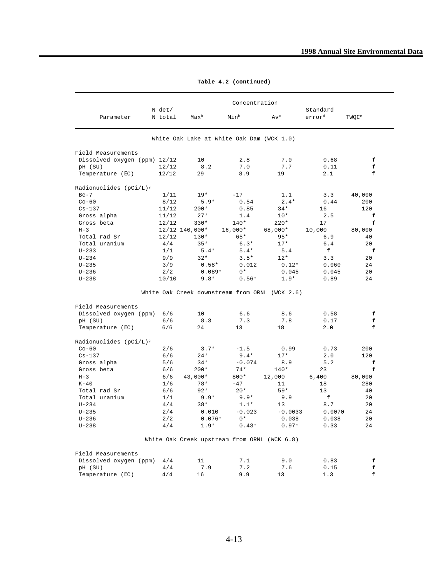| N det/<br>error <sup>d</sup><br>N total<br>Max <sup>b</sup><br>Minb<br>$Av^c$<br>TWQC <sup>e</sup><br>Parameter<br>White Oak Lake at White Oak Dam (WCK 1.0)<br>Field Measurements<br>2.8<br>7.0<br>f<br>Dissolved oxygen (ppm) 12/12<br>10<br>0.68<br>f<br>8.2<br>7.0<br>7.7<br>0.11<br>pH (SU)<br>12/12<br>Temperature (EC)<br>12/12<br>29<br>8.9<br>19<br>2.1<br>f<br>Radionuclides $(pCi/L)^{g}$<br>$-17$<br>1.1<br>$Be-7$<br>1/11<br>$19*$<br>3.3<br>40,000<br>$Co-60$<br>8/12<br>0.54<br>$2.4*$<br>200<br>$5.9*$<br>0.44<br>0.85<br>$34*$<br>$Cs-137$<br>11/12<br>$200*$<br>16<br>120<br>$27*$<br>2.5<br>f<br>Gross alpha<br>11/12<br>1.4<br>$10*$<br>f<br>Gross beta<br>12/12<br>$330*$<br>$140*$<br>$220*$<br>17<br>$H - 3$<br>80,000<br>$12/12$ 140,000*<br>$16,000*$<br>68,000*<br>10,000<br>65*<br>Total rad Sr<br>$95*$<br>6.9<br>40<br>12/12<br>$130*$<br>4/4<br>$6.3*$<br>$17*$<br>6.4<br>20<br>Total uranium<br>$35*$<br>f<br>f<br>$U - 233$<br>1/1<br>$5.4*$<br>5.4<br>$5.4*$<br>20<br>$U - 234$<br>9/9<br>$32*$<br>$3.5*$<br>$12*$<br>3.3<br>0.060<br>24<br>$U - 235$<br>3/9<br>$0.58*$<br>0.012<br>$0.12*$<br>2/2<br>$0*$<br>0.045<br>20<br>$U - 236$<br>$0.089*$<br>0.045<br>10/10<br>$9.8*$<br>$0.56*$<br>$1.9*$<br>0.89<br>24<br>$U - 238$<br>White Oak Creek downstream from ORNL (WCK 2.6)<br>Field Measurements<br>10<br>6.6<br>8.6<br>0.58<br>f<br>Dissolved oxygen (ppm)<br>6/6<br>f<br>6/6<br>8.3<br>7.3<br>7.8<br>0.17<br>pH (SU)<br>Temperature (EC)<br>6/6<br>13<br>2.0<br>f<br>24<br>18<br>Radionuclides (pCi/L) <sup>9</sup><br>2/6<br>$3.7*$<br>$-1.5$<br>$Co-60$<br>0.99<br>0.73<br>200<br>6/6<br>$9.4*$<br>$17*$<br>2.0<br>120<br>$Cs - 137$<br>24*<br>Gross alpha<br>5.2<br>f<br>5/6<br>$34*$<br>$-0.074$<br>8.9<br>$74*$<br>$140*$<br>23<br>f<br>Gross beta<br>6/6<br>$200*$<br>$H-3$<br>6,400<br>80,000<br>6/6<br>43,000*<br>800*<br>12,000<br>$K-40$<br>18<br>280<br>1/6<br>78*<br>-47<br>11<br>$20*$<br>$59*$<br>13<br>Total rad Sr<br>6/6<br>92*<br>40<br>f<br>20<br>Total uranium<br>1/1<br>$9.9*$<br>$9.9*$<br>9.9<br>4/4<br>$38*$<br>8.7<br>20<br>$U - 234$<br>$1.1*$<br>13<br>$U - 235$<br>$-0.0033$<br>0.0070<br>24<br>2/4<br>0.010<br>$-0.023$<br>$U - 236$<br>$0.076*$<br>$0*$<br>0.038<br>20<br>2/2<br>0.038<br>$U - 238$<br>4/4<br>$1.9*$<br>$0.43*$<br>$0.97*$<br>0.33<br>24<br>White Oak Creek upstream from ORNL (WCK 6.8)<br>Field Measurements<br>Dissolved oxygen (ppm)<br>7.1<br>9.0<br>f<br>4/4<br>11<br>0.83<br>4/4<br>7.9<br>7.2<br>7.6<br>0.15<br>f<br>pH (SU) |                  |     |    | Concentration |    |          |   |  |
|-----------------------------------------------------------------------------------------------------------------------------------------------------------------------------------------------------------------------------------------------------------------------------------------------------------------------------------------------------------------------------------------------------------------------------------------------------------------------------------------------------------------------------------------------------------------------------------------------------------------------------------------------------------------------------------------------------------------------------------------------------------------------------------------------------------------------------------------------------------------------------------------------------------------------------------------------------------------------------------------------------------------------------------------------------------------------------------------------------------------------------------------------------------------------------------------------------------------------------------------------------------------------------------------------------------------------------------------------------------------------------------------------------------------------------------------------------------------------------------------------------------------------------------------------------------------------------------------------------------------------------------------------------------------------------------------------------------------------------------------------------------------------------------------------------------------------------------------------------------------------------------------------------------------------------------------------------------------------------------------------------------------------------------------------------------------------------------------------------------------------------------------------------------------------------------------------------------------------------------------------------------------------------------------------------------------------------------------------------------------------------------------------------------------------------------------------------------------------------------------------------------------------------|------------------|-----|----|---------------|----|----------|---|--|
|                                                                                                                                                                                                                                                                                                                                                                                                                                                                                                                                                                                                                                                                                                                                                                                                                                                                                                                                                                                                                                                                                                                                                                                                                                                                                                                                                                                                                                                                                                                                                                                                                                                                                                                                                                                                                                                                                                                                                                                                                                                                                                                                                                                                                                                                                                                                                                                                                                                                                                                             |                  |     |    |               |    | Standard |   |  |
|                                                                                                                                                                                                                                                                                                                                                                                                                                                                                                                                                                                                                                                                                                                                                                                                                                                                                                                                                                                                                                                                                                                                                                                                                                                                                                                                                                                                                                                                                                                                                                                                                                                                                                                                                                                                                                                                                                                                                                                                                                                                                                                                                                                                                                                                                                                                                                                                                                                                                                                             |                  |     |    |               |    |          |   |  |
|                                                                                                                                                                                                                                                                                                                                                                                                                                                                                                                                                                                                                                                                                                                                                                                                                                                                                                                                                                                                                                                                                                                                                                                                                                                                                                                                                                                                                                                                                                                                                                                                                                                                                                                                                                                                                                                                                                                                                                                                                                                                                                                                                                                                                                                                                                                                                                                                                                                                                                                             |                  |     |    |               |    |          |   |  |
|                                                                                                                                                                                                                                                                                                                                                                                                                                                                                                                                                                                                                                                                                                                                                                                                                                                                                                                                                                                                                                                                                                                                                                                                                                                                                                                                                                                                                                                                                                                                                                                                                                                                                                                                                                                                                                                                                                                                                                                                                                                                                                                                                                                                                                                                                                                                                                                                                                                                                                                             |                  |     |    |               |    |          |   |  |
|                                                                                                                                                                                                                                                                                                                                                                                                                                                                                                                                                                                                                                                                                                                                                                                                                                                                                                                                                                                                                                                                                                                                                                                                                                                                                                                                                                                                                                                                                                                                                                                                                                                                                                                                                                                                                                                                                                                                                                                                                                                                                                                                                                                                                                                                                                                                                                                                                                                                                                                             |                  |     |    |               |    |          |   |  |
|                                                                                                                                                                                                                                                                                                                                                                                                                                                                                                                                                                                                                                                                                                                                                                                                                                                                                                                                                                                                                                                                                                                                                                                                                                                                                                                                                                                                                                                                                                                                                                                                                                                                                                                                                                                                                                                                                                                                                                                                                                                                                                                                                                                                                                                                                                                                                                                                                                                                                                                             |                  |     |    |               |    |          |   |  |
|                                                                                                                                                                                                                                                                                                                                                                                                                                                                                                                                                                                                                                                                                                                                                                                                                                                                                                                                                                                                                                                                                                                                                                                                                                                                                                                                                                                                                                                                                                                                                                                                                                                                                                                                                                                                                                                                                                                                                                                                                                                                                                                                                                                                                                                                                                                                                                                                                                                                                                                             |                  |     |    |               |    |          |   |  |
|                                                                                                                                                                                                                                                                                                                                                                                                                                                                                                                                                                                                                                                                                                                                                                                                                                                                                                                                                                                                                                                                                                                                                                                                                                                                                                                                                                                                                                                                                                                                                                                                                                                                                                                                                                                                                                                                                                                                                                                                                                                                                                                                                                                                                                                                                                                                                                                                                                                                                                                             |                  |     |    |               |    |          |   |  |
|                                                                                                                                                                                                                                                                                                                                                                                                                                                                                                                                                                                                                                                                                                                                                                                                                                                                                                                                                                                                                                                                                                                                                                                                                                                                                                                                                                                                                                                                                                                                                                                                                                                                                                                                                                                                                                                                                                                                                                                                                                                                                                                                                                                                                                                                                                                                                                                                                                                                                                                             |                  |     |    |               |    |          |   |  |
|                                                                                                                                                                                                                                                                                                                                                                                                                                                                                                                                                                                                                                                                                                                                                                                                                                                                                                                                                                                                                                                                                                                                                                                                                                                                                                                                                                                                                                                                                                                                                                                                                                                                                                                                                                                                                                                                                                                                                                                                                                                                                                                                                                                                                                                                                                                                                                                                                                                                                                                             |                  |     |    |               |    |          |   |  |
|                                                                                                                                                                                                                                                                                                                                                                                                                                                                                                                                                                                                                                                                                                                                                                                                                                                                                                                                                                                                                                                                                                                                                                                                                                                                                                                                                                                                                                                                                                                                                                                                                                                                                                                                                                                                                                                                                                                                                                                                                                                                                                                                                                                                                                                                                                                                                                                                                                                                                                                             |                  |     |    |               |    |          |   |  |
|                                                                                                                                                                                                                                                                                                                                                                                                                                                                                                                                                                                                                                                                                                                                                                                                                                                                                                                                                                                                                                                                                                                                                                                                                                                                                                                                                                                                                                                                                                                                                                                                                                                                                                                                                                                                                                                                                                                                                                                                                                                                                                                                                                                                                                                                                                                                                                                                                                                                                                                             |                  |     |    |               |    |          |   |  |
|                                                                                                                                                                                                                                                                                                                                                                                                                                                                                                                                                                                                                                                                                                                                                                                                                                                                                                                                                                                                                                                                                                                                                                                                                                                                                                                                                                                                                                                                                                                                                                                                                                                                                                                                                                                                                                                                                                                                                                                                                                                                                                                                                                                                                                                                                                                                                                                                                                                                                                                             |                  |     |    |               |    |          |   |  |
|                                                                                                                                                                                                                                                                                                                                                                                                                                                                                                                                                                                                                                                                                                                                                                                                                                                                                                                                                                                                                                                                                                                                                                                                                                                                                                                                                                                                                                                                                                                                                                                                                                                                                                                                                                                                                                                                                                                                                                                                                                                                                                                                                                                                                                                                                                                                                                                                                                                                                                                             |                  |     |    |               |    |          |   |  |
|                                                                                                                                                                                                                                                                                                                                                                                                                                                                                                                                                                                                                                                                                                                                                                                                                                                                                                                                                                                                                                                                                                                                                                                                                                                                                                                                                                                                                                                                                                                                                                                                                                                                                                                                                                                                                                                                                                                                                                                                                                                                                                                                                                                                                                                                                                                                                                                                                                                                                                                             |                  |     |    |               |    |          |   |  |
|                                                                                                                                                                                                                                                                                                                                                                                                                                                                                                                                                                                                                                                                                                                                                                                                                                                                                                                                                                                                                                                                                                                                                                                                                                                                                                                                                                                                                                                                                                                                                                                                                                                                                                                                                                                                                                                                                                                                                                                                                                                                                                                                                                                                                                                                                                                                                                                                                                                                                                                             |                  |     |    |               |    |          |   |  |
|                                                                                                                                                                                                                                                                                                                                                                                                                                                                                                                                                                                                                                                                                                                                                                                                                                                                                                                                                                                                                                                                                                                                                                                                                                                                                                                                                                                                                                                                                                                                                                                                                                                                                                                                                                                                                                                                                                                                                                                                                                                                                                                                                                                                                                                                                                                                                                                                                                                                                                                             |                  |     |    |               |    |          |   |  |
|                                                                                                                                                                                                                                                                                                                                                                                                                                                                                                                                                                                                                                                                                                                                                                                                                                                                                                                                                                                                                                                                                                                                                                                                                                                                                                                                                                                                                                                                                                                                                                                                                                                                                                                                                                                                                                                                                                                                                                                                                                                                                                                                                                                                                                                                                                                                                                                                                                                                                                                             |                  |     |    |               |    |          |   |  |
|                                                                                                                                                                                                                                                                                                                                                                                                                                                                                                                                                                                                                                                                                                                                                                                                                                                                                                                                                                                                                                                                                                                                                                                                                                                                                                                                                                                                                                                                                                                                                                                                                                                                                                                                                                                                                                                                                                                                                                                                                                                                                                                                                                                                                                                                                                                                                                                                                                                                                                                             |                  |     |    |               |    |          |   |  |
|                                                                                                                                                                                                                                                                                                                                                                                                                                                                                                                                                                                                                                                                                                                                                                                                                                                                                                                                                                                                                                                                                                                                                                                                                                                                                                                                                                                                                                                                                                                                                                                                                                                                                                                                                                                                                                                                                                                                                                                                                                                                                                                                                                                                                                                                                                                                                                                                                                                                                                                             |                  |     |    |               |    |          |   |  |
|                                                                                                                                                                                                                                                                                                                                                                                                                                                                                                                                                                                                                                                                                                                                                                                                                                                                                                                                                                                                                                                                                                                                                                                                                                                                                                                                                                                                                                                                                                                                                                                                                                                                                                                                                                                                                                                                                                                                                                                                                                                                                                                                                                                                                                                                                                                                                                                                                                                                                                                             |                  |     |    |               |    |          |   |  |
|                                                                                                                                                                                                                                                                                                                                                                                                                                                                                                                                                                                                                                                                                                                                                                                                                                                                                                                                                                                                                                                                                                                                                                                                                                                                                                                                                                                                                                                                                                                                                                                                                                                                                                                                                                                                                                                                                                                                                                                                                                                                                                                                                                                                                                                                                                                                                                                                                                                                                                                             |                  |     |    |               |    |          |   |  |
|                                                                                                                                                                                                                                                                                                                                                                                                                                                                                                                                                                                                                                                                                                                                                                                                                                                                                                                                                                                                                                                                                                                                                                                                                                                                                                                                                                                                                                                                                                                                                                                                                                                                                                                                                                                                                                                                                                                                                                                                                                                                                                                                                                                                                                                                                                                                                                                                                                                                                                                             |                  |     |    |               |    |          |   |  |
|                                                                                                                                                                                                                                                                                                                                                                                                                                                                                                                                                                                                                                                                                                                                                                                                                                                                                                                                                                                                                                                                                                                                                                                                                                                                                                                                                                                                                                                                                                                                                                                                                                                                                                                                                                                                                                                                                                                                                                                                                                                                                                                                                                                                                                                                                                                                                                                                                                                                                                                             |                  |     |    |               |    |          |   |  |
|                                                                                                                                                                                                                                                                                                                                                                                                                                                                                                                                                                                                                                                                                                                                                                                                                                                                                                                                                                                                                                                                                                                                                                                                                                                                                                                                                                                                                                                                                                                                                                                                                                                                                                                                                                                                                                                                                                                                                                                                                                                                                                                                                                                                                                                                                                                                                                                                                                                                                                                             |                  |     |    |               |    |          |   |  |
|                                                                                                                                                                                                                                                                                                                                                                                                                                                                                                                                                                                                                                                                                                                                                                                                                                                                                                                                                                                                                                                                                                                                                                                                                                                                                                                                                                                                                                                                                                                                                                                                                                                                                                                                                                                                                                                                                                                                                                                                                                                                                                                                                                                                                                                                                                                                                                                                                                                                                                                             |                  |     |    |               |    |          |   |  |
|                                                                                                                                                                                                                                                                                                                                                                                                                                                                                                                                                                                                                                                                                                                                                                                                                                                                                                                                                                                                                                                                                                                                                                                                                                                                                                                                                                                                                                                                                                                                                                                                                                                                                                                                                                                                                                                                                                                                                                                                                                                                                                                                                                                                                                                                                                                                                                                                                                                                                                                             |                  |     |    |               |    |          |   |  |
|                                                                                                                                                                                                                                                                                                                                                                                                                                                                                                                                                                                                                                                                                                                                                                                                                                                                                                                                                                                                                                                                                                                                                                                                                                                                                                                                                                                                                                                                                                                                                                                                                                                                                                                                                                                                                                                                                                                                                                                                                                                                                                                                                                                                                                                                                                                                                                                                                                                                                                                             |                  |     |    |               |    |          |   |  |
|                                                                                                                                                                                                                                                                                                                                                                                                                                                                                                                                                                                                                                                                                                                                                                                                                                                                                                                                                                                                                                                                                                                                                                                                                                                                                                                                                                                                                                                                                                                                                                                                                                                                                                                                                                                                                                                                                                                                                                                                                                                                                                                                                                                                                                                                                                                                                                                                                                                                                                                             |                  |     |    |               |    |          |   |  |
|                                                                                                                                                                                                                                                                                                                                                                                                                                                                                                                                                                                                                                                                                                                                                                                                                                                                                                                                                                                                                                                                                                                                                                                                                                                                                                                                                                                                                                                                                                                                                                                                                                                                                                                                                                                                                                                                                                                                                                                                                                                                                                                                                                                                                                                                                                                                                                                                                                                                                                                             |                  |     |    |               |    |          |   |  |
|                                                                                                                                                                                                                                                                                                                                                                                                                                                                                                                                                                                                                                                                                                                                                                                                                                                                                                                                                                                                                                                                                                                                                                                                                                                                                                                                                                                                                                                                                                                                                                                                                                                                                                                                                                                                                                                                                                                                                                                                                                                                                                                                                                                                                                                                                                                                                                                                                                                                                                                             |                  |     |    |               |    |          |   |  |
|                                                                                                                                                                                                                                                                                                                                                                                                                                                                                                                                                                                                                                                                                                                                                                                                                                                                                                                                                                                                                                                                                                                                                                                                                                                                                                                                                                                                                                                                                                                                                                                                                                                                                                                                                                                                                                                                                                                                                                                                                                                                                                                                                                                                                                                                                                                                                                                                                                                                                                                             |                  |     |    |               |    |          |   |  |
|                                                                                                                                                                                                                                                                                                                                                                                                                                                                                                                                                                                                                                                                                                                                                                                                                                                                                                                                                                                                                                                                                                                                                                                                                                                                                                                                                                                                                                                                                                                                                                                                                                                                                                                                                                                                                                                                                                                                                                                                                                                                                                                                                                                                                                                                                                                                                                                                                                                                                                                             |                  |     |    |               |    |          |   |  |
|                                                                                                                                                                                                                                                                                                                                                                                                                                                                                                                                                                                                                                                                                                                                                                                                                                                                                                                                                                                                                                                                                                                                                                                                                                                                                                                                                                                                                                                                                                                                                                                                                                                                                                                                                                                                                                                                                                                                                                                                                                                                                                                                                                                                                                                                                                                                                                                                                                                                                                                             |                  |     |    |               |    |          |   |  |
|                                                                                                                                                                                                                                                                                                                                                                                                                                                                                                                                                                                                                                                                                                                                                                                                                                                                                                                                                                                                                                                                                                                                                                                                                                                                                                                                                                                                                                                                                                                                                                                                                                                                                                                                                                                                                                                                                                                                                                                                                                                                                                                                                                                                                                                                                                                                                                                                                                                                                                                             |                  |     |    |               |    |          |   |  |
|                                                                                                                                                                                                                                                                                                                                                                                                                                                                                                                                                                                                                                                                                                                                                                                                                                                                                                                                                                                                                                                                                                                                                                                                                                                                                                                                                                                                                                                                                                                                                                                                                                                                                                                                                                                                                                                                                                                                                                                                                                                                                                                                                                                                                                                                                                                                                                                                                                                                                                                             |                  |     |    |               |    |          |   |  |
|                                                                                                                                                                                                                                                                                                                                                                                                                                                                                                                                                                                                                                                                                                                                                                                                                                                                                                                                                                                                                                                                                                                                                                                                                                                                                                                                                                                                                                                                                                                                                                                                                                                                                                                                                                                                                                                                                                                                                                                                                                                                                                                                                                                                                                                                                                                                                                                                                                                                                                                             |                  |     |    |               |    |          |   |  |
|                                                                                                                                                                                                                                                                                                                                                                                                                                                                                                                                                                                                                                                                                                                                                                                                                                                                                                                                                                                                                                                                                                                                                                                                                                                                                                                                                                                                                                                                                                                                                                                                                                                                                                                                                                                                                                                                                                                                                                                                                                                                                                                                                                                                                                                                                                                                                                                                                                                                                                                             |                  |     |    |               |    |          |   |  |
|                                                                                                                                                                                                                                                                                                                                                                                                                                                                                                                                                                                                                                                                                                                                                                                                                                                                                                                                                                                                                                                                                                                                                                                                                                                                                                                                                                                                                                                                                                                                                                                                                                                                                                                                                                                                                                                                                                                                                                                                                                                                                                                                                                                                                                                                                                                                                                                                                                                                                                                             |                  |     |    |               |    |          |   |  |
|                                                                                                                                                                                                                                                                                                                                                                                                                                                                                                                                                                                                                                                                                                                                                                                                                                                                                                                                                                                                                                                                                                                                                                                                                                                                                                                                                                                                                                                                                                                                                                                                                                                                                                                                                                                                                                                                                                                                                                                                                                                                                                                                                                                                                                                                                                                                                                                                                                                                                                                             |                  |     |    |               |    |          |   |  |
|                                                                                                                                                                                                                                                                                                                                                                                                                                                                                                                                                                                                                                                                                                                                                                                                                                                                                                                                                                                                                                                                                                                                                                                                                                                                                                                                                                                                                                                                                                                                                                                                                                                                                                                                                                                                                                                                                                                                                                                                                                                                                                                                                                                                                                                                                                                                                                                                                                                                                                                             |                  |     |    |               |    |          |   |  |
|                                                                                                                                                                                                                                                                                                                                                                                                                                                                                                                                                                                                                                                                                                                                                                                                                                                                                                                                                                                                                                                                                                                                                                                                                                                                                                                                                                                                                                                                                                                                                                                                                                                                                                                                                                                                                                                                                                                                                                                                                                                                                                                                                                                                                                                                                                                                                                                                                                                                                                                             |                  |     |    |               |    |          |   |  |
|                                                                                                                                                                                                                                                                                                                                                                                                                                                                                                                                                                                                                                                                                                                                                                                                                                                                                                                                                                                                                                                                                                                                                                                                                                                                                                                                                                                                                                                                                                                                                                                                                                                                                                                                                                                                                                                                                                                                                                                                                                                                                                                                                                                                                                                                                                                                                                                                                                                                                                                             | Temperature (EC) | 4/4 | 16 | 9.9           | 13 | 1.3      | f |  |

**Table 4.2 (continued)**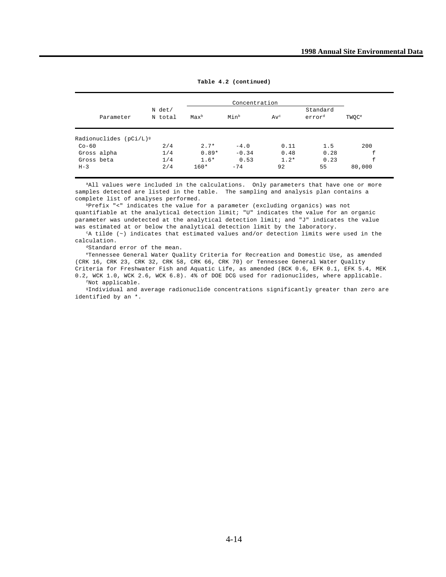|                             |                   |                  | Concentration |        |                                |                   |
|-----------------------------|-------------------|------------------|---------------|--------|--------------------------------|-------------------|
| Parameter                   | N det/<br>N total | Max <sup>b</sup> | Minb          | $Av^c$ | Standard<br>error <sup>d</sup> | TWOC <sup>e</sup> |
|                             |                   |                  |               |        |                                |                   |
| Radionuclides $(pCi/L)^{g}$ |                   |                  |               |        |                                |                   |
| $Co-60$                     | 2/4               | $2.7*$           | $-4.0$        | 0.11   | 1.5                            | 200               |
| Gross alpha                 | 1/4               | $0.89*$          | $-0.34$       | 0.48   | 0.28                           | f                 |
| Gross beta                  | 1/4               | $1.6*$           | 0.53          | $1.2*$ | 0.23                           | f                 |

**Table 4.2 (continued)**

aAll values were included in the calculations. Only parameters that have one or more samples detected are listed in the table. The sampling and analysis plan contains a complete list of analyses performed.

bPrefix "<" indicates the value for a parameter (excluding organics) was not quantifiable at the analytical detection limit; "U" indicates the value for an organic parameter was undetected at the analytical detection limit; and "J" indicates the value was estimated at or below the analytical detection limit by the laboratory.

<sup>c</sup>A tilde (~) indicates that estimated values and/or detection limits were used in the calculation.

dStandard error of the mean.

<sup>e</sup>Tennessee General Water Quality Criteria for Recreation and Domestic Use, as amended (CRK 16, CRK 23, CRK 32, CRK 58, CRK 66, CRK 70) or Tennessee General Water Quality Criteria for Freshwater Fish and Aquatic Life, as amended (BCK 0.6, EFK 0.1, EFK 5.4, MEK 0.2, WCK 1.0, WCK 2.6, WCK 6.8). 4% of DOE DCG used for radionuclides, where applicable.

 $f$ Not applicable.

<sup>g</sup>Individual and average radionuclide concentrations significantly greater than zero are identified by an \*.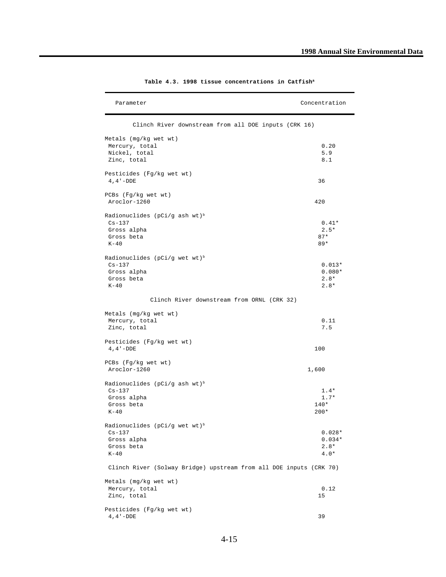| Parameter                                                                                         | Concentration                            |
|---------------------------------------------------------------------------------------------------|------------------------------------------|
| Clinch River downstream from all DOE inputs (CRK 16)                                              |                                          |
| Metals (mg/kg wet wt)<br>Mercury, total<br>Nickel, total<br>Zinc, total                           | 0.20<br>5.9<br>8.1                       |
| Pesticides (Fg/kg wet wt)<br>$4, 4 - DDE$                                                         | 36                                       |
| $PCBs$ ( $Fq/kg$ wet wt)<br>Aroclor-1260                                                          | 420                                      |
| Radionuclides (pCi/g ash wt) <sup>b</sup><br>$Cs - 137$<br>Gross alpha<br>Gross beta<br>$K-40$    | $0.41*$<br>$2.5*$<br>$87*$<br>$89*$      |
| Radionuclides ( $pCi/g$ wet wt) <sup>b</sup><br>$Cs - 137$<br>Gross alpha<br>Gross beta<br>$K-40$ | $0.013*$<br>$0.080*$<br>$2.8*$<br>$2.8*$ |
| Clinch River downstream from ORNL (CRK 32)                                                        |                                          |
| Metals (mg/kg wet wt)<br>Mercury, total<br>Zinc, total                                            | 0.11<br>7.5                              |
| Pesticides (Fg/kg wet wt)<br>$4, 4 - DDE$                                                         | 100                                      |
| PCBs (Fg/kg wet wt)<br>Aroclor-1260                                                               | 1,600                                    |
| Radionuclides (pCi/g ash wt) <sup>b</sup><br>$Cs - 137$<br>Gross alpha<br>Gross beta<br>$K-40$    | $1.4*$<br>$1.7*$<br>140*<br>$200*$       |
| Radionuclides ( $pCi/g$ wet wt) <sup>b</sup><br>$Cs - 137$<br>Gross alpha<br>Gross beta<br>$K-40$ | $0.028*$<br>$0.034*$<br>$2.8*$<br>$4.0*$ |
| Clinch River (Solway Bridge) upstream from all DOE inputs (CRK 70)                                |                                          |
| Metals (mg/kg wet wt)<br>Mercury, total<br>Zinc, total                                            | 0.12<br>15                               |
| Pesticides (Fg/kg wet wt)<br>$4, 4 - DDE$                                                         | 39                                       |

**Table 4.3. 1998 tissue concentrations in Catfish<sup>a</sup>**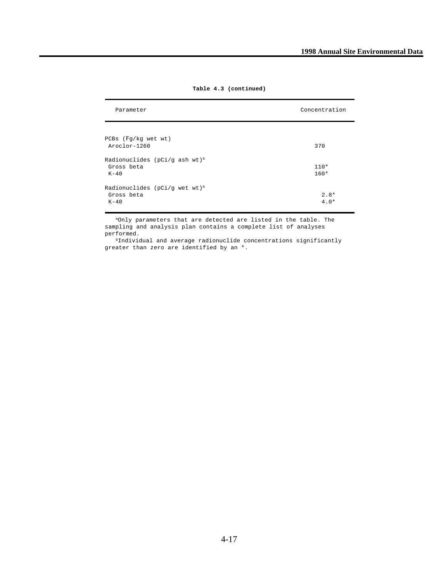| Parameter                                                            | Concentration    |
|----------------------------------------------------------------------|------------------|
| PCBs $(Fg/kg$ wet wt)<br>Aroclor-1260                                | 370              |
| Radionuclides ( $pCi/q$ ash wt) <sup>b</sup><br>Gross beta<br>$K-40$ | $110*$<br>$160*$ |
| Radionuclides ( $pCi/q$ wet wt) <sup>b</sup><br>Gross beta<br>$K-40$ | $2.8*$<br>$4.0*$ |

**Table 4.3 (continued)**

aOnly parameters that are detected are listed in the table. The sampling and analysis plan contains a complete list of analyses performed.

 $b$ Individual and average radionuclide concentrations significantly greater than zero are identified by an \*.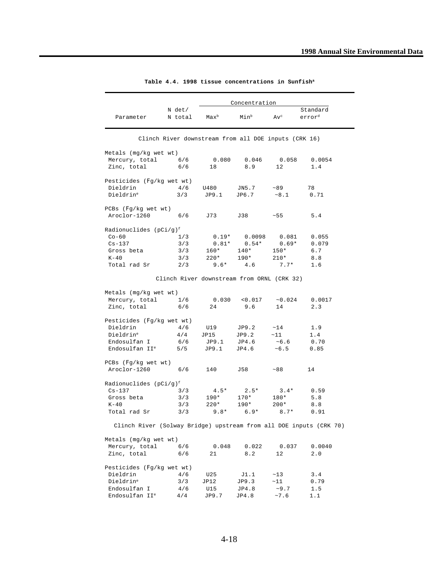|                                                                    |                   |                                                      | Concentration     |                       |                                |
|--------------------------------------------------------------------|-------------------|------------------------------------------------------|-------------------|-----------------------|--------------------------------|
| Parameter                                                          | N det/<br>N total | Max <sup>b</sup>                                     | Min <sup>b</sup>  | $Av^c$                | Standard<br>error <sup>d</sup> |
|                                                                    |                   | Clinch River downstream from all DOE inputs (CRK 16) |                   |                       |                                |
| Metals (mg/kg wet wt)                                              |                   |                                                      |                   |                       |                                |
| Mercury, total                                                     | 6/6               | 0.080                                                | 0.046             | 0.058                 | 0.0054                         |
| Zinc, total                                                        | 6/6               | 18                                                   | 8.9               | 12                    | 1.4                            |
| Pesticides (Fg/kg wet wt)                                          |                   |                                                      |                   |                       |                                |
| Dieldrin                                                           | 4/6               | U480                                                 | JN5.7             | $~\sim$ 89            | 78                             |
| Dieldrin <sup>e</sup>                                              | 3/3               | JP9.1                                                | JP6.7             | $\sim\!8.1$           | 0.71                           |
| PCBs (Fg/kg wet wt)                                                |                   |                                                      |                   |                       |                                |
| Aroclor-1260                                                       | 6/6               | J73                                                  | J38               | $~1$ $~55$            | 5.4                            |
| Radionuclides ( $pCi/g$ ) <sup>f</sup>                             |                   |                                                      |                   |                       |                                |
| $Co-60$                                                            | 1/3               | $0.19*$                                              | 0.0098            | 0.081                 | 0.055                          |
| $Cs - 137$                                                         | 3/3               | $0.81*$                                              | $0.54*$           | $0.69*$               | 0.079                          |
| Gross beta                                                         | 3/3               | 160*                                                 | $140*$            | $150*$                | 6.7                            |
| $K-40$                                                             | 3/3               | $220*$                                               | 190*              | $210*$                | 8.8                            |
| Total rad Sr                                                       | 2/3               | $9.6*$                                               | 4.6               | $7.7*$                | 1.6                            |
|                                                                    |                   | Clinch River downstream from ORNL (CRK 32)           |                   |                       |                                |
| Metals (mg/kg wet wt)                                              |                   |                                                      |                   |                       |                                |
| Mercury, total 1/6                                                 |                   |                                                      | $0.030$ < $0.017$ | $\sim$ $0$ . $0$ $24$ | 0.0017                         |
| Zinc, total                                                        | 6/6               | 24                                                   | 9.6               | 14                    | 2.3                            |
| Pesticides (Fg/kg wet wt)                                          |                   |                                                      |                   |                       |                                |
| Dieldrin                                                           | 4/6               | U19                                                  | JP9.2             | ~14                   | 1.9                            |
| Dieldrin <sup>e</sup>                                              | 4/4               | JP15                                                 | JP9.2             | ~11                   | 1.4                            |
| Endosulfan I                                                       | 6/6               | JP9.1                                                | JP4.6             | $~10 - 6.6$           | 0.70                           |
| Endosulfan II°                                                     | 5/5               | JP9.1                                                | JP4.6             | $~10 - 5$             | 0.85                           |
| PCBs (Fg/kg wet wt)                                                |                   |                                                      |                   |                       |                                |
| Aroclor-1260                                                       | 6/6               | 140                                                  | J58               | $~1$ $~88$            | 14                             |
| Radionuclides $(pCi/q)^f$                                          |                   |                                                      |                   |                       |                                |
| $Cs - 137$                                                         | 3/3               | $4.5*$                                               | $2.5*$            | $3.4*$                | 0.59                           |
| Gross beta                                                         | 3/3               | 190*                                                 | $170*$            | 180*                  | 5.8                            |
| $K-40$                                                             | 3/3               | $220*$                                               | 190*              | $200*$                | 8.8                            |
| Total rad Sr                                                       | 3/3               | $9.8*$                                               | $6.9*$            | $8.7*$                | 0.91                           |
| Clinch River (Solway Bridge) upstream from all DOE inputs (CRK 70) |                   |                                                      |                   |                       |                                |
| Metals (mg/kg wet wt)                                              |                   |                                                      |                   |                       |                                |
| Mercury, total                                                     | 6/6               | 0.048                                                | 0.022             | 0.037                 | 0.0040                         |
| Zinc, total                                                        | 6/6               | 21                                                   | 8.2               | 12                    | 2.0                            |
| Pesticides (Fq/kq wet wt)                                          |                   |                                                      |                   |                       |                                |
| Dieldrin                                                           | 4/6               | U25                                                  | J1.1              | ~13                   | 3.4                            |
| Dieldrin <sup>e</sup>                                              | 3/3               | JP12                                                 | JP9.3             | ~11                   | 0.79                           |
| Endosulfan I                                                       | 4/6               | U15                                                  | JP4.8             | ~10.7                 | 1.5                            |
| Endosulfan II <sup>e</sup>                                         | 4/4               | JP9.7                                                | JP4.8             | ~17.6                 | 1.1                            |

**Table 4.4. 1998 tissue concentrations in Sunfish<sup>a</sup>**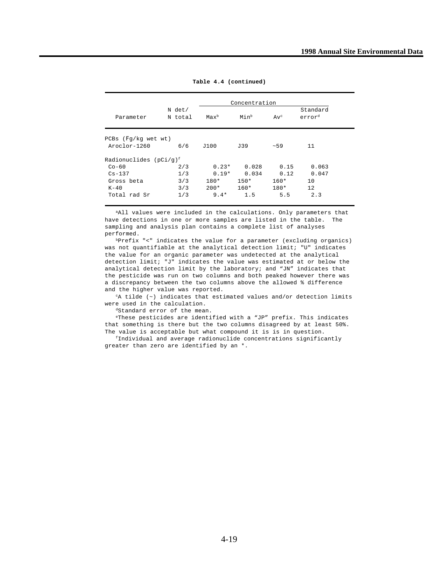|                           |                     | Concentration    |                  |        |                                |
|---------------------------|---------------------|------------------|------------------|--------|--------------------------------|
| Parameter                 | $N$ det/<br>N total | Max <sup>b</sup> | Min <sup>b</sup> | $Av^c$ | Standard<br>error <sup>d</sup> |
| $PCBs$ ( $Fq/kg$ wet wt)  |                     |                  |                  |        |                                |
| Aroclor-1260              | 6/6                 | J100             | J39              | ~1.59  | 11                             |
| Radionuclides $(pCi/q)^f$ |                     |                  |                  |        |                                |
| $Co-60$                   | 2/3                 | $0.23*$          | 0.028            | 0.15   | 0.063                          |
| $Cs - 137$                | 1/3                 | $0.19*$          | 0.034            | 0.12   | 0.047                          |
| Gross beta                | 3/3                 | 180*             | $150*$           | $160*$ | 10                             |
| $K-40$                    | 3/3                 | $200*$           | $160*$           | $180*$ | 12.                            |
| Total rad Sr              | 1/3                 | $9.4*$           | 1.5              | 5.5    | 2.3                            |

**Table 4.4 (continued)**

<sup>a</sup>All values were included in the calculations. Only parameters that have detections in one or more samples are listed in the table. The sampling and analysis plan contains a complete list of analyses performed.

bPrefix "<" indicates the value for a parameter (excluding organics) was not quantifiable at the analytical detection limit; "U" indicates the value for an organic parameter was undetected at the analytical detection limit; "J" indicates the value was estimated at or below the analytical detection limit by the laboratory; and "JN" indicates that the pesticide was run on two columns and both peaked however there was a discrepancy between the two columns above the allowed % difference and the higher value was reported.

 $c_A$  tilde ( $\sim$ ) indicates that estimated values and/or detection limits were used in the calculation.

dStandard error of the mean.

<sup>e</sup>These pesticides are identified with a "JP" prefix. This indicates that something is there but the two columns disagreed by at least 50%. The value is acceptable but what compound it is is in question.

<sup>f</sup>Individual and average radionuclide concentrations significantly greater than zero are identified by an \*.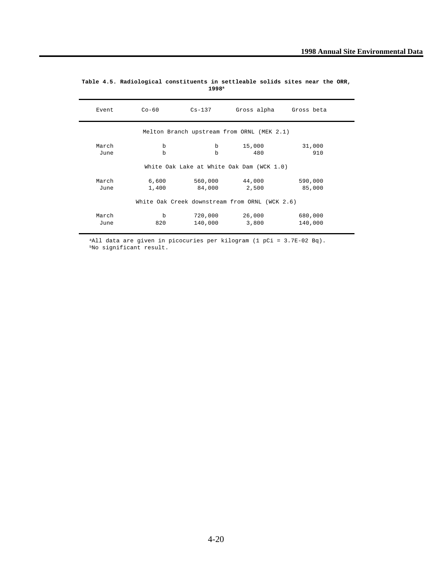| Event                                          | $Co-60$ | Cs-137      | Gross alpha | Gross beta |  |  |  |  |
|------------------------------------------------|---------|-------------|-------------|------------|--|--|--|--|
| Melton Branch upstream from ORNL (MEK 2.1)     |         |             |             |            |  |  |  |  |
| March                                          | b       | $\mathbf b$ | 15,000      | 31,000     |  |  |  |  |
| June                                           | b       | b           | 480         | 910        |  |  |  |  |
|                                                |         |             |             |            |  |  |  |  |
| White Oak Lake at White Oak Dam (WCK 1.0)      |         |             |             |            |  |  |  |  |
| March                                          | 6,600   | 560,000     | 44,000      | 590,000    |  |  |  |  |
| June                                           | 1,400   | 84,000      | 2,500       | 85,000     |  |  |  |  |
|                                                |         |             |             |            |  |  |  |  |
| White Oak Creek downstream from ORNL (WCK 2.6) |         |             |             |            |  |  |  |  |
| March                                          | b       | 720,000     | 26,000      | 680,000    |  |  |  |  |
| June                                           | 820     | 140,000     | 3,800       | 140,000    |  |  |  |  |
|                                                |         |             |             |            |  |  |  |  |

## **Table 4.5. Radiological constituents in settleable solids sites near the ORR, 1998<sup>a</sup>**

<sup>a</sup>All data are given in picocuries per kilogram (1 pCi = 3.7E-02 Bq). bNo significant result.